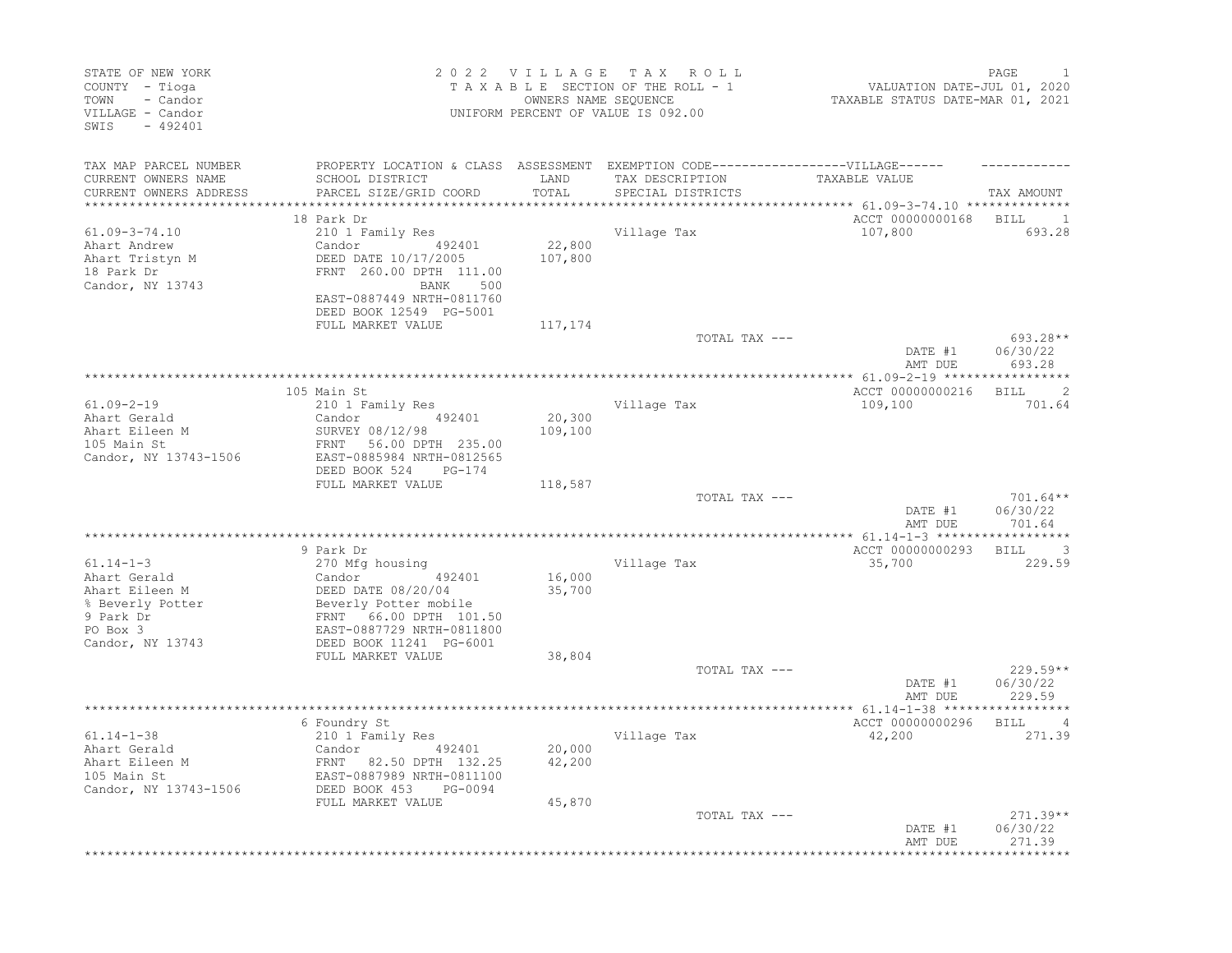| STATE OF NEW YORK<br>COUNTY - Tioga<br>- Candor<br>TOWN<br>VILLAGE - Candor<br>SWIS<br>$-492401$ |                                                                                                                                                                           |                           | 2022 VILLAGE TAX ROLL<br>TAXABLE SECTION OF THE ROLL - 1<br>OWNERS NAME SEOUENCE<br>UNIFORM PERCENT OF VALUE IS 092.00 | VALUATION DATE-JUL 01, 2020<br>TAXABLE STATUS DATE-MAR 01, 2021 | PAGE                                              |
|--------------------------------------------------------------------------------------------------|---------------------------------------------------------------------------------------------------------------------------------------------------------------------------|---------------------------|------------------------------------------------------------------------------------------------------------------------|-----------------------------------------------------------------|---------------------------------------------------|
| TAX MAP PARCEL NUMBER<br>CURRENT OWNERS NAME<br>CURRENT OWNERS ADDRESS                           | PROPERTY LOCATION & CLASS ASSESSMENT EXEMPTION CODE-----------------VILLAGE------<br>SCHOOL DISTRICT<br>PARCEL SIZE/GRID COORD                                            | LAND<br>TOTAL<br>******** | TAX DESCRIPTION<br>SPECIAL DISTRICTS                                                                                   | TAXABLE VALUE<br>*********** 61.09-3-74.10 ***************      | TAX AMOUNT                                        |
| $61.09 - 3 - 74.10$<br>Ahart Andrew<br>Ahart Tristyn M<br>18 Park Dr<br>Candor, NY 13743         | 18 Park Dr<br>210 1 Family Res<br>Candor 492401<br>DEED DATE 10/17/2005<br>FRNT 260.00 DPTH 111.00<br>BANK<br>500<br>EAST-0887449 NRTH-0811760<br>DEED BOOK 12549 PG-5001 | 22,800<br>107,800         | Village Tax                                                                                                            | ACCT 00000000168 BILL<br>107,800                                | $\sim$ 1<br>693.28                                |
|                                                                                                  | FULL MARKET VALUE                                                                                                                                                         | 117,174                   | TOTAL TAX ---                                                                                                          | DATE #1<br>AMT DUE                                              | 693.28**<br>06/30/22<br>693.28                    |
|                                                                                                  |                                                                                                                                                                           |                           |                                                                                                                        |                                                                 |                                                   |
| $61.09 - 2 - 19$<br>Ahart Gerald<br>Ahart Eileen M<br>105 Main St<br>Candor, NY 13743-1506       | 105 Main St<br>210 1 Family Res<br>492401<br>Candor<br>SURVEY 08/12/98<br>FRNT 56.00 DPTH 235.00<br>EAST-0885984 NRTH-0812565<br>DEED BOOK 524<br>PG-174                  | 20,300<br>109,100         | Village Tax                                                                                                            | ACCT 00000000216<br>109,100                                     | 2<br><b>BILL</b><br>701.64                        |
|                                                                                                  | FULL MARKET VALUE                                                                                                                                                         | 118,587                   | TOTAL TAX ---                                                                                                          | DATE #1<br>AMT DUE                                              | $701.64**$<br>06/30/22<br>701.64                  |
| $61.14 - 1 - 3$<br>Ahart Gerald<br>Ahart Eileen M<br>% Beverly Potter<br>9 Park Dr<br>PO Box 3   | 9 Park Dr<br>270 Mfg housing<br>Candor 492401<br>DEED DATE 08/20/04<br>Beverly Potter mobile<br>FRNT 66.00 DPTH 101.50<br>EAST-0887729 NRTH-0811800                       | 16,000<br>35,700          | Village Tax                                                                                                            | ACCT 00000000293<br>35,700                                      | $\overline{\phantom{a}}$<br><b>BILL</b><br>229.59 |
| Candor, NY 13743                                                                                 | DEED BOOK 11241 PG-6001<br>FULL MARKET VALUE                                                                                                                              | 38,804                    | TOTAL TAX ---                                                                                                          | DATE #1<br>AMT DUE                                              | $229.59**$<br>06/30/22<br>229.59                  |
|                                                                                                  |                                                                                                                                                                           |                           |                                                                                                                        |                                                                 |                                                   |
| $61.14 - 1 - 38$<br>Ahart Gerald<br>Ahart Eileen M<br>105 Main St<br>Candor, NY 13743-1506       | 6 Foundry St<br>210 1 Family Res<br>Candor<br>492401<br>FRNT 82.50 DPTH 132.25<br>EAST-0887989 NRTH-0811100<br>DEED BOOK 453<br>PG-0094                                   | 20,000<br>42,200          | Village Tax                                                                                                            | ACCT 00000000296<br>42,200                                      | BILL 4<br>271.39                                  |
|                                                                                                  | FULL MARKET VALUE                                                                                                                                                         | 45,870                    | TOTAL TAX ---                                                                                                          | DATE #1<br>AMT DUE                                              | $271.39**$<br>06/30/22<br>271.39                  |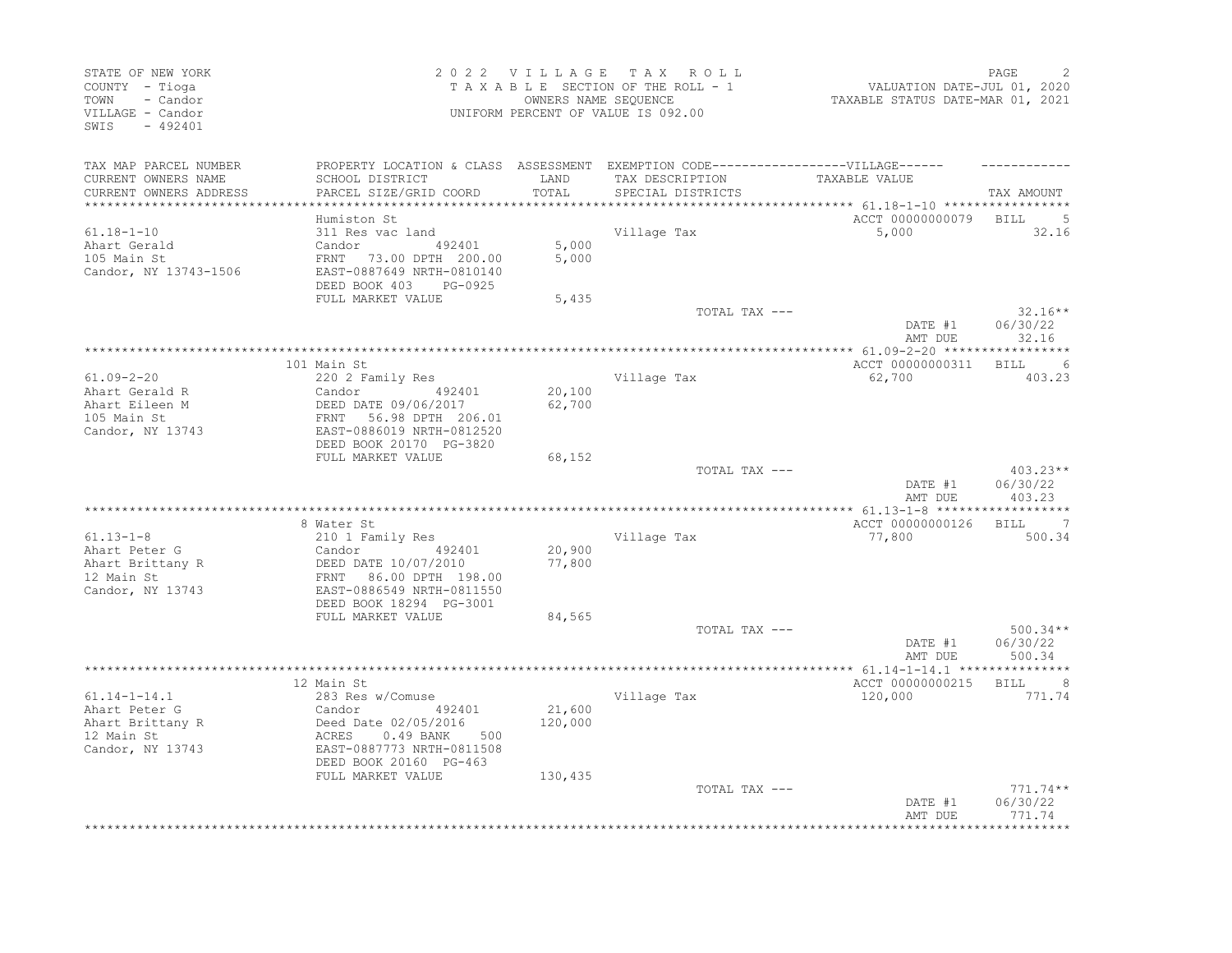| STATE OF NEW YORK<br>COUNTY - Tioga<br>TOWN<br>- Candor<br>VILLAGE - Candor<br>SWIS<br>$-492401$ |                                                                                                                                                                                       |                              | 2022 VILLAGE TAX ROLL<br>TAXABLE SECTION OF THE ROLL - 1<br>OWNERS NAME SEQUENCE<br>UNIFORM PERCENT OF VALUE IS 092.00 | VALUATION DATE-JUL 01, 2020<br>TAXABLE STATUS DATE-MAR 01, 2021 | PAGE                             |
|--------------------------------------------------------------------------------------------------|---------------------------------------------------------------------------------------------------------------------------------------------------------------------------------------|------------------------------|------------------------------------------------------------------------------------------------------------------------|-----------------------------------------------------------------|----------------------------------|
| TAX MAP PARCEL NUMBER<br>CURRENT OWNERS NAME<br>CURRENT OWNERS ADDRESS                           | PROPERTY LOCATION & CLASS ASSESSMENT EXEMPTION CODE----------------VILLAGE------<br>SCHOOL DISTRICT<br>PARCEL SIZE/GRID COORD                                                         | LAND<br>TOTAL                | TAX DESCRIPTION<br>SPECIAL DISTRICTS                                                                                   | TAXABLE VALUE                                                   | TAX AMOUNT                       |
|                                                                                                  |                                                                                                                                                                                       |                              |                                                                                                                        |                                                                 |                                  |
| $61.18 - 1 - 10$<br>Ahart Gerald<br>105 Main St<br>Candor, NY 13743-1506                         | Humiston St<br>311 Res vac land<br>492401<br>Candor<br>FRNT 73.00 DPTH 200.00<br>EAST-0887649 NRTH-0810140<br>DEED BOOK 403<br>PG-0925                                                | 5,000<br>5,000               | Village Tax                                                                                                            | ACCT 00000000079<br>5,000                                       | BILL<br>- 5<br>32.16             |
|                                                                                                  | FULL MARKET VALUE                                                                                                                                                                     | 5,435                        |                                                                                                                        |                                                                 |                                  |
|                                                                                                  |                                                                                                                                                                                       |                              | TOTAL TAX ---                                                                                                          | DATE #1<br>AMT DUE                                              | $32.16**$<br>06/30/22<br>32.16   |
|                                                                                                  |                                                                                                                                                                                       |                              |                                                                                                                        |                                                                 |                                  |
|                                                                                                  | 101 Main St                                                                                                                                                                           |                              |                                                                                                                        | ACCT 00000000311                                                | $6\overline{6}$<br>BILL          |
| $61.09 - 2 - 20$<br>Ahart Gerald R<br>Ahart Eileen M<br>105 Main St<br>Candor, NY 13743          | 220 2 Family Res<br>492401<br>Candor<br>DEED DATE 09/06/2017<br>FRNT 56.98 DPTH 206.01<br>EAST-0886019 NRTH-0812520<br>DEED BOOK 20170 PG-3820                                        | 20,100<br>62,700             | Village Tax                                                                                                            | 62,700                                                          | 403.23                           |
|                                                                                                  | FULL MARKET VALUE                                                                                                                                                                     | 68,152                       |                                                                                                                        |                                                                 |                                  |
|                                                                                                  |                                                                                                                                                                                       |                              | TOTAL TAX ---                                                                                                          | DATE #1<br>AMT DUE                                              | $403.23**$<br>06/30/22<br>403.23 |
|                                                                                                  |                                                                                                                                                                                       |                              |                                                                                                                        |                                                                 | ***********                      |
|                                                                                                  | 8 Water St                                                                                                                                                                            |                              |                                                                                                                        | ACCT 00000000126                                                | $\overline{7}$<br>BILL           |
| $61.13 - 1 - 8$<br>Ahart Peter G<br>Ahart Brittany R<br>12 Main St<br>Candor, NY 13743           | 210 1 Family Res<br>Candor 492401<br>DEED DATE 10/07/2010<br>FRNT 86.00 DPTH 198.00<br>EAST-0886549 NRTH-0811550<br>DEED BOOK 18294 PG-3001                                           | 20,900<br>77,800             | Village Tax                                                                                                            | 77,800                                                          | 500.34                           |
|                                                                                                  | FULL MARKET VALUE                                                                                                                                                                     | 84,565                       | TOTAL TAX ---                                                                                                          |                                                                 | $500.34**$                       |
|                                                                                                  |                                                                                                                                                                                       |                              |                                                                                                                        | DATE #1<br>AMT DUE                                              | 06/30/22<br>500.34               |
|                                                                                                  |                                                                                                                                                                                       |                              |                                                                                                                        |                                                                 |                                  |
| $61.14 - 1 - 14.1$<br>Ahart Peter G<br>Ahart Brittany R<br>12 Main St<br>Candor, NY 13743        | 12 Main St<br>283 Res w/Comuse<br>492401<br>Candor<br>Deed Date 02/05/2016<br>ACRES<br>$0.49$ BANK<br>500<br>EAST-0887773 NRTH-0811508<br>DEED BOOK 20160 PG-463<br>FULL MARKET VALUE | 21,600<br>120,000<br>130,435 | Village Tax                                                                                                            | ACCT 00000000215<br>120,000                                     | BILL 8<br>771.74                 |
|                                                                                                  |                                                                                                                                                                                       |                              | TOTAL TAX ---                                                                                                          | DATE #1<br>AMT DUE                                              | 771.74**<br>06/30/22<br>771.74   |
|                                                                                                  |                                                                                                                                                                                       |                              |                                                                                                                        |                                                                 |                                  |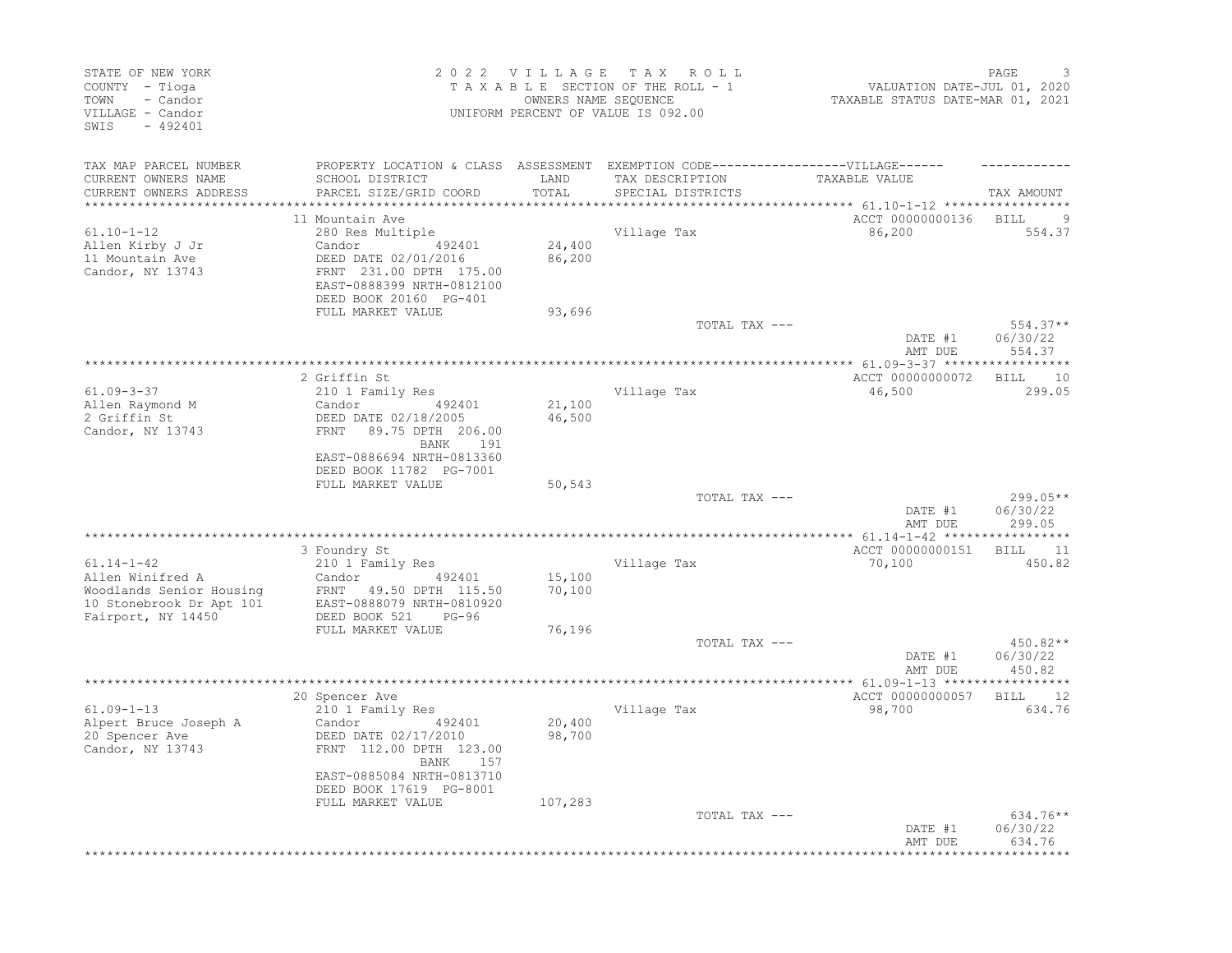| STATE OF NEW YORK<br>COUNTY - Tioga<br>- Candor<br>TOWN<br>VILLAGE - Candor<br>SWIS<br>$-492401$                   |                                                                                                                                                                                     |                                            | 2022 VILLAGE TAX ROLL<br>TAXABLE SECTION OF THE ROLL - 1<br>OWNERS NAME SEQUENCE<br>UNIFORM PERCENT OF VALUE IS 092.00 | VALUATION DATE-JUL 01, 2020<br>TAXABLE STATUS DATE-MAR 01, 2021 | PAGE<br>3                             |
|--------------------------------------------------------------------------------------------------------------------|-------------------------------------------------------------------------------------------------------------------------------------------------------------------------------------|--------------------------------------------|------------------------------------------------------------------------------------------------------------------------|-----------------------------------------------------------------|---------------------------------------|
| TAX MAP PARCEL NUMBER<br>CURRENT OWNERS NAME<br>CURRENT OWNERS ADDRESS                                             | PROPERTY LOCATION & CLASS ASSESSMENT EXEMPTION CODE-----------------VILLAGE------<br>SCHOOL DISTRICT<br>PARCEL SIZE/GRID COORD                                                      | LAND<br>TOTAL                              | TAX DESCRIPTION<br>SPECIAL DISTRICTS                                                                                   | TAXABLE VALUE                                                   | TAX AMOUNT                            |
| *******************<br>$61.10 - 1 - 12$<br>Allen Kirby J Jr<br>11 Mountain Ave<br>Candor, NY 13743                 | 11 Mountain Ave<br>280 Res Multiple<br>Candor 492401<br>DEED DATE 02/01/2016<br>FRNT 231.00 DPTH 175.00<br>EAST-0888399 NRTH-0812100<br>DEED BOOK 20160 PG-401<br>FULL MARKET VALUE | ************<br>24,400<br>86,200<br>93,696 | Village Tax                                                                                                            | ACCT 00000000136 BILL<br>86,200                                 | $\overline{9}$<br>554.37              |
|                                                                                                                    |                                                                                                                                                                                     |                                            | TOTAL TAX ---                                                                                                          | DATE #1                                                         | $554.37**$<br>06/30/22                |
| 61.09-3-37<br>Allen Raymond M<br>2 Griffin St<br>Candor, NY 13743                                                  | 2 Griffin St<br>210 1 Family Res<br>Candor<br>492401<br>DEED DATE 02/18/2005<br>FRNT 89.75 DPTH 206.00<br>BANK 191                                                                  | 21,100<br>46,500                           | Village Tax                                                                                                            | AMT DUE<br>ACCT 00000000072<br>46,500                           | 554.37<br><b>BILL</b><br>10<br>299.05 |
|                                                                                                                    | EAST-0886694 NRTH-0813360<br>DEED BOOK 11782 PG-7001<br>FULL MARKET VALUE                                                                                                           | 50,543                                     | TOTAL TAX ---                                                                                                          | DATE #1<br>AMT DUE                                              | 299.05**<br>06/30/22<br>299.05        |
|                                                                                                                    |                                                                                                                                                                                     |                                            |                                                                                                                        |                                                                 |                                       |
| $61.14 - 1 - 42$<br>Allen Winifred A<br>Woodlands Senior Housing<br>10 Stonebrook Dr Apt 101<br>Fairport, NY 14450 | 3 Foundry St<br>210 1 Family Res<br>492401<br>Candor<br>FRNT 49.50 DPTH 115.50<br>EAST-0888079 NRTH-0810920<br>DEED BOOK 521<br>$PG-96$                                             | 15,100<br>70,100                           | Village Tax                                                                                                            | ACCT 00000000151<br>70,100                                      | 11<br><b>BILL</b><br>450.82           |
|                                                                                                                    | FULL MARKET VALUE                                                                                                                                                                   | 76,196                                     | TOTAL TAX ---                                                                                                          | DATE #1<br>AMT DUE                                              | 450.82**<br>06/30/22<br>450.82        |
|                                                                                                                    |                                                                                                                                                                                     |                                            |                                                                                                                        |                                                                 |                                       |
| $61.09 - 1 - 13$<br>Alpert Bruce Joseph A<br>20 Spencer Ave<br>Candor, NY 13743                                    | 20 Spencer Ave<br>210 1 Family Res<br>Candor<br>492401<br>DEED DATE 02/17/2010<br>FRNT 112.00 DPTH 123.00<br>BANK 157                                                               | 20,400<br>98,700                           | Village Tax                                                                                                            | ACCT 00000000057<br>98,700                                      | 12<br>BILL<br>634.76                  |
|                                                                                                                    | EAST-0885084 NRTH-0813710<br>DEED BOOK 17619 PG-8001<br>FULL MARKET VALUE                                                                                                           | 107,283                                    | TOTAL TAX ---                                                                                                          | DATE #1<br>AMT DUE                                              | 634.76**<br>06/30/22<br>634.76        |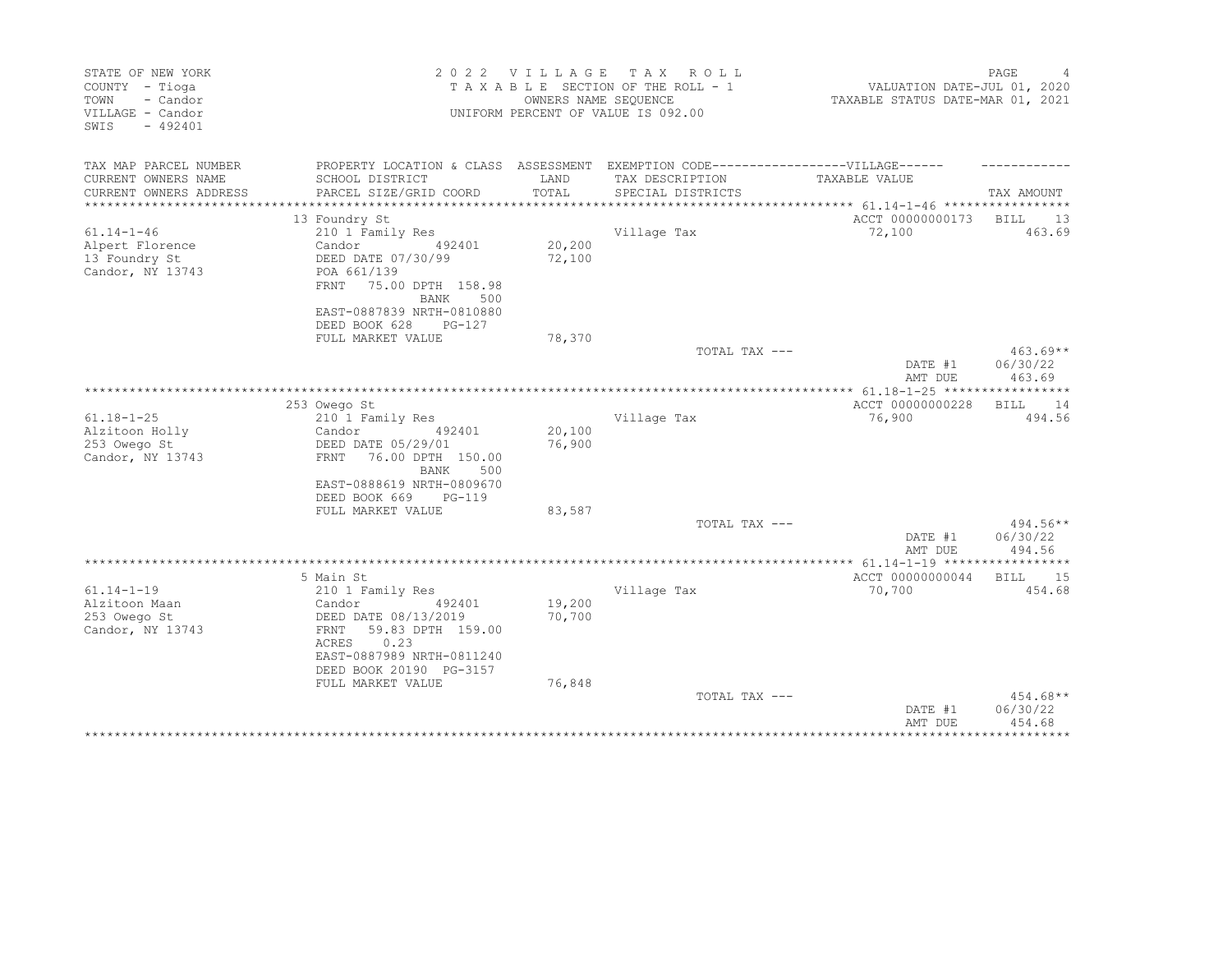| STATE OF NEW YORK<br>COUNTY - Tioga<br>TOWN<br>- Candor<br>VILLAGE - Candor<br>SWIS<br>$-492401$ |                                                                                   | 2022 VILLAGE<br>OWNERS NAME SEQUENCE | T A X<br>R O L L<br>TAXABLE SECTION OF THE ROLL - 1<br>UNIFORM PERCENT OF VALUE IS 092.00 | VALUATION DATE-JUL 01, 2020<br>TAXABLE STATUS DATE-MAR 01, 2021    | PAGE              |
|--------------------------------------------------------------------------------------------------|-----------------------------------------------------------------------------------|--------------------------------------|-------------------------------------------------------------------------------------------|--------------------------------------------------------------------|-------------------|
| TAX MAP PARCEL NUMBER                                                                            | PROPERTY LOCATION & CLASS ASSESSMENT EXEMPTION CODE-----------------VILLAGE------ |                                      |                                                                                           |                                                                    |                   |
| CURRENT OWNERS NAME<br>CURRENT OWNERS ADDRESS<br>**********************                          | SCHOOL DISTRICT<br>PARCEL SIZE/GRID COORD                                         | LAND<br>TOTAL<br>******************  | TAX DESCRIPTION<br>SPECIAL DISTRICTS                                                      | TAXABLE VALUE<br>*************************** 61.14-1-46 ********** | TAX AMOUNT        |
|                                                                                                  | 13 Foundry St                                                                     |                                      |                                                                                           | ACCT 00000000173                                                   | 13<br><b>BILL</b> |
| $61.14 - 1 - 46$                                                                                 | 210 1 Family Res                                                                  |                                      | Village Tax                                                                               | 72,100                                                             | 463.69            |
| Alpert Florence                                                                                  | Candor<br>492401                                                                  | 20,200                               |                                                                                           |                                                                    |                   |
| 13 Foundry St                                                                                    | DEED DATE 07/30/99                                                                | 72,100                               |                                                                                           |                                                                    |                   |
| Candor, NY 13743                                                                                 | POA 661/139                                                                       |                                      |                                                                                           |                                                                    |                   |
|                                                                                                  | 75.00 DPTH 158.98<br>FRNT                                                         |                                      |                                                                                           |                                                                    |                   |
|                                                                                                  | BANK<br>500                                                                       |                                      |                                                                                           |                                                                    |                   |
|                                                                                                  | EAST-0887839 NRTH-0810880<br>DEED BOOK 628<br>PG-127                              |                                      |                                                                                           |                                                                    |                   |
|                                                                                                  | FULL MARKET VALUE                                                                 | 78,370                               |                                                                                           |                                                                    |                   |
|                                                                                                  |                                                                                   |                                      | TOTAL TAX ---                                                                             |                                                                    | $463.69**$        |
|                                                                                                  |                                                                                   |                                      |                                                                                           | DATE #1                                                            | 06/30/22          |
|                                                                                                  |                                                                                   |                                      |                                                                                           | AMT DUE                                                            | 463.69            |
|                                                                                                  |                                                                                   |                                      |                                                                                           |                                                                    |                   |
|                                                                                                  | 253 Owego St                                                                      |                                      |                                                                                           | ACCT 00000000228                                                   | 14<br>BILL        |
| $61.18 - 1 - 25$                                                                                 | 210 1 Family Res                                                                  |                                      | Village Tax                                                                               | 76,900                                                             | 494.56            |
| Alzitoon Holly                                                                                   | Candor<br>492401                                                                  | 20,100                               |                                                                                           |                                                                    |                   |
| 253 Owego St                                                                                     | DEED DATE 05/29/01                                                                | 76,900                               |                                                                                           |                                                                    |                   |
| Candor, NY 13743                                                                                 | 76.00 DPTH 150.00<br><b>FRNT</b><br>BANK<br>500                                   |                                      |                                                                                           |                                                                    |                   |
|                                                                                                  | EAST-0888619 NRTH-0809670                                                         |                                      |                                                                                           |                                                                    |                   |
|                                                                                                  | DEED BOOK 669<br>PG-119                                                           |                                      |                                                                                           |                                                                    |                   |
|                                                                                                  | FULL MARKET VALUE                                                                 | 83,587                               |                                                                                           |                                                                    |                   |
|                                                                                                  |                                                                                   |                                      | TOTAL TAX ---                                                                             |                                                                    | $494.56**$        |
|                                                                                                  |                                                                                   |                                      |                                                                                           | DATE #1                                                            | 06/30/22          |
|                                                                                                  |                                                                                   |                                      |                                                                                           | AMT DUE                                                            | 494.56            |
|                                                                                                  |                                                                                   |                                      |                                                                                           |                                                                    |                   |
|                                                                                                  | 5 Main St                                                                         |                                      |                                                                                           | ACCT 00000000044                                                   | <b>BILL</b><br>15 |
| $61.14 - 1 - 19$                                                                                 | 210 1 Family Res                                                                  |                                      | Village Tax                                                                               | 70,700                                                             | 454.68            |
| Alzitoon Maan                                                                                    | Candor<br>492401                                                                  | 19,200                               |                                                                                           |                                                                    |                   |
| 253 Owego St<br>Candor, NY 13743                                                                 | DEED DATE 08/13/2019<br>59.83 DPTH 159.00<br>FRNT                                 | 70,700                               |                                                                                           |                                                                    |                   |
|                                                                                                  | 0.23<br>ACRES                                                                     |                                      |                                                                                           |                                                                    |                   |
|                                                                                                  | EAST-0887989 NRTH-0811240                                                         |                                      |                                                                                           |                                                                    |                   |
|                                                                                                  | DEED BOOK 20190 PG-3157                                                           |                                      |                                                                                           |                                                                    |                   |
|                                                                                                  | FULL MARKET VALUE                                                                 | 76,848                               |                                                                                           |                                                                    |                   |
|                                                                                                  |                                                                                   |                                      | TOTAL TAX ---                                                                             |                                                                    | 454.68**          |
|                                                                                                  |                                                                                   |                                      |                                                                                           | DATE #1                                                            | 06/30/22          |
|                                                                                                  |                                                                                   |                                      |                                                                                           | AMT DUE                                                            | 454.68            |
|                                                                                                  |                                                                                   |                                      |                                                                                           |                                                                    |                   |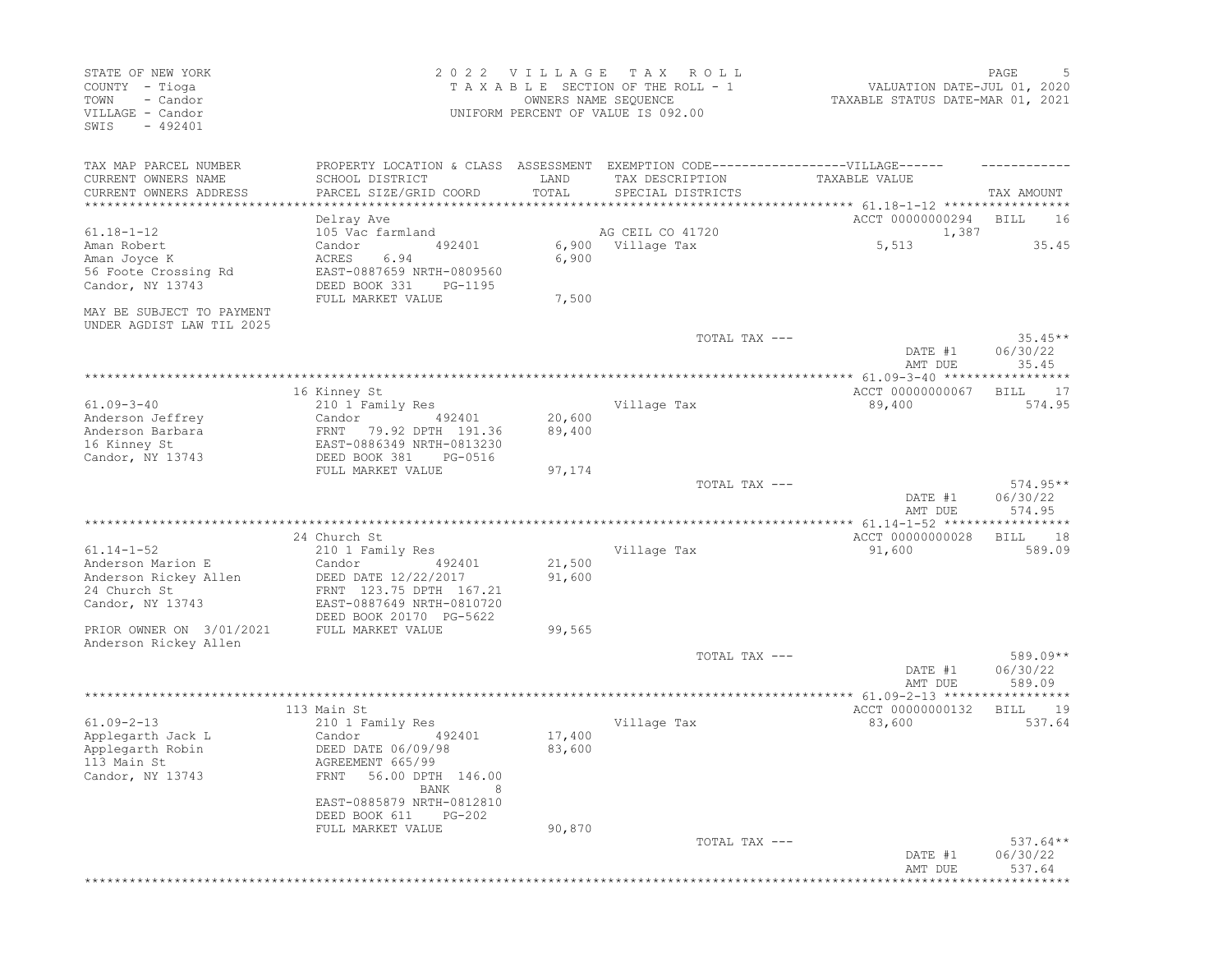| STATE OF NEW YORK<br>COUNTY - Tioga<br>- Candor<br>TOWN<br>VILLAGE - Candor<br>$-492401$<br>SWIS |                                                                                   | 2022 VILLAGE<br>OWNERS NAME SEQUENCE | TAX ROLL<br>TAXABLE SECTION OF THE ROLL - 1<br>UNIFORM PERCENT OF VALUE IS 092.00 | VALUATION DATE-JUL 01, 2020<br>TAXABLE STATUS DATE-MAR 01, 2021 | PAGE<br>5                        |
|--------------------------------------------------------------------------------------------------|-----------------------------------------------------------------------------------|--------------------------------------|-----------------------------------------------------------------------------------|-----------------------------------------------------------------|----------------------------------|
| TAX MAP PARCEL NUMBER                                                                            | PROPERTY LOCATION & CLASS ASSESSMENT EXEMPTION CODE-----------------VILLAGE------ |                                      |                                                                                   |                                                                 |                                  |
| CURRENT OWNERS NAME                                                                              | SCHOOL DISTRICT                                                                   | LAND                                 | TAX DESCRIPTION                                                                   | TAXABLE VALUE                                                   |                                  |
| CURRENT OWNERS ADDRESS<br>******************************                                         | PARCEL SIZE/GRID COORD                                                            | TOTAL                                | SPECIAL DISTRICTS                                                                 |                                                                 | TAX AMOUNT                       |
|                                                                                                  | Delray Ave                                                                        |                                      |                                                                                   | ACCT 00000000294                                                | BILL<br>16                       |
| $61.18 - 1 - 12$                                                                                 | 105 Vac farmland                                                                  |                                      | AG CEIL CO 41720                                                                  | 1,387                                                           |                                  |
| Aman Robert                                                                                      | Candor<br>492401                                                                  |                                      | 6,900 Village Tax                                                                 | 5,513                                                           | 35.45                            |
| Aman Joyce K                                                                                     | ACRES<br>6.94                                                                     | 6,900                                |                                                                                   |                                                                 |                                  |
| 56 Foote Crossing Rd                                                                             | EAST-0887659 NRTH-0809560                                                         |                                      |                                                                                   |                                                                 |                                  |
| Candor, NY 13743                                                                                 | DEED BOOK 331<br>PG-1195                                                          |                                      |                                                                                   |                                                                 |                                  |
|                                                                                                  | FULL MARKET VALUE                                                                 | 7,500                                |                                                                                   |                                                                 |                                  |
| MAY BE SUBJECT TO PAYMENT                                                                        |                                                                                   |                                      |                                                                                   |                                                                 |                                  |
| UNDER AGDIST LAW TIL 2025                                                                        |                                                                                   |                                      |                                                                                   |                                                                 |                                  |
|                                                                                                  |                                                                                   |                                      | TOTAL TAX ---                                                                     | DATE #1<br>AMT DUE                                              | $35.45**$<br>06/30/22<br>35.45   |
|                                                                                                  |                                                                                   |                                      |                                                                                   |                                                                 |                                  |
|                                                                                                  | 16 Kinney St                                                                      |                                      |                                                                                   | ACCT 00000000067                                                | BILL 17                          |
| $61.09 - 3 - 40$                                                                                 | 210 1 Family Res                                                                  |                                      | Village Tax                                                                       | 89,400                                                          | 574.95                           |
| Anderson Jeffrey                                                                                 | Candor<br>492401                                                                  | 20,600                               |                                                                                   |                                                                 |                                  |
| Anderson Barbara                                                                                 | FRNT<br>79.92 DPTH 191.36                                                         | 89,400                               |                                                                                   |                                                                 |                                  |
| 16 Kinney St                                                                                     | EAST-0886349 NRTH-0813230                                                         |                                      |                                                                                   |                                                                 |                                  |
| Candor, NY 13743                                                                                 | DEED BOOK 381<br>PG-0516                                                          |                                      |                                                                                   |                                                                 |                                  |
|                                                                                                  | FULL MARKET VALUE                                                                 | 97,174                               |                                                                                   |                                                                 |                                  |
|                                                                                                  |                                                                                   |                                      | TOTAL TAX ---                                                                     | DATE #1<br>AMT DUE                                              | $574.95**$<br>06/30/22<br>574.95 |
|                                                                                                  |                                                                                   |                                      |                                                                                   |                                                                 | **********                       |
|                                                                                                  | 24 Church St                                                                      |                                      |                                                                                   | ACCT 00000000028                                                | BILL<br>18                       |
| $61.14 - 1 - 52$                                                                                 | 210 1 Family Res                                                                  |                                      | Village Tax                                                                       | 91,600                                                          | 589.09                           |
| Anderson Marion E                                                                                | Candor<br>492401                                                                  | 21,500                               |                                                                                   |                                                                 |                                  |
| Anderson Rickey Allen                                                                            | DEED DATE 12/22/2017                                                              | 91,600                               |                                                                                   |                                                                 |                                  |
| 24 Church St                                                                                     | FRNT 123.75 DPTH 167.21                                                           |                                      |                                                                                   |                                                                 |                                  |
| Candor, NY 13743                                                                                 | EAST-0887649 NRTH-0810720<br>DEED BOOK 20170 PG-5622                              |                                      |                                                                                   |                                                                 |                                  |
| PRIOR OWNER ON 3/01/2021                                                                         | FULL MARKET VALUE                                                                 | 99,565                               |                                                                                   |                                                                 |                                  |
| Anderson Rickey Allen                                                                            |                                                                                   |                                      |                                                                                   |                                                                 |                                  |
|                                                                                                  |                                                                                   |                                      | TOTAL TAX ---                                                                     |                                                                 | 589.09**                         |
|                                                                                                  |                                                                                   |                                      |                                                                                   | DATE #1                                                         | 06/30/22                         |
|                                                                                                  |                                                                                   |                                      |                                                                                   | AMT DUE                                                         | 589.09                           |
|                                                                                                  |                                                                                   |                                      |                                                                                   |                                                                 |                                  |
|                                                                                                  | 113 Main St                                                                       |                                      |                                                                                   | ACCT 00000000132                                                | 19<br>BILL                       |
| $61.09 - 2 - 13$                                                                                 | 210 1 Family Res                                                                  |                                      | Village Tax                                                                       | 83,600                                                          | 537.64                           |
| Applegarth Jack L                                                                                | Candor<br>492401<br>DEED DATE 06/09/98                                            | 17,400<br>83,600                     |                                                                                   |                                                                 |                                  |
| Applegarth Robin<br>113 Main St                                                                  | AGREEMENT 665/99                                                                  |                                      |                                                                                   |                                                                 |                                  |
| Candor, NY 13743                                                                                 | 56.00 DPTH 146.00<br>FRNT                                                         |                                      |                                                                                   |                                                                 |                                  |
|                                                                                                  | BANK<br>8                                                                         |                                      |                                                                                   |                                                                 |                                  |
|                                                                                                  | EAST-0885879 NRTH-0812810                                                         |                                      |                                                                                   |                                                                 |                                  |
|                                                                                                  | DEED BOOK 611<br>PG-202                                                           |                                      |                                                                                   |                                                                 |                                  |
|                                                                                                  | FULL MARKET VALUE                                                                 | 90,870                               |                                                                                   |                                                                 |                                  |
|                                                                                                  |                                                                                   |                                      | TOTAL TAX ---                                                                     |                                                                 | $537.64**$                       |
|                                                                                                  |                                                                                   |                                      |                                                                                   |                                                                 |                                  |
|                                                                                                  |                                                                                   |                                      |                                                                                   | DATE #1<br>AMT DUE                                              | 06/30/22<br>537.64               |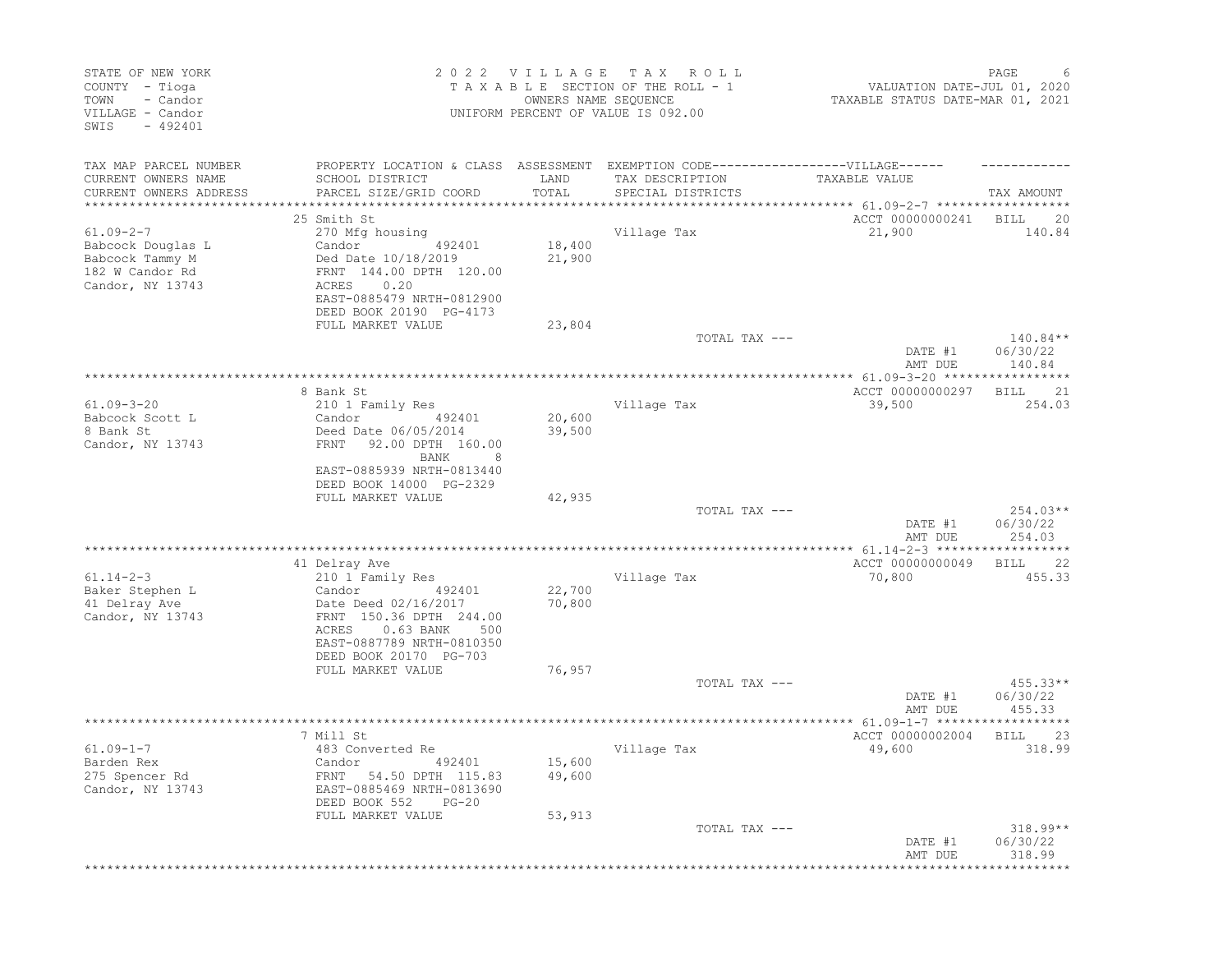| STATE OF NEW YORK<br>COUNTY - Tioga<br>- Candor<br>TOWN<br>VILLAGE - Candor<br>SWIS<br>$-492401$ |                                                                                   |               | 2022 VILLAGE TAX ROLL<br>TAXABLE SECTION OF THE ROLL - 1<br>OWNERS NAME SEOUENCE<br>UNIFORM PERCENT OF VALUE IS 092.00 | VALUATION DATE-JUL 01, 2020<br>TAXABLE STATUS DATE-MAR 01, 2021       | PAGE               |
|--------------------------------------------------------------------------------------------------|-----------------------------------------------------------------------------------|---------------|------------------------------------------------------------------------------------------------------------------------|-----------------------------------------------------------------------|--------------------|
| TAX MAP PARCEL NUMBER                                                                            | PROPERTY LOCATION & CLASS ASSESSMENT EXEMPTION CODE-----------------VILLAGE------ |               |                                                                                                                        |                                                                       |                    |
| CURRENT OWNERS NAME<br>CURRENT OWNERS ADDRESS                                                    | SCHOOL DISTRICT<br>PARCEL SIZE/GRID COORD                                         | LAND<br>TOTAL | TAX DESCRIPTION<br>SPECIAL DISTRICTS                                                                                   | TAXABLE VALUE<br>*********************** 61.09-2-7 ****************** | TAX AMOUNT         |
|                                                                                                  | 25 Smith St                                                                       |               |                                                                                                                        | ACCT 00000000241 BILL 20                                              |                    |
| $61.09 - 2 - 7$                                                                                  | 270 Mfg housing                                                                   |               | Village Tax                                                                                                            | 21,900                                                                | 140.84             |
| Babcock Douglas L                                                                                | Candor 492401                                                                     | 18,400        |                                                                                                                        |                                                                       |                    |
| Babcock Tammy M                                                                                  | Ded Date 10/18/2019                                                               | 21,900        |                                                                                                                        |                                                                       |                    |
| 182 W Candor Rd                                                                                  | FRNT 144.00 DPTH 120.00<br>0.20                                                   |               |                                                                                                                        |                                                                       |                    |
| Candor, NY 13743                                                                                 | ACRES<br>EAST-0885479 NRTH-0812900                                                |               |                                                                                                                        |                                                                       |                    |
|                                                                                                  | DEED BOOK 20190 PG-4173                                                           |               |                                                                                                                        |                                                                       |                    |
|                                                                                                  | FULL MARKET VALUE                                                                 | 23,804        | TOTAL TAX ---                                                                                                          |                                                                       | $140.84**$         |
|                                                                                                  |                                                                                   |               |                                                                                                                        | DATE #1<br>AMT DUE                                                    | 06/30/22<br>140.84 |
|                                                                                                  |                                                                                   |               | **********************                                                                                                 | *************** 61.09-3-20 *****                                      | ***********        |
|                                                                                                  | 8 Bank St                                                                         |               |                                                                                                                        | ACCT 00000000297                                                      | BILL 21            |
| $61.09 - 3 - 20$                                                                                 | 210 1 Family Res                                                                  |               | Village Tax                                                                                                            | 39,500                                                                | 254.03             |
| Babcock Scott L                                                                                  | Candor<br>492401                                                                  | 20,600        |                                                                                                                        |                                                                       |                    |
| 8 Bank St<br>Candor, NY 13743                                                                    | Deed Date 06/05/2014<br>FRNT 92.00 DPTH 160.00                                    | 39,500        |                                                                                                                        |                                                                       |                    |
|                                                                                                  | 8<br>BANK                                                                         |               |                                                                                                                        |                                                                       |                    |
|                                                                                                  | EAST-0885939 NRTH-0813440                                                         |               |                                                                                                                        |                                                                       |                    |
|                                                                                                  | DEED BOOK 14000 PG-2329                                                           |               |                                                                                                                        |                                                                       |                    |
|                                                                                                  | FULL MARKET VALUE                                                                 | 42,935        |                                                                                                                        |                                                                       |                    |
|                                                                                                  |                                                                                   |               | TOTAL TAX ---                                                                                                          |                                                                       | 254.03**           |
|                                                                                                  |                                                                                   |               |                                                                                                                        | DATE #1<br>AMT DUE                                                    | 06/30/22<br>254.03 |
|                                                                                                  |                                                                                   |               |                                                                                                                        |                                                                       |                    |
|                                                                                                  | 41 Delray Ave                                                                     |               |                                                                                                                        | ACCT 00000000049 BILL 22                                              |                    |
| $61.14 - 2 - 3$                                                                                  | 210 1 Family Res                                                                  |               | Village Tax                                                                                                            | 70,800                                                                | 455.33             |
| Baker Stephen L                                                                                  | 492401<br>Candor                                                                  | 22,700        |                                                                                                                        |                                                                       |                    |
| 41 Delray Ave                                                                                    | Date Deed 02/16/2017                                                              | 70,800        |                                                                                                                        |                                                                       |                    |
| Candor, NY 13743                                                                                 | FRNT 150.36 DPTH 244.00<br>0.63 BANK 500<br>ACRES                                 |               |                                                                                                                        |                                                                       |                    |
|                                                                                                  | EAST-0887789 NRTH-0810350                                                         |               |                                                                                                                        |                                                                       |                    |
|                                                                                                  | DEED BOOK 20170 PG-703                                                            |               |                                                                                                                        |                                                                       |                    |
|                                                                                                  | FULL MARKET VALUE                                                                 | 76,957        |                                                                                                                        |                                                                       |                    |
|                                                                                                  |                                                                                   |               | TOTAL TAX ---                                                                                                          |                                                                       | $455.33**$         |
|                                                                                                  |                                                                                   |               |                                                                                                                        | DATE #1                                                               | 06/30/22           |
|                                                                                                  |                                                                                   |               |                                                                                                                        | AMT DUE                                                               | 455.33             |
|                                                                                                  | 7 Mill St                                                                         |               |                                                                                                                        | ACCT 00000002004                                                      | BILL 23            |
| $61.09 - 1 - 7$                                                                                  | 483 Converted Re                                                                  |               | Village Tax                                                                                                            | 49,600                                                                | 318.99             |
| Barden Rex                                                                                       | Candor<br>492401                                                                  | 15,600        |                                                                                                                        |                                                                       |                    |
| 275 Spencer Rd                                                                                   | FRNT 54.50 DPTH 115.83                                                            | 49,600        |                                                                                                                        |                                                                       |                    |
| Candor, NY 13743                                                                                 | EAST-0885469 NRTH-0813690                                                         |               |                                                                                                                        |                                                                       |                    |
|                                                                                                  | DEED BOOK 552<br>$PG-20$<br>FULL MARKET VALUE                                     | 53,913        |                                                                                                                        |                                                                       |                    |
|                                                                                                  |                                                                                   |               | TOTAL TAX ---                                                                                                          |                                                                       | 318.99**           |
|                                                                                                  |                                                                                   |               |                                                                                                                        | DATE #1                                                               | 06/30/22           |
|                                                                                                  |                                                                                   |               |                                                                                                                        | AMT DUE                                                               | 318.99             |
|                                                                                                  |                                                                                   |               |                                                                                                                        |                                                                       |                    |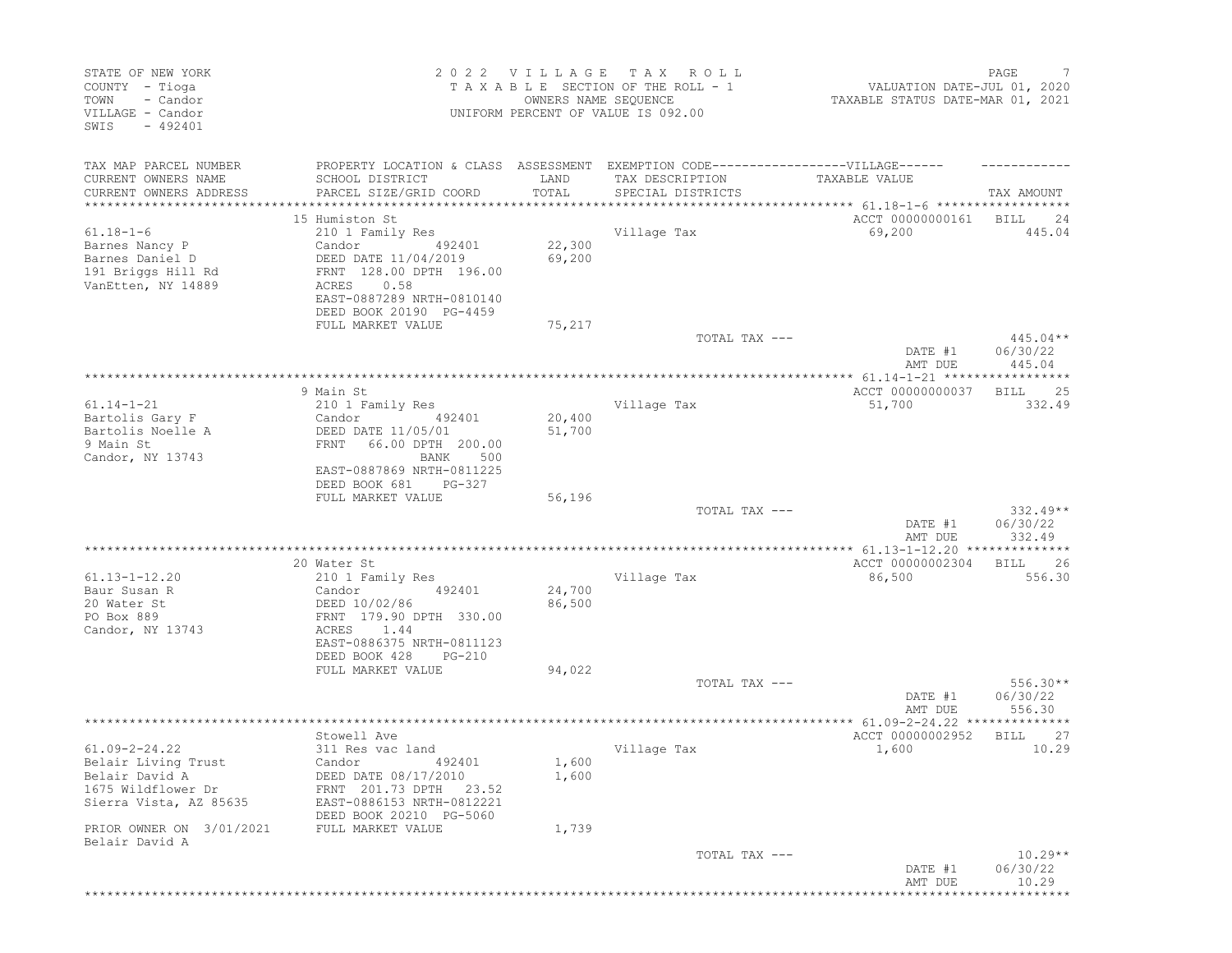| STATE OF NEW YORK<br>COUNTY - Tioga<br>- Candor<br>TOWN<br>VILLAGE - Candor<br>$-492401$<br>SWIS |                                                                                                                                                                  | 2022 VILLAGE<br>OWNERS NAME SEQUENCE | T A X<br>R O L L<br>TAXABLE SECTION OF THE ROLL - 1<br>UNIFORM PERCENT OF VALUE IS 092.00 | VALUATION DATE-JUL 01, 2020<br>TAXABLE STATUS DATE-MAR 01, 2021 | PAGE<br>7                        |
|--------------------------------------------------------------------------------------------------|------------------------------------------------------------------------------------------------------------------------------------------------------------------|--------------------------------------|-------------------------------------------------------------------------------------------|-----------------------------------------------------------------|----------------------------------|
| TAX MAP PARCEL NUMBER                                                                            | PROPERTY LOCATION & CLASS ASSESSMENT EXEMPTION CODE-----------------VILLAGE------                                                                                |                                      |                                                                                           |                                                                 |                                  |
| CURRENT OWNERS NAME<br>CURRENT OWNERS ADDRESS                                                    | SCHOOL DISTRICT<br>PARCEL SIZE/GRID COORD                                                                                                                        | LAND<br>TOTAL                        | TAX DESCRIPTION<br>SPECIAL DISTRICTS                                                      | TAXABLE VALUE                                                   |                                  |
| ****************                                                                                 |                                                                                                                                                                  | **************                       |                                                                                           | ******************** 61.18-1-6 *************                    | TAX AMOUNT                       |
|                                                                                                  | 15 Humiston St                                                                                                                                                   |                                      |                                                                                           | ACCT 00000000161                                                | BILL<br>24                       |
| $61.18 - 1 - 6$<br>Barnes Nancy P<br>Barnes Daniel D<br>191 Briggs Hill Rd<br>VanEtten, NY 14889 | 210 1 Family Res<br>Candor<br>492401<br>DEED DATE 11/04/2019<br>FRNT 128.00 DPTH 196.00<br>0.58<br>ACRES<br>EAST-0887289 NRTH-0810140<br>DEED BOOK 20190 PG-4459 | 22,300<br>69,200                     | Village Tax                                                                               | 69,200                                                          | 445.04                           |
|                                                                                                  | FULL MARKET VALUE                                                                                                                                                | 75,217                               | TOTAL TAX ---                                                                             |                                                                 | $445.04**$                       |
|                                                                                                  |                                                                                                                                                                  |                                      |                                                                                           | DATE #1<br>AMT DUE                                              | 06/30/22<br>445.04               |
|                                                                                                  |                                                                                                                                                                  |                                      |                                                                                           | *************** 61.14-1-21 ***********                          |                                  |
| $61.14 - 1 - 21$                                                                                 | 9 Main St<br>210 1 Family Res                                                                                                                                    |                                      | Village Tax                                                                               | ACCT 00000000037<br>51,700                                      | 25<br>BILL<br>332.49             |
| Bartolis Gary F<br>Bartolis Noelle A<br>9 Main St<br>Candor, NY 13743                            | Candor<br>492401<br>DEED DATE 11/05/01<br>66.00 DPTH 200.00<br>FRNT<br>500<br>BANK                                                                               | 20,400<br>51,700                     |                                                                                           |                                                                 |                                  |
|                                                                                                  | EAST-0887869 NRTH-0811225<br>DEED BOOK 681<br>PG-327<br>FULL MARKET VALUE                                                                                        | 56,196                               |                                                                                           |                                                                 |                                  |
|                                                                                                  |                                                                                                                                                                  |                                      | TOTAL TAX ---                                                                             | DATE #1<br>AMT DUE                                              | $332.49**$<br>06/30/22<br>332.49 |
|                                                                                                  |                                                                                                                                                                  |                                      |                                                                                           |                                                                 |                                  |
| $61.13 - 1 - 12.20$                                                                              | 20 Water St                                                                                                                                                      |                                      |                                                                                           | ACCT 00000002304<br>86,500                                      | 26<br>BILL<br>556.30             |
| Baur Susan R                                                                                     | 210 1 Family Res<br>Candor<br>492401                                                                                                                             | 24,700                               | Village Tax                                                                               |                                                                 |                                  |
| 20 Water St<br>PO Box 889<br>Candor, NY 13743                                                    | DEED 10/02/86<br>FRNT 179.90 DPTH 330.00<br>ACRES<br>1.44                                                                                                        | 86,500                               |                                                                                           |                                                                 |                                  |
|                                                                                                  | EAST-0886375 NRTH-0811123<br>DEED BOOK 428<br>PG-210                                                                                                             |                                      |                                                                                           |                                                                 |                                  |
|                                                                                                  | FULL MARKET VALUE                                                                                                                                                | 94,022                               |                                                                                           |                                                                 | $556.30**$                       |
|                                                                                                  |                                                                                                                                                                  |                                      | TOTAL TAX ---                                                                             | DATE #1<br>AMT DUE                                              | 06/30/22<br>556.30               |
|                                                                                                  |                                                                                                                                                                  |                                      |                                                                                           |                                                                 |                                  |
| $61.09 - 2 - 24.22$                                                                              | Stowell Ave                                                                                                                                                      |                                      |                                                                                           | ACCT 00000002952                                                | 27<br>BILL                       |
| Belair Living Trust                                                                              | 311 Res vac land<br>Candor 492401                                                                                                                                | 1,600                                | Village Tax                                                                               | 1,600                                                           | 10.29                            |
| Belair David A                                                                                   | DEED DATE 08/17/2010                                                                                                                                             | 1,600                                |                                                                                           |                                                                 |                                  |
| 1675 Wildflower Dr<br>Sierra Vista, AZ 85635                                                     | FRNT 201.73 DPTH 23.52<br>EAST-0886153 NRTH-0812221<br>DEED BOOK 20210 PG-5060                                                                                   |                                      |                                                                                           |                                                                 |                                  |
| PRIOR OWNER ON 3/01/2021<br>Belair David A                                                       | FULL MARKET VALUE                                                                                                                                                | 1,739                                |                                                                                           |                                                                 |                                  |
|                                                                                                  |                                                                                                                                                                  |                                      | TOTAL TAX ---                                                                             | DATE #1<br>AMT DUE                                              | $10.29**$<br>06/30/22<br>10.29   |
|                                                                                                  |                                                                                                                                                                  |                                      |                                                                                           |                                                                 |                                  |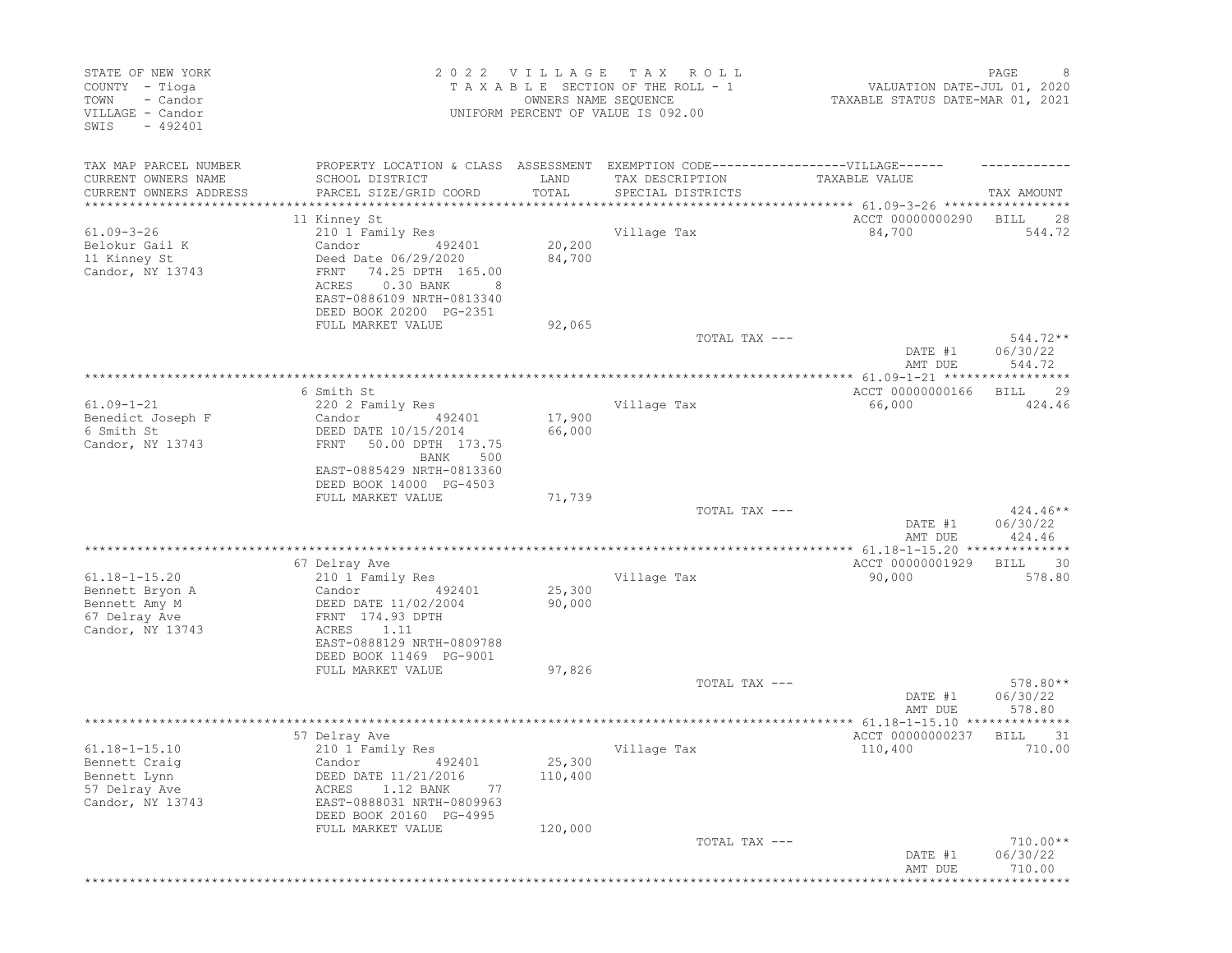| STATE OF NEW YORK<br>COUNTY - Tioga<br>TOWN<br>- Candor<br>VILLAGE - Candor<br>SWIS<br>$-492401$ |                                                                                                                                                          | 2022 VILLAGE                           | T A X<br>R O L L<br>TAXABLE SECTION OF THE ROLL - 1<br>OWNERS NAME SEQUENCE<br>UNIFORM PERCENT OF VALUE IS 092.00 | VALUATION DATE-JUL 01, 2020<br>TAXABLE STATUS DATE-MAR 01, 2021 | PAGE<br>8                      |
|--------------------------------------------------------------------------------------------------|----------------------------------------------------------------------------------------------------------------------------------------------------------|----------------------------------------|-------------------------------------------------------------------------------------------------------------------|-----------------------------------------------------------------|--------------------------------|
| TAX MAP PARCEL NUMBER<br>CURRENT OWNERS NAME                                                     | PROPERTY LOCATION & CLASS ASSESSMENT EXEMPTION CODE-----------------VILLAGE------<br>SCHOOL DISTRICT                                                     | LAND                                   | TAX DESCRIPTION                                                                                                   | TAXABLE VALUE                                                   |                                |
| CURRENT OWNERS ADDRESS<br>*****************                                                      | PARCEL SIZE/GRID COORD<br>************************                                                                                                       | TOTAL<br>* * * * * * * * * * * * * * * | SPECIAL DISTRICTS                                                                                                 |                                                                 | TAX AMOUNT                     |
|                                                                                                  | 11 Kinney St                                                                                                                                             |                                        |                                                                                                                   | ACCT 00000000290                                                | <b>BILL</b><br>28              |
| $61.09 - 3 - 26$                                                                                 | 210 1 Family Res                                                                                                                                         |                                        | Village Tax                                                                                                       | 84,700                                                          | 544.72                         |
| Belokur Gail K<br>11 Kinney St<br>Candor, NY 13743                                               | Candor<br>492401<br>Deed Date 06/29/2020<br>74.25 DPTH 165.00<br>FRNT<br>0.30 BANK<br>ACRES<br>8<br>EAST-0886109 NRTH-0813340<br>DEED BOOK 20200 PG-2351 | 20,200<br>84,700                       |                                                                                                                   |                                                                 |                                |
|                                                                                                  | FULL MARKET VALUE                                                                                                                                        | 92,065                                 | TOTAL TAX ---                                                                                                     |                                                                 | $544.72**$                     |
|                                                                                                  |                                                                                                                                                          |                                        |                                                                                                                   | DATE #1<br>AMT DUE                                              | 06/30/22<br>544.72             |
|                                                                                                  |                                                                                                                                                          |                                        |                                                                                                                   | *************** 61.09-1-21 *********                            | *****                          |
| $61.09 - 1 - 21$                                                                                 | 6 Smith St<br>220 2 Family Res                                                                                                                           |                                        | Village Tax                                                                                                       | ACCT 00000000166<br>66,000                                      | 29<br>BILL<br>424.46           |
| Benedict Joseph F<br>6 Smith St<br>Candor, NY 13743                                              | Candor<br>492401<br>DEED DATE 10/15/2014<br>50.00 DPTH 173.75<br>FRNT<br>BANK<br>500                                                                     | 17,900<br>66,000                       |                                                                                                                   |                                                                 |                                |
|                                                                                                  | EAST-0885429 NRTH-0813360<br>DEED BOOK 14000 PG-4503                                                                                                     |                                        |                                                                                                                   |                                                                 |                                |
|                                                                                                  | FULL MARKET VALUE                                                                                                                                        | 71,739                                 | TOTAL TAX ---                                                                                                     |                                                                 | $424.46**$                     |
|                                                                                                  |                                                                                                                                                          |                                        |                                                                                                                   | DATE #1<br>AMT DUE                                              | 06/30/22<br>424.46             |
|                                                                                                  |                                                                                                                                                          |                                        |                                                                                                                   |                                                                 |                                |
| $61.18 - 1 - 15.20$                                                                              | 67 Delray Ave<br>210 1 Family Res                                                                                                                        |                                        | Village Tax                                                                                                       | ACCT 00000001929<br>90,000                                      | 30<br>BILL<br>578.80           |
| Bennett Bryon A<br>Bennett Amy M                                                                 | 492401<br>Candor<br>DEED DATE 11/02/2004<br>FRNT 174.93 DPTH                                                                                             | 25,300<br>90,000                       |                                                                                                                   |                                                                 |                                |
| 67 Delray Ave<br>Candor, NY 13743                                                                | 1.11<br>ACRES<br>EAST-0888129 NRTH-0809788<br>DEED BOOK 11469 PG-9001                                                                                    |                                        |                                                                                                                   |                                                                 |                                |
|                                                                                                  | FULL MARKET VALUE                                                                                                                                        | 97,826                                 |                                                                                                                   |                                                                 |                                |
|                                                                                                  |                                                                                                                                                          |                                        | TOTAL TAX ---                                                                                                     | DATE #1<br>AMT DUE                                              | 578.80**<br>06/30/22<br>578.80 |
|                                                                                                  | 57 Delray Ave                                                                                                                                            |                                        |                                                                                                                   | ACCT 00000000237                                                | 31<br><b>BILL</b>              |
| $61.18 - 1 - 15.10$<br>Bennett Craig<br>Bennett Lynn                                             | 210 1 Family Res<br>Candor 492401<br>DEED DATE 11/21/2016                                                                                                | 25,300<br>110,400                      | Village Tax                                                                                                       | 110,400                                                         | 710.00                         |
| 57 Delray Ave<br>Candor, NY 13743                                                                | 1.12 BANK<br>77<br>ACRES<br>EAST-0888031 NRTH-0809963<br>DEED BOOK 20160 PG-4995                                                                         |                                        |                                                                                                                   |                                                                 |                                |
|                                                                                                  | FULL MARKET VALUE                                                                                                                                        | 120,000                                |                                                                                                                   |                                                                 |                                |
|                                                                                                  |                                                                                                                                                          |                                        | TOTAL TAX ---                                                                                                     | DATE #1<br>AMT DUE<br>*********************************         | 710.00**<br>06/30/22<br>710.00 |
|                                                                                                  |                                                                                                                                                          |                                        |                                                                                                                   |                                                                 |                                |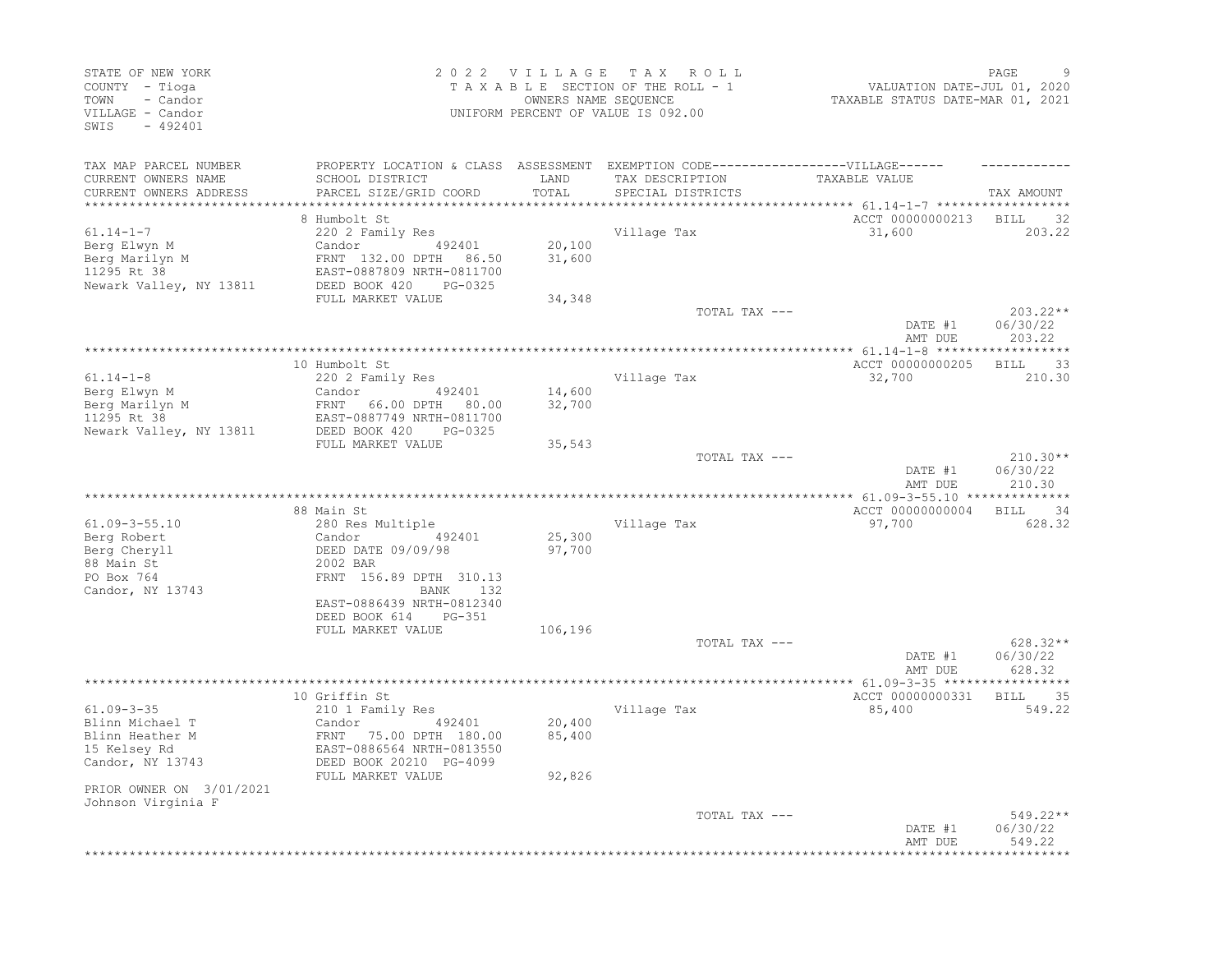| TAX MAP PARCEL NUMBER<br>PROPERTY LOCATION & CLASS ASSESSMENT EXEMPTION CODE-----------------VILLAGE------<br>LAND<br>CURRENT OWNERS NAME<br>SCHOOL DISTRICT<br>TAX DESCRIPTION<br>TAXABLE VALUE<br>CURRENT OWNERS ADDRESS<br>PARCEL SIZE/GRID COORD<br>TOTAL<br>SPECIAL DISTRICTS<br>ACCT 00000000213 BILL 32<br>8 Humbolt St<br>$61.14 - 1 - 7$<br>220 2 Family Res<br>Village Tax<br>31,600 |                                |
|------------------------------------------------------------------------------------------------------------------------------------------------------------------------------------------------------------------------------------------------------------------------------------------------------------------------------------------------------------------------------------------------|--------------------------------|
|                                                                                                                                                                                                                                                                                                                                                                                                |                                |
|                                                                                                                                                                                                                                                                                                                                                                                                |                                |
|                                                                                                                                                                                                                                                                                                                                                                                                | TAX AMOUNT                     |
|                                                                                                                                                                                                                                                                                                                                                                                                |                                |
|                                                                                                                                                                                                                                                                                                                                                                                                |                                |
|                                                                                                                                                                                                                                                                                                                                                                                                | 203.22                         |
| Candor 492401<br>20,100<br>Berg Elwyn M                                                                                                                                                                                                                                                                                                                                                        |                                |
| 31,600<br>Berg Marilyn M<br>11295 Rt 38<br>FRNT 132.00 DPTH 86.50                                                                                                                                                                                                                                                                                                                              |                                |
| EAST-0887809 NRTH-0811700                                                                                                                                                                                                                                                                                                                                                                      |                                |
| DEED BOOK 420<br>Newark Valley, NY 13811<br>PG-0325                                                                                                                                                                                                                                                                                                                                            |                                |
| FULL MARKET VALUE<br>34,348                                                                                                                                                                                                                                                                                                                                                                    |                                |
| TOTAL TAX ---<br>DATE #1<br>AMT DUE                                                                                                                                                                                                                                                                                                                                                            | 203.22**<br>06/30/22<br>203.22 |
|                                                                                                                                                                                                                                                                                                                                                                                                |                                |
| ACCT 00000000205<br>10 Humbolt St                                                                                                                                                                                                                                                                                                                                                              | BILL 33                        |
| $61.14 - 1 - 8$<br>Village Tax<br>220 2 Family Res<br>32,700                                                                                                                                                                                                                                                                                                                                   | 210.30                         |
| Berg Elwyn M<br>492401<br>14,600<br>Candor                                                                                                                                                                                                                                                                                                                                                     |                                |
| Berg Marilyn M<br>11295 Rt 38<br>FRNT 66.00 DPTH 80.00<br>32,700                                                                                                                                                                                                                                                                                                                               |                                |
| EAST-0887749 NRTH-0811700                                                                                                                                                                                                                                                                                                                                                                      |                                |
| Newark Valley, NY 13811 DEED BOOK 420<br>PG-0325                                                                                                                                                                                                                                                                                                                                               |                                |
| FULL MARKET VALUE<br>35,543                                                                                                                                                                                                                                                                                                                                                                    |                                |
| TOTAL TAX ---                                                                                                                                                                                                                                                                                                                                                                                  | $210.30**$                     |
| DATE #1                                                                                                                                                                                                                                                                                                                                                                                        | 06/30/22                       |
| AMT DUE                                                                                                                                                                                                                                                                                                                                                                                        | 210.30                         |
| ACCT 00000000004 BILL 34                                                                                                                                                                                                                                                                                                                                                                       |                                |
| 88 Main St<br>$61.09 - 3 - 55.10$<br>280 Res Multiple<br>Village Tax<br>97,700                                                                                                                                                                                                                                                                                                                 | 628.32                         |
| Berg Robert<br>Candor<br>492401<br>25,300                                                                                                                                                                                                                                                                                                                                                      |                                |
| Berg Cheryll<br>DEED DATE 09/09/98<br>97,700                                                                                                                                                                                                                                                                                                                                                   |                                |
| 88 Main St<br>2002 BAR                                                                                                                                                                                                                                                                                                                                                                         |                                |
| PO Box 764<br>FRNT 156.89 DPTH 310.13                                                                                                                                                                                                                                                                                                                                                          |                                |
| Candor, NY 13743<br>BANK 132                                                                                                                                                                                                                                                                                                                                                                   |                                |
| EAST-0886439 NRTH-0812340                                                                                                                                                                                                                                                                                                                                                                      |                                |
| DEED BOOK 614 PG-351                                                                                                                                                                                                                                                                                                                                                                           |                                |
| FULL MARKET VALUE<br>106,196                                                                                                                                                                                                                                                                                                                                                                   |                                |
| TOTAL TAX ---                                                                                                                                                                                                                                                                                                                                                                                  | 628.32**                       |
| DATE #1                                                                                                                                                                                                                                                                                                                                                                                        | 06/30/22                       |
| AMT DUE                                                                                                                                                                                                                                                                                                                                                                                        | 628.32                         |
|                                                                                                                                                                                                                                                                                                                                                                                                |                                |
| 10 Griffin St<br>ACCT 00000000331                                                                                                                                                                                                                                                                                                                                                              | BILL 35                        |
| 210 1 Family Res<br>$61.09 - 3 - 35$<br>Village Tax<br>85,400                                                                                                                                                                                                                                                                                                                                  | 549.22                         |
| 20,400<br>Blinn Michael T<br>Candor 492401                                                                                                                                                                                                                                                                                                                                                     |                                |
| Blinn Heather M<br>FRNT 75.00 DPTH 180.00<br>85,400<br>M                                                                                                                                                                                                                                                                                                                                       |                                |
| 15 Kelsey Rd<br>EAST-0886564 NRTH-0813550                                                                                                                                                                                                                                                                                                                                                      |                                |
| DEED BOOK 20210 PG-4099<br>Candor, NY 13743                                                                                                                                                                                                                                                                                                                                                    |                                |
| 92,826<br>FULL MARKET VALUE                                                                                                                                                                                                                                                                                                                                                                    |                                |
| PRIOR OWNER ON 3/01/2021                                                                                                                                                                                                                                                                                                                                                                       |                                |
| Johnson Virginia F<br>TOTAL TAX ---                                                                                                                                                                                                                                                                                                                                                            | 549.22**                       |
| DATE #1                                                                                                                                                                                                                                                                                                                                                                                        | 06/30/22                       |
| AMT DUE                                                                                                                                                                                                                                                                                                                                                                                        | 549.22                         |
|                                                                                                                                                                                                                                                                                                                                                                                                |                                |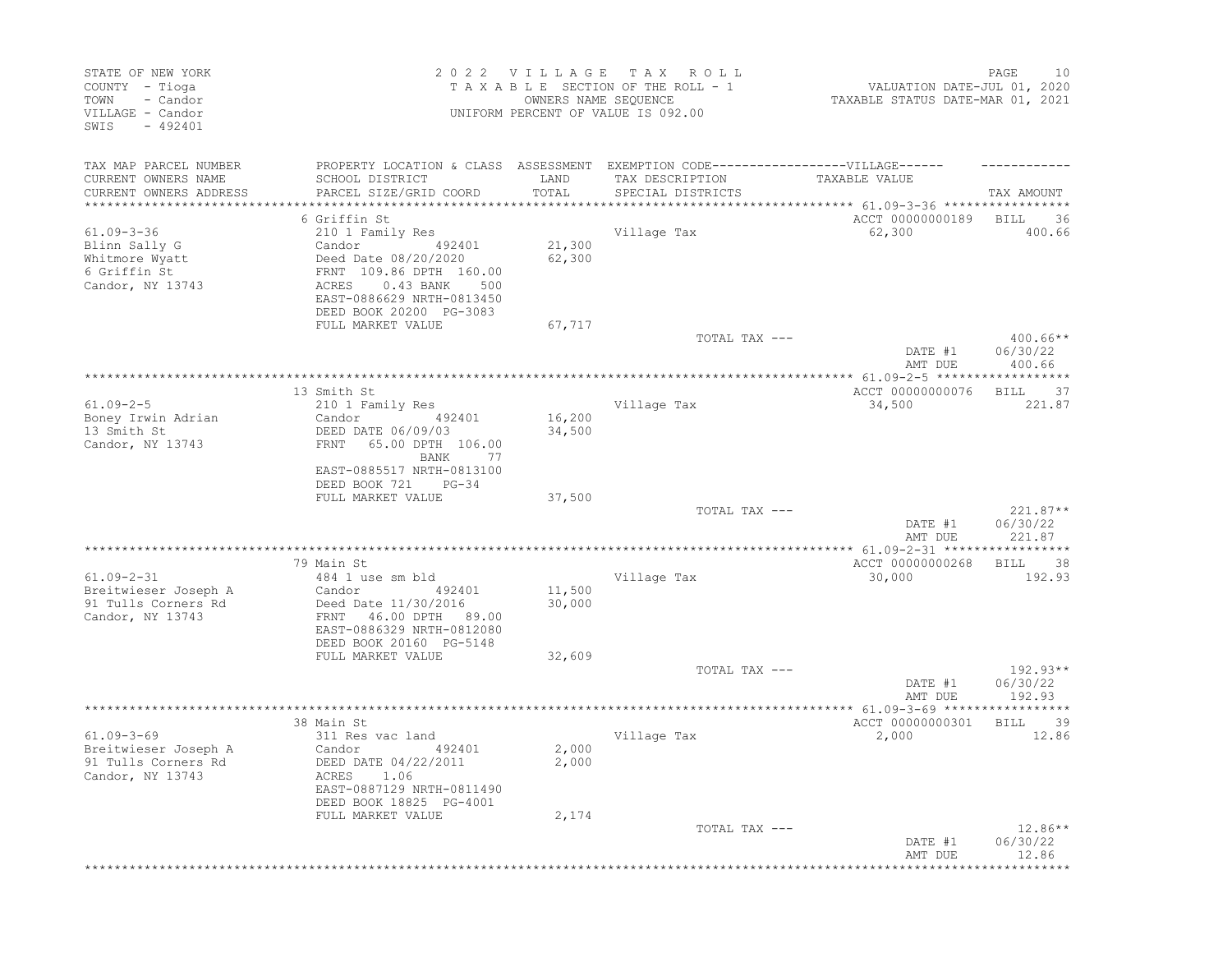| STATE OF NEW YORK<br>COUNTY - Tioga<br>- Candor<br>TOWN<br>VILLAGE - Candor<br>$-492401$<br>SWIS |                                                        | 2022 VILLAGE TAX<br>OWNERS NAME SEQUENCE | R O L L<br>TAXABLE SECTION OF THE ROLL - 1<br>UNIFORM PERCENT OF VALUE IS 092.00  | VALUATION DATE-JUL 01, 2020<br>TAXABLE STATUS DATE-MAR 01, 2021 | PAGE<br>10                 |
|--------------------------------------------------------------------------------------------------|--------------------------------------------------------|------------------------------------------|-----------------------------------------------------------------------------------|-----------------------------------------------------------------|----------------------------|
| TAX MAP PARCEL NUMBER                                                                            |                                                        |                                          | PROPERTY LOCATION & CLASS ASSESSMENT EXEMPTION CODE-----------------VILLAGE------ |                                                                 |                            |
| CURRENT OWNERS NAME                                                                              | SCHOOL DISTRICT                                        | LAND                                     | TAX DESCRIPTION                                                                   | TAXABLE VALUE                                                   |                            |
| CURRENT OWNERS ADDRESS                                                                           | PARCEL SIZE/GRID COORD                                 | TOTAL                                    | SPECIAL DISTRICTS                                                                 |                                                                 | TAX AMOUNT                 |
|                                                                                                  | 6 Griffin St                                           |                                          |                                                                                   | ACCT 00000000189                                                | BILL<br>36                 |
| $61.09 - 3 - 36$                                                                                 | 210 1 Family Res                                       |                                          | Village Tax                                                                       | 62,300                                                          | 400.66                     |
| Blinn Sally G                                                                                    | Candor<br>492401                                       | 21,300                                   |                                                                                   |                                                                 |                            |
| Whitmore Wyatt                                                                                   | Deed Date 08/20/2020                                   | 62,300                                   |                                                                                   |                                                                 |                            |
| 6 Griffin St<br>Candor, NY 13743                                                                 | FRNT 109.86 DPTH 160.00<br>$0.43$ BANK<br>ACRES<br>500 |                                          |                                                                                   |                                                                 |                            |
|                                                                                                  | EAST-0886629 NRTH-0813450                              |                                          |                                                                                   |                                                                 |                            |
|                                                                                                  | DEED BOOK 20200 PG-3083                                |                                          |                                                                                   |                                                                 |                            |
|                                                                                                  | FULL MARKET VALUE                                      | 67,717                                   |                                                                                   |                                                                 |                            |
|                                                                                                  |                                                        |                                          | TOTAL TAX ---                                                                     |                                                                 | $400.66**$                 |
|                                                                                                  |                                                        |                                          |                                                                                   | DATE #1<br>AMT DUE                                              | 06/30/22<br>400.66         |
|                                                                                                  | 13 Smith St                                            |                                          |                                                                                   | ACCT 00000000076                                                | 37<br>BILL                 |
| $61.09 - 2 - 5$                                                                                  | 210 1 Family Res                                       |                                          | Village Tax                                                                       | 34,500                                                          | 221.87                     |
| Boney Irwin Adrian                                                                               | Candor<br>492401                                       | 16,200                                   |                                                                                   |                                                                 |                            |
| 13 Smith St                                                                                      | DEED DATE 06/09/03                                     | 34,500                                   |                                                                                   |                                                                 |                            |
| Candor, NY 13743                                                                                 | 65.00 DPTH 106.00<br>FRNT                              |                                          |                                                                                   |                                                                 |                            |
|                                                                                                  | BANK<br>77                                             |                                          |                                                                                   |                                                                 |                            |
|                                                                                                  | EAST-0885517 NRTH-0813100<br>DEED BOOK 721<br>$PG-34$  |                                          |                                                                                   |                                                                 |                            |
|                                                                                                  | FULL MARKET VALUE                                      | 37,500                                   |                                                                                   |                                                                 |                            |
|                                                                                                  |                                                        |                                          | TOTAL TAX ---                                                                     |                                                                 | $221.87**$                 |
|                                                                                                  |                                                        |                                          |                                                                                   | DATE #1                                                         | 06/30/22                   |
|                                                                                                  |                                                        |                                          |                                                                                   | AMT DUE                                                         | 221.87                     |
|                                                                                                  | 79 Main St                                             |                                          |                                                                                   | ACCT 00000000268                                                | 38<br>BILL                 |
| $61.09 - 2 - 31$                                                                                 | 484 1 use sm bld                                       |                                          | Village Tax                                                                       | 30,000                                                          | 192.93                     |
| Breitwieser Joseph A                                                                             | Candor<br>492401                                       | 11,500                                   |                                                                                   |                                                                 |                            |
| 91 Tulls Corners Rd                                                                              | Deed Date 11/30/2016                                   | 30,000                                   |                                                                                   |                                                                 |                            |
| Candor, NY 13743                                                                                 | 46.00 DPTH 89.00<br>FRNT                               |                                          |                                                                                   |                                                                 |                            |
|                                                                                                  | EAST-0886329 NRTH-0812080<br>DEED BOOK 20160 PG-5148   |                                          |                                                                                   |                                                                 |                            |
|                                                                                                  | FULL MARKET VALUE                                      | 32,609                                   |                                                                                   |                                                                 |                            |
|                                                                                                  |                                                        |                                          | TOTAL TAX ---                                                                     |                                                                 | $192.93**$                 |
|                                                                                                  |                                                        |                                          |                                                                                   | DATE #1                                                         | 06/30/22                   |
|                                                                                                  |                                                        |                                          |                                                                                   | AMT DUE                                                         | 192.93                     |
|                                                                                                  |                                                        |                                          |                                                                                   | ACCT 00000000301                                                |                            |
| $61.09 - 3 - 69$                                                                                 | 38 Main St<br>311 Res vac land                         |                                          | Village Tax                                                                       | 2,000                                                           | 39<br><b>BILL</b><br>12.86 |
| Breitwieser Joseph A                                                                             | Candor<br>492401                                       | 2,000                                    |                                                                                   |                                                                 |                            |
| 91 Tulls Corners Rd                                                                              | DEED DATE 04/22/2011                                   | 2,000                                    |                                                                                   |                                                                 |                            |
| Candor, NY 13743                                                                                 | ACRES 1.06                                             |                                          |                                                                                   |                                                                 |                            |
|                                                                                                  | EAST-0887129 NRTH-0811490                              |                                          |                                                                                   |                                                                 |                            |
|                                                                                                  | DEED BOOK 18825 PG-4001<br>FULL MARKET VALUE           |                                          |                                                                                   |                                                                 |                            |
|                                                                                                  |                                                        | 2,174                                    | TOTAL TAX ---                                                                     |                                                                 | $12.86**$                  |
|                                                                                                  |                                                        |                                          |                                                                                   | DATE #1                                                         | 06/30/22                   |
|                                                                                                  |                                                        |                                          |                                                                                   | AMT DUE                                                         | 12.86                      |
|                                                                                                  |                                                        |                                          |                                                                                   |                                                                 |                            |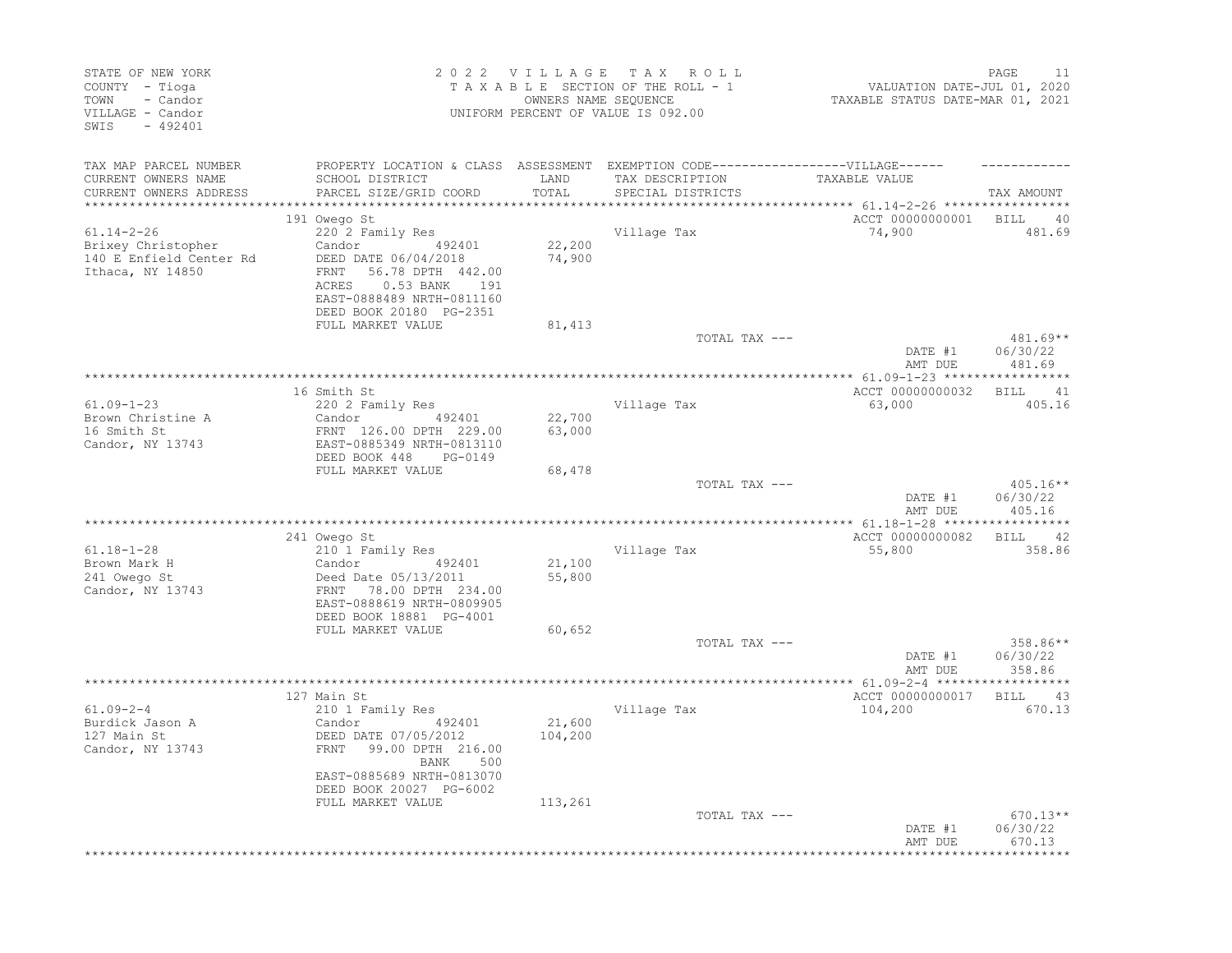| STATE OF NEW YORK<br>COUNTY - Tioga<br>- Candor<br>TOWN<br>VILLAGE - Candor<br>$-492401$<br>SWIS |                                                                                                                                                                       | 2022 VILLAGE<br>OWNERS NAME SEQUENCE | TAX ROLL<br>TAXABLE SECTION OF THE ROLL - 1<br>UNIFORM PERCENT OF VALUE IS 092.00 | VALUATION DATE-JUL 01, 2020<br>TAXABLE STATUS DATE-MAR 01, 2021 | PAGE<br>11                       |
|--------------------------------------------------------------------------------------------------|-----------------------------------------------------------------------------------------------------------------------------------------------------------------------|--------------------------------------|-----------------------------------------------------------------------------------|-----------------------------------------------------------------|----------------------------------|
| TAX MAP PARCEL NUMBER<br>CURRENT OWNERS NAME                                                     | PROPERTY LOCATION & CLASS ASSESSMENT EXEMPTION CODE----------------VILLAGE------<br>SCHOOL DISTRICT                                                                   | LAND                                 | TAX DESCRIPTION                                                                   | TAXABLE VALUE                                                   |                                  |
| CURRENT OWNERS ADDRESS<br>**********************                                                 | PARCEL SIZE/GRID COORD                                                                                                                                                | TOTAL                                | SPECIAL DISTRICTS                                                                 | **************************** 61.14-2-26 *****************       | TAX AMOUNT                       |
|                                                                                                  | 191 Owego St                                                                                                                                                          |                                      |                                                                                   | ACCT 00000000001                                                | BILL<br>40                       |
| $61.14 - 2 - 26$<br>Brixey Christopher<br>140 E Enfield Center Rd<br>Ithaca, NY 14850            | 220 2 Family Res<br>Candor 492401<br>DEED DATE 06/04/2018<br>FRNT 56.78 DPTH 442.00<br>ACRES<br>0.53 BANK 191<br>EAST-0888489 NRTH-0811160<br>DEED BOOK 20180 PG-2351 | 22,200<br>74,900                     | Village Tax                                                                       | 74,900                                                          | 481.69                           |
|                                                                                                  | FULL MARKET VALUE                                                                                                                                                     | 81,413                               |                                                                                   |                                                                 |                                  |
|                                                                                                  |                                                                                                                                                                       |                                      | TOTAL TAX ---                                                                     | DATE #1<br>AMT DUE                                              | $481.69**$<br>06/30/22<br>481.69 |
|                                                                                                  |                                                                                                                                                                       |                                      |                                                                                   |                                                                 |                                  |
| $61.09 - 1 - 23$                                                                                 | 16 Smith St<br>220 2 Family Res                                                                                                                                       |                                      | Village Tax                                                                       | ACCT 00000000032<br>63,000                                      | <b>BILL</b><br>41<br>405.16      |
| Brown Christine A<br>16 Smith St<br>Candor, NY 13743                                             | 492401<br>Candor<br>FRNT 126.00 DPTH 229.00<br>EAST-0885349 NRTH-0813110<br>DEED BOOK 448<br>PG-0149                                                                  | 22,700<br>63,000                     |                                                                                   |                                                                 |                                  |
|                                                                                                  | FULL MARKET VALUE                                                                                                                                                     | 68,478                               | TOTAL TAX ---                                                                     | DATE #1<br>AMT DUE                                              | $405.16**$<br>06/30/22<br>405.16 |
|                                                                                                  |                                                                                                                                                                       |                                      |                                                                                   |                                                                 |                                  |
| $61.18 - 1 - 28$                                                                                 | 241 Owego St<br>210 1 Family Res                                                                                                                                      |                                      |                                                                                   | ACCT 00000000082                                                | BILL 42<br>358.86                |
| Brown Mark H<br>241 Owego St<br>Candor, NY 13743                                                 | Candor<br>492401<br>Deed Date 05/13/2011<br>FRNT<br>78.00 DPTH 234.00                                                                                                 | 21,100<br>55,800                     | Village Tax                                                                       | 55,800                                                          |                                  |
|                                                                                                  | EAST-0888619 NRTH-0809905<br>DEED BOOK 18881 PG-4001<br>FULL MARKET VALUE                                                                                             | 60,652                               |                                                                                   |                                                                 |                                  |
|                                                                                                  |                                                                                                                                                                       |                                      | TOTAL TAX ---                                                                     | DATE #1<br>AMT DUE                                              | 358.86**<br>06/30/22<br>358.86   |
|                                                                                                  |                                                                                                                                                                       |                                      |                                                                                   |                                                                 |                                  |
|                                                                                                  | 127 Main St                                                                                                                                                           |                                      |                                                                                   | ACCT 00000000017                                                | <b>BILL</b><br>43                |
| $61.09 - 2 - 4$<br>Burdick Jason A<br>127 Main St<br>Candor, NY 13743                            | 210 1 Family Res<br>492401<br>Candor<br>DEED DATE 07/05/2012<br>FRNT<br>99.00 DPTH 216.00<br>500<br>BANK                                                              | 21,600<br>104,200                    | Village Tax                                                                       | 104,200                                                         | 670.13                           |
|                                                                                                  | EAST-0885689 NRTH-0813070<br>DEED BOOK 20027 PG-6002<br>FULL MARKET VALUE                                                                                             | 113,261                              |                                                                                   |                                                                 |                                  |
|                                                                                                  |                                                                                                                                                                       |                                      | TOTAL TAX ---                                                                     | DATE #1<br>AMT DUE                                              | $670.13**$<br>06/30/22<br>670.13 |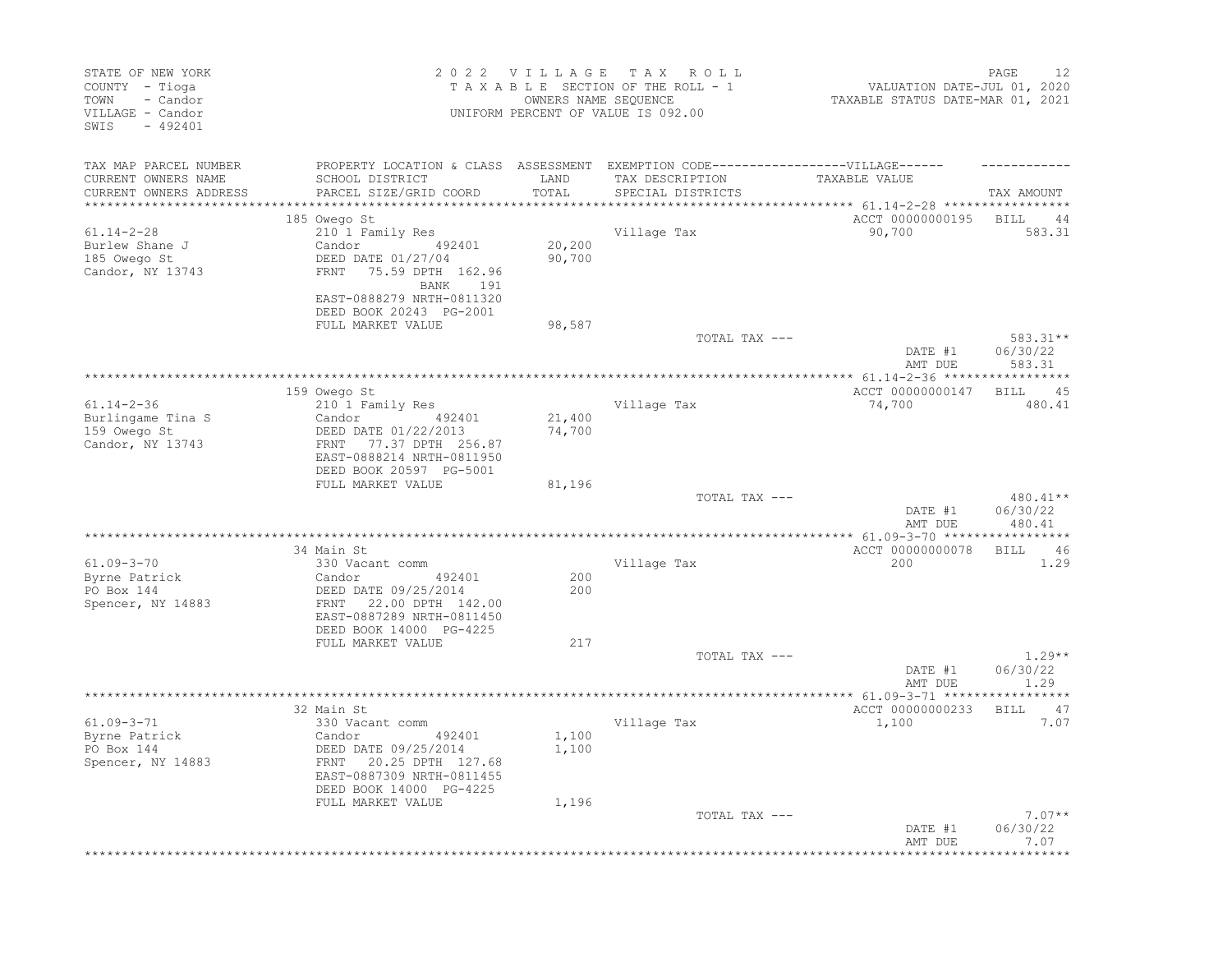| PROPERTY LOCATION & CLASS ASSESSMENT EXEMPTION CODE-----------------VILLAGE------<br>TAX MAP PARCEL NUMBER<br>LAND<br>TAXABLE VALUE<br>CURRENT OWNERS NAME<br>SCHOOL DISTRICT<br>TAX DESCRIPTION<br>PARCEL SIZE/GRID COORD<br>TOTAL<br>CURRENT OWNERS ADDRESS<br>SPECIAL DISTRICTS<br>********************** 61.14-2-28 ******************<br>*******************<br>ACCT 00000000195<br>185 Owego St<br><b>BILL</b><br>210 1 Family Res<br>Village Tax<br>90,700<br>$61.14 - 2 - 28$<br>Burlew Shane J<br>Candor 492401<br>20,200<br>Candor $422401$<br>DEED DATE 01/27/04<br>90,700<br>185 Owego St<br>Candor, NY 13743<br>FRNT 75.59 DPTH 162.96<br>BANK 191<br>EAST-0888279 NRTH-0811320<br>DEED BOOK 20243 PG-2001<br>FULL MARKET VALUE<br>98,587<br>TOTAL TAX ---<br>DATE #1<br>583.31<br>AMT DUE<br>159 Owego St<br>ACCT 00000000147<br><b>BILL</b><br>$61.14 - 2 - 36$<br>Village Tax<br>210 1 Family Res<br>74,700<br>21,400<br>Burlingame Tina S<br>Candor 492401<br>159 Owego St<br>DEED DATE 01/22/2013<br>74,700<br>FRNT 77.37 DPTH 256.87<br>Candor, NY 13743<br>EAST-0888214 NRTH-0811950<br>DEED BOOK 20597 PG-5001<br>FULL MARKET VALUE<br>81,196<br>TOTAL TAX ---<br>06/30/22<br>DATE #1<br>AMT DUE<br>ACCT 00000000078<br><b>BILL</b><br>34 Main St<br>$61.09 - 3 - 70$<br>330 Vacant comm<br>Village Tax<br>200<br>Byrne Patrick<br>200<br>Candor<br>492401<br>PO Box 144<br>DEED DATE 09/25/2014<br>200<br>Spencer, NY 14883<br>FRNT 22.00 DPTH 142.00<br>EAST-0887289 NRTH-0811450<br>DEED BOOK 14000 PG-4225<br>FULL MARKET VALUE<br>217<br>TOTAL TAX ---<br>DATE #1<br>AMT DUE<br>1.29<br><b>BILL</b><br>32 Main St<br>ACCT 00000000233<br>61.09-3-71<br>Village Tax<br>1,100<br>330 Vacant comm<br>Byrne Patrick<br>1,100<br>Candor<br>492401<br>PO Box 144<br>1,100<br>DEED DATE 09/25/2014<br>FRNT 20.25 DPTH 127.68<br>Spencer, NY 14883<br>EAST-0887309 NRTH-0811455<br>DEED BOOK 14000 PG-4225<br>FULL MARKET VALUE<br>1,196<br>TOTAL TAX ---<br>DATE #1 | STATE OF NEW YORK<br>COUNTY - Tioga<br>- Candor<br>TOWN<br>VILLAGE - Candor<br>SWIS<br>$-492401$ |  | 2022 VILLAGE TAX ROLL<br>TAXABLE SECTION OF THE ROLL - 1<br>OWNERS NAME SEQUENCE<br>UNIFORM PERCENT OF VALUE IS 092.00 | VALUATION DATE-JUL 01, 2020<br>TAXABLE STATUS DATE-MAR 01, 2021 | PAGE<br>12                   |
|----------------------------------------------------------------------------------------------------------------------------------------------------------------------------------------------------------------------------------------------------------------------------------------------------------------------------------------------------------------------------------------------------------------------------------------------------------------------------------------------------------------------------------------------------------------------------------------------------------------------------------------------------------------------------------------------------------------------------------------------------------------------------------------------------------------------------------------------------------------------------------------------------------------------------------------------------------------------------------------------------------------------------------------------------------------------------------------------------------------------------------------------------------------------------------------------------------------------------------------------------------------------------------------------------------------------------------------------------------------------------------------------------------------------------------------------------------------------------------------------------------------------------------------------------------------------------------------------------------------------------------------------------------------------------------------------------------------------------------------------------------------------------------------------------------------------------------------------------------------------------------------------------------------------------------------------------------------------------------------|--------------------------------------------------------------------------------------------------|--|------------------------------------------------------------------------------------------------------------------------|-----------------------------------------------------------------|------------------------------|
|                                                                                                                                                                                                                                                                                                                                                                                                                                                                                                                                                                                                                                                                                                                                                                                                                                                                                                                                                                                                                                                                                                                                                                                                                                                                                                                                                                                                                                                                                                                                                                                                                                                                                                                                                                                                                                                                                                                                                                                        |                                                                                                  |  |                                                                                                                        |                                                                 | TAX AMOUNT                   |
|                                                                                                                                                                                                                                                                                                                                                                                                                                                                                                                                                                                                                                                                                                                                                                                                                                                                                                                                                                                                                                                                                                                                                                                                                                                                                                                                                                                                                                                                                                                                                                                                                                                                                                                                                                                                                                                                                                                                                                                        |                                                                                                  |  |                                                                                                                        |                                                                 | 44<br>583.31                 |
|                                                                                                                                                                                                                                                                                                                                                                                                                                                                                                                                                                                                                                                                                                                                                                                                                                                                                                                                                                                                                                                                                                                                                                                                                                                                                                                                                                                                                                                                                                                                                                                                                                                                                                                                                                                                                                                                                                                                                                                        |                                                                                                  |  |                                                                                                                        |                                                                 | 583.31**<br>06/30/22         |
|                                                                                                                                                                                                                                                                                                                                                                                                                                                                                                                                                                                                                                                                                                                                                                                                                                                                                                                                                                                                                                                                                                                                                                                                                                                                                                                                                                                                                                                                                                                                                                                                                                                                                                                                                                                                                                                                                                                                                                                        |                                                                                                  |  |                                                                                                                        |                                                                 |                              |
|                                                                                                                                                                                                                                                                                                                                                                                                                                                                                                                                                                                                                                                                                                                                                                                                                                                                                                                                                                                                                                                                                                                                                                                                                                                                                                                                                                                                                                                                                                                                                                                                                                                                                                                                                                                                                                                                                                                                                                                        |                                                                                                  |  |                                                                                                                        |                                                                 | 45<br>480.41                 |
|                                                                                                                                                                                                                                                                                                                                                                                                                                                                                                                                                                                                                                                                                                                                                                                                                                                                                                                                                                                                                                                                                                                                                                                                                                                                                                                                                                                                                                                                                                                                                                                                                                                                                                                                                                                                                                                                                                                                                                                        |                                                                                                  |  |                                                                                                                        |                                                                 | $480.41**$                   |
|                                                                                                                                                                                                                                                                                                                                                                                                                                                                                                                                                                                                                                                                                                                                                                                                                                                                                                                                                                                                                                                                                                                                                                                                                                                                                                                                                                                                                                                                                                                                                                                                                                                                                                                                                                                                                                                                                                                                                                                        |                                                                                                  |  |                                                                                                                        |                                                                 | 480.41                       |
|                                                                                                                                                                                                                                                                                                                                                                                                                                                                                                                                                                                                                                                                                                                                                                                                                                                                                                                                                                                                                                                                                                                                                                                                                                                                                                                                                                                                                                                                                                                                                                                                                                                                                                                                                                                                                                                                                                                                                                                        |                                                                                                  |  |                                                                                                                        |                                                                 | 46<br>1.29                   |
|                                                                                                                                                                                                                                                                                                                                                                                                                                                                                                                                                                                                                                                                                                                                                                                                                                                                                                                                                                                                                                                                                                                                                                                                                                                                                                                                                                                                                                                                                                                                                                                                                                                                                                                                                                                                                                                                                                                                                                                        |                                                                                                  |  |                                                                                                                        |                                                                 |                              |
|                                                                                                                                                                                                                                                                                                                                                                                                                                                                                                                                                                                                                                                                                                                                                                                                                                                                                                                                                                                                                                                                                                                                                                                                                                                                                                                                                                                                                                                                                                                                                                                                                                                                                                                                                                                                                                                                                                                                                                                        |                                                                                                  |  |                                                                                                                        |                                                                 | $1.29**$<br>06/30/22         |
|                                                                                                                                                                                                                                                                                                                                                                                                                                                                                                                                                                                                                                                                                                                                                                                                                                                                                                                                                                                                                                                                                                                                                                                                                                                                                                                                                                                                                                                                                                                                                                                                                                                                                                                                                                                                                                                                                                                                                                                        |                                                                                                  |  |                                                                                                                        |                                                                 | ********                     |
|                                                                                                                                                                                                                                                                                                                                                                                                                                                                                                                                                                                                                                                                                                                                                                                                                                                                                                                                                                                                                                                                                                                                                                                                                                                                                                                                                                                                                                                                                                                                                                                                                                                                                                                                                                                                                                                                                                                                                                                        |                                                                                                  |  |                                                                                                                        |                                                                 | 47<br>7.07                   |
|                                                                                                                                                                                                                                                                                                                                                                                                                                                                                                                                                                                                                                                                                                                                                                                                                                                                                                                                                                                                                                                                                                                                                                                                                                                                                                                                                                                                                                                                                                                                                                                                                                                                                                                                                                                                                                                                                                                                                                                        |                                                                                                  |  |                                                                                                                        | AMT DUE                                                         | $7.07**$<br>06/30/22<br>7.07 |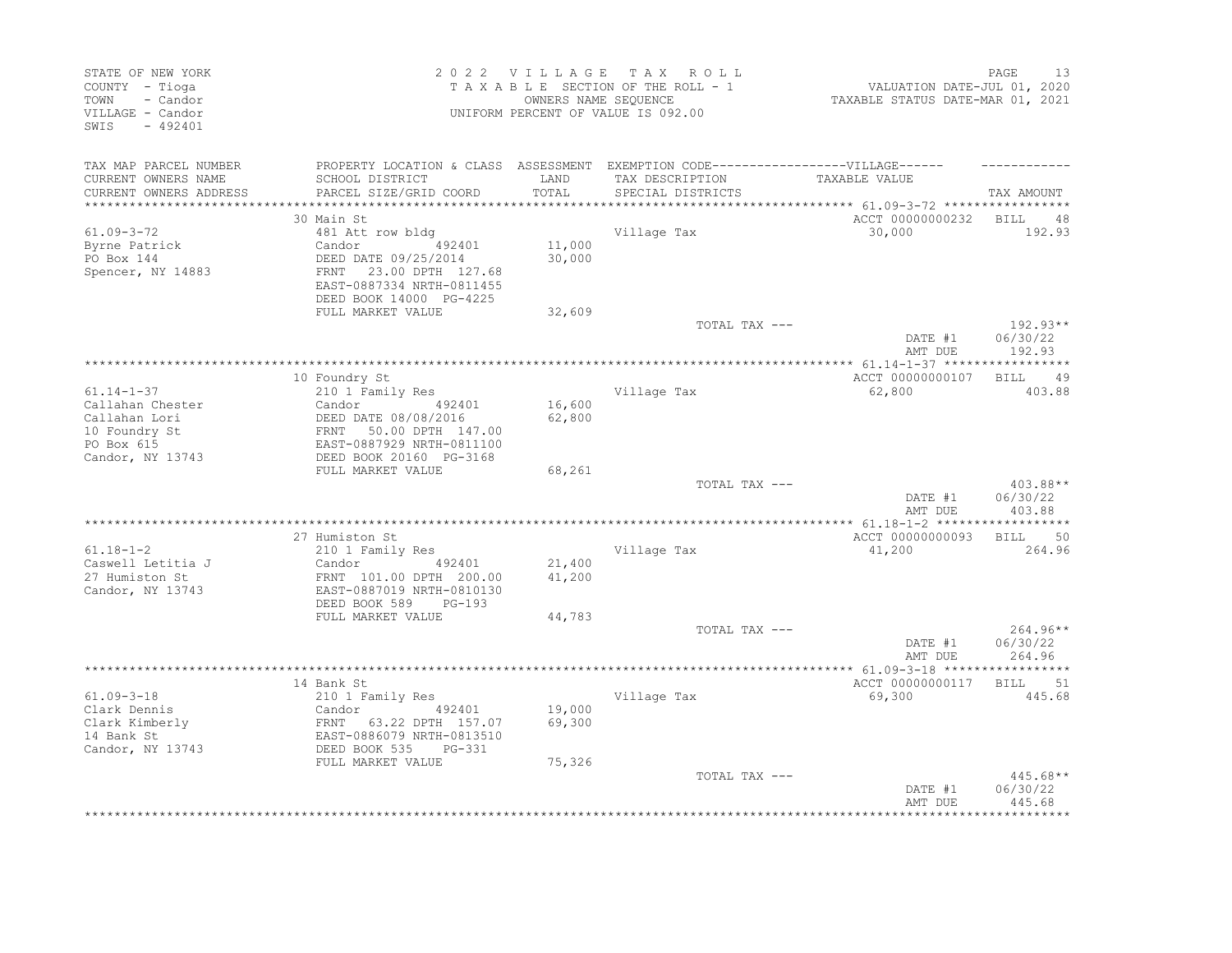| STATE OF NEW YORK<br>COUNTY - Tioga<br>TOWN<br>- Candor |                                                        | 2022 VILLAGE     | TAX ROLL<br>TAXABLE SECTION OF THE ROLL - 1<br>OWNERS NAME SEQUENCE                                  | VALUATION DATE-JUL 01, 2020<br>TAXABLE STATUS DATE-MAR 01, 2021 | 13<br>PAGE             |
|---------------------------------------------------------|--------------------------------------------------------|------------------|------------------------------------------------------------------------------------------------------|-----------------------------------------------------------------|------------------------|
| VILLAGE - Candor<br>SWIS<br>$-492401$                   |                                                        |                  | UNIFORM PERCENT OF VALUE IS 092.00                                                                   |                                                                 |                        |
| TAX MAP PARCEL NUMBER<br>CURRENT OWNERS NAME            | SCHOOL DISTRICT                                        | LAND             | PROPERTY LOCATION & CLASS ASSESSMENT EXEMPTION CODE-----------------VILLAGE------<br>TAX DESCRIPTION | TAXABLE VALUE                                                   |                        |
| CURRENT OWNERS ADDRESS                                  | PARCEL SIZE/GRID COORD                                 | TOTAL            | SPECIAL DISTRICTS                                                                                    |                                                                 | TAX AMOUNT             |
|                                                         |                                                        |                  |                                                                                                      |                                                                 |                        |
| $61.09 - 3 - 72$                                        | 30 Main St<br>481 Att row bldg                         |                  | Village Tax                                                                                          | ACCT 00000000232<br>30,000                                      | BILL<br>48<br>192.93   |
| Byrne Patrick                                           | 492401<br>Candor                                       | 11,000           |                                                                                                      |                                                                 |                        |
| PO Box 144                                              | DEED DATE 09/25/2014                                   | 30,000           |                                                                                                      |                                                                 |                        |
| Spencer, NY 14883                                       | FRNT<br>23.00 DPTH 127.68                              |                  |                                                                                                      |                                                                 |                        |
|                                                         | EAST-0887334 NRTH-0811455                              |                  |                                                                                                      |                                                                 |                        |
|                                                         | DEED BOOK 14000 PG-4225                                |                  |                                                                                                      |                                                                 |                        |
|                                                         | FULL MARKET VALUE                                      | 32,609           | TOTAL TAX ---                                                                                        |                                                                 | $192.93**$             |
|                                                         |                                                        |                  |                                                                                                      | DATE #1                                                         | 06/30/22               |
|                                                         |                                                        |                  |                                                                                                      | AMT DUE                                                         | 192.93                 |
|                                                         |                                                        |                  |                                                                                                      |                                                                 |                        |
|                                                         | 10 Foundry St                                          |                  |                                                                                                      | ACCT 00000000107                                                | BILL<br>49             |
| $61.14 - 1 - 37$                                        | 210 1 Family Res                                       |                  | Village Tax                                                                                          | 62,800                                                          | 403.88                 |
| Callahan Chester<br>Callahan Lori                       | Candor<br>492401<br>DEED DATE 08/08/2016               | 16,600<br>62,800 |                                                                                                      |                                                                 |                        |
| 10 Foundry St                                           |                                                        |                  |                                                                                                      |                                                                 |                        |
| PO Box 615                                              | FRNT 50.00 DPTH 147.00<br>EAST-0887929 NRTH-0811100    |                  |                                                                                                      |                                                                 |                        |
| Candor, NY 13743                                        | DEED BOOK 20160 PG-3168                                |                  |                                                                                                      |                                                                 |                        |
|                                                         | FULL MARKET VALUE                                      | 68,261           |                                                                                                      |                                                                 |                        |
|                                                         |                                                        |                  | TOTAL TAX ---                                                                                        |                                                                 | $403.88**$             |
|                                                         |                                                        |                  |                                                                                                      | DATE #1<br>AMT DUE                                              | 06/30/22<br>403.88     |
|                                                         |                                                        |                  |                                                                                                      |                                                                 |                        |
|                                                         | 27 Humiston St                                         |                  |                                                                                                      | ACCT 00000000093                                                | <b>BILL</b><br>50      |
| $61.18 - 1 - 2$                                         | 210 1 Family Res                                       |                  | Village Tax                                                                                          | 41,200                                                          | 264.96                 |
| Caswell Letitia J                                       | Candor<br>492401                                       | 21,400           |                                                                                                      |                                                                 |                        |
| 27 Humiston St                                          | FRNT 101.00 DPTH 200.00                                | 41,200           |                                                                                                      |                                                                 |                        |
| Candor, NY 13743                                        | EAST-0887019 NRTH-0810130<br>DEED BOOK 589<br>$PG-193$ |                  |                                                                                                      |                                                                 |                        |
|                                                         | FULL MARKET VALUE                                      | 44,783           |                                                                                                      |                                                                 |                        |
|                                                         |                                                        |                  | TOTAL TAX ---                                                                                        |                                                                 | $264.96**$             |
|                                                         |                                                        |                  |                                                                                                      | DATE #1                                                         | 06/30/22               |
|                                                         |                                                        |                  |                                                                                                      | AMT DUE                                                         | 264.96                 |
|                                                         |                                                        |                  |                                                                                                      |                                                                 |                        |
| $61.09 - 3 - 18$                                        | 14 Bank St<br>210 1 Family Res                         |                  | Village Tax                                                                                          | ACCT 00000000117<br>69,300                                      | 51<br>BILL<br>445.68   |
| Clark Dennis                                            | Candor<br>492401                                       | 19,000           |                                                                                                      |                                                                 |                        |
| Clark Kimberly                                          | FRNT 63.22 DPTH 157.07                                 | 69,300           |                                                                                                      |                                                                 |                        |
| 14 Bank St                                              | EAST-0886079 NRTH-0813510                              |                  |                                                                                                      |                                                                 |                        |
| Candor, NY 13743                                        | DEED BOOK 535<br>PG-331                                |                  |                                                                                                      |                                                                 |                        |
|                                                         | FULL MARKET VALUE                                      | 75,326           |                                                                                                      |                                                                 |                        |
|                                                         |                                                        |                  | TOTAL TAX ---                                                                                        | DATE #1                                                         | $445.68**$<br>06/30/22 |
|                                                         |                                                        |                  |                                                                                                      | AMT DUE                                                         | 445.68                 |
|                                                         |                                                        |                  |                                                                                                      |                                                                 |                        |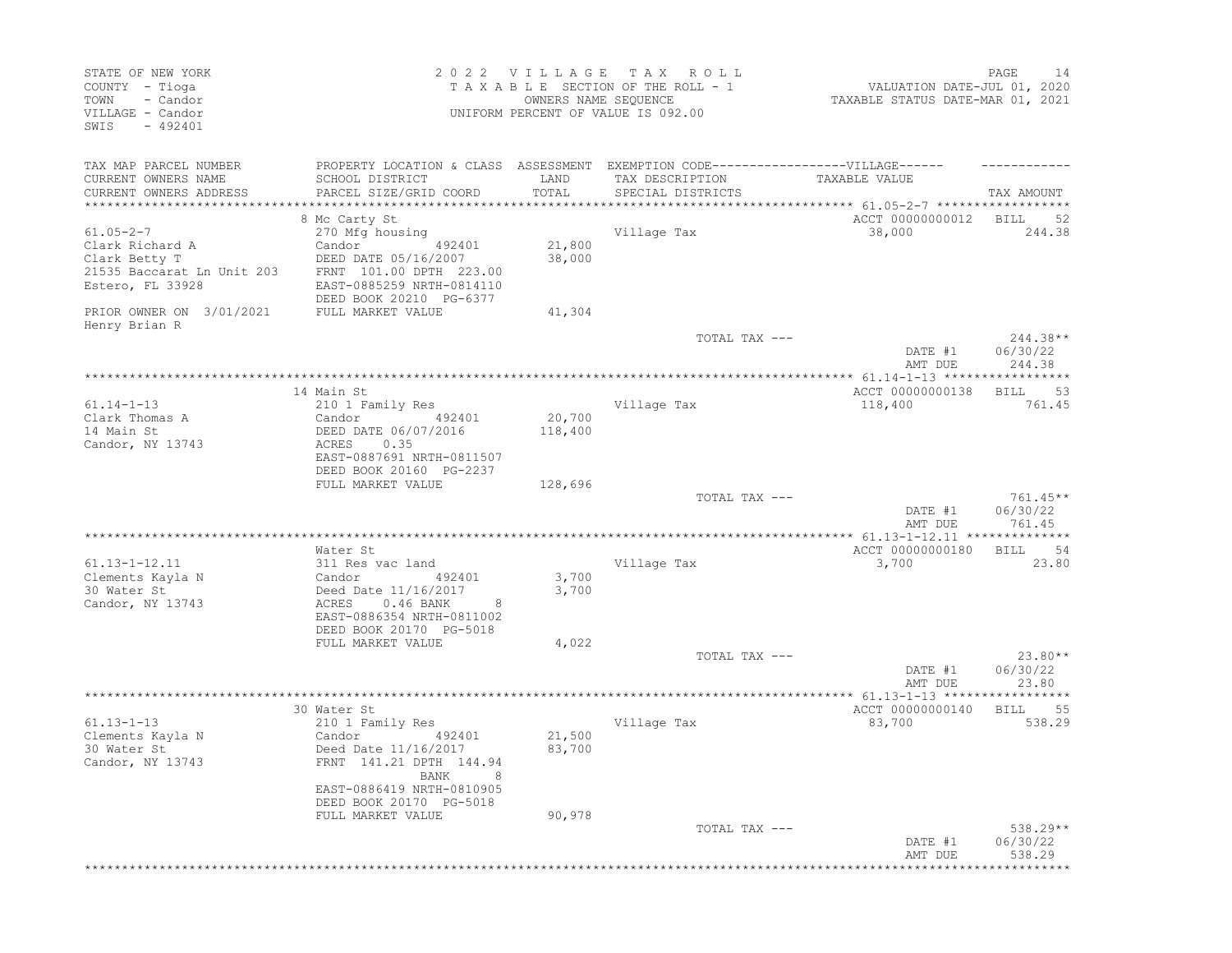| PAGE<br>14<br>VALUATION DATE-JUL 01, 2020<br>TAXABLE STATUS DATE-MAR 01, 2021 |                             | R O L L<br>TAXABLE SECTION OF THE ROLL - 1<br>UNIFORM PERCENT OF VALUE IS 092.00                                          | 2022 VILLAGE TAX<br>OWNERS NAME SEQUENCE |                                                                                                                                                                        | STATE OF NEW YORK<br>COUNTY - Tioga<br>- Candor<br>TOWN<br>VILLAGE - Candor<br>SWIS<br>$-492401$      |
|-------------------------------------------------------------------------------|-----------------------------|---------------------------------------------------------------------------------------------------------------------------|------------------------------------------|------------------------------------------------------------------------------------------------------------------------------------------------------------------------|-------------------------------------------------------------------------------------------------------|
| TAX AMOUNT                                                                    | TAXABLE VALUE               | PROPERTY LOCATION & CLASS ASSESSMENT EXEMPTION CODE-----------------VILLAGE------<br>TAX DESCRIPTION<br>SPECIAL DISTRICTS | LAND<br>TOTAL                            | SCHOOL DISTRICT<br>PARCEL SIZE/GRID COORD<br>***************************                                                                                               | TAX MAP PARCEL NUMBER<br>CURRENT OWNERS NAME<br>CURRENT OWNERS ADDRESS<br>************************    |
| BILL<br>-52                                                                   | ACCT 00000000012            |                                                                                                                           |                                          | 8 Mc Carty St                                                                                                                                                          |                                                                                                       |
| 244.38                                                                        | 38,000                      | Village Tax                                                                                                               | 21,800<br>38,000                         | 270 Mfg housing<br>Candor<br>492401<br>DEED DATE 05/16/2007<br>FRNT 101.00 DPTH 223.00<br>EAST-0885259 NRTH-0814110<br>DEED BOOK 20210 PG-6377                         | $61.05 - 2 - 7$<br>Clark Richard A<br>Clark Betty T<br>21535 Baccarat Ln Unit 203<br>Estero, FL 33928 |
|                                                                               |                             |                                                                                                                           | 41,304                                   | FULL MARKET VALUE                                                                                                                                                      | PRIOR OWNER ON 3/01/2021                                                                              |
| $244.38**$<br>06/30/22<br>DATE #1<br>244.38<br>AMT DUE                        |                             | TOTAL TAX ---                                                                                                             |                                          |                                                                                                                                                                        | Henry Brian R                                                                                         |
| ******                                                                        |                             |                                                                                                                           |                                          |                                                                                                                                                                        |                                                                                                       |
| 53<br>BILL<br>761.45                                                          | ACCT 00000000138<br>118,400 | Village Tax                                                                                                               | 20,700<br>118,400                        | 14 Main St<br>210 1 Family Res<br>Candor<br>492401<br>DEED DATE 06/07/2016<br>0.35<br>ACRES<br>EAST-0887691 NRTH-0811507<br>DEED BOOK 20160 PG-2237                    | $61.14 - 1 - 13$<br>Clark Thomas A<br>14 Main St<br>Candor, NY 13743                                  |
| $761.45**$<br>06/30/22<br>DATE #1<br>761.45<br>AMT DUE                        |                             | TOTAL TAX ---                                                                                                             | 128,696                                  | FULL MARKET VALUE                                                                                                                                                      |                                                                                                       |
| ************ 61.13-1-12.11 ***************                                    |                             | *******************************                                                                                           |                                          |                                                                                                                                                                        |                                                                                                       |
| 54<br>BILL<br>23.80                                                           | ACCT 00000000180<br>3,700   | Village Tax                                                                                                               | 3,700<br>3,700                           | Water St<br>311 Res vac land<br>Candor<br>492401<br>Deed Date 11/16/2017<br>$0.46$ BANK<br>ACRES<br>8<br>EAST-0886354 NRTH-0811002<br>DEED BOOK 20170 PG-5018          | $61.13 - 1 - 12.11$<br>Clements Kayla N<br>30 Water St<br>Candor, NY 13743                            |
|                                                                               |                             |                                                                                                                           | 4,022                                    | FULL MARKET VALUE                                                                                                                                                      |                                                                                                       |
| $23.80**$<br>DATE #1<br>06/30/22<br>23.80<br>AMT DUE                          |                             | TOTAL TAX ---                                                                                                             |                                          |                                                                                                                                                                        |                                                                                                       |
|                                                                               |                             |                                                                                                                           |                                          |                                                                                                                                                                        |                                                                                                       |
| 55<br>BILL<br>538.29                                                          | ACCT 00000000140<br>83,700  | Village Tax                                                                                                               | 21,500<br>83,700                         | 30 Water St<br>210 1 Family Res<br>Candor<br>492401<br>Deed Date 11/16/2017<br>FRNT 141.21 DPTH 144.94<br>BANK<br>EAST-0886419 NRTH-0810905<br>DEED BOOK 20170 PG-5018 | $61.13 - 1 - 13$<br>Clements Kayla N<br>30 Water St<br>Candor, NY 13743                               |
| $538.29**$<br>DATE #1<br>06/30/22<br>538.29<br>AMT DUE                        |                             | TOTAL TAX ---                                                                                                             | 90,978                                   | FULL MARKET VALUE                                                                                                                                                      |                                                                                                       |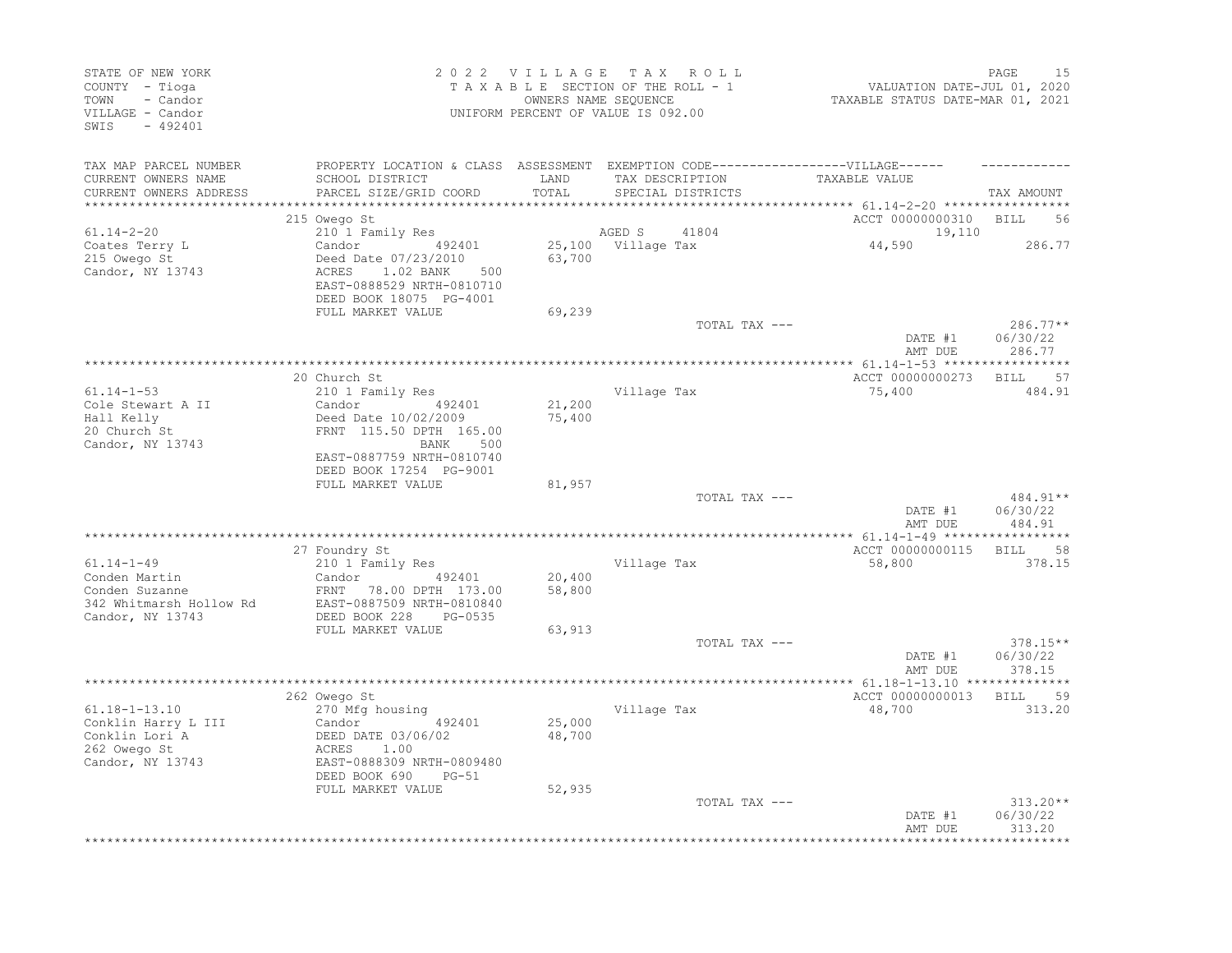| STATE OF NEW YORK<br>COUNTY - Tioga<br>TOWN<br>- Candor<br>VILLAGE - Candor<br>$-492401$<br>SWIS   |                                                                                                                                                     |                  | 2022 VILLAGE TAX ROLL<br>TAXABLE SECTION OF THE ROLL - 1<br>OWNERS NAME SEOUENCE<br>UNIFORM PERCENT OF VALUE IS 092.00    | VALUATION DATE-JUL 01, 2020<br>TAXABLE STATUS DATE-MAR 01, 2021 | 15<br>PAGE                     |
|----------------------------------------------------------------------------------------------------|-----------------------------------------------------------------------------------------------------------------------------------------------------|------------------|---------------------------------------------------------------------------------------------------------------------------|-----------------------------------------------------------------|--------------------------------|
| TAX MAP PARCEL NUMBER<br>CURRENT OWNERS NAME<br>CURRENT OWNERS ADDRESS<br>************************ | SCHOOL DISTRICT<br>PARCEL SIZE/GRID COORD                                                                                                           | LAND<br>TOTAL    | PROPERTY LOCATION & CLASS ASSESSMENT EXEMPTION CODE-----------------VILLAGE------<br>TAX DESCRIPTION<br>SPECIAL DISTRICTS | TAXABLE VALUE                                                   | TAX AMOUNT                     |
|                                                                                                    | 215 Owego St                                                                                                                                        |                  |                                                                                                                           | ACCT 00000000310                                                | <b>BILL</b><br>56              |
| $61.14 - 2 - 20$<br>Coates Terry L<br>215 Owego St<br>Candor, NY 13743                             | 210 1 Family Res<br>Candor 492401<br>Deed Date 07/23/2010<br>ACRES<br>1.02 BANK<br>500<br>EAST-0888529 NRTH-0810710<br>DEED BOOK 18075 PG-4001      | 63,700           | 41804<br>AGED S<br>25,100 Village Tax                                                                                     | 19,110<br>44,590                                                | 286.77                         |
|                                                                                                    | FULL MARKET VALUE                                                                                                                                   | 69,239           | TOTAL TAX ---                                                                                                             |                                                                 | 286.77**                       |
|                                                                                                    |                                                                                                                                                     |                  |                                                                                                                           | DATE #1<br>AMT DUE                                              | 06/30/22<br>286.77             |
|                                                                                                    | 20 Church St                                                                                                                                        |                  |                                                                                                                           | ACCT 00000000273                                                | BILL 57                        |
| $61.14 - 1 - 53$<br>Cole Stewart A II<br>Hall Kelly<br>20 Church St<br>Candor, NY 13743            | 210 1 Family Res<br>Candor<br>492401<br>Deed Date 10/02/2009<br>FRNT 115.50 DPTH 165.00<br>BANK<br>500<br>EAST-0887759 NRTH-0810740                 | 21,200<br>75,400 | Village Tax                                                                                                               | 75,400                                                          | 484.91                         |
|                                                                                                    | DEED BOOK 17254 PG-9001<br>FULL MARKET VALUE                                                                                                        | 81,957           |                                                                                                                           |                                                                 |                                |
|                                                                                                    |                                                                                                                                                     |                  | TOTAL TAX ---                                                                                                             | DATE #1<br>AMT DUE                                              | 484.91**<br>06/30/22<br>484.91 |
|                                                                                                    | 27 Foundry St                                                                                                                                       |                  |                                                                                                                           | ACCT 00000000115                                                | <b>BILL</b><br>58              |
| $61.14 - 1 - 49$<br>Conden Martin<br>Conden Suzanne<br>342 Whitmarsh Hollow Rd<br>Candor, NY 13743 | 210 1 Family Res<br>Candor 492401<br>FRNT 78.00 DPTH 173.00<br>EAST-0887509 NRTH-0810840<br>DEED BOOK 228<br>PG-0535                                | 20,400<br>58,800 | Village Tax                                                                                                               | 58,800                                                          | 378.15                         |
|                                                                                                    | FULL MARKET VALUE                                                                                                                                   | 63,913           | TOTAL TAX ---                                                                                                             | DATE #1                                                         | $378.15**$<br>06/30/22         |
|                                                                                                    |                                                                                                                                                     |                  |                                                                                                                           | AMT DUE                                                         | 378.15                         |
| $61.18 - 1 - 13.10$<br>Conklin Harry L III<br>Conklin Lori A<br>262 Owego St<br>Candor, NY 13743   | 262 Owego St<br>270 Mfg housing<br>492401<br>Candor<br>DEED DATE 03/06/02<br>1.00<br>ACRES<br>EAST-0888309 NRTH-0809480<br>DEED BOOK 690<br>$PG-51$ | 25,000<br>48,700 | Village Tax                                                                                                               | ACCT 00000000013<br>48,700                                      | <b>BILL</b><br>59<br>313.20    |
|                                                                                                    | FULL MARKET VALUE                                                                                                                                   | 52,935           | TOTAL TAX ---                                                                                                             | DATE #1<br>AMT DUE                                              | 313.20**<br>06/30/22<br>313.20 |
|                                                                                                    |                                                                                                                                                     |                  |                                                                                                                           |                                                                 |                                |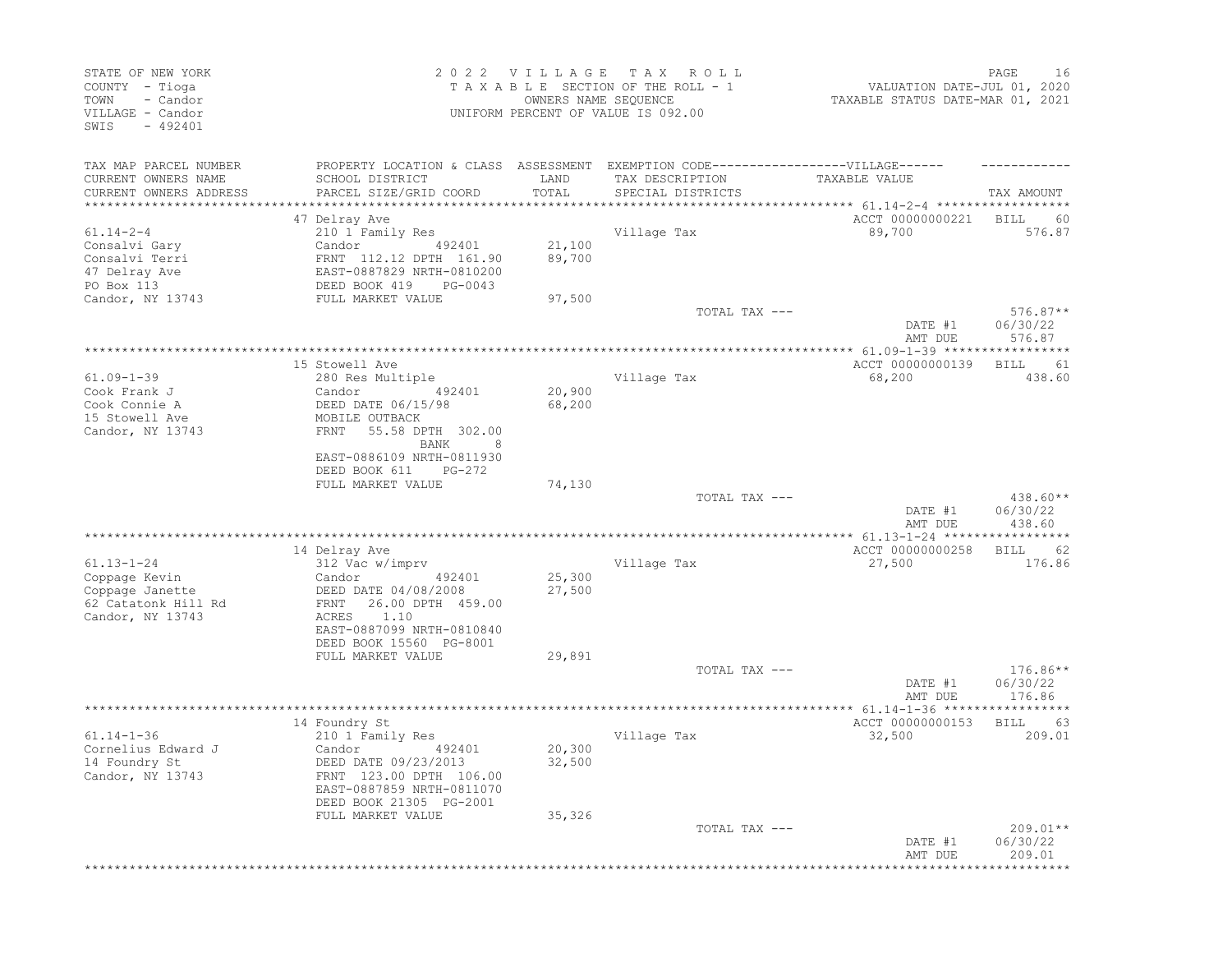| STATE OF NEW YORK<br>COUNTY - Tioga<br>- Candor<br>TOWN<br>VILLAGE - Candor<br>SWIS<br>$-492401$ |                                                                                   | 2022 VILLAGE<br>OWNERS NAME SEQUENCE | T A X<br>R O L L<br>TAXABLE SECTION OF THE ROLL - 1<br>UNIFORM PERCENT OF VALUE IS 092.00 | VALUATION DATE-JUL 01, 2020<br>TAXABLE STATUS DATE-MAR 01, 2021 | 16<br>PAGE                       |
|--------------------------------------------------------------------------------------------------|-----------------------------------------------------------------------------------|--------------------------------------|-------------------------------------------------------------------------------------------|-----------------------------------------------------------------|----------------------------------|
| TAX MAP PARCEL NUMBER                                                                            | PROPERTY LOCATION & CLASS ASSESSMENT EXEMPTION CODE-----------------VILLAGE------ |                                      |                                                                                           |                                                                 |                                  |
| CURRENT OWNERS NAME<br>CURRENT OWNERS ADDRESS<br>**********************                          | SCHOOL DISTRICT<br>PARCEL SIZE/GRID COORD<br>***************************          | LAND<br>TOTAL                        | TAX DESCRIPTION<br>SPECIAL DISTRICTS                                                      | TAXABLE VALUE                                                   | TAX AMOUNT                       |
|                                                                                                  | 47 Delray Ave                                                                     |                                      |                                                                                           | ACCT 00000000221                                                | BILL<br>60                       |
| $61.14 - 2 - 4$                                                                                  | 210 1 Family Res                                                                  |                                      | Village Tax                                                                               | 89,700                                                          | 576.87                           |
| Consalvi Gary                                                                                    | Candor<br>492401                                                                  | 21,100                               |                                                                                           |                                                                 |                                  |
| Consalvi Terri                                                                                   | FRNT 112.12 DPTH 161.90                                                           | 89,700                               |                                                                                           |                                                                 |                                  |
| 47 Delray Ave                                                                                    | EAST-0887829 NRTH-0810200                                                         |                                      |                                                                                           |                                                                 |                                  |
| PO Box 113                                                                                       | DEED BOOK 419<br>PG-0043                                                          |                                      |                                                                                           |                                                                 |                                  |
| Candor, NY 13743                                                                                 | FULL MARKET VALUE                                                                 | 97,500                               |                                                                                           |                                                                 |                                  |
|                                                                                                  |                                                                                   |                                      | TOTAL TAX ---                                                                             | DATE #1<br>AMT DUE                                              | $576.87**$<br>06/30/22<br>576.87 |
|                                                                                                  |                                                                                   |                                      |                                                                                           | ****************** 61.09-1-39 ******************                |                                  |
|                                                                                                  | 15 Stowell Ave                                                                    |                                      |                                                                                           | ACCT 00000000139                                                | 61<br>BILL                       |
| $61.09 - 1 - 39$                                                                                 | 280 Res Multiple                                                                  |                                      | Village Tax                                                                               | 68,200                                                          | 438.60                           |
| Cook Frank J                                                                                     | Candor<br>492401                                                                  | 20,900                               |                                                                                           |                                                                 |                                  |
| Cook Connie A                                                                                    | DEED DATE 06/15/98                                                                | 68,200                               |                                                                                           |                                                                 |                                  |
| 15 Stowell Ave                                                                                   | MOBILE OUTBACK<br><b>FRNT</b><br>55.58 DPTH 302.00                                |                                      |                                                                                           |                                                                 |                                  |
| Candor, NY 13743                                                                                 | BANK<br>8                                                                         |                                      |                                                                                           |                                                                 |                                  |
|                                                                                                  | EAST-0886109 NRTH-0811930                                                         |                                      |                                                                                           |                                                                 |                                  |
|                                                                                                  | DEED BOOK 611<br>$PG-272$                                                         |                                      |                                                                                           |                                                                 |                                  |
|                                                                                                  | FULL MARKET VALUE                                                                 | 74,130                               |                                                                                           |                                                                 |                                  |
|                                                                                                  |                                                                                   |                                      | TOTAL TAX ---                                                                             |                                                                 | 438.60**                         |
|                                                                                                  |                                                                                   |                                      |                                                                                           | DATE #1                                                         | 06/30/22                         |
|                                                                                                  |                                                                                   |                                      |                                                                                           | AMT DUE                                                         | 438.60                           |
|                                                                                                  | *********************                                                             |                                      | ***********************                                                                   | ************* 61.13-1-24 ******************                     |                                  |
|                                                                                                  | 14 Delray Ave                                                                     |                                      |                                                                                           | ACCT 00000000258                                                | 62<br>BILL                       |
| $61.13 - 1 - 24$<br>Coppage Kevin                                                                | 312 Vac w/imprv<br>Candor<br>492401                                               | 25,300                               | Village Tax                                                                               | 27,500                                                          | 176.86                           |
| Coppage Janette                                                                                  | DEED DATE 04/08/2008                                                              | 27,500                               |                                                                                           |                                                                 |                                  |
| 62 Catatonk Hill Rd                                                                              | 26.00 DPTH 459.00<br>FRNT                                                         |                                      |                                                                                           |                                                                 |                                  |
| Candor, NY 13743                                                                                 | 1.10<br>ACRES                                                                     |                                      |                                                                                           |                                                                 |                                  |
|                                                                                                  | EAST-0887099 NRTH-0810840                                                         |                                      |                                                                                           |                                                                 |                                  |
|                                                                                                  | DEED BOOK 15560 PG-8001                                                           |                                      |                                                                                           |                                                                 |                                  |
|                                                                                                  | FULL MARKET VALUE                                                                 | 29,891                               |                                                                                           |                                                                 |                                  |
|                                                                                                  |                                                                                   |                                      | TOTAL TAX ---                                                                             |                                                                 | $176.86**$                       |
|                                                                                                  |                                                                                   |                                      |                                                                                           | DATE #1                                                         | 06/30/22                         |
|                                                                                                  |                                                                                   |                                      |                                                                                           | AMT DUE                                                         | 176.86                           |
|                                                                                                  | 14 Foundry St                                                                     |                                      |                                                                                           | ACCT 00000000153                                                |                                  |
| $61.14 - 1 - 36$                                                                                 | 210 1 Family Res                                                                  |                                      | Village Tax                                                                               | 32,500                                                          | <b>BILL</b><br>63<br>209.01      |
| Cornelius Edward J                                                                               | Candor<br>492401                                                                  | 20,300                               |                                                                                           |                                                                 |                                  |
| 14 Foundry St                                                                                    | DEED DATE 09/23/2013                                                              | 32,500                               |                                                                                           |                                                                 |                                  |
| Candor, NY 13743                                                                                 | FRNT 123.00 DPTH 106.00                                                           |                                      |                                                                                           |                                                                 |                                  |
|                                                                                                  | EAST-0887859 NRTH-0811070                                                         |                                      |                                                                                           |                                                                 |                                  |
|                                                                                                  | DEED BOOK 21305 PG-2001                                                           |                                      |                                                                                           |                                                                 |                                  |
|                                                                                                  | FULL MARKET VALUE                                                                 | 35,326                               |                                                                                           |                                                                 |                                  |
|                                                                                                  |                                                                                   |                                      | TOTAL TAX ---                                                                             |                                                                 | $209.01**$                       |
|                                                                                                  |                                                                                   |                                      |                                                                                           | DATE #1                                                         | 06/30/22                         |
|                                                                                                  |                                                                                   |                                      |                                                                                           | AMT DUE                                                         | 209.01                           |
|                                                                                                  |                                                                                   |                                      |                                                                                           |                                                                 |                                  |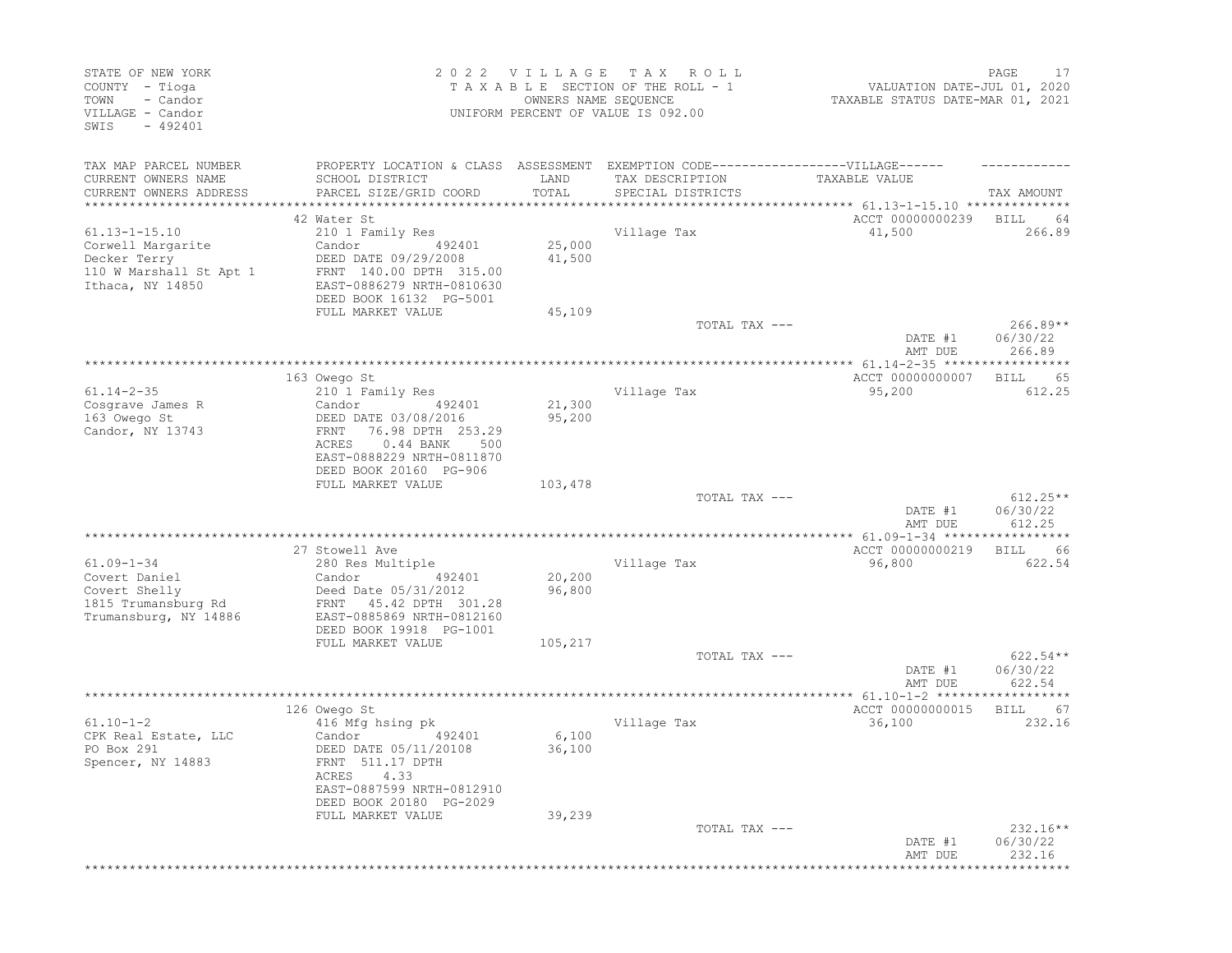| STATE OF NEW YORK<br>COUNTY - Tioga<br>TOWN<br>- Candor<br>VILLAGE - Candor<br>$-492401$<br>SWIS        |                                                                                                                                                                                                 | 2022 VILLAGE<br>OWNERS NAME SEQUENCE | T A X<br>R O L L<br>TAXABLE SECTION OF THE ROLL - 1<br>UNIFORM PERCENT OF VALUE IS 092.00 | VALUATION DATE-JUL 01, 2020<br>TAXABLE STATUS DATE-MAR 01, 2021 | PAGE<br>17                       |
|---------------------------------------------------------------------------------------------------------|-------------------------------------------------------------------------------------------------------------------------------------------------------------------------------------------------|--------------------------------------|-------------------------------------------------------------------------------------------|-----------------------------------------------------------------|----------------------------------|
| TAX MAP PARCEL NUMBER<br>CURRENT OWNERS NAME<br>CURRENT OWNERS ADDRESS<br>**********************        | PROPERTY LOCATION & CLASS ASSESSMENT EXEMPTION CODE-----------------VILLAGE------<br>SCHOOL DISTRICT<br>PARCEL SIZE/GRID COORD                                                                  | LAND<br>TOTAL                        | TAX DESCRIPTION<br>SPECIAL DISTRICTS                                                      | TAXABLE VALUE                                                   | TAX AMOUNT                       |
| $61.13 - 1 - 15.10$<br>Corwell Margarite<br>Decker Terry<br>110 W Marshall St Apt 1<br>Ithaca, NY 14850 | 42 Water St<br>210 1 Family Res<br>Candor<br>492401<br>DEED DATE 09/29/2008<br>FRNT 140.00 DPTH 315.00<br>EAST-0886279 NRTH-0810630<br>DEED BOOK 16132 PG-5001<br>FULL MARKET VALUE             | 25,000<br>41,500<br>45,109           | Village Tax                                                                               | ACCT 00000000239<br>41,500                                      | <b>BILL</b><br>64<br>266.89      |
|                                                                                                         |                                                                                                                                                                                                 |                                      | TOTAL TAX ---                                                                             | DATE #1<br>AMT DUE                                              | $266.89**$<br>06/30/22<br>266.89 |
| $61.14 - 2 - 35$<br>Cosgrave James R<br>163 Owego St<br>Candor, NY 13743                                | 163 Owego St<br>210 1 Family Res<br>Candor<br>492401<br>DEED DATE 03/08/2016<br>76.98 DPTH 253.29<br>FRNT<br>$0.44$ BANK<br>ACRES<br>500<br>EAST-0888229 NRTH-0811870<br>DEED BOOK 20160 PG-906 | 21,300<br>95,200                     | ************************<br>Village Tax                                                   | ******** 61.14-2-35 ******<br>ACCT 00000000007<br>95,200        | 65<br>BILL<br>612.25             |
|                                                                                                         | FULL MARKET VALUE                                                                                                                                                                               | 103,478                              | TOTAL TAX ---                                                                             | DATE #1<br>AMT DUE                                              | $612.25**$<br>06/30/22<br>612.25 |
| $61.09 - 1 - 34$<br>Covert Daniel<br>Covert Shelly<br>1815 Trumansburg Rd<br>Trumansburg, NY 14886      | 27 Stowell Ave<br>280 Res Multiple<br>Candor<br>492401<br>Deed Date 05/31/2012<br>FRNT 45.42 DPTH 301.28<br>EAST-0885869 NRTH-0812160<br>DEED BOOK 19918 PG-1001                                | 20,200<br>96,800                     | Village Tax                                                                               | ACCT 00000000219<br>96,800                                      | 66<br>BILL<br>622.54             |
|                                                                                                         | FULL MARKET VALUE                                                                                                                                                                               | 105,217                              | TOTAL TAX ---                                                                             | DATE #1<br>AMT DUE                                              | $622.54**$<br>06/30/22<br>622.54 |
| $61.10 - 1 - 2$<br>CPK Real Estate, LLC<br>PO Box 291<br>Spencer, NY 14883                              | 126 Owego St<br>416 Mfg hsing pk<br>492401<br>Candor<br>DEED DATE 05/11/20108<br>FRNT 511.17 DPTH<br>ACRES 4.33<br>EAST-0887599 NRTH-0812910<br>DEED BOOK 20180 PG-2029                         | 6,100<br>36,100                      | Village Tax                                                                               | ** 61.10-1-2 *******<br>ACCT 00000000015<br>36,100              | BILL<br>67<br>232.16             |
|                                                                                                         | FULL MARKET VALUE                                                                                                                                                                               | 39,239                               | TOTAL TAX ---                                                                             | DATE #1<br>AMT DUE                                              | $232.16**$<br>06/30/22<br>232.16 |
|                                                                                                         |                                                                                                                                                                                                 |                                      |                                                                                           |                                                                 |                                  |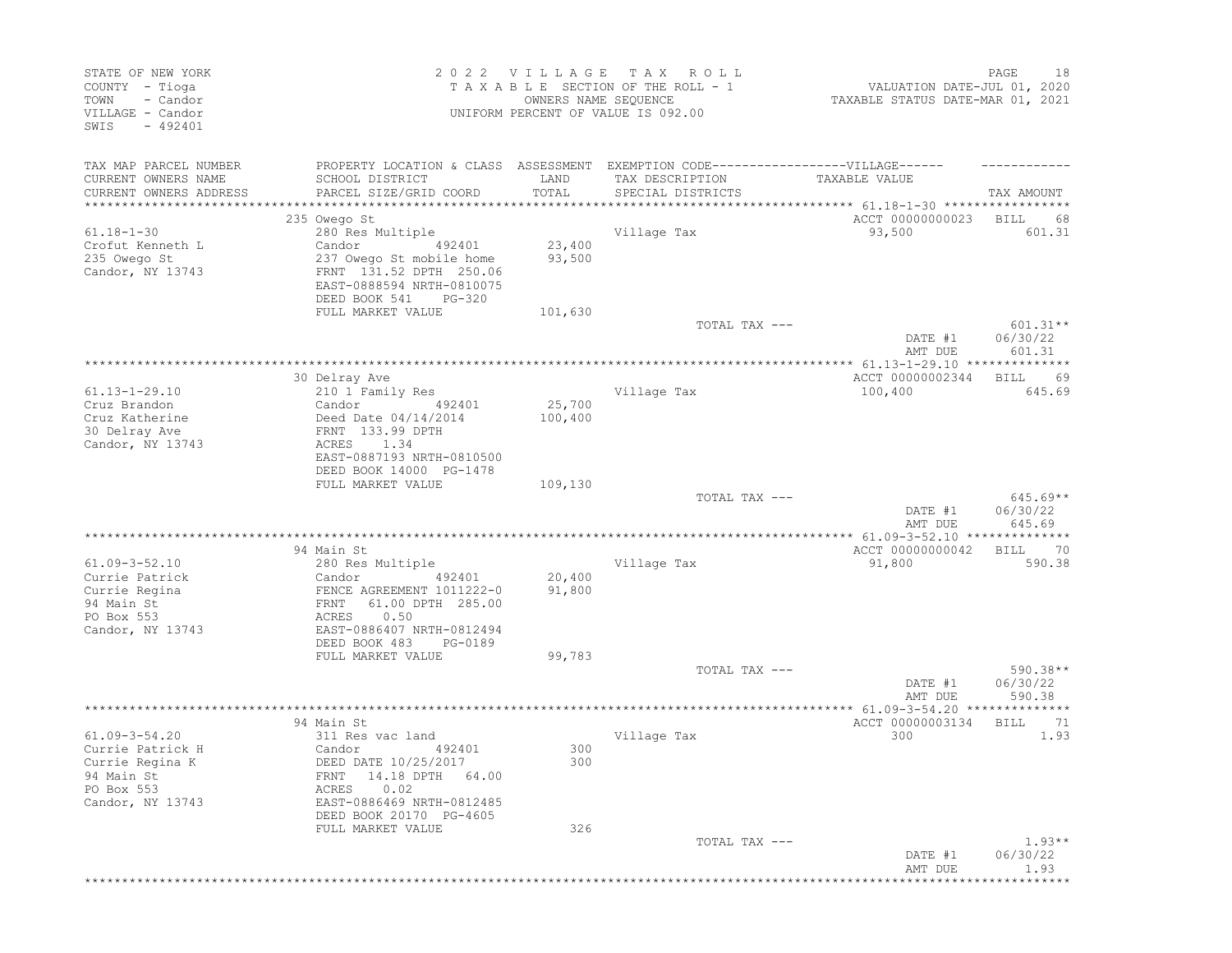| STATE OF NEW YORK<br>COUNTY - Tioga<br>- Candor<br>TOWN<br>VILLAGE - Candor<br>$-492401$<br>SWIS           |                                                                                                                                                                                                             | 2022 VILLAGE<br>OWNERS NAME SEQUENCE | T A X<br>R O L L<br>TAXABLE SECTION OF THE ROLL - 1<br>UNIFORM PERCENT OF VALUE IS 092.00 | VALUATION DATE-JUL 01, 2020<br>TAXABLE STATUS DATE-MAR 01, 2021              | 18<br>PAGE                       |
|------------------------------------------------------------------------------------------------------------|-------------------------------------------------------------------------------------------------------------------------------------------------------------------------------------------------------------|--------------------------------------|-------------------------------------------------------------------------------------------|------------------------------------------------------------------------------|----------------------------------|
| TAX MAP PARCEL NUMBER<br>CURRENT OWNERS NAME<br>CURRENT OWNERS ADDRESS<br>**********************           | PROPERTY LOCATION & CLASS ASSESSMENT EXEMPTION CODE-----------------VILLAGE------<br>SCHOOL DISTRICT<br>PARCEL SIZE/GRID COORD                                                                              | LAND<br>TOTAL                        | TAX DESCRIPTION<br>SPECIAL DISTRICTS                                                      | TAXABLE VALUE                                                                | TAX AMOUNT                       |
| $61.18 - 1 - 30$<br>Crofut Kenneth L<br>235 Owego St<br>Candor, NY 13743                                   | 235 Owego St<br>280 Res Multiple<br>Candor<br>492401<br>237 Owego St mobile home<br>FRNT 131.52 DPTH 250.06<br>EAST-0888594 NRTH-0810075<br>DEED BOOK 541<br>$PG-320$                                       | 23,400<br>93,500                     | Village Tax                                                                               | ACCT 00000000023<br>93,500                                                   | BILL<br>68<br>601.31             |
|                                                                                                            | FULL MARKET VALUE                                                                                                                                                                                           | 101,630                              | TOTAL TAX ---                                                                             | DATE #1<br>AMT DUE                                                           | $601.31**$<br>06/30/22<br>601.31 |
| $61.13 - 1 - 29.10$<br>Cruz Brandon<br>Cruz Katherine<br>30 Delray Ave<br>Candor, NY 13743                 | 30 Delray Ave<br>210 1 Family Res<br>Candor<br>492401<br>Deed Date 04/14/2014<br>FRNT 133.99 DPTH<br>1.34<br>ACRES<br>EAST-0887193 NRTH-0810500<br>DEED BOOK 14000 PG-1478                                  | 25,700<br>100,400                    | Village Tax                                                                               | ACCT 00000002344<br>100,400                                                  | 69<br>BILL<br>645.69             |
|                                                                                                            | FULL MARKET VALUE                                                                                                                                                                                           | 109,130                              | TOTAL TAX ---                                                                             | DATE #1<br>AMT DUE                                                           | $645.69**$<br>06/30/22<br>645.69 |
| $61.09 - 3 - 52.10$<br>Currie Patrick<br>Currie Regina<br>94 Main St<br>PO Box 553<br>Candor, NY 13743     | 94 Main St<br>280 Res Multiple<br>Candor<br>492401<br>FENCE AGREEMENT 1011222-0<br>FRNT<br>61.00 DPTH 285.00<br>0.50<br>ACRES<br>EAST-0886407 NRTH-0812494<br>DEED BOOK 483<br>PG-0189<br>FULL MARKET VALUE | 20,400<br>91,800<br>99,783           | **********************************<br>Village Tax                                         | **************** 61.09-3-52.10 ***************<br>ACCT 00000000042<br>91,800 | 70<br>BILL<br>590.38             |
|                                                                                                            |                                                                                                                                                                                                             |                                      | TOTAL TAX ---                                                                             | DATE #1<br>AMT DUE                                                           | 590.38**<br>06/30/22<br>590.38   |
| $61.09 - 3 - 54.20$<br>Currie Patrick H<br>Currie Regina K<br>94 Main St<br>PO Box 553<br>Candor, NY 13743 | 94 Main St<br>311 Res vac land<br>492401<br>Candor<br>DEED DATE 10/25/2017<br>FRNT 14.18 DPTH 64.00<br>0.02<br>ACRES<br>EAST-0886469 NRTH-0812485<br>DEED BOOK 20170 PG-4605<br>FULL MARKET VALUE           | 300<br>300<br>326                    | Village Tax                                                                               | ACCT 00000003134<br>300                                                      | <b>BILL</b><br>-71<br>1.93       |
|                                                                                                            |                                                                                                                                                                                                             |                                      | TOTAL TAX ---                                                                             | DATE #1<br>AMT DUE                                                           | $1.93**$<br>06/30/22<br>1.93     |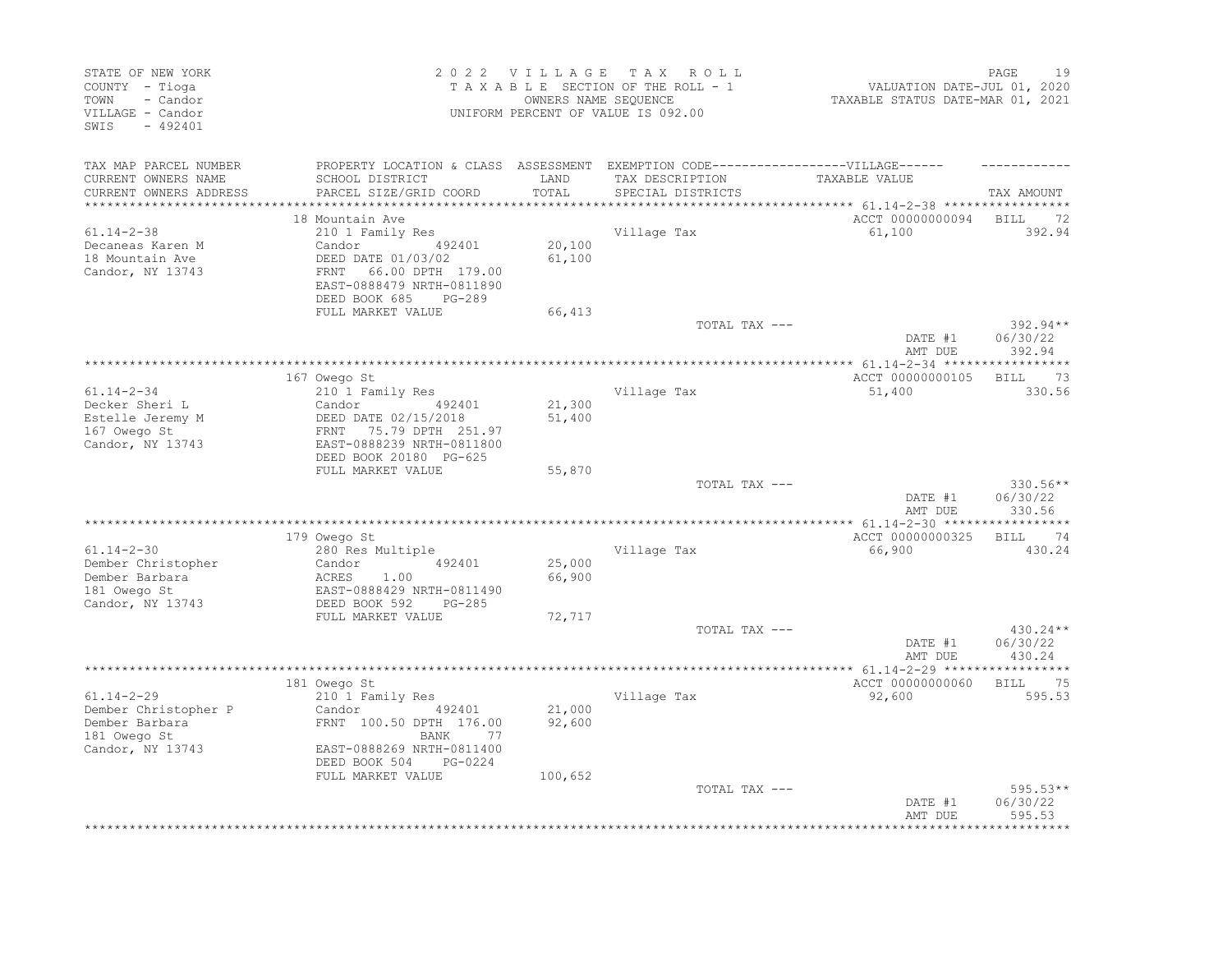| STATE OF NEW YORK<br>COUNTY - Tioga<br>TOWN<br>- Candor<br>VILLAGE - Candor<br>SWIS<br>$-492401$ |                                                                                                                                                  | 2022 VILLAGE TAX | ROLL<br>TAXABLE SECTION OF THE ROLL - 1<br>OWNERS NAME SEQUENCE<br>UNIFORM PERCENT OF VALUE IS 092.00 | VALUATION DATE-JUL 01, 2020<br>TAXABLE STATUS DATE-MAR 01, 2021 | 19<br>PAGE                     |
|--------------------------------------------------------------------------------------------------|--------------------------------------------------------------------------------------------------------------------------------------------------|------------------|-------------------------------------------------------------------------------------------------------|-----------------------------------------------------------------|--------------------------------|
| TAX MAP PARCEL NUMBER                                                                            |                                                                                                                                                  |                  | PROPERTY LOCATION & CLASS ASSESSMENT EXEMPTION CODE----------------VILLAGE------                      |                                                                 |                                |
| CURRENT OWNERS NAME<br>CURRENT OWNERS ADDRESS                                                    | SCHOOL DISTRICT<br>PARCEL SIZE/GRID COORD                                                                                                        | LAND<br>TOTAL    | TAX DESCRIPTION<br>SPECIAL DISTRICTS                                                                  | TAXABLE VALUE                                                   | TAX AMOUNT                     |
| **********************                                                                           | 18 Mountain Ave                                                                                                                                  |                  |                                                                                                       | ACCT 00000000094                                                | BILL<br>- 72                   |
| $61.14 - 2 - 38$                                                                                 | 210 1 Family Res                                                                                                                                 |                  | Village Tax                                                                                           | 61,100                                                          | 392.94                         |
| Decaneas Karen M<br>18 Mountain Ave<br>Candor, NY 13743                                          | 492401<br>Candor<br>DEED DATE 01/03/02<br>66.00 DPTH 179.00<br>FRNT<br>EAST-0888479 NRTH-0811890<br>DEED BOOK 685<br>PG-289                      | 20,100<br>61,100 |                                                                                                       |                                                                 |                                |
|                                                                                                  | FULL MARKET VALUE                                                                                                                                | 66,413           |                                                                                                       |                                                                 |                                |
|                                                                                                  |                                                                                                                                                  |                  | TOTAL TAX ---                                                                                         | DATE #1<br>AMT DUE                                              | 392.94**<br>06/30/22<br>392.94 |
|                                                                                                  |                                                                                                                                                  |                  |                                                                                                       |                                                                 |                                |
|                                                                                                  | 167 Owego St                                                                                                                                     |                  |                                                                                                       | ACCT 00000000105                                                | <b>BILL</b><br>73              |
| $61.14 - 2 - 34$<br>Decker Sheri L<br>Estelle Jeremy M<br>167 Owego St<br>Candor, NY 13743       | 210 1 Family Res<br>Candor<br>492401<br>DEED DATE 02/15/2018<br>75.79 DPTH 251.97<br>FRNT<br>EAST-0888239 NRTH-0811800<br>DEED BOOK 20180 PG-625 | 21,300<br>51,400 | Village Tax                                                                                           | 51,400                                                          | 330.56                         |
|                                                                                                  | FULL MARKET VALUE                                                                                                                                | 55,870           |                                                                                                       |                                                                 |                                |
|                                                                                                  |                                                                                                                                                  |                  | TOTAL TAX ---                                                                                         | DATE #1<br>AMT DUE                                              | 330.56**<br>06/30/22<br>330.56 |
|                                                                                                  | 179 Owego St                                                                                                                                     |                  |                                                                                                       | ACCT 00000000325                                                | 74<br>BILL                     |
| $61.14 - 2 - 30$                                                                                 | 280 Res Multiple                                                                                                                                 |                  | Village Tax                                                                                           | 66,900                                                          | 430.24                         |
| Dember Christopher<br>Dember Barbara<br>181 Owego St<br>Candor, NY 13743                         | Candor<br>492401<br>ACRES<br>1.00<br>EAST-0888429 NRTH-0811490<br>DEED BOOK 592<br>$PG-285$                                                      | 25,000<br>66,900 |                                                                                                       |                                                                 |                                |
|                                                                                                  | FULL MARKET VALUE                                                                                                                                | 72,717           |                                                                                                       |                                                                 |                                |
|                                                                                                  |                                                                                                                                                  |                  | TOTAL TAX ---                                                                                         | DATE #1<br>AMT DUE                                              | 430.24**<br>06/30/22<br>430.24 |
|                                                                                                  | **********************                                                                                                                           |                  | **********************************                                                                    | ******* 61.14-2-29 ******                                       | ***********                    |
| $61.14 - 2 - 29$                                                                                 | 181 Owego St<br>210 1 Family Res                                                                                                                 |                  | Village Tax                                                                                           | ACCT 00000000060<br>92,600                                      | BILL 75<br>595.53              |
| Dember Christopher P<br>Dember Barbara<br>181 Owego St                                           | Candor<br>492401<br>FRNT 100.50 DPTH 176.00<br>BANK<br>77                                                                                        | 21,000<br>92,600 |                                                                                                       |                                                                 |                                |
| Candor, NY 13743                                                                                 | EAST-0888269 NRTH-0811400<br>DEED BOOK 504<br>PG-0224<br>FULL MARKET VALUE                                                                       | 100,652          |                                                                                                       |                                                                 |                                |
|                                                                                                  |                                                                                                                                                  |                  | TOTAL TAX ---                                                                                         | DATE #1<br>AMT DUE                                              | 595.53**<br>06/30/22<br>595.53 |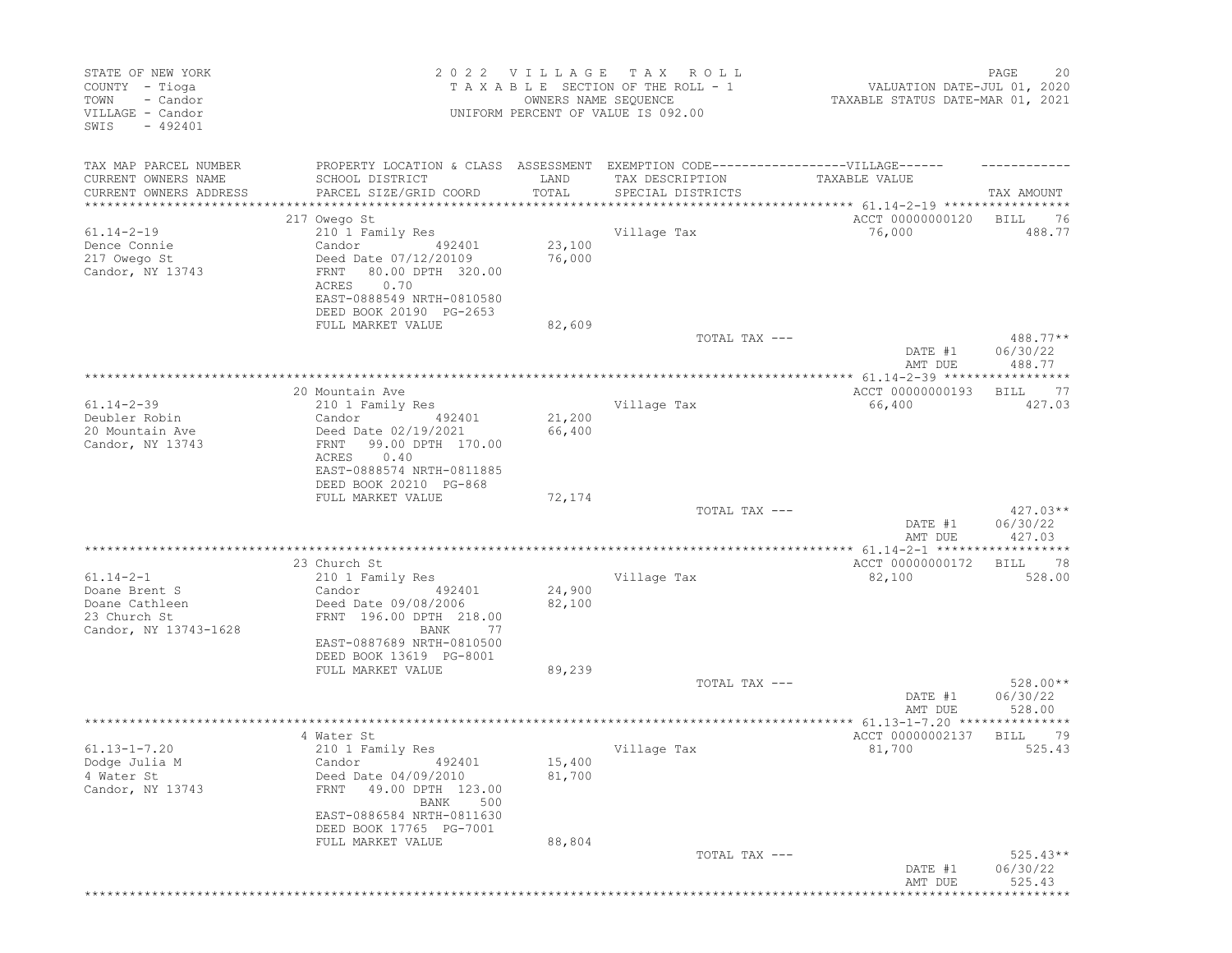| STATE OF NEW YORK<br>COUNTY - Tioga<br>TOWN<br>- Candor<br>VILLAGE - Candor<br>$-492401$<br>SWIS |                                                                                                                                                                     | 2022 VILLAGE<br>OWNERS NAME SEQUENCE | T A X<br>ROLL<br>TAXABLE SECTION OF THE ROLL - 1<br>UNIFORM PERCENT OF VALUE IS 092.00 | VALUATION DATE-JUL 01, 2020<br>TAXABLE STATUS DATE-MAR 01, 2021 | PAGE<br>20                       |
|--------------------------------------------------------------------------------------------------|---------------------------------------------------------------------------------------------------------------------------------------------------------------------|--------------------------------------|----------------------------------------------------------------------------------------|-----------------------------------------------------------------|----------------------------------|
| TAX MAP PARCEL NUMBER                                                                            | PROPERTY LOCATION & CLASS ASSESSMENT EXEMPTION CODE-----------------VILLAGE------                                                                                   |                                      |                                                                                        |                                                                 |                                  |
| CURRENT OWNERS NAME                                                                              | SCHOOL DISTRICT                                                                                                                                                     | LAND                                 | TAX DESCRIPTION                                                                        | TAXABLE VALUE                                                   |                                  |
| CURRENT OWNERS ADDRESS<br>**************                                                         | PARCEL SIZE/GRID COORD<br>************************                                                                                                                  | TOTAL<br>**************              | SPECIAL DISTRICTS                                                                      |                                                                 | TAX AMOUNT                       |
|                                                                                                  | 217 Owego St                                                                                                                                                        |                                      |                                                                                        | ACCT 00000000120                                                | <b>BILL</b><br>76                |
| $61.14 - 2 - 19$<br>Dence Connie<br>217 Owego St<br>Candor, NY 13743                             | 210 1 Family Res<br>Candor<br>492401<br>Deed Date 07/12/20109<br>80.00 DPTH 320.00<br>FRNT<br>0.70<br>ACRES<br>EAST-0888549 NRTH-0810580<br>DEED BOOK 20190 PG-2653 | 23,100<br>76,000                     | Village Tax                                                                            | 76,000                                                          | 488.77                           |
|                                                                                                  | FULL MARKET VALUE                                                                                                                                                   | 82,609                               | TOTAL TAX ---                                                                          |                                                                 | 488.77**                         |
|                                                                                                  |                                                                                                                                                                     |                                      |                                                                                        | DATE #1<br>AMT DUE                                              | 06/30/22<br>488.77               |
|                                                                                                  |                                                                                                                                                                     |                                      |                                                                                        | ****************** 61.14-2-39 ***********                       | ******                           |
| $61.14 - 2 - 39$<br>Deubler Robin                                                                | 20 Mountain Ave<br>210 1 Family Res<br>Candor<br>492401                                                                                                             | 21,200                               | Village Tax                                                                            | ACCT 00000000193<br>66,400                                      | 77<br>BILL<br>427.03             |
| 20 Mountain Ave<br>Candor, NY 13743                                                              | Deed Date 02/19/2021<br>99.00 DPTH 170.00<br>FRNT<br>0.40<br>ACRES<br>EAST-0888574 NRTH-0811885<br>DEED BOOK 20210 PG-868                                           | 66,400                               |                                                                                        |                                                                 |                                  |
|                                                                                                  | FULL MARKET VALUE                                                                                                                                                   | 72,174                               | TOTAL TAX ---                                                                          | DATE #1<br>AMT DUE                                              | $427.03**$<br>06/30/22<br>427.03 |
|                                                                                                  |                                                                                                                                                                     |                                      |                                                                                        |                                                                 |                                  |
|                                                                                                  | 23 Church St                                                                                                                                                        |                                      |                                                                                        | ACCT 00000000172                                                | - 78<br>BILL                     |
| $61.14 - 2 - 1$<br>Doane Brent S<br>Doane Cathleen<br>23 Church St<br>Candor, NY 13743-1628      | 210 1 Family Res<br>Candor<br>492401<br>Deed Date 09/08/2006<br>FRNT 196.00 DPTH 218.00<br>BANK<br>77                                                               | 24,900<br>82,100                     | Village Tax                                                                            | 82,100                                                          | 528.00                           |
|                                                                                                  | EAST-0887689 NRTH-0810500<br>DEED BOOK 13619 PG-8001                                                                                                                |                                      |                                                                                        |                                                                 |                                  |
|                                                                                                  | FULL MARKET VALUE                                                                                                                                                   | 89,239                               |                                                                                        |                                                                 |                                  |
|                                                                                                  |                                                                                                                                                                     |                                      | TOTAL TAX ---                                                                          | DATE #1<br>AMT DUE                                              | 528.00**<br>06/30/22<br>528.00   |
|                                                                                                  |                                                                                                                                                                     |                                      |                                                                                        |                                                                 |                                  |
| $61.13 - 1 - 7.20$<br>Dodge Julia M<br>4 Water St<br>Candor, NY 13743                            | 4 Water St<br>210 1 Family Res<br>Candor 492401<br>Deed Date 04/09/2010<br>49.00 DPTH 123.00<br>FRNT<br>BANK<br>500                                                 | 15,400<br>81,700                     | Village Tax                                                                            | ACCT 00000002137<br>81,700                                      | 79<br>BILL<br>525.43             |
|                                                                                                  | EAST-0886584 NRTH-0811630<br>DEED BOOK 17765 PG-7001<br>FULL MARKET VALUE                                                                                           | 88,804                               |                                                                                        |                                                                 |                                  |
|                                                                                                  |                                                                                                                                                                     |                                      | TOTAL TAX ---                                                                          | DATE #1<br>AMT DUE                                              | $525.43**$<br>06/30/22<br>525.43 |
|                                                                                                  |                                                                                                                                                                     |                                      |                                                                                        | **************************                                      |                                  |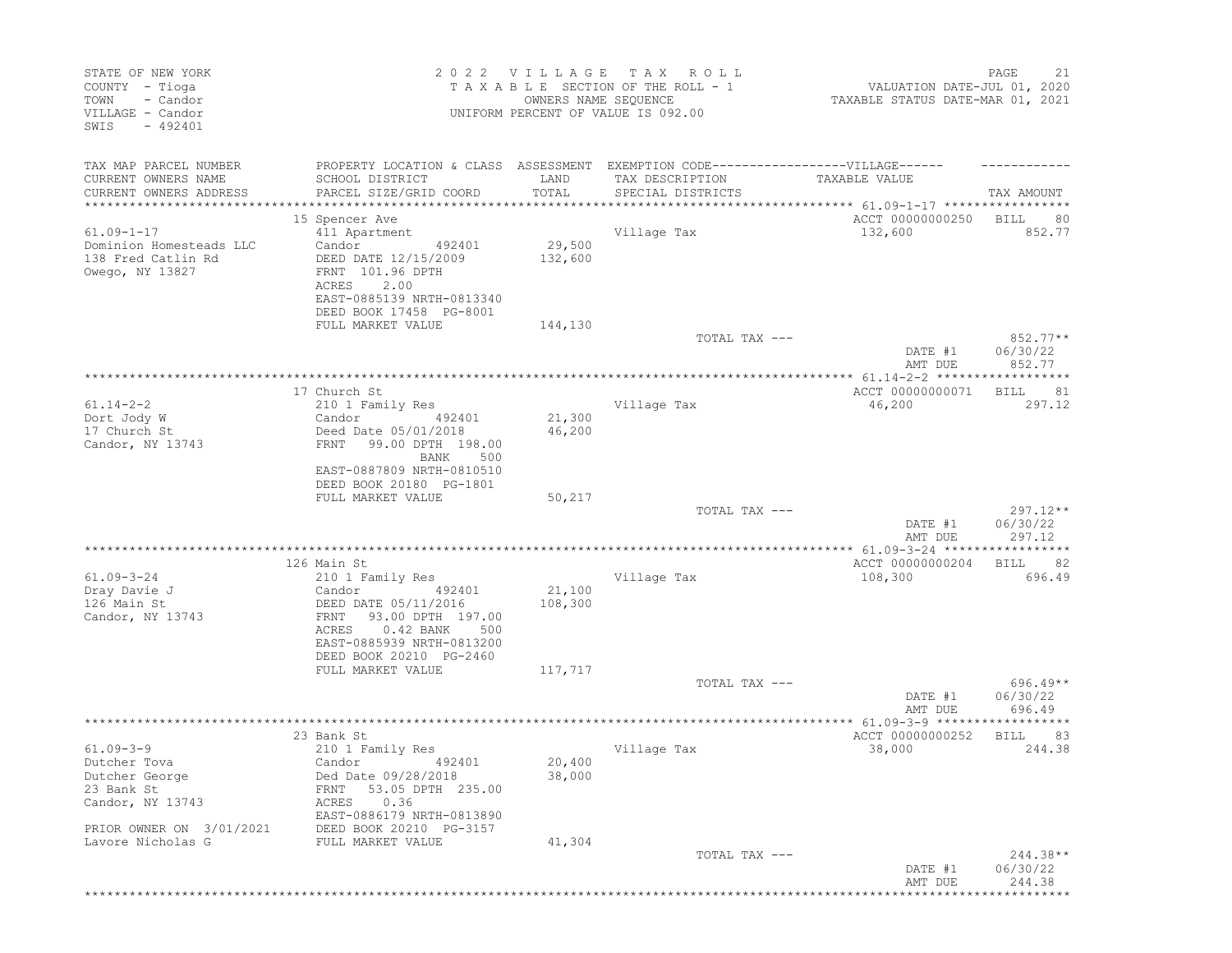| STATE OF NEW YORK<br>COUNTY - Tioga<br>TOWN<br>- Candor<br>VILLAGE - Candor<br>$-492401$<br>SWIS                |                                                                                                                                                                                                                      | 2022 VILLAGE<br>OWNERS NAME SEQUENCE | T A X<br>R O L L<br>TAXABLE SECTION OF THE ROLL - 1<br>UNIFORM PERCENT OF VALUE IS 092.00 | VALUATION DATE-JUL 01, 2020<br>TAXABLE STATUS DATE-MAR 01, 2021 | PAGE<br>21                            |
|-----------------------------------------------------------------------------------------------------------------|----------------------------------------------------------------------------------------------------------------------------------------------------------------------------------------------------------------------|--------------------------------------|-------------------------------------------------------------------------------------------|-----------------------------------------------------------------|---------------------------------------|
| TAX MAP PARCEL NUMBER<br>CURRENT OWNERS NAME<br>CURRENT OWNERS ADDRESS<br>***************                       | PROPERTY LOCATION & CLASS ASSESSMENT EXEMPTION CODE-----------------VILLAGE------<br>SCHOOL DISTRICT<br>PARCEL SIZE/GRID COORD<br>**************************                                                         | LAND<br>TOTAL                        | TAX DESCRIPTION<br>SPECIAL DISTRICTS                                                      | TAXABLE VALUE                                                   | TAX AMOUNT                            |
| $61.09 - 1 - 17$<br>Dominion Homesteads LLC<br>138 Fred Catlin Rd<br>Owego, NY 13827                            | 15 Spencer Ave<br>411 Apartment<br>Candor<br>492401<br>DEED DATE 12/15/2009<br>FRNT 101.96 DPTH<br>2.00<br>ACRES<br>EAST-0885139 NRTH-0813340<br>DEED BOOK 17458 PG-8001<br>FULL MARKET VALUE                        | 29,500<br>132,600<br>144,130         | Village Tax                                                                               | ACCT 00000000250<br>132,600                                     | <b>BILL</b><br>80<br>852.77           |
|                                                                                                                 |                                                                                                                                                                                                                      |                                      | TOTAL TAX ---                                                                             | DATE #1<br>AMT DUE                                              | $852.77**$<br>06/30/22<br>852.77      |
| $61.14 - 2 - 2$<br>Dort Jody W<br>17 Church St<br>Candor, NY 13743                                              | 17 Church St<br>210 1 Family Res<br>Candor<br>492401<br>Deed Date 05/01/2018<br>99.00 DPTH 198.00<br>FRNT<br>BANK<br>500<br>EAST-0887809 NRTH-0810510<br>DEED BOOK 20180 PG-1801                                     | 21,300<br>46,200                     | Village Tax                                                                               | ACCT 00000000071<br>46,200                                      | ******<br><b>BILL</b><br>81<br>297.12 |
|                                                                                                                 | FULL MARKET VALUE                                                                                                                                                                                                    | 50,217                               | TOTAL TAX ---                                                                             | DATE #1<br>AMT DUE                                              | $297.12**$<br>06/30/22<br>297.12      |
|                                                                                                                 |                                                                                                                                                                                                                      |                                      |                                                                                           |                                                                 |                                       |
| $61.09 - 3 - 24$<br>Dray Davie J<br>126 Main St<br>Candor, NY 13743                                             | 126 Main St<br>210 1 Family Res<br>492401<br>Candor<br>DEED DATE 05/11/2016<br>93.00 DPTH 197.00<br>FRNT<br>ACRES<br>$0.42$ BANK<br>500<br>EAST-0885939 NRTH-0813200<br>DEED BOOK 20210 PG-2460<br>FULL MARKET VALUE | 21,100<br>108,300<br>117,717         | Village Tax                                                                               | ACCT 00000000204<br>108,300                                     | 82<br>BILL<br>696.49                  |
|                                                                                                                 |                                                                                                                                                                                                                      |                                      | TOTAL TAX ---                                                                             | DATE #1                                                         | $696.49**$<br>06/30/22                |
|                                                                                                                 |                                                                                                                                                                                                                      |                                      |                                                                                           | AMT DUE                                                         | 696.49                                |
| $61.09 - 3 - 9$<br>Dutcher Tova<br>Dutcher George<br>23 Bank St<br>Candor, NY 13743<br>PRIOR OWNER ON 3/01/2021 | 23 Bank St<br>210 1 Family Res<br>Candor 492401<br>Ded Date 09/28/2018<br>53.05 DPTH 235.00<br>FRNT<br>0.36<br>ACRES<br>EAST-0886179 NRTH-0813890<br>DEED BOOK 20210 PG-3157                                         | 20,400<br>38,000                     | Village Tax                                                                               | ACCT 00000000252<br>38,000                                      | 83<br>BILL<br>244.38                  |
| Lavore Nicholas G                                                                                               | FULL MARKET VALUE                                                                                                                                                                                                    | 41,304                               | TOTAL TAX ---                                                                             | DATE #1<br>AMT DUE                                              | $244.38**$<br>06/30/22<br>244.38      |
|                                                                                                                 |                                                                                                                                                                                                                      |                                      |                                                                                           |                                                                 |                                       |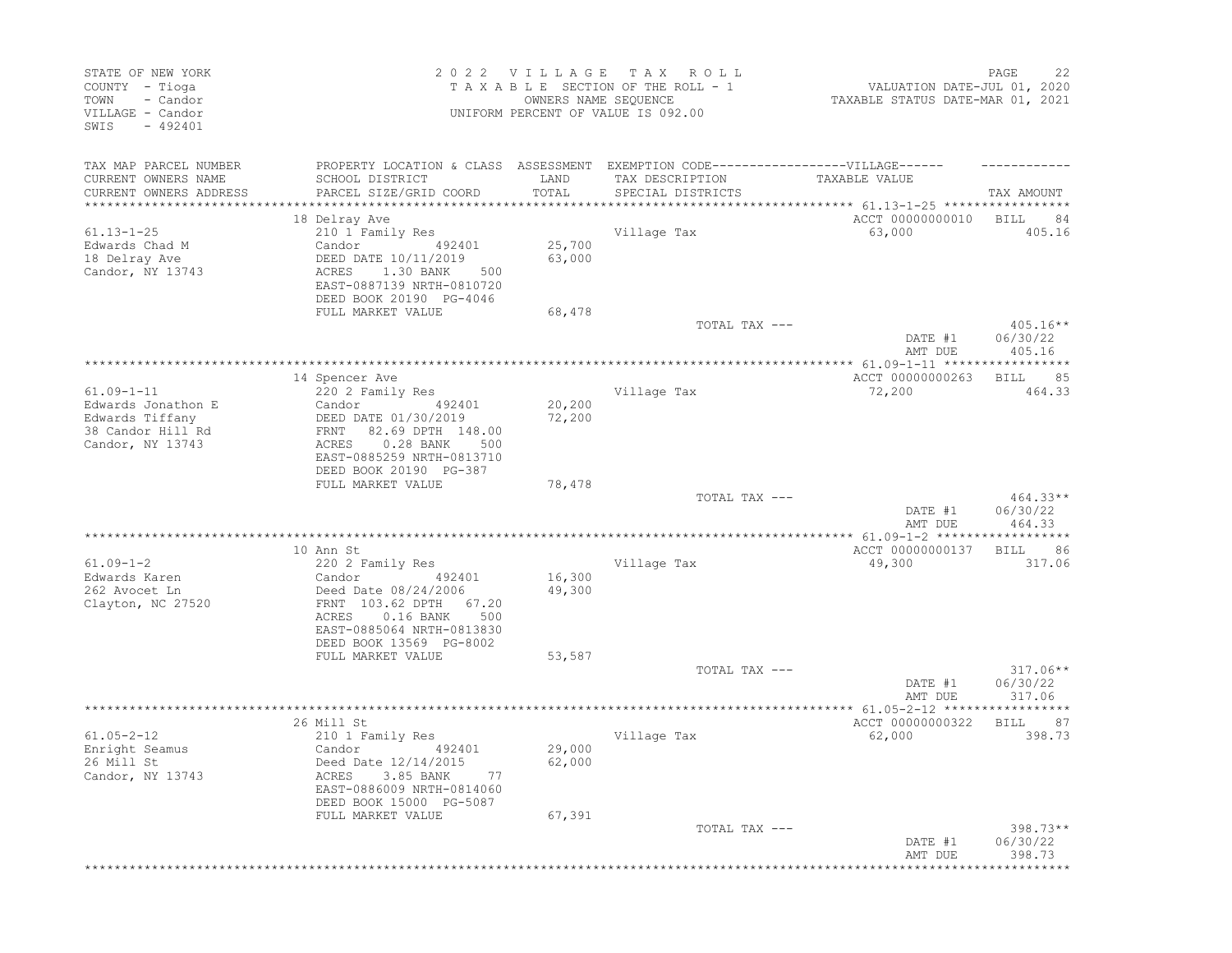| STATE OF NEW YORK<br>COUNTY - Tioga<br>- Candor<br>TOWN<br>VILLAGE - Candor<br>$-492401$<br>SWIS |                                                                                                                                                              | 2022 VILLAGE<br>OWNERS NAME SEQUENCE | T A X<br>R O L L<br>TAXABLE SECTION OF THE ROLL - 1<br>UNIFORM PERCENT OF VALUE IS 092.00 | VALUATION DATE-JUL 01, 2020<br>TAXABLE STATUS DATE-MAR 01, 2021 | PAGE<br>22                       |
|--------------------------------------------------------------------------------------------------|--------------------------------------------------------------------------------------------------------------------------------------------------------------|--------------------------------------|-------------------------------------------------------------------------------------------|-----------------------------------------------------------------|----------------------------------|
| TAX MAP PARCEL NUMBER<br>CURRENT OWNERS NAME                                                     | PROPERTY LOCATION & CLASS ASSESSMENT<br>SCHOOL DISTRICT                                                                                                      | LAND                                 | EXEMPTION CODE-------------------VILLAGE------<br>TAX DESCRIPTION                         | TAXABLE VALUE                                                   |                                  |
| CURRENT OWNERS ADDRESS<br>*********************                                                  | PARCEL SIZE/GRID COORD                                                                                                                                       | TOTAL                                | SPECIAL DISTRICTS                                                                         |                                                                 | TAX AMOUNT                       |
|                                                                                                  | 18 Delray Ave                                                                                                                                                |                                      |                                                                                           | ACCT 00000000010                                                | <b>BILL</b><br>84                |
| $61.13 - 1 - 25$<br>Edwards Chad M                                                               | 210 1 Family Res<br>Candor<br>492401                                                                                                                         | 25,700                               | Village Tax                                                                               | 63,000                                                          | 405.16                           |
| 18 Delray Ave<br>Candor, NY 13743                                                                | DEED DATE 10/11/2019<br>ACRES<br>1.30 BANK<br>500<br>EAST-0887139 NRTH-0810720<br>DEED BOOK 20190 PG-4046                                                    | 63,000                               |                                                                                           |                                                                 |                                  |
|                                                                                                  | FULL MARKET VALUE                                                                                                                                            | 68,478                               |                                                                                           |                                                                 |                                  |
|                                                                                                  |                                                                                                                                                              |                                      | TOTAL TAX ---                                                                             | DATE #1<br>AMT DUE                                              | $405.16**$<br>06/30/22<br>405.16 |
|                                                                                                  |                                                                                                                                                              |                                      |                                                                                           |                                                                 |                                  |
| $61.09 - 1 - 11$                                                                                 | 14 Spencer Ave                                                                                                                                               |                                      |                                                                                           | ACCT 00000000263<br>72,200                                      | 85<br>BILL<br>464.33             |
| Edwards Jonathon E                                                                               | 220 2 Family Res<br>Candor<br>492401                                                                                                                         | 20,200                               | Village Tax                                                                               |                                                                 |                                  |
| Edwards Tiffany                                                                                  | DEED DATE 01/30/2019                                                                                                                                         | 72,200                               |                                                                                           |                                                                 |                                  |
| 38 Candor Hill Rd<br>Candor, NY 13743                                                            | 82.69 DPTH 148.00<br>FRNT<br>$0.28$ BANK<br>ACRES<br>500<br>EAST-0885259 NRTH-0813710<br>DEED BOOK 20190 PG-387                                              |                                      |                                                                                           |                                                                 |                                  |
|                                                                                                  | FULL MARKET VALUE                                                                                                                                            | 78,478                               |                                                                                           |                                                                 |                                  |
|                                                                                                  |                                                                                                                                                              |                                      | TOTAL TAX ---                                                                             | DATE #1<br>AMT DUE                                              | $464.33**$<br>06/30/22<br>464.33 |
|                                                                                                  |                                                                                                                                                              |                                      |                                                                                           | **************** 61.09-1-2 *******************                  |                                  |
|                                                                                                  | 10 Ann St                                                                                                                                                    |                                      |                                                                                           | ACCT 00000000137                                                | 86<br>BILL                       |
| $61.09 - 1 - 2$                                                                                  | 220 2 Family Res                                                                                                                                             |                                      | Village Tax                                                                               | 49,300                                                          | 317.06                           |
| Edwards Karen<br>262 Avocet Ln<br>Clayton, NC 27520                                              | Candor<br>492401<br>Deed Date 08/24/2006<br>FRNT 103.62 DPTH<br>67.20<br>$0.16$ BANK<br>500<br>ACRES<br>EAST-0885064 NRTH-0813830<br>DEED BOOK 13569 PG-8002 | 16,300<br>49,300                     |                                                                                           |                                                                 |                                  |
|                                                                                                  | FULL MARKET VALUE                                                                                                                                            | 53,587                               |                                                                                           |                                                                 |                                  |
|                                                                                                  |                                                                                                                                                              |                                      | TOTAL TAX ---                                                                             | DATE #1<br>AMT DUE                                              | $317.06**$<br>06/30/22<br>317.06 |
|                                                                                                  |                                                                                                                                                              |                                      |                                                                                           |                                                                 |                                  |
|                                                                                                  | 26 Mill St                                                                                                                                                   |                                      |                                                                                           | ACCT 00000000322                                                | <b>BILL</b><br>87                |
| $61.05 - 2 - 12$<br>Enright Seamus<br>26 Mill St<br>Candor, NY 13743                             | 210 1 Family Res<br>Candor<br>492401<br>Deed Date 12/14/2015<br>ACRES 3.85 BANK<br>-77<br>EAST-0886009 NRTH-0814060                                          | 29,000<br>62,000                     | Village Tax                                                                               | 62,000                                                          | 398.73                           |
|                                                                                                  | DEED BOOK 15000 PG-5087<br>FULL MARKET VALUE                                                                                                                 | 67,391                               |                                                                                           |                                                                 |                                  |
|                                                                                                  |                                                                                                                                                              |                                      | TOTAL TAX ---                                                                             | DATE #1                                                         | $398.73**$<br>06/30/22           |
|                                                                                                  |                                                                                                                                                              |                                      |                                                                                           | AMT DUE                                                         | 398.73                           |
|                                                                                                  |                                                                                                                                                              |                                      |                                                                                           |                                                                 |                                  |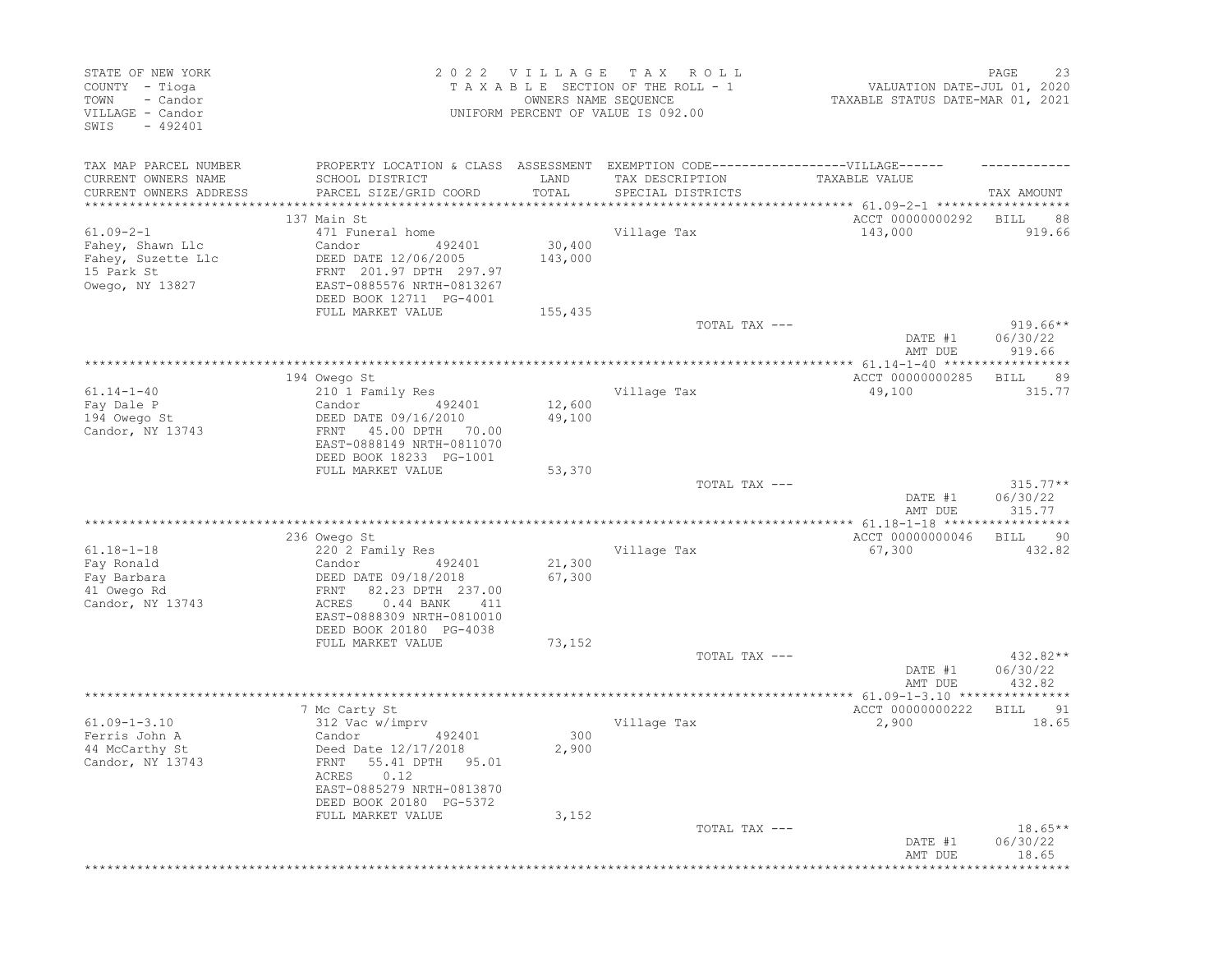| STATE OF NEW YORK<br>COUNTY - Tioga<br>- Candor<br>TOWN<br>VILLAGE - Candor<br>$-492401$<br>SWIS |                                                                  | 2022 VILLAGE<br>OWNERS NAME SEQUENCE | T A X<br>R O L L<br>TAXABLE SECTION OF THE ROLL - 1<br>UNIFORM PERCENT OF VALUE IS 092.00 | VALUATION DATE-JUL 01, 2020<br>TAXABLE STATUS DATE-MAR 01, 2021 | 23<br>PAGE                       |
|--------------------------------------------------------------------------------------------------|------------------------------------------------------------------|--------------------------------------|-------------------------------------------------------------------------------------------|-----------------------------------------------------------------|----------------------------------|
| TAX MAP PARCEL NUMBER                                                                            | PROPERTY LOCATION & CLASS ASSESSMENT                             |                                      | EXEMPTION CODE-------------------VILLAGE------                                            |                                                                 |                                  |
| CURRENT OWNERS NAME                                                                              | SCHOOL DISTRICT                                                  | LAND                                 | TAX DESCRIPTION                                                                           | TAXABLE VALUE                                                   |                                  |
| CURRENT OWNERS ADDRESS<br>***********************                                                | PARCEL SIZE/GRID COORD                                           | TOTAL                                | SPECIAL DISTRICTS                                                                         |                                                                 | TAX AMOUNT                       |
|                                                                                                  | 137 Main St                                                      |                                      |                                                                                           | ACCT 00000000292                                                | BILL<br>88                       |
| $61.09 - 2 - 1$                                                                                  | 471 Funeral home                                                 |                                      | Village Tax                                                                               | 143,000                                                         | 919.66                           |
| Fahey, Shawn Llc                                                                                 | Candor<br>492401<br>DEED DATE 12/06/2005                         | 30,400<br>143,000                    |                                                                                           |                                                                 |                                  |
| Fahey, Suzette Llc<br>15 Park St                                                                 | FRNT 201.97 DPTH 297.97                                          |                                      |                                                                                           |                                                                 |                                  |
| Owego, NY 13827                                                                                  | EAST-0885576 NRTH-0813267<br>DEED BOOK 12711 PG-4001             |                                      |                                                                                           |                                                                 |                                  |
|                                                                                                  | FULL MARKET VALUE                                                | 155,435                              |                                                                                           |                                                                 |                                  |
|                                                                                                  |                                                                  |                                      | TOTAL TAX ---                                                                             | DATE #1<br>AMT DUE                                              | $919.66**$<br>06/30/22<br>919.66 |
|                                                                                                  |                                                                  |                                      |                                                                                           |                                                                 |                                  |
|                                                                                                  | 194 Owego St                                                     |                                      |                                                                                           | ACCT 00000000285                                                | 89<br>BILL                       |
| $61.14 - 1 - 40$<br>Fay Dale P                                                                   | 210 1 Family Res<br>Candor<br>492401                             | 12,600                               | Village Tax                                                                               | 49,100                                                          | 315.77                           |
| 194 Owego St                                                                                     | DEED DATE 09/16/2010                                             | 49,100                               |                                                                                           |                                                                 |                                  |
| Candor, NY 13743                                                                                 | 45.00 DPTH 70.00<br>FRNT<br>EAST-0888149 NRTH-0811070            |                                      |                                                                                           |                                                                 |                                  |
|                                                                                                  | DEED BOOK 18233 PG-1001<br>FULL MARKET VALUE                     | 53,370                               |                                                                                           |                                                                 |                                  |
|                                                                                                  |                                                                  |                                      | TOTAL TAX ---                                                                             | DATE #1                                                         | $315.77**$<br>06/30/22           |
|                                                                                                  |                                                                  |                                      |                                                                                           | AMT DUE                                                         | 315.77                           |
|                                                                                                  | 236 Owego St                                                     |                                      |                                                                                           | ACCT 00000000046                                                | 90<br><b>BILL</b>                |
| $61.18 - 1 - 18$                                                                                 | 220 2 Family Res                                                 |                                      | Village Tax                                                                               | 67,300                                                          | 432.82                           |
| Fay Ronald                                                                                       | Candor<br>492401                                                 | 21,300                               |                                                                                           |                                                                 |                                  |
| Fay Barbara<br>41 Owego Rd                                                                       | DEED DATE 09/18/2018<br>82.23 DPTH 237.00<br>FRNT                | 67,300                               |                                                                                           |                                                                 |                                  |
| Candor, NY 13743                                                                                 | $0.44$ BANK<br>ACRES<br>411                                      |                                      |                                                                                           |                                                                 |                                  |
|                                                                                                  | EAST-0888309 NRTH-0810010                                        |                                      |                                                                                           |                                                                 |                                  |
|                                                                                                  | DEED BOOK 20180 PG-4038<br>FULL MARKET VALUE                     | 73,152                               |                                                                                           |                                                                 |                                  |
|                                                                                                  |                                                                  |                                      | TOTAL TAX ---                                                                             |                                                                 | $432.82**$                       |
|                                                                                                  |                                                                  |                                      |                                                                                           | DATE #1<br>AMT DUE                                              | 06/30/22<br>432.82               |
|                                                                                                  |                                                                  |                                      |                                                                                           |                                                                 |                                  |
| $61.09 - 1 - 3.10$                                                                               | 7 Mc Carty St<br>312 Vac w/imprv                                 |                                      | Village Tax                                                                               | ACCT 00000000222<br>2,900                                       | 91<br>BILL<br>18.65              |
| Ferris John A                                                                                    | Candor<br>492401                                                 | 300                                  |                                                                                           |                                                                 |                                  |
| 44 McCarthy St                                                                                   | Deed Date 12/17/2018                                             | 2,900                                |                                                                                           |                                                                 |                                  |
| Candor, NY 13743                                                                                 | FRNT 55.41 DPTH 95.01<br>ACRES 0.12<br>EAST-0885279 NRTH-0813870 |                                      |                                                                                           |                                                                 |                                  |
|                                                                                                  | DEED BOOK 20180 PG-5372<br>FULL MARKET VALUE                     | 3,152                                |                                                                                           |                                                                 |                                  |
|                                                                                                  |                                                                  |                                      | TOTAL TAX ---                                                                             |                                                                 | $18.65**$                        |
|                                                                                                  |                                                                  |                                      |                                                                                           | DATE #1<br>AMT DUE                                              | 06/30/22<br>18.65                |
|                                                                                                  |                                                                  |                                      |                                                                                           |                                                                 |                                  |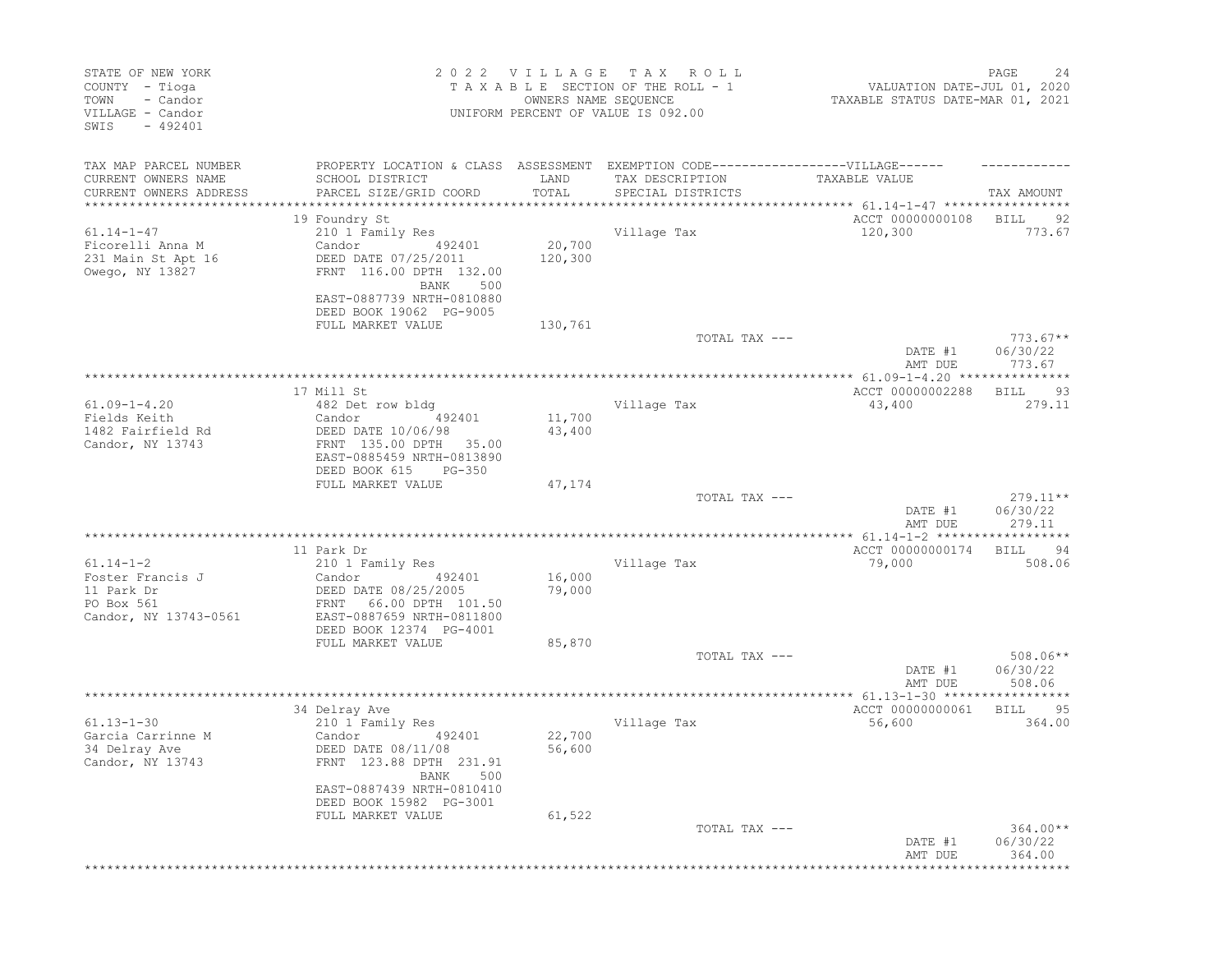| STATE OF NEW YORK<br>COUNTY - Tioga<br>- Candor<br>TOWN<br>VILLAGE - Candor<br>$-492401$<br>SWIS |                                                                                                           | 2022 VILLAGE<br>OWNERS NAME SEQUENCE | T A X<br>R O L L<br>TAXABLE SECTION OF THE ROLL - 1<br>UNIFORM PERCENT OF VALUE IS 092.00 | VALUATION DATE-JUL 01, 2020<br>TAXABLE STATUS DATE-MAR 01, 2021 | PAGE<br>24                       |
|--------------------------------------------------------------------------------------------------|-----------------------------------------------------------------------------------------------------------|--------------------------------------|-------------------------------------------------------------------------------------------|-----------------------------------------------------------------|----------------------------------|
| TAX MAP PARCEL NUMBER<br>CURRENT OWNERS NAME                                                     | PROPERTY LOCATION & CLASS ASSESSMENT EXEMPTION CODE-----------------VILLAGE------<br>SCHOOL DISTRICT      | LAND                                 | TAX DESCRIPTION                                                                           | TAXABLE VALUE                                                   |                                  |
| CURRENT OWNERS ADDRESS                                                                           | PARCEL SIZE/GRID COORD                                                                                    | TOTAL                                | SPECIAL DISTRICTS                                                                         |                                                                 | TAX AMOUNT                       |
|                                                                                                  | 19 Foundry St                                                                                             |                                      |                                                                                           | ACCT 00000000108                                                | <b>BILL</b><br>92                |
| $61.14 - 1 - 47$                                                                                 | 210 1 Family Res                                                                                          |                                      | Village Tax                                                                               | 120,300                                                         | 773.67                           |
| Ficorelli Anna M<br>231 Main St Apt 16<br>Owego, NY 13827                                        | Candor<br>492401<br>DEED DATE 07/25/2011<br>FRNT 116.00 DPTH 132.00                                       | 20,700<br>120,300                    |                                                                                           |                                                                 |                                  |
|                                                                                                  | BANK<br>500<br>EAST-0887739 NRTH-0810880<br>DEED BOOK 19062 PG-9005                                       |                                      |                                                                                           |                                                                 |                                  |
|                                                                                                  | FULL MARKET VALUE                                                                                         | 130,761                              | TOTAL TAX ---                                                                             |                                                                 | $773.67**$                       |
|                                                                                                  |                                                                                                           |                                      |                                                                                           | DATE #1<br>AMT DUE                                              | 06/30/22<br>773.67               |
|                                                                                                  | 17 Mill St                                                                                                |                                      |                                                                                           |                                                                 |                                  |
| $61.09 - 1 - 4.20$                                                                               | 482 Det row bldg                                                                                          |                                      | Village Tax                                                                               | ACCT 00000002288<br>43,400                                      | - 93<br>BILL<br>279.11           |
| Fields Keith                                                                                     | Candor<br>492401                                                                                          | 11,700                               |                                                                                           |                                                                 |                                  |
| 1482 Fairfield Rd<br>Candor, NY 13743                                                            | DEED DATE 10/06/98<br>FRNT 135.00 DPTH<br>35.00<br>EAST-0885459 NRTH-0813890<br>DEED BOOK 615<br>$PG-350$ | 43,400                               |                                                                                           |                                                                 |                                  |
|                                                                                                  | FULL MARKET VALUE                                                                                         | 47,174                               |                                                                                           |                                                                 |                                  |
|                                                                                                  |                                                                                                           |                                      | TOTAL TAX ---                                                                             | DATE #1<br>AMT DUE                                              | 279.11**<br>06/30/22<br>279.11   |
|                                                                                                  |                                                                                                           |                                      |                                                                                           |                                                                 |                                  |
| $61.14 - 1 - 2$                                                                                  | 11 Park Dr<br>210 1 Family Res                                                                            |                                      | Village Tax                                                                               | ACCT 00000000174<br>79,000                                      | 94<br>BILL<br>508.06             |
| Foster Francis J<br>11 Park Dr<br>PO Box 561<br>Candor, NY 13743-0561                            | Candor<br>492401<br>DEED DATE 08/25/2005<br>66.00 DPTH 101.50<br>FRNT<br>EAST-0887659 NRTH-0811800        | 16,000<br>79,000                     |                                                                                           |                                                                 |                                  |
|                                                                                                  | DEED BOOK 12374 PG-4001                                                                                   |                                      |                                                                                           |                                                                 |                                  |
|                                                                                                  | FULL MARKET VALUE                                                                                         | 85,870                               | TOTAL TAX ---                                                                             |                                                                 | $508.06**$                       |
|                                                                                                  |                                                                                                           |                                      |                                                                                           | DATE #1<br>AMT DUE                                              | 06/30/22<br>508.06               |
|                                                                                                  | 34 Delray Ave                                                                                             |                                      |                                                                                           | ACCT 00000000061                                                | 95                               |
| $61.13 - 1 - 30$                                                                                 | 210 1 Family Res                                                                                          |                                      | Village Tax                                                                               | 56,600                                                          | BILL<br>364.00                   |
| Garcia Carrinne M<br>34 Delray Ave<br>Candor, NY 13743                                           | Candor<br>492401<br>DEED DATE 08/11/08<br>FRNT 123.88 DPTH 231.91<br>BANK 500                             | 22,700<br>56,600                     |                                                                                           |                                                                 |                                  |
|                                                                                                  | EAST-0887439 NRTH-0810410<br>DEED BOOK 15982 PG-3001<br>FULL MARKET VALUE                                 | 61,522                               |                                                                                           |                                                                 |                                  |
|                                                                                                  |                                                                                                           |                                      | TOTAL TAX ---                                                                             | DATE #1<br>AMT DUE                                              | $364.00**$<br>06/30/22<br>364.00 |
|                                                                                                  |                                                                                                           |                                      |                                                                                           |                                                                 |                                  |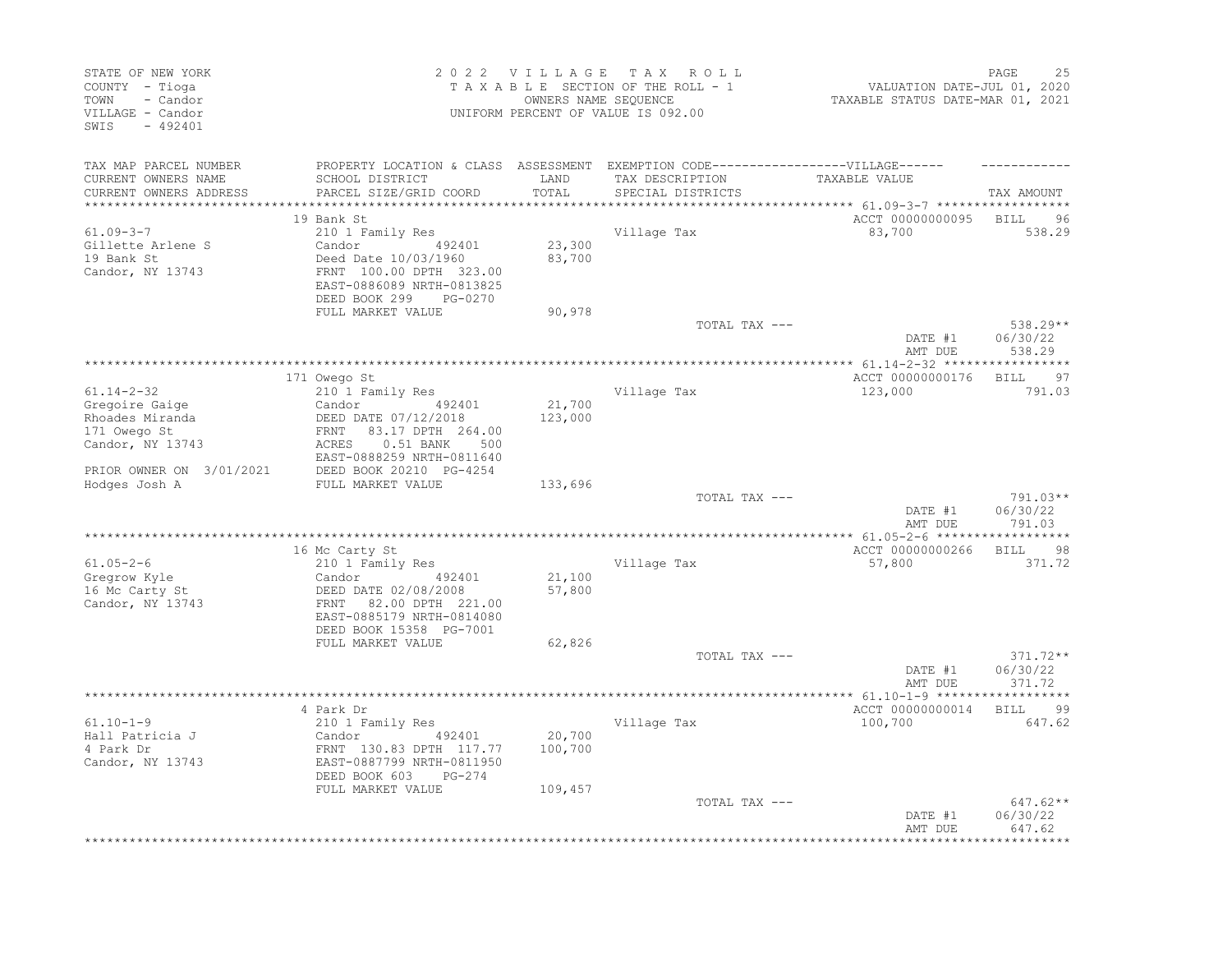| STATE OF NEW YORK<br>COUNTY - Tioga<br>- Candor<br>TOWN<br>VILLAGE - Candor<br>$-492401$<br>SWIS   |                                                                                                                                                  | 2022 VILLAGE TAX<br>OWNERS NAME SEQUENCE | R O L L<br>TAXABLE SECTION OF THE ROLL - 1<br>UNIFORM PERCENT OF VALUE IS 092.00                                         | VALUATION DATE-JUL 01, 2020<br>TAXABLE STATUS DATE-MAR 01, 2021 | PAGE<br>25                     |
|----------------------------------------------------------------------------------------------------|--------------------------------------------------------------------------------------------------------------------------------------------------|------------------------------------------|--------------------------------------------------------------------------------------------------------------------------|-----------------------------------------------------------------|--------------------------------|
| TAX MAP PARCEL NUMBER<br>CURRENT OWNERS NAME<br>CURRENT OWNERS ADDRESS<br>************************ | SCHOOL DISTRICT<br>PARCEL SIZE/GRID COORD                                                                                                        | LAND<br>TOTAL                            | PROPERTY LOCATION & CLASS ASSESSMENT EXEMPTION CODE----------------VILLAGE------<br>TAX DESCRIPTION<br>SPECIAL DISTRICTS | TAXABLE VALUE                                                   | TAX AMOUNT                     |
|                                                                                                    | 19 Bank St                                                                                                                                       |                                          |                                                                                                                          | ACCT 00000000095                                                | BILL<br>96                     |
| $61.09 - 3 - 7$<br>Gillette Arlene S<br>19 Bank St<br>Candor, NY 13743                             | 210 1 Family Res<br>Candor<br>492401<br>Deed Date 10/03/1960<br>FRNT 100.00 DPTH 323.00<br>EAST-0886089 NRTH-0813825<br>DEED BOOK 299<br>PG-0270 | 23,300<br>83,700                         | Village Tax                                                                                                              | 83,700                                                          | 538.29                         |
|                                                                                                    | FULL MARKET VALUE                                                                                                                                | 90,978                                   | TOTAL TAX ---                                                                                                            |                                                                 | 538.29**                       |
|                                                                                                    |                                                                                                                                                  |                                          |                                                                                                                          | DATE #1<br>AMT DUE                                              | 06/30/22<br>538.29             |
|                                                                                                    | 171 Owego St                                                                                                                                     |                                          |                                                                                                                          | ACCT 00000000176                                                | BILL 97                        |
| $61.14 - 2 - 32$                                                                                   | 210 1 Family Res                                                                                                                                 |                                          | Village Tax                                                                                                              | 123,000                                                         | 791.03                         |
| Gregoire Gaige                                                                                     | Candor<br>492401                                                                                                                                 | 21,700                                   |                                                                                                                          |                                                                 |                                |
| Rhoades Miranda                                                                                    | DEED DATE 07/12/2018                                                                                                                             | 123,000                                  |                                                                                                                          |                                                                 |                                |
| 171 Owego St                                                                                       | FRNT<br>83.17 DPTH 264.00                                                                                                                        |                                          |                                                                                                                          |                                                                 |                                |
| Candor, NY 13743                                                                                   | $0.51$ BANK<br>ACRES<br>500                                                                                                                      |                                          |                                                                                                                          |                                                                 |                                |
| PRIOR OWNER ON 3/01/2021<br>Hodges Josh A                                                          | EAST-0888259 NRTH-0811640<br>DEED BOOK 20210 PG-4254<br>FULL MARKET VALUE                                                                        | 133,696                                  |                                                                                                                          |                                                                 |                                |
|                                                                                                    |                                                                                                                                                  |                                          | TOTAL TAX ---                                                                                                            |                                                                 | 791.03**                       |
|                                                                                                    |                                                                                                                                                  |                                          |                                                                                                                          | DATE #1<br>AMT DUE                                              | 06/30/22<br>791.03             |
|                                                                                                    |                                                                                                                                                  |                                          |                                                                                                                          | ACCT 00000000266                                                |                                |
| $61.05 - 2 - 6$                                                                                    | 16 Mc Carty St<br>210 1 Family Res                                                                                                               |                                          | Village Tax                                                                                                              | 57,800                                                          | BILL<br>98<br>371.72           |
| Gregrow Kyle                                                                                       | 492401<br>Candor                                                                                                                                 | 21,100                                   |                                                                                                                          |                                                                 |                                |
| 16 Mc Carty St<br>Candor, NY 13743                                                                 | DEED DATE 02/08/2008<br>82.00 DPTH 221.00<br>FRNT<br>EAST-0885179 NRTH-0814080<br>DEED BOOK 15358 PG-7001                                        | 57,800                                   |                                                                                                                          |                                                                 |                                |
|                                                                                                    | FULL MARKET VALUE                                                                                                                                | 62,826                                   |                                                                                                                          |                                                                 |                                |
|                                                                                                    |                                                                                                                                                  |                                          | TOTAL TAX ---                                                                                                            | DATE #1<br>AMT DUE                                              | 371.72**<br>06/30/22<br>371.72 |
|                                                                                                    |                                                                                                                                                  |                                          |                                                                                                                          |                                                                 |                                |
|                                                                                                    | 4 Park Dr                                                                                                                                        |                                          |                                                                                                                          | ACCT 00000000014                                                | <b>BILL</b><br>99              |
| $61.10 - 1 - 9$                                                                                    | 210 1 Family Res                                                                                                                                 |                                          | Village Tax                                                                                                              | 100,700                                                         | 647.62                         |
| Hall Patricia J<br>4 Park Dr                                                                       | Candor<br>492401<br>FRNT 130.83 DPTH 117.77                                                                                                      | 20,700<br>100,700                        |                                                                                                                          |                                                                 |                                |
| Candor, NY 13743                                                                                   | EAST-0887799 NRTH-0811950<br>DEED BOOK 603<br>PG-274                                                                                             |                                          |                                                                                                                          |                                                                 |                                |
|                                                                                                    | FULL MARKET VALUE                                                                                                                                | 109,457                                  |                                                                                                                          |                                                                 |                                |
|                                                                                                    |                                                                                                                                                  |                                          | TOTAL TAX ---                                                                                                            | DATE #1                                                         | 647.62**<br>06/30/22           |
|                                                                                                    |                                                                                                                                                  |                                          |                                                                                                                          | AMT DUE                                                         | 647.62                         |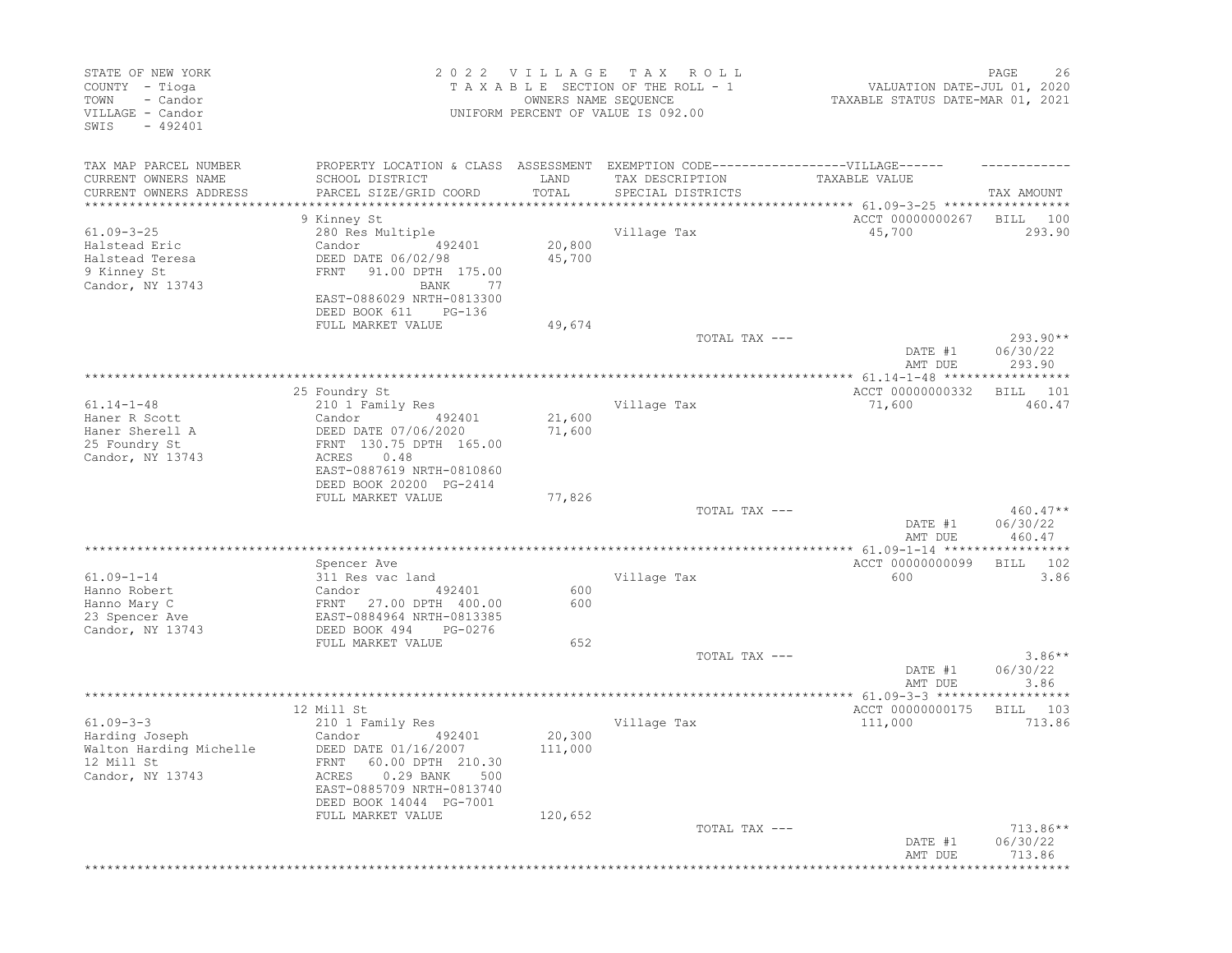| STATE OF NEW YORK<br>COUNTY - Tioga<br>TOWN<br>- Candor<br>VILLAGE - Candor<br>SWIS<br>$-492401$ |                           | 2022 VILLAGE | T A X<br>R O L L<br>TAXABLE SECTION OF THE ROLL - 1<br>OWNERS NAME SEQUENCE<br>UNIFORM PERCENT OF VALUE IS 092.00 | VALUATION DATE-JUL 01, 2020<br>TAXABLE STATUS DATE-MAR 01, 2021 | PAGE<br>26         |
|--------------------------------------------------------------------------------------------------|---------------------------|--------------|-------------------------------------------------------------------------------------------------------------------|-----------------------------------------------------------------|--------------------|
| TAX MAP PARCEL NUMBER                                                                            |                           |              | PROPERTY LOCATION & CLASS ASSESSMENT EXEMPTION CODE-----------------VILLAGE------                                 |                                                                 |                    |
| CURRENT OWNERS NAME                                                                              | SCHOOL DISTRICT           | LAND         | TAX DESCRIPTION                                                                                                   | TAXABLE VALUE                                                   |                    |
| CURRENT OWNERS ADDRESS                                                                           | PARCEL SIZE/GRID COORD    | TOTAL        | SPECIAL DISTRICTS                                                                                                 |                                                                 | TAX AMOUNT         |
| **********************                                                                           |                           |              |                                                                                                                   |                                                                 |                    |
|                                                                                                  | 9 Kinney St               |              |                                                                                                                   | ACCT 00000000267                                                | 100<br>BILL        |
| $61.09 - 3 - 25$                                                                                 | 280 Res Multiple          |              | Village Tax                                                                                                       | 45,700                                                          | 293.90             |
| Halstead Eric                                                                                    | Candor<br>492401          | 20,800       |                                                                                                                   |                                                                 |                    |
| Halstead Teresa                                                                                  | DEED DATE 06/02/98        | 45,700       |                                                                                                                   |                                                                 |                    |
| 9 Kinney St                                                                                      | 91.00 DPTH 175.00<br>FRNT |              |                                                                                                                   |                                                                 |                    |
| Candor, NY 13743                                                                                 | BANK<br>77                |              |                                                                                                                   |                                                                 |                    |
|                                                                                                  | EAST-0886029 NRTH-0813300 |              |                                                                                                                   |                                                                 |                    |
|                                                                                                  | DEED BOOK 611<br>PG-136   |              |                                                                                                                   |                                                                 |                    |
|                                                                                                  | FULL MARKET VALUE         | 49,674       |                                                                                                                   |                                                                 |                    |
|                                                                                                  |                           |              | TOTAL TAX ---                                                                                                     |                                                                 | $293.90**$         |
|                                                                                                  |                           |              |                                                                                                                   | DATE #1<br>AMT DUE                                              | 06/30/22<br>293.90 |
|                                                                                                  |                           |              |                                                                                                                   |                                                                 |                    |
|                                                                                                  | 25 Foundry St             |              |                                                                                                                   | ACCT 00000000332                                                | 101<br>BILL        |
| $61.14 - 1 - 48$                                                                                 | 210 1 Family Res          |              | Village Tax                                                                                                       | 71,600                                                          | 460.47             |
| Haner R Scott                                                                                    | Candor<br>492401          | 21,600       |                                                                                                                   |                                                                 |                    |
| Haner Sherell A                                                                                  | DEED DATE 07/06/2020      | 71,600       |                                                                                                                   |                                                                 |                    |
| 25 Foundry St                                                                                    | FRNT 130.75 DPTH 165.00   |              |                                                                                                                   |                                                                 |                    |
| Candor, NY 13743                                                                                 | ACRES<br>0.48             |              |                                                                                                                   |                                                                 |                    |
|                                                                                                  | EAST-0887619 NRTH-0810860 |              |                                                                                                                   |                                                                 |                    |
|                                                                                                  | DEED BOOK 20200 PG-2414   |              |                                                                                                                   |                                                                 |                    |
|                                                                                                  | FULL MARKET VALUE         | 77,826       |                                                                                                                   |                                                                 |                    |
|                                                                                                  |                           |              | TOTAL TAX ---                                                                                                     |                                                                 | $460.47**$         |
|                                                                                                  |                           |              |                                                                                                                   | DATE #1                                                         | 06/30/22           |
|                                                                                                  |                           |              |                                                                                                                   | AMT DUE                                                         | 460.47             |
|                                                                                                  | Spencer Ave               |              |                                                                                                                   | ACCT 00000000099                                                | 102<br>BILL        |
| $61.09 - 1 - 14$                                                                                 | 311 Res vac land          |              | Village Tax                                                                                                       | 600                                                             | 3.86               |
| Hanno Robert                                                                                     | 492401<br>Candor          | 600          |                                                                                                                   |                                                                 |                    |
| Hanno Mary C                                                                                     | FRNT 27.00 DPTH 400.00    | 600          |                                                                                                                   |                                                                 |                    |
| 23 Spencer Ave                                                                                   | EAST-0884964 NRTH-0813385 |              |                                                                                                                   |                                                                 |                    |
| Candor, NY 13743                                                                                 | DEED BOOK 494<br>PG-0276  |              |                                                                                                                   |                                                                 |                    |
|                                                                                                  | FULL MARKET VALUE         | 652          |                                                                                                                   |                                                                 |                    |
|                                                                                                  |                           |              | TOTAL TAX ---                                                                                                     |                                                                 | $3.86**$           |
|                                                                                                  |                           |              |                                                                                                                   | DATE #1                                                         | 06/30/22           |
|                                                                                                  |                           |              |                                                                                                                   | AMT DUE                                                         | 3.86               |
|                                                                                                  |                           |              |                                                                                                                   | * 61.09-3-3 ******                                              |                    |
|                                                                                                  | 12 Mill St                |              |                                                                                                                   | ACCT 00000000175                                                | 103<br>BILL        |
| $61.09 - 3 - 3$                                                                                  | 210 1 Family Res          |              | Village Tax                                                                                                       | 111,000                                                         | 713.86             |
| Harding Joseph                                                                                   | Candor<br>492401          | 20,300       |                                                                                                                   |                                                                 |                    |
| Walton Harding Michelle                                                                          | DEED DATE 01/16/2007      | 111,000      |                                                                                                                   |                                                                 |                    |
| 12 Mill St                                                                                       | FRNT 60.00 DPTH 210.30    |              |                                                                                                                   |                                                                 |                    |
| Candor, NY 13743                                                                                 | ACRES 0.29 BANK 500       |              |                                                                                                                   |                                                                 |                    |
|                                                                                                  | EAST-0885709 NRTH-0813740 |              |                                                                                                                   |                                                                 |                    |
|                                                                                                  | DEED BOOK 14044 PG-7001   |              |                                                                                                                   |                                                                 |                    |
|                                                                                                  | FULL MARKET VALUE         | 120,652      |                                                                                                                   |                                                                 |                    |
|                                                                                                  |                           |              | TOTAL TAX ---                                                                                                     | DATE #1                                                         | $713.86**$         |
|                                                                                                  |                           |              |                                                                                                                   | AMT DUE                                                         | 06/30/22<br>713.86 |
|                                                                                                  |                           |              |                                                                                                                   |                                                                 |                    |
|                                                                                                  |                           |              |                                                                                                                   |                                                                 |                    |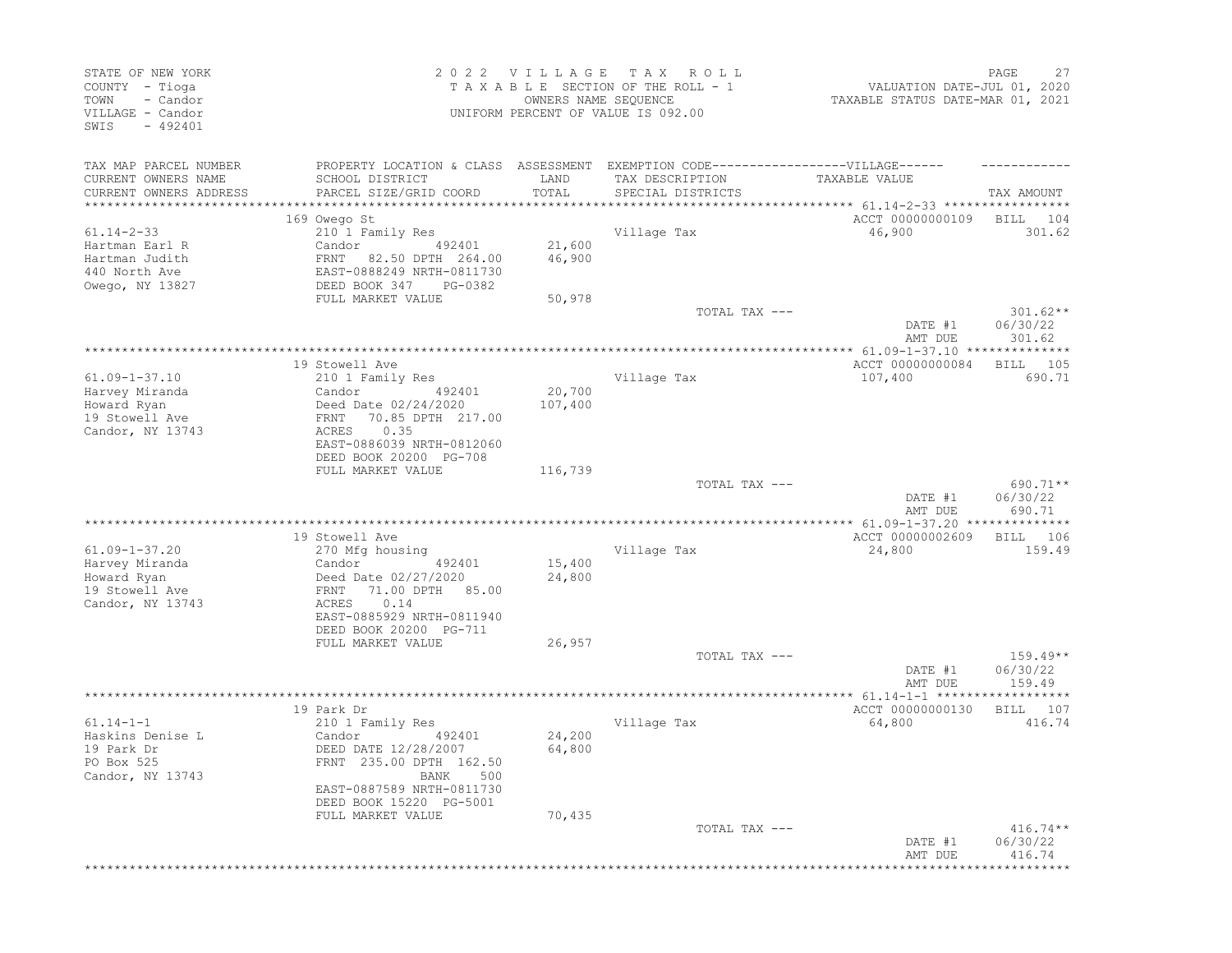| STATE OF NEW YORK<br>COUNTY - Tioga<br>- Candor<br>TOWN<br>VILLAGE - Candor<br>$-492401$<br>SWIS |                                                                                   | 2022 VILLAGE<br>OWNERS NAME SEQUENCE | T A X<br>R O L L<br>TAXABLE SECTION OF THE ROLL - 1<br>UNIFORM PERCENT OF VALUE IS 092.00 | VALUATION DATE-JUL 01, 2020<br>TAXABLE STATUS DATE-MAR 01, 2021 | PAGE<br>27             |
|--------------------------------------------------------------------------------------------------|-----------------------------------------------------------------------------------|--------------------------------------|-------------------------------------------------------------------------------------------|-----------------------------------------------------------------|------------------------|
| TAX MAP PARCEL NUMBER                                                                            | PROPERTY LOCATION & CLASS ASSESSMENT EXEMPTION CODE-----------------VILLAGE------ |                                      |                                                                                           |                                                                 |                        |
| CURRENT OWNERS NAME<br>CURRENT OWNERS ADDRESS                                                    | SCHOOL DISTRICT<br>PARCEL SIZE/GRID COORD                                         | LAND<br>TOTAL                        | TAX DESCRIPTION<br>SPECIAL DISTRICTS                                                      | TAXABLE VALUE                                                   | TAX AMOUNT             |
|                                                                                                  | 169 Owego St                                                                      |                                      |                                                                                           | ACCT 00000000109                                                | BILL<br>104            |
| $61.14 - 2 - 33$                                                                                 | 210 1 Family Res                                                                  |                                      | Village Tax                                                                               | 46,900                                                          | 301.62                 |
| Hartman Earl R                                                                                   | Candor<br>492401                                                                  | 21,600                               |                                                                                           |                                                                 |                        |
| Hartman Judith                                                                                   | FRNT 82.50 DPTH 264.00                                                            | 46,900                               |                                                                                           |                                                                 |                        |
| 440 North Ave                                                                                    | EAST-0888249 NRTH-0811730                                                         |                                      |                                                                                           |                                                                 |                        |
| Owego, NY 13827                                                                                  | DEED BOOK 347<br>PG-0382                                                          |                                      |                                                                                           |                                                                 |                        |
|                                                                                                  | FULL MARKET VALUE                                                                 | 50,978                               | TOTAL TAX ---                                                                             |                                                                 | $301.62**$             |
|                                                                                                  |                                                                                   |                                      |                                                                                           | DATE #1<br>AMT DUE                                              | 06/30/22<br>301.62     |
|                                                                                                  |                                                                                   |                                      |                                                                                           | ********** 61.09-1-37.10 ***************                        |                        |
|                                                                                                  | 19 Stowell Ave                                                                    |                                      |                                                                                           | ACCT 00000000084                                                | 105<br>BILL            |
| $61.09 - 1 - 37.10$                                                                              | 210 1 Family Res                                                                  |                                      | Village Tax                                                                               | 107,400                                                         | 690.71                 |
| Harvey Miranda                                                                                   | Candor<br>492401                                                                  | 20,700                               |                                                                                           |                                                                 |                        |
| Howard Ryan                                                                                      | Deed Date 02/24/2020                                                              | 107,400                              |                                                                                           |                                                                 |                        |
| 19 Stowell Ave                                                                                   | 70.85 DPTH 217.00<br>FRNT                                                         |                                      |                                                                                           |                                                                 |                        |
| Candor, NY 13743                                                                                 | ACRES<br>0.35<br>EAST-0886039 NRTH-0812060<br>DEED BOOK 20200 PG-708              |                                      |                                                                                           |                                                                 |                        |
|                                                                                                  | FULL MARKET VALUE                                                                 | 116,739                              |                                                                                           |                                                                 |                        |
|                                                                                                  |                                                                                   |                                      | TOTAL TAX ---                                                                             |                                                                 | 690.71**               |
|                                                                                                  |                                                                                   |                                      |                                                                                           | DATE #1<br>AMT DUE                                              | 06/30/22<br>690.71     |
|                                                                                                  |                                                                                   |                                      |                                                                                           | **** 61.09-1-37.20 **************                               |                        |
|                                                                                                  | 19 Stowell Ave                                                                    |                                      |                                                                                           | ACCT 00000002609                                                | BILL<br>106            |
| $61.09 - 1 - 37.20$                                                                              | 270 Mfg housing<br>Candor<br>492401                                               | 15,400                               | Village Tax                                                                               | 24,800                                                          | 159.49                 |
| Harvey Miranda<br>Howard Ryan                                                                    | Deed Date 02/27/2020                                                              | 24,800                               |                                                                                           |                                                                 |                        |
| 19 Stowell Ave                                                                                   | 71.00 DPTH 85.00<br>FRNT                                                          |                                      |                                                                                           |                                                                 |                        |
| Candor, NY 13743                                                                                 | 0.14<br>ACRES                                                                     |                                      |                                                                                           |                                                                 |                        |
|                                                                                                  | EAST-0885929 NRTH-0811940                                                         |                                      |                                                                                           |                                                                 |                        |
|                                                                                                  | DEED BOOK 20200 PG-711                                                            |                                      |                                                                                           |                                                                 |                        |
|                                                                                                  | FULL MARKET VALUE                                                                 | 26,957                               |                                                                                           |                                                                 |                        |
|                                                                                                  |                                                                                   |                                      | TOTAL TAX ---                                                                             | DATE #1                                                         | $159.49**$<br>06/30/22 |
|                                                                                                  |                                                                                   |                                      |                                                                                           | AMT DUE                                                         | 159.49                 |
|                                                                                                  | 19 Park Dr                                                                        |                                      |                                                                                           | ACCT 00000000130                                                | 107<br>BILL            |
| $61.14 - 1 - 1$                                                                                  | 210 1 Family Res                                                                  |                                      | Village Tax                                                                               | 64,800                                                          | 416.74                 |
| Haskins Denise L                                                                                 | Candor<br>492401                                                                  | 24,200                               |                                                                                           |                                                                 |                        |
| 19 Park Dr                                                                                       | DEED DATE 12/28/2007                                                              | 64,800                               |                                                                                           |                                                                 |                        |
| PO Box 525                                                                                       | FRNT 235.00 DPTH 162.50                                                           |                                      |                                                                                           |                                                                 |                        |
| Candor, NY 13743                                                                                 | BANK 500                                                                          |                                      |                                                                                           |                                                                 |                        |
|                                                                                                  | EAST-0887589 NRTH-0811730                                                         |                                      |                                                                                           |                                                                 |                        |
|                                                                                                  | DEED BOOK 15220 PG-5001<br>FULL MARKET VALUE                                      | 70,435                               |                                                                                           |                                                                 |                        |
|                                                                                                  |                                                                                   |                                      | TOTAL TAX ---                                                                             |                                                                 | $416.74**$             |
|                                                                                                  |                                                                                   |                                      |                                                                                           | DATE #1                                                         | 06/30/22               |
|                                                                                                  |                                                                                   |                                      |                                                                                           | AMT DUE                                                         | 416.74                 |
|                                                                                                  |                                                                                   |                                      |                                                                                           |                                                                 |                        |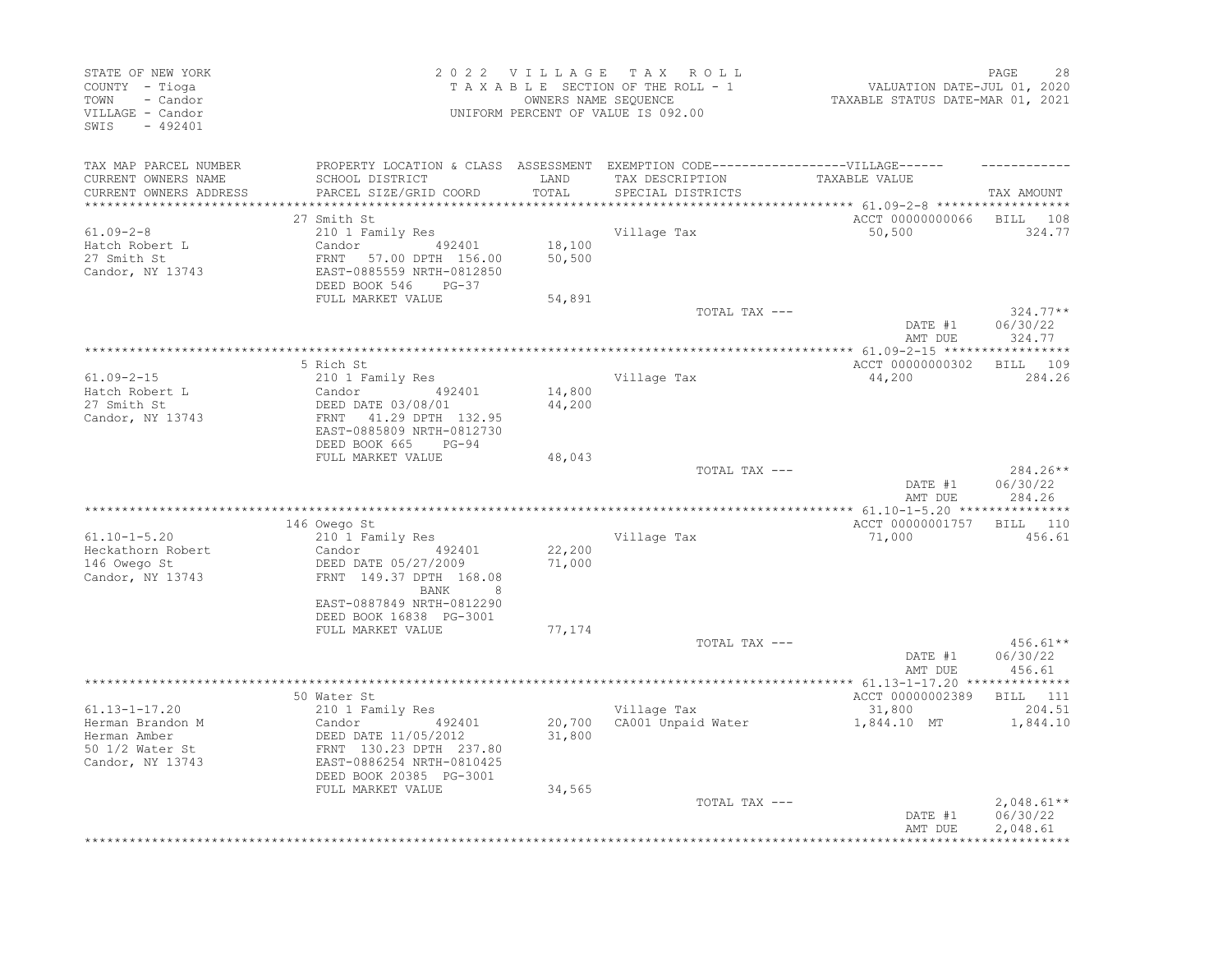| STATE OF NEW YORK<br>COUNTY - Tioga<br>TOWN<br>- Candor<br>VILLAGE - Candor<br>SWIS - 492401   |                                                                                                                                                                | OWNERS NAME SEQUENCE | 2022 VILLAGE TAX ROLL<br>TAXABLE SECTION OF THE ROLL - 1<br>UNIFORM PERCENT OF VALUE IS 092.00 | VALUATION DATE-JUL 01, 2020<br>TAXABLE STATUS DATE-MAR 01, 2021 | PAGE<br>28                            |
|------------------------------------------------------------------------------------------------|----------------------------------------------------------------------------------------------------------------------------------------------------------------|----------------------|------------------------------------------------------------------------------------------------|-----------------------------------------------------------------|---------------------------------------|
| TAX MAP PARCEL NUMBER                                                                          |                                                                                                                                                                |                      | PROPERTY LOCATION & CLASS ASSESSMENT EXEMPTION CODE-----------------VILLAGE------              |                                                                 |                                       |
| CURRENT OWNERS NAME<br>CURRENT OWNERS ADDRESS                                                  | SCHOOL DISTRICT<br>PARCEL SIZE/GRID COORD                                                                                                                      | LAND<br>TOTAL        | TAX DESCRIPTION<br>SPECIAL DISTRICTS                                                           | TAXABLE VALUE                                                   | TAX AMOUNT                            |
| ***********************                                                                        | 27 Smith St                                                                                                                                                    |                      |                                                                                                | ACCT 00000000066 BILL 108                                       |                                       |
| $61.09 - 2 - 8$<br>Hatch Robert L<br>27 Smith St<br>Candor, NY 13743                           | 210 1 Family Res<br>Candor 492401<br>FRNT 57.00 DPTH 156.00<br>EAST-0885559 NRTH-0812850<br>DEED BOOK 546<br>$PG-37$                                           | 18,100<br>50,500     | Village Tax                                                                                    | 50,500                                                          | 324.77                                |
|                                                                                                | FULL MARKET VALUE                                                                                                                                              | 54,891               |                                                                                                |                                                                 |                                       |
|                                                                                                |                                                                                                                                                                |                      | TOTAL TAX ---                                                                                  | DATE #1<br>AMT DUE                                              | $324.77**$<br>06/30/22<br>324.77      |
|                                                                                                |                                                                                                                                                                |                      |                                                                                                |                                                                 |                                       |
| $61.09 - 2 - 15$<br>Hatch Robert L<br>27 Smith St<br>Candor, NY 13743                          | 5 Rich St<br>210 1 Family Res<br>Candor 492401<br>DEED DATE 03/08/01<br>FRNT 41.29 DPTH 132.95<br>EAST-0885809 NRTH-0812730                                    | 14,800<br>44,200     | Village Tax                                                                                    | ACCT 00000000302<br>44,200                                      | BILL 109<br>284.26                    |
|                                                                                                | DEED BOOK 665<br>$PG-94$                                                                                                                                       |                      |                                                                                                |                                                                 |                                       |
|                                                                                                | FULL MARKET VALUE                                                                                                                                              | 48,043               | TOTAL TAX ---                                                                                  | DATE #1<br>AMT DUE                                              | 284.26**<br>06/30/22<br>284.26        |
|                                                                                                | 146 Owego St                                                                                                                                                   |                      |                                                                                                | ACCT 00000001757 BILL 110                                       |                                       |
| $61.10 - 1 - 5.20$<br>Heckathorn Robert<br>146 Owego St<br>Candor, NY 13743                    | 210 1 Family Res<br>492401<br>Candor<br>DEED DATE 05/27/2009<br>FRNT 149.37 DPTH 168.08<br>BANK<br>8                                                           | 22,200<br>71,000     | Village Tax                                                                                    | 71,000                                                          | 456.61                                |
|                                                                                                | EAST-0887849 NRTH-0812290<br>DEED BOOK 16838 PG-3001<br>FULL MARKET VALUE                                                                                      | 77,174               | TOTAL TAX ---                                                                                  | DATE #1                                                         | $456.61**$<br>06/30/22                |
|                                                                                                |                                                                                                                                                                |                      |                                                                                                | AMT DUE                                                         | 456.61                                |
|                                                                                                |                                                                                                                                                                |                      |                                                                                                |                                                                 |                                       |
| $61.13 - 1 - 17.20$<br>Herman Brandon M<br>Herman Amber<br>50 1/2 Water St<br>Candor, NY 13743 | 50 Water St<br>210 1 Family Res<br>492401<br>Candor<br>DEED DATE 11/05/2012<br>FRNT 130.23 DPTH 237.80<br>EAST-0886254 NRTH-0810425<br>DEED BOOK 20385 PG-3001 | 31,800               | Village Tax<br>20,700 CA001 Unpaid Water                                                       | ACCT 00000002389<br>31,800<br>1,844.10 MT                       | <b>BILL</b> 111<br>204.51<br>1,844.10 |
|                                                                                                | FULL MARKET VALUE                                                                                                                                              | 34,565               | TOTAL TAX ---                                                                                  | DATE #1<br>AMT DUE                                              | $2,048.61**$<br>06/30/22<br>2,048.61  |
|                                                                                                |                                                                                                                                                                |                      |                                                                                                |                                                                 |                                       |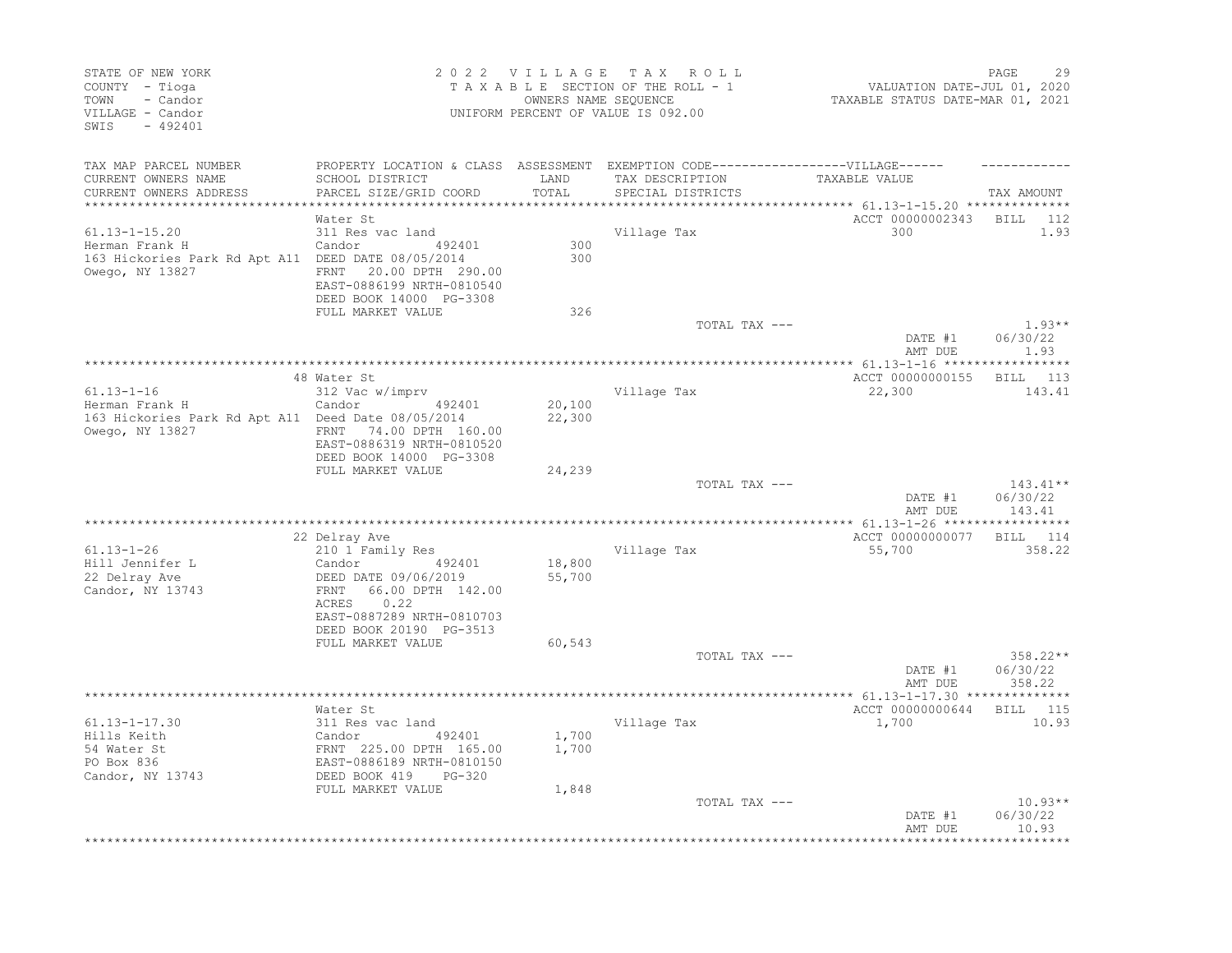| STATE OF NEW YORK<br>COUNTY - Tioga<br>- Candor<br>TOWN<br>VILLAGE - Candor<br>$-492401$<br>SWIS               |                                                                                                                                                                                     | 2022 VILLAGE<br>OWNERS NAME SEQUENCE | TAX ROLL<br>TAXABLE SECTION OF THE ROLL - 1<br>UNIFORM PERCENT OF VALUE IS 092.00                                         | VALUATION DATE-JUL 01, 2020<br>TAXABLE STATUS DATE-MAR 01, 2021     | PAGE<br>29                     |
|----------------------------------------------------------------------------------------------------------------|-------------------------------------------------------------------------------------------------------------------------------------------------------------------------------------|--------------------------------------|---------------------------------------------------------------------------------------------------------------------------|---------------------------------------------------------------------|--------------------------------|
| TAX MAP PARCEL NUMBER<br>CURRENT OWNERS NAME<br>CURRENT OWNERS ADDRESS                                         | SCHOOL DISTRICT<br>PARCEL SIZE/GRID COORD                                                                                                                                           | LAND<br>TOTAL                        | PROPERTY LOCATION & CLASS ASSESSMENT EXEMPTION CODE-----------------VILLAGE------<br>TAX DESCRIPTION<br>SPECIAL DISTRICTS | TAXABLE VALUE<br>******************** 61.13-1-15.20 *************** | TAX AMOUNT                     |
|                                                                                                                | Water St                                                                                                                                                                            |                                      |                                                                                                                           | ACCT 00000002343                                                    | <b>BILL</b><br>112             |
| $61.13 - 1 - 15.20$<br>Herman Frank H<br>163 Hickories Park Rd Apt A11 DEED DATE 08/05/2014<br>Owego, NY 13827 | 311 Res vac land<br>Candor 492401<br>FRNT 20.00 DPTH 290.00<br>EAST-0886199 NRTH-0810540<br>DEED BOOK 14000 PG-3308                                                                 | 300<br>300                           | Village Tax                                                                                                               | 300                                                                 | 1.93                           |
|                                                                                                                | FULL MARKET VALUE                                                                                                                                                                   | 326                                  | TOTAL TAX ---                                                                                                             |                                                                     | $1.93**$                       |
|                                                                                                                |                                                                                                                                                                                     |                                      |                                                                                                                           | DATE #1<br>AMT DUE                                                  | 06/30/22<br>1.93               |
|                                                                                                                |                                                                                                                                                                                     |                                      |                                                                                                                           | ******** 61.13-1-16 ******************                              |                                |
| $61.13 - 1 - 16$<br>Herman Frank H<br>163 Hickories Park Rd Apt A11 Deed Date 08/05/2014<br>Owego, NY 13827    | 48 Water St<br>312 Vac w/imprv<br>Candor<br>492401<br>FRNT 74.00 DPTH 160.00<br>EAST-0886319 NRTH-0810520<br>DEED BOOK 14000 PG-3308                                                | 20,100<br>22,300                     | Village Tax                                                                                                               | ACCT 00000000155<br>22,300                                          | BILL 113<br>143.41             |
|                                                                                                                | FULL MARKET VALUE                                                                                                                                                                   | 24,239                               | TOTAL TAX ---                                                                                                             | DATE #1<br>AMT DUE                                                  | 143.41**<br>06/30/22<br>143.41 |
|                                                                                                                |                                                                                                                                                                                     |                                      |                                                                                                                           |                                                                     |                                |
| $61.13 - 1 - 26$<br>Hill Jennifer L<br>22 Delray Ave<br>Candor, NY 13743                                       | 22 Delray Ave<br>210 1 Family Res<br>Candor<br>492401<br>DEED DATE 09/06/2019<br>FRNT<br>66.00 DPTH 142.00<br>ACRES<br>0.22<br>EAST-0887289 NRTH-0810703<br>DEED BOOK 20190 PG-3513 | 18,800<br>55,700                     | Village Tax                                                                                                               | ACCT 00000000077<br>55,700                                          | 114<br>BILL<br>358.22          |
|                                                                                                                | FULL MARKET VALUE                                                                                                                                                                   | 60,543                               | TOTAL TAX ---                                                                                                             | DATE #1<br>AMT DUE                                                  | 358.22**<br>06/30/22<br>358.22 |
|                                                                                                                |                                                                                                                                                                                     |                                      |                                                                                                                           |                                                                     |                                |
| $61.13 - 1 - 17.30$<br>Hills Keith<br>54 Water St<br>PO Box 836<br>Candor, NY 13743                            | Water St<br>311 Res vac land<br>Candor<br>492401<br>FRNT 225.00 DPTH 165.00<br>EAST-0886189 NRTH-0810150<br>DEED BOOK 419<br>$PG-320$<br>FULL MARKET VALUE                          | 1,700<br>1,700<br>1,848              | Village Tax                                                                                                               | ACCT 00000000644<br>1,700                                           | <b>BILL</b> 115<br>10.93       |
|                                                                                                                |                                                                                                                                                                                     |                                      | TOTAL TAX ---                                                                                                             | DATE #1<br>AMT DUE                                                  | $10.93**$<br>06/30/22<br>10.93 |
|                                                                                                                |                                                                                                                                                                                     |                                      |                                                                                                                           |                                                                     |                                |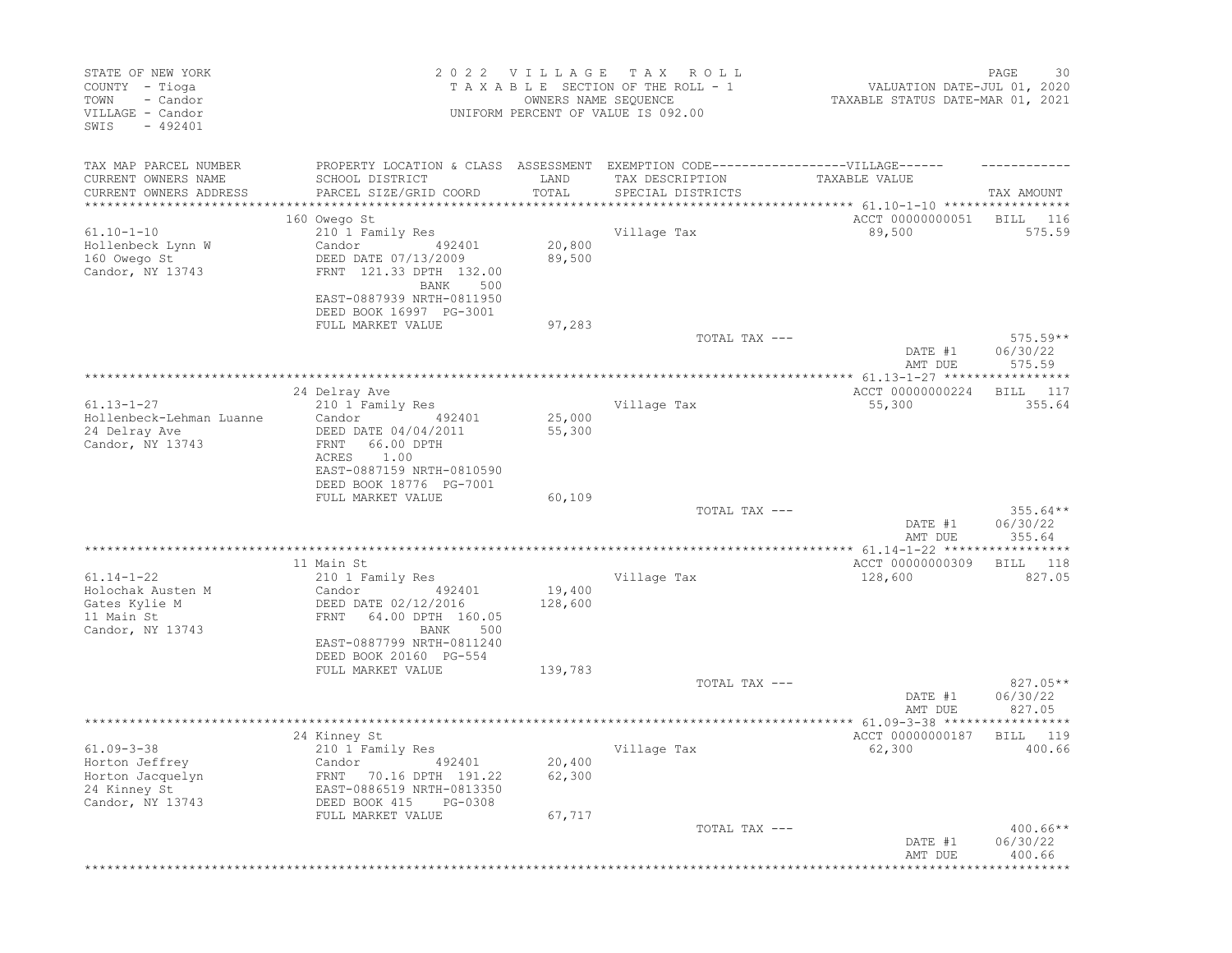| STATE OF NEW YORK<br>COUNTY - Tioga<br>- Candor<br>TOWN<br>VILLAGE - Candor<br>SWIS - 492401 |                                                                                   |                  | 2022 VILLAGE TAX ROLL<br>TAXABLE SECTION OF THE ROLL - 1<br>OWNERS NAME SEQUENCE<br>UNIFORM PERCENT OF VALUE IS 092.00 | VALUATION DATE-JUL 01, 2020<br>TAXABLE STATUS DATE-MAR 01, 2021 | 30<br>PAGE         |
|----------------------------------------------------------------------------------------------|-----------------------------------------------------------------------------------|------------------|------------------------------------------------------------------------------------------------------------------------|-----------------------------------------------------------------|--------------------|
| TAX MAP PARCEL NUMBER                                                                        | PROPERTY LOCATION & CLASS ASSESSMENT EXEMPTION CODE-----------------VILLAGE------ |                  |                                                                                                                        |                                                                 |                    |
| CURRENT OWNERS NAME                                                                          | SCHOOL DISTRICT                                                                   | LAND             | TAX DESCRIPTION                                                                                                        | TAXABLE VALUE                                                   |                    |
| CURRENT OWNERS ADDRESS                                                                       | PARCEL SIZE/GRID COORD                                                            | TOTAL            | SPECIAL DISTRICTS                                                                                                      |                                                                 | TAX AMOUNT         |
|                                                                                              | 160 Owego St                                                                      |                  |                                                                                                                        | ACCT 00000000051 BILL 116                                       |                    |
| $61.10 - 1 - 10$                                                                             | 210 1 Family Res                                                                  |                  | Village Tax                                                                                                            | 89,500                                                          | 575.59             |
| Hollenbeck Lynn W                                                                            | Candor 492401                                                                     | 20,800           |                                                                                                                        |                                                                 |                    |
| 160 Owego St<br>Candor, NY 13743                                                             | DEED DATE 07/13/2009<br>FRNT 121.33 DPTH 132.00                                   | 89,500           |                                                                                                                        |                                                                 |                    |
|                                                                                              | BANK 500                                                                          |                  |                                                                                                                        |                                                                 |                    |
|                                                                                              | EAST-0887939 NRTH-0811950                                                         |                  |                                                                                                                        |                                                                 |                    |
|                                                                                              | DEED BOOK 16997 PG-3001<br>FULL MARKET VALUE                                      | 97,283           |                                                                                                                        |                                                                 |                    |
|                                                                                              |                                                                                   |                  | TOTAL TAX ---                                                                                                          |                                                                 | $575.59**$         |
|                                                                                              |                                                                                   |                  |                                                                                                                        | DATE #1<br>AMT DUE                                              | 06/30/22<br>575.59 |
|                                                                                              |                                                                                   |                  |                                                                                                                        |                                                                 |                    |
|                                                                                              | 24 Delray Ave                                                                     |                  |                                                                                                                        | ACCT 00000000224                                                | BILL 117           |
| $61.13 - 1 - 27$                                                                             | 210 1 Family Res                                                                  |                  | Village Tax                                                                                                            | 55,300                                                          | 355.64             |
| Hollenbeck-Lehman Luanne<br>24 Delray Ave                                                    | Candor 492401<br>DEED DATE 04/04/2011                                             | 25,000<br>55,300 |                                                                                                                        |                                                                 |                    |
| Candor, NY 13743                                                                             | FRNT 66.00 DPTH                                                                   |                  |                                                                                                                        |                                                                 |                    |
|                                                                                              | 1.00<br>ACRES                                                                     |                  |                                                                                                                        |                                                                 |                    |
|                                                                                              | EAST-0887159 NRTH-0810590                                                         |                  |                                                                                                                        |                                                                 |                    |
|                                                                                              | DEED BOOK 18776 PG-7001<br>FULL MARKET VALUE                                      | 60,109           |                                                                                                                        |                                                                 |                    |
|                                                                                              |                                                                                   |                  | TOTAL TAX ---                                                                                                          |                                                                 | $355.64**$         |
|                                                                                              |                                                                                   |                  |                                                                                                                        | DATE #1                                                         | 06/30/22           |
|                                                                                              |                                                                                   |                  |                                                                                                                        | AMT DUE                                                         | 355.64             |
|                                                                                              | 11 Main St                                                                        |                  |                                                                                                                        | ACCT 00000000309                                                | BILL 118           |
| $61.14 - 1 - 22$                                                                             | 210 1 Family Res                                                                  |                  | Village Tax                                                                                                            | 128,600                                                         | 827.05             |
| Holochak Austen M                                                                            | 492401<br>Candor                                                                  | 19,400           |                                                                                                                        |                                                                 |                    |
| Gates Kylie M<br>11 Main St                                                                  | DEED DATE 02/12/2016<br>FRNT 64.00 DPTH 160.05                                    | 128,600          |                                                                                                                        |                                                                 |                    |
| Candor, NY 13743                                                                             | BANK 500                                                                          |                  |                                                                                                                        |                                                                 |                    |
|                                                                                              | EAST-0887799 NRTH-0811240                                                         |                  |                                                                                                                        |                                                                 |                    |
|                                                                                              | DEED BOOK 20160 PG-554<br>FULL MARKET VALUE                                       | 139,783          |                                                                                                                        |                                                                 |                    |
|                                                                                              |                                                                                   |                  | TOTAL TAX ---                                                                                                          |                                                                 | 827.05**           |
|                                                                                              |                                                                                   |                  |                                                                                                                        | DATE #1                                                         | 06/30/22           |
|                                                                                              |                                                                                   |                  |                                                                                                                        | AMT DUE                                                         | 827.05             |
|                                                                                              | 24 Kinney St                                                                      |                  |                                                                                                                        | ACCT 00000000187                                                | BILL 119           |
| $61.09 - 3 - 38$                                                                             | 210 1 Family Res                                                                  |                  | Village Tax                                                                                                            | 62,300                                                          | 400.66             |
| Horton Jeffrey                                                                               | Candor 492401                                                                     | 20,400           |                                                                                                                        |                                                                 |                    |
| Horton Jacquelyn                                                                             | FRNT 70.16 DPTH 191.22                                                            | 62,300           |                                                                                                                        |                                                                 |                    |
| 24 Kinney St<br>Candor, NY 13743                                                             | EAST-0886519 NRTH-0813350<br>DEED BOOK 415<br>PG-0308                             |                  |                                                                                                                        |                                                                 |                    |
|                                                                                              | FULL MARKET VALUE                                                                 | 67,717           |                                                                                                                        |                                                                 |                    |
|                                                                                              |                                                                                   |                  | TOTAL TAX ---                                                                                                          |                                                                 | $400.66**$         |
|                                                                                              |                                                                                   |                  |                                                                                                                        | DATE #1                                                         | 06/30/22           |
|                                                                                              |                                                                                   |                  | *************************************                                                                                  | AMT DUE                                                         | 400.66             |
|                                                                                              |                                                                                   |                  |                                                                                                                        |                                                                 |                    |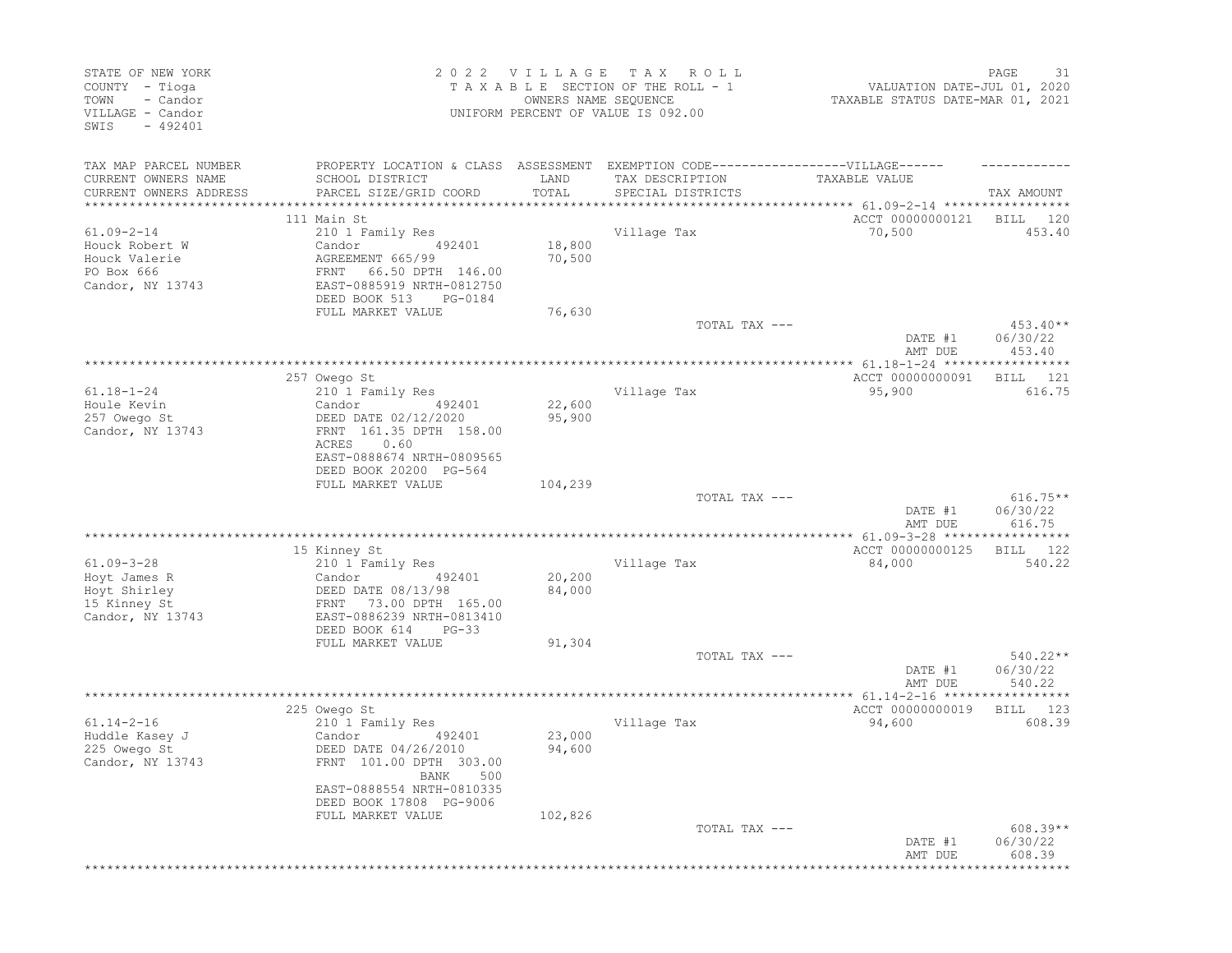| STATE OF NEW YORK<br>COUNTY - Tioga<br>- Candor<br>TOWN<br>VILLAGE - Candor<br>$-492401$<br>SWIS |                                                                                                         | 2022 VILLAGE<br>OWNERS NAME SEQUENCE | T A X<br>R O L L<br>TAXABLE SECTION OF THE ROLL - 1<br>UNIFORM PERCENT OF VALUE IS 092.00 | VALUATION DATE-JUL 01, 2020<br>TAXABLE STATUS DATE-MAR 01, 2021 | PAGE<br>31                       |
|--------------------------------------------------------------------------------------------------|---------------------------------------------------------------------------------------------------------|--------------------------------------|-------------------------------------------------------------------------------------------|-----------------------------------------------------------------|----------------------------------|
| TAX MAP PARCEL NUMBER                                                                            |                                                                                                         |                                      | PROPERTY LOCATION & CLASS ASSESSMENT EXEMPTION CODE-----------------VILLAGE------         |                                                                 |                                  |
| CURRENT OWNERS NAME<br>CURRENT OWNERS ADDRESS                                                    | SCHOOL DISTRICT<br>PARCEL SIZE/GRID COORD                                                               | LAND<br>TOTAL                        | TAX DESCRIPTION<br>SPECIAL DISTRICTS                                                      | TAXABLE VALUE                                                   | TAX AMOUNT                       |
|                                                                                                  | 111 Main St                                                                                             |                                      |                                                                                           | ACCT 00000000121                                                | BILL<br>120                      |
| $61.09 - 2 - 14$<br>Houck Robert W<br>Houck Valerie<br>PO Box 666                                | 210 1 Family Res<br>Candor<br>492401<br>AGREEMENT 665/99<br>66.50 DPTH 146.00<br>FRNT                   | 18,800<br>70,500                     | Village Tax                                                                               | 70,500                                                          | 453.40                           |
| Candor, NY 13743                                                                                 | EAST-0885919 NRTH-0812750<br>DEED BOOK 513<br>PG-0184                                                   |                                      |                                                                                           |                                                                 |                                  |
|                                                                                                  | FULL MARKET VALUE                                                                                       | 76,630                               | TOTAL TAX ---                                                                             | DATE #1<br>AMT DUE                                              | $453.40**$<br>06/30/22<br>453.40 |
|                                                                                                  |                                                                                                         |                                      |                                                                                           |                                                                 |                                  |
| $61.18 - 1 - 24$<br>Houle Kevin<br>257 Owego St<br>Candor, NY 13743                              | 257 Owego St<br>210 1 Family Res<br>Candor<br>492401<br>DEED DATE 02/12/2020<br>FRNT 161.35 DPTH 158.00 | 22,600<br>95,900                     | Village Tax                                                                               | ACCT 00000000091<br>95,900                                      | - 121<br>BILL<br>616.75          |
|                                                                                                  | ACRES<br>0.60<br>EAST-0888674 NRTH-0809565<br>DEED BOOK 20200 PG-564<br>FULL MARKET VALUE               | 104,239                              |                                                                                           |                                                                 |                                  |
|                                                                                                  |                                                                                                         |                                      | TOTAL TAX ---                                                                             | DATE #1<br>AMT DUE                                              | $616.75**$<br>06/30/22<br>616.75 |
|                                                                                                  | 15 Kinney St                                                                                            |                                      |                                                                                           | ACCT 00000000125                                                | 122<br>BILL                      |
| $61.09 - 3 - 28$<br>Hoyt James R<br>Hoyt Shirley                                                 | 210 1 Family Res<br>Candor<br>492401<br>DEED DATE 08/13/98                                              | 20,200<br>84,000                     | Village Tax                                                                               | 84,000                                                          | 540.22                           |
| 15 Kinney St<br>Candor, NY 13743                                                                 | 73.00 DPTH 165.00<br>FRNT<br>EAST-0886239 NRTH-0813410<br>DEED BOOK 614<br>$PG-33$                      |                                      |                                                                                           |                                                                 |                                  |
|                                                                                                  | FULL MARKET VALUE                                                                                       | 91,304                               |                                                                                           |                                                                 |                                  |
|                                                                                                  |                                                                                                         |                                      | TOTAL TAX ---                                                                             | DATE #1<br>AMT DUE                                              | $540.22**$<br>06/30/22<br>540.22 |
|                                                                                                  | 225 Owego St                                                                                            |                                      |                                                                                           | ACCT 00000000019                                                | 123<br>BILL                      |
| $61.14 - 2 - 16$<br>Huddle Kasey J<br>225 Owego St<br>Candor, NY 13743                           | 210 1 Family Res<br>Candor<br>492401<br>DEED DATE 04/26/2010<br>FRNT 101.00 DPTH 303.00<br>BANK 500     | 23,000<br>94,600                     | Village Tax                                                                               | 94,600                                                          | 608.39                           |
|                                                                                                  | EAST-0888554 NRTH-0810335<br>DEED BOOK 17808 PG-9006<br>FULL MARKET VALUE                               | 102,826                              |                                                                                           |                                                                 |                                  |
|                                                                                                  |                                                                                                         |                                      | TOTAL TAX ---                                                                             | DATE #1<br>AMT DUE                                              | $608.39**$<br>06/30/22<br>608.39 |
|                                                                                                  |                                                                                                         |                                      |                                                                                           |                                                                 |                                  |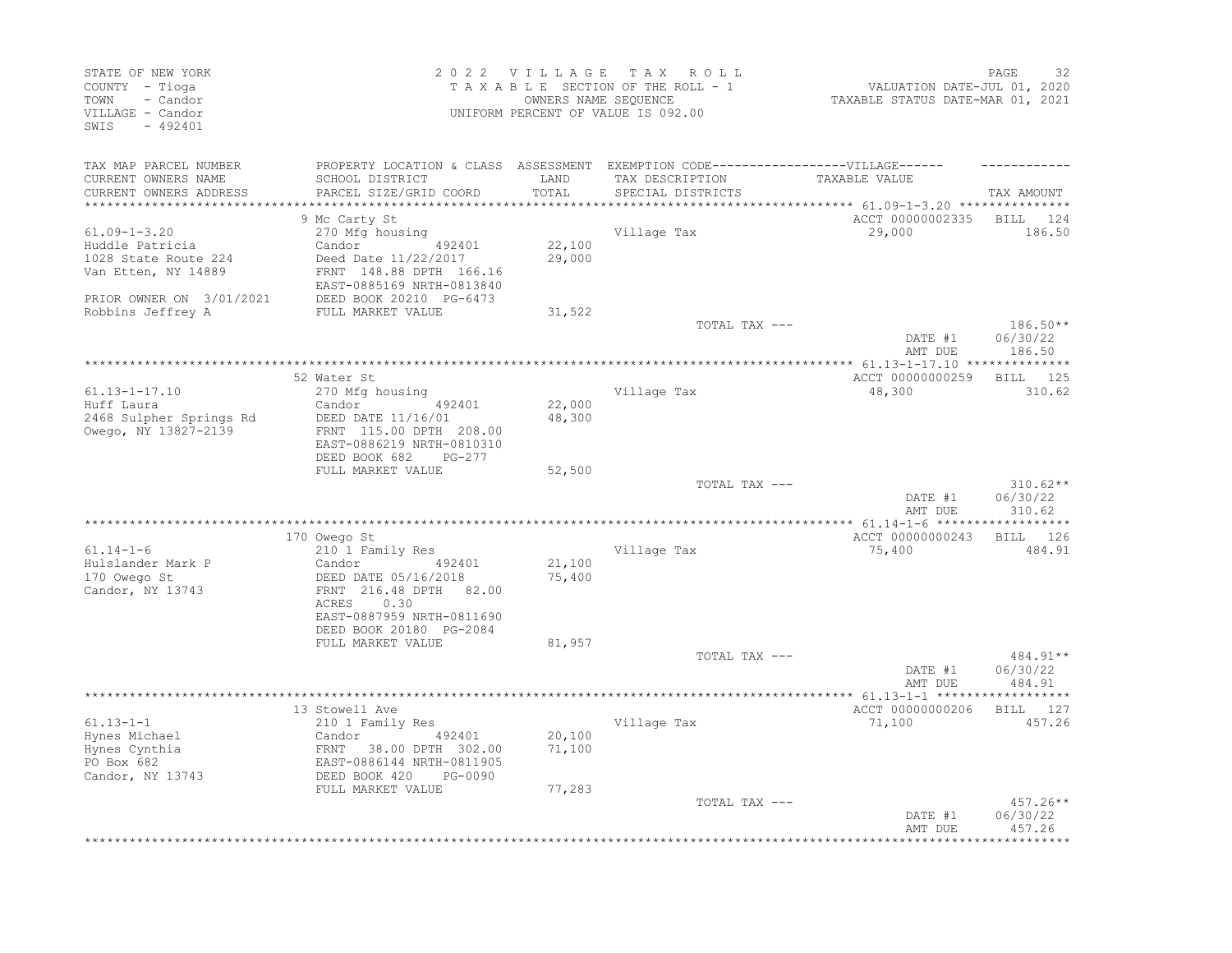| STATE OF NEW YORK<br>COUNTY - Tioga<br>- Candor<br>TOWN<br>VILLAGE - Candor<br>SWIS<br>$-492401$ |                                                                                                                                                                                 | 2022 VILLAGE<br>OWNERS NAME SEQUENCE | TAX ROLL<br>TAXABLE SECTION OF THE ROLL - 1<br>UNIFORM PERCENT OF VALUE IS 092.00                                         | VALUATION DATE-JUL 01, 2020<br>VALUATION DATE-JUL 01, 2020<br>TAXABLE STATUS DATE-MAR 01, 2021 | PAGE<br>32                       |
|--------------------------------------------------------------------------------------------------|---------------------------------------------------------------------------------------------------------------------------------------------------------------------------------|--------------------------------------|---------------------------------------------------------------------------------------------------------------------------|------------------------------------------------------------------------------------------------|----------------------------------|
| TAX MAP PARCEL NUMBER<br>CURRENT OWNERS NAME<br>CURRENT OWNERS ADDRESS<br>********************   | SCHOOL DISTRICT<br>PARCEL SIZE/GRID COORD                                                                                                                                       | LAND<br>TOTAL<br>************        | PROPERTY LOCATION & CLASS ASSESSMENT EXEMPTION CODE-----------------VILLAGE------<br>TAX DESCRIPTION<br>SPECIAL DISTRICTS | TAXABLE VALUE                                                                                  | TAX AMOUNT                       |
|                                                                                                  | 9 Mc Carty St                                                                                                                                                                   |                                      |                                                                                                                           | ACCT 00000002335                                                                               | BILL<br>124                      |
| $61.09 - 1 - 3.20$<br>Huddle Patricia<br>1028 State Route 224<br>Van Etten, NY 14889             | 270 Mfg housing<br>Candor 492401<br>Deed Date 11/22/2017<br>FRNT 148.88 DPTH 166.16<br>EAST-0885169 NRTH-0813840                                                                | 22,100<br>29,000                     | Village Tax                                                                                                               | 29,000                                                                                         | 186.50                           |
| PRIOR OWNER ON 3/01/2021<br>Robbins Jeffrey A                                                    | DEED BOOK 20210 PG-6473<br>FULL MARKET VALUE                                                                                                                                    | 31,522                               |                                                                                                                           |                                                                                                |                                  |
|                                                                                                  |                                                                                                                                                                                 |                                      | TOTAL TAX ---                                                                                                             | DATE #1<br>AMT DUE                                                                             | 186.50**<br>06/30/22<br>186.50   |
|                                                                                                  |                                                                                                                                                                                 |                                      | ***************************                                                                                               | *********** 61.13-1-17.10 ***************                                                      |                                  |
| $61.13 - 1 - 17.10$<br>Huff Laura<br>2468 Sulpher Springs Rd<br>Owego, NY 13827-2139             | 52 Water St<br>270 Mfg housing<br>Candor<br>492401<br>DEED DATE 11/16/01<br>FRNT 115.00 DPTH 208.00<br>EAST-0886219 NRTH-0810310<br>DEED BOOK 682<br>PG-277                     | 22,000<br>48,300                     | Village Tax                                                                                                               | ACCT 00000000259<br>48,300                                                                     | BILL 125<br>310.62               |
|                                                                                                  | FULL MARKET VALUE                                                                                                                                                               | 52,500                               |                                                                                                                           |                                                                                                |                                  |
|                                                                                                  |                                                                                                                                                                                 |                                      | TOTAL TAX ---                                                                                                             | DATE #1<br>AMT DUE                                                                             | $310.62**$<br>06/30/22<br>310.62 |
|                                                                                                  |                                                                                                                                                                                 |                                      |                                                                                                                           |                                                                                                |                                  |
| $61.14 - 1 - 6$<br>Hulslander Mark P<br>170 Owego St<br>Candor, NY 13743                         | 170 Owego St<br>210 1 Family Res<br>Candor<br>492401<br>DEED DATE 05/16/2018<br>FRNT 216.48 DPTH 82.00<br>ACRES<br>0.30<br>EAST-0887959 NRTH-0811690<br>DEED BOOK 20180 PG-2084 | 21,100<br>75,400                     | Village Tax                                                                                                               | ACCT 00000000243<br>75,400                                                                     | <b>BILL</b><br>126<br>484.91     |
|                                                                                                  | FULL MARKET VALUE                                                                                                                                                               | 81,957                               | TOTAL TAX ---                                                                                                             | DATE #1                                                                                        | $484.91**$<br>06/30/22           |
|                                                                                                  |                                                                                                                                                                                 |                                      |                                                                                                                           | AMT DUE                                                                                        | 484.91                           |
| $61.13 - 1 - 1$                                                                                  | 13 Stowell Ave<br>210 1 Family Res                                                                                                                                              |                                      | Village Tax                                                                                                               | ACCT 00000000206<br>71,100                                                                     | BILL 127<br>457.26               |
| Hynes Michael<br>Hynes Cynthia<br>PO Box 682<br>Candor, NY 13743                                 | Candor<br>492401<br>FRNT 38.00 DPTH 302.00<br>EAST-0886144 NRTH-0811905<br>DEED BOOK 420<br>PG-0090                                                                             | 20,100<br>71,100                     |                                                                                                                           |                                                                                                |                                  |
|                                                                                                  | FULL MARKET VALUE                                                                                                                                                               | 77,283                               | TOTAL TAX ---                                                                                                             | DATE #1                                                                                        | 457.26**<br>06/30/22             |
|                                                                                                  |                                                                                                                                                                                 |                                      |                                                                                                                           | AMT DUE                                                                                        | 457.26                           |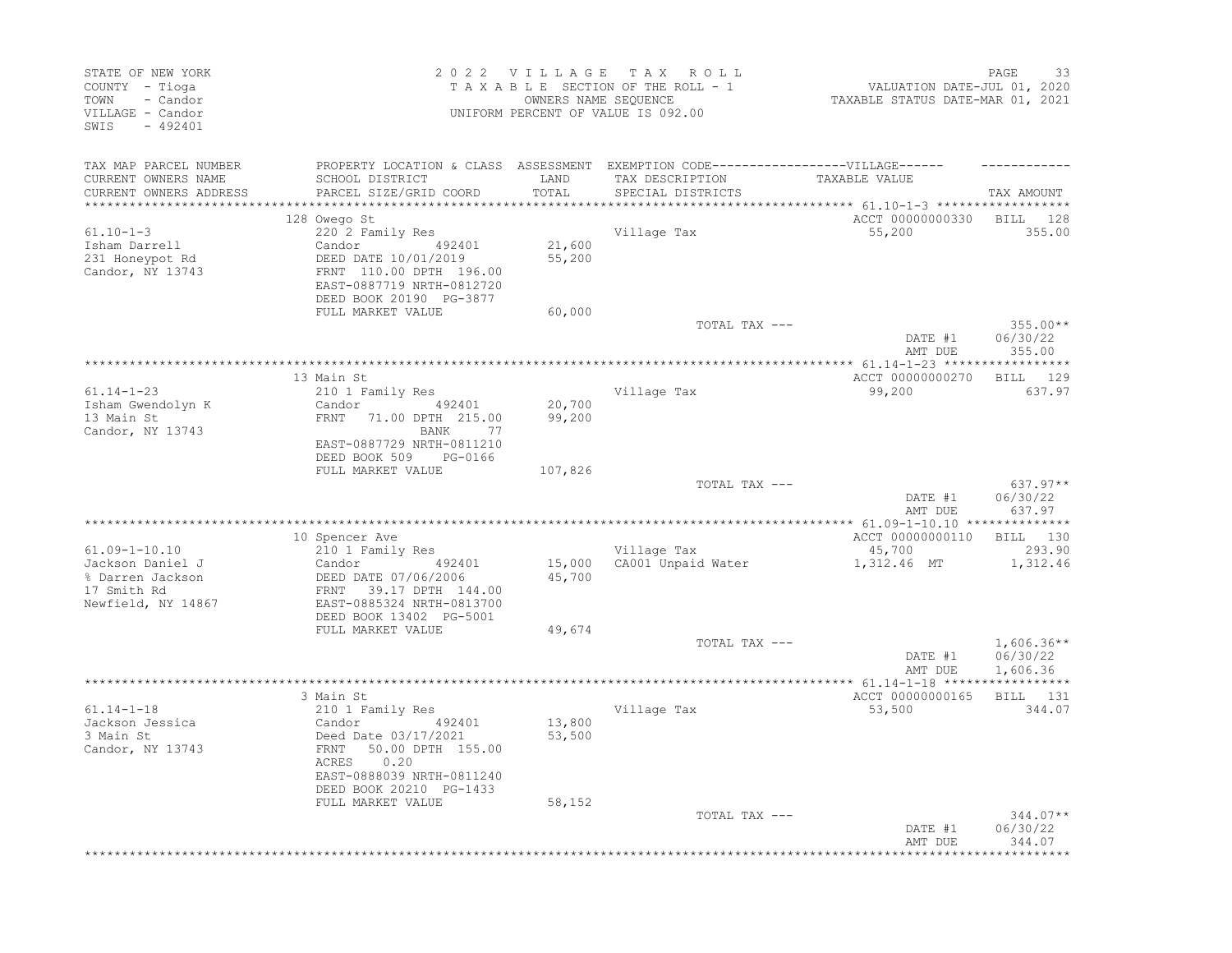| STATE OF NEW YORK<br>COUNTY - Tioga<br>- Candor<br>TOWN<br>VILLAGE - Candor<br>SWIS<br>$-492401$ |                                                                                                                                                                                 |                  | 2022 VILLAGE TAX ROLL<br>TAXABLE SECTION OF THE ROLL - 1<br>OWNERS NAME SEQUENCE<br>UNIFORM PERCENT OF VALUE IS 092.00 | VALUATION DATE-JUL 01, 2020<br>TAXABLE STATUS DATE-MAR 01, 2021                        | 33<br>PAGE                           |
|--------------------------------------------------------------------------------------------------|---------------------------------------------------------------------------------------------------------------------------------------------------------------------------------|------------------|------------------------------------------------------------------------------------------------------------------------|----------------------------------------------------------------------------------------|--------------------------------------|
| TAX MAP PARCEL NUMBER<br>CURRENT OWNERS NAME<br>CURRENT OWNERS ADDRESS                           | PROPERTY LOCATION & CLASS ASSESSMENT EXEMPTION CODE-----------------VILLAGE------<br>SCHOOL DISTRICT<br>PARCEL SIZE/GRID COORD                                                  | LAND<br>TOTAL    | TAX DESCRIPTION<br>SPECIAL DISTRICTS                                                                                   | TAXABLE VALUE                                                                          | TAX AMOUNT                           |
| *********************<br>$61.10 - 1 - 3$<br>Isham Darrell<br>231 Honeypot Rd                     | 128 Owego St<br>220 2 Family Res<br>Candor 492401<br>DEED DATE 10/01/2019                                                                                                       | 21,600<br>55,200 | Village Tax                                                                                                            | *************************** 61.10-1-3 ******************<br>ACCT 00000000330<br>55,200 | BILL 128<br>355.00                   |
| Candor, NY 13743                                                                                 | FRNT 110.00 DPTH 196.00<br>EAST-0887719 NRTH-0812720<br>DEED BOOK 20190 PG-3877<br>FULL MARKET VALUE                                                                            | 60,000           |                                                                                                                        |                                                                                        |                                      |
|                                                                                                  |                                                                                                                                                                                 |                  | TOTAL TAX ---                                                                                                          | DATE #1<br>AMT DUE                                                                     | $355.00**$<br>06/30/22<br>355.00     |
|                                                                                                  | 13 Main St                                                                                                                                                                      |                  |                                                                                                                        | ACCT 00000000270                                                                       | BILL 129                             |
| $61.14 - 1 - 23$<br>Isham Gwendolyn K<br>13 Main St<br>Candor, NY 13743                          | 210 1 Family Res<br>Candor 492401<br>FRNT 71.00 DPTH 215.00<br>BANK 77<br>EAST-0887729 NRTH-0811210<br>DEED BOOK 509 PG-0166                                                    | 20,700<br>99,200 | Village Tax                                                                                                            | 99,200                                                                                 | 637.97                               |
|                                                                                                  | FULL MARKET VALUE                                                                                                                                                               | 107,826          | TOTAL TAX ---                                                                                                          | DATE #1<br>AMT DUE                                                                     | $637.97**$<br>06/30/22<br>637.97     |
|                                                                                                  | 10 Spencer Ave                                                                                                                                                                  |                  |                                                                                                                        | ACCT 00000000110                                                                       | BILL 130                             |
| $61.09 - 1 - 10.10$<br>Jackson Daniel J<br>% Darren Jackson<br>17 Smith Rd<br>Newfield, NY 14867 | 210 1 Family Res<br>Candor 492401<br>DEED DATE 07/06/2006<br>FRNT 39.17 DPTH 144.00<br>EAST-0885324 NRTH-0813700<br>DEED BOOK 13402 PG-5001                                     | 45,700           | Village Tax<br>15,000 CA001 Unpaid Water                                                                               | 45,700<br>1,312.46 MT                                                                  | 293.90<br>1,312.46                   |
|                                                                                                  | FULL MARKET VALUE                                                                                                                                                               | 49,674           |                                                                                                                        |                                                                                        |                                      |
|                                                                                                  |                                                                                                                                                                                 |                  | TOTAL TAX ---                                                                                                          | DATE #1<br>AMT DUE                                                                     | $1,606.36**$<br>06/30/22<br>1,606.36 |
|                                                                                                  |                                                                                                                                                                                 |                  |                                                                                                                        |                                                                                        |                                      |
| $61.14 - 1 - 18$<br>Jackson Jessica<br>3 Main St<br>Candor, NY 13743                             | 3 Main St<br>210 1 Family Res<br>492401<br>Candor<br>Deed Date 03/17/2021<br>FRNT<br>50.00 DPTH 155.00<br>0.20<br>ACRES<br>EAST-0888039 NRTH-0811240<br>DEED BOOK 20210 PG-1433 | 13,800<br>53,500 | Village Tax                                                                                                            | ACCT 00000000165<br>53,500                                                             | BILL 131<br>344.07                   |
|                                                                                                  | FULL MARKET VALUE                                                                                                                                                               | 58,152           | TOTAL TAX ---                                                                                                          | DATE #1<br>AMT DUE                                                                     | $344.07**$<br>06/30/22<br>344.07     |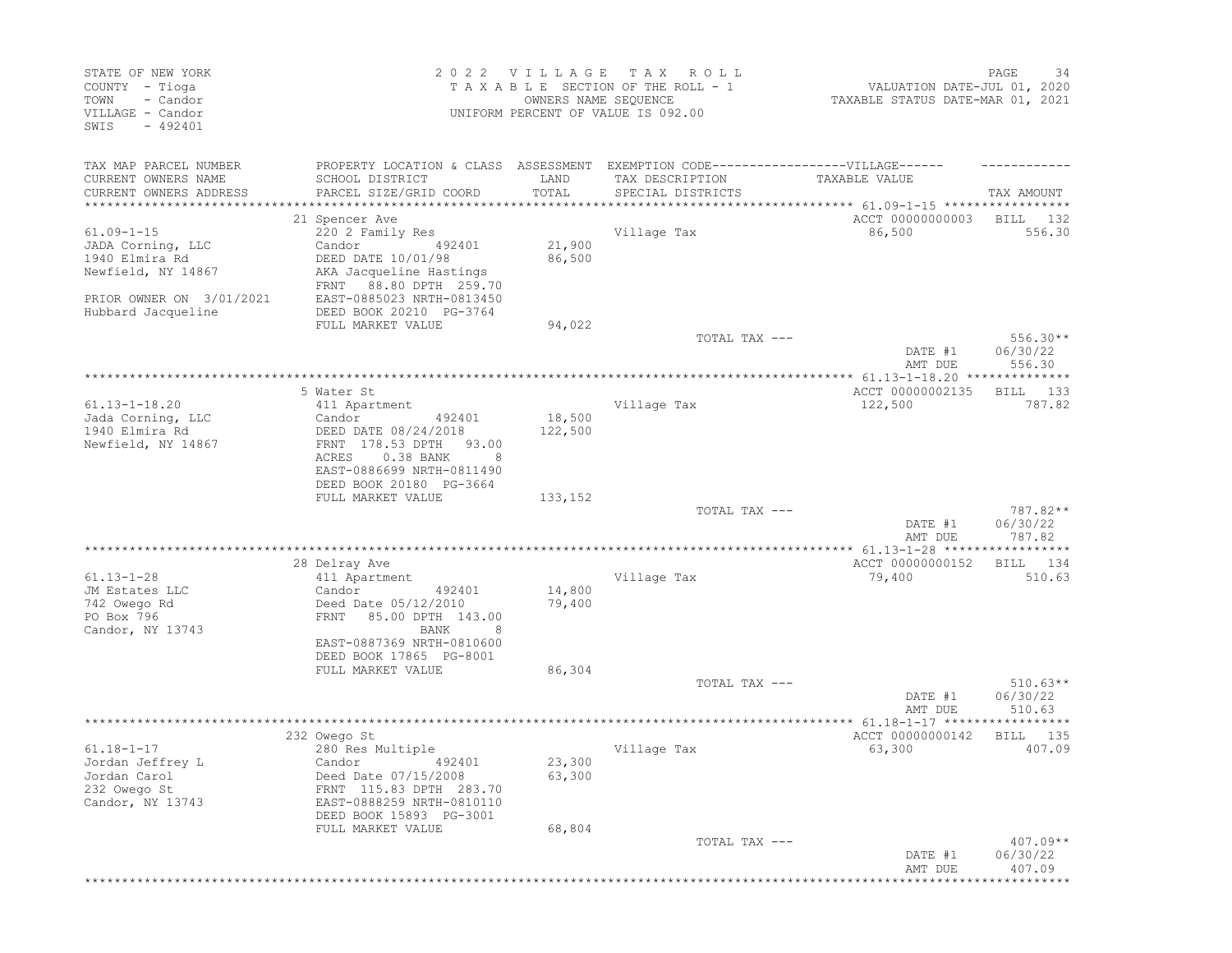| STATE OF NEW YORK<br>COUNTY - Tioga<br>TOWN<br>- Candor<br>VILLAGE - Candor<br>$-492401$<br>SWIS |                                                                                                                                | 2022 VILLAGE  | T A X<br>ROLL<br>TAXABLE SECTION OF THE ROLL - 1<br>OWNERS NAME SEQUENCE<br>UNIFORM PERCENT OF VALUE IS 092.00 | VALUATION DATE-JUL 01, 2020<br>TAXABLE STATUS DATE-MAR 01, 2021 | PAGE<br>34              |
|--------------------------------------------------------------------------------------------------|--------------------------------------------------------------------------------------------------------------------------------|---------------|----------------------------------------------------------------------------------------------------------------|-----------------------------------------------------------------|-------------------------|
| TAX MAP PARCEL NUMBER<br>CURRENT OWNERS NAME<br>CURRENT OWNERS ADDRESS                           | PROPERTY LOCATION & CLASS ASSESSMENT EXEMPTION CODE-----------------VILLAGE------<br>SCHOOL DISTRICT<br>PARCEL SIZE/GRID COORD | LAND<br>TOTAL | TAX DESCRIPTION<br>SPECIAL DISTRICTS                                                                           | TAXABLE VALUE                                                   | TAX AMOUNT              |
| *********************                                                                            | ***********************                                                                                                        |               |                                                                                                                |                                                                 |                         |
|                                                                                                  | 21 Spencer Ave                                                                                                                 |               |                                                                                                                | ACCT 00000000003                                                | BILL<br>132             |
| $61.09 - 1 - 15$                                                                                 | 220 2 Family Res                                                                                                               |               | Village Tax                                                                                                    | 86,500                                                          | 556.30                  |
| JADA Corning, LLC                                                                                | Candor<br>492401                                                                                                               | 21,900        |                                                                                                                |                                                                 |                         |
| 1940 Elmira Rd                                                                                   | DEED DATE 10/01/98                                                                                                             | 86,500        |                                                                                                                |                                                                 |                         |
| Newfield, NY 14867                                                                               | AKA Jacqueline Hastings<br>88.80 DPTH 259.70<br>FRNT                                                                           |               |                                                                                                                |                                                                 |                         |
| PRIOR OWNER ON 3/01/2021                                                                         | EAST-0885023 NRTH-0813450                                                                                                      |               |                                                                                                                |                                                                 |                         |
| Hubbard Jacqueline                                                                               | DEED BOOK 20210 PG-3764                                                                                                        |               |                                                                                                                |                                                                 |                         |
|                                                                                                  | FULL MARKET VALUE                                                                                                              | 94,022        |                                                                                                                |                                                                 |                         |
|                                                                                                  |                                                                                                                                |               | TOTAL TAX ---                                                                                                  |                                                                 | $556.30**$              |
|                                                                                                  |                                                                                                                                |               |                                                                                                                | DATE #1                                                         | 06/30/22                |
|                                                                                                  |                                                                                                                                |               |                                                                                                                | AMT DUE<br>************** 61.13-1-18.20 *******                 | 556.30<br>******        |
|                                                                                                  | 5 Water St                                                                                                                     |               |                                                                                                                | ACCT 00000002135                                                | 133<br>BILL             |
| $61.13 - 1 - 18.20$                                                                              | 411 Apartment                                                                                                                  |               | Village Tax                                                                                                    | 122,500                                                         | 787.82                  |
| Jada Corning, LLC                                                                                | Candor<br>492401                                                                                                               | 18,500        |                                                                                                                |                                                                 |                         |
| 1940 Elmira Rd                                                                                   | DEED DATE 08/24/2018                                                                                                           | 122,500       |                                                                                                                |                                                                 |                         |
| Newfield, NY 14867                                                                               | FRNT 178.53 DPTH<br>93.00                                                                                                      |               |                                                                                                                |                                                                 |                         |
|                                                                                                  | ACRES<br>0.38 BANK<br>8<br>EAST-0886699 NRTH-0811490                                                                           |               |                                                                                                                |                                                                 |                         |
|                                                                                                  | DEED BOOK 20180 PG-3664                                                                                                        |               |                                                                                                                |                                                                 |                         |
|                                                                                                  | FULL MARKET VALUE                                                                                                              | 133,152       |                                                                                                                |                                                                 |                         |
|                                                                                                  |                                                                                                                                |               | TOTAL TAX ---                                                                                                  |                                                                 | 787.82**                |
|                                                                                                  |                                                                                                                                |               |                                                                                                                | DATE #1                                                         | 06/30/22                |
|                                                                                                  |                                                                                                                                |               |                                                                                                                | AMT DUE                                                         | 787.82                  |
|                                                                                                  | 28 Delray Ave                                                                                                                  |               |                                                                                                                | ACCT 00000000152                                                | 134<br>BILL             |
| $61.13 - 1 - 28$                                                                                 | 411 Apartment                                                                                                                  |               | Village Tax                                                                                                    | 79,400                                                          | 510.63                  |
| JM Estates LLC                                                                                   | Candor<br>492401                                                                                                               | 14,800        |                                                                                                                |                                                                 |                         |
| 742 Owego Rd                                                                                     | Deed Date 05/12/2010                                                                                                           | 79,400        |                                                                                                                |                                                                 |                         |
| PO Box 796                                                                                       | 85.00 DPTH 143.00<br>FRNT                                                                                                      |               |                                                                                                                |                                                                 |                         |
| Candor, NY 13743                                                                                 | BANK<br>8<br>EAST-0887369 NRTH-0810600                                                                                         |               |                                                                                                                |                                                                 |                         |
|                                                                                                  | DEED BOOK 17865 PG-8001                                                                                                        |               |                                                                                                                |                                                                 |                         |
|                                                                                                  | FULL MARKET VALUE                                                                                                              | 86,304        |                                                                                                                |                                                                 |                         |
|                                                                                                  |                                                                                                                                |               | TOTAL TAX ---                                                                                                  |                                                                 | $510.63**$              |
|                                                                                                  |                                                                                                                                |               |                                                                                                                | DATE #1                                                         | 06/30/22                |
|                                                                                                  |                                                                                                                                |               |                                                                                                                | AMT DUE                                                         | 510.63                  |
|                                                                                                  |                                                                                                                                |               |                                                                                                                |                                                                 |                         |
| $61.18 - 1 - 17$                                                                                 | 232 Owego St<br>280 Res Multiple                                                                                               |               | Village Tax                                                                                                    | ACCT 00000000142<br>63,300                                      | BILL<br>- 135<br>407.09 |
| Jordan Jeffrey L                                                                                 | Candor 492401                                                                                                                  | 23,300        |                                                                                                                |                                                                 |                         |
| Jordan Carol                                                                                     | Deed Date 07/15/2008                                                                                                           | 63,300        |                                                                                                                |                                                                 |                         |
| 232 Owego St                                                                                     | FRNT 115.83 DPTH 283.70                                                                                                        |               |                                                                                                                |                                                                 |                         |
| Candor, NY 13743                                                                                 | EAST-0888259 NRTH-0810110                                                                                                      |               |                                                                                                                |                                                                 |                         |
|                                                                                                  | DEED BOOK 15893 PG-3001                                                                                                        |               |                                                                                                                |                                                                 |                         |
|                                                                                                  | FULL MARKET VALUE                                                                                                              | 68,804        | TOTAL TAX ---                                                                                                  |                                                                 | $407.09**$              |
|                                                                                                  |                                                                                                                                |               |                                                                                                                | DATE #1                                                         | 06/30/22                |
|                                                                                                  |                                                                                                                                |               |                                                                                                                | AMT DUE                                                         | 407.09                  |
|                                                                                                  |                                                                                                                                |               |                                                                                                                | ********************************                                |                         |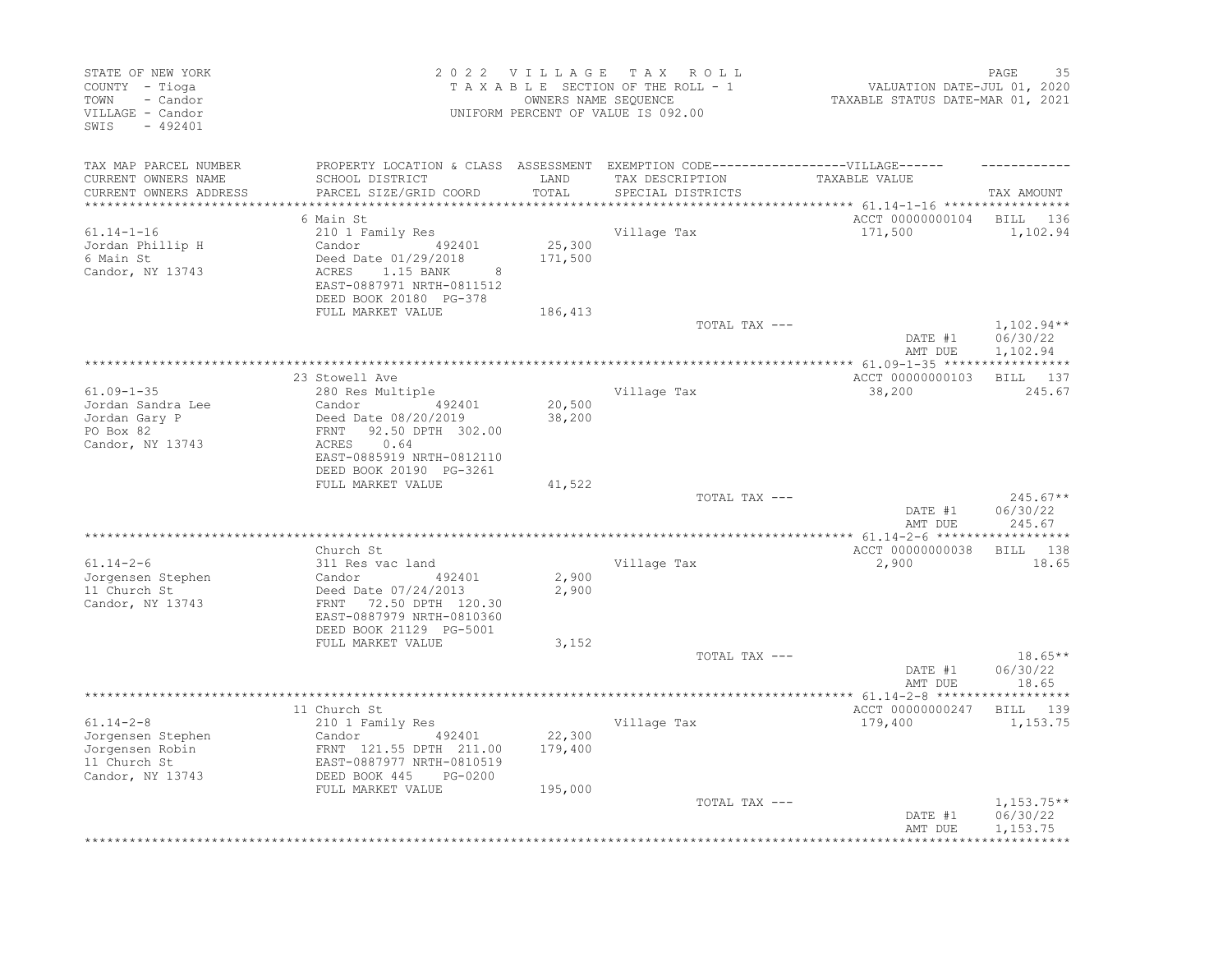| STATE OF NEW YORK<br>COUNTY - Tioga<br>TOWN<br>- Candor<br>VILLAGE - Candor<br>SWIS<br>$-492401$ |                                                                                                                                                                     |                   | 2022 VILLAGE TAX ROLL<br>TAXABLE SECTION OF THE ROLL - 1<br>OWNERS NAME SEQUENCE<br>UNIFORM PERCENT OF VALUE IS 092.00 | VALUATION DATE-JUL 01, 2020<br>TAXABLE STATUS DATE-MAR 01, 2021                   | PAGE<br>-35                      |
|--------------------------------------------------------------------------------------------------|---------------------------------------------------------------------------------------------------------------------------------------------------------------------|-------------------|------------------------------------------------------------------------------------------------------------------------|-----------------------------------------------------------------------------------|----------------------------------|
| TAX MAP PARCEL NUMBER                                                                            | PROPERTY LOCATION & CLASS ASSESSMENT EXEMPTION CODE-----------------VILLAGE------                                                                                   |                   |                                                                                                                        |                                                                                   |                                  |
| CURRENT OWNERS NAME<br>CURRENT OWNERS ADDRESS<br>***********************                         | SCHOOL DISTRICT<br>PARCEL SIZE/GRID COORD                                                                                                                           | LAND<br>TOTAL     | TAX DESCRIPTION<br>SPECIAL DISTRICTS                                                                                   | TAXABLE VALUE<br>************************************ 61.14-1-16 **************** | TAX AMOUNT                       |
|                                                                                                  | 6 Main St                                                                                                                                                           |                   |                                                                                                                        | ACCT 00000000104                                                                  | BILL<br>136                      |
| $61.14 - 1 - 16$<br>Jordan Phillip H<br>6 Main St<br>Candor, NY 13743                            | 210 1 Family Res<br>492401<br>Candor<br>Deed Date 01/29/2018<br>ACRES<br>1.15 BANK<br>8<br>EAST-0887971 NRTH-0811512<br>DEED BOOK 20180 PG-378<br>FULL MARKET VALUE | 25,300<br>171,500 | Village Tax                                                                                                            | 171,500                                                                           | 1,102.94                         |
|                                                                                                  |                                                                                                                                                                     | 186,413           | TOTAL TAX ---                                                                                                          |                                                                                   | $1,102.94**$                     |
|                                                                                                  |                                                                                                                                                                     |                   |                                                                                                                        | DATE #1<br>AMT DUE                                                                | 06/30/22<br>1,102.94             |
|                                                                                                  | 23 Stowell Ave                                                                                                                                                      |                   |                                                                                                                        | ACCT 00000000103                                                                  | BILL 137                         |
| $61.09 - 1 - 35$<br>Jordan Sandra Lee                                                            | 280 Res Multiple<br>Candor<br>492401                                                                                                                                | 20,500            | Village Tax                                                                                                            | 38,200                                                                            | 245.67                           |
| Jordan Gary P<br>PO Box 82<br>Candor, NY 13743                                                   | Deed Date 08/20/2019<br>FRNT<br>92.50 DPTH 302.00<br>ACRES<br>0.64<br>EAST-0885919 NRTH-0812110                                                                     | 38,200            |                                                                                                                        |                                                                                   |                                  |
|                                                                                                  | DEED BOOK 20190 PG-3261<br>FULL MARKET VALUE                                                                                                                        | 41,522            |                                                                                                                        |                                                                                   |                                  |
|                                                                                                  |                                                                                                                                                                     |                   | TOTAL TAX ---                                                                                                          | DATE #1<br>AMT DUE                                                                | $245.67**$<br>06/30/22<br>245.67 |
|                                                                                                  |                                                                                                                                                                     |                   |                                                                                                                        |                                                                                   |                                  |
| $61.14 - 2 - 6$                                                                                  | Church St<br>311 Res vac land                                                                                                                                       |                   | Village Tax                                                                                                            | ACCT 00000000038<br>2,900                                                         | BILL 138<br>18.65                |
| Jorgensen Stephen<br>11 Church St<br>Candor, NY 13743                                            | Candor<br>492401<br>Deed Date 07/24/2013<br>72.50 DPTH 120.30<br>FRNT<br>EAST-0887979 NRTH-0810360<br>DEED BOOK 21129 PG-5001                                       | 2,900<br>2,900    |                                                                                                                        |                                                                                   |                                  |
|                                                                                                  | FULL MARKET VALUE                                                                                                                                                   | 3,152             |                                                                                                                        |                                                                                   |                                  |
|                                                                                                  |                                                                                                                                                                     |                   | TOTAL TAX ---                                                                                                          | DATE #1<br>AMT DUE                                                                | $18.65**$<br>06/30/22<br>18.65   |
|                                                                                                  |                                                                                                                                                                     |                   |                                                                                                                        |                                                                                   |                                  |
| $61.14 - 2 - 8$<br>Jorgensen Stephen<br>Jorgensen Robin<br>11 Church St<br>Candor, NY 13743      | 11 Church St<br>210 1 Family Res<br>Candor<br>492401<br>FRNT 121.55 DPTH 211.00<br>EAST-0887977 NRTH-0810519<br>DEED BOOK 445<br>PG-0200                            | 22,300<br>179,400 | Village Tax                                                                                                            | ACCT 00000000247<br>179,400                                                       | BILL 139<br>1,153.75             |
|                                                                                                  | FULL MARKET VALUE                                                                                                                                                   | 195,000           | TOTAL TAX ---                                                                                                          | DATE #1                                                                           | $1,153.75**$<br>06/30/22         |
|                                                                                                  |                                                                                                                                                                     |                   |                                                                                                                        | AMT DUE                                                                           | 1,153.75                         |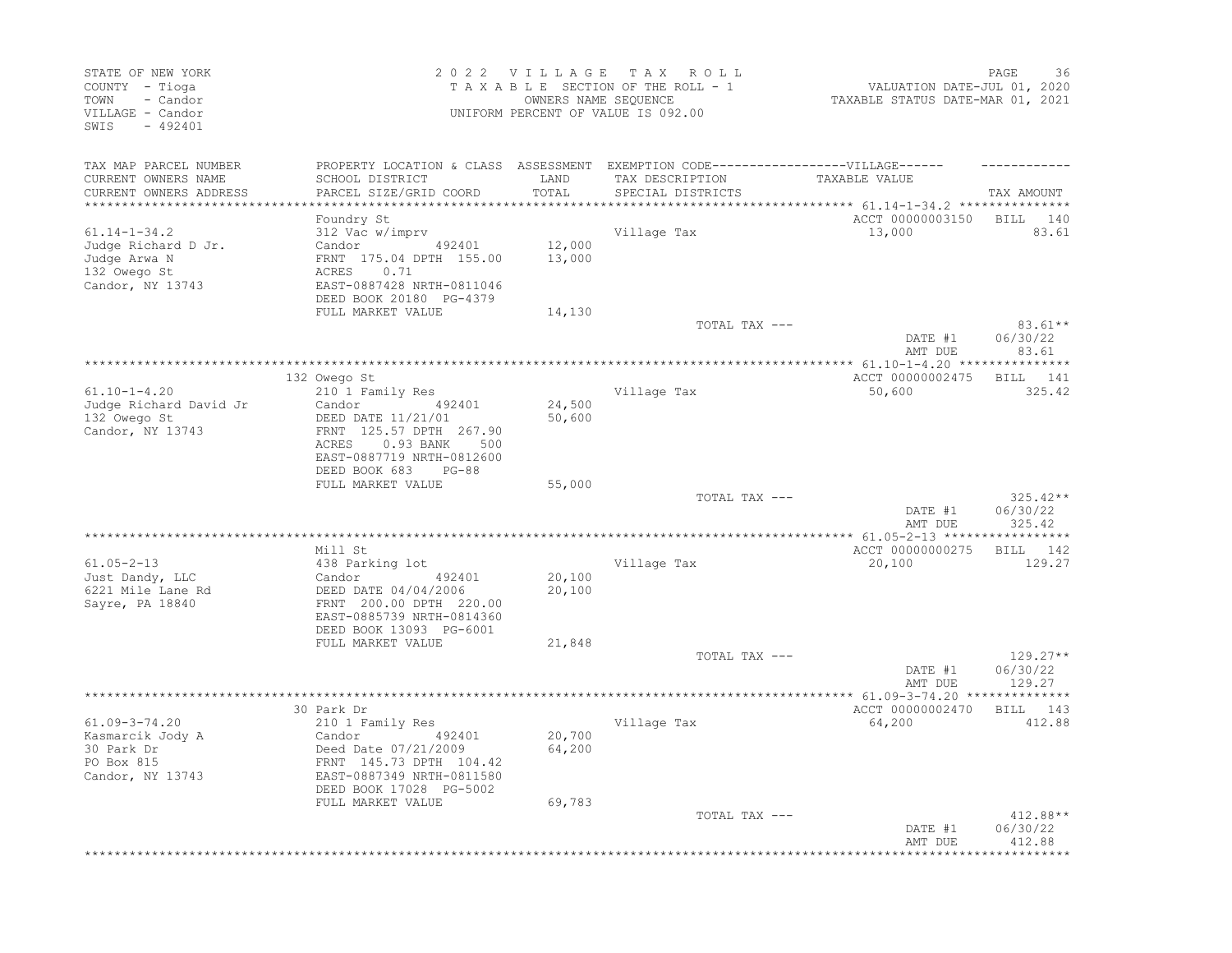| STATE OF NEW YORK<br>COUNTY - Tioga<br>TOWN<br>- Candor<br>VILLAGE - Candor<br>SWIS<br>$-492401$ |                                                                                                                                                                         |                            | 2022 VILLAGE TAX ROLL<br>TAXABLE SECTION OF THE ROLL - 1<br>OWNERS NAME SEOUENCE<br>UNIFORM PERCENT OF VALUE IS 092.00 | VALUATION DATE-JUL 01, 2020<br>TAXABLE STATUS DATE-MAR 01, 2021 | PAGE<br>36                       |
|--------------------------------------------------------------------------------------------------|-------------------------------------------------------------------------------------------------------------------------------------------------------------------------|----------------------------|------------------------------------------------------------------------------------------------------------------------|-----------------------------------------------------------------|----------------------------------|
| TAX MAP PARCEL NUMBER<br>CURRENT OWNERS NAME<br>CURRENT OWNERS ADDRESS                           | PROPERTY LOCATION & CLASS ASSESSMENT EXEMPTION CODE-----------------VILLAGE------<br>SCHOOL DISTRICT<br>PARCEL SIZE/GRID COORD                                          | LAND<br>TOTAL<br>********* | TAX DESCRIPTION<br>SPECIAL DISTRICTS                                                                                   | TAXABLE VALUE<br>********** 61.14-1-34.2 ****************       | TAX AMOUNT                       |
| $61.14 - 1 - 34.2$<br>Judge Richard D Jr.<br>Judge Arwa N<br>132 Owego St<br>Candor, NY 13743    | Foundry St<br>312 Vac w/imprv<br>Candor 492401<br>FRNT 175.04 DPTH 155.00<br>0.71<br>ACRES<br>EAST-0887428 NRTH-0811046<br>DEED BOOK 20180 PG-4379<br>FULL MARKET VALUE | 12,000<br>13,000<br>14,130 | Village Tax                                                                                                            | ACCT 00000003150<br>13,000                                      | BILL 140<br>83.61                |
|                                                                                                  |                                                                                                                                                                         |                            | TOTAL TAX ---                                                                                                          |                                                                 | $83.61**$                        |
|                                                                                                  |                                                                                                                                                                         |                            |                                                                                                                        | DATE #1<br>AMT DUE                                              | 06/30/22<br>83.61                |
|                                                                                                  |                                                                                                                                                                         |                            |                                                                                                                        |                                                                 |                                  |
| $61.10 - 1 - 4.20$                                                                               | 132 Owego St<br>210 1 Family Res                                                                                                                                        |                            | Village Tax                                                                                                            | ACCT 00000002475<br>50,600                                      | BILL 141<br>325.42               |
| Judge Richard David Jr<br>132 Owego St<br>Candor, NY 13743                                       | 492401<br>Candor<br>DEED DATE 11/21/01<br>FRNT 125.57 DPTH 267.90<br>ACRES<br>$0.93$ BANK<br>500<br>EAST-0887719 NRTH-0812600<br>DEED BOOK 683<br>$PG-88$               | 24,500<br>50,600           |                                                                                                                        |                                                                 |                                  |
|                                                                                                  | FULL MARKET VALUE                                                                                                                                                       | 55,000                     |                                                                                                                        |                                                                 |                                  |
|                                                                                                  |                                                                                                                                                                         |                            | TOTAL TAX ---                                                                                                          | DATE #1<br>AMT DUE                                              | $325.42**$<br>06/30/22<br>325.42 |
|                                                                                                  | Mill St                                                                                                                                                                 |                            |                                                                                                                        | ACCT 00000000275                                                | BILL 142                         |
| $61.05 - 2 - 13$<br>Just Dandy, LLC<br>6221 Mile Lane Rd<br>Sayre, PA 18840                      | 438 Parking lot<br>Candor 492401<br>DEED DATE 04/04/2006<br>FRNT 200.00 DPTH 220.00<br>EAST-0885739 NRTH-0814360<br>DEED BOOK 13093 PG-6001                             | 20,100<br>20,100           | Village Tax                                                                                                            | 20,100                                                          | 129.27                           |
|                                                                                                  | FULL MARKET VALUE                                                                                                                                                       | 21,848                     |                                                                                                                        |                                                                 |                                  |
|                                                                                                  |                                                                                                                                                                         |                            | TOTAL TAX ---                                                                                                          | DATE #1<br>AMT DUE                                              | $129.27**$<br>06/30/22<br>129.27 |
|                                                                                                  | 30 Park Dr                                                                                                                                                              |                            |                                                                                                                        | ACCT 00000002470                                                | BILL 143                         |
| $61.09 - 3 - 74.20$<br>Kasmarcik Jody A<br>30 Park Dr<br>PO Box 815<br>Candor, NY 13743          | 210 1 Family Res<br>Candor 492401<br>Deed Date 07/21/2009<br>FRNT 145.73 DPTH 104.42<br>EAST-0887349 NRTH-0811580<br>DEED BOOK 17028 PG-5002<br>FULL MARKET VALUE       | 20,700<br>64,200<br>69,783 | Village Tax                                                                                                            | 64,200                                                          | 412.88                           |
|                                                                                                  |                                                                                                                                                                         |                            | TOTAL TAX ---                                                                                                          | DATE #1<br>AMT DUE                                              | 412.88**<br>06/30/22<br>412.88   |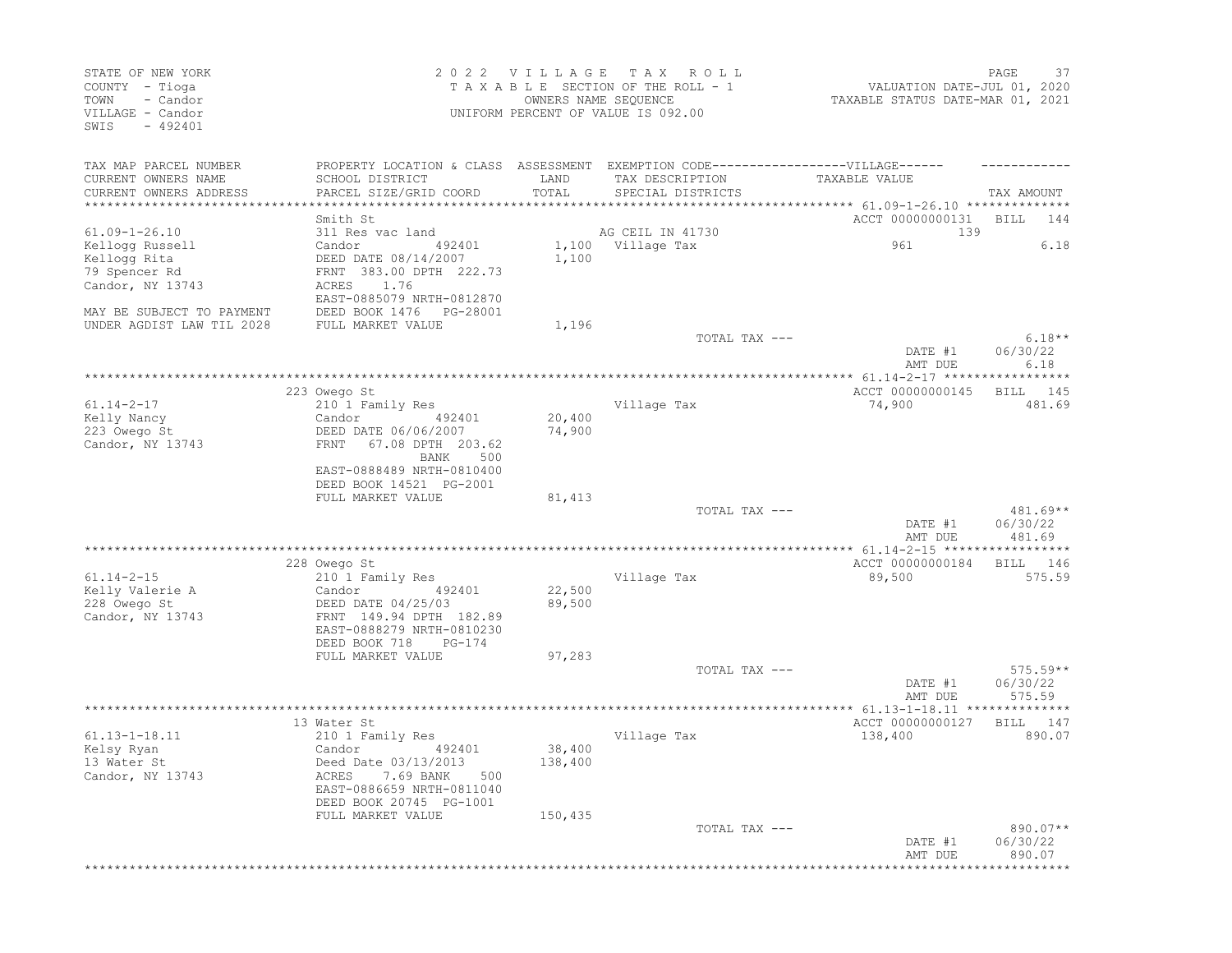| STATE OF NEW YORK<br>COUNTY - Tioga<br>TOWN<br>- Candor<br>VILLAGE - Candor<br>SWIS<br>$-492401$ |                                                      | 2022 VILLAGE<br>OWNERS NAME SEQUENCE | T A X<br>ROLL<br>TAXABLE SECTION OF THE ROLL - 1<br>UNIFORM PERCENT OF VALUE IS 092.00               | VALUATION DATE-JUL 01, 2020<br>TAXABLE STATUS DATE-MAR 01, 2021 | 37<br>PAGE                   |
|--------------------------------------------------------------------------------------------------|------------------------------------------------------|--------------------------------------|------------------------------------------------------------------------------------------------------|-----------------------------------------------------------------|------------------------------|
| TAX MAP PARCEL NUMBER<br>CURRENT OWNERS NAME                                                     | SCHOOL DISTRICT                                      | LAND                                 | PROPERTY LOCATION & CLASS ASSESSMENT EXEMPTION CODE-----------------VILLAGE------<br>TAX DESCRIPTION | TAXABLE VALUE                                                   |                              |
| CURRENT OWNERS ADDRESS<br>**********************                                                 | PARCEL SIZE/GRID COORD                               | TOTAL                                | SPECIAL DISTRICTS                                                                                    |                                                                 | TAX AMOUNT                   |
|                                                                                                  | Smith St                                             |                                      |                                                                                                      | ACCT 00000000131                                                | BILL<br>144                  |
| $61.09 - 1 - 26.10$                                                                              | 311 Res vac land                                     |                                      | AG CEIL IN 41730                                                                                     | 139                                                             |                              |
| Kellogg Russell                                                                                  | Candor<br>492401                                     | 1,100                                | Village Tax                                                                                          | 961                                                             | 6.18                         |
| Kellogg Rita                                                                                     | DEED DATE 08/14/2007<br>FRNT 383.00 DPTH 222.73      | 1,100                                |                                                                                                      |                                                                 |                              |
| 79 Spencer Rd<br>Candor, NY 13743                                                                | 1.76<br>ACRES                                        |                                      |                                                                                                      |                                                                 |                              |
|                                                                                                  | EAST-0885079 NRTH-0812870                            |                                      |                                                                                                      |                                                                 |                              |
| MAY BE SUBJECT TO PAYMENT                                                                        | DEED BOOK 1476   PG-28001                            |                                      |                                                                                                      |                                                                 |                              |
| UNDER AGDIST LAW TIL 2028                                                                        | FULL MARKET VALUE                                    | 1,196                                |                                                                                                      |                                                                 |                              |
|                                                                                                  |                                                      |                                      | TOTAL TAX ---                                                                                        | DATE #1<br>AMT DUE                                              | $6.18**$<br>06/30/22<br>6.18 |
|                                                                                                  |                                                      |                                      |                                                                                                      |                                                                 |                              |
|                                                                                                  | 223 Owego St                                         |                                      |                                                                                                      | ACCT 00000000145                                                | 145<br>BILL                  |
| $61.14 - 2 - 17$<br>Kelly Nancy                                                                  | 210 1 Family Res<br>Candor<br>492401                 | 20,400                               | Village Tax                                                                                          | 74,900                                                          | 481.69                       |
| 223 Owego St                                                                                     | DEED DATE 06/06/2007                                 | 74,900                               |                                                                                                      |                                                                 |                              |
| Candor, NY 13743                                                                                 | 67.08 DPTH 203.62<br>FRNT                            |                                      |                                                                                                      |                                                                 |                              |
|                                                                                                  | BANK<br>500                                          |                                      |                                                                                                      |                                                                 |                              |
|                                                                                                  | EAST-0888489 NRTH-0810400                            |                                      |                                                                                                      |                                                                 |                              |
|                                                                                                  | DEED BOOK 14521 PG-2001                              |                                      |                                                                                                      |                                                                 |                              |
|                                                                                                  | FULL MARKET VALUE                                    | 81,413                               | TOTAL TAX ---                                                                                        |                                                                 | 481.69**                     |
|                                                                                                  |                                                      |                                      |                                                                                                      | DATE #1<br>AMT DUE                                              | 06/30/22<br>481.69           |
|                                                                                                  | 228 Owego St                                         |                                      |                                                                                                      | ACCT 00000000184                                                | BILL 146                     |
| $61.14 - 2 - 15$                                                                                 | 210 1 Family Res                                     |                                      | Village Tax                                                                                          | 89,500                                                          | 575.59                       |
| Kelly Valerie A                                                                                  | Candor<br>492401                                     | 22,500                               |                                                                                                      |                                                                 |                              |
| 228 Owego St                                                                                     | DEED DATE 04/25/03                                   | 89,500                               |                                                                                                      |                                                                 |                              |
| Candor, NY 13743                                                                                 | FRNT 149.94 DPTH 182.89                              |                                      |                                                                                                      |                                                                 |                              |
|                                                                                                  | EAST-0888279 NRTH-0810230<br>DEED BOOK 718<br>PG-174 |                                      |                                                                                                      |                                                                 |                              |
|                                                                                                  | FULL MARKET VALUE                                    | 97,283                               |                                                                                                      |                                                                 |                              |
|                                                                                                  |                                                      |                                      | TOTAL TAX ---                                                                                        |                                                                 | $575.59**$                   |
|                                                                                                  |                                                      |                                      |                                                                                                      | DATE #1                                                         | 06/30/22                     |
|                                                                                                  |                                                      |                                      |                                                                                                      | AMT DUE                                                         | 575.59                       |
|                                                                                                  | 13 Water St                                          |                                      |                                                                                                      | ACCT 00000000127                                                | BILL<br>147                  |
| $61.13 - 1 - 18.11$                                                                              | 210 1 Family Res                                     |                                      | Village Tax                                                                                          | 138,400                                                         | 890.07                       |
| Kelsy Ryan                                                                                       | 492401<br>Candor                                     | 38,400                               |                                                                                                      |                                                                 |                              |
| 13 Water St                                                                                      | Deed Date 03/13/2013                                 | 138,400                              |                                                                                                      |                                                                 |                              |
| Candor, NY 13743                                                                                 | ACRES 7.69 BANK 500                                  |                                      |                                                                                                      |                                                                 |                              |
|                                                                                                  | EAST-0886659 NRTH-0811040<br>DEED BOOK 20745 PG-1001 |                                      |                                                                                                      |                                                                 |                              |
|                                                                                                  | FULL MARKET VALUE                                    | 150,435                              |                                                                                                      |                                                                 |                              |
|                                                                                                  |                                                      |                                      | TOTAL TAX ---                                                                                        |                                                                 | 890.07**                     |
|                                                                                                  |                                                      |                                      |                                                                                                      | DATE #1<br>AMT DUE                                              | 06/30/22<br>890.07           |
|                                                                                                  |                                                      |                                      |                                                                                                      |                                                                 |                              |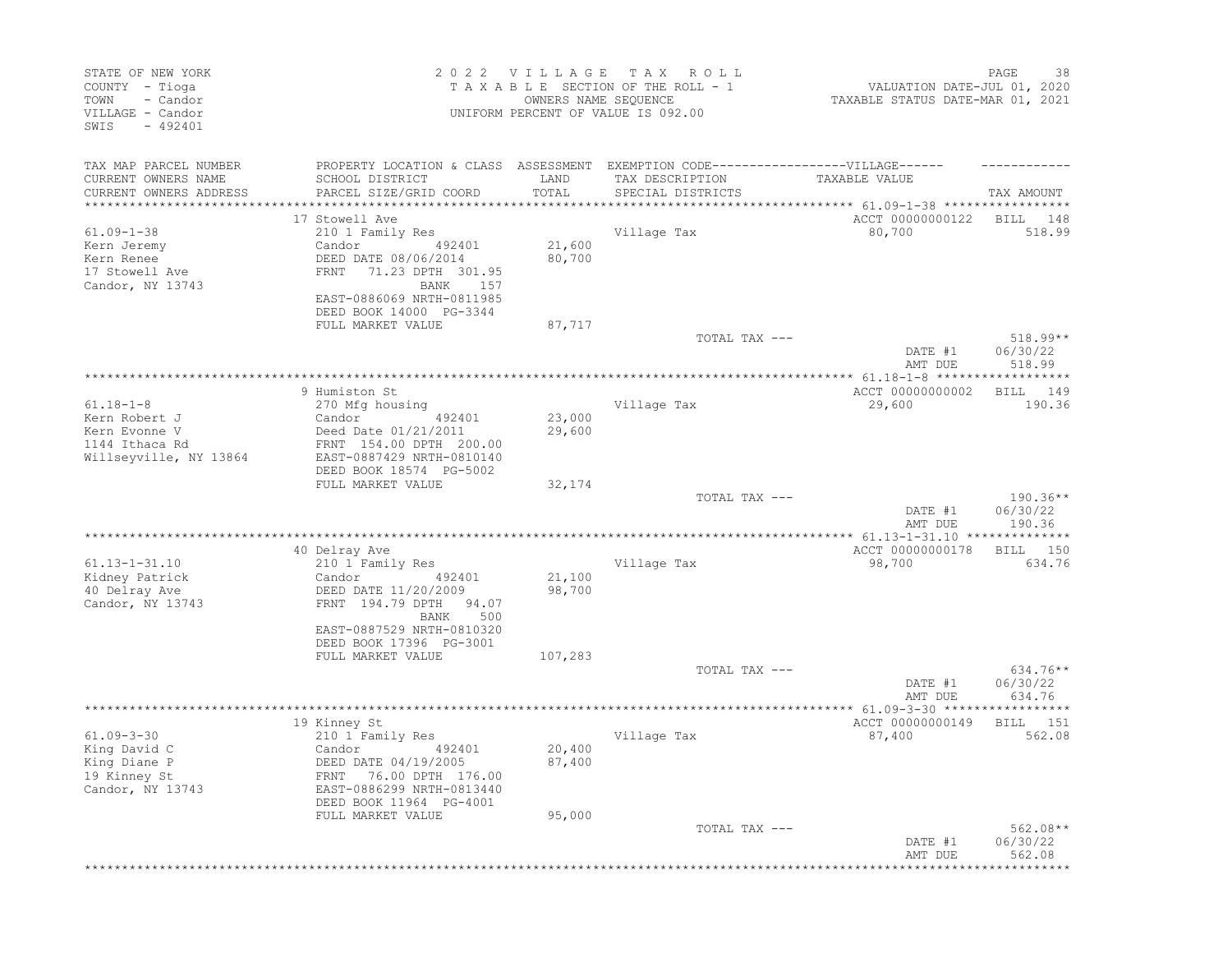| TAX MAP PARCEL NUMBER                                                                            |                               |                                                                                                      |                                                           |                             |
|--------------------------------------------------------------------------------------------------|-------------------------------|------------------------------------------------------------------------------------------------------|-----------------------------------------------------------|-----------------------------|
| CURRENT OWNERS NAME<br>SCHOOL DISTRICT                                                           | LAND                          | PROPERTY LOCATION & CLASS ASSESSMENT EXEMPTION CODE-----------------VILLAGE------<br>TAX DESCRIPTION | TAXABLE VALUE                                             |                             |
| PARCEL SIZE/GRID COORD<br>CURRENT OWNERS ADDRESS<br>****************                             | TOTAL<br>**************       | SPECIAL DISTRICTS                                                                                    |                                                           | TAX AMOUNT                  |
| 17 Stowell Ave                                                                                   |                               |                                                                                                      | ACCT 00000000122                                          | BILL<br>148                 |
| $61.09 - 1 - 38$<br>210 1 Family Res                                                             |                               | Village Tax                                                                                          | 80,700                                                    | 518.99                      |
| Kern Jeremy<br>Candor<br>492401                                                                  | 21,600                        |                                                                                                      |                                                           |                             |
| Kern Renee<br>DEED DATE 08/06/2014                                                               | 80,700                        |                                                                                                      |                                                           |                             |
| 17 Stowell Ave<br>71.23 DPTH 301.95<br>FRNT                                                      | 157                           |                                                                                                      |                                                           |                             |
| Candor, NY 13743<br>BANK<br>EAST-0886069 NRTH-0811985<br>DEED BOOK 14000 PG-3344                 |                               |                                                                                                      |                                                           |                             |
| FULL MARKET VALUE                                                                                | 87,717                        |                                                                                                      |                                                           |                             |
|                                                                                                  |                               | TOTAL TAX ---                                                                                        |                                                           | $518.99**$                  |
|                                                                                                  |                               |                                                                                                      | DATE #1<br>AMT DUE                                        | 06/30/22<br>518.99<br>***** |
| 9 Humiston St                                                                                    |                               |                                                                                                      | ACCT 00000000002                                          | 149<br>BILL                 |
| $61.18 - 1 - 8$<br>270 Mfg housing                                                               |                               | Village Tax                                                                                          | 29,600                                                    | 190.36                      |
| Kern Robert J<br>Candor<br>492401                                                                | 23,000                        |                                                                                                      |                                                           |                             |
| Kern Evonne V<br>Deed Date 01/21/2011                                                            | 29,600                        |                                                                                                      |                                                           |                             |
| 1144 Ithaca Rd<br>FRNT 154.00 DPTH 200.00<br>Willseyville, NY 13864<br>EAST-0887429 NRTH-0810140 |                               |                                                                                                      |                                                           |                             |
| DEED BOOK 18574 PG-5002                                                                          |                               |                                                                                                      |                                                           |                             |
| FULL MARKET VALUE                                                                                | 32,174                        |                                                                                                      |                                                           |                             |
|                                                                                                  |                               | TOTAL TAX ---                                                                                        | DATE #1                                                   | $190.36**$<br>06/30/22      |
|                                                                                                  |                               |                                                                                                      | AMT DUE                                                   | 190.36                      |
| *****************                                                                                | ***************************** |                                                                                                      | *********** 61.13-1-31.10 ***************                 |                             |
| 40 Delray Ave<br>$61.13 - 1 - 31.10$                                                             |                               | Village Tax                                                                                          | ACCT 00000000178                                          | BILL<br>150<br>634.76       |
| 210 1 Family Res<br>Kidney Patrick<br>Candor<br>492401                                           | 21,100                        |                                                                                                      | 98,700                                                    |                             |
| 40 Delray Ave<br>DEED DATE 11/20/2009                                                            | 98,700                        |                                                                                                      |                                                           |                             |
| Candor, NY 13743<br>FRNT 194.79 DPTH                                                             | 94.07                         |                                                                                                      |                                                           |                             |
| BANK                                                                                             | 500                           |                                                                                                      |                                                           |                             |
| EAST-0887529 NRTH-0810320<br>DEED BOOK 17396 PG-3001                                             |                               |                                                                                                      |                                                           |                             |
| FULL MARKET VALUE                                                                                | 107,283                       |                                                                                                      |                                                           |                             |
|                                                                                                  |                               | TOTAL TAX ---                                                                                        |                                                           | 634.76**                    |
|                                                                                                  |                               |                                                                                                      | DATE #1                                                   | 06/30/22                    |
|                                                                                                  |                               |                                                                                                      | AMT DUE<br>·*************** 61.09-3-30 ****************** | 634.76                      |
| 19 Kinney St                                                                                     |                               |                                                                                                      | ACCT 00000000149                                          | BILL<br>- 151               |
| $61.09 - 3 - 30$<br>210 1 Family Res                                                             |                               | Village Tax                                                                                          | 87,400                                                    | 562.08                      |
| King David C<br>Candor<br>492401                                                                 | 20,400                        |                                                                                                      |                                                           |                             |
| King Diane P<br>DEED DATE 04/19/2005                                                             | 87,400                        |                                                                                                      |                                                           |                             |
| 19 Kinney St<br>FRNT 76.00 DPTH 176.00                                                           |                               |                                                                                                      |                                                           |                             |
| EAST-0886299 NRTH-0813440<br>Candor, NY 13743<br>DEED BOOK 11964 PG-4001                         |                               |                                                                                                      |                                                           |                             |
| FULL MARKET VALUE                                                                                | 95,000                        |                                                                                                      |                                                           |                             |
|                                                                                                  |                               | TOTAL TAX ---                                                                                        |                                                           | $562.08**$                  |
|                                                                                                  |                               |                                                                                                      | DATE #1                                                   | 06/30/22                    |
|                                                                                                  |                               |                                                                                                      | AMT DUE                                                   | 562.08                      |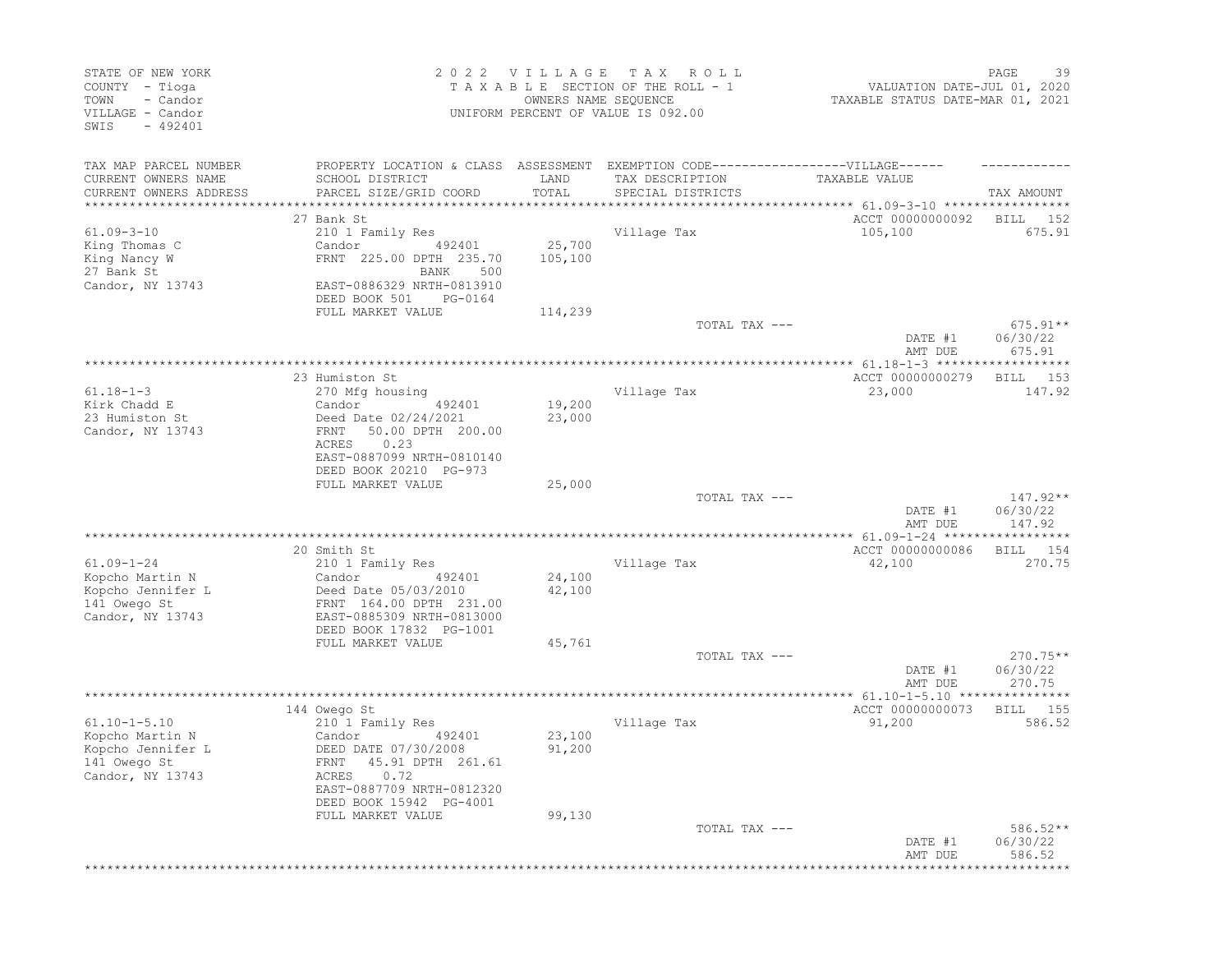| STATE OF NEW YORK<br>COUNTY - Tioga<br>TOWN<br>- Candor<br>VILLAGE - Candor<br>$-492401$<br>SWIS |                                                                                  | 2022 VILLAGE<br>OWNERS NAME SEQUENCE | T A X<br>R O L L<br>TAXABLE SECTION OF THE ROLL - 1<br>UNIFORM PERCENT OF VALUE IS 092.00            | VALUATION DATE-JUL 01, 2020<br>TAXABLE STATUS DATE-MAR 01, 2021   | PAGE<br>39                       |
|--------------------------------------------------------------------------------------------------|----------------------------------------------------------------------------------|--------------------------------------|------------------------------------------------------------------------------------------------------|-------------------------------------------------------------------|----------------------------------|
| TAX MAP PARCEL NUMBER<br>CURRENT OWNERS NAME                                                     | SCHOOL DISTRICT                                                                  | LAND                                 | PROPERTY LOCATION & CLASS ASSESSMENT EXEMPTION CODE-----------------VILLAGE------<br>TAX DESCRIPTION | TAXABLE VALUE                                                     |                                  |
| CURRENT OWNERS ADDRESS                                                                           | PARCEL SIZE/GRID COORD                                                           | TOTAL                                | SPECIAL DISTRICTS                                                                                    |                                                                   | TAX AMOUNT                       |
|                                                                                                  | 27 Bank St                                                                       |                                      |                                                                                                      | ACCT 00000000092                                                  | BILL<br>152                      |
| $61.09 - 3 - 10$                                                                                 | 210 1 Family Res                                                                 |                                      | Village Tax                                                                                          | 105,100                                                           | 675.91                           |
| King Thomas C<br>King Nancy W<br>27 Bank St                                                      | Candor<br>492401<br>FRNT 225.00 DPTH 235.70<br>BANK<br>500                       | 25,700<br>105,100                    |                                                                                                      |                                                                   |                                  |
| Candor, NY 13743                                                                                 | EAST-0886329 NRTH-0813910<br>DEED BOOK 501<br>PG-0164                            |                                      |                                                                                                      |                                                                   |                                  |
|                                                                                                  | FULL MARKET VALUE                                                                | 114,239                              | TOTAL TAX ---                                                                                        |                                                                   | $675.91**$                       |
|                                                                                                  |                                                                                  |                                      |                                                                                                      | DATE #1<br>AMT DUE                                                | 06/30/22<br>675.91               |
|                                                                                                  | 23 Humiston St                                                                   |                                      |                                                                                                      | *************** 61.18-1-3 *******************<br>ACCT 00000000279 | 153<br>BILL                      |
| $61.18 - 1 - 3$                                                                                  | 270 Mfg housing                                                                  |                                      | Village Tax                                                                                          | 23,000                                                            | 147.92                           |
| Kirk Chadd E<br>23 Humiston St<br>Candor, NY 13743                                               | Candor<br>492401<br>Deed Date 02/24/2021<br>50.00 DPTH 200.00<br>FRNT            | 19,200<br>23,000                     |                                                                                                      |                                                                   |                                  |
|                                                                                                  | 0.23<br>ACRES<br>EAST-0887099 NRTH-0810140<br>DEED BOOK 20210 PG-973             |                                      |                                                                                                      |                                                                   |                                  |
|                                                                                                  | FULL MARKET VALUE                                                                | 25,000                               | TOTAL TAX ---                                                                                        |                                                                   | $147.92**$                       |
|                                                                                                  |                                                                                  |                                      |                                                                                                      | DATE #1<br>AMT DUE                                                | 06/30/22<br>147.92               |
|                                                                                                  | 20 Smith St                                                                      |                                      |                                                                                                      | ACCT 00000000086                                                  | 154<br>BILL                      |
| $61.09 - 1 - 24$                                                                                 | 210 1 Family Res                                                                 |                                      | Village Tax                                                                                          | 42,100                                                            | 270.75                           |
| Kopcho Martin N                                                                                  | Candor<br>492401                                                                 | 24,100                               |                                                                                                      |                                                                   |                                  |
| Kopcho Jennifer L<br>141 Owego St<br>Candor, NY 13743                                            | Deed Date 05/03/2010<br>FRNT 164.00 DPTH 231.00<br>EAST-0885309 NRTH-0813000     | 42,100                               |                                                                                                      |                                                                   |                                  |
|                                                                                                  | DEED BOOK 17832 PG-1001                                                          |                                      |                                                                                                      |                                                                   |                                  |
|                                                                                                  | FULL MARKET VALUE                                                                | 45,761                               | TOTAL TAX ---                                                                                        |                                                                   | $270.75**$                       |
|                                                                                                  |                                                                                  |                                      |                                                                                                      | DATE #1<br>AMT DUE                                                | 06/30/22<br>270.75               |
|                                                                                                  | 144 Owego St                                                                     |                                      |                                                                                                      | *************** 61.10-1-5.10 *********<br>ACCT 00000000073        | 155<br>BILL                      |
| $61.10 - 1 - 5.10$                                                                               | 210 1 Family Res                                                                 |                                      | Village Tax                                                                                          | 91,200                                                            | 586.52                           |
| Kopcho Martin N<br>Kopcho Jennifer L<br>141 Owego St<br>Candor, NY 13743                         | Candor<br>492401<br>DEED DATE 07/30/2008<br>FRNT 45.91 DPTH 261.61<br>ACRES 0.72 | 23,100<br>91,200                     |                                                                                                      |                                                                   |                                  |
|                                                                                                  | EAST-0887709 NRTH-0812320<br>DEED BOOK 15942 PG-4001<br>FULL MARKET VALUE        | 99,130                               |                                                                                                      |                                                                   |                                  |
|                                                                                                  |                                                                                  |                                      | TOTAL TAX ---                                                                                        | DATE #1<br>AMT DUE                                                | $586.52**$<br>06/30/22<br>586.52 |
|                                                                                                  |                                                                                  |                                      |                                                                                                      |                                                                   |                                  |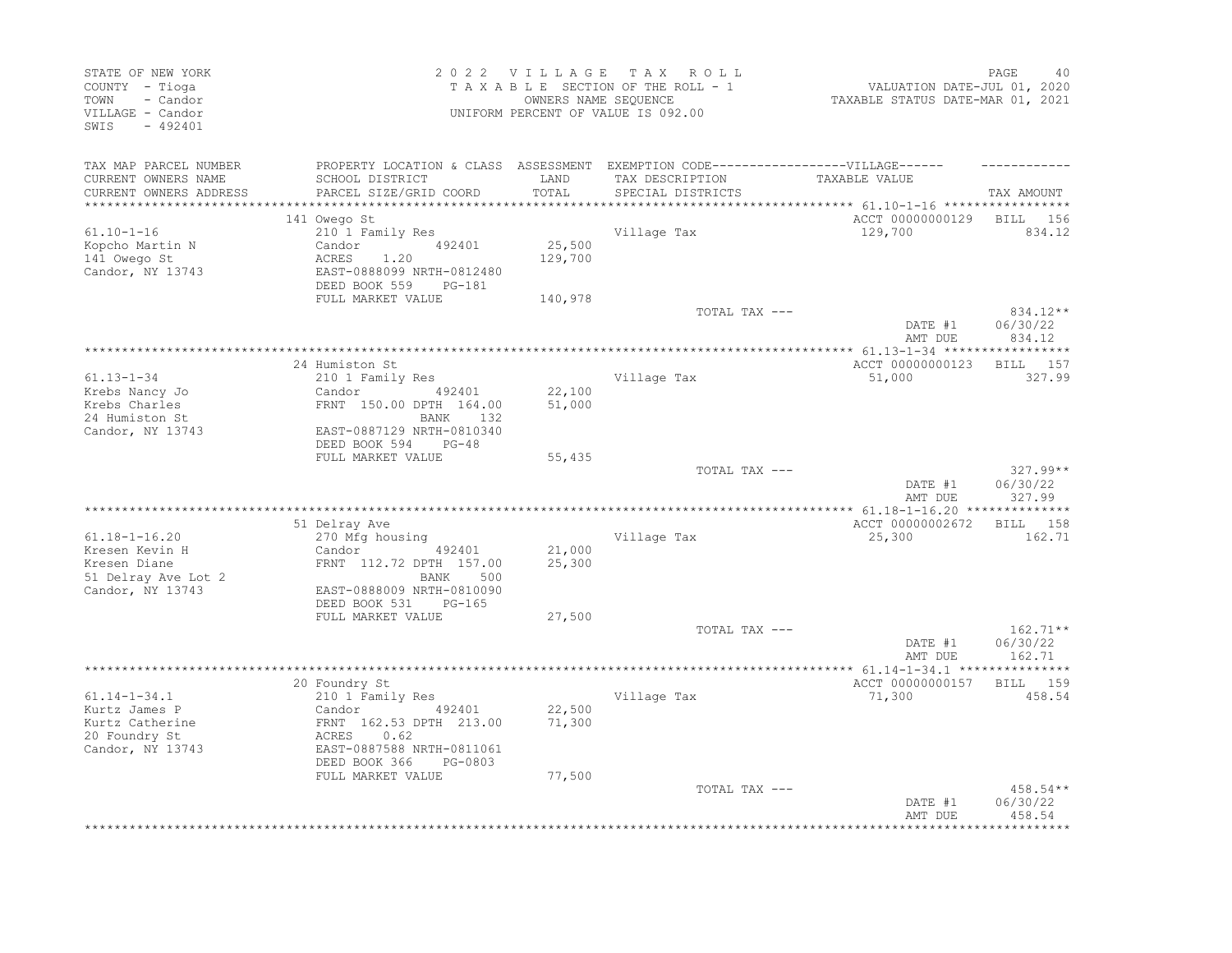| STATE OF NEW YORK<br>COUNTY - Tioga<br>TOWN<br>- Candor<br>VILLAGE - Candor<br>SWIS<br>$-492401$ |                                                                                                                                           | 2022 VILLAGE<br>OWNERS NAME SEQUENCE | T A X<br>ROLL<br>TAXABLE SECTION OF THE ROLL - 1<br>UNIFORM PERCENT OF VALUE IS 092.00                                    | VALUATION DATE-JUL 01, 2020<br>TAXABLE STATUS DATE-MAR 01, 2021 | PAGE<br>40                       |
|--------------------------------------------------------------------------------------------------|-------------------------------------------------------------------------------------------------------------------------------------------|--------------------------------------|---------------------------------------------------------------------------------------------------------------------------|-----------------------------------------------------------------|----------------------------------|
| TAX MAP PARCEL NUMBER<br>CURRENT OWNERS NAME<br>CURRENT OWNERS ADDRESS                           | SCHOOL DISTRICT<br>PARCEL SIZE/GRID COORD                                                                                                 | LAND<br>TOTAL                        | PROPERTY LOCATION & CLASS ASSESSMENT EXEMPTION CODE-----------------VILLAGE------<br>TAX DESCRIPTION<br>SPECIAL DISTRICTS | TAXABLE VALUE                                                   | TAX AMOUNT                       |
| ***********************                                                                          |                                                                                                                                           |                                      |                                                                                                                           |                                                                 |                                  |
| $61.10 - 1 - 16$                                                                                 | 141 Owego St<br>210 1 Family Res                                                                                                          |                                      | Village Tax                                                                                                               | ACCT 00000000129<br>129,700                                     | 156<br>BILL<br>834.12            |
| Kopcho Martin N<br>141 Owego St<br>Candor, NY 13743                                              | 492401<br>Candor<br>1.20<br>ACRES<br>EAST-0888099 NRTH-0812480<br>DEED BOOK 559<br>PG-181                                                 | 25,500<br>129,700                    |                                                                                                                           |                                                                 |                                  |
|                                                                                                  | FULL MARKET VALUE                                                                                                                         | 140,978                              | TOTAL TAX ---                                                                                                             |                                                                 | 834.12**                         |
|                                                                                                  |                                                                                                                                           |                                      |                                                                                                                           | DATE #1<br>AMT DUE                                              | 06/30/22<br>834.12               |
|                                                                                                  | 24 Humiston St                                                                                                                            |                                      |                                                                                                                           | ACCT 00000000123                                                | BILL 157                         |
| $61.13 - 1 - 34$<br>Krebs Nancy Jo<br>Krebs Charles                                              | 210 1 Family Res<br>Candor<br>492401<br>FRNT 150.00 DPTH 164.00                                                                           | 22,100<br>51,000                     | Village Tax                                                                                                               | 51,000                                                          | 327.99                           |
| 24 Humiston St<br>Candor, NY 13743                                                               | BANK 132<br>EAST-0887129 NRTH-0810340                                                                                                     |                                      |                                                                                                                           |                                                                 |                                  |
|                                                                                                  | DEED BOOK 594<br>$PG-48$<br>FULL MARKET VALUE                                                                                             | 55,435                               |                                                                                                                           |                                                                 |                                  |
|                                                                                                  |                                                                                                                                           |                                      | TOTAL TAX ---                                                                                                             | DATE #1<br>AMT DUE                                              | $327.99**$<br>06/30/22<br>327.99 |
|                                                                                                  |                                                                                                                                           |                                      |                                                                                                                           |                                                                 |                                  |
|                                                                                                  | 51 Delray Ave                                                                                                                             |                                      |                                                                                                                           | ACCT 00000002672                                                | BILL<br>158                      |
| $61.18 - 1 - 16.20$<br>Kresen Kevin H                                                            | 270 Mfg housing<br>Candor<br>492401                                                                                                       | 21,000                               | Village Tax                                                                                                               | 25,300                                                          | 162.71                           |
| Kresen Diane<br>51 Delray Ave Lot 2<br>Candor, NY 13743                                          | FRNT 112.72 DPTH 157.00<br>500<br>BANK<br>EAST-0888009 NRTH-0810090                                                                       | 25,300                               |                                                                                                                           |                                                                 |                                  |
|                                                                                                  | DEED BOOK 531<br>PG-165<br>FULL MARKET VALUE                                                                                              | 27,500                               |                                                                                                                           |                                                                 |                                  |
|                                                                                                  |                                                                                                                                           |                                      | TOTAL TAX ---                                                                                                             | DATE #1<br>AMT DUE                                              | $162.71**$<br>06/30/22<br>162.71 |
|                                                                                                  |                                                                                                                                           |                                      |                                                                                                                           |                                                                 |                                  |
|                                                                                                  | 20 Foundry St                                                                                                                             |                                      |                                                                                                                           | ACCT 00000000157                                                | BILL 159                         |
| $61.14 - 1 - 34.1$<br>Kurtz James P<br>Kurtz Catherine<br>20 Foundry St<br>Candor, NY 13743      | 210 1 Family Res<br>Candor<br>492401<br>FRNT 162.53 DPTH 213.00<br>ACRES<br>0.62<br>EAST-0887588 NRTH-0811061<br>DEED BOOK 366<br>PG-0803 | 22,500<br>71,300                     | Village Tax                                                                                                               | 71,300                                                          | 458.54                           |
|                                                                                                  | FULL MARKET VALUE                                                                                                                         | 77,500                               | TOTAL TAX ---                                                                                                             | DATE #1                                                         | 458.54**<br>06/30/22             |
|                                                                                                  |                                                                                                                                           |                                      |                                                                                                                           | AMT DUE                                                         | 458.54                           |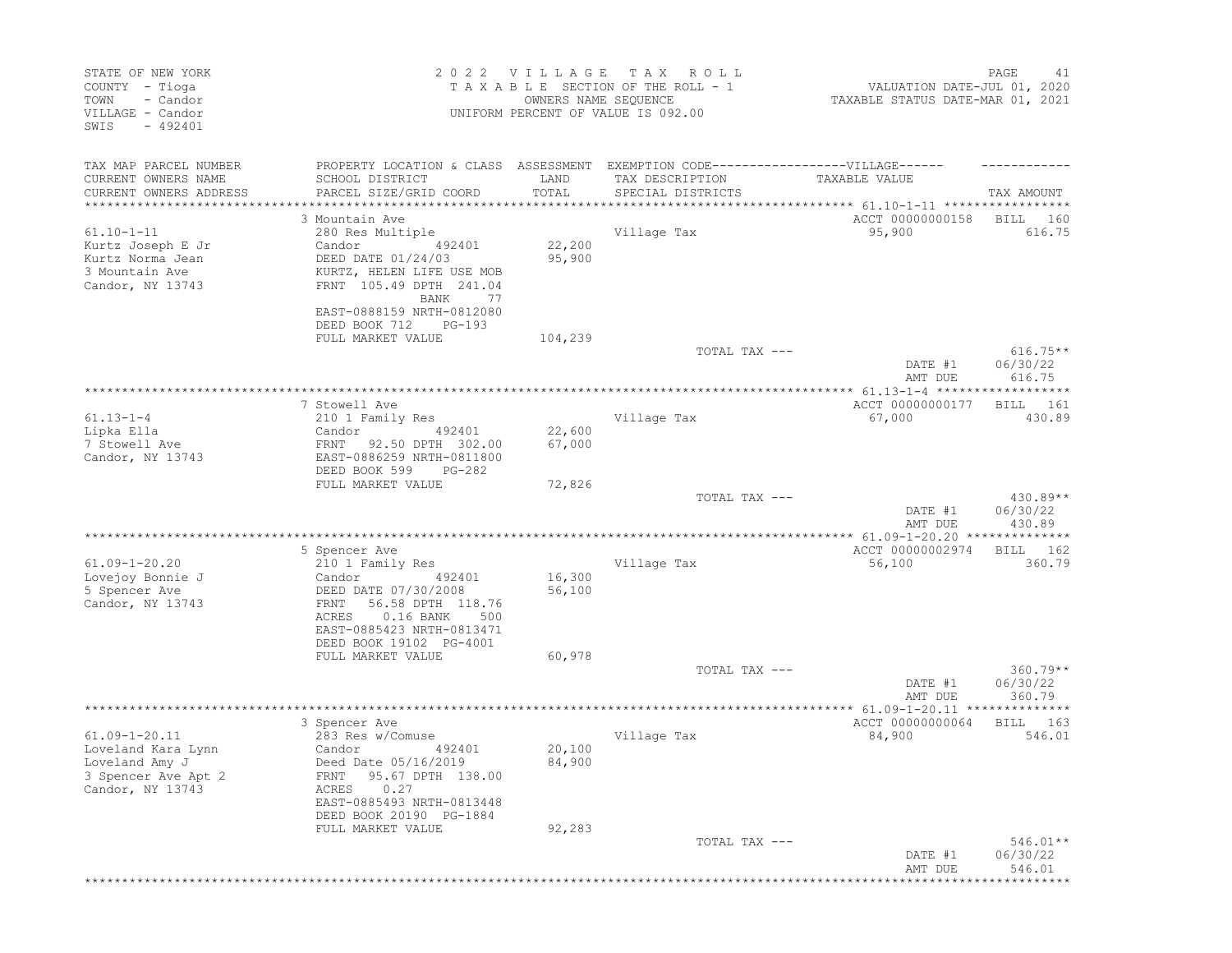| STATE OF NEW YORK<br>COUNTY - Tioga<br>- Candor<br>TOWN<br>VILLAGE - Candor<br>SWIS<br>$-492401$ |                                                                                                                                | 2022 VILLAGE<br>OWNERS NAME SEQUENCE | T A X<br>R O L L<br>TAXABLE SECTION OF THE ROLL - 1<br>UNIFORM PERCENT OF VALUE IS 092.00 | VALUATION DATE-JUL 01, 2020<br>TAXABLE STATUS DATE-MAR 01, 2021 | PAGE<br>41                   |
|--------------------------------------------------------------------------------------------------|--------------------------------------------------------------------------------------------------------------------------------|--------------------------------------|-------------------------------------------------------------------------------------------|-----------------------------------------------------------------|------------------------------|
| TAX MAP PARCEL NUMBER<br>CURRENT OWNERS NAME<br>CURRENT OWNERS ADDRESS                           | PROPERTY LOCATION & CLASS ASSESSMENT EXEMPTION CODE-----------------VILLAGE------<br>SCHOOL DISTRICT<br>PARCEL SIZE/GRID COORD | LAND<br>TOTAL                        | TAX DESCRIPTION<br>SPECIAL DISTRICTS                                                      | TAXABLE VALUE                                                   | TAX AMOUNT                   |
| ***************                                                                                  |                                                                                                                                | **************                       |                                                                                           | ********************** 61.10-1-11 *****************             |                              |
|                                                                                                  | 3 Mountain Ave                                                                                                                 |                                      |                                                                                           | ACCT 00000000158                                                | <b>BILL</b><br>160           |
| $61.10 - 1 - 11$                                                                                 | 280 Res Multiple                                                                                                               |                                      | Village Tax                                                                               | 95,900                                                          | 616.75                       |
| Kurtz Joseph E Jr<br>Kurtz Norma Jean                                                            | Candor<br>492401<br>DEED DATE 01/24/03                                                                                         | 22,200<br>95,900                     |                                                                                           |                                                                 |                              |
| 3 Mountain Ave                                                                                   | KURTZ, HELEN LIFE USE MOB                                                                                                      |                                      |                                                                                           |                                                                 |                              |
| Candor, NY 13743                                                                                 | FRNT 105.49 DPTH 241.04<br>BANK<br>77                                                                                          |                                      |                                                                                           |                                                                 |                              |
|                                                                                                  | EAST-0888159 NRTH-0812080<br>DEED BOOK 712<br>$PG-193$                                                                         |                                      |                                                                                           |                                                                 |                              |
|                                                                                                  | FULL MARKET VALUE                                                                                                              | 104,239                              | TOTAL TAX ---                                                                             |                                                                 | $616.75**$                   |
|                                                                                                  |                                                                                                                                |                                      |                                                                                           | DATE #1<br>AMT DUE                                              | 06/30/22<br>616.75           |
|                                                                                                  |                                                                                                                                |                                      |                                                                                           |                                                                 |                              |
| $61.13 - 1 - 4$                                                                                  | 7 Stowell Ave<br>210 1 Family Res                                                                                              |                                      | Village Tax                                                                               | ACCT 00000000177<br>67,000                                      | <b>BILL</b><br>161<br>430.89 |
| Lipka Ella                                                                                       | Candor<br>492401                                                                                                               | 22,600                               |                                                                                           |                                                                 |                              |
| 7 Stowell Ave                                                                                    | 92.50 DPTH 302.00<br>FRNT                                                                                                      | 67,000                               |                                                                                           |                                                                 |                              |
| Candor, NY 13743                                                                                 | EAST-0886259 NRTH-0811800<br>DEED BOOK 599<br>$PG-282$                                                                         |                                      |                                                                                           |                                                                 |                              |
|                                                                                                  | FULL MARKET VALUE                                                                                                              | 72,826                               | TOTAL TAX ---                                                                             |                                                                 | $430.89**$                   |
|                                                                                                  |                                                                                                                                |                                      |                                                                                           | DATE #1<br>AMT DUE                                              | 06/30/22<br>430.89           |
|                                                                                                  |                                                                                                                                |                                      |                                                                                           | ********** 61.09-1-20.20 ***************                        |                              |
|                                                                                                  | 5 Spencer Ave                                                                                                                  |                                      |                                                                                           | ACCT 00000002974                                                | BILL<br>162                  |
| $61.09 - 1 - 20.20$                                                                              | 210 1 Family Res<br>Candor                                                                                                     | 16,300                               | Village Tax                                                                               | 56,100                                                          | 360.79                       |
| Lovejoy Bonnie J<br>5 Spencer Ave                                                                | 492401<br>DEED DATE 07/30/2008                                                                                                 | 56,100                               |                                                                                           |                                                                 |                              |
| Candor, NY 13743                                                                                 | 56.58 DPTH 118.76<br>FRNT                                                                                                      |                                      |                                                                                           |                                                                 |                              |
|                                                                                                  | ACRES<br>$0.16$ BANK<br>500                                                                                                    |                                      |                                                                                           |                                                                 |                              |
|                                                                                                  | EAST-0885423 NRTH-0813471                                                                                                      |                                      |                                                                                           |                                                                 |                              |
|                                                                                                  | DEED BOOK 19102 PG-4001<br>FULL MARKET VALUE                                                                                   | 60,978                               |                                                                                           |                                                                 |                              |
|                                                                                                  |                                                                                                                                |                                      | TOTAL TAX ---                                                                             |                                                                 | $360.79**$                   |
|                                                                                                  |                                                                                                                                |                                      |                                                                                           | DATE #1                                                         | 06/30/22                     |
|                                                                                                  |                                                                                                                                |                                      |                                                                                           | AMT DUE                                                         | 360.79                       |
|                                                                                                  | ************************                                                                                                       |                                      | *********************************                                                         | *************** 61.09-1-20.11 ***************                   |                              |
| $61.09 - 1 - 20.11$                                                                              | 3 Spencer Ave<br>283 Res w/Comuse                                                                                              |                                      | Village Tax                                                                               | ACCT 00000000064<br>84,900                                      | BILL<br>- 163<br>546.01      |
| Loveland Kara Lynn                                                                               | Candor<br>492401                                                                                                               | 20,100                               |                                                                                           |                                                                 |                              |
| Loveland Amy J                                                                                   | Deed Date 05/16/2019                                                                                                           | 84,900                               |                                                                                           |                                                                 |                              |
| 3 Spencer Ave Apt 2                                                                              | 95.67 DPTH 138.00<br>FRNT                                                                                                      |                                      |                                                                                           |                                                                 |                              |
| Candor, NY 13743                                                                                 | 0.27<br>ACRES                                                                                                                  |                                      |                                                                                           |                                                                 |                              |
|                                                                                                  | EAST-0885493 NRTH-0813448<br>DEED BOOK 20190 PG-1884                                                                           |                                      |                                                                                           |                                                                 |                              |
|                                                                                                  | FULL MARKET VALUE                                                                                                              | 92,283                               |                                                                                           |                                                                 |                              |
|                                                                                                  |                                                                                                                                |                                      | TOTAL TAX ---                                                                             |                                                                 | $546.01**$                   |
|                                                                                                  |                                                                                                                                |                                      |                                                                                           | DATE #1<br>AMT DUE                                              | 06/30/22<br>546.01           |
|                                                                                                  |                                                                                                                                |                                      |                                                                                           | ********************************                                |                              |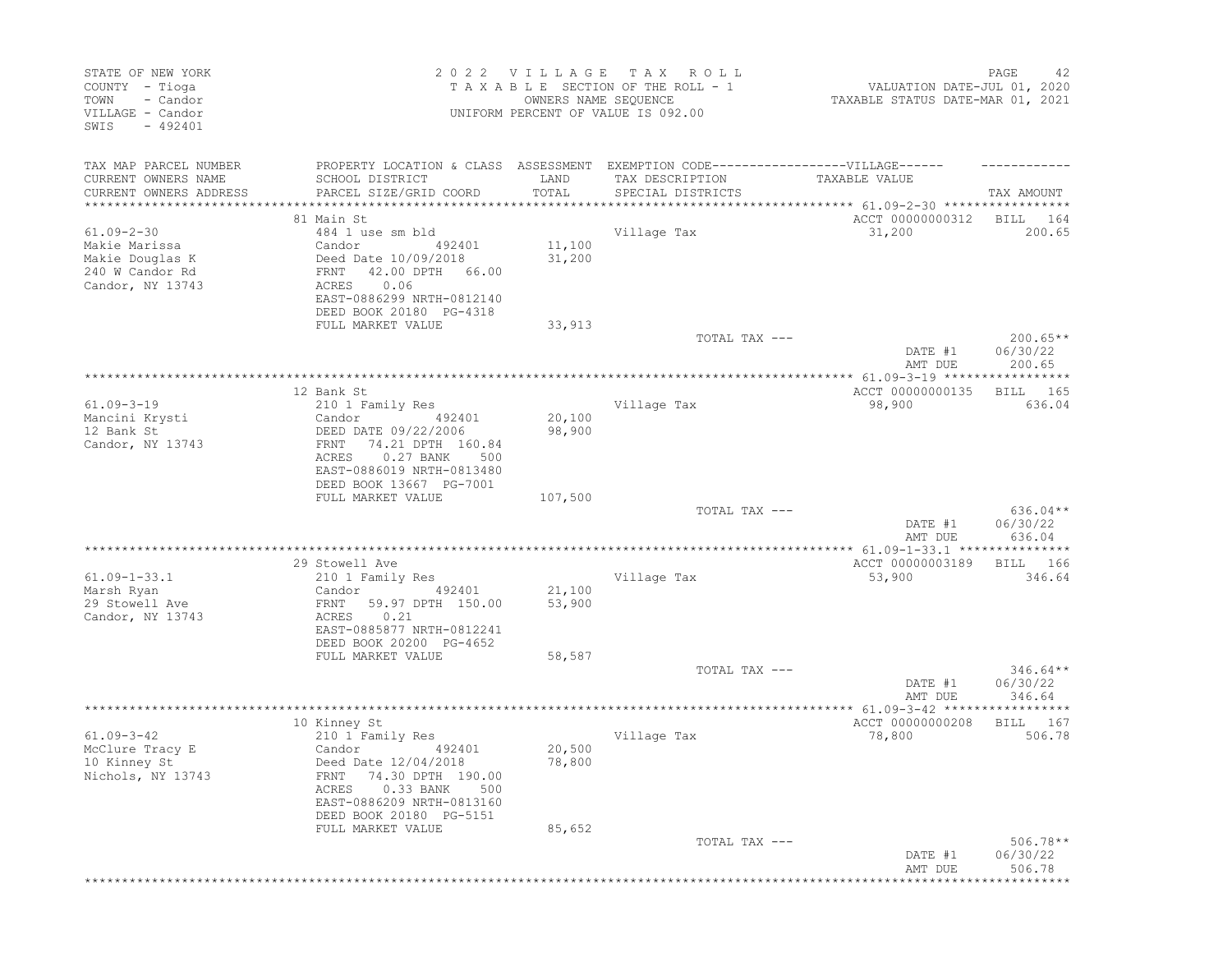| STATE OF NEW YORK<br>COUNTY - Tioga<br>- Candor<br>TOWN<br>VILLAGE - Candor<br>SWIS<br>$-492401$ |                                                                                                                                                                   | 2022 VILLAGE<br>OWNERS NAME SEQUENCE | T A X<br>R O L L<br>TAXABLE SECTION OF THE ROLL - 1<br>UNIFORM PERCENT OF VALUE IS 092.00 | VALUATION DATE-JUL 01, 2020<br>TAXABLE STATUS DATE-MAR 01, 2021 | PAGE<br>42                       |
|--------------------------------------------------------------------------------------------------|-------------------------------------------------------------------------------------------------------------------------------------------------------------------|--------------------------------------|-------------------------------------------------------------------------------------------|-----------------------------------------------------------------|----------------------------------|
| TAX MAP PARCEL NUMBER<br>CURRENT OWNERS NAME<br>CURRENT OWNERS ADDRESS                           | PROPERTY LOCATION & CLASS ASSESSMENT EXEMPTION CODE-----------------VILLAGE------<br>SCHOOL DISTRICT<br>PARCEL SIZE/GRID COORD                                    | LAND<br>TOTAL                        | TAX DESCRIPTION<br>SPECIAL DISTRICTS                                                      | TAXABLE VALUE                                                   | TAX AMOUNT                       |
| **********************                                                                           |                                                                                                                                                                   |                                      |                                                                                           |                                                                 |                                  |
|                                                                                                  | 81 Main St                                                                                                                                                        |                                      |                                                                                           | ACCT 00000000312                                                | BILL<br>164                      |
| $61.09 - 2 - 30$<br>Makie Marissa<br>Makie Douglas K<br>240 W Candor Rd<br>Candor, NY 13743      | 484 1 use sm bld<br>Candor<br>492401<br>Deed Date 10/09/2018<br>FRNT<br>42.00 DPTH 66.00<br>0.06<br>ACRES<br>EAST-0886299 NRTH-0812140<br>DEED BOOK 20180 PG-4318 | 11,100<br>31,200                     | Village Tax                                                                               | 31,200                                                          | 200.65                           |
|                                                                                                  | FULL MARKET VALUE                                                                                                                                                 | 33,913                               |                                                                                           |                                                                 |                                  |
|                                                                                                  |                                                                                                                                                                   |                                      | TOTAL TAX ---                                                                             | DATE #1<br>AMT DUE                                              | $200.65**$<br>06/30/22<br>200.65 |
|                                                                                                  |                                                                                                                                                                   |                                      |                                                                                           |                                                                 |                                  |
|                                                                                                  | 12 Bank St                                                                                                                                                        |                                      |                                                                                           | ACCT 00000000135                                                | 165<br>BILL                      |
| $61.09 - 3 - 19$<br>Mancini Krysti<br>12 Bank St<br>Candor, NY 13743                             | 210 1 Family Res<br>Candor<br>492401<br>DEED DATE 09/22/2006<br>74.21 DPTH 160.84<br>FRNT                                                                         | 20,100<br>98,900                     | Village Tax                                                                               | 98,900                                                          | 636.04                           |
|                                                                                                  | ACRES<br>0.27 BANK<br>500<br>EAST-0886019 NRTH-0813480<br>DEED BOOK 13667 PG-7001                                                                                 |                                      |                                                                                           |                                                                 |                                  |
|                                                                                                  | FULL MARKET VALUE                                                                                                                                                 | 107,500                              |                                                                                           |                                                                 |                                  |
|                                                                                                  |                                                                                                                                                                   |                                      | TOTAL TAX ---                                                                             | DATE #1<br>AMT DUE                                              | 636.04**<br>06/30/22<br>636.04   |
|                                                                                                  |                                                                                                                                                                   |                                      |                                                                                           | ACCT 00000003189                                                |                                  |
| $61.09 - 1 - 33.1$                                                                               | 29 Stowell Ave<br>210 1 Family Res                                                                                                                                |                                      | Village Tax                                                                               | 53,900                                                          | BILL<br>166<br>346.64            |
| Marsh Ryan                                                                                       | 492401<br>Candor                                                                                                                                                  | 21,100                               |                                                                                           |                                                                 |                                  |
| 29 Stowell Ave<br>Candor, NY 13743                                                               | FRNT<br>59.97 DPTH 150.00<br>0.21<br>ACRES<br>EAST-0885877 NRTH-0812241<br>DEED BOOK 20200 PG-4652                                                                | 53,900                               |                                                                                           |                                                                 |                                  |
|                                                                                                  | FULL MARKET VALUE                                                                                                                                                 | 58,587                               |                                                                                           |                                                                 |                                  |
|                                                                                                  |                                                                                                                                                                   |                                      | TOTAL TAX ---                                                                             | DATE #1<br>AMT DUE                                              | $346.64**$<br>06/30/22<br>346.64 |
|                                                                                                  |                                                                                                                                                                   |                                      |                                                                                           |                                                                 |                                  |
| $61.09 - 3 - 42$<br>McClure Tracy E<br>10 Kinney St<br>Nichols, NY 13743                         | 10 Kinney St<br>210 1 Family Res<br>Candor<br>492401<br>Deed Date 12/04/2018<br>FRNT 74.30 DPTH 190.00                                                            | 20,500<br>78,800                     | Village Tax                                                                               | ACCT 00000000208<br>78,800                                      | BILL<br>167<br>506.78            |
|                                                                                                  | 0.33 BANK<br>ACRES<br>500<br>EAST-0886209 NRTH-0813160<br>DEED BOOK 20180 PG-5151<br>FULL MARKET VALUE                                                            | 85,652                               |                                                                                           |                                                                 |                                  |
|                                                                                                  |                                                                                                                                                                   |                                      | TOTAL TAX ---                                                                             | DATE #1<br>AMT DUE                                              | $506.78**$<br>06/30/22<br>506.78 |
|                                                                                                  |                                                                                                                                                                   |                                      |                                                                                           | *********************************                               |                                  |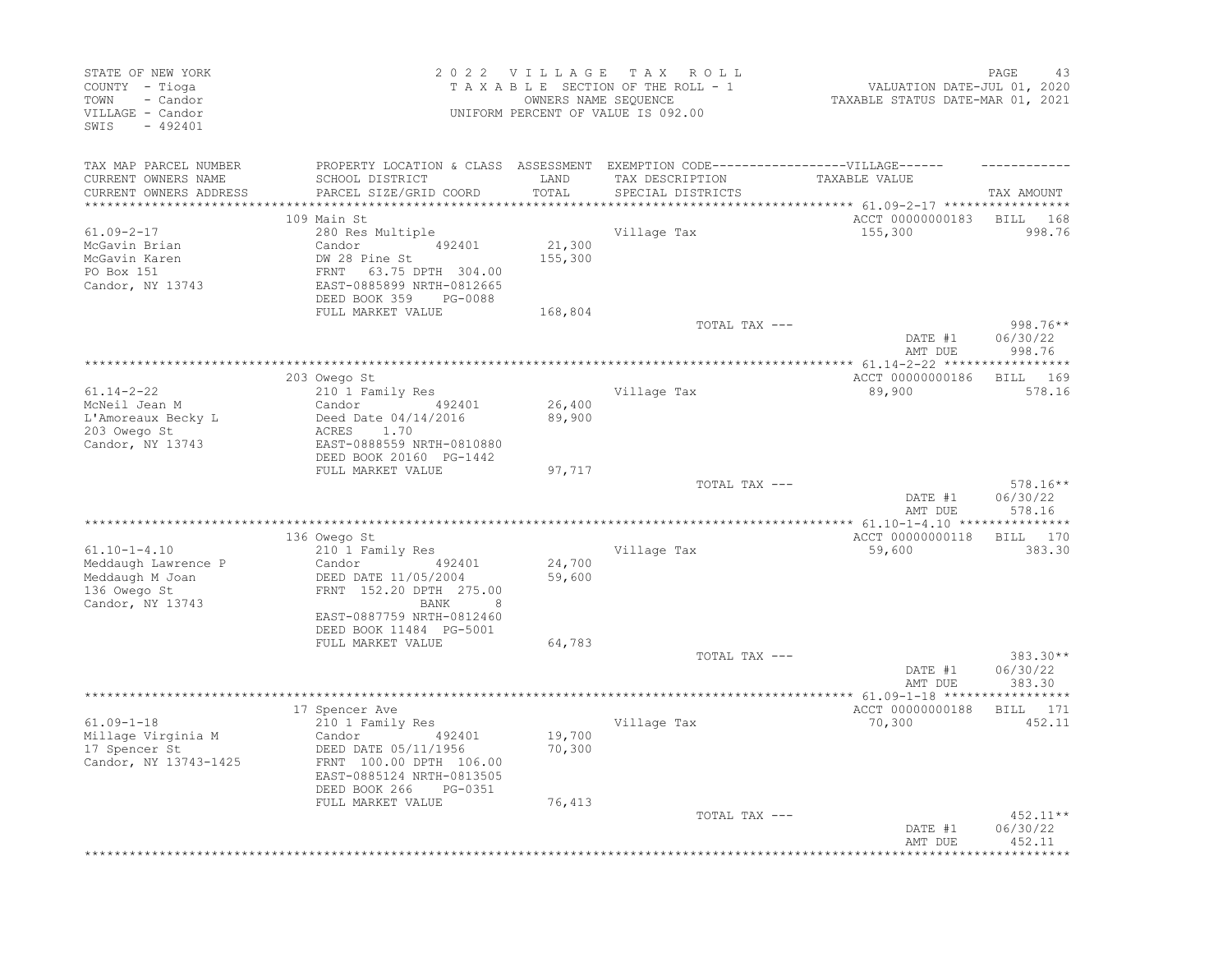| STATE OF NEW YORK<br>COUNTY - Tioga<br>- Candor<br>TOWN<br>VILLAGE - Candor<br>SWIS<br>$-492401$ |                                                                                                                                                                              |                                          | 2022 VILLAGE TAX ROLL<br>TAXABLE SECTION OF THE ROLL - 1<br>OWNERS NAME SEQUENCE<br>UNIFORM PERCENT OF VALUE IS 092.00 | VALUATION DATE-JUL 01, 2020<br>TAXABLE STATUS DATE-MAR 01, 2021         | PAGE<br>43                       |
|--------------------------------------------------------------------------------------------------|------------------------------------------------------------------------------------------------------------------------------------------------------------------------------|------------------------------------------|------------------------------------------------------------------------------------------------------------------------|-------------------------------------------------------------------------|----------------------------------|
| TAX MAP PARCEL NUMBER<br>CURRENT OWNERS NAME<br>CURRENT OWNERS ADDRESS                           | PROPERTY LOCATION & CLASS ASSESSMENT EXEMPTION CODE-----------------VILLAGE------<br>SCHOOL DISTRICT<br>PARCEL SIZE/GRID COORD                                               | LAND<br>TOTAL                            | TAX DESCRIPTION<br>SPECIAL DISTRICTS                                                                                   | TAXABLE VALUE                                                           | TAX AMOUNT                       |
| $61.09 - 2 - 17$<br>McGavin Brian<br>McGavin Karen<br>PO Box 151<br>Candor, NY 13743             | 109 Main St<br>280 Res Multiple<br>492401<br>Candor<br>DW 28 Pine St<br>FRNT 63.75 DPTH 304.00<br>EAST-0885899 NRTH-0812665<br>DEED BOOK 359<br>PG-0088<br>FULL MARKET VALUE | ********<br>21,300<br>155,300<br>168,804 | Village Tax                                                                                                            | *********** 61.09-2-17 *****************<br>ACCT 00000000183<br>155,300 | BILL 168<br>998.76               |
|                                                                                                  |                                                                                                                                                                              |                                          | TOTAL TAX ---                                                                                                          | DATE #1                                                                 | 998.76**<br>06/30/22             |
|                                                                                                  | 203 Owego St                                                                                                                                                                 |                                          |                                                                                                                        | AMT DUE<br>ACCT 00000000186                                             | 998.76<br><b>BILL</b><br>169     |
| $61.14 - 2 - 22$<br>McNeil Jean M<br>L'Amoreaux Becky L<br>203 Owego St<br>Candor, NY 13743      | 210 1 Family Res<br>Candor<br>492401<br>Deed Date 04/14/2016<br>ACRES<br>1.70<br>EAST-0888559 NRTH-0810880<br>DEED BOOK 20160 PG-1442                                        | 26,400<br>89,900                         | Village Tax                                                                                                            | 89,900                                                                  | 578.16                           |
|                                                                                                  | FULL MARKET VALUE                                                                                                                                                            | 97,717                                   | TOTAL TAX ---                                                                                                          | DATE #1<br>AMT DUE                                                      | $578.16**$<br>06/30/22<br>578.16 |
|                                                                                                  |                                                                                                                                                                              |                                          |                                                                                                                        |                                                                         |                                  |
| $61.10 - 1 - 4.10$<br>Meddaugh Lawrence P<br>Meddaugh M Joan<br>136 Owego St<br>Candor, NY 13743 | 136 Owego St<br>210 1 Family Res<br>Candor<br>492401<br>DEED DATE 11/05/2004<br>FRNT 152.20 DPTH 275.00<br>BANK<br>8                                                         | 24,700<br>59,600                         | Village Tax                                                                                                            | ACCT 00000000118<br>59,600                                              | BILL 170<br>383.30               |
|                                                                                                  | EAST-0887759 NRTH-0812460<br>DEED BOOK 11484 PG-5001<br>FULL MARKET VALUE                                                                                                    | 64,783                                   | TOTAL TAX ---                                                                                                          |                                                                         | 383.30**                         |
|                                                                                                  |                                                                                                                                                                              |                                          |                                                                                                                        | DATE #1<br>AMT DUE                                                      | 06/30/22<br>383.30               |
|                                                                                                  |                                                                                                                                                                              |                                          |                                                                                                                        |                                                                         |                                  |
| $61.09 - 1 - 18$<br>Millage Virginia M<br>17 Spencer St<br>Candor, NY 13743-1425                 | 17 Spencer Ave<br>210 1 Family Res<br>492401<br>Candor<br>DEED DATE 05/11/1956<br>FRNT 100.00 DPTH 106.00<br>EAST-0885124 NRTH-0813505<br>DEED BOOK 266<br>PG-0351           | 19,700<br>70,300                         | Village Tax                                                                                                            | ACCT 00000000188<br>70,300                                              | <b>BILL</b><br>171<br>452.11     |
|                                                                                                  | FULL MARKET VALUE                                                                                                                                                            | 76,413                                   | TOTAL TAX ---                                                                                                          | DATE #1<br>AMT DUE                                                      | $452.11**$<br>06/30/22<br>452.11 |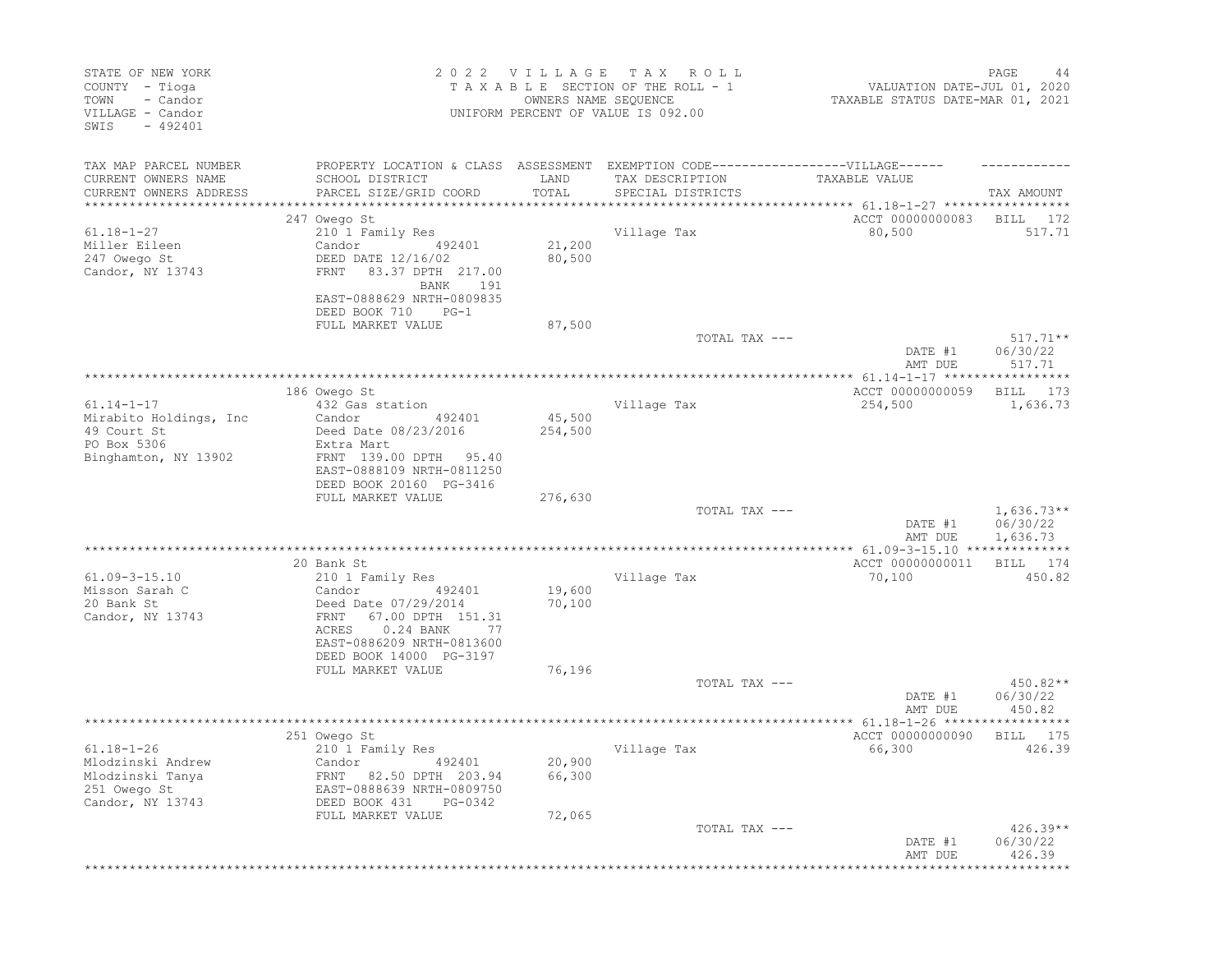| STATE OF NEW YORK<br>COUNTY - Tioga<br>TOWN - Candor<br>VILLAGE - Candor<br>SWIS - 492401 |                                                                                               |                  | 2022 VILLAGE TAX ROLL<br>TAXABLE SECTION OF THE ROLL - 1<br>OWNERS NAME SEQUENCE<br>UNIFORM PERCENT OF VALUE IS 092.00 | VALUATION DATE-JUL 01, 2020<br>TAXABLE STATUS DATE-MAR 01, 2021 | PAGE<br>44             |
|-------------------------------------------------------------------------------------------|-----------------------------------------------------------------------------------------------|------------------|------------------------------------------------------------------------------------------------------------------------|-----------------------------------------------------------------|------------------------|
| TAX MAP PARCEL NUMBER                                                                     | PROPERTY LOCATION & CLASS ASSESSMENT EXEMPTION CODE-----------------VILLAGE------             |                  |                                                                                                                        |                                                                 |                        |
| CURRENT OWNERS NAME<br>CURRENT OWNERS ADDRESS                                             | SCHOOL DISTRICT<br>PARCEL SIZE/GRID COORD                                                     | LAND<br>TOTAL    | TAX DESCRIPTION<br>SPECIAL DISTRICTS                                                                                   | TAXABLE VALUE                                                   | TAX AMOUNT             |
|                                                                                           |                                                                                               |                  |                                                                                                                        |                                                                 |                        |
|                                                                                           | 247 Owego St                                                                                  |                  |                                                                                                                        | ACCT 00000000083 BILL 172                                       |                        |
| $61.18 - 1 - 27$                                                                          | 210 1 Family Res                                                                              |                  | Village Tax                                                                                                            | 80,500                                                          | 517.71                 |
| Miller Eileen<br>247 Owego St                                                             | Candor 492401<br>DEED DATE 12/16/02                                                           | 21,200<br>80,500 |                                                                                                                        |                                                                 |                        |
| Candor, NY 13743                                                                          | FRNT 83.37 DPTH 217.00                                                                        |                  |                                                                                                                        |                                                                 |                        |
|                                                                                           | BANK 191                                                                                      |                  |                                                                                                                        |                                                                 |                        |
|                                                                                           | EAST-0888629 NRTH-0809835                                                                     |                  |                                                                                                                        |                                                                 |                        |
|                                                                                           | DEED BOOK 710 PG-1<br>FULL MARKET VALUE                                                       | 87,500           |                                                                                                                        |                                                                 |                        |
|                                                                                           |                                                                                               |                  | TOTAL TAX ---                                                                                                          |                                                                 | $517.71**$             |
|                                                                                           |                                                                                               |                  |                                                                                                                        | DATE #1                                                         | 06/30/22               |
|                                                                                           | ****************                                                                              |                  |                                                                                                                        | AMT DUE                                                         | 517.71                 |
|                                                                                           | 186 Owego St                                                                                  |                  |                                                                                                                        | ACCT 00000000059 BILL 173                                       |                        |
| $61.14 - 1 - 17$                                                                          | 432 Gas station                                                                               |                  | Village Tax                                                                                                            | 254,500                                                         | 1,636.73               |
| Mirabito Holdings, Inc                                                                    | Candor 492401                                                                                 | 45,500           |                                                                                                                        |                                                                 |                        |
| 49 Court St<br>PO Box 5306<br>PO Box 5306                                                 | Deed Date 08/23/2016<br>Extra Mart                                                            | 254,500          |                                                                                                                        |                                                                 |                        |
| Binghamton, NY 13902                                                                      | FRNT 139.00 DPTH 95.40                                                                        |                  |                                                                                                                        |                                                                 |                        |
|                                                                                           | EAST-0888109 NRTH-0811250                                                                     |                  |                                                                                                                        |                                                                 |                        |
|                                                                                           | DEED BOOK 20160 PG-3416<br>FULL MARKET VALUE                                                  | 276,630          |                                                                                                                        |                                                                 |                        |
|                                                                                           |                                                                                               |                  | TOTAL TAX ---                                                                                                          |                                                                 | $1,636.73**$           |
|                                                                                           |                                                                                               |                  |                                                                                                                        | DATE #1                                                         | 06/30/22               |
|                                                                                           |                                                                                               |                  |                                                                                                                        | AMT DUE                                                         | 1,636.73               |
|                                                                                           | 20 Bank St                                                                                    |                  |                                                                                                                        | ACCT 00000000011 BILL 174                                       |                        |
| $61.09 - 3 - 15.10$                                                                       | 210 1 Family Res                                                                              |                  | Village Tax                                                                                                            | 70,100                                                          | 450.82                 |
| Misson Sarah C<br>20 Bank St                                                              | Candor 492401<br>Deed Date 07/29/2014                                                         | 19,600<br>70,100 |                                                                                                                        |                                                                 |                        |
| Candor, NY 13743                                                                          | FRNT 67.00 DPTH 151.31                                                                        |                  |                                                                                                                        |                                                                 |                        |
|                                                                                           | 0.24 BANK 77<br>ACRES                                                                         |                  |                                                                                                                        |                                                                 |                        |
|                                                                                           | EAST-0886209 NRTH-0813600                                                                     |                  |                                                                                                                        |                                                                 |                        |
|                                                                                           | DEED BOOK 14000 PG-3197<br>FULL MARKET VALUE                                                  | 76,196           |                                                                                                                        |                                                                 |                        |
|                                                                                           |                                                                                               |                  | TOTAL TAX ---                                                                                                          |                                                                 | 450.82**               |
|                                                                                           |                                                                                               |                  |                                                                                                                        | DATE #1                                                         | 06/30/22               |
|                                                                                           |                                                                                               |                  |                                                                                                                        | AMT DUE                                                         | 450.82                 |
|                                                                                           | 251 Owego St                                                                                  |                  |                                                                                                                        | ACCT 00000000090 BILL 175                                       |                        |
| $61.18 - 1 - 26$                                                                          | 210 1 Family Res                                                                              |                  | Village Tax                                                                                                            | 66,300                                                          | 426.39                 |
| Mlodzinski Andrew                                                                         |                                                                                               | 20,900           |                                                                                                                        |                                                                 |                        |
| Mlodzinski Tanya<br>251 Owego St                                                          |                                                                                               | 66,300           |                                                                                                                        |                                                                 |                        |
| Candor, NY 13743                                                                          | Candor 492401<br>FRNT 82.50 DPTH 203.94<br>EAST-0888639 NRTH-0809750<br>DEED BOOK 431 PG-0342 |                  |                                                                                                                        |                                                                 |                        |
|                                                                                           | FULL MARKET VALUE                                                                             | 72,065           |                                                                                                                        |                                                                 |                        |
|                                                                                           |                                                                                               |                  | TOTAL TAX ---                                                                                                          | DATE #1                                                         | $426.39**$<br>06/30/22 |
|                                                                                           |                                                                                               |                  |                                                                                                                        | AMT DUE                                                         | 426.39                 |
|                                                                                           |                                                                                               |                  |                                                                                                                        |                                                                 |                        |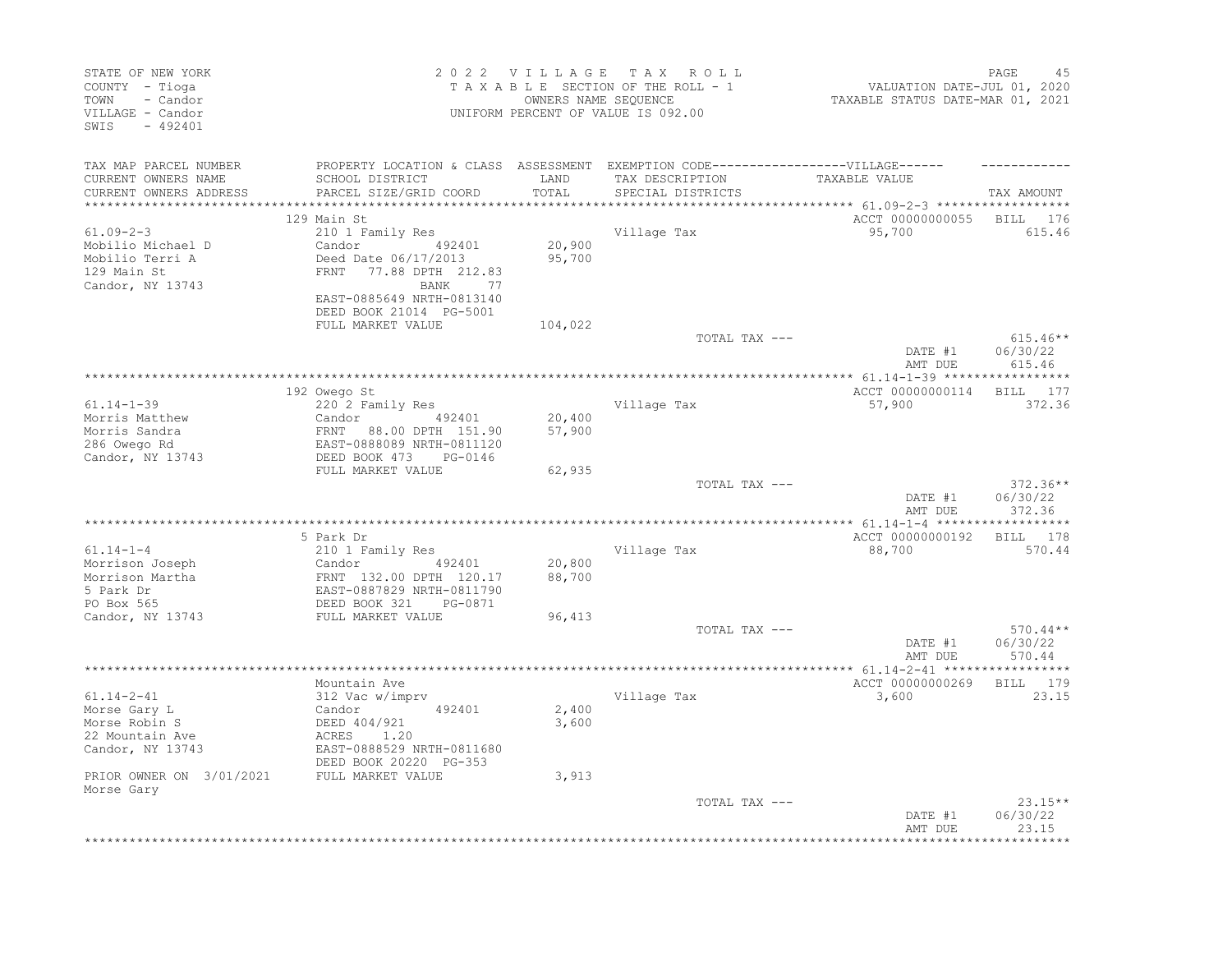| STATE OF NEW YORK<br>COUNTY - Tioga<br>TOWN<br>- Candor<br>VILLAGE - Candor<br>SWIS<br>$-492401$ |                                                                                                                                                                 |                  | 2022 VILLAGE TAX ROLL<br>TAXABLE SECTION OF THE ROLL - 1<br>OWNERS NAME SEQUENCE<br>UNIFORM PERCENT OF VALUE IS 092.00 | VALUATION DATE-JUL 01, 2020<br>TAXABLE STATUS DATE-MAR 01, 2021 | PAGE<br>45                       |
|--------------------------------------------------------------------------------------------------|-----------------------------------------------------------------------------------------------------------------------------------------------------------------|------------------|------------------------------------------------------------------------------------------------------------------------|-----------------------------------------------------------------|----------------------------------|
| TAX MAP PARCEL NUMBER                                                                            | PROPERTY LOCATION & CLASS ASSESSMENT EXEMPTION CODE-----------------VILLAGE------                                                                               |                  |                                                                                                                        |                                                                 |                                  |
| CURRENT OWNERS NAME<br>CURRENT OWNERS ADDRESS<br>**********************                          | SCHOOL DISTRICT<br>PARCEL SIZE/GRID COORD                                                                                                                       | LAND<br>TOTAL    | TAX DESCRIPTION<br>SPECIAL DISTRICTS                                                                                   | TAXABLE VALUE                                                   | TAX AMOUNT                       |
|                                                                                                  | 129 Main St                                                                                                                                                     |                  |                                                                                                                        | ACCT 00000000055                                                | BILL<br>176                      |
| $61.09 - 2 - 3$<br>Mobilio Michael D<br>Mobilio Terri A<br>129 Main St<br>Candor, NY 13743       | 210 1 Family Res<br>492401<br>Candor<br>Deed Date 06/17/2013<br>FRNT<br>77.88 DPTH 212.83<br>BANK<br>77<br>EAST-0885649 NRTH-0813140<br>DEED BOOK 21014 PG-5001 | 20,900<br>95,700 | Village Tax                                                                                                            | 95,700                                                          | 615.46                           |
|                                                                                                  | FULL MARKET VALUE                                                                                                                                               | 104,022          |                                                                                                                        |                                                                 |                                  |
|                                                                                                  |                                                                                                                                                                 |                  | TOTAL TAX ---                                                                                                          | DATE #1<br>AMT DUE                                              | $615.46**$<br>06/30/22<br>615.46 |
|                                                                                                  |                                                                                                                                                                 |                  |                                                                                                                        |                                                                 |                                  |
|                                                                                                  | 192 Owego St                                                                                                                                                    |                  |                                                                                                                        | ACCT 00000000114                                                | 177<br>BILL                      |
| $61.14 - 1 - 39$<br>Morris Matthew                                                               | 220 2 Family Res<br>Candor<br>492401                                                                                                                            | 20,400           | Village Tax                                                                                                            | 57,900                                                          | 372.36                           |
| Morris Sandra                                                                                    | FRNT 88.00 DPTH 151.90                                                                                                                                          | 57,900           |                                                                                                                        |                                                                 |                                  |
| 286 Owego Rd                                                                                     | EAST-0888089 NRTH-0811120                                                                                                                                       |                  |                                                                                                                        |                                                                 |                                  |
| Candor, NY 13743                                                                                 | DEED BOOK 473<br>PG-0146                                                                                                                                        |                  |                                                                                                                        |                                                                 |                                  |
|                                                                                                  | FULL MARKET VALUE                                                                                                                                               | 62,935           |                                                                                                                        |                                                                 |                                  |
|                                                                                                  |                                                                                                                                                                 |                  | TOTAL TAX ---                                                                                                          | DATE #1<br>AMT DUE                                              | $372.36**$<br>06/30/22<br>372.36 |
|                                                                                                  |                                                                                                                                                                 |                  |                                                                                                                        |                                                                 |                                  |
|                                                                                                  | 5 Park Dr                                                                                                                                                       |                  |                                                                                                                        | ACCT 00000000192                                                | BILL 178                         |
| $61.14 - 1 - 4$                                                                                  | 210 1 Family Res                                                                                                                                                |                  | Village Tax                                                                                                            | 88,700                                                          | 570.44                           |
| Morrison Joseph                                                                                  | Candor<br>492401                                                                                                                                                | 20,800           |                                                                                                                        |                                                                 |                                  |
| Morrison Martha<br>5 Park Dr                                                                     | FRNT 132.00 DPTH 120.17<br>EAST-0887829 NRTH-0811790                                                                                                            | 88,700           |                                                                                                                        |                                                                 |                                  |
| PO Box 565                                                                                       | DEED BOOK 321<br>PG-0871                                                                                                                                        |                  |                                                                                                                        |                                                                 |                                  |
| Candor, NY 13743                                                                                 | FULL MARKET VALUE                                                                                                                                               | 96,413           |                                                                                                                        |                                                                 |                                  |
|                                                                                                  |                                                                                                                                                                 |                  | TOTAL TAX ---                                                                                                          |                                                                 | $570.44**$                       |
|                                                                                                  |                                                                                                                                                                 |                  |                                                                                                                        | DATE #1                                                         | 06/30/22                         |
|                                                                                                  |                                                                                                                                                                 |                  |                                                                                                                        | AMT DUE                                                         | 570.44<br>***********            |
|                                                                                                  | Mountain Ave                                                                                                                                                    |                  |                                                                                                                        | **** $61.14 - 2 - 41$ ******<br>ACCT 00000000269                | BILL 179                         |
| $61.14 - 2 - 41$                                                                                 | 312 Vac w/imprv                                                                                                                                                 |                  | Village Tax                                                                                                            | 3,600                                                           | 23.15                            |
| Morse Gary L                                                                                     | 492401<br>Candor                                                                                                                                                | 2,400            |                                                                                                                        |                                                                 |                                  |
| Morse Robin S                                                                                    | DEED 404/921                                                                                                                                                    | 3,600            |                                                                                                                        |                                                                 |                                  |
| 22 Mountain Ave                                                                                  | ACRES<br>1.20                                                                                                                                                   |                  |                                                                                                                        |                                                                 |                                  |
| Candor, NY 13743                                                                                 | EAST-0888529 NRTH-0811680                                                                                                                                       |                  |                                                                                                                        |                                                                 |                                  |
|                                                                                                  | DEED BOOK 20220 PG-353                                                                                                                                          |                  |                                                                                                                        |                                                                 |                                  |
| PRIOR OWNER ON 3/01/2021<br>Morse Gary                                                           | FULL MARKET VALUE                                                                                                                                               | 3,913            |                                                                                                                        |                                                                 |                                  |
|                                                                                                  |                                                                                                                                                                 |                  | TOTAL TAX ---                                                                                                          | DATE #1<br>AMT DUE                                              | $23.15**$<br>06/30/22<br>23.15   |
|                                                                                                  |                                                                                                                                                                 |                  |                                                                                                                        |                                                                 |                                  |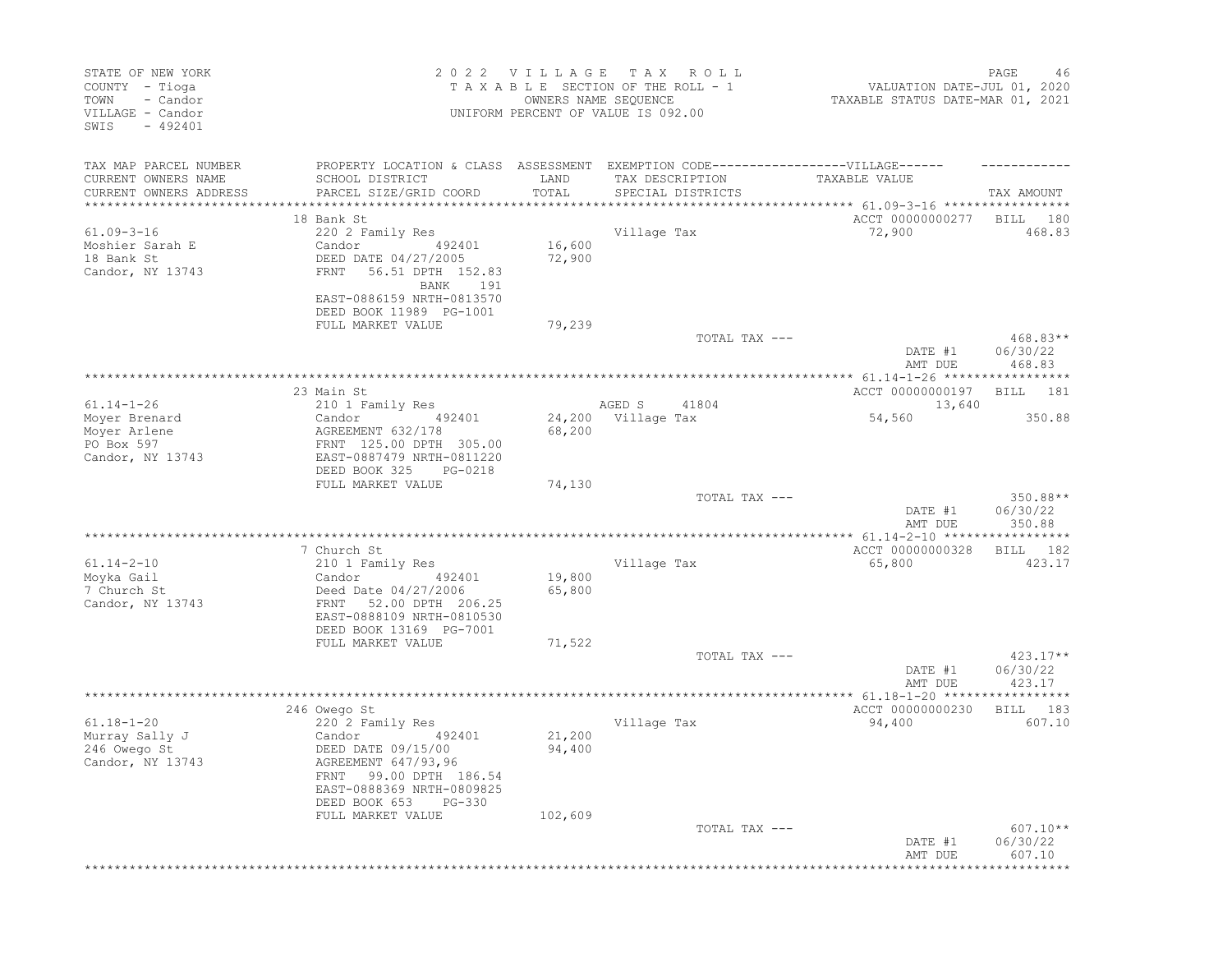| STATE OF NEW YORK<br>COUNTY - Tioga<br>- Candor<br>TOWN<br>VILLAGE - Candor<br>SWIS<br>$-492401$ |                                                                                                                             | 2022 VILLAGE TAX<br>OWNERS NAME SEQUENCE | R O L L<br>TAXABLE SECTION OF THE ROLL - 1<br>UNIFORM PERCENT OF VALUE IS 092.00                     | VALUATION DATE-JUL 01, 2020<br>TAXABLE STATUS DATE-MAR 01, 2021 | PAGE<br>46                       |
|--------------------------------------------------------------------------------------------------|-----------------------------------------------------------------------------------------------------------------------------|------------------------------------------|------------------------------------------------------------------------------------------------------|-----------------------------------------------------------------|----------------------------------|
| TAX MAP PARCEL NUMBER<br>CURRENT OWNERS NAME                                                     | SCHOOL DISTRICT                                                                                                             | LAND                                     | PROPERTY LOCATION & CLASS ASSESSMENT EXEMPTION CODE-----------------VILLAGE------<br>TAX DESCRIPTION | TAXABLE VALUE                                                   |                                  |
| CURRENT OWNERS ADDRESS<br>**********************                                                 | PARCEL SIZE/GRID COORD                                                                                                      | TOTAL                                    | SPECIAL DISTRICTS                                                                                    |                                                                 | TAX AMOUNT                       |
|                                                                                                  | 18 Bank St                                                                                                                  |                                          |                                                                                                      | ACCT 00000000277                                                | BILL<br>180                      |
| $61.09 - 3 - 16$                                                                                 | 220 2 Family Res                                                                                                            |                                          | Village Tax                                                                                          | 72,900                                                          | 468.83                           |
| Moshier Sarah E<br>18 Bank St<br>Candor, NY 13743                                                | Candor<br>492401<br>DEED DATE 04/27/2005<br>56.51 DPTH 152.83<br>FRNT                                                       | 16,600<br>72,900                         |                                                                                                      |                                                                 |                                  |
|                                                                                                  | 191<br>BANK<br>EAST-0886159 NRTH-0813570<br>DEED BOOK 11989 PG-1001                                                         |                                          |                                                                                                      |                                                                 |                                  |
|                                                                                                  | FULL MARKET VALUE                                                                                                           | 79,239                                   | TOTAL TAX ---                                                                                        |                                                                 | 468.83**                         |
|                                                                                                  |                                                                                                                             |                                          |                                                                                                      | DATE #1<br>AMT DUE                                              | 06/30/22<br>468.83               |
|                                                                                                  | 23 Main St                                                                                                                  |                                          |                                                                                                      | ACCT 00000000197                                                | BILL<br>181                      |
| $61.14 - 1 - 26$                                                                                 | 210 1 Family Res                                                                                                            |                                          | AGED S<br>41804                                                                                      | 13,640                                                          |                                  |
| Moyer Brenard                                                                                    | Candor<br>492401                                                                                                            |                                          | 24,200 Village Tax                                                                                   | 54,560                                                          | 350.88                           |
| Mover Arlene                                                                                     | AGREEMENT 632/178                                                                                                           | 68,200                                   |                                                                                                      |                                                                 |                                  |
| PO Box 597<br>Candor, NY 13743                                                                   | FRNT 125.00 DPTH 305.00<br>EAST-0887479 NRTH-0811220                                                                        |                                          |                                                                                                      |                                                                 |                                  |
|                                                                                                  | DEED BOOK 325<br>PG-0218<br>FULL MARKET VALUE                                                                               |                                          |                                                                                                      |                                                                 |                                  |
|                                                                                                  |                                                                                                                             | 74,130                                   | TOTAL TAX ---                                                                                        | DATE #1                                                         | 350.88**<br>06/30/22             |
|                                                                                                  |                                                                                                                             |                                          | *************************************                                                                | AMT DUE<br>***************** 61.14-2-10 ******************      | 350.88                           |
|                                                                                                  | 7 Church St                                                                                                                 |                                          |                                                                                                      | ACCT 00000000328                                                | 182<br>BILL                      |
| $61.14 - 2 - 10$                                                                                 | 210 1 Family Res                                                                                                            |                                          | Village Tax                                                                                          | 65,800                                                          | 423.17                           |
| Moyka Gail                                                                                       | Candor<br>492401                                                                                                            | 19,800                                   |                                                                                                      |                                                                 |                                  |
| 7 Church St<br>Candor, NY 13743                                                                  | Deed Date 04/27/2006<br>FRNT 52.00 DPTH 206.25                                                                              | 65,800                                   |                                                                                                      |                                                                 |                                  |
|                                                                                                  | EAST-0888109 NRTH-0810530<br>DEED BOOK 13169 PG-7001                                                                        |                                          |                                                                                                      |                                                                 |                                  |
|                                                                                                  | FULL MARKET VALUE                                                                                                           | 71,522                                   | TOTAL TAX ---                                                                                        |                                                                 | $423.17**$                       |
|                                                                                                  |                                                                                                                             |                                          |                                                                                                      | DATE #1<br>AMT DUE                                              | 06/30/22<br>423.17               |
|                                                                                                  |                                                                                                                             |                                          |                                                                                                      |                                                                 |                                  |
| $61.18 - 1 - 20$                                                                                 | 246 Owego St<br>220 2 Family Res                                                                                            |                                          | Village Tax                                                                                          | ACCT 00000000230<br>94,400                                      | 183<br>BILL<br>607.10            |
| Murray Sally J                                                                                   | Candor<br>492401                                                                                                            | 21,200                                   |                                                                                                      |                                                                 |                                  |
| 246 Owego St<br>Candor, NY 13743                                                                 | DEED DATE 09/15/00<br>AGREEMENT 647/93,96<br>FRNT 99.00 DPTH 186.54<br>EAST-0888369 NRTH-0809825<br>DEED BOOK 653<br>PG-330 | 94,400                                   |                                                                                                      |                                                                 |                                  |
|                                                                                                  | FULL MARKET VALUE                                                                                                           | 102,609                                  |                                                                                                      |                                                                 |                                  |
|                                                                                                  |                                                                                                                             |                                          | TOTAL TAX ---                                                                                        | DATE #1<br>AMT DUE                                              | $607.10**$<br>06/30/22<br>607.10 |
|                                                                                                  |                                                                                                                             |                                          |                                                                                                      |                                                                 |                                  |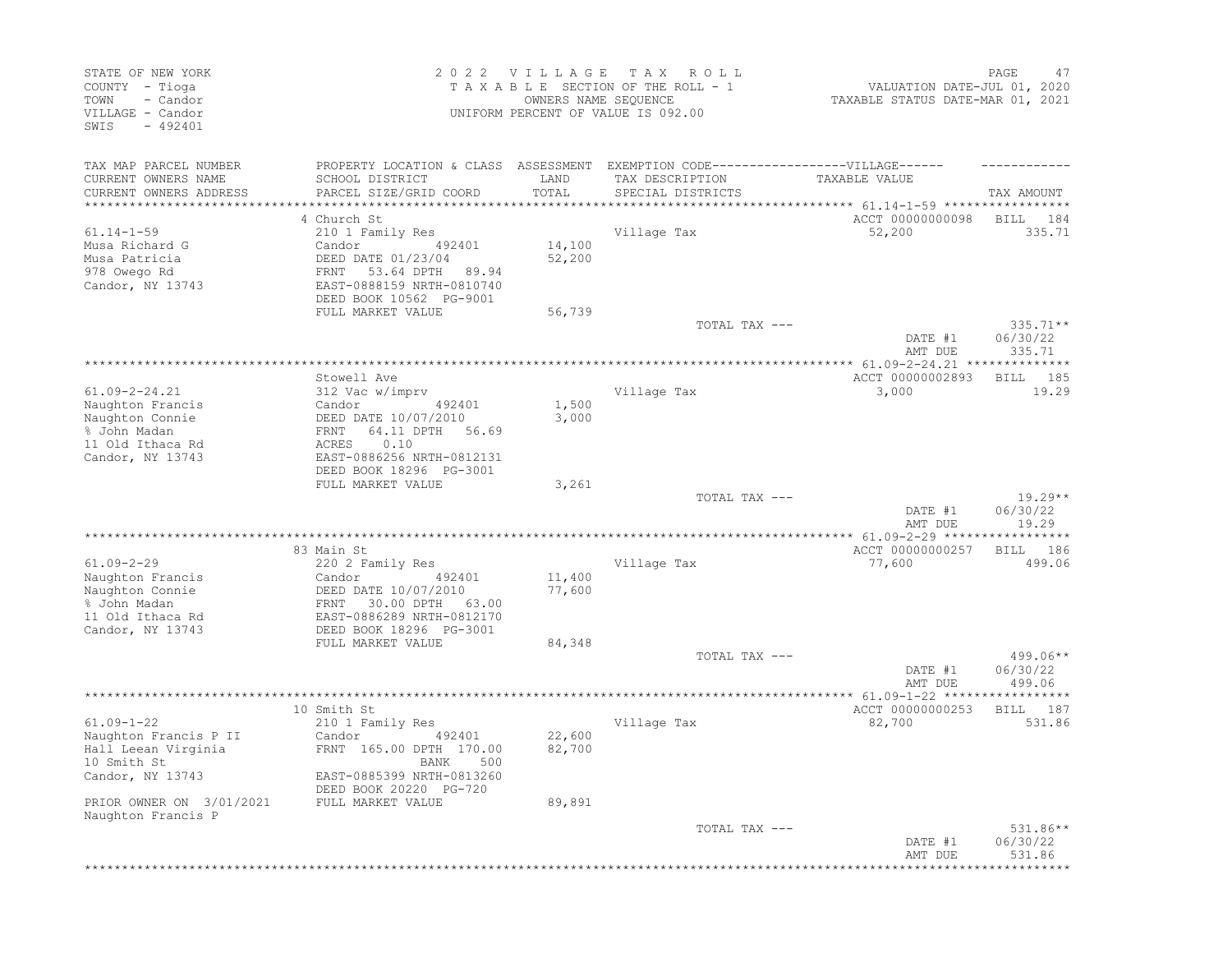| STATE OF NEW YORK<br>COUNTY - Tioga<br>- Candor<br>TOWN<br>VILLAGE - Candor<br>$-492401$<br>SWIS                                                      |                                                                                                                                                                                       | 2022 VILLAGE<br>OWNERS NAME SEQUENCE | T A X<br>R O L L<br>TAXABLE SECTION OF THE ROLL - 1<br>UNIFORM PERCENT OF VALUE IS 092.00                                 | VALUATION DATE-JUL 01, 2020<br>TAXABLE STATUS DATE-MAR 01, 2021         | PAGE<br>47                       |
|-------------------------------------------------------------------------------------------------------------------------------------------------------|---------------------------------------------------------------------------------------------------------------------------------------------------------------------------------------|--------------------------------------|---------------------------------------------------------------------------------------------------------------------------|-------------------------------------------------------------------------|----------------------------------|
| TAX MAP PARCEL NUMBER<br>CURRENT OWNERS NAME<br>CURRENT OWNERS ADDRESS<br>**************************                                                  | SCHOOL DISTRICT<br>PARCEL SIZE/GRID COORD                                                                                                                                             | LAND<br>TOTAL                        | PROPERTY LOCATION & CLASS ASSESSMENT EXEMPTION CODE-----------------VILLAGE------<br>TAX DESCRIPTION<br>SPECIAL DISTRICTS | TAXABLE VALUE                                                           | TAX AMOUNT                       |
| $61.14 - 1 - 59$<br>Musa Richard G<br>Musa Patricia<br>978 Owego Rd<br>Candor, NY 13743                                                               | 4 Church St<br>210 1 Family Res<br>Candor<br>492401<br>DEED DATE 01/23/04<br>53.64 DPTH<br>FRNT<br>89.94<br>EAST-0888159 NRTH-0810740<br>DEED BOOK 10562 PG-9001<br>FULL MARKET VALUE | 14,100<br>52,200<br>56,739           | Village Tax                                                                                                               | ACCT 00000000098<br>52,200                                              | BILL<br>184<br>335.71            |
|                                                                                                                                                       |                                                                                                                                                                                       |                                      | TOTAL TAX ---                                                                                                             | DATE #1<br>AMT DUE                                                      | $335.71**$<br>06/30/22<br>335.71 |
| $61.09 - 2 - 24.21$<br>Naughton Francis<br>Naughton Connie<br>% John Madan<br>11 Old Ithaca Rd<br>Candor, NY 13743                                    | Stowell Ave<br>312 Vac w/imprv<br>Candor<br>492401<br>DEED DATE 10/07/2010<br>64.11 DPTH<br>FRNT<br>56.69<br>0.10<br>ACRES<br>EAST-0886256 NRTH-0812131<br>DEED BOOK 18296 PG-3001    | 1,500<br>3,000                       | Village Tax                                                                                                               | ************ 61.09-2-24.21 ***************<br>ACCT 00000002893<br>3,000 | 185<br>BILL<br>19.29             |
|                                                                                                                                                       | FULL MARKET VALUE                                                                                                                                                                     | 3,261                                | TOTAL TAX ---                                                                                                             | DATE #1<br>AMT DUE                                                      | $19.29**$<br>06/30/22<br>19.29   |
| $61.09 - 2 - 29$<br>Naughton Francis<br>Naughton Connie<br>% John Madan<br>11 Old Ithaca Rd<br>Candor, NY 13743                                       | 83 Main St<br>220 2 Family Res<br>Candor<br>492401<br>DEED DATE 10/07/2010<br>30.00 DPTH<br>FRNT<br>63.00<br>EAST-0886289 NRTH-0812170<br>DEED BOOK 18296 PG-3001                     | 11,400<br>77,600                     | Village Tax                                                                                                               | ACCT 00000000257<br>77,600                                              | 186<br>BILL<br>499.06            |
|                                                                                                                                                       | FULL MARKET VALUE                                                                                                                                                                     | 84,348                               | TOTAL TAX ---                                                                                                             | DATE #1<br>AMT DUE                                                      | 499.06**<br>06/30/22<br>499.06   |
| $61.09 - 1 - 22$<br>Naughton Francis P II<br>Hall Leean Virginia<br>10 Smith St<br>Candor, NY 13743<br>PRIOR OWNER ON 3/01/2021<br>Naughton Francis P | 10 Smith St<br>210 1 Family Res<br>Candor<br>492401<br>FRNT 165.00 DPTH 170.00<br>BANK 500<br>EAST-0885399 NRTH-0813260<br>DEED BOOK 20220 PG-720<br>FULL MARKET VALUE                | 22,600<br>82,700<br>89,891           | ***********************<br>Village Tax                                                                                    | *********** 61.09-1-22 ******<br>ACCT 00000000253<br>82,700             | 187<br>BILL<br>531.86            |
|                                                                                                                                                       |                                                                                                                                                                                       |                                      | TOTAL TAX ---                                                                                                             | DATE #1<br>AMT DUE                                                      | $531.86**$<br>06/30/22<br>531.86 |
|                                                                                                                                                       |                                                                                                                                                                                       |                                      |                                                                                                                           |                                                                         |                                  |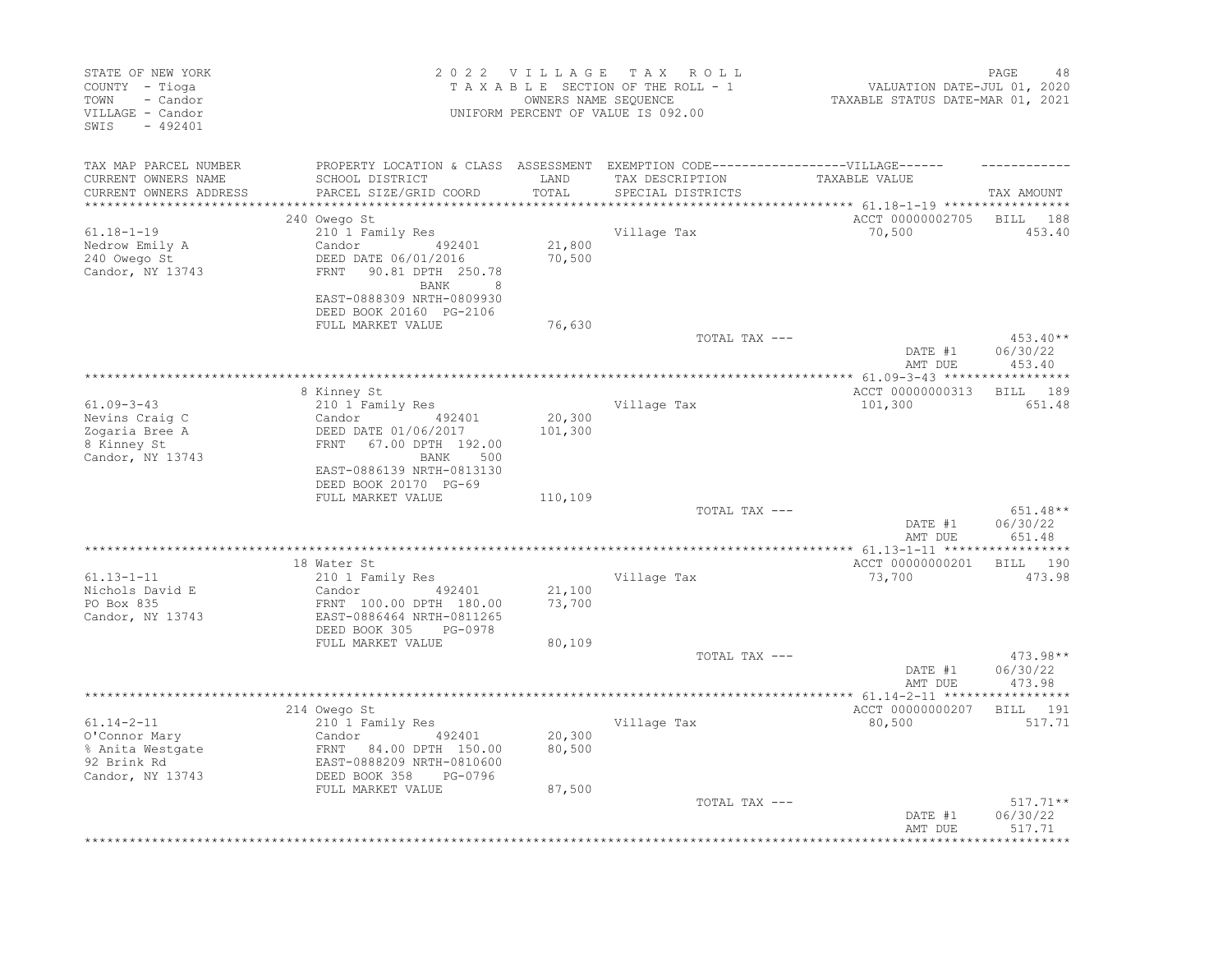| STATE OF NEW YORK<br>COUNTY - Tioga<br>- Candor<br>TOWN<br>VILLAGE - Candor<br>SWIS<br>$-492401$ |                                                                                                                                         | 2022 VILLAGE<br>OWNERS NAME SEQUENCE | TAX ROLL<br>TAXABLE SECTION OF THE ROLL - 1<br>UNIFORM PERCENT OF VALUE IS 092.00                                        | VALUATION DATE-JUL 01, 2020<br>TAXABLE STATUS DATE-MAR 01, 2021           | PAGE<br>48                       |
|--------------------------------------------------------------------------------------------------|-----------------------------------------------------------------------------------------------------------------------------------------|--------------------------------------|--------------------------------------------------------------------------------------------------------------------------|---------------------------------------------------------------------------|----------------------------------|
| TAX MAP PARCEL NUMBER<br>CURRENT OWNERS NAME<br>CURRENT OWNERS ADDRESS                           | SCHOOL DISTRICT<br>PARCEL SIZE/GRID COORD                                                                                               | LAND<br>TOTAL<br>*********           | PROPERTY LOCATION & CLASS ASSESSMENT EXEMPTION CODE----------------VILLAGE------<br>TAX DESCRIPTION<br>SPECIAL DISTRICTS | TAXABLE VALUE<br>*************************** 61.18-1-19 ***************** | TAX AMOUNT                       |
|                                                                                                  | 240 Owego St                                                                                                                            |                                      |                                                                                                                          | ACCT 00000002705                                                          | BILL 188                         |
| 61.18-1-19<br>Nedrow Emily A<br>240 Owego St<br>Candor, NY 13743                                 | 210 1 Family Res<br>Candor<br>492401<br>DEED DATE 06/01/2016<br>FRNT<br>90.81 DPTH 250.78<br>BANK<br>8                                  | 21,800<br>70,500                     | Village Tax                                                                                                              | 70,500                                                                    | 453.40                           |
|                                                                                                  | EAST-0888309 NRTH-0809930<br>DEED BOOK 20160 PG-2106<br>FULL MARKET VALUE                                                               | 76,630                               |                                                                                                                          |                                                                           |                                  |
|                                                                                                  |                                                                                                                                         |                                      | TOTAL TAX ---                                                                                                            | DATE #1<br>AMT DUE                                                        | 453.40**<br>06/30/22<br>453.40   |
|                                                                                                  |                                                                                                                                         |                                      |                                                                                                                          |                                                                           |                                  |
| $61.09 - 3 - 43$<br>Nevins Craig C<br>Zogaria Bree A<br>8 Kinney St<br>Candor, NY 13743          | 8 Kinney St<br>210 1 Family Res<br>492401<br>Candor<br>DEED DATE 01/06/2017<br>FRNT<br>67.00 DPTH 192.00<br>BANK<br>500                 | 20,300<br>101,300                    | Village Tax                                                                                                              | ACCT 00000000313<br>101,300                                               | 189<br><b>BILL</b><br>651.48     |
|                                                                                                  | EAST-0886139 NRTH-0813130<br>DEED BOOK 20170 PG-69<br>FULL MARKET VALUE                                                                 | 110,109                              | TOTAL TAX ---                                                                                                            | DATE #1                                                                   | $651.48**$<br>06/30/22           |
|                                                                                                  |                                                                                                                                         |                                      |                                                                                                                          | AMT DUE                                                                   | 651.48                           |
| $61.13 - 1 - 11$<br>Nichols David E<br>PO Box 835<br>Candor, NY 13743                            | 18 Water St<br>210 1 Family Res<br>492401<br>Candor<br>FRNT 100.00 DPTH 180.00<br>EAST-0886464 NRTH-0811265<br>DEED BOOK 305<br>PG-0978 | 21,100<br>73,700                     | Village Tax                                                                                                              | ACCT 00000000201<br>73,700                                                | BILL 190<br>473.98               |
|                                                                                                  | FULL MARKET VALUE                                                                                                                       | 80,109                               | TOTAL TAX ---                                                                                                            | DATE #1<br>AMT DUE                                                        | 473.98**<br>06/30/22<br>473.98   |
|                                                                                                  |                                                                                                                                         |                                      |                                                                                                                          |                                                                           |                                  |
| $61.14 - 2 - 11$<br>O'Connor Mary<br>% Anita Westgate<br>92 Brink Rd<br>Candor, NY 13743         | 214 Owego St<br>210 1 Family Res<br>Candor<br>492401<br>FRNT 84.00 DPTH 150.00<br>EAST-0888209 NRTH-0810600<br>DEED BOOK 358<br>PG-0796 | 20,300<br>80,500                     | Village Tax                                                                                                              | ACCT 00000000207<br>80,500                                                | BILL 191<br>517.71               |
|                                                                                                  | FULL MARKET VALUE                                                                                                                       | 87,500                               | TOTAL TAX ---                                                                                                            | DATE #1<br>AMT DUE                                                        | $517.71**$<br>06/30/22<br>517.71 |
|                                                                                                  |                                                                                                                                         |                                      |                                                                                                                          |                                                                           |                                  |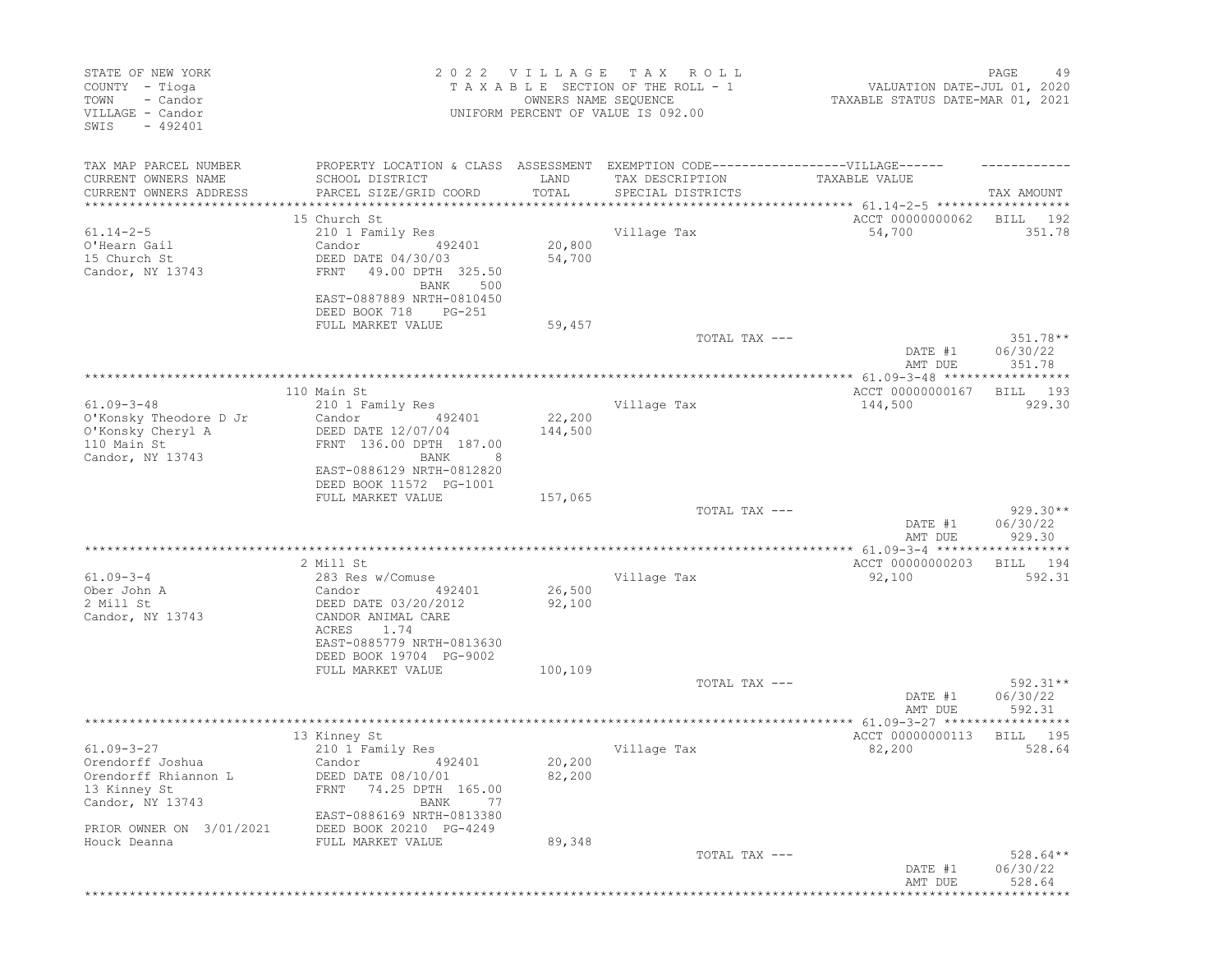| STATE OF NEW YORK<br>COUNTY - Tioga<br>TOWN<br>- Candor<br>VILLAGE - Candor<br>$-492401$<br>SWIS   |                                                                                                                                                                                                       | 2022 VILLAGE<br>OWNERS NAME SEQUENCE                        | T A X<br>ROLL<br>TAXABLE SECTION OF THE ROLL - 1<br>UNIFORM PERCENT OF VALUE IS 092.00 | VALUATION DATE-JUL 01, 2020<br>TAXABLE STATUS DATE-MAR 01, 2021 | PAGE<br>49                                      |
|----------------------------------------------------------------------------------------------------|-------------------------------------------------------------------------------------------------------------------------------------------------------------------------------------------------------|-------------------------------------------------------------|----------------------------------------------------------------------------------------|-----------------------------------------------------------------|-------------------------------------------------|
| TAX MAP PARCEL NUMBER<br>CURRENT OWNERS NAME<br>CURRENT OWNERS ADDRESS                             | PROPERTY LOCATION & CLASS ASSESSMENT EXEMPTION CODE-----------------VILLAGE------<br>SCHOOL DISTRICT<br>PARCEL SIZE/GRID COORD                                                                        | LAND<br>TOTAL                                               | TAX DESCRIPTION<br>SPECIAL DISTRICTS                                                   | TAXABLE VALUE                                                   | TAX AMOUNT                                      |
| *****************<br>$61.14 - 2 - 5$<br>O'Hearn Gail<br>15 Church St<br>Candor, NY 13743           | 15 Church St<br>210 1 Family Res<br>Candor<br>492401<br>DEED DATE 04/30/03<br>FRNT<br>49.00 DPTH 325.50<br>500<br>BANK<br>EAST-0887889 NRTH-0810450<br>DEED BOOK 718<br>$PG-251$<br>FULL MARKET VALUE | * * * * * * * * * * * * * * *<br>20,800<br>54,700<br>59,457 | Village Tax                                                                            | ACCT 00000000062<br>54,700                                      | BILL<br>192<br>351.78                           |
|                                                                                                    |                                                                                                                                                                                                       |                                                             | TOTAL TAX ---                                                                          | DATE #1<br>AMT DUE                                              | $351.78**$<br>06/30/22<br>351.78                |
| $61.09 - 3 - 48$<br>O'Konsky Theodore D Jr<br>O'Konsky Cheryl A<br>110 Main St<br>Candor, NY 13743 | 110 Main St<br>210 1 Family Res<br>Candor<br>492401<br>DEED DATE 12/07/04<br>FRNT 136.00 DPTH 187.00<br>BANK<br>8<br>EAST-0886129 NRTH-0812820<br>DEED BOOK 11572 PG-1001                             | 22,200<br>144,500                                           | Village Tax                                                                            | ACCT 00000000167<br>144,500                                     | 193<br>BILL<br>929.30                           |
|                                                                                                    | FULL MARKET VALUE                                                                                                                                                                                     | 157,065                                                     | TOTAL TAX ---                                                                          | DATE #1<br>AMT DUE                                              | $929.30**$<br>06/30/22<br>929.30                |
| $61.09 - 3 - 4$<br>Ober John A<br>2 Mill St<br>Candor, NY 13743                                    | 2 Mill St<br>283 Res w/Comuse<br>492401<br>Candor<br>DEED DATE 03/20/2012<br>CANDOR ANIMAL CARE<br>ACRES<br>1.74<br>EAST-0885779 NRTH-0813630<br>DEED BOOK 19704 PG-9002<br>FULL MARKET VALUE         | 26,500<br>92,100<br>100,109                                 | Village Tax<br>TOTAL TAX ---                                                           | ACCT 00000000203<br>92,100<br>DATE #1                           | 194<br>BILL<br>592.31<br>$592.31**$<br>06/30/22 |
| $61.09 - 3 - 27$<br>Orendorff Joshua<br>Orendorff Rhiannon L<br>13 Kinney St<br>Candor, NY 13743   | 13 Kinney St<br>210 1 Family Res<br>Candor 492401<br>DEED DATE 08/10/01<br>74.25 DPTH 165.00<br>FRNT<br>BANK<br>77<br>EAST-0886169 NRTH-0813380                                                       | 20,200<br>82,200                                            | Village Tax                                                                            | AMT DUE<br>ACCT 00000000113<br>82,200                           | 592.31<br>BILL<br>195<br>528.64                 |
| PRIOR OWNER ON 3/01/2021<br>Houck Deanna                                                           | DEED BOOK 20210 PG-4249<br>FULL MARKET VALUE                                                                                                                                                          | 89,348                                                      | TOTAL TAX ---                                                                          | DATE #1<br>AMT DUE                                              | $528.64**$<br>06/30/22<br>528.64                |
|                                                                                                    |                                                                                                                                                                                                       |                                                             |                                                                                        | **************************************                          |                                                 |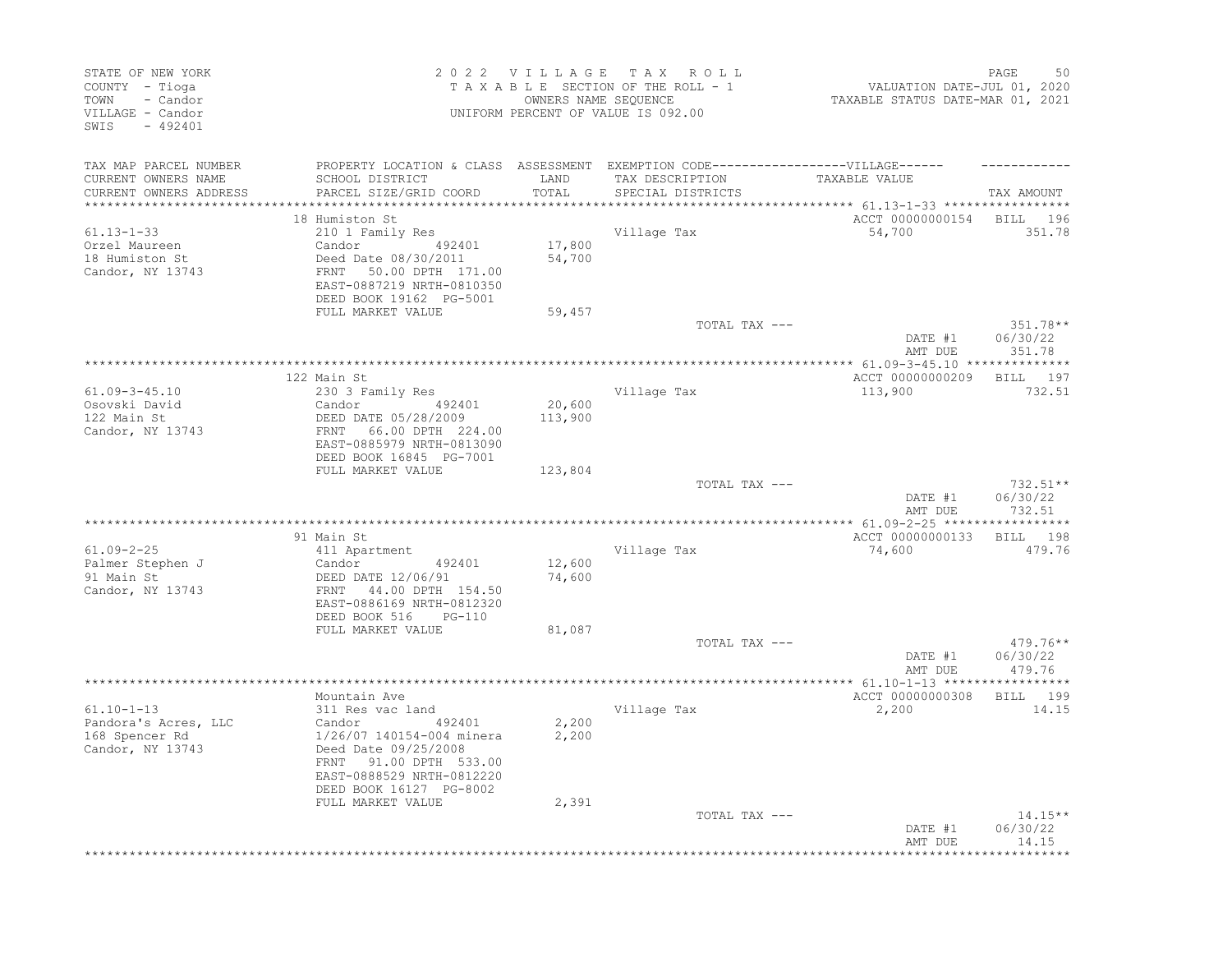| STATE OF NEW YORK<br>COUNTY - Tioga<br>- Candor<br>TOWN<br>VILLAGE - Candor<br>SWIS<br>$-492401$ |                                                                                                                                                               |                  | 2022 VILLAGE TAX ROLL<br>TAXABLE SECTION OF THE ROLL - 1<br>OWNERS NAME SEQUENCE<br>UNIFORM PERCENT OF VALUE IS 092.00 | VALUATION DATE-JUL 01, 2020<br>TAXABLE STATUS DATE-MAR 01, 2021 | 50<br>PAGE                        |
|--------------------------------------------------------------------------------------------------|---------------------------------------------------------------------------------------------------------------------------------------------------------------|------------------|------------------------------------------------------------------------------------------------------------------------|-----------------------------------------------------------------|-----------------------------------|
| TAX MAP PARCEL NUMBER<br>CURRENT OWNERS NAME<br>CURRENT OWNERS ADDRESS                           | PROPERTY LOCATION & CLASS ASSESSMENT EXEMPTION CODE-----------------VILLAGE------<br>SCHOOL DISTRICT<br>PARCEL SIZE/GRID COORD                                | LAND<br>TOTAL    | TAX DESCRIPTION<br>SPECIAL DISTRICTS                                                                                   | TAXABLE VALUE                                                   | TAX AMOUNT                        |
|                                                                                                  |                                                                                                                                                               | ********         |                                                                                                                        | ************ 61.13-1-33 ******************                      |                                   |
| $61.13 - 1 - 33$<br>Orzel Maureen<br>18 Humiston St<br>Candor, NY 13743                          | 18 Humiston St<br>210 1 Family Res<br>Candor 492401<br>Deed Date 08/30/2011<br>FRNT 50.00 DPTH 171.00<br>EAST-0887219 NRTH-0810350<br>DEED BOOK 19162 PG-5001 | 17,800<br>54,700 | Village Tax                                                                                                            | ACCT 00000000154<br>54,700                                      | BILL 196<br>351.78                |
|                                                                                                  | FULL MARKET VALUE                                                                                                                                             | 59,457           | TOTAL TAX ---                                                                                                          |                                                                 | $351.78**$                        |
|                                                                                                  |                                                                                                                                                               |                  |                                                                                                                        | DATE #1<br>AMT DUE                                              | 06/30/22<br>351.78                |
|                                                                                                  |                                                                                                                                                               |                  |                                                                                                                        |                                                                 |                                   |
| $61.09 - 3 - 45.10$                                                                              | 122 Main St<br>230 3 Family Res                                                                                                                               |                  | Village Tax                                                                                                            | ACCT 00000000209<br>113,900                                     | BILL 197<br>732.51                |
| Osovski David                                                                                    | Candor 492401                                                                                                                                                 | 20,600           |                                                                                                                        |                                                                 |                                   |
| 122 Main St<br>Candor, NY 13743                                                                  | DEED DATE 05/28/2009<br>66.00 DPTH 224.00<br>FRNT<br>EAST-0885979 NRTH-0813090<br>DEED BOOK 16845 PG-7001<br>FULL MARKET VALUE                                | 113,900          |                                                                                                                        |                                                                 |                                   |
|                                                                                                  |                                                                                                                                                               | 123,804          | TOTAL TAX ---                                                                                                          |                                                                 | 732.51**                          |
|                                                                                                  |                                                                                                                                                               |                  |                                                                                                                        | DATE #1<br>AMT DUE                                              | 06/30/22<br>732.51                |
|                                                                                                  |                                                                                                                                                               |                  |                                                                                                                        |                                                                 |                                   |
|                                                                                                  | 91 Main St                                                                                                                                                    |                  |                                                                                                                        | ACCT 00000000133                                                | BILL 198                          |
| $61.09 - 2 - 25$<br>Palmer Stephen J<br>91 Main St<br>Candor, NY 13743                           | 411 Apartment<br>492401<br>Candor<br>DEED DATE 12/06/91<br>FRNT 44.00 DPTH 154.50<br>EAST-0886169 NRTH-0812320<br>DEED BOOK 516<br>PG-110                     | 12,600<br>74,600 | Village Tax                                                                                                            | 74,600                                                          | 479.76                            |
|                                                                                                  | FULL MARKET VALUE                                                                                                                                             | 81,087           |                                                                                                                        |                                                                 |                                   |
|                                                                                                  |                                                                                                                                                               |                  | TOTAL TAX ---                                                                                                          | DATE #1<br>AMT DUE                                              | $479.76***$<br>06/30/22<br>479.76 |
|                                                                                                  |                                                                                                                                                               |                  |                                                                                                                        |                                                                 |                                   |
| $61.10 - 1 - 13$                                                                                 | Mountain Ave<br>311 Res vac land                                                                                                                              |                  | Village Tax                                                                                                            | ACCT 00000000308<br>2,200                                       | BILL 199<br>14.15                 |
| Pandora's Acres, LLC<br>168 Spencer Rd<br>Candor, NY 13743                                       | Candor<br>492401<br>1/26/07 140154-004 minera<br>Deed Date 09/25/2008<br>91.00 DPTH 533.00<br>FRNT<br>EAST-0888529 NRTH-0812220<br>DEED BOOK 16127 PG-8002    | 2,200<br>2,200   |                                                                                                                        |                                                                 |                                   |
|                                                                                                  | FULL MARKET VALUE                                                                                                                                             | 2,391            | TOTAL TAX ---                                                                                                          | DATE #1                                                         | $14.15**$<br>06/30/22             |
|                                                                                                  |                                                                                                                                                               |                  |                                                                                                                        | AMT DUE                                                         | 14.15                             |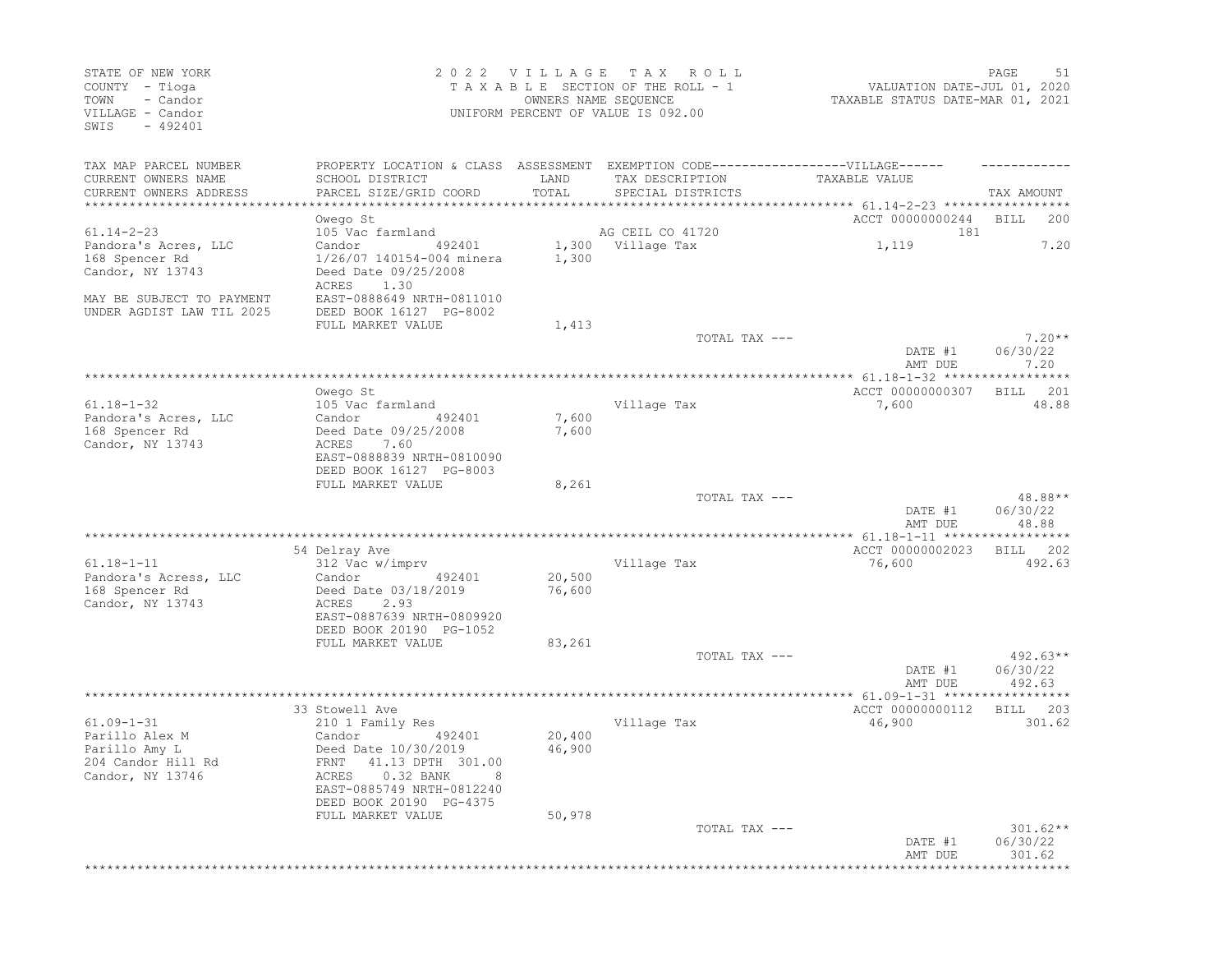| STATE OF NEW YORK<br>COUNTY - Tioga<br>- Candor<br>TOWN<br>VILLAGE - Candor<br>$-492401$<br>SWIS |                                                                                                                                               | 2022 VILLAGE<br>OWNERS NAME SEQUENCE | T A X<br>R O L L<br>TAXABLE SECTION OF THE ROLL - 1<br>UNIFORM PERCENT OF VALUE IS 092.00 | VALUATION DATE-JUL 01, 2020<br>TAXABLE STATUS DATE-MAR 01, 2021 | 51<br>PAGE                       |
|--------------------------------------------------------------------------------------------------|-----------------------------------------------------------------------------------------------------------------------------------------------|--------------------------------------|-------------------------------------------------------------------------------------------|-----------------------------------------------------------------|----------------------------------|
| TAX MAP PARCEL NUMBER                                                                            | PROPERTY LOCATION & CLASS ASSESSMENT EXEMPTION CODE-----------------VILLAGE------                                                             |                                      |                                                                                           |                                                                 |                                  |
| CURRENT OWNERS NAME<br>CURRENT OWNERS ADDRESS                                                    | SCHOOL DISTRICT<br>PARCEL SIZE/GRID COORD                                                                                                     | LAND<br>TOTAL                        | TAX DESCRIPTION<br>SPECIAL DISTRICTS                                                      | TAXABLE VALUE                                                   | TAX AMOUNT                       |
| **********************                                                                           |                                                                                                                                               |                                      |                                                                                           |                                                                 | <b>BILL</b><br>200               |
| $61.14 - 2 - 23$                                                                                 | Owego St<br>105 Vac farmland                                                                                                                  |                                      | AG CEIL CO 41720                                                                          | ACCT 00000000244<br>181                                         |                                  |
| Pandora's Acres, LLC<br>168 Spencer Rd<br>Candor, NY 13743                                       | Candor<br>492401<br>1/26/07 140154-004 minera<br>Deed Date 09/25/2008                                                                         | 1,300<br>1,300                       | Village Tax                                                                               | 1,119                                                           | 7.20                             |
| MAY BE SUBJECT TO PAYMENT<br>UNDER AGDIST LAW TIL 2025                                           | 1.30<br>ACRES<br>EAST-0888649 NRTH-0811010<br>DEED BOOK 16127 PG-8002                                                                         |                                      |                                                                                           |                                                                 |                                  |
|                                                                                                  | FULL MARKET VALUE                                                                                                                             | 1,413                                |                                                                                           |                                                                 |                                  |
|                                                                                                  |                                                                                                                                               |                                      | TOTAL TAX ---                                                                             | DATE #1                                                         | $7.20**$<br>06/30/22             |
|                                                                                                  |                                                                                                                                               |                                      |                                                                                           | AMT DUE                                                         | 7.20                             |
|                                                                                                  | Owego St                                                                                                                                      |                                      |                                                                                           | ACCT 00000000307                                                | 201<br>BILL                      |
| $61.18 - 1 - 32$                                                                                 | 105 Vac farmland                                                                                                                              |                                      | Village Tax                                                                               | 7,600                                                           | 48.88                            |
| Pandora's Acres, LLC                                                                             | Candor<br>492401                                                                                                                              | 7,600                                |                                                                                           |                                                                 |                                  |
| 168 Spencer Rd<br>Candor, NY 13743                                                               | Deed Date 09/25/2008<br>7.60<br>ACRES<br>EAST-0888839 NRTH-0810090<br>DEED BOOK 16127 PG-8003                                                 | 7,600                                |                                                                                           |                                                                 |                                  |
|                                                                                                  | FULL MARKET VALUE                                                                                                                             | 8,261                                |                                                                                           |                                                                 |                                  |
|                                                                                                  |                                                                                                                                               |                                      | TOTAL TAX ---                                                                             | DATE #1<br>AMT DUE                                              | 48.88**<br>06/30/22<br>48.88     |
|                                                                                                  |                                                                                                                                               |                                      |                                                                                           |                                                                 |                                  |
|                                                                                                  | 54 Delray Ave                                                                                                                                 |                                      |                                                                                           | ACCT 00000002023                                                | 202<br>BILL                      |
| $61.18 - 1 - 11$                                                                                 | 312 Vac w/imprv                                                                                                                               |                                      | Village Tax                                                                               | 76,600                                                          | 492.63                           |
| Pandora's Acress, LLC<br>168 Spencer Rd<br>Candor, NY 13743                                      | Candor<br>492401<br>Deed Date 03/18/2019<br>2.93<br>ACRES<br>EAST-0887639 NRTH-0809920<br>DEED BOOK 20190 PG-1052                             | 20,500<br>76,600                     |                                                                                           |                                                                 |                                  |
|                                                                                                  | FULL MARKET VALUE                                                                                                                             | 83,261                               |                                                                                           |                                                                 |                                  |
|                                                                                                  |                                                                                                                                               |                                      | TOTAL TAX ---                                                                             | DATE #1<br>AMT DUE                                              | $492.63**$<br>06/30/22<br>492.63 |
|                                                                                                  |                                                                                                                                               |                                      |                                                                                           |                                                                 |                                  |
|                                                                                                  | 33 Stowell Ave                                                                                                                                |                                      |                                                                                           | ACCT 00000000112                                                | 203<br>BILL                      |
| $61.09 - 1 - 31$                                                                                 | 210 1 Family Res                                                                                                                              |                                      | Village Tax                                                                               | 46,900                                                          | 301.62                           |
| Parillo Alex M<br>Parillo Amy L<br>204 Candor Hill Rd<br>Candor, NY 13746                        | Candor<br>492401<br>Deed Date 10/30/2019<br>FRNT 41.13 DPTH 301.00<br>ACRES 0.32 BANK<br>EAST-0885749 NRTH-0812240<br>DEED BOOK 20190 PG-4375 | 20,400<br>46,900                     |                                                                                           |                                                                 |                                  |
|                                                                                                  | FULL MARKET VALUE                                                                                                                             | 50,978                               | TOTAL TAX ---                                                                             |                                                                 | $301.62**$                       |
|                                                                                                  |                                                                                                                                               |                                      |                                                                                           | DATE #1<br>AMT DUE                                              | 06/30/22<br>301.62               |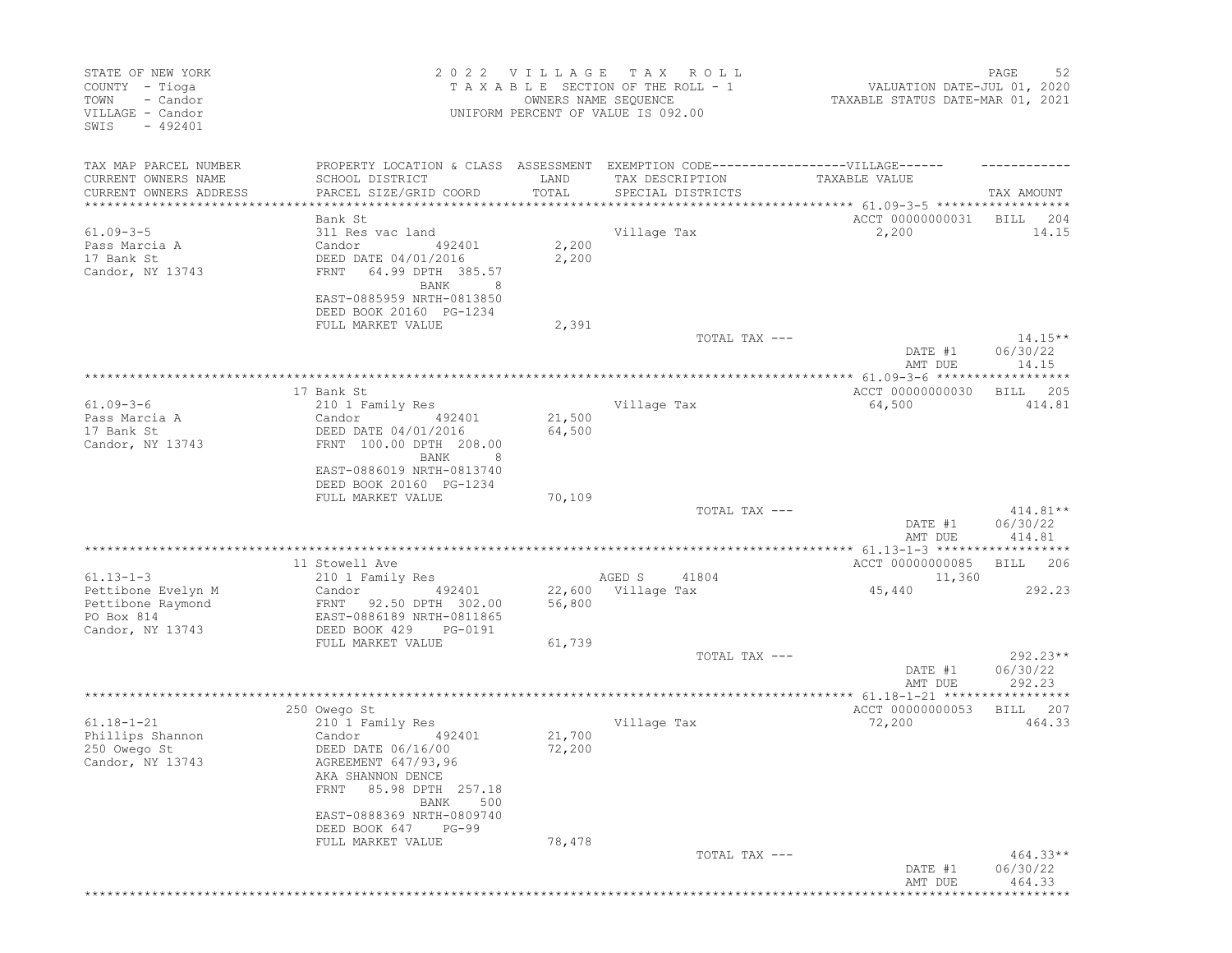| STATE OF NEW YORK<br>COUNTY - Tioga<br>- Candor<br>TOWN<br>VILLAGE - Candor<br>SWIS<br>$-492401$ |                                                                                                                                                                                                 | 2022 VILLAGE TAX | R O L L<br>TAXABLE SECTION OF THE ROLL - 1<br>OWNERS NAME SEQUENCE<br>UNIFORM PERCENT OF VALUE IS 092.00 | VALUATION DATE-JUL 01, 2020<br>TAXABLE STATUS DATE-MAR 01, 2021 | 52<br>PAGE                       |
|--------------------------------------------------------------------------------------------------|-------------------------------------------------------------------------------------------------------------------------------------------------------------------------------------------------|------------------|----------------------------------------------------------------------------------------------------------|-----------------------------------------------------------------|----------------------------------|
| TAX MAP PARCEL NUMBER<br>CURRENT OWNERS NAME<br>CURRENT OWNERS ADDRESS                           | PROPERTY LOCATION & CLASS ASSESSMENT EXEMPTION CODE-----------------VILLAGE------<br>SCHOOL DISTRICT<br>PARCEL SIZE/GRID COORD                                                                  | LAND<br>TOTAL    | TAX DESCRIPTION<br>SPECIAL DISTRICTS                                                                     | TAXABLE VALUE                                                   | TAX AMOUNT                       |
| **********************                                                                           | *************************                                                                                                                                                                       |                  |                                                                                                          |                                                                 |                                  |
| $61.09 - 3 - 5$<br>Pass Marcia A<br>17 Bank St<br>Candor, NY 13743                               | Bank St<br>311 Res vac land<br>Candor<br>492401<br>DEED DATE 04/01/2016<br>FRNT<br>64.99 DPTH 385.57<br>BANK<br>EAST-0885959 NRTH-0813850                                                       | 2,200<br>2,200   | Village Tax                                                                                              | ACCT 00000000031<br>2,200                                       | BILL<br>204<br>14.15             |
|                                                                                                  | DEED BOOK 20160 PG-1234                                                                                                                                                                         |                  |                                                                                                          |                                                                 |                                  |
|                                                                                                  | FULL MARKET VALUE                                                                                                                                                                               | 2,391            | TOTAL TAX ---                                                                                            | DATE #1                                                         | $14.15**$<br>06/30/22            |
|                                                                                                  |                                                                                                                                                                                                 |                  |                                                                                                          | AMT DUE                                                         | 14.15<br>*****                   |
| $61.09 - 3 - 6$                                                                                  | 17 Bank St<br>210 1 Family Res                                                                                                                                                                  |                  | Village Tax                                                                                              | ACCT 00000000030<br>64,500                                      | 205<br>BILL<br>414.81            |
| Pass Marcia A<br>17 Bank St<br>Candor, NY 13743                                                  | Candor<br>492401<br>DEED DATE 04/01/2016<br>FRNT 100.00 DPTH 208.00<br>BANK<br>8                                                                                                                | 21,500<br>64,500 |                                                                                                          |                                                                 |                                  |
|                                                                                                  | EAST-0886019 NRTH-0813740<br>DEED BOOK 20160 PG-1234<br>FULL MARKET VALUE                                                                                                                       | 70,109           |                                                                                                          |                                                                 |                                  |
|                                                                                                  |                                                                                                                                                                                                 |                  | TOTAL TAX ---                                                                                            | DATE #1<br>AMT DUE                                              | $414.81**$<br>06/30/22<br>414.81 |
|                                                                                                  |                                                                                                                                                                                                 |                  |                                                                                                          |                                                                 |                                  |
| $61.13 - 1 - 3$                                                                                  | 11 Stowell Ave<br>210 1 Family Res                                                                                                                                                              |                  | AGED S<br>41804                                                                                          | ACCT 00000000085<br>11,360                                      | 206<br>BILL                      |
| Pettibone Evelyn M<br>Pettibone Raymond<br>PO Box 814<br>Candor, NY 13743                        | Candor<br>492401<br>FRNT 92.50 DPTH 302.00<br>EAST-0886189 NRTH-0811865<br>DEED BOOK 429<br>PG-0191                                                                                             | 56,800           | 22,600 Village Tax                                                                                       | 45,440                                                          | 292.23                           |
|                                                                                                  | FULL MARKET VALUE                                                                                                                                                                               | 61,739           |                                                                                                          |                                                                 |                                  |
|                                                                                                  |                                                                                                                                                                                                 |                  | TOTAL TAX ---                                                                                            | DATE #1<br>AMT DUE                                              | 292.23**<br>06/30/22<br>292.23   |
|                                                                                                  |                                                                                                                                                                                                 |                  |                                                                                                          |                                                                 |                                  |
| $61.18 - 1 - 21$<br>Phillips Shannon<br>250 Owego St<br>Candor, NY 13743                         | 250 Owego St<br>210 1 Family Res<br>Candor<br>492401<br>DEED DATE 06/16/00<br>AGREEMENT 647/93,96<br>AKA SHANNON DENCE<br>85.98 DPTH 257.18<br>FRNT<br>BANK<br>500<br>EAST-0888369 NRTH-0809740 | 21,700<br>72,200 | Village Tax                                                                                              | ACCT 00000000053<br>72,200                                      | 207<br>BILL<br>464.33            |
|                                                                                                  | DEED BOOK 647 PG-99<br>FULL MARKET VALUE                                                                                                                                                        | 78,478           |                                                                                                          |                                                                 |                                  |
|                                                                                                  |                                                                                                                                                                                                 |                  | TOTAL TAX ---                                                                                            | DATE #1<br>AMT DUE                                              | $464.33**$<br>06/30/22<br>464.33 |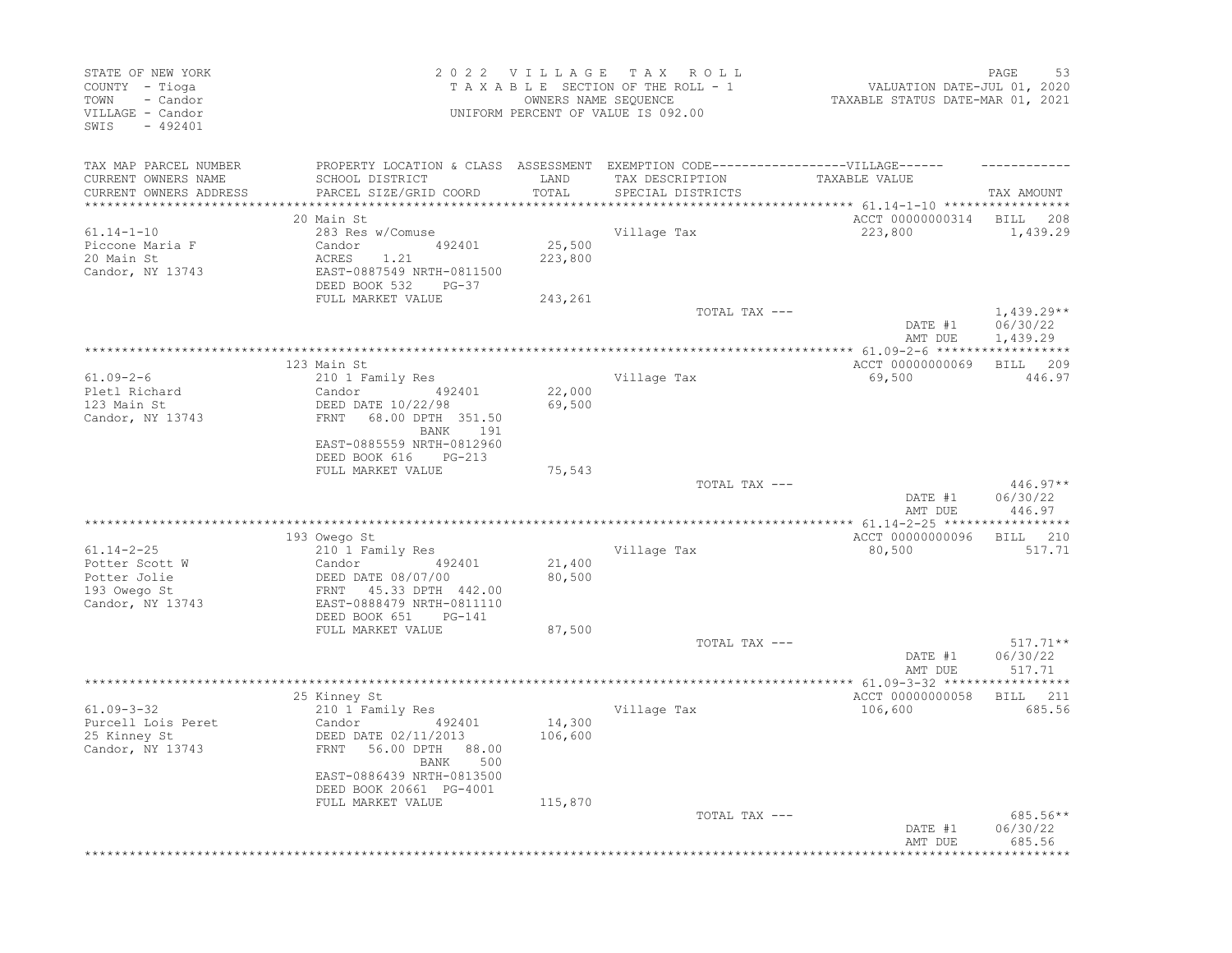| STATE OF NEW YORK<br>COUNTY - Tioga<br>- Candor<br>TOWN<br>VILLAGE - Candor<br>SWIS<br>$-492401$ |                                                                                   |                  | 2022 VILLAGE TAX ROLL<br>TAXABLE SECTION OF THE ROLL - 1<br>OWNERS NAME SEQUENCE<br>UNIFORM PERCENT OF VALUE IS 092.00 | VALUATION DATE-JUL 01, 2020<br>TAXABLE STATUS DATE-MAR 01, 2021 | 53<br>PAGE   |
|--------------------------------------------------------------------------------------------------|-----------------------------------------------------------------------------------|------------------|------------------------------------------------------------------------------------------------------------------------|-----------------------------------------------------------------|--------------|
| TAX MAP PARCEL NUMBER                                                                            | PROPERTY LOCATION & CLASS ASSESSMENT EXEMPTION CODE-----------------VILLAGE------ |                  |                                                                                                                        |                                                                 |              |
| CURRENT OWNERS NAME                                                                              | SCHOOL DISTRICT                                                                   | LAND<br>TOTAL    | TAX DESCRIPTION                                                                                                        | TAXABLE VALUE                                                   |              |
| CURRENT OWNERS ADDRESS<br>*********************                                                  | PARCEL SIZE/GRID COORD                                                            |                  | SPECIAL DISTRICTS                                                                                                      | ********************** 61.14-1-10 ******************            | TAX AMOUNT   |
|                                                                                                  | 20 Main St                                                                        |                  |                                                                                                                        | ACCT 00000000314 BILL 208                                       |              |
| $61.14 - 1 - 10$                                                                                 | 283 Res w/Comuse                                                                  |                  | Village Tax                                                                                                            | 223,800                                                         | 1,439.29     |
| Piccone Maria F                                                                                  | Candor 492401                                                                     | 25,500           |                                                                                                                        |                                                                 |              |
| 20 Main St                                                                                       | ACRES<br>1.21                                                                     | 223,800          |                                                                                                                        |                                                                 |              |
| Candor, NY 13743                                                                                 | EAST-0887549 NRTH-0811500                                                         |                  |                                                                                                                        |                                                                 |              |
|                                                                                                  | DEED BOOK 532 PG-37<br>FULL MARKET VALUE                                          | 243,261          |                                                                                                                        |                                                                 |              |
|                                                                                                  |                                                                                   |                  | TOTAL TAX ---                                                                                                          |                                                                 | $1,439.29**$ |
|                                                                                                  |                                                                                   |                  |                                                                                                                        | DATE #1                                                         | 06/30/22     |
|                                                                                                  |                                                                                   |                  |                                                                                                                        | AMT DUE                                                         | 1,439.29     |
|                                                                                                  |                                                                                   |                  |                                                                                                                        |                                                                 |              |
|                                                                                                  | 123 Main St                                                                       |                  |                                                                                                                        | ACCT 00000000069                                                | BILL 209     |
| $61.09 - 2 - 6$<br>Pletl Richard                                                                 | 210 1 Family Res<br>Candor<br>492401                                              |                  | Village Tax                                                                                                            | 69,500                                                          | 446.97       |
| 123 Main St                                                                                      | DEED DATE 10/22/98                                                                | 22,000<br>69,500 |                                                                                                                        |                                                                 |              |
| Candor, NY 13743                                                                                 | 68.00 DPTH 351.50<br>FRNT                                                         |                  |                                                                                                                        |                                                                 |              |
|                                                                                                  | BANK 191                                                                          |                  |                                                                                                                        |                                                                 |              |
|                                                                                                  | EAST-0885559 NRTH-0812960                                                         |                  |                                                                                                                        |                                                                 |              |
|                                                                                                  | DEED BOOK 616 PG-213                                                              |                  |                                                                                                                        |                                                                 |              |
|                                                                                                  | FULL MARKET VALUE                                                                 | 75,543           |                                                                                                                        |                                                                 | $446.97**$   |
|                                                                                                  |                                                                                   |                  | TOTAL TAX ---                                                                                                          | DATE #1                                                         | 06/30/22     |
|                                                                                                  |                                                                                   |                  |                                                                                                                        | AMT DUE                                                         | 446.97       |
|                                                                                                  |                                                                                   |                  |                                                                                                                        |                                                                 |              |
|                                                                                                  | 193 Owego St                                                                      |                  |                                                                                                                        | ACCT 00000000096                                                | BILL 210     |
| $61.14 - 2 - 25$                                                                                 | 210 1 Family Res                                                                  |                  | Village Tax                                                                                                            | 80,500                                                          | 517.71       |
| Potter Scott W                                                                                   | Candor 492401                                                                     | 21,400           |                                                                                                                        |                                                                 |              |
| Potter Jolie<br>193 Owego St                                                                     | DEED DATE 08/07/00<br>FRNT 45.33 DPTH 442.00                                      | 80,500           |                                                                                                                        |                                                                 |              |
| Candor, NY 13743                                                                                 | EAST-0888479 NRTH-0811110                                                         |                  |                                                                                                                        |                                                                 |              |
|                                                                                                  | DEED BOOK 651<br>PG-141                                                           |                  |                                                                                                                        |                                                                 |              |
|                                                                                                  | FULL MARKET VALUE                                                                 | 87,500           |                                                                                                                        |                                                                 |              |
|                                                                                                  |                                                                                   |                  | TOTAL TAX ---                                                                                                          |                                                                 | $517.71**$   |
|                                                                                                  |                                                                                   |                  |                                                                                                                        | DATE #1                                                         | 06/30/22     |
|                                                                                                  |                                                                                   |                  |                                                                                                                        | AMT DUE                                                         | 517.71       |
|                                                                                                  | 25 Kinney St                                                                      |                  |                                                                                                                        | ACCT 00000000058                                                | BILL 211     |
| $61.09 - 3 - 32$                                                                                 | 210 1 Family Res                                                                  |                  | Village Tax                                                                                                            | 106,600                                                         | 685.56       |
| Purcell Lois Peret                                                                               | 492401<br>Candor                                                                  | 14,300           |                                                                                                                        |                                                                 |              |
| 25 Kinney St                                                                                     | DEED DATE 02/11/2013                                                              | 106,600          |                                                                                                                        |                                                                 |              |
| Candor, NY 13743                                                                                 | FRNT 56.00 DPTH 88.00                                                             |                  |                                                                                                                        |                                                                 |              |
|                                                                                                  | <b>BANK</b><br>500                                                                |                  |                                                                                                                        |                                                                 |              |
|                                                                                                  | EAST-0886439 NRTH-0813500                                                         |                  |                                                                                                                        |                                                                 |              |
|                                                                                                  | DEED BOOK 20661 PG-4001<br>FULL MARKET VALUE                                      | 115,870          |                                                                                                                        |                                                                 |              |
|                                                                                                  |                                                                                   |                  | TOTAL TAX ---                                                                                                          |                                                                 | 685.56**     |
|                                                                                                  |                                                                                   |                  |                                                                                                                        | DATE #1                                                         | 06/30/22     |
|                                                                                                  |                                                                                   |                  |                                                                                                                        | AMT DUE                                                         | 685.56       |
|                                                                                                  |                                                                                   |                  |                                                                                                                        |                                                                 |              |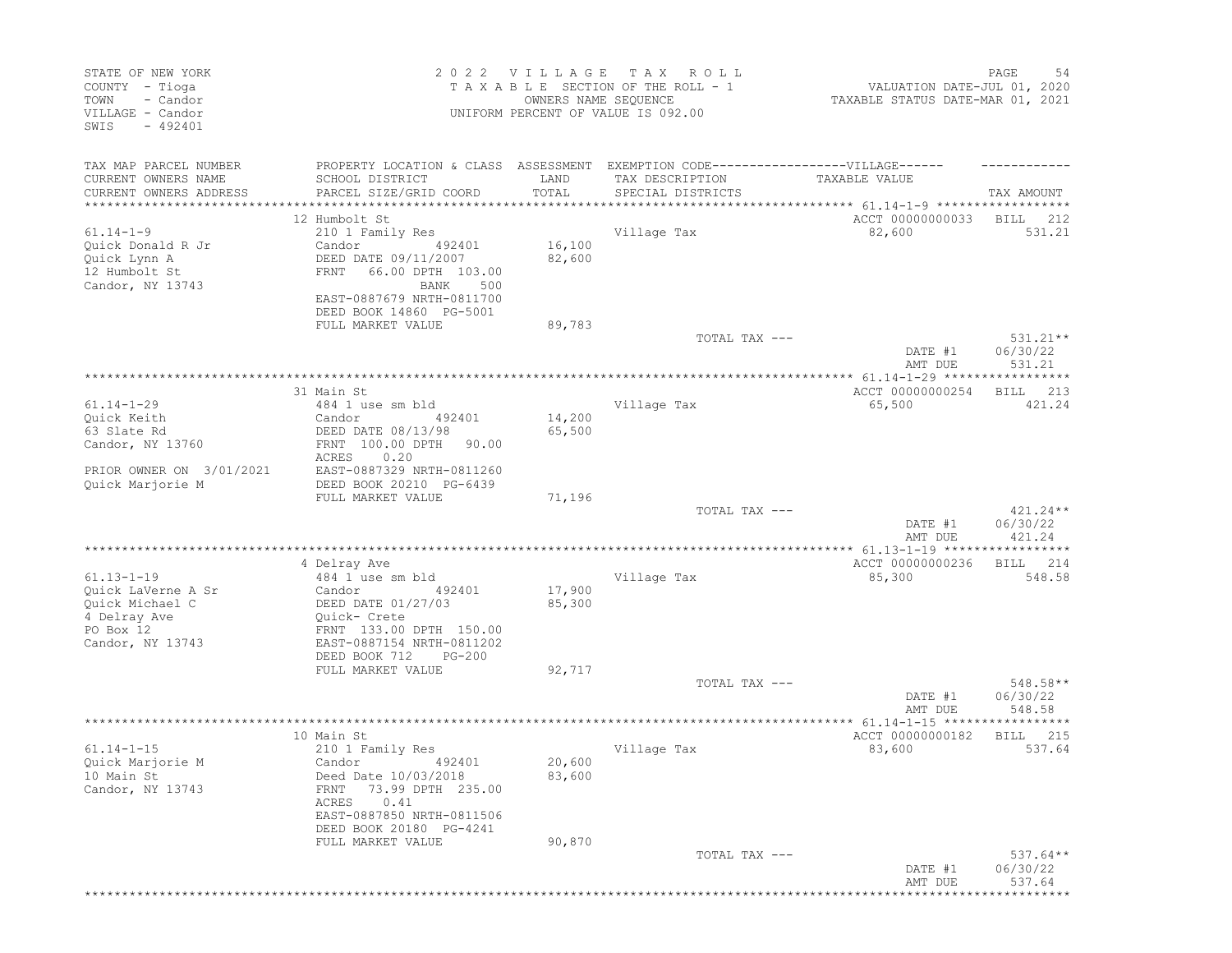| STATE OF NEW YORK<br>COUNTY - Tioga<br>TOWN<br>- Candor<br>VILLAGE - Candor<br>$-492401$<br>SWIS           |                                                                                                                                                                                                        | 2022 VILLAGE<br>OWNERS NAME SEQUENCE | T A X<br>ROLL<br>TAXABLE SECTION OF THE ROLL - 1<br>UNIFORM PERCENT OF VALUE IS 092.00 | VALUATION DATE-JUL 01, 2020<br>TAXABLE STATUS DATE-MAR 01, 2021               | PAGE<br>54                       |
|------------------------------------------------------------------------------------------------------------|--------------------------------------------------------------------------------------------------------------------------------------------------------------------------------------------------------|--------------------------------------|----------------------------------------------------------------------------------------|-------------------------------------------------------------------------------|----------------------------------|
| TAX MAP PARCEL NUMBER<br>CURRENT OWNERS NAME<br>CURRENT OWNERS ADDRESS<br>****************                 | PROPERTY LOCATION & CLASS ASSESSMENT EXEMPTION CODE-----------------VILLAGE------<br>SCHOOL DISTRICT<br>PARCEL SIZE/GRID COORD                                                                         | LAND<br>TOTAL<br>**************      | TAX DESCRIPTION<br>SPECIAL DISTRICTS                                                   | TAXABLE VALUE                                                                 | TAX AMOUNT                       |
| $61.14 - 1 - 9$<br>Quick Donald R Jr<br>Quick Lynn A<br>12 Humbolt St<br>Candor, NY 13743                  | 12 Humbolt St<br>210 1 Family Res<br>Candor<br>492401<br>DEED DATE 09/11/2007<br>FRNT<br>66.00 DPTH 103.00<br>BANK<br>500<br>EAST-0887679 NRTH-0811700<br>DEED BOOK 14860 PG-5001<br>FULL MARKET VALUE | 16,100<br>82,600<br>89,783           | Village Tax                                                                            | ACCT 00000000033<br>82,600                                                    | BILL<br>212<br>531.21            |
|                                                                                                            |                                                                                                                                                                                                        |                                      | TOTAL TAX ---                                                                          | DATE #1<br>AMT DUE                                                            | $531.21**$<br>06/30/22<br>531.21 |
| $61.14 - 1 - 29$<br>Quick Keith<br>63 Slate Rd<br>Candor, NY 13760<br>PRIOR OWNER ON 3/01/2021             | 31 Main St<br>484 1 use sm bld<br>Candor<br>492401<br>DEED DATE 08/13/98<br>FRNT 100.00 DPTH<br>90.00<br>ACRES<br>0.20<br>EAST-0887329 NRTH-0811260                                                    | 14,200<br>65,500                     | Village Tax                                                                            | ****************** 61.14-1-29 ***********<br>ACCT 00000000254<br>65,500       | *****<br>213<br>BILL<br>421.24   |
| Quick Marjorie M                                                                                           | DEED BOOK 20210 PG-6439<br>FULL MARKET VALUE                                                                                                                                                           | 71,196                               | TOTAL TAX ---                                                                          | DATE #1<br>AMT DUE                                                            | $421.24**$<br>06/30/22<br>421.24 |
| $61.13 - 1 - 19$<br>Quick LaVerne A Sr<br>Quick Michael C<br>4 Delray Ave<br>PO Box 12<br>Candor, NY 13743 | 4 Delray Ave<br>484 1 use sm bld<br>Candor<br>492401<br>DEED DATE 01/27/03<br>Quick- Crete<br>FRNT 133.00 DPTH 150.00<br>EAST-0887154 NRTH-0811202<br>DEED BOOK 712<br>$PG-200$<br>FULL MARKET VALUE   | 17,900<br>85,300<br>92,717           | Village Tax                                                                            | ACCT 00000000236<br>85,300                                                    | 214<br>BILL<br>548.58            |
|                                                                                                            |                                                                                                                                                                                                        |                                      | TOTAL TAX ---                                                                          | DATE #1<br>AMT DUE                                                            | 548.58**<br>06/30/22<br>548.58   |
| $61.14 - 1 - 15$<br>Quick Marjorie M<br>10 Main St<br>Candor, NY 13743                                     | 10 Main St<br>210 1 Family Res<br>Candor 492401<br>Deed Date 10/03/2018<br>73.99 DPTH 235.00<br>FRNT<br>ACRES<br>0.41<br>EAST-0887850 NRTH-0811506<br>DEED BOOK 20180 PG-4241                          | 20,600<br>83,600                     | Village Tax                                                                            | ***************** 61.14-1-15 ******************<br>ACCT 00000000182<br>83,600 | 215<br>BILL<br>537.64            |
|                                                                                                            | FULL MARKET VALUE                                                                                                                                                                                      | 90,870                               | TOTAL TAX ---                                                                          | DATE #1<br>AMT DUE                                                            | $537.64**$<br>06/30/22<br>537.64 |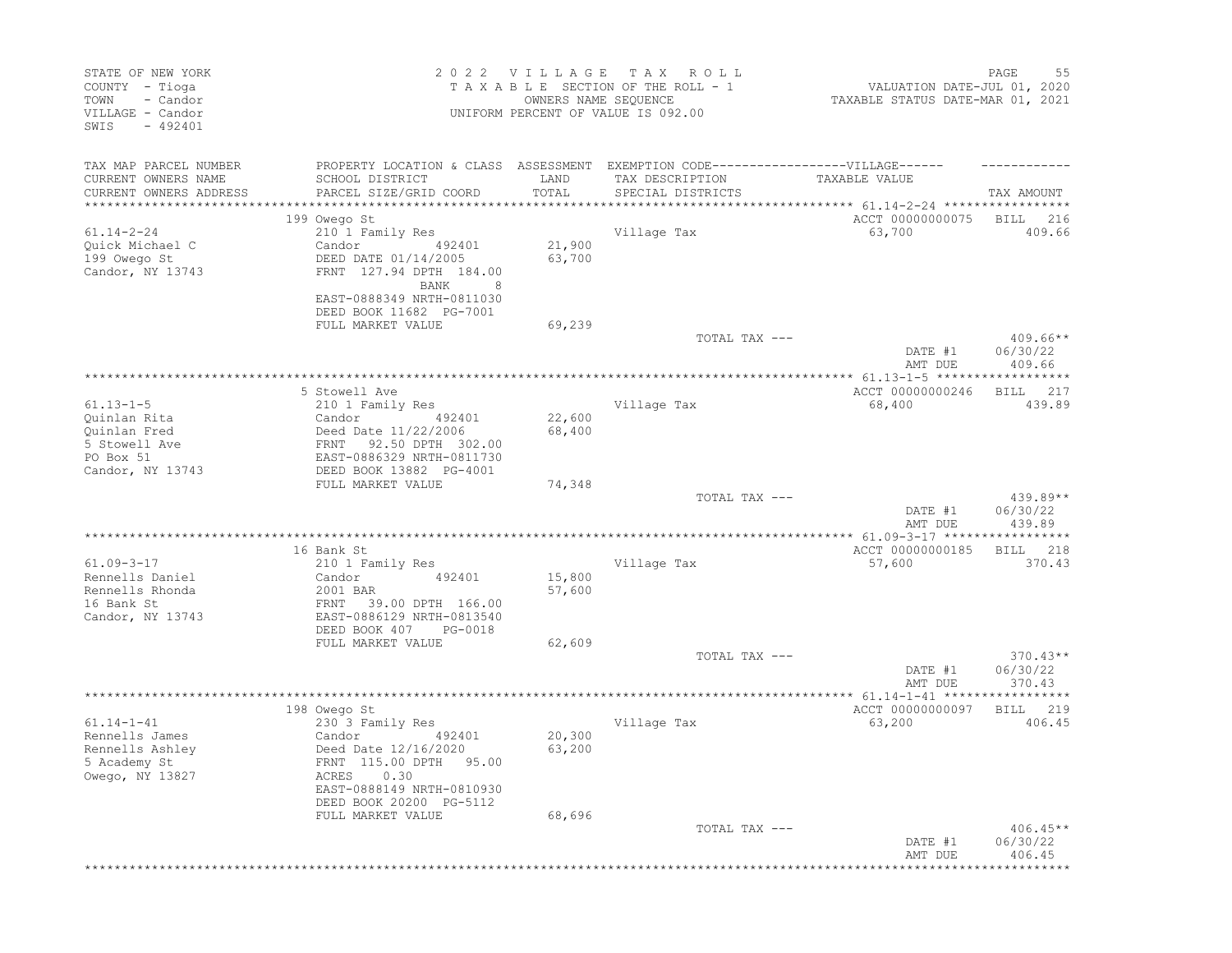| STATE OF NEW YORK<br>COUNTY - Tioga<br>- Candor<br>TOWN<br>VILLAGE - Candor<br>$-492401$<br>SWIS |                                                                                   | 2022 VILLAGE     | T A X<br>R O L L<br>TAXABLE SECTION OF THE ROLL - 1<br>OWNERS NAME SEQUENCE<br>UNIFORM PERCENT OF VALUE IS 092.00 | VALUATION DATE-JUL 01, 2020<br>TAXABLE STATUS DATE-MAR 01, 2021 | PAGE<br>55         |
|--------------------------------------------------------------------------------------------------|-----------------------------------------------------------------------------------|------------------|-------------------------------------------------------------------------------------------------------------------|-----------------------------------------------------------------|--------------------|
| TAX MAP PARCEL NUMBER                                                                            | PROPERTY LOCATION & CLASS ASSESSMENT EXEMPTION CODE-----------------VILLAGE------ |                  |                                                                                                                   |                                                                 |                    |
| CURRENT OWNERS NAME                                                                              | SCHOOL DISTRICT                                                                   | LAND             | TAX DESCRIPTION                                                                                                   | TAXABLE VALUE                                                   |                    |
| CURRENT OWNERS ADDRESS                                                                           | PARCEL SIZE/GRID COORD                                                            | TOTAL            | SPECIAL DISTRICTS                                                                                                 |                                                                 | TAX AMOUNT         |
|                                                                                                  | 199 Owego St                                                                      |                  |                                                                                                                   | ACCT 00000000075                                                | <b>BILL</b><br>216 |
| $61.14 - 2 - 24$                                                                                 | 210 1 Family Res                                                                  |                  | Village Tax                                                                                                       | 63,700                                                          | 409.66             |
| Quick Michael C                                                                                  | Candor<br>492401                                                                  | 21,900           |                                                                                                                   |                                                                 |                    |
| 199 Owego St                                                                                     | DEED DATE 01/14/2005                                                              | 63,700           |                                                                                                                   |                                                                 |                    |
| Candor, NY 13743                                                                                 | FRNT 127.94 DPTH 184.00                                                           |                  |                                                                                                                   |                                                                 |                    |
|                                                                                                  | BANK<br>8<br>EAST-0888349 NRTH-0811030                                            |                  |                                                                                                                   |                                                                 |                    |
|                                                                                                  | DEED BOOK 11682 PG-7001                                                           |                  |                                                                                                                   |                                                                 |                    |
|                                                                                                  | FULL MARKET VALUE                                                                 | 69,239           |                                                                                                                   |                                                                 |                    |
|                                                                                                  |                                                                                   |                  | TOTAL TAX ---                                                                                                     |                                                                 | $409.66**$         |
|                                                                                                  |                                                                                   |                  |                                                                                                                   | DATE #1                                                         | 06/30/22           |
|                                                                                                  |                                                                                   |                  |                                                                                                                   | AMT DUE                                                         | 409.66             |
|                                                                                                  | 5 Stowell Ave                                                                     |                  |                                                                                                                   | ACCT 00000000246                                                | 217<br>BILL        |
| $61.13 - 1 - 5$                                                                                  | 210 1 Family Res                                                                  |                  | Village Tax                                                                                                       | 68,400                                                          | 439.89             |
| Quinlan Rita                                                                                     | Candor<br>492401                                                                  | 22,600           |                                                                                                                   |                                                                 |                    |
| Ouinlan Fred                                                                                     | Deed Date 11/22/2006                                                              | 68,400           |                                                                                                                   |                                                                 |                    |
| 5 Stowell Ave                                                                                    | 92.50 DPTH 302.00<br>FRNT                                                         |                  |                                                                                                                   |                                                                 |                    |
| PO Box 51                                                                                        | EAST-0886329 NRTH-0811730                                                         |                  |                                                                                                                   |                                                                 |                    |
| Candor, NY 13743                                                                                 | DEED BOOK 13882 PG-4001                                                           |                  |                                                                                                                   |                                                                 |                    |
|                                                                                                  | FULL MARKET VALUE                                                                 | 74,348           | TOTAL TAX ---                                                                                                     |                                                                 | 439.89**           |
|                                                                                                  |                                                                                   |                  |                                                                                                                   | DATE #1                                                         | 06/30/22           |
|                                                                                                  |                                                                                   |                  |                                                                                                                   | AMT DUE                                                         | 439.89             |
|                                                                                                  |                                                                                   |                  |                                                                                                                   |                                                                 |                    |
|                                                                                                  | 16 Bank St                                                                        |                  |                                                                                                                   | ACCT 00000000185                                                | 218<br>BILL        |
| $61.09 - 3 - 17$                                                                                 | 210 1 Family Res                                                                  |                  | Village Tax                                                                                                       | 57,600                                                          | 370.43             |
| Rennells Daniel<br>Rennells Rhonda                                                               | Candor<br>492401<br>2001 BAR                                                      | 15,800<br>57,600 |                                                                                                                   |                                                                 |                    |
| 16 Bank St                                                                                       | FRNT<br>39.00 DPTH 166.00                                                         |                  |                                                                                                                   |                                                                 |                    |
| Candor, NY 13743                                                                                 | EAST-0886129 NRTH-0813540                                                         |                  |                                                                                                                   |                                                                 |                    |
|                                                                                                  | DEED BOOK 407<br>PG-0018                                                          |                  |                                                                                                                   |                                                                 |                    |
|                                                                                                  | FULL MARKET VALUE                                                                 | 62,609           |                                                                                                                   |                                                                 |                    |
|                                                                                                  |                                                                                   |                  | TOTAL TAX ---                                                                                                     |                                                                 | $370.43**$         |
|                                                                                                  |                                                                                   |                  |                                                                                                                   | DATE #1<br>AMT DUE                                              | 06/30/22<br>370.43 |
|                                                                                                  |                                                                                   |                  |                                                                                                                   |                                                                 |                    |
|                                                                                                  | 198 Owego St                                                                      |                  |                                                                                                                   | ACCT 00000000097                                                | 219<br>BILL        |
| $61.14 - 1 - 41$                                                                                 | 230 3 Family Res                                                                  |                  | Village Tax                                                                                                       | 63,200                                                          | 406.45             |
| Rennells James                                                                                   | Candor<br>492401                                                                  | 20,300           |                                                                                                                   |                                                                 |                    |
| Rennells Ashley                                                                                  | Deed Date 12/16/2020                                                              | 63,200           |                                                                                                                   |                                                                 |                    |
| 5 Academy St<br>Owego, NY 13827                                                                  | FRNT 115.00 DPTH 95.00<br>ACRES 0.30                                              |                  |                                                                                                                   |                                                                 |                    |
|                                                                                                  | EAST-0888149 NRTH-0810930                                                         |                  |                                                                                                                   |                                                                 |                    |
|                                                                                                  | DEED BOOK 20200 PG-5112                                                           |                  |                                                                                                                   |                                                                 |                    |
|                                                                                                  | FULL MARKET VALUE                                                                 | 68,696           |                                                                                                                   |                                                                 |                    |
|                                                                                                  |                                                                                   |                  | TOTAL TAX ---                                                                                                     |                                                                 | $406.45**$         |
|                                                                                                  |                                                                                   |                  |                                                                                                                   | DATE #1                                                         | 06/30/22           |
|                                                                                                  |                                                                                   |                  |                                                                                                                   | AMT DUE                                                         | 406.45             |
|                                                                                                  |                                                                                   |                  |                                                                                                                   |                                                                 |                    |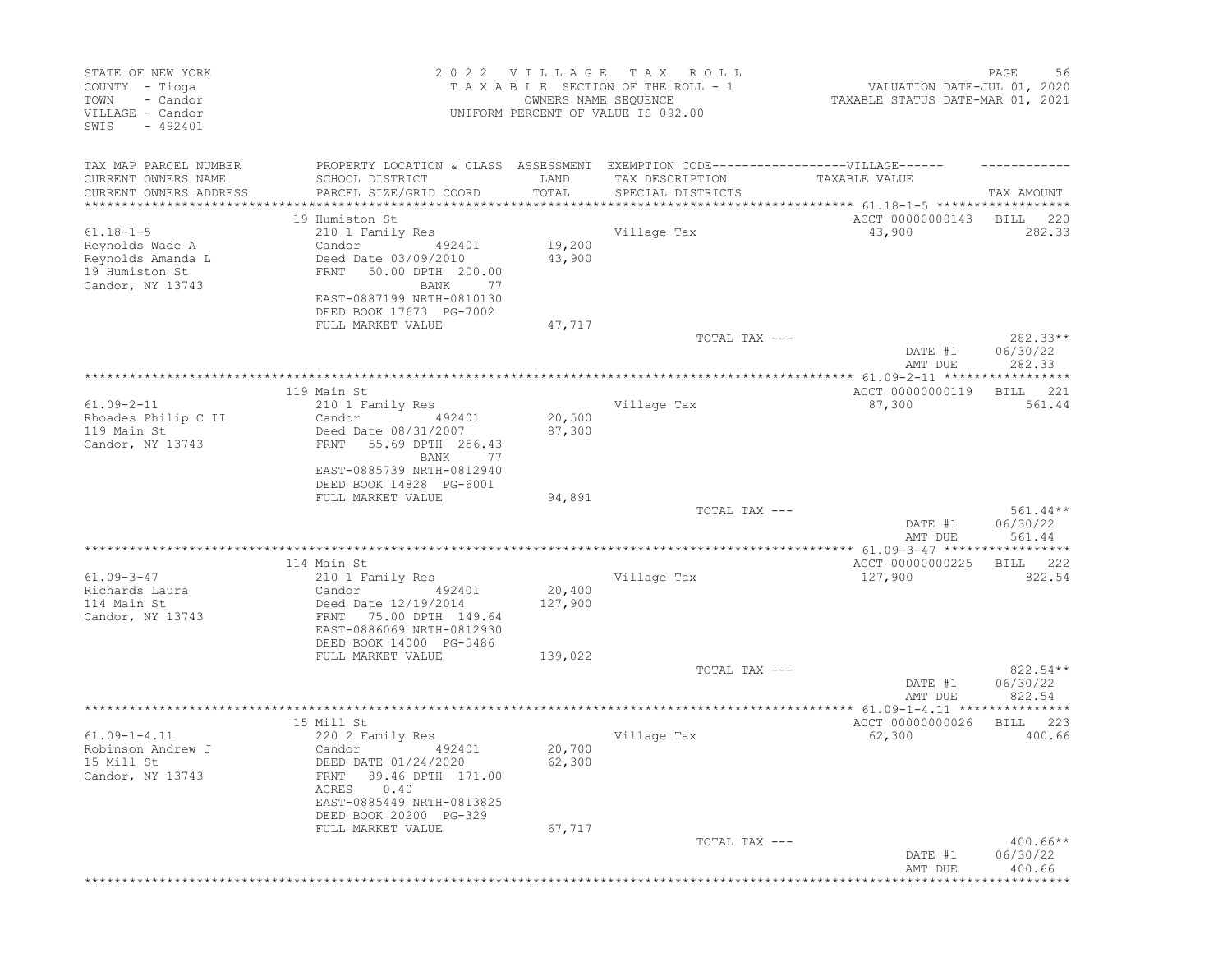| STATE OF NEW YORK<br>COUNTY - Tioga<br>- Candor<br>TOWN<br>VILLAGE - Candor<br>$-492401$<br>SWIS |                                                                                                         | 2022 VILLAGE<br>OWNERS NAME SEQUENCE | T A X<br>ROLL<br>TAXABLE SECTION OF THE ROLL - 1<br>UNIFORM PERCENT OF VALUE IS 092.00 | VALUATION DATE-JUL 01, 2020<br>TAXABLE STATUS DATE-MAR 01, 2021 | PAGE<br>56                       |
|--------------------------------------------------------------------------------------------------|---------------------------------------------------------------------------------------------------------|--------------------------------------|----------------------------------------------------------------------------------------|-----------------------------------------------------------------|----------------------------------|
| TAX MAP PARCEL NUMBER<br>CURRENT OWNERS NAME                                                     | PROPERTY LOCATION & CLASS ASSESSMENT EXEMPTION CODE-----------------VILLAGE------<br>SCHOOL DISTRICT    | LAND                                 | TAX DESCRIPTION                                                                        | TAXABLE VALUE                                                   |                                  |
| CURRENT OWNERS ADDRESS<br>****************                                                       | PARCEL SIZE/GRID COORD                                                                                  | TOTAL                                | SPECIAL DISTRICTS                                                                      |                                                                 | TAX AMOUNT                       |
|                                                                                                  | 19 Humiston St                                                                                          |                                      |                                                                                        | ACCT 00000000143                                                | BILL<br>220                      |
| $61.18 - 1 - 5$                                                                                  | 210 1 Family Res                                                                                        |                                      | Village Tax                                                                            | 43,900                                                          | 282.33                           |
| Reynolds Wade A<br>Reynolds Amanda L<br>19 Humiston St<br>Candor, NY 13743                       | Candor<br>492401<br>Deed Date 03/09/2010<br>50.00 DPTH 200.00<br>FRNT<br>BANK<br>77                     | 19,200<br>43,900                     |                                                                                        |                                                                 |                                  |
|                                                                                                  | EAST-0887199 NRTH-0810130<br>DEED BOOK 17673 PG-7002<br>FULL MARKET VALUE                               | 47,717                               |                                                                                        |                                                                 |                                  |
|                                                                                                  |                                                                                                         |                                      | TOTAL TAX ---                                                                          |                                                                 | $282.33**$                       |
|                                                                                                  |                                                                                                         |                                      |                                                                                        | DATE #1<br>AMT DUE                                              | 06/30/22<br>282.33               |
|                                                                                                  |                                                                                                         |                                      |                                                                                        |                                                                 | *****                            |
| $61.09 - 2 - 11$                                                                                 | 119 Main St<br>210 1 Family Res                                                                         |                                      | Village Tax                                                                            | ACCT 00000000119<br>87,300                                      | 221<br>BILL<br>561.44            |
| Rhoades Philip C II<br>119 Main St<br>Candor, NY 13743                                           | Candor<br>492401<br>Deed Date 08/31/2007<br>55.69 DPTH 256.43<br>FRNT                                   | 20,500<br>87,300                     |                                                                                        |                                                                 |                                  |
|                                                                                                  | BANK<br>77<br>EAST-0885739 NRTH-0812940<br>DEED BOOK 14828 PG-6001                                      |                                      |                                                                                        |                                                                 |                                  |
|                                                                                                  | FULL MARKET VALUE                                                                                       | 94,891                               |                                                                                        |                                                                 |                                  |
|                                                                                                  |                                                                                                         |                                      | TOTAL TAX ---                                                                          | DATE #1                                                         | $561.44**$<br>06/30/22<br>561.44 |
|                                                                                                  |                                                                                                         |                                      |                                                                                        | AMT DUE                                                         |                                  |
|                                                                                                  | 114 Main St                                                                                             |                                      |                                                                                        | ACCT 00000000225                                                | 222<br>BILL                      |
| $61.09 - 3 - 47$                                                                                 | 210 1 Family Res                                                                                        |                                      | Village Tax                                                                            | 127,900                                                         | 822.54                           |
| Richards Laura<br>114 Main St<br>Candor, NY 13743                                                | Candor<br>492401<br>Deed Date 12/19/2014<br>75.00 DPTH 149.64<br>FRNT<br>EAST-0886069 NRTH-0812930      | 20,400<br>127,900                    |                                                                                        |                                                                 |                                  |
|                                                                                                  | DEED BOOK 14000 PG-5486<br>FULL MARKET VALUE                                                            |                                      |                                                                                        |                                                                 |                                  |
|                                                                                                  |                                                                                                         | 139,022                              | TOTAL TAX ---                                                                          | DATE #1                                                         | $822.54**$<br>06/30/22           |
|                                                                                                  |                                                                                                         |                                      |                                                                                        | AMT DUE<br>**************** 61.09-1-4.11 ***************        | 822.54                           |
|                                                                                                  | 15 Mill St                                                                                              |                                      |                                                                                        | ACCT 00000000026                                                | 223<br>BILL                      |
| $61.09 - 1 - 4.11$<br>Robinson Andrew J<br>15 Mill St<br>Candor, NY 13743                        | 220 2 Family Res<br>Candor<br>492401<br>DEED DATE 01/24/2020<br>FRNT 89.46 DPTH 171.00<br>0.40<br>ACRES | 20,700<br>62,300                     | Village Tax                                                                            | 62,300                                                          | 400.66                           |
|                                                                                                  | EAST-0885449 NRTH-0813825<br>DEED BOOK 20200 PG-329                                                     |                                      |                                                                                        |                                                                 |                                  |
|                                                                                                  | FULL MARKET VALUE                                                                                       | 67,717                               |                                                                                        |                                                                 |                                  |
|                                                                                                  |                                                                                                         |                                      | TOTAL TAX ---                                                                          | DATE #1<br>AMT DUE                                              | $400.66**$<br>06/30/22<br>400.66 |
|                                                                                                  |                                                                                                         |                                      |                                                                                        | *********************************                               |                                  |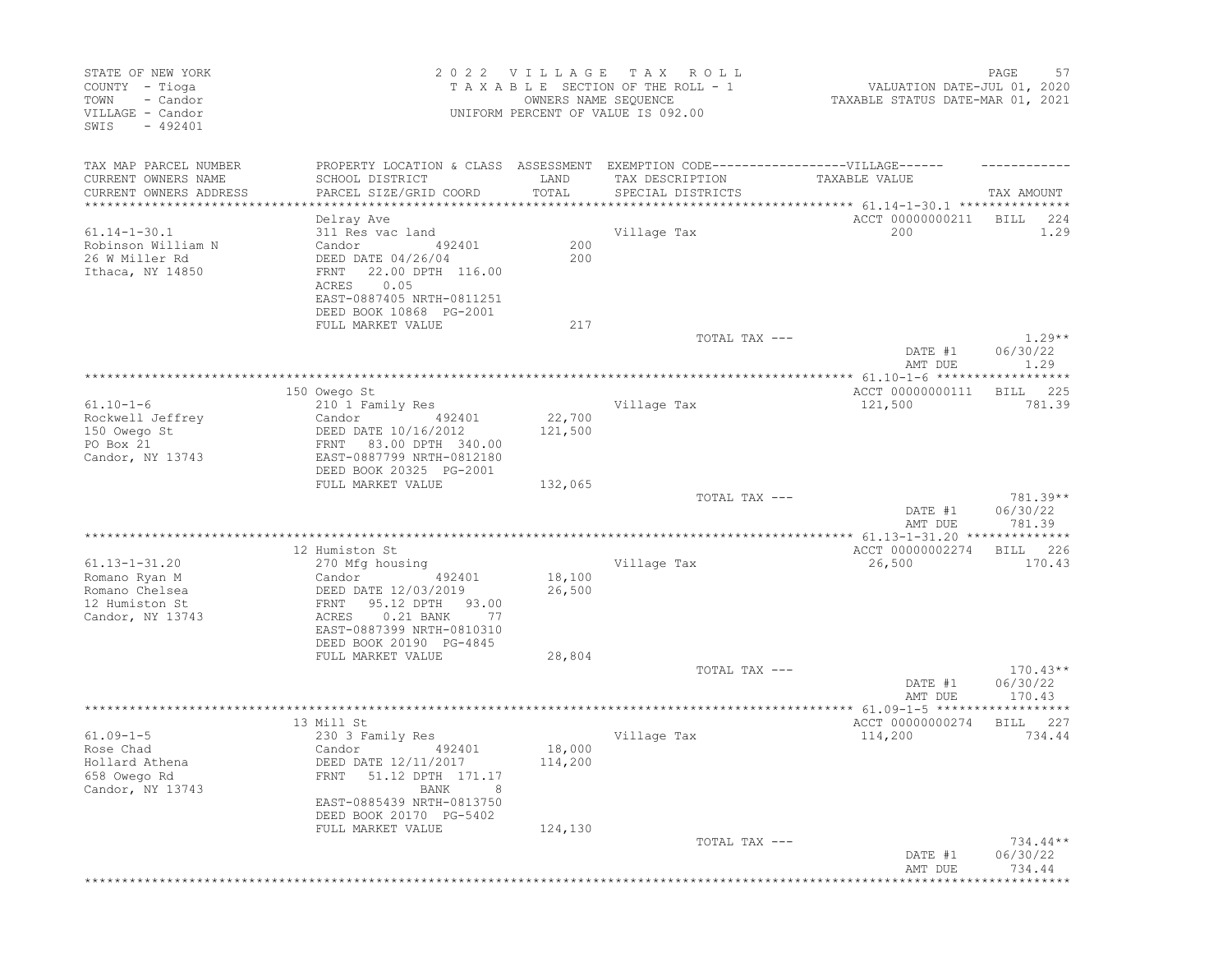| STATE OF NEW YORK<br>COUNTY - Tioga<br>- Candor<br>TOWN<br>VILLAGE - Candor<br>SWIS<br>$-492401$ |                                                                                                                                                   | 2022 VILLAGE TAX  | R O L L<br>TAXABLE SECTION OF THE ROLL - 1<br>OWNERS NAME SEQUENCE<br>UNIFORM PERCENT OF VALUE IS 092.00 | VALUATION DATE-JUL 01, 2020<br>TAXABLE STATUS DATE-MAR 01, 2021 | PAGE<br>57                       |
|--------------------------------------------------------------------------------------------------|---------------------------------------------------------------------------------------------------------------------------------------------------|-------------------|----------------------------------------------------------------------------------------------------------|-----------------------------------------------------------------|----------------------------------|
| TAX MAP PARCEL NUMBER<br>CURRENT OWNERS NAME                                                     | PROPERTY LOCATION & CLASS ASSESSMENT EXEMPTION CODE-----------------VILLAGE------<br>SCHOOL DISTRICT                                              | LAND              | TAX DESCRIPTION                                                                                          | TAXABLE VALUE                                                   |                                  |
| CURRENT OWNERS ADDRESS                                                                           | PARCEL SIZE/GRID COORD<br>*********************                                                                                                   | TOTAL             | SPECIAL DISTRICTS                                                                                        |                                                                 | TAX AMOUNT                       |
|                                                                                                  | Delray Ave                                                                                                                                        |                   |                                                                                                          | ACCT 00000000211                                                | BILL<br>224                      |
| $61.14 - 1 - 30.1$                                                                               | 311 Res vac land                                                                                                                                  |                   | Village Tax                                                                                              | 200                                                             | 1.29                             |
| Robinson William N<br>26 W Miller Rd<br>Ithaca, NY 14850                                         | Candor<br>492401<br>DEED DATE 04/26/04<br>22.00 DPTH 116.00<br>FRNT<br>0.05<br>ACRES<br>EAST-0887405 NRTH-0811251                                 | 200<br>200        |                                                                                                          |                                                                 |                                  |
|                                                                                                  | DEED BOOK 10868 PG-2001                                                                                                                           |                   |                                                                                                          |                                                                 |                                  |
|                                                                                                  | FULL MARKET VALUE                                                                                                                                 | 217               |                                                                                                          |                                                                 |                                  |
|                                                                                                  |                                                                                                                                                   |                   | TOTAL TAX ---                                                                                            | DATE #1                                                         | $1.29**$<br>06/30/22             |
|                                                                                                  |                                                                                                                                                   |                   |                                                                                                          | AMT DUE                                                         | 1.29                             |
|                                                                                                  | 150 Owego St                                                                                                                                      |                   |                                                                                                          | ACCT 00000000111                                                | 225<br>BILL                      |
| $61.10 - 1 - 6$                                                                                  | 210 1 Family Res                                                                                                                                  |                   | Village Tax                                                                                              | 121,500                                                         | 781.39                           |
| Rockwell Jeffrey<br>150 Owego St<br>PO Box 21<br>Candor, NY 13743                                | Candor<br>492401<br>DEED DATE 10/16/2012<br>83.00 DPTH 340.00<br>FRNT<br>EAST-0887799 NRTH-0812180                                                | 22,700<br>121,500 |                                                                                                          |                                                                 |                                  |
|                                                                                                  | DEED BOOK 20325 PG-2001<br>FULL MARKET VALUE                                                                                                      | 132,065           |                                                                                                          |                                                                 |                                  |
|                                                                                                  |                                                                                                                                                   |                   | TOTAL TAX ---                                                                                            | DATE #1<br>AMT DUE                                              | $781.39**$<br>06/30/22<br>781.39 |
|                                                                                                  |                                                                                                                                                   |                   |                                                                                                          | ************ 61.13-1-31.20 **************                       |                                  |
| $61.13 - 1 - 31.20$<br>Romano Ryan M<br>Romano Chelsea<br>12 Humiston St                         | 12 Humiston St<br>270 Mfg housing<br>Candor<br>492401<br>DEED DATE 12/03/2019<br>95.12 DPTH<br>FRNT<br>93.00                                      | 18,100<br>26,500  | Village Tax                                                                                              | ACCT 00000002274<br>26,500                                      | 226<br>BILL<br>170.43            |
| Candor, NY 13743                                                                                 | $0.21$ BANK<br>ACRES<br>-77<br>EAST-0887399 NRTH-0810310<br>DEED BOOK 20190 PG-4845                                                               |                   |                                                                                                          |                                                                 |                                  |
|                                                                                                  | FULL MARKET VALUE                                                                                                                                 | 28,804            | TOTAL TAX ---                                                                                            |                                                                 | $170.43**$                       |
|                                                                                                  |                                                                                                                                                   |                   |                                                                                                          | DATE #1<br>AMT DUE                                              | 06/30/22<br>170.43               |
|                                                                                                  |                                                                                                                                                   |                   |                                                                                                          |                                                                 |                                  |
| $61.09 - 1 - 5$<br>Rose Chad<br>Hollard Athena<br>658 Owego Rd<br>Candor, NY 13743               | 13 Mill St<br>230 3 Family Res<br>Candor<br>492401<br>DEED DATE 12/11/2017<br>51.12 DPTH 171.17<br>FRNT<br>BANK<br>8<br>EAST-0885439 NRTH-0813750 | 18,000<br>114,200 | Village Tax                                                                                              | ACCT 00000000274<br>114,200                                     | 227<br>BILL<br>734.44            |
|                                                                                                  | DEED BOOK 20170 PG-5402                                                                                                                           |                   |                                                                                                          |                                                                 |                                  |
|                                                                                                  | FULL MARKET VALUE                                                                                                                                 | 124,130           | TOTAL TAX ---                                                                                            | DATE #1<br>AMT DUE                                              | $734.44**$<br>06/30/22<br>734.44 |
|                                                                                                  |                                                                                                                                                   |                   |                                                                                                          | ********************************                                |                                  |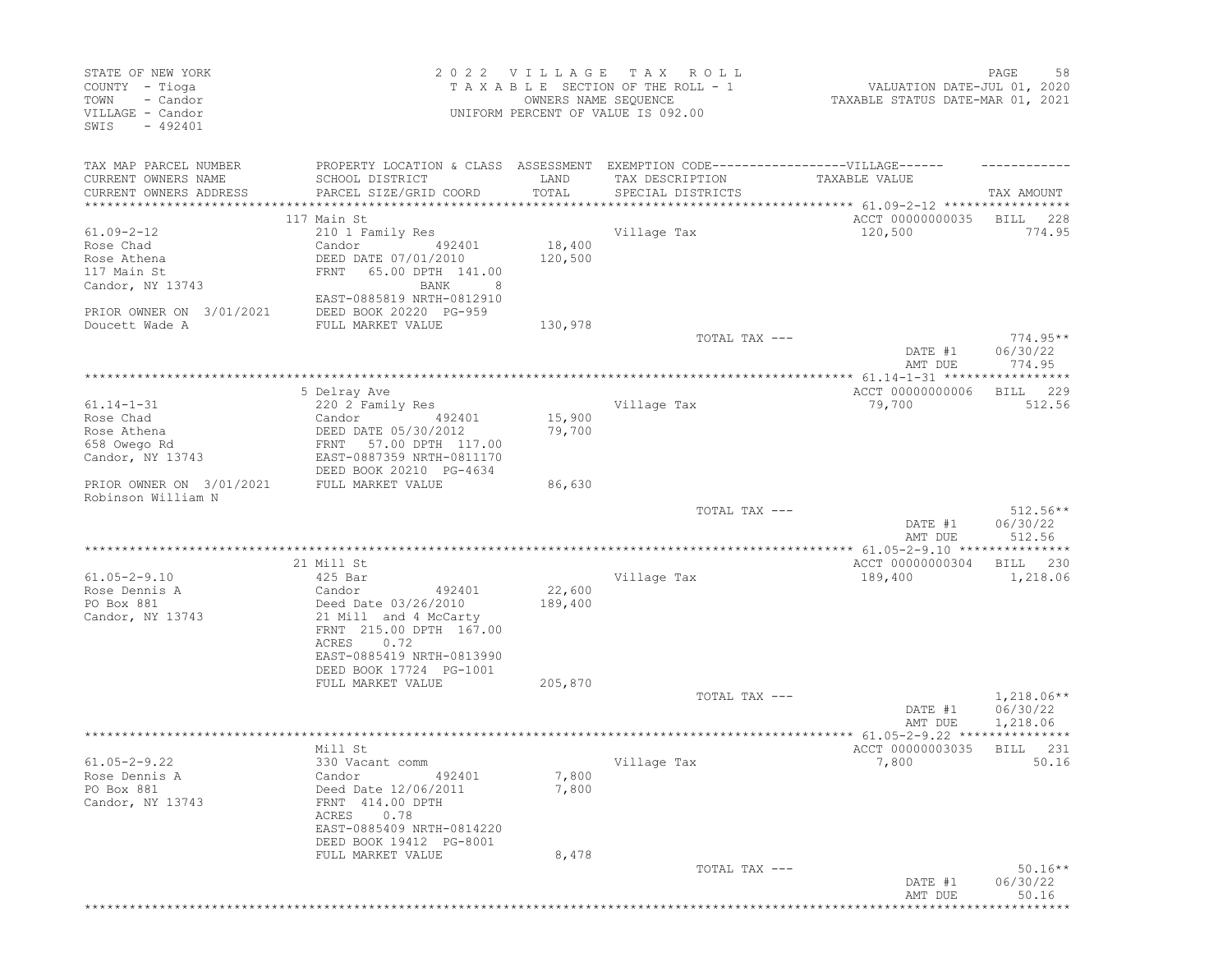| STATE OF NEW YORK<br>COUNTY - Tioga<br>TOWN<br>- Candor<br>VILLAGE - Candor<br>$-492401$<br>SWIS |                                                                                                                        | 2022 VILLAGE<br>OWNERS NAME SEQUENCE | T A X<br>ROLL<br>TAXABLE SECTION OF THE ROLL - 1<br>UNIFORM PERCENT OF VALUE IS 092.00 | PAGE<br>58<br>VALUATION DATE-JUL 01, 2020<br>TAXABLE STATUS DATE-MAR 01, 2021 |                        |
|--------------------------------------------------------------------------------------------------|------------------------------------------------------------------------------------------------------------------------|--------------------------------------|----------------------------------------------------------------------------------------|-------------------------------------------------------------------------------|------------------------|
| TAX MAP PARCEL NUMBER                                                                            | PROPERTY LOCATION & CLASS ASSESSMENT EXEMPTION CODE-----------------VILLAGE------                                      |                                      |                                                                                        |                                                                               |                        |
| CURRENT OWNERS NAME                                                                              | SCHOOL DISTRICT                                                                                                        | LAND                                 | TAX DESCRIPTION                                                                        | TAXABLE VALUE                                                                 |                        |
| CURRENT OWNERS ADDRESS<br>**********************                                                 | PARCEL SIZE/GRID COORD                                                                                                 | TOTAL<br>**************              | SPECIAL DISTRICTS                                                                      | ********************** 61.09-2-12 *****************                           | TAX AMOUNT             |
|                                                                                                  | 117 Main St                                                                                                            |                                      |                                                                                        | ACCT 00000000035                                                              | BILL<br>228            |
| $61.09 - 2 - 12$                                                                                 | 210 1 Family Res                                                                                                       |                                      | Village Tax                                                                            | 120,500                                                                       | 774.95                 |
| Rose Chad                                                                                        | Candor<br>492401                                                                                                       | 18,400                               |                                                                                        |                                                                               |                        |
| Rose Athena                                                                                      | DEED DATE 07/01/2010                                                                                                   | 120,500                              |                                                                                        |                                                                               |                        |
| 117 Main St                                                                                      | FRNT<br>65.00 DPTH 141.00                                                                                              |                                      |                                                                                        |                                                                               |                        |
| Candor, NY 13743                                                                                 | BANK<br>8<br>EAST-0885819 NRTH-0812910                                                                                 |                                      |                                                                                        |                                                                               |                        |
| PRIOR OWNER ON 3/01/2021                                                                         | DEED BOOK 20220 PG-959                                                                                                 |                                      |                                                                                        |                                                                               |                        |
| Doucett Wade A                                                                                   | FULL MARKET VALUE                                                                                                      | 130,978                              |                                                                                        |                                                                               |                        |
|                                                                                                  |                                                                                                                        |                                      | TOTAL TAX ---                                                                          |                                                                               | $774.95**$             |
|                                                                                                  |                                                                                                                        |                                      |                                                                                        | DATE #1                                                                       | 06/30/22               |
|                                                                                                  |                                                                                                                        |                                      |                                                                                        | AMT DUE                                                                       | 774.95                 |
|                                                                                                  |                                                                                                                        |                                      |                                                                                        | *************** 61.14-1-31 ***********                                        | *****                  |
| $61.14 - 1 - 31$                                                                                 | 5 Delray Ave<br>220 2 Family Res                                                                                       |                                      | Village Tax                                                                            | ACCT 00000000006<br>79,700                                                    | 229<br>BILL<br>512.56  |
| Rose Chad                                                                                        | Candor<br>492401                                                                                                       | 15,900                               |                                                                                        |                                                                               |                        |
| Rose Athena                                                                                      | DEED DATE 05/30/2012                                                                                                   | 79,700                               |                                                                                        |                                                                               |                        |
| 658 Owego Rd                                                                                     | 57.00 DPTH 117.00<br>FRNT                                                                                              |                                      |                                                                                        |                                                                               |                        |
| Candor, NY 13743                                                                                 | EAST-0887359 NRTH-0811170                                                                                              |                                      |                                                                                        |                                                                               |                        |
| PRIOR OWNER ON 3/01/2021                                                                         | DEED BOOK 20210 PG-4634<br>FULL MARKET VALUE                                                                           | 86,630                               |                                                                                        |                                                                               |                        |
| Robinson William N                                                                               |                                                                                                                        |                                      |                                                                                        |                                                                               |                        |
|                                                                                                  |                                                                                                                        |                                      | TOTAL TAX ---                                                                          | DATE #1                                                                       | $512.56**$<br>06/30/22 |
|                                                                                                  |                                                                                                                        |                                      |                                                                                        | AMT DUE                                                                       | 512.56                 |
|                                                                                                  | 21 Mill St                                                                                                             |                                      |                                                                                        | ACCT 00000000304                                                              | 230<br>BILL            |
| $61.05 - 2 - 9.10$                                                                               | 425 Bar                                                                                                                |                                      | Village Tax                                                                            | 189,400                                                                       | 1,218.06               |
| Rose Dennis A                                                                                    | Candor<br>492401                                                                                                       | 22,600                               |                                                                                        |                                                                               |                        |
| PO Box 881<br>Candor, NY 13743                                                                   | Deed Date 03/26/2010<br>21 Mill and 4 McCarty<br>FRNT 215.00 DPTH 167.00<br>0.72<br>ACRES<br>EAST-0885419 NRTH-0813990 | 189,400                              |                                                                                        |                                                                               |                        |
|                                                                                                  | DEED BOOK 17724 PG-1001                                                                                                |                                      |                                                                                        |                                                                               |                        |
|                                                                                                  | FULL MARKET VALUE                                                                                                      | 205,870                              |                                                                                        |                                                                               |                        |
|                                                                                                  |                                                                                                                        |                                      | TOTAL TAX ---                                                                          |                                                                               | $1,218.06**$           |
|                                                                                                  |                                                                                                                        |                                      |                                                                                        | DATE #1                                                                       | 06/30/22               |
|                                                                                                  |                                                                                                                        |                                      |                                                                                        | AMT DUE<br>** 61.05-2-9.22                                                    | 1,218.06               |
|                                                                                                  | Mill St                                                                                                                |                                      |                                                                                        | ACCT 00000003035                                                              | BILL<br>231            |
| $61.05 - 2 - 9.22$                                                                               | 330 Vacant comm                                                                                                        |                                      | Village Tax                                                                            | 7,800                                                                         | 50.16                  |
| Rose Dennis A<br>PO Box 881<br>Candor, NY 13743                                                  | Candor 492401<br>Deed Date 12/06/2011<br>FRNT 414.00 DPTH<br>ACRES 0.78<br>EAST-0885409 NRTH-0814220                   | 7,800<br>7,800                       |                                                                                        |                                                                               |                        |
|                                                                                                  | DEED BOOK 19412 PG-8001                                                                                                |                                      |                                                                                        |                                                                               |                        |
|                                                                                                  | FULL MARKET VALUE                                                                                                      | 8,478                                | TOTAL TAX ---                                                                          | DATE #1                                                                       | $50.16**$<br>06/30/22  |
|                                                                                                  |                                                                                                                        |                                      |                                                                                        | AMT DUE                                                                       | 50.16<br>***********   |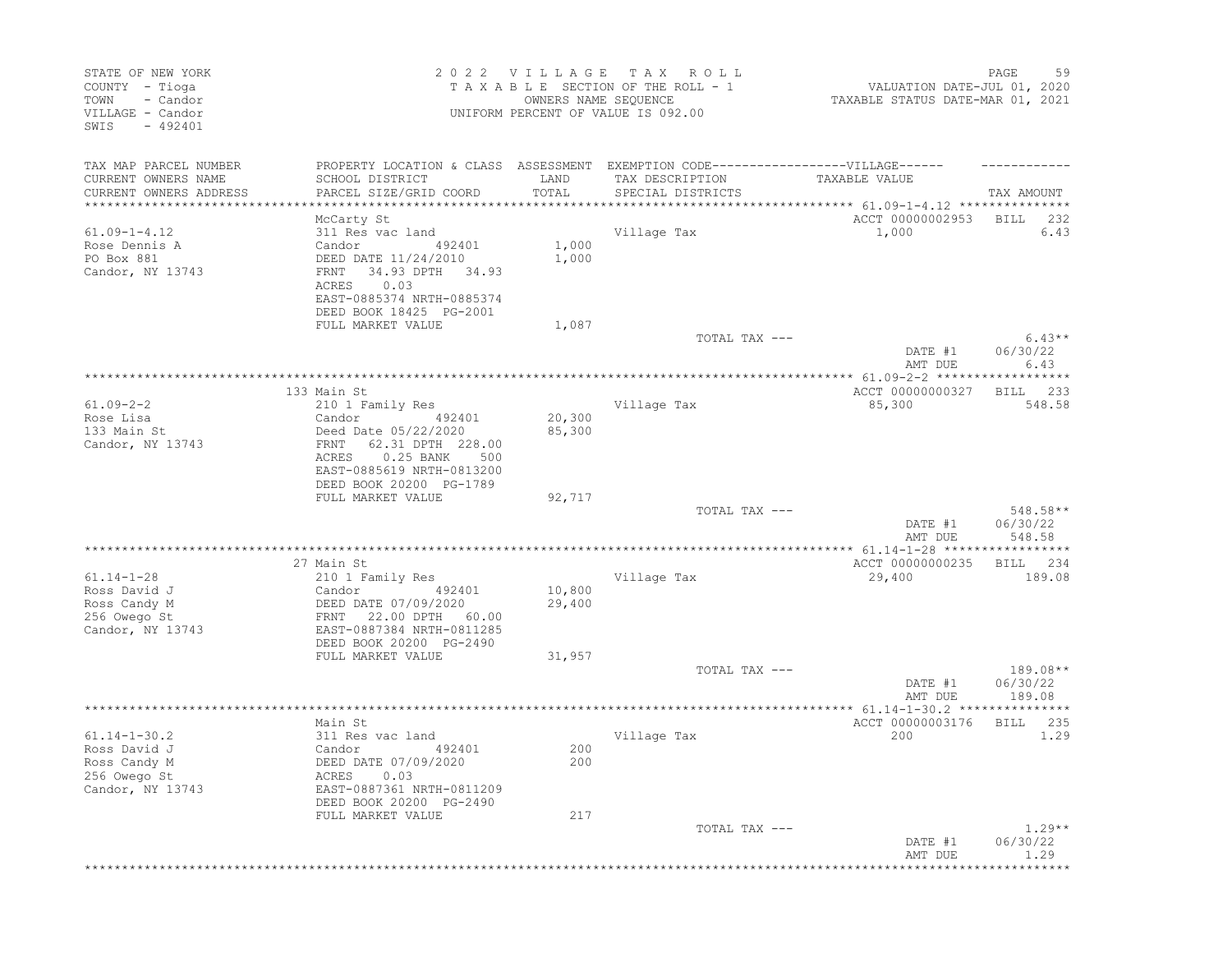| STATE OF NEW YORK<br>COUNTY - Tioga<br>TOWN<br>- Candor<br>VILLAGE - Candor<br>$-492401$<br>SWIS |                                                                                                                  | 2022 VILLAGE<br>OWNERS NAME SEQUENCE | T A X<br>R O L L<br>TAXABLE SECTION OF THE ROLL - 1<br>UNIFORM PERCENT OF VALUE IS 092.00 | VALUATION DATE-JUL 01, 2020<br>TAXABLE STATUS DATE-MAR 01, 2021 | PAGE<br>59                     |
|--------------------------------------------------------------------------------------------------|------------------------------------------------------------------------------------------------------------------|--------------------------------------|-------------------------------------------------------------------------------------------|-----------------------------------------------------------------|--------------------------------|
| TAX MAP PARCEL NUMBER<br>CURRENT OWNERS NAME                                                     | PROPERTY LOCATION & CLASS ASSESSMENT EXEMPTION CODE-----------------VILLAGE------<br>SCHOOL DISTRICT             | LAND<br>TOTAL                        | TAX DESCRIPTION                                                                           | TAXABLE VALUE                                                   |                                |
| CURRENT OWNERS ADDRESS<br>****************                                                       | PARCEL SIZE/GRID COORD<br>*******************                                                                    |                                      | SPECIAL DISTRICTS                                                                         |                                                                 | TAX AMOUNT                     |
|                                                                                                  | McCarty St                                                                                                       |                                      |                                                                                           | ACCT 00000002953                                                | BILL<br>232                    |
| $61.09 - 1 - 4.12$                                                                               | 311 Res vac land                                                                                                 |                                      | Village Tax                                                                               | 1,000                                                           | 6.43                           |
| Rose Dennis A<br>PO Box 881<br>Candor, NY 13743                                                  | Candor<br>492401<br>DEED DATE 11/24/2010<br>34.93 DPTH 34.93<br>FRNT<br>0.03<br>ACRES                            | 1,000<br>1,000                       |                                                                                           |                                                                 |                                |
|                                                                                                  | EAST-0885374 NRTH-0885374<br>DEED BOOK 18425 PG-2001                                                             |                                      |                                                                                           |                                                                 |                                |
|                                                                                                  | FULL MARKET VALUE                                                                                                | 1,087                                |                                                                                           |                                                                 |                                |
|                                                                                                  |                                                                                                                  |                                      | TOTAL TAX ---                                                                             | DATE #1<br>AMT DUE                                              | $6.43**$<br>06/30/22<br>6.43   |
|                                                                                                  |                                                                                                                  |                                      |                                                                                           |                                                                 | ******                         |
|                                                                                                  | 133 Main St                                                                                                      |                                      |                                                                                           | ACCT 00000000327                                                | 233<br>BILL                    |
| $61.09 - 2 - 2$<br>Rose Lisa                                                                     | 210 1 Family Res<br>Candor                                                                                       | 20,300                               | Village Tax                                                                               | 85,300                                                          | 548.58                         |
| 133 Main St                                                                                      | 492401<br>Deed Date 05/22/2020                                                                                   | 85,300                               |                                                                                           |                                                                 |                                |
| Candor, NY 13743                                                                                 | 62.31 DPTH 228.00<br>FRNT<br>ACRES<br>$0.25$ BANK<br>500<br>EAST-0885619 NRTH-0813200<br>DEED BOOK 20200 PG-1789 |                                      |                                                                                           |                                                                 |                                |
|                                                                                                  | FULL MARKET VALUE                                                                                                | 92,717                               |                                                                                           |                                                                 |                                |
|                                                                                                  |                                                                                                                  |                                      | TOTAL TAX ---                                                                             | DATE #1<br>AMT DUE                                              | 548.58**<br>06/30/22<br>548.58 |
|                                                                                                  |                                                                                                                  |                                      |                                                                                           |                                                                 |                                |
|                                                                                                  | 27 Main St                                                                                                       |                                      |                                                                                           | ACCT 00000000235                                                | BILL<br>234                    |
| $61.14 - 1 - 28$                                                                                 | 210 1 Family Res                                                                                                 |                                      | Village Tax                                                                               | 29,400                                                          | 189.08                         |
| Ross David J<br>Ross Candy M<br>256 Owego St                                                     | 492401<br>Candor<br>DEED DATE 07/09/2020<br>22.00 DPTH 60.00<br>FRNT                                             | 10,800<br>29,400                     |                                                                                           |                                                                 |                                |
| Candor, NY 13743                                                                                 | EAST-0887384 NRTH-0811285<br>DEED BOOK 20200 PG-2490                                                             |                                      |                                                                                           |                                                                 |                                |
|                                                                                                  | FULL MARKET VALUE                                                                                                | 31,957                               | TOTAL TAX ---                                                                             |                                                                 | 189.08**                       |
|                                                                                                  |                                                                                                                  |                                      |                                                                                           | DATE #1<br>AMT DUE                                              | 06/30/22<br>189.08             |
|                                                                                                  |                                                                                                                  |                                      |                                                                                           |                                                                 |                                |
| $61.14 - 1 - 30.2$                                                                               | Main St<br>311 Res vac land                                                                                      |                                      | Village Tax                                                                               | ACCT 00000003176<br>200                                         | BILL<br>235<br>1.29            |
| Ross David J<br>Ross Candy M<br>256 Owego St<br>Candor, NY 13743                                 | Candor<br>492401<br>DEED DATE 07/09/2020<br>ACRES 0.03<br>EAST-0887361 NRTH-0811209<br>DEED BOOK 20200 PG-2490   | 200<br>200                           |                                                                                           |                                                                 |                                |
|                                                                                                  | FULL MARKET VALUE                                                                                                | 217                                  |                                                                                           |                                                                 |                                |
|                                                                                                  |                                                                                                                  |                                      | TOTAL TAX ---                                                                             | DATE #1<br>AMT DUE                                              | $1.29**$<br>06/30/22<br>1.29   |
|                                                                                                  |                                                                                                                  |                                      |                                                                                           |                                                                 | * * * * * * * *                |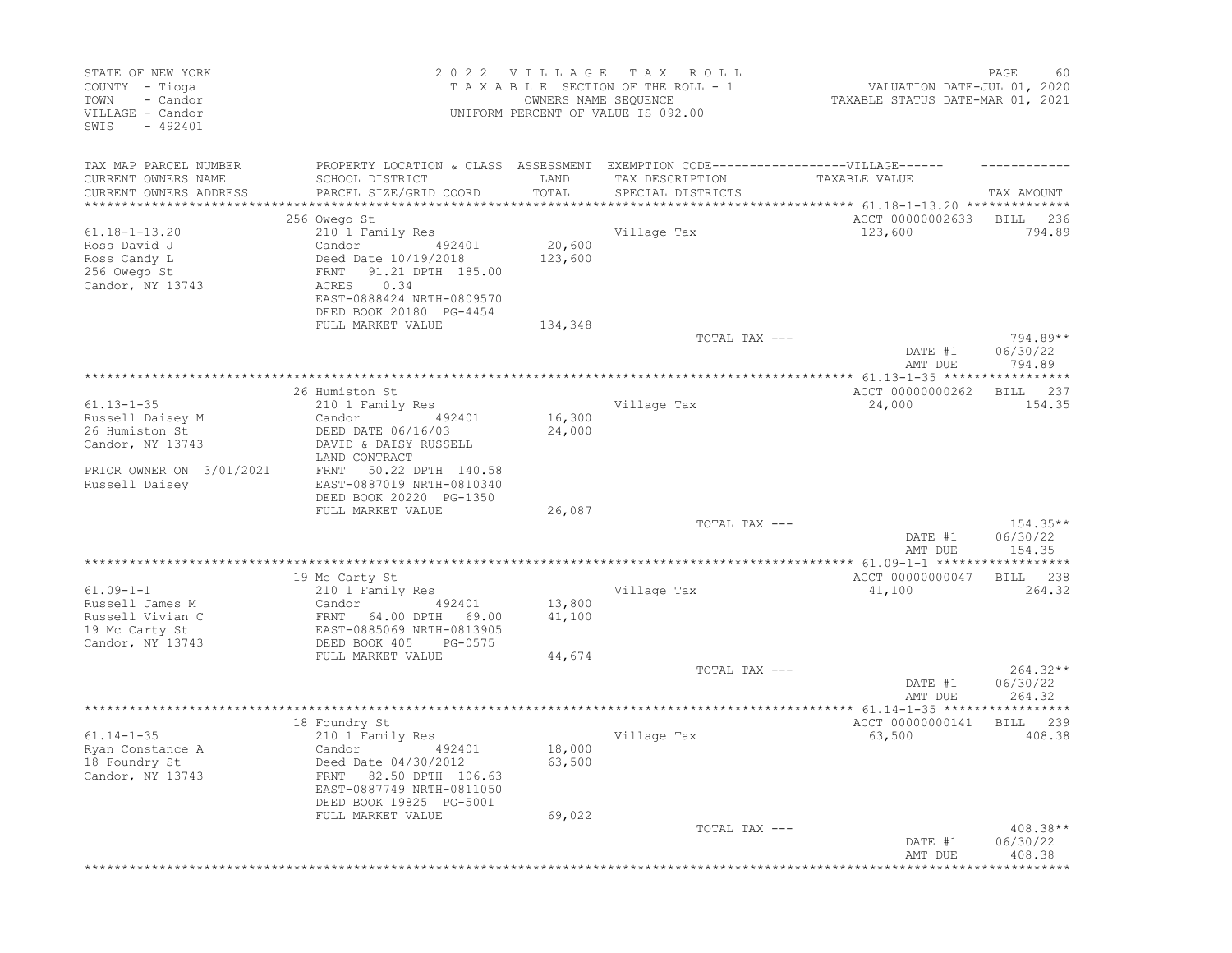| STATE OF NEW YORK<br>COUNTY - Tioga<br>- Candor<br>TOWN<br>VILLAGE - Candor<br>SWIS<br>$-492401$ |                                                                                                                            | 2022 VILLAGE<br>OWNERS NAME SEQUENCE | T A X<br>ROLL<br>TAXABLE SECTION OF THE ROLL - 1<br>UNIFORM PERCENT OF VALUE IS 092.00 | VALUATION DATE-JUL 01, 2020<br>TAXABLE STATUS DATE-MAR 01, 2021 | PAGE<br>60                       |
|--------------------------------------------------------------------------------------------------|----------------------------------------------------------------------------------------------------------------------------|--------------------------------------|----------------------------------------------------------------------------------------|-----------------------------------------------------------------|----------------------------------|
| TAX MAP PARCEL NUMBER<br>CURRENT OWNERS NAME                                                     | PROPERTY LOCATION & CLASS ASSESSMENT EXEMPTION CODE-----------------VILLAGE------<br>SCHOOL DISTRICT                       | LAND<br>TOTAL                        | TAX DESCRIPTION                                                                        | TAXABLE VALUE                                                   |                                  |
| CURRENT OWNERS ADDRESS<br>**********************                                                 | PARCEL SIZE/GRID COORD<br>******************************                                                                   |                                      | SPECIAL DISTRICTS                                                                      |                                                                 | TAX AMOUNT                       |
|                                                                                                  | 256 Owego St                                                                                                               |                                      |                                                                                        | ACCT 00000002633                                                | BILL<br>236                      |
| $61.18 - 1 - 13.20$                                                                              | 210 1 Family Res                                                                                                           |                                      | Village Tax                                                                            | 123,600                                                         | 794.89                           |
| Ross David J                                                                                     | Candor<br>492401                                                                                                           | 20,600                               |                                                                                        |                                                                 |                                  |
| Ross Candy L                                                                                     | Deed Date 10/19/2018                                                                                                       | 123,600                              |                                                                                        |                                                                 |                                  |
| 256 Owego St                                                                                     | FRNT<br>91.21 DPTH 185.00                                                                                                  |                                      |                                                                                        |                                                                 |                                  |
| Candor, NY 13743                                                                                 | 0.34<br>ACRES                                                                                                              |                                      |                                                                                        |                                                                 |                                  |
|                                                                                                  | EAST-0888424 NRTH-0809570<br>DEED BOOK 20180 PG-4454                                                                       |                                      |                                                                                        |                                                                 |                                  |
|                                                                                                  | FULL MARKET VALUE                                                                                                          | 134,348                              |                                                                                        |                                                                 |                                  |
|                                                                                                  |                                                                                                                            |                                      | TOTAL TAX ---                                                                          |                                                                 | 794.89**                         |
|                                                                                                  |                                                                                                                            |                                      |                                                                                        | DATE #1<br>AMT DUE                                              | 06/30/22<br>794.89               |
|                                                                                                  |                                                                                                                            |                                      |                                                                                        |                                                                 |                                  |
| $61.13 - 1 - 35$                                                                                 | 26 Humiston St                                                                                                             |                                      | Village Tax                                                                            | ACCT 00000000262                                                | 237<br>BILL<br>154.35            |
| Russell Daisey M                                                                                 | 210 1 Family Res<br>Candor<br>492401                                                                                       | 16,300                               |                                                                                        | 24,000                                                          |                                  |
| 26 Humiston St                                                                                   | DEED DATE 06/16/03                                                                                                         | 24,000                               |                                                                                        |                                                                 |                                  |
| Candor, NY 13743                                                                                 | DAVID & DAISY RUSSELL                                                                                                      |                                      |                                                                                        |                                                                 |                                  |
|                                                                                                  | LAND CONTRACT                                                                                                              |                                      |                                                                                        |                                                                 |                                  |
| PRIOR OWNER ON 3/01/2021<br>Russell Daisey                                                       | 50.22 DPTH 140.58<br>FRNT<br>EAST-0887019 NRTH-0810340<br>DEED BOOK 20220 PG-1350                                          |                                      |                                                                                        |                                                                 |                                  |
|                                                                                                  | FULL MARKET VALUE                                                                                                          | 26,087                               |                                                                                        |                                                                 |                                  |
|                                                                                                  |                                                                                                                            |                                      | TOTAL TAX ---                                                                          |                                                                 | $154.35**$                       |
|                                                                                                  |                                                                                                                            |                                      |                                                                                        | DATE #1<br>AMT DUE                                              | 06/30/22<br>154.35               |
|                                                                                                  | 19 Mc Carty St                                                                                                             |                                      |                                                                                        | ACCT 00000000047                                                | 238<br>BILL                      |
| $61.09 - 1 - 1$                                                                                  | 210 1 Family Res                                                                                                           |                                      | Village Tax                                                                            | 41,100                                                          | 264.32                           |
| Russell James M                                                                                  | Candor<br>492401                                                                                                           | 13,800                               |                                                                                        |                                                                 |                                  |
| Russell Vivian C                                                                                 | FRNT 64.00 DPTH<br>69.00                                                                                                   | 41,100                               |                                                                                        |                                                                 |                                  |
| 19 Mc Carty St                                                                                   | EAST-0885069 NRTH-0813905                                                                                                  |                                      |                                                                                        |                                                                 |                                  |
| Candor, NY 13743                                                                                 | DEED BOOK 405<br>PG-0575                                                                                                   |                                      |                                                                                        |                                                                 |                                  |
|                                                                                                  | FULL MARKET VALUE                                                                                                          | 44,674                               | TOTAL TAX ---                                                                          |                                                                 | $264.32**$                       |
|                                                                                                  |                                                                                                                            |                                      |                                                                                        | DATE #1                                                         | 06/30/22                         |
|                                                                                                  |                                                                                                                            |                                      |                                                                                        | AMT DUE                                                         | 264.32                           |
|                                                                                                  |                                                                                                                            |                                      |                                                                                        |                                                                 |                                  |
|                                                                                                  | 18 Foundry St                                                                                                              |                                      |                                                                                        | ACCT 00000000141                                                | BILL<br>239                      |
| $61.14 - 1 - 35$                                                                                 | 210 1 Family Res                                                                                                           |                                      | Village Tax                                                                            | 63,500                                                          | 408.38                           |
| Ryan Constance A<br>18 Foundry St<br>Candor, NY 13743                                            | Candor<br>492401<br>Deed Date 04/30/2012<br>FRNT 82.50 DPTH 106.63<br>EAST-0887749 NRTH-0811050<br>DEED BOOK 19825 PG-5001 | 18,000<br>63,500                     |                                                                                        |                                                                 |                                  |
|                                                                                                  | FULL MARKET VALUE                                                                                                          | 69,022                               |                                                                                        |                                                                 |                                  |
|                                                                                                  |                                                                                                                            |                                      | TOTAL TAX ---                                                                          | DATE #1<br>AMT DUE                                              | $408.38**$<br>06/30/22<br>408.38 |
|                                                                                                  |                                                                                                                            |                                      |                                                                                        |                                                                 | *********                        |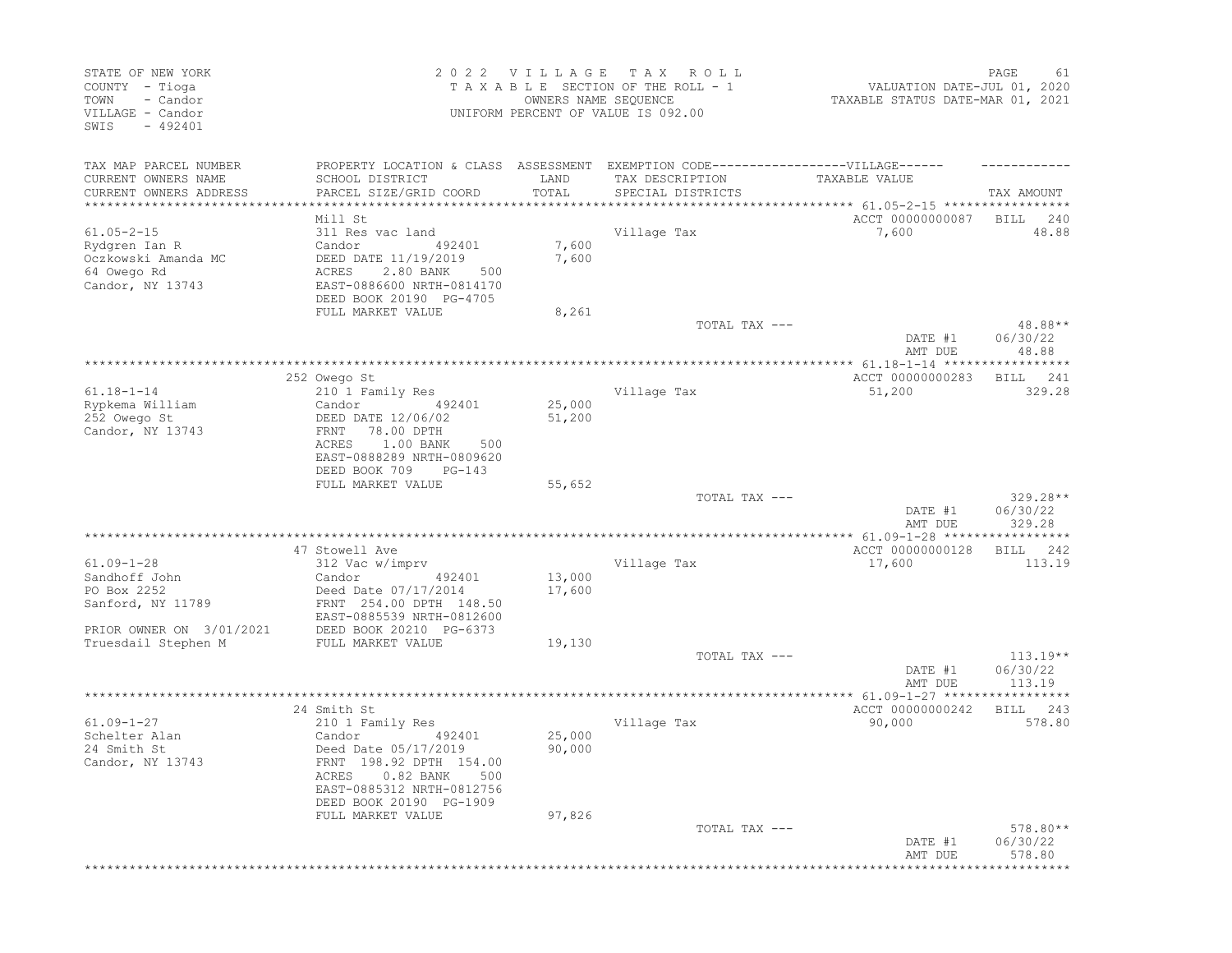| STATE OF NEW YORK<br>COUNTY - Tioga<br>TOWN<br>- Candor<br>VILLAGE - Candor<br>$-492401$<br>SWIS |                                                                                                                                | 2022 VILLAGE<br>OWNERS NAME SEQUENCE | T A X<br>R O L L<br>TAXABLE SECTION OF THE ROLL - 1<br>UNIFORM PERCENT OF VALUE IS 092.00 | VALUATION DATE-JUL 01, 2020<br>TAXABLE STATUS DATE-MAR 01, 2021 | PAGE<br>61                       |
|--------------------------------------------------------------------------------------------------|--------------------------------------------------------------------------------------------------------------------------------|--------------------------------------|-------------------------------------------------------------------------------------------|-----------------------------------------------------------------|----------------------------------|
| TAX MAP PARCEL NUMBER<br>CURRENT OWNERS NAME                                                     | PROPERTY LOCATION & CLASS ASSESSMENT EXEMPTION CODE-----------------VILLAGE------<br>SCHOOL DISTRICT                           | LAND                                 | TAX DESCRIPTION                                                                           | TAXABLE VALUE                                                   |                                  |
| CURRENT OWNERS ADDRESS<br>*********************                                                  | PARCEL SIZE/GRID COORD                                                                                                         | TOTAL<br>*************               | SPECIAL DISTRICTS<br>********************************** 61.05-2-15 *****************      |                                                                 | TAX AMOUNT                       |
|                                                                                                  | Mill St                                                                                                                        |                                      |                                                                                           | ACCT 00000000087                                                | BILL<br>240                      |
| $61.05 - 2 - 15$<br>Rydgren Ian R<br>Oczkowski Amanda MC<br>64 Owego Rd<br>Candor, NY 13743      | 311 Res vac land<br>Candor<br>492401<br>DEED DATE 11/19/2019<br>ACRES<br>2.80 BANK<br>500<br>EAST-0886600 NRTH-0814170         | 7,600<br>7,600                       | Village Tax                                                                               | 7,600                                                           | 48.88                            |
|                                                                                                  | DEED BOOK 20190 PG-4705                                                                                                        |                                      |                                                                                           |                                                                 |                                  |
|                                                                                                  | FULL MARKET VALUE                                                                                                              | 8,261                                | TOTAL TAX ---                                                                             | DATE #1<br>AMT DUE                                              | 48.88**<br>06/30/22<br>48.88     |
|                                                                                                  |                                                                                                                                |                                      |                                                                                           |                                                                 |                                  |
| $61.18 - 1 - 14$<br>Rypkema William<br>252 Owego St                                              | 252 Owego St<br>210 1 Family Res<br>Candor<br>492401<br>DEED DATE 12/06/02                                                     | 25,000<br>51,200                     | Village Tax                                                                               | ACCT 00000000283<br>51,200                                      | 241<br>BILL<br>329.28            |
| Candor, NY 13743                                                                                 | 78.00 DPTH<br>FRNT<br>1.00 BANK<br>ACRES<br>500<br>EAST-0888289 NRTH-0809620<br>DEED BOOK 709<br>$PG-143$                      |                                      |                                                                                           |                                                                 |                                  |
|                                                                                                  | FULL MARKET VALUE                                                                                                              | 55,652                               |                                                                                           |                                                                 |                                  |
|                                                                                                  |                                                                                                                                |                                      | TOTAL TAX ---                                                                             | DATE #1<br>AMT DUE                                              | $329.28**$<br>06/30/22<br>329.28 |
|                                                                                                  |                                                                                                                                |                                      | ***********************                                                                   | ************ 61.09-1-28 ******************                      |                                  |
| $61.09 - 1 - 28$                                                                                 | 47 Stowell Ave<br>312 Vac w/imprv                                                                                              |                                      | Village Tax                                                                               | ACCT 00000000128<br>17,600                                      | 242<br>BILL<br>113.19            |
| Sandhoff John                                                                                    | Candor<br>492401                                                                                                               | 13,000                               |                                                                                           |                                                                 |                                  |
| PO Box 2252                                                                                      | Deed Date 07/17/2014                                                                                                           | 17,600                               |                                                                                           |                                                                 |                                  |
| Sanford, NY 11789                                                                                | FRNT 254.00 DPTH 148.50<br>EAST-0885539 NRTH-0812600                                                                           |                                      |                                                                                           |                                                                 |                                  |
| PRIOR OWNER ON 3/01/2021<br>Truesdail Stephen M                                                  | DEED BOOK 20210 PG-6373<br>FULL MARKET VALUE                                                                                   | 19,130                               |                                                                                           |                                                                 |                                  |
|                                                                                                  |                                                                                                                                |                                      | TOTAL TAX ---                                                                             |                                                                 | $113.19**$                       |
|                                                                                                  |                                                                                                                                |                                      |                                                                                           | DATE #1<br>AMT DUE                                              | 06/30/22<br>113.19               |
|                                                                                                  |                                                                                                                                |                                      |                                                                                           |                                                                 |                                  |
| $61.09 - 1 - 27$                                                                                 | 24 Smith St<br>210 1 Family Res                                                                                                |                                      | Village Tax                                                                               | ACCT 00000000242<br>90,000                                      | 243<br>BILL<br>578.80            |
| Schelter Alan                                                                                    | Candor<br>492401                                                                                                               | 25,000                               |                                                                                           |                                                                 |                                  |
| 24 Smith St<br>Candor, NY 13743                                                                  | Deed Date 05/17/2019<br>FRNT 198.92 DPTH 154.00<br>ACRES 0.82 BANK 500<br>EAST-0885312 NRTH-0812756<br>DEED BOOK 20190 PG-1909 | 90,000                               |                                                                                           |                                                                 |                                  |
|                                                                                                  | FULL MARKET VALUE                                                                                                              | 97,826                               |                                                                                           |                                                                 |                                  |
|                                                                                                  |                                                                                                                                |                                      | TOTAL TAX ---                                                                             | DATE #1<br>AMT DUE                                              | 578.80**<br>06/30/22<br>578.80   |
|                                                                                                  |                                                                                                                                |                                      |                                                                                           |                                                                 |                                  |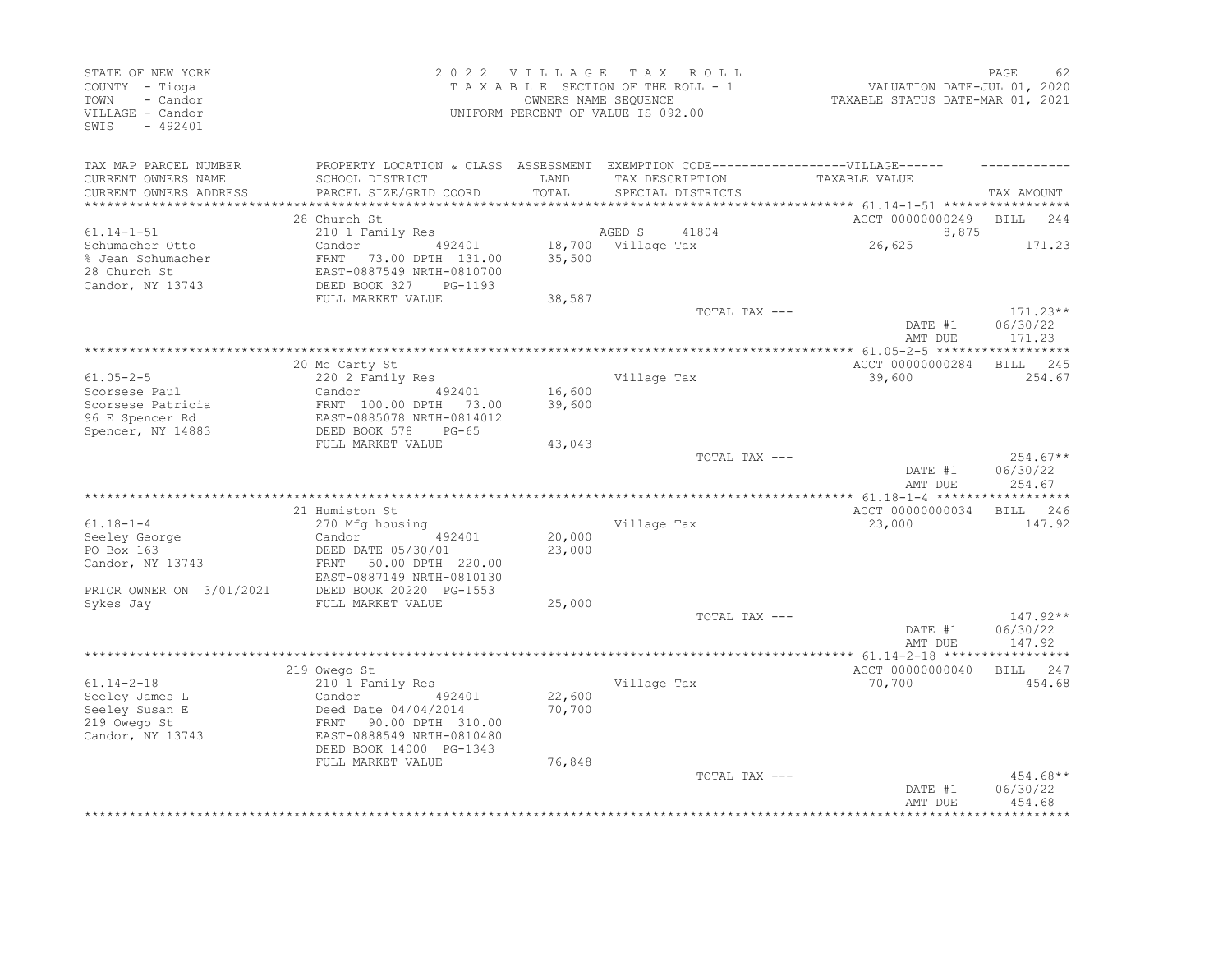| STATE OF NEW YORK<br>COUNTY - Tioga<br>- Candor<br>TOWN<br>VILLAGE - Candor<br>$-492401$<br>SWIS |                                                                                                                                                     | 2022 VILLAGE     | TAX ROLL<br>TAXABLE SECTION OF THE ROLL - 1<br>OWNERS NAME SEQUENCE<br>UNIFORM PERCENT OF VALUE IS 092.00 | VALUATION DATE-JUL 01, 2020<br>TAXABLE STATUS DATE-MAR 01, 2021 | PAGE<br>62                       |
|--------------------------------------------------------------------------------------------------|-----------------------------------------------------------------------------------------------------------------------------------------------------|------------------|-----------------------------------------------------------------------------------------------------------|-----------------------------------------------------------------|----------------------------------|
| TAX MAP PARCEL NUMBER<br>CURRENT OWNERS NAME<br>CURRENT OWNERS ADDRESS                           | PROPERTY LOCATION & CLASS ASSESSMENT EXEMPTION CODE-----------------VILLAGE------<br>SCHOOL DISTRICT<br>PARCEL SIZE/GRID COORD                      | LAND<br>TOTAL    | TAX DESCRIPTION<br>SPECIAL DISTRICTS                                                                      | TAXABLE VALUE                                                   | TAX AMOUNT                       |
| ***********************                                                                          | 28 Church St                                                                                                                                        |                  |                                                                                                           | ACCT 00000000249 BILL 244                                       |                                  |
| $61.14 - 1 - 51$                                                                                 | 210 1 Family Res                                                                                                                                    |                  | AGED S<br>41804                                                                                           | 8,875                                                           |                                  |
| Schumacher Otto<br>% Jean Schumacher<br>28 Church St<br>Candor, NY 13743                         | 492401<br>Candor<br>FRNT 73.00 DPTH 131.00<br>EAST-0887549 NRTH-0810700<br>DEED BOOK 327<br>PG-1193<br>FULL MARKET VALUE                            | 35,500<br>38,587 | 18,700 Village Tax                                                                                        | 26,625                                                          | 171.23                           |
|                                                                                                  |                                                                                                                                                     |                  | TOTAL TAX ---                                                                                             |                                                                 | $171.23**$                       |
|                                                                                                  |                                                                                                                                                     |                  |                                                                                                           | DATE #1<br>AMT DUE                                              | 06/30/22<br>171.23               |
|                                                                                                  |                                                                                                                                                     |                  |                                                                                                           |                                                                 |                                  |
|                                                                                                  | 20 Mc Carty St                                                                                                                                      |                  |                                                                                                           | ACCT 00000000284                                                | 245<br>BILL                      |
| $61.05 - 2 - 5$                                                                                  | 220 2 Family Res                                                                                                                                    |                  | Village Tax                                                                                               | 39,600                                                          | 254.67                           |
| Scorsese Paul                                                                                    | Candor<br>492401                                                                                                                                    | 16,600           |                                                                                                           |                                                                 |                                  |
| Scorsese Patricia                                                                                | FRNT 100.00 DPTH 73.00                                                                                                                              | 39,600           |                                                                                                           |                                                                 |                                  |
| 96 E Spencer Rd                                                                                  | EAST-0885078 NRTH-0814012                                                                                                                           |                  |                                                                                                           |                                                                 |                                  |
| Spencer, NY 14883                                                                                | DEED BOOK 578<br>$PG-65$<br>FULL MARKET VALUE                                                                                                       | 43,043           |                                                                                                           |                                                                 |                                  |
|                                                                                                  |                                                                                                                                                     |                  | TOTAL TAX ---                                                                                             | DATE #1<br>AMT DUE                                              | $254.67**$<br>06/30/22<br>254.67 |
|                                                                                                  |                                                                                                                                                     |                  |                                                                                                           |                                                                 |                                  |
|                                                                                                  | 21 Humiston St                                                                                                                                      |                  |                                                                                                           | ACCT 00000000034                                                | BILL 246                         |
| $61.18 - 1 - 4$                                                                                  | 270 Mfg housing                                                                                                                                     |                  | Village Tax                                                                                               | 23,000                                                          | 147.92                           |
| Seeley George                                                                                    | 492401<br>Candor                                                                                                                                    | 20,000           |                                                                                                           |                                                                 |                                  |
| PO Box 163<br>Candor, NY 13743<br>PRIOR OWNER ON 3/01/2021                                       | DEED DATE 05/30/01<br>FRNT<br>50.00 DPTH 220.00<br>EAST-0887149 NRTH-0810130<br>DEED BOOK 20220 PG-1553                                             | 23,000           |                                                                                                           |                                                                 |                                  |
| Sykes Jay                                                                                        | FULL MARKET VALUE                                                                                                                                   | 25,000           |                                                                                                           |                                                                 |                                  |
|                                                                                                  |                                                                                                                                                     |                  | TOTAL TAX ---                                                                                             | DATE #1<br>AMT DUE                                              | $147.92**$<br>06/30/22<br>147.92 |
|                                                                                                  |                                                                                                                                                     |                  |                                                                                                           |                                                                 |                                  |
|                                                                                                  | 219 Owego St                                                                                                                                        |                  |                                                                                                           | ACCT 00000000040                                                | BILL 247                         |
| $61.14 - 2 - 18$<br>Seeley James L<br>Seeley Susan E<br>219 Owego St<br>Candor, NY 13743         | 210 1 Family Res<br>Candor<br>492401<br>Deed Date $04/04/2014$<br>90.00 DPTH 310.00<br>FRNT<br>EAST-0888549 NRTH-0810480<br>DEED BOOK 14000 PG-1343 | 22,600<br>70,700 | Village Tax                                                                                               | 70,700                                                          | 454.68                           |
|                                                                                                  | FULL MARKET VALUE                                                                                                                                   | 76,848           |                                                                                                           |                                                                 |                                  |
|                                                                                                  |                                                                                                                                                     |                  | TOTAL TAX ---                                                                                             | DATE #1<br>AMT DUE                                              | 454.68**<br>06/30/22<br>454.68   |
|                                                                                                  |                                                                                                                                                     |                  |                                                                                                           |                                                                 |                                  |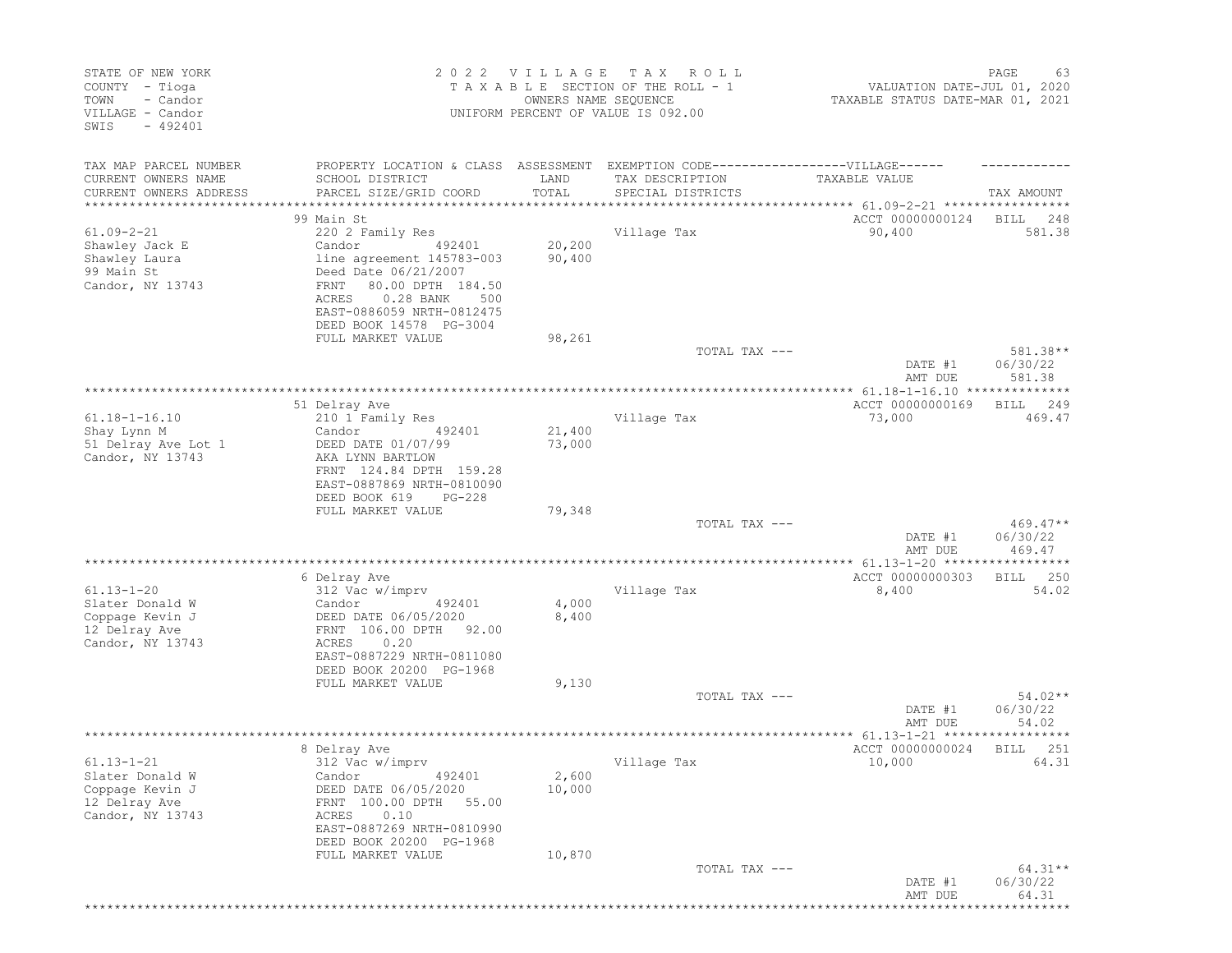| TAXABLE SECTION OF THE ROLL - 1<br>COUNTY - Tioga<br>VALUATION DATE-JUL 01, 2020<br>TOWN<br>- Candor<br>OWNERS NAME SEQUENCE<br>TAXABLE STATUS DATE-MAR 01, 2021<br>VILLAGE - Candor<br>UNIFORM PERCENT OF VALUE IS 092.00<br>$-492401$<br>SWIS                                                                                                   |                                      |
|---------------------------------------------------------------------------------------------------------------------------------------------------------------------------------------------------------------------------------------------------------------------------------------------------------------------------------------------------|--------------------------------------|
| TAX MAP PARCEL NUMBER<br>PROPERTY LOCATION & CLASS ASSESSMENT<br>EXEMPTION CODE------------------VILLAGE------<br>CURRENT OWNERS NAME<br>SCHOOL DISTRICT<br>LAND<br>TAX DESCRIPTION<br>TAXABLE VALUE<br>CURRENT OWNERS ADDRESS<br>PARCEL SIZE/GRID COORD<br>TOTAL<br>SPECIAL DISTRICTS<br>*********************                                   | TAX AMOUNT                           |
| ACCT 00000000124<br>99 Main St                                                                                                                                                                                                                                                                                                                    | BILL<br>248                          |
| $61.09 - 2 - 21$<br>220 2 Family Res<br>Village Tax<br>90,400<br>20,200<br>Shawley Jack E<br>Candor<br>492401<br>90,400<br>Shawley Laura<br>line agreement 145783-003<br>99 Main St<br>Deed Date 06/21/2007<br>Candor, NY 13743<br>FRNT<br>80.00 DPTH 184.50<br>0.28 BANK<br>ACRES<br>500<br>EAST-0886059 NRTH-0812475<br>DEED BOOK 14578 PG-3004 | 581.38                               |
| FULL MARKET VALUE<br>98,261                                                                                                                                                                                                                                                                                                                       |                                      |
| TOTAL TAX ---<br>DATE #1<br>AMT DUE                                                                                                                                                                                                                                                                                                               | 581.38**<br>06/30/22<br>581.38       |
| **********************<br>******************************<br>*************** 61.18-1-16.10 ***************<br>ACCT 00000000169<br>51 Delray Ave                                                                                                                                                                                                    | <b>BILL</b><br>249                   |
| $61.18 - 1 - 16.10$<br>Village Tax<br>73,000<br>210 1 Family Res<br>21,400<br>Shay Lynn M<br>Candor<br>492401<br>73,000<br>51 Delray Ave Lot 1<br>DEED DATE 01/07/99<br>Candor, NY 13743<br>AKA LYNN BARTLOW<br>FRNT 124.84 DPTH 159.28<br>EAST-0887869 NRTH-0810090                                                                              | 469.47                               |
| DEED BOOK 619<br>$PG-228$<br>FULL MARKET VALUE<br>79,348                                                                                                                                                                                                                                                                                          |                                      |
| TOTAL TAX ---<br>DATE #1<br>AMT DUE                                                                                                                                                                                                                                                                                                               | $469.47**$<br>06/30/22<br>469.47     |
|                                                                                                                                                                                                                                                                                                                                                   | ******                               |
| 6 Delray Ave<br>ACCT 00000000303<br>$61.13 - 1 - 20$<br>312 Vac w/imprv<br>Village Tax<br>8,400<br>4,000<br>Slater Donald W<br>Candor<br>492401<br>8,400<br>Coppage Kevin J<br>DEED DATE 06/05/2020<br>FRNT 106.00 DPTH<br>12 Delray Ave<br>92.00<br>Candor, NY 13743<br>ACRES<br>0.20<br>EAST-0887229 NRTH-0811080<br>DEED BOOK 20200 PG-1968    | 250<br>BILL<br>54.02                 |
| FULL MARKET VALUE<br>9,130<br>TOTAL TAX ---                                                                                                                                                                                                                                                                                                       | $54.02**$                            |
| DATE #1<br>AMT DUE                                                                                                                                                                                                                                                                                                                                | 06/30/22<br>54.02                    |
| *********************<br>**************** 61.13-1-21 *****<br>ACCT 00000000024<br>8 Delray Ave                                                                                                                                                                                                                                                    | * * * * * * * * * * *<br>251<br>BILL |
| $61.13 - 1 - 21$<br>312 Vac w/imprv<br>Village Tax<br>10,000<br>Slater Donald W<br>492401<br>2,600<br>Candor<br>Coppage Kevin J<br>DEED DATE 06/05/2020<br>10,000<br>12 Delray Ave<br>FRNT 100.00 DPTH 55.00<br>Candor, NY 13743<br>0.10<br>ACRES<br>EAST-0887269 NRTH-0810990<br>DEED BOOK 20200 PG-1968                                         | 64.31                                |
| 10,870<br>FULL MARKET VALUE<br>TOTAL TAX ---<br>DATE #1<br>AMT DUE                                                                                                                                                                                                                                                                                | $64.31**$<br>06/30/22<br>64.31       |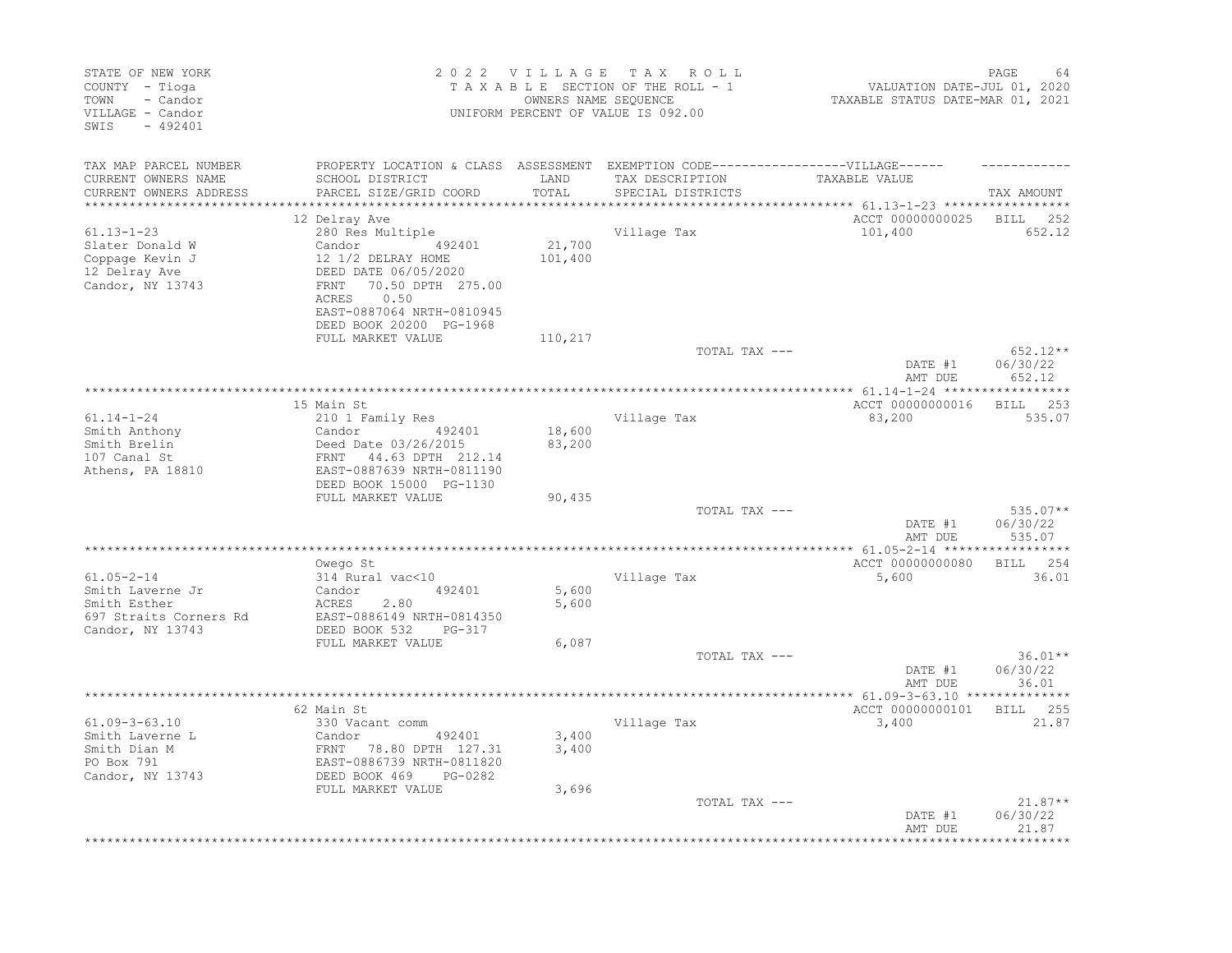| STATE OF NEW YORK<br>COUNTY - Tioga<br>TOWN<br>- Candor<br>VILLAGE - Candor<br>SWIS<br>$-492401$   |                                                                                                                                                                                                           |                         | 2022 VILLAGE TAX ROLL<br>TAXABLE SECTION OF THE ROLL - 1<br>OWNERS NAME SEQUENCE<br>UNIFORM PERCENT OF VALUE IS 092.00    | PAGE<br>64<br>VALUATION DATE-JUL 01, 2020<br>TAXABLE STATUS DATE-MAR 01, 2021 |                                               |
|----------------------------------------------------------------------------------------------------|-----------------------------------------------------------------------------------------------------------------------------------------------------------------------------------------------------------|-------------------------|---------------------------------------------------------------------------------------------------------------------------|-------------------------------------------------------------------------------|-----------------------------------------------|
| TAX MAP PARCEL NUMBER<br>CURRENT OWNERS NAME<br>CURRENT OWNERS ADDRESS<br>***********************  | SCHOOL DISTRICT<br>PARCEL SIZE/GRID COORD<br>****************************                                                                                                                                 | LAND<br>TOTAL           | PROPERTY LOCATION & CLASS ASSESSMENT EXEMPTION CODE-----------------VILLAGE------<br>TAX DESCRIPTION<br>SPECIAL DISTRICTS | TAXABLE VALUE                                                                 | TAX AMOUNT                                    |
| $61.13 - 1 - 23$<br>Slater Donald W<br>Coppage Kevin J<br>12 Delray Ave<br>Candor, NY 13743        | 12 Delray Ave<br>280 Res Multiple<br>492401<br>Candor<br>12 1/2 DELRAY HOME<br>DEED DATE 06/05/2020<br>70.50 DPTH 275.00<br>FRNT<br>0.50<br>ACRES<br>EAST-0887064 NRTH-0810945<br>DEED BOOK 20200 PG-1968 | 21,700<br>101,400       | Village Tax                                                                                                               | ACCT 00000000025 BILL<br>101,400                                              | 252<br>652.12                                 |
|                                                                                                    | FULL MARKET VALUE                                                                                                                                                                                         | 110,217                 | TOTAL TAX ---                                                                                                             | DATE #1<br>AMT DUE                                                            | $652.12**$<br>06/30/22<br>652.12              |
|                                                                                                    |                                                                                                                                                                                                           |                         |                                                                                                                           |                                                                               |                                               |
| $61.14 - 1 - 24$<br>Smith Anthony<br>Smith Brelin<br>107 Canal St<br>Athens, PA 18810              | 15 Main St<br>210 1 Family Res<br>Candor<br>492401<br>Deed Date 03/26/2015<br>FRNT 44.63 DPTH 212.14<br>EAST-0887639 NRTH-0811190<br>DEED BOOK 15000 PG-1130                                              | 18,600<br>83,200        | Village Tax                                                                                                               | ACCT 00000000016<br>83,200                                                    | BILL 253<br>535.07                            |
|                                                                                                    | FULL MARKET VALUE                                                                                                                                                                                         | 90,435                  | TOTAL TAX ---                                                                                                             | DATE #1<br>AMT DUE                                                            | $535.07**$<br>06/30/22<br>535.07              |
|                                                                                                    |                                                                                                                                                                                                           |                         |                                                                                                                           |                                                                               |                                               |
| $61.05 - 2 - 14$<br>Smith Laverne Jr<br>Smith Esther<br>697 Straits Corners Rd<br>Candor, NY 13743 | Owego St<br>314 Rural vac<10<br>492401<br>Candor<br>ACRES<br>2.80<br>EAST-0886149 NRTH-0814350<br>DEED BOOK 532<br>PG-317                                                                                 | 5,600<br>5,600          | Village Tax                                                                                                               | ACCT 00000000080<br>5,600                                                     | BILL 254<br>36.01                             |
|                                                                                                    | FULL MARKET VALUE                                                                                                                                                                                         | 6,087                   | TOTAL TAX ---                                                                                                             | DATE #1<br>AMT DUE                                                            | $36.01**$<br>06/30/22<br>36.01                |
|                                                                                                    | ******************                                                                                                                                                                                        |                         |                                                                                                                           |                                                                               |                                               |
| $61.09 - 3 - 63.10$<br>Smith Laverne L<br>Smith Dian M<br>PO Box 791<br>Candor, NY 13743           | 62 Main St<br>330 Vacant comm<br>492401<br>Candor<br>FRNT 78.80 DPTH 127.31<br>EAST-0886739 NRTH-0811820<br>DEED BOOK 469 PG-0282<br>FULL MARKET VALUE                                                    | 3,400<br>3,400<br>3,696 | Village Tax                                                                                                               | ACCT 00000000101<br>3,400                                                     | BILL 255<br>21.87                             |
|                                                                                                    |                                                                                                                                                                                                           |                         | TOTAL TAX ---                                                                                                             | DATE #1<br>AMT DUE                                                            | $21.87**$<br>06/30/22<br>21.87<br>*********** |
|                                                                                                    |                                                                                                                                                                                                           |                         |                                                                                                                           |                                                                               |                                               |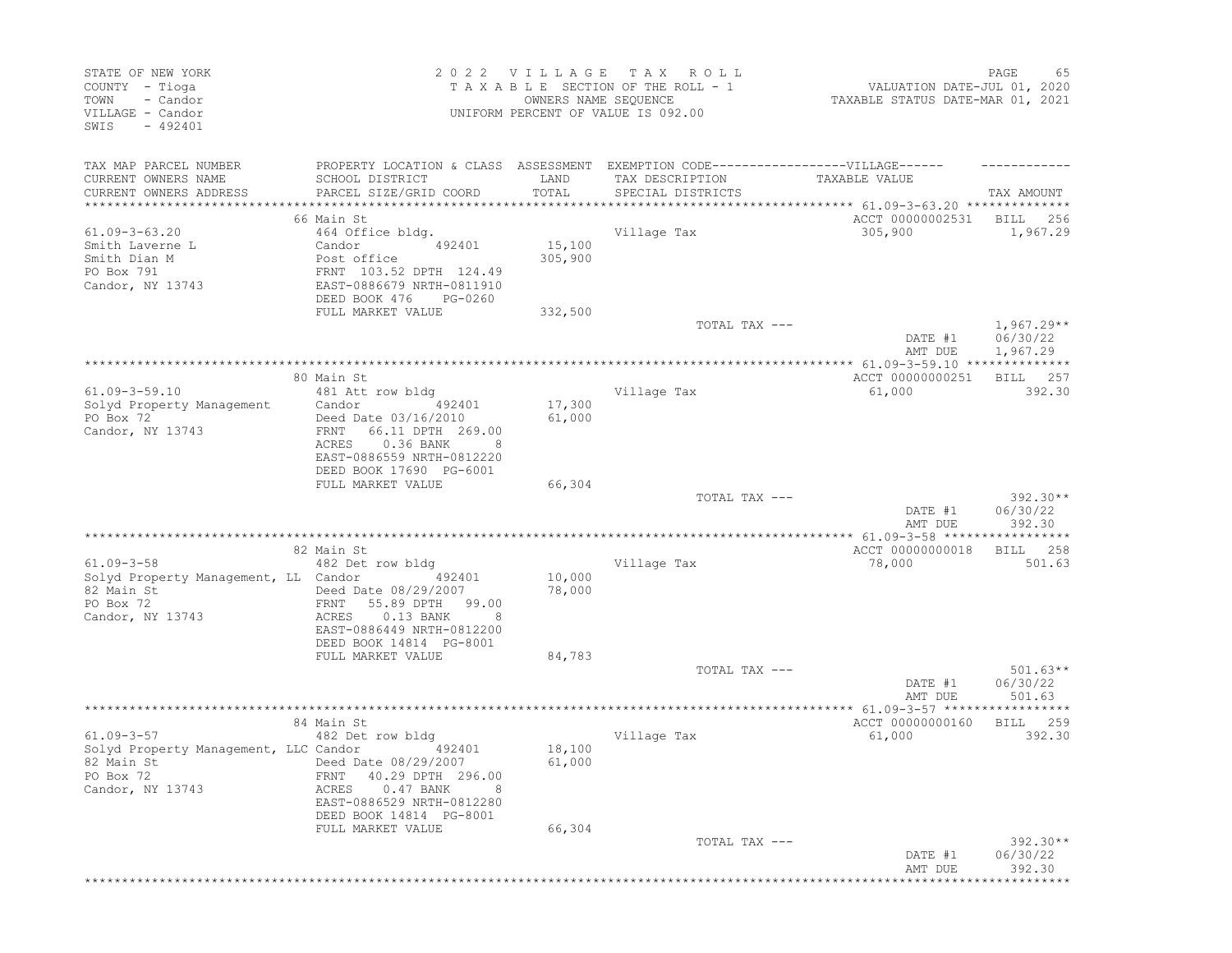| STATE OF NEW YORK<br>COUNTY - Tioga<br>- Candor<br>TOWN<br>VILLAGE - Candor<br>SWIS<br>$-492401$                    |                                                                                                                                                            | 2022 VILLAGE<br>OWNERS NAME SEQUENCE | T A X<br>R O L L<br>TAXABLE SECTION OF THE ROLL - 1<br>UNIFORM PERCENT OF VALUE IS 092.00 | VALUATION DATE-JUL 01, 2020<br>TAXABLE STATUS DATE-MAR 01, 2021                     | PAGE<br>65                       |
|---------------------------------------------------------------------------------------------------------------------|------------------------------------------------------------------------------------------------------------------------------------------------------------|--------------------------------------|-------------------------------------------------------------------------------------------|-------------------------------------------------------------------------------------|----------------------------------|
| TAX MAP PARCEL NUMBER<br>CURRENT OWNERS NAME<br>CURRENT OWNERS ADDRESS                                              | PROPERTY LOCATION & CLASS ASSESSMENT EXEMPTION CODE-----------------VILLAGE------<br>SCHOOL DISTRICT<br>PARCEL SIZE/GRID COORD                             | LAND<br>TOTAL                        | TAX DESCRIPTION<br>SPECIAL DISTRICTS                                                      | TAXABLE VALUE                                                                       | TAX AMOUNT                       |
| **********************                                                                                              |                                                                                                                                                            | * * * * * * * * * * * * * * *        |                                                                                           | ********************************** 61.09-3-63.20 **************<br>ACCT 00000002531 |                                  |
| $61.09 - 3 - 63.20$<br>Smith Laverne L<br>Smith Dian M<br>PO Box 791<br>Candor, NY 13743                            | 66 Main St<br>464 Office bldg.<br>Candor<br>492401<br>Post office<br>FRNT 103.52 DPTH 124.49<br>EAST-0886679 NRTH-0811910<br>DEED BOOK 476<br>PG-0260      | 15,100<br>305,900                    | Village Tax                                                                               | 305,900                                                                             | BILL<br>256<br>1,967.29          |
|                                                                                                                     | FULL MARKET VALUE                                                                                                                                          | 332,500                              | TOTAL TAX ---                                                                             | DATE #1                                                                             | $1,967.29**$<br>06/30/22         |
|                                                                                                                     |                                                                                                                                                            |                                      |                                                                                           | AMT DUE                                                                             | 1,967.29                         |
| $61.09 - 3 - 59.10$<br>Solyd Property Management<br>PO Box 72<br>Candor, NY 13743                                   | 80 Main St<br>481 Att row bldg<br>Candor<br>492401<br>Deed Date 03/16/2010<br>FRNT<br>66.11 DPTH 269.00<br>0.36 BANK<br>ACRES<br>EAST-0886559 NRTH-0812220 | 17,300<br>61,000                     | Village Tax                                                                               | ACCT 00000000251<br>61,000                                                          | 257<br>BILL<br>392.30            |
|                                                                                                                     | DEED BOOK 17690 PG-6001<br>FULL MARKET VALUE                                                                                                               | 66,304                               | TOTAL TAX ---                                                                             | DATE #1<br>AMT DUE                                                                  | $392.30**$<br>06/30/22<br>392.30 |
|                                                                                                                     |                                                                                                                                                            |                                      | ************************                                                                  | ************* 61.09-3-58 ******************                                         |                                  |
| $61.09 - 3 - 58$<br>Solyd Property Management, LL Candor<br>82 Main St<br>PO Box 72<br>Candor, NY 13743             | 82 Main St<br>482 Det row bldg<br>492401<br>Deed Date 08/29/2007<br>55.89 DPTH<br>FRNT<br>99.00<br>$0.13$ BANK<br>ACRES<br>EAST-0886449 NRTH-0812200       | 10,000<br>78,000                     | Village Tax                                                                               | ACCT 00000000018<br>78,000                                                          | <b>BILL</b><br>258<br>501.63     |
|                                                                                                                     | DEED BOOK 14814 PG-8001<br>FULL MARKET VALUE                                                                                                               | 84,783                               | TOTAL TAX ---                                                                             | DATE #1                                                                             | $501.63**$<br>06/30/22           |
|                                                                                                                     |                                                                                                                                                            |                                      |                                                                                           | AMT DUE                                                                             | 501.63                           |
| $61.09 - 3 - 57$<br>Solyd Property Management, LLC Candor<br>82 Main St 68/29/2007<br>PO Box 72<br>Candor, NY 13743 | 84 Main St<br>482 Det row bldg<br>492401<br>FRNT 40.29 DPTH 296.00<br>$0.47$ BANK<br>ACRES<br>EAST-0886529 NRTH-0812280                                    | 18,100<br>61,000                     | Village Tax                                                                               | ACCT 00000000160<br>61,000                                                          | BILL<br>259<br>392.30            |
|                                                                                                                     | DEED BOOK 14814 PG-8001<br>FULL MARKET VALUE                                                                                                               | 66,304                               | TOTAL TAX ---                                                                             | DATE #1<br>AMT DUE                                                                  | 392.30**<br>06/30/22<br>392.30   |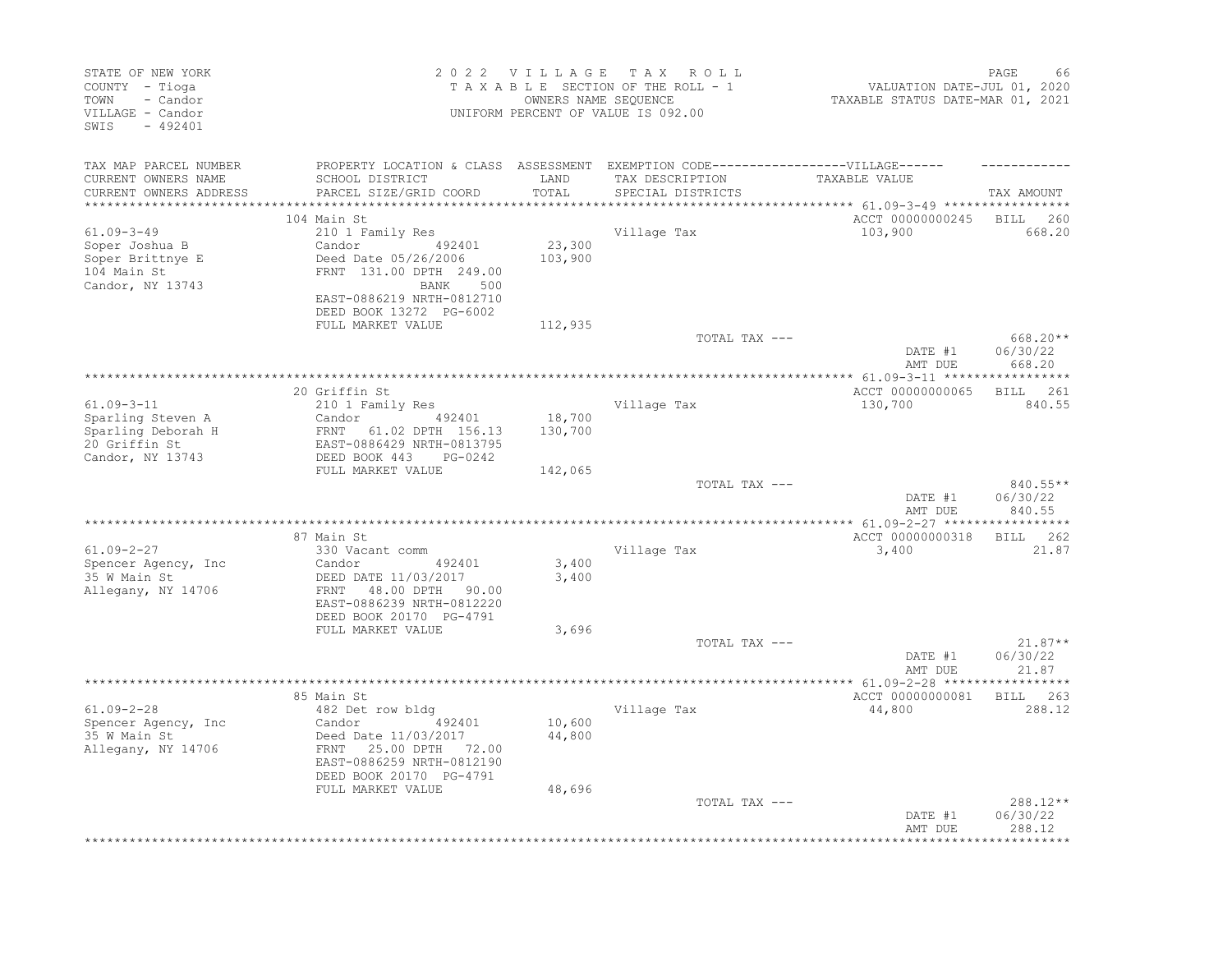| STATE OF NEW YORK<br>COUNTY - Tioga<br>TOWN<br>- Candor<br>VILLAGE - Candor<br>SWIS<br>$-492401$  |                                                                                                                                                                                     |                            | 2022 VILLAGE TAX ROLL<br>TAXABLE SECTION OF THE ROLL - 1<br>OWNERS NAME SEQUENCE<br>UNIFORM PERCENT OF VALUE IS 092.00 | VALUATION DATE-JUL 01, 2020<br>TAXABLE STATUS DATE-MAR 01, 2021 | PAGE<br>66                                     |
|---------------------------------------------------------------------------------------------------|-------------------------------------------------------------------------------------------------------------------------------------------------------------------------------------|----------------------------|------------------------------------------------------------------------------------------------------------------------|-----------------------------------------------------------------|------------------------------------------------|
| TAX MAP PARCEL NUMBER<br>CURRENT OWNERS NAME<br>CURRENT OWNERS ADDRESS<br>*********************** | PROPERTY LOCATION & CLASS ASSESSMENT EXEMPTION CODE-----------------VILLAGE------<br>SCHOOL DISTRICT<br>PARCEL SIZE/GRID COORD                                                      | LAND<br>TOTAL              | TAX DESCRIPTION<br>SPECIAL DISTRICTS                                                                                   | TAXABLE VALUE                                                   | TAX AMOUNT                                     |
|                                                                                                   | 104 Main St                                                                                                                                                                         |                            |                                                                                                                        | ACCT 00000000245 BILL 260                                       |                                                |
| $61.09 - 3 - 49$<br>Soper Joshua B<br>Soper Brittnye E<br>104 Main St<br>Candor, NY 13743         | 210 1 Family Res<br>492401<br>Candor<br>Deed Date 05/26/2006<br>FRNT 131.00 DPTH 249.00<br>BANK<br>500<br>EAST-0886219 NRTH-0812710<br>DEED BOOK 13272 PG-6002                      | 23,300<br>103,900          | Village Tax                                                                                                            | 103,900                                                         | 668.20                                         |
|                                                                                                   | FULL MARKET VALUE                                                                                                                                                                   | 112,935                    |                                                                                                                        |                                                                 |                                                |
|                                                                                                   |                                                                                                                                                                                     |                            | TOTAL TAX ---                                                                                                          | DATE #1<br>AMT DUE                                              | $668.20**$<br>06/30/22<br>668.20               |
|                                                                                                   | 20 Griffin St                                                                                                                                                                       |                            |                                                                                                                        | ACCT 00000000065                                                | BILL 261                                       |
| $61.09 - 3 - 11$<br>Sparling Steven A<br>Sparling Deborah H<br>20 Griffin St                      | 210 1 Family Res<br>Candor<br>492401<br>FRNT 61.02 DPTH 156.13<br>EAST-0886429 NRTH-0813795                                                                                         | 18,700<br>130,700          | Village Tax                                                                                                            | 130,700                                                         | 840.55                                         |
| Candor, NY 13743                                                                                  | DEED BOOK 443<br>PG-0242<br>FULL MARKET VALUE                                                                                                                                       | 142,065                    |                                                                                                                        |                                                                 |                                                |
|                                                                                                   |                                                                                                                                                                                     |                            | TOTAL TAX ---                                                                                                          | DATE #1<br>AMT DUE                                              | 840.55**<br>06/30/22<br>840.55                 |
|                                                                                                   |                                                                                                                                                                                     |                            |                                                                                                                        |                                                                 |                                                |
|                                                                                                   | 87 Main St                                                                                                                                                                          |                            |                                                                                                                        | ACCT 00000000318                                                | BILL 262                                       |
| $61.09 - 2 - 27$<br>Spencer Agency, Inc<br>35 W Main St<br>Allegany, NY 14706                     | 330 Vacant comm<br>Candor<br>492401<br>DEED DATE 11/03/2017<br>FRNT<br>48.00 DPTH 90.00<br>EAST-0886239 NRTH-0812220                                                                | 3,400<br>3,400             | Village Tax                                                                                                            | 3,400                                                           | 21.87                                          |
|                                                                                                   | DEED BOOK 20170 PG-4791                                                                                                                                                             |                            |                                                                                                                        |                                                                 |                                                |
|                                                                                                   | FULL MARKET VALUE                                                                                                                                                                   | 3,696                      | TOTAL TAX ---                                                                                                          | DATE #1<br>AMT DUE                                              | $21.87**$<br>06/30/22<br>21.87                 |
|                                                                                                   |                                                                                                                                                                                     |                            |                                                                                                                        |                                                                 |                                                |
| $61.09 - 2 - 28$<br>Spencer Agency, Inc<br>35 W Main St<br>Allegany, NY 14706                     | 85 Main St<br>482 Det row bldg<br>492401<br>Candor<br>Deed Date 11/03/2017<br>25.00 DPTH 72.00<br>FRNT<br>EAST-0886259 NRTH-0812190<br>DEED BOOK 20170 PG-4791<br>FULL MARKET VALUE | 10,600<br>44,800<br>48,696 | Village Tax                                                                                                            | ACCT 00000000081<br>44,800                                      | BILL 263<br>288.12                             |
|                                                                                                   |                                                                                                                                                                                     |                            | TOTAL TAX ---                                                                                                          | DATE #1<br>AMT DUE                                              | 288.12**<br>06/30/22<br>288.12<br>************ |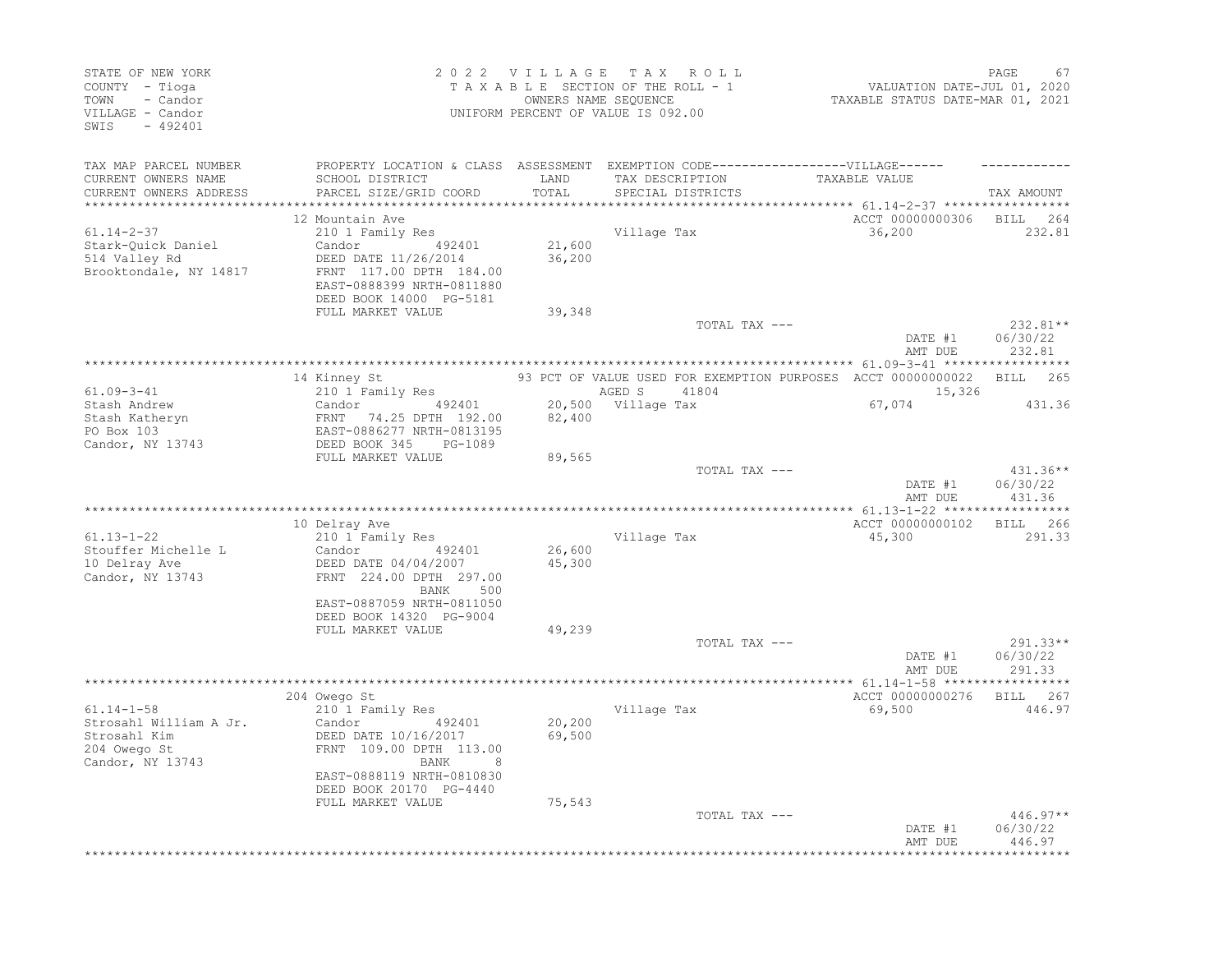| STATE OF NEW YORK<br>COUNTY - Tioga<br>- Candor<br>TOWN<br>VILLAGE - Candor<br>SWIS<br>$-492401$ |                                                                |        | 2022 VILLAGE TAX ROLL<br>TAXABLE SECTION OF THE ROLL - 1<br>OWNERS NAME SEQUENCE<br>UNIFORM PERCENT OF VALUE IS 092.00 | VALUATION DATE-JUL 01, 2020<br>TAXABLE STATUS DATE-MAR 01, 2021 | PAGE<br>67           |
|--------------------------------------------------------------------------------------------------|----------------------------------------------------------------|--------|------------------------------------------------------------------------------------------------------------------------|-----------------------------------------------------------------|----------------------|
| TAX MAP PARCEL NUMBER<br>CURRENT OWNERS NAME                                                     | SCHOOL DISTRICT                                                | LAND   | PROPERTY LOCATION & CLASS ASSESSMENT EXEMPTION CODE-----------------VILLAGE------<br>TAX DESCRIPTION                   | TAXABLE VALUE                                                   |                      |
| CURRENT OWNERS ADDRESS                                                                           | PARCEL SIZE/GRID COORD                                         | TOTAL  | SPECIAL DISTRICTS                                                                                                      |                                                                 | TAX AMOUNT           |
| *********************                                                                            |                                                                |        |                                                                                                                        | *************************** 61.14-2-37 *****************        |                      |
|                                                                                                  | 12 Mountain Ave                                                |        |                                                                                                                        | ACCT 00000000306 BILL 264                                       |                      |
| $61.14 - 2 - 37$<br>Stark-Quick Daniel                                                           | 210 1 Family Res<br>Candor 492401                              | 21,600 | Village Tax                                                                                                            | 36,200                                                          | 232.81               |
| 514 Valley Rd                                                                                    | DEED DATE 11/26/2014                                           | 36,200 |                                                                                                                        |                                                                 |                      |
| Brooktondale, NY 14817                                                                           | FRNT 117.00 DPTH 184.00<br>EAST-0888399 NRTH-0811880           |        |                                                                                                                        |                                                                 |                      |
|                                                                                                  | DEED BOOK 14000 PG-5181<br>FULL MARKET VALUE                   | 39,348 |                                                                                                                        |                                                                 |                      |
|                                                                                                  |                                                                |        | TOTAL TAX ---                                                                                                          |                                                                 | $232.81**$           |
|                                                                                                  |                                                                |        |                                                                                                                        | DATE #1                                                         | 06/30/22             |
|                                                                                                  |                                                                |        |                                                                                                                        | AMT DUE                                                         | 232.81               |
|                                                                                                  | 14 Kinney St                                                   |        | 93 PCT OF VALUE USED FOR EXEMPTION PURPOSES ACCT 00000000022                                                           |                                                                 | BILL 265             |
| $61.09 - 3 - 41$                                                                                 | 210 1 Family Res                                               |        | AGED S<br>41804                                                                                                        | 15,326                                                          |                      |
| Stash Andrew                                                                                     | Candor 492401                                                  |        | 20,500 Village Tax                                                                                                     | 67,074                                                          | 431.36               |
| Stash Katheryn                                                                                   | FRNT 74.25 DPTH 192.00                                         | 82,400 |                                                                                                                        |                                                                 |                      |
| PO Box 103                                                                                       | EAST-0886277 NRTH-0813195                                      |        |                                                                                                                        |                                                                 |                      |
| Candor, NY 13743                                                                                 | DEED BOOK 345<br>PG-1089<br>FULL MARKET VALUE                  | 89,565 |                                                                                                                        |                                                                 |                      |
|                                                                                                  |                                                                |        | TOTAL TAX ---                                                                                                          |                                                                 | 431.36**             |
|                                                                                                  |                                                                |        |                                                                                                                        | DATE #1<br>AMT DUE                                              | 06/30/22<br>431.36   |
|                                                                                                  |                                                                |        |                                                                                                                        |                                                                 |                      |
| $61.13 - 1 - 22$                                                                                 | 10 Delray Ave<br>210 1 Family Res                              |        | Village Tax                                                                                                            | ACCT 00000000102<br>45,300                                      | BILL 266<br>291.33   |
| Stouffer Michelle L                                                                              | Candor<br>492401                                               | 26,600 |                                                                                                                        |                                                                 |                      |
| 10 Delray Ave<br>Candor, NY 13743                                                                | DEED DATE 04/04/2007<br>FRNT 224.00 DPTH 297.00<br>BANK<br>500 | 45,300 |                                                                                                                        |                                                                 |                      |
|                                                                                                  | EAST-0887059 NRTH-0811050                                      |        |                                                                                                                        |                                                                 |                      |
|                                                                                                  | DEED BOOK 14320 PG-9004                                        |        |                                                                                                                        |                                                                 |                      |
|                                                                                                  | FULL MARKET VALUE                                              | 49,239 |                                                                                                                        |                                                                 |                      |
|                                                                                                  |                                                                |        | TOTAL TAX ---                                                                                                          | DATE #1                                                         | 291.33**<br>06/30/22 |
|                                                                                                  |                                                                |        |                                                                                                                        | AMT DUE                                                         | 291.33               |
|                                                                                                  |                                                                |        |                                                                                                                        |                                                                 |                      |
|                                                                                                  | 204 Owego St<br>210 1 Family Res                               |        |                                                                                                                        | ACCT 00000000276                                                | BILL 267<br>446.97   |
| $61.14 - 1 - 58$<br>Strosahl William A Jr.                                                       | Candor<br>492401                                               | 20,200 | Village Tax                                                                                                            | 69,500                                                          |                      |
| Strosahl Kim                                                                                     | DEED DATE 10/16/2017                                           | 69,500 |                                                                                                                        |                                                                 |                      |
| 204 Owego St<br>Candor, NY 13743                                                                 | FRNT 109.00 DPTH 113.00<br>8<br>BANK                           |        |                                                                                                                        |                                                                 |                      |
|                                                                                                  | EAST-0888119 NRTH-0810830                                      |        |                                                                                                                        |                                                                 |                      |
|                                                                                                  | DEED BOOK 20170 PG-4440<br>FULL MARKET VALUE                   | 75,543 |                                                                                                                        |                                                                 |                      |
|                                                                                                  |                                                                |        | TOTAL TAX ---                                                                                                          |                                                                 | 446.97**             |
|                                                                                                  |                                                                |        |                                                                                                                        | DATE #1<br>AMT DUE                                              | 06/30/22<br>446.97   |
|                                                                                                  |                                                                |        |                                                                                                                        |                                                                 |                      |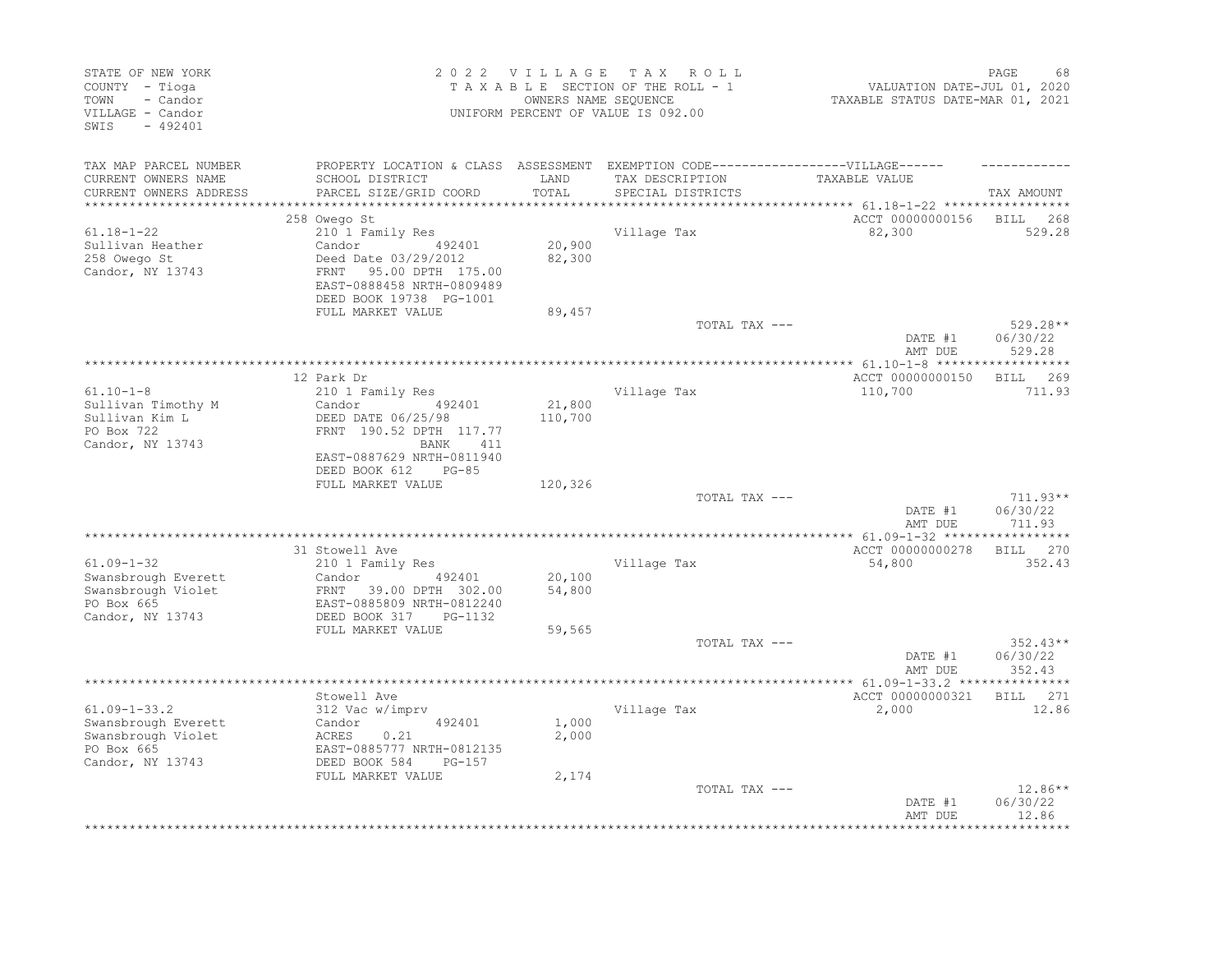| STATE OF NEW YORK<br>COUNTY - Tioga<br>TOWN<br>- Candor<br>VILLAGE - Candor<br>SWIS<br>$-492401$  |                                                                                                                                                        | 2022 VILLAGE TAX        | ROLL<br>TAXABLE SECTION OF THE ROLL - 1<br>OWNERS NAME SEQUENCE<br>UNIFORM PERCENT OF VALUE IS 092.00 | PAGE<br>68<br>VALUATION DATE-JUL 01, 2020<br>TAXABLE STATUS DATE-MAR 01, 2021 |                                  |
|---------------------------------------------------------------------------------------------------|--------------------------------------------------------------------------------------------------------------------------------------------------------|-------------------------|-------------------------------------------------------------------------------------------------------|-------------------------------------------------------------------------------|----------------------------------|
| TAX MAP PARCEL NUMBER<br>CURRENT OWNERS NAME<br>CURRENT OWNERS ADDRESS                            | PROPERTY LOCATION & CLASS ASSESSMENT EXEMPTION CODE----------------VILLAGE------<br>SCHOOL DISTRICT<br>PARCEL SIZE/GRID COORD                          | LAND<br>TOTAL           | TAX DESCRIPTION<br>SPECIAL DISTRICTS                                                                  | TAXABLE VALUE                                                                 | TAX AMOUNT                       |
| *********************                                                                             |                                                                                                                                                        |                         |                                                                                                       |                                                                               |                                  |
|                                                                                                   | 258 Owego St                                                                                                                                           |                         |                                                                                                       | ACCT 00000000156                                                              | BILL<br>268                      |
| $61.18 - 1 - 22$<br>Sullivan Heather<br>258 Owego St<br>Candor, NY 13743                          | 210 1 Family Res<br>492401<br>Candor<br>Deed Date 03/29/2012<br>FRNT<br>95.00 DPTH 175.00<br>EAST-0888458 NRTH-0809489<br>DEED BOOK 19738 PG-1001      | 20,900<br>82,300        | Village Tax                                                                                           | 82,300                                                                        | 529.28                           |
|                                                                                                   | FULL MARKET VALUE                                                                                                                                      | 89,457                  |                                                                                                       |                                                                               |                                  |
|                                                                                                   |                                                                                                                                                        |                         | TOTAL TAX ---                                                                                         | DATE #1<br>AMT DUE                                                            | 529.28**<br>06/30/22<br>529.28   |
|                                                                                                   |                                                                                                                                                        |                         |                                                                                                       |                                                                               |                                  |
| $61.10 - 1 - 8$<br>Sullivan Timothy M<br>Sullivan Kim L<br>PO Box 722<br>Candor, NY 13743         | 12 Park Dr<br>210 1 Family Res<br>Candor<br>492401<br>DEED DATE 06/25/98<br>FRNT 190.52 DPTH 117.77<br>411<br><b>BANK</b><br>EAST-0887629 NRTH-0811940 | 21,800<br>110,700       | Village Tax                                                                                           | ACCT 00000000150<br>110,700                                                   | <b>BILL</b><br>269<br>711.93     |
|                                                                                                   | DEED BOOK 612<br>$PG-85$<br>FULL MARKET VALUE                                                                                                          | 120,326                 |                                                                                                       |                                                                               |                                  |
|                                                                                                   |                                                                                                                                                        |                         | TOTAL TAX ---                                                                                         | DATE #1<br>AMT DUE                                                            | $711.93**$<br>06/30/22<br>711.93 |
|                                                                                                   |                                                                                                                                                        |                         |                                                                                                       |                                                                               |                                  |
| $61.09 - 1 - 32$<br>Swansbrough Everett<br>Swansbrough Violet<br>PO Box 665<br>Candor, NY 13743   | 31 Stowell Ave<br>210 1 Family Res<br>492401<br>Candor<br>39.00 DPTH 302.00<br>FRNT<br>EAST-0885809 NRTH-0812240<br>DEED BOOK 317<br>PG-1132           | 20,100<br>54,800        | Village Tax                                                                                           | ACCT 00000000278<br>54,800                                                    | <b>BILL</b><br>270<br>352.43     |
|                                                                                                   | FULL MARKET VALUE                                                                                                                                      | 59,565                  |                                                                                                       |                                                                               |                                  |
|                                                                                                   |                                                                                                                                                        |                         | TOTAL TAX ---                                                                                         | DATE #1<br>AMT DUE                                                            | $352.43**$<br>06/30/22<br>352.43 |
|                                                                                                   |                                                                                                                                                        |                         |                                                                                                       | ************ 61.09-1-33.2 ****************                                    |                                  |
| $61.09 - 1 - 33.2$<br>Swansbrough Everett<br>Swansbrough Violet<br>PO Box 665<br>Candor, NY 13743 | Stowell Ave<br>312 Vac w/imprv<br>492401<br>Candor<br>ACRES<br>0.21<br>EAST-0885777 NRTH-0812135<br>DEED BOOK 584<br>$PG-157$<br>FULL MARKET VALUE     | 1,000<br>2,000<br>2,174 | Village Tax                                                                                           | ACCT 00000000321<br>2,000                                                     | BILL 271<br>12.86                |
|                                                                                                   |                                                                                                                                                        |                         | TOTAL TAX ---                                                                                         | DATE #1<br>AMT DUE                                                            | 12.86**<br>06/30/22<br>12.86     |
|                                                                                                   |                                                                                                                                                        |                         |                                                                                                       |                                                                               |                                  |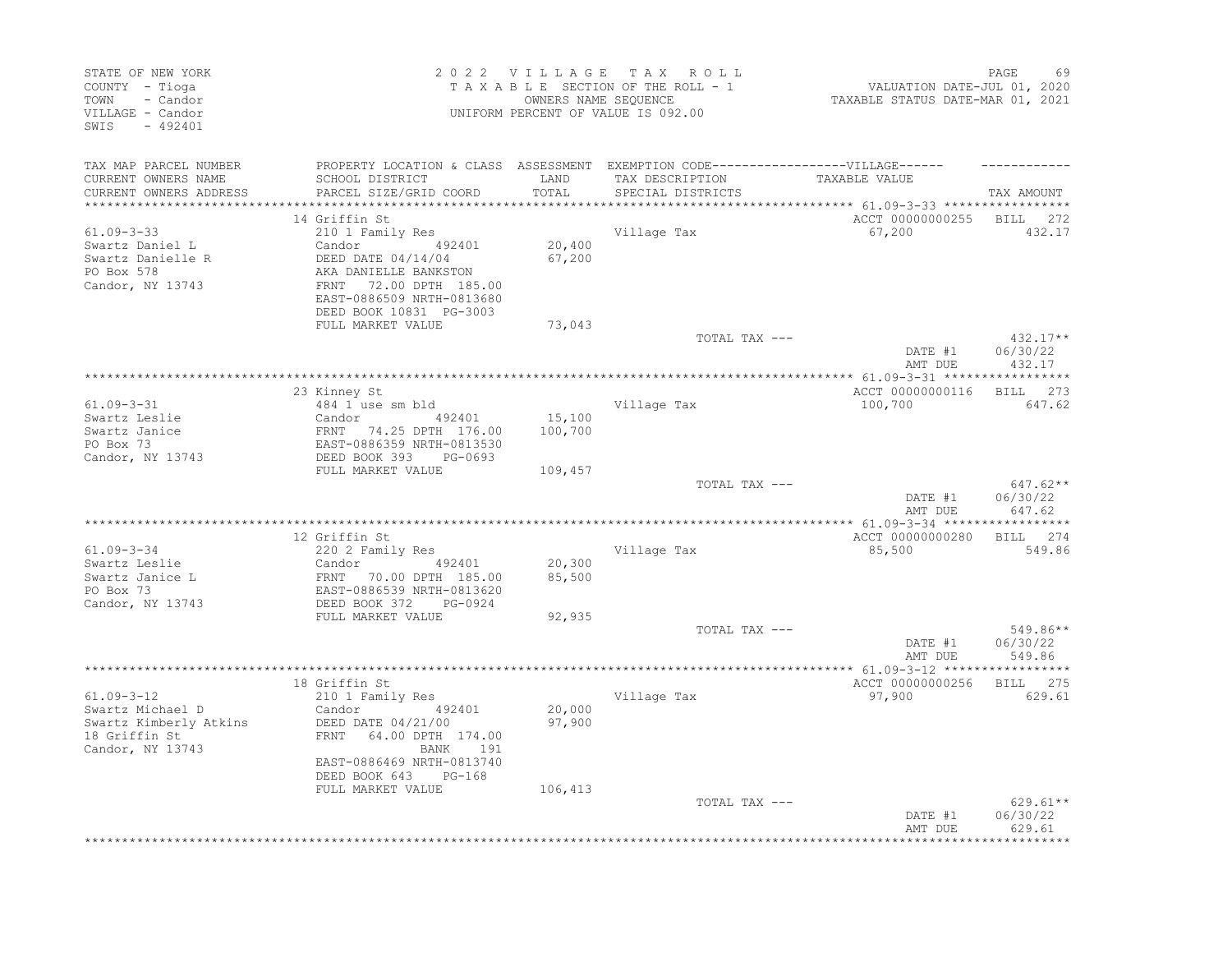| STATE OF NEW YORK<br>COUNTY - Tioga<br>TOWN<br>- Candor<br>VILLAGE - Candor<br>SWIS<br>$-492401$    |                                                                                                                                                                                                   |                             | 2022 VILLAGE TAX ROLL<br>TAXABLE SECTION OF THE ROLL - 1<br>OWNERS NAME SEQUENCE<br>UNIFORM PERCENT OF VALUE IS 092.00 | VALUATION DATE-JUL 01, 2020<br>TAXABLE STATUS DATE-MAR 01, 2021 | PAGE<br>69                                       |
|-----------------------------------------------------------------------------------------------------|---------------------------------------------------------------------------------------------------------------------------------------------------------------------------------------------------|-----------------------------|------------------------------------------------------------------------------------------------------------------------|-----------------------------------------------------------------|--------------------------------------------------|
| TAX MAP PARCEL NUMBER<br>CURRENT OWNERS NAME<br>CURRENT OWNERS ADDRESS<br>************************  | PROPERTY LOCATION & CLASS ASSESSMENT EXEMPTION CODE-----------------VILLAGE------<br>SCHOOL DISTRICT<br>PARCEL SIZE/GRID COORD                                                                    | LAND<br>TOTAL               | TAX DESCRIPTION<br>SPECIAL DISTRICTS                                                                                   | TAXABLE VALUE                                                   | TAX AMOUNT                                       |
|                                                                                                     | 14 Griffin St                                                                                                                                                                                     |                             |                                                                                                                        | ACCT 00000000255 BILL 272                                       |                                                  |
| $61.09 - 3 - 33$<br>Swartz Daniel L<br>Swartz Danielle R<br>PO Box 578<br>Candor, NY 13743          | 210 1 Family Res<br>Candor 492401<br>DEED DATE 04/14/04<br>AKA DANIELLE BANKSTON<br>FRNT   72.00 DPTH  185<br>72.00 DPTH 185.00<br>EAST-0886509 NRTH-0813680<br>DEED BOOK 10831 PG-3003           | 20,400<br>67,200            | Village Tax                                                                                                            | 67,200                                                          | 432.17                                           |
|                                                                                                     | FULL MARKET VALUE                                                                                                                                                                                 | 73,043                      |                                                                                                                        |                                                                 |                                                  |
|                                                                                                     |                                                                                                                                                                                                   |                             | TOTAL TAX ---                                                                                                          | DATE #1<br>AMT DUE                                              | $432.17**$<br>06/30/22<br>432.17                 |
|                                                                                                     |                                                                                                                                                                                                   |                             |                                                                                                                        |                                                                 |                                                  |
| $61.09 - 3 - 31$<br>Swartz Leslie<br>Swartz Janice<br>PO Box 73                                     | 23 Kinney St<br>484 1 use sm bld<br>Candor 492401<br>FRNT 74.25 DPTH 176.00<br>EAST-0886359 NRTH-0813530<br>DEED BOOK 393 PG-0693                                                                 | 15,100<br>100,700           | Village Tax                                                                                                            | ACCT 00000000116<br>100,700                                     | BILL 273<br>647.62                               |
| Candor, NY 13743                                                                                    |                                                                                                                                                                                                   |                             |                                                                                                                        |                                                                 |                                                  |
|                                                                                                     | FULL MARKET VALUE                                                                                                                                                                                 | 109,457                     | TOTAL TAX ---                                                                                                          | DATE #1<br>AMT DUE                                              | $647.62**$<br>06/30/22<br>647.62                 |
|                                                                                                     |                                                                                                                                                                                                   |                             |                                                                                                                        |                                                                 |                                                  |
|                                                                                                     | 12 Griffin St                                                                                                                                                                                     |                             |                                                                                                                        | ACCT 00000000280                                                | BILL 274                                         |
| $61.09 - 3 - 34$<br>Swartz Leslie<br>Swartz Janice L<br>PO Box 73<br>Candor, NY 13743               | 220 2 Family Res<br>Candor<br>492401<br>FRNT 70.00 DPTH 185.00<br>EAST-0886539 NRTH-0813620<br>DEED BOOK 372 PG-0924                                                                              | 20,300<br>85,500            | Village Tax                                                                                                            | 85,500                                                          | 549.86                                           |
|                                                                                                     | FULL MARKET VALUE                                                                                                                                                                                 | 92,935                      |                                                                                                                        |                                                                 |                                                  |
|                                                                                                     |                                                                                                                                                                                                   |                             | TOTAL TAX ---                                                                                                          | DATE #1<br>AMT DUE                                              | 549.86**<br>06/30/22<br>549.86                   |
|                                                                                                     |                                                                                                                                                                                                   |                             |                                                                                                                        |                                                                 |                                                  |
| $61.09 - 3 - 12$<br>Swartz Michael D<br>Swartz Kimberly Atkins<br>18 Griffin St<br>Candor, NY 13743 | 18 Griffin St<br>210 1 Family Res<br>Candor<br>492401<br>DEED DATE 04/21/00<br>FRNT 64.00 DPTH 174.00<br>BANK<br>191<br>EAST-0886469 NRTH-0813740<br>DEED BOOK 643<br>PG-168<br>FULL MARKET VALUE | 20,000<br>97,900<br>106,413 | Village Tax                                                                                                            | ACCT 00000000256<br>97,900                                      | BILL 275<br>629.61                               |
|                                                                                                     |                                                                                                                                                                                                   |                             | TOTAL TAX ---                                                                                                          | DATE #1<br>AMT DUE                                              | $629.61**$<br>06/30/22<br>629.61<br>************ |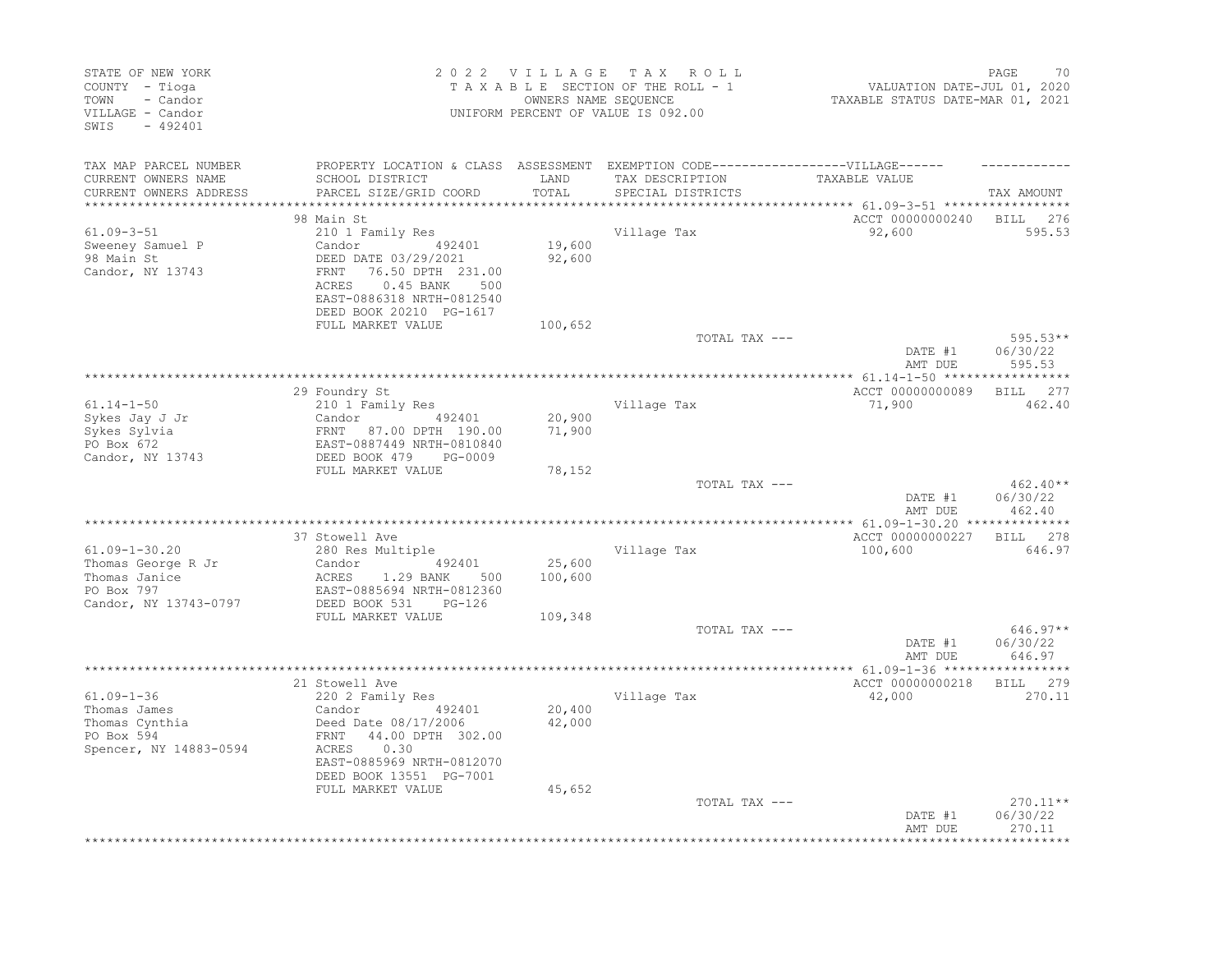| STATE OF NEW YORK<br>COUNTY - Tioga<br>TOWN<br>- Candor<br>VILLAGE - Candor<br>SWIS<br>$-492401$  |                                                                                                                                                                                      |                   | 2022 VILLAGE TAX ROLL<br>TAXABLE SECTION OF THE ROLL - 1<br>OWNERS NAME SEOUENCE<br>UNIFORM PERCENT OF VALUE IS 092.00    | VALUATION DATE-JUL 01, 2020<br>TAXABLE STATUS DATE-MAR 01, 2021 | 70<br>PAGE                       |
|---------------------------------------------------------------------------------------------------|--------------------------------------------------------------------------------------------------------------------------------------------------------------------------------------|-------------------|---------------------------------------------------------------------------------------------------------------------------|-----------------------------------------------------------------|----------------------------------|
| TAX MAP PARCEL NUMBER<br>CURRENT OWNERS NAME<br>CURRENT OWNERS ADDRESS<br>*********************** | SCHOOL DISTRICT<br>PARCEL SIZE/GRID COORD                                                                                                                                            | LAND<br>TOTAL     | PROPERTY LOCATION & CLASS ASSESSMENT EXEMPTION CODE-----------------VILLAGE------<br>TAX DESCRIPTION<br>SPECIAL DISTRICTS | TAXABLE VALUE                                                   | TAX AMOUNT                       |
|                                                                                                   | 98 Main St                                                                                                                                                                           |                   |                                                                                                                           | ACCT 00000000240                                                | <b>BILL</b><br>276               |
| $61.09 - 3 - 51$<br>Sweeney Samuel P<br>98 Main St<br>Candor, NY 13743                            | 210 1 Family Res<br>Candor 492401<br>DEED DATE 03/29/2021<br>76.50 DPTH 231.00<br>FRNT<br>ACRES<br>$0.45$ BANK<br>500<br>EAST-0886318 NRTH-0812540<br>DEED BOOK 20210 PG-1617        | 19,600<br>92,600  | Village Tax                                                                                                               | 92,600                                                          | 595.53                           |
|                                                                                                   | FULL MARKET VALUE                                                                                                                                                                    | 100,652           |                                                                                                                           |                                                                 |                                  |
|                                                                                                   |                                                                                                                                                                                      |                   | TOTAL TAX ---                                                                                                             | DATE #1<br>AMT DUE                                              | $595.53**$<br>06/30/22<br>595.53 |
|                                                                                                   |                                                                                                                                                                                      |                   |                                                                                                                           |                                                                 |                                  |
| $61.14 - 1 - 50$<br>Sykes Jay J Jr<br>Sykes Sylvia                                                | 29 Foundry St<br>210 1 Family Res                                                                                                                                                    | 20,900<br>71,900  | Village Tax                                                                                                               | ACCT 00000000089<br>71,900                                      | BILL 277<br>462.40               |
| PO Box 672<br>Candor, NY 13743                                                                    | Candor 492401<br>FRNT 87.00 DPTH 190.00<br>EAST-0887449 NRTH-0810840<br>DEED BOOK 479 PG-0009                                                                                        |                   |                                                                                                                           |                                                                 |                                  |
|                                                                                                   | FULL MARKET VALUE                                                                                                                                                                    | 78,152            | TOTAL TAX ---                                                                                                             | DATE #1<br>AMT DUE                                              | $462.40**$<br>06/30/22<br>462.40 |
|                                                                                                   |                                                                                                                                                                                      |                   |                                                                                                                           |                                                                 |                                  |
|                                                                                                   | 37 Stowell Ave                                                                                                                                                                       |                   |                                                                                                                           | ACCT 00000000227                                                | BILL 278                         |
| $61.09 - 1 - 30.20$<br>Thomas George R Jr<br>Thomas Janice<br>PO Box 797<br>Candor, NY 13743-0797 | 280 Res Multiple<br>Candor<br>492401<br>ACRES<br>1.29 BANK<br>500<br>EAST-0885694 NRTH-0812360<br>DEED BOOK 531<br>$PG-126$                                                          | 25,600<br>100,600 | Village Tax                                                                                                               | 100,600                                                         | 646.97                           |
|                                                                                                   | FULL MARKET VALUE                                                                                                                                                                    | 109,348           |                                                                                                                           |                                                                 |                                  |
|                                                                                                   |                                                                                                                                                                                      |                   | TOTAL TAX ---                                                                                                             | DATE #1<br>AMT DUE                                              | $646.97**$<br>06/30/22<br>646.97 |
|                                                                                                   |                                                                                                                                                                                      |                   |                                                                                                                           | ******* 61.09-1-36 ******                                       | **********                       |
| $61.09 - 1 - 36$<br>Thomas James<br>Thomas Cynthia<br>PO Box 594<br>Spencer, NY 14883-0594        | 21 Stowell Ave<br>220 2 Family Res<br>492401<br>Candor<br>Deed Date 08/17/2006<br>44.00 DPTH 302.00<br>FRNT<br>0.30<br>ACRES<br>EAST-0885969 NRTH-0812070<br>DEED BOOK 13551 PG-7001 | 20,400<br>42,000  | Village Tax                                                                                                               | ACCT 00000000218<br>42,000                                      | BILL 279<br>270.11               |
|                                                                                                   | FULL MARKET VALUE                                                                                                                                                                    | 45,652            | TOTAL TAX ---                                                                                                             | DATE #1<br>AMT DUE                                              | 270.11**<br>06/30/22<br>270.11   |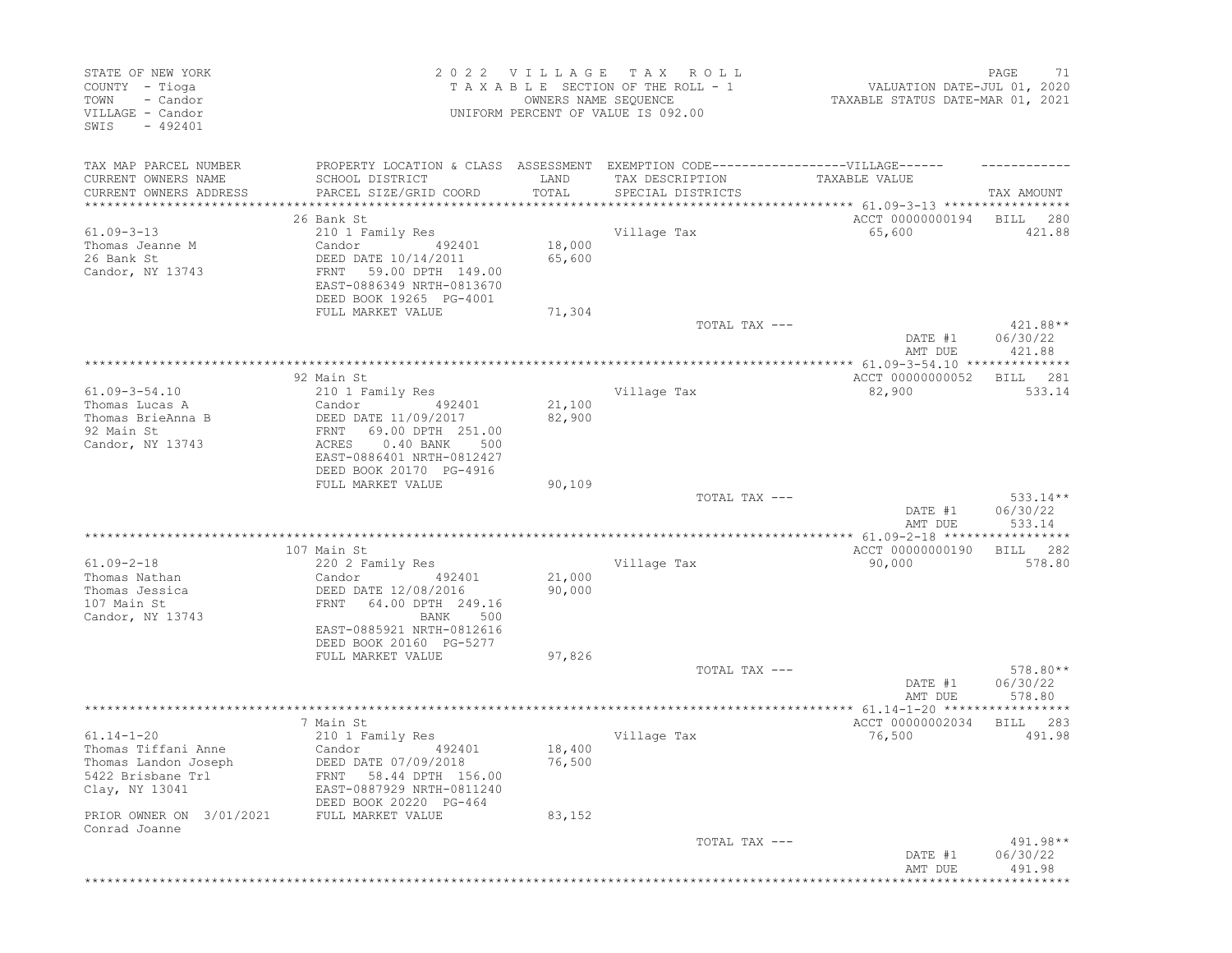| STATE OF NEW YORK<br>COUNTY - Tioga<br>- Candor<br>TOWN<br>VILLAGE - Candor<br>$-492401$<br>SWIS |                                                                                                                                          | 2022 VILLAGE<br>OWNERS NAME SEQUENCE | T A X<br>R O L L<br>TAXABLE SECTION OF THE ROLL - 1<br>UNIFORM PERCENT OF VALUE IS 092.00 | VALUATION DATE-JUL 01, 2020<br>TAXABLE STATUS DATE-MAR 01, 2021 | PAGE<br>71                     |
|--------------------------------------------------------------------------------------------------|------------------------------------------------------------------------------------------------------------------------------------------|--------------------------------------|-------------------------------------------------------------------------------------------|-----------------------------------------------------------------|--------------------------------|
| TAX MAP PARCEL NUMBER<br>CURRENT OWNERS NAME                                                     | PROPERTY LOCATION & CLASS ASSESSMENT EXEMPTION CODE-----------------VILLAGE------<br>SCHOOL DISTRICT                                     | LAND                                 | TAX DESCRIPTION                                                                           | TAXABLE VALUE                                                   |                                |
| CURRENT OWNERS ADDRESS<br>**********************                                                 | PARCEL SIZE/GRID COORD                                                                                                                   | TOTAL<br>**************              | SPECIAL DISTRICTS                                                                         | ********************************** 61.09-3-13 ***************** | TAX AMOUNT                     |
|                                                                                                  | 26 Bank St                                                                                                                               |                                      |                                                                                           | ACCT 00000000194                                                | BILL<br>280                    |
| $61.09 - 3 - 13$                                                                                 | 210 1 Family Res                                                                                                                         |                                      | Village Tax                                                                               | 65,600                                                          | 421.88                         |
| Thomas Jeanne M<br>26 Bank St<br>Candor, NY 13743                                                | Candor<br>492401<br>DEED DATE 10/14/2011<br>FRNT<br>59.00 DPTH 149.00<br>EAST-0886349 NRTH-0813670<br>DEED BOOK 19265 PG-4001            | 18,000<br>65,600                     |                                                                                           |                                                                 |                                |
|                                                                                                  | FULL MARKET VALUE                                                                                                                        | 71,304                               |                                                                                           |                                                                 |                                |
|                                                                                                  |                                                                                                                                          |                                      | TOTAL TAX ---                                                                             | DATE #1<br>AMT DUE                                              | 421.88**<br>06/30/22<br>421.88 |
|                                                                                                  |                                                                                                                                          |                                      |                                                                                           |                                                                 |                                |
| $61.09 - 3 - 54.10$<br>Thomas Lucas A                                                            | 92 Main St<br>210 1 Family Res<br>Candor<br>492401                                                                                       | 21,100                               | Village Tax                                                                               | ACCT 00000000052<br>82,900                                      | 281<br>BILL<br>533.14          |
| Thomas BrieAnna B<br>92 Main St<br>Candor, NY 13743                                              | DEED DATE 11/09/2017<br>69.00 DPTH 251.00<br>FRNT<br>$0.40$ BANK<br>ACRES<br>500<br>EAST-0886401 NRTH-0812427<br>DEED BOOK 20170 PG-4916 | 82,900                               |                                                                                           |                                                                 |                                |
|                                                                                                  | FULL MARKET VALUE                                                                                                                        | 90,109                               | TOTAL TAX ---                                                                             |                                                                 | $533.14**$                     |
|                                                                                                  |                                                                                                                                          |                                      |                                                                                           | DATE #1<br>AMT DUE                                              | 06/30/22<br>533.14             |
|                                                                                                  |                                                                                                                                          |                                      | *****************************                                                             | ************* 61.09-2-18 ******************                     |                                |
| $61.09 - 2 - 18$                                                                                 | 107 Main St<br>220 2 Family Res                                                                                                          |                                      | Village Tax                                                                               | ACCT 00000000190<br>90,000                                      | 282<br>BILL<br>578.80          |
| Thomas Nathan                                                                                    | Candor<br>492401                                                                                                                         | 21,000                               |                                                                                           |                                                                 |                                |
| Thomas Jessica<br>107 Main St<br>Candor, NY 13743                                                | DEED DATE 12/08/2016<br>64.00 DPTH 249.16<br>FRNT<br>BANK<br>500                                                                         | 90,000                               |                                                                                           |                                                                 |                                |
|                                                                                                  | EAST-0885921 NRTH-0812616<br>DEED BOOK 20160 PG-5277                                                                                     |                                      |                                                                                           |                                                                 |                                |
|                                                                                                  | FULL MARKET VALUE                                                                                                                        | 97,826                               | TOTAL TAX ---                                                                             |                                                                 | 578.80**                       |
|                                                                                                  |                                                                                                                                          |                                      |                                                                                           | DATE #1<br>AMT DUE                                              | 06/30/22<br>578.80             |
|                                                                                                  |                                                                                                                                          |                                      |                                                                                           |                                                                 |                                |
| $61.14 - 1 - 20$<br>Thomas Tiffani Anne                                                          | 7 Main St<br>210 1 Family Res<br>Candor<br>492401                                                                                        | 18,400                               | Village Tax                                                                               | ACCT 00000002034<br>76,500                                      | BILL<br>283<br>491.98          |
| Thomas Landon Joseph<br>5422 Brisbane Trl<br>Clay, NY 13041                                      | DEED DATE 07/09/2018<br>FRNT 58.44 DPTH 156.00<br>EAST-0887929 NRTH-0811240                                                              | 76,500                               |                                                                                           |                                                                 |                                |
| PRIOR OWNER ON 3/01/2021<br>Conrad Joanne                                                        | DEED BOOK 20220 PG-464<br>FULL MARKET VALUE                                                                                              | 83,152                               |                                                                                           |                                                                 |                                |
|                                                                                                  |                                                                                                                                          |                                      | TOTAL TAX ---                                                                             | DATE #1<br>AMT DUE                                              | 491.98**<br>06/30/22<br>491.98 |
|                                                                                                  |                                                                                                                                          |                                      |                                                                                           |                                                                 |                                |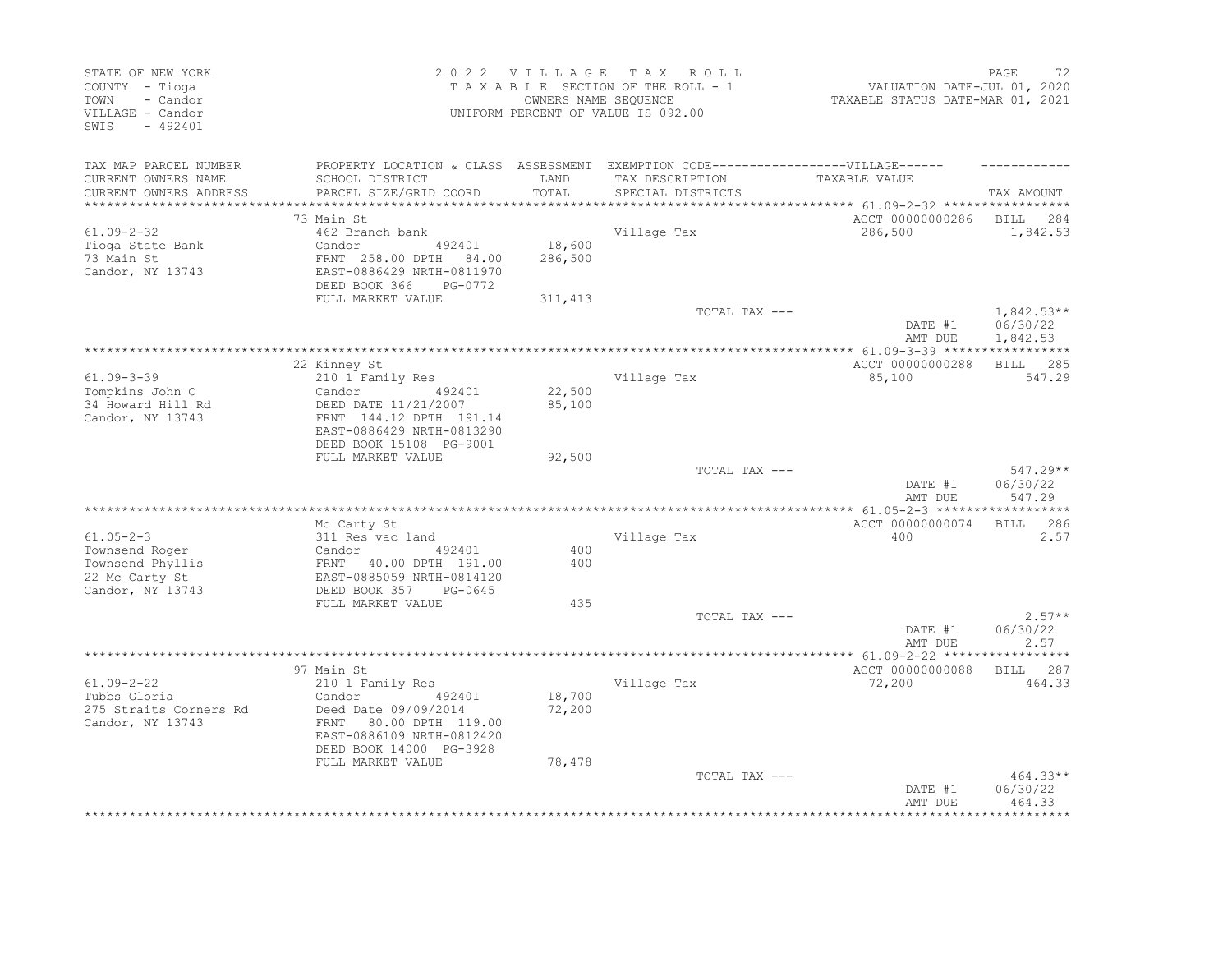| STATE OF NEW YORK<br>COUNTY - Tioga<br>- Candor<br>TOWN<br>VILLAGE - Candor<br>$-492401$<br>SWIS |                                                                                   | 2022 VILLAGE  | T A X<br>R O L L<br>TAXABLE SECTION OF THE ROLL - 1<br>OWNERS NAME SEQUENCE<br>UNIFORM PERCENT OF VALUE IS 092.00 | VALUATION DATE-JUL 01, 2020<br>TAXABLE STATUS DATE-MAR 01, 2021 | PAGE<br>72           |
|--------------------------------------------------------------------------------------------------|-----------------------------------------------------------------------------------|---------------|-------------------------------------------------------------------------------------------------------------------|-----------------------------------------------------------------|----------------------|
| TAX MAP PARCEL NUMBER                                                                            | PROPERTY LOCATION & CLASS ASSESSMENT EXEMPTION CODE-----------------VILLAGE------ |               |                                                                                                                   |                                                                 |                      |
| CURRENT OWNERS NAME<br>CURRENT OWNERS ADDRESS                                                    | SCHOOL DISTRICT<br>PARCEL SIZE/GRID COORD                                         | LAND<br>TOTAL | TAX DESCRIPTION<br>SPECIAL DISTRICTS                                                                              | <b>TAXABLE VALUE</b>                                            | TAX AMOUNT           |
| **************************                                                                       |                                                                                   |               |                                                                                                                   |                                                                 |                      |
|                                                                                                  | 73 Main St                                                                        |               |                                                                                                                   | ACCT 00000000286                                                | BILL 284             |
| $61.09 - 2 - 32$                                                                                 | 462 Branch bank                                                                   |               | Village Tax                                                                                                       | 286,500                                                         | 1,842.53             |
| Tioga State Bank                                                                                 | Candor<br>492401                                                                  | 18,600        |                                                                                                                   |                                                                 |                      |
| 73 Main St                                                                                       | FRNT 258.00 DPTH 84.00                                                            | 286,500       |                                                                                                                   |                                                                 |                      |
| Candor, NY 13743                                                                                 | EAST-0886429 NRTH-0811970                                                         |               |                                                                                                                   |                                                                 |                      |
|                                                                                                  | DEED BOOK 366<br>PG-0772<br>FULL MARKET VALUE                                     |               |                                                                                                                   |                                                                 |                      |
|                                                                                                  |                                                                                   | 311,413       | TOTAL TAX ---                                                                                                     |                                                                 | $1,842.53**$         |
|                                                                                                  |                                                                                   |               |                                                                                                                   | DATE #1<br>AMT DUE                                              | 06/30/22<br>1,842.53 |
|                                                                                                  |                                                                                   |               |                                                                                                                   |                                                                 |                      |
|                                                                                                  | 22 Kinney St                                                                      |               |                                                                                                                   | ACCT 00000000288                                                | BILL 285             |
| $61.09 - 3 - 39$                                                                                 | 210 1 Family Res                                                                  |               | Village Tax                                                                                                       | 85,100                                                          | 547.29               |
| Tompkins John O                                                                                  | 492401<br>Candor                                                                  | 22,500        |                                                                                                                   |                                                                 |                      |
| 34 Howard Hill Rd                                                                                | DEED DATE 11/21/2007                                                              | 85,100        |                                                                                                                   |                                                                 |                      |
| Candor, NY 13743                                                                                 | FRNT 144.12 DPTH 191.14<br>EAST-0886429 NRTH-0813290                              |               |                                                                                                                   |                                                                 |                      |
|                                                                                                  | DEED BOOK 15108 PG-9001                                                           |               |                                                                                                                   |                                                                 |                      |
|                                                                                                  | FULL MARKET VALUE                                                                 | 92,500        |                                                                                                                   |                                                                 |                      |
|                                                                                                  |                                                                                   |               | TOTAL TAX ---                                                                                                     |                                                                 | $547.29**$           |
|                                                                                                  |                                                                                   |               |                                                                                                                   | DATE #1                                                         | 06/30/22             |
|                                                                                                  |                                                                                   |               |                                                                                                                   | AMT DUE                                                         | 547.29               |
|                                                                                                  |                                                                                   |               |                                                                                                                   | ACCT 00000000074                                                | BILL 286             |
| $61.05 - 2 - 3$                                                                                  | Mc Carty St<br>311 Res vac land                                                   |               | Village Tax                                                                                                       | 400                                                             | 2.57                 |
| Townsend Roger                                                                                   | 492401<br>Candor                                                                  | 400           |                                                                                                                   |                                                                 |                      |
| Townsend Phyllis                                                                                 | FRNT 40.00 DPTH 191.00                                                            | 400           |                                                                                                                   |                                                                 |                      |
| 22 Mc Carty St                                                                                   | EAST-0885059 NRTH-0814120                                                         |               |                                                                                                                   |                                                                 |                      |
| Candor, NY 13743                                                                                 | DEED BOOK 357<br>PG-0645                                                          |               |                                                                                                                   |                                                                 |                      |
|                                                                                                  | FULL MARKET VALUE                                                                 | 435           |                                                                                                                   |                                                                 |                      |
|                                                                                                  |                                                                                   |               | TOTAL TAX ---                                                                                                     | DATE #1                                                         | $2.57**$<br>06/30/22 |
|                                                                                                  |                                                                                   |               |                                                                                                                   | AMT DUE                                                         | 2.57                 |
|                                                                                                  | *****************                                                                 |               | **********************************                                                                                | ************ 61.09-2-22 ******                                  | ***********          |
|                                                                                                  | 97 Main St                                                                        |               |                                                                                                                   | ACCT 00000000088                                                | BILL 287             |
| $61.09 - 2 - 22$                                                                                 | 210 1 Family Res                                                                  |               | Village Tax                                                                                                       | 72,200                                                          | 464.33               |
| Tubbs Gloria                                                                                     | Candor<br>492401                                                                  | 18,700        |                                                                                                                   |                                                                 |                      |
| 275 Straits Corners Rd                                                                           | Deed Date 09/09/2014                                                              | 72,200        |                                                                                                                   |                                                                 |                      |
| Candor, NY 13743                                                                                 | 80.00 DPTH 119.00<br>FRNT                                                         |               |                                                                                                                   |                                                                 |                      |
|                                                                                                  | EAST-0886109 NRTH-0812420<br>DEED BOOK 14000 PG-3928                              |               |                                                                                                                   |                                                                 |                      |
|                                                                                                  | FULL MARKET VALUE                                                                 | 78,478        |                                                                                                                   |                                                                 |                      |
|                                                                                                  |                                                                                   |               | TOTAL TAX ---                                                                                                     |                                                                 | 464.33**             |
|                                                                                                  |                                                                                   |               |                                                                                                                   | DATE #1                                                         | 06/30/22             |
|                                                                                                  |                                                                                   |               |                                                                                                                   | AMT DUE                                                         | 464.33               |
|                                                                                                  |                                                                                   |               |                                                                                                                   |                                                                 |                      |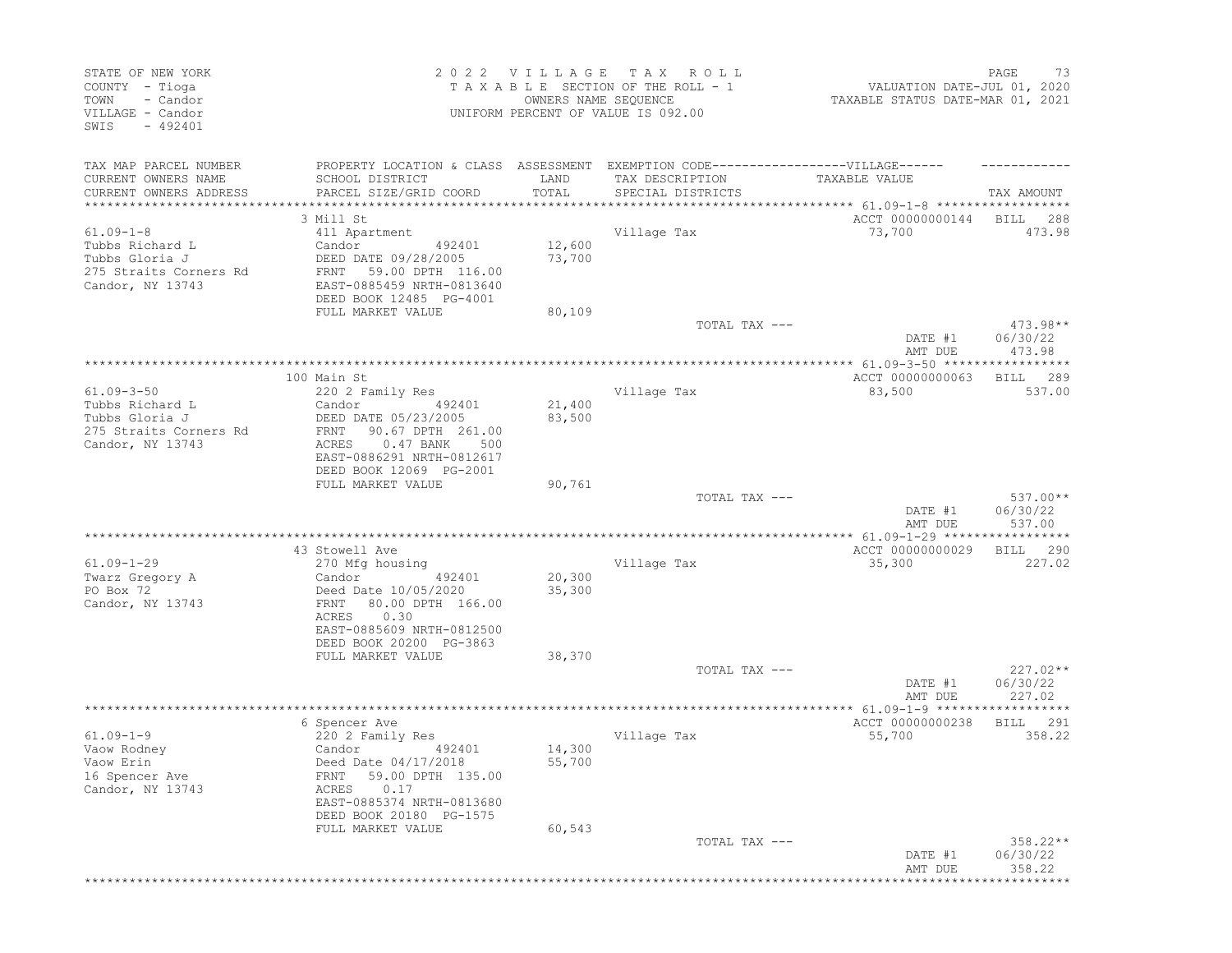| STATE OF NEW YORK<br>COUNTY - Tioga<br>- Candor<br>TOWN<br>VILLAGE - Candor<br>$-492401$<br>SWIS |                                                                                                                                        | 2022 VILLAGE<br>OWNERS NAME SEQUENCE | T A X<br>R O L L<br>TAXABLE SECTION OF THE ROLL - 1<br>UNIFORM PERCENT OF VALUE IS 092.00 | VALUATION DATE-JUL 01, 2020<br>TAXABLE STATUS DATE-MAR 01, 2021    | PAGE<br>73                       |
|--------------------------------------------------------------------------------------------------|----------------------------------------------------------------------------------------------------------------------------------------|--------------------------------------|-------------------------------------------------------------------------------------------|--------------------------------------------------------------------|----------------------------------|
| TAX MAP PARCEL NUMBER<br>CURRENT OWNERS NAME                                                     | PROPERTY LOCATION & CLASS ASSESSMENT EXEMPTION CODE-----------------VILLAGE------<br>SCHOOL DISTRICT                                   | LAND                                 | TAX DESCRIPTION                                                                           | TAXABLE VALUE                                                      |                                  |
| CURRENT OWNERS ADDRESS<br>*********************                                                  | PARCEL SIZE/GRID COORD<br>****************************                                                                                 | TOTAL<br>***************             | SPECIAL DISTRICTS                                                                         |                                                                    | TAX AMOUNT                       |
|                                                                                                  | 3 Mill St                                                                                                                              |                                      |                                                                                           | ACCT 00000000144                                                   | BILL<br>288                      |
| $61.09 - 1 - 8$                                                                                  | 411 Apartment                                                                                                                          |                                      | Village Tax                                                                               | 73,700                                                             | 473.98                           |
| Tubbs Richard L<br>Tubbs Gloria J<br>275 Straits Corners Rd<br>Candor, NY 13743                  | Candor<br>492401<br>DEED DATE 09/28/2005<br>59.00 DPTH 116.00<br>FRNT<br>EAST-0885459 NRTH-0813640<br>DEED BOOK 12485 PG-4001          | 12,600<br>73,700                     |                                                                                           |                                                                    |                                  |
|                                                                                                  | FULL MARKET VALUE                                                                                                                      | 80,109                               |                                                                                           |                                                                    |                                  |
|                                                                                                  |                                                                                                                                        |                                      | TOTAL TAX ---                                                                             | DATE #1<br>AMT DUE                                                 | $473.98**$<br>06/30/22<br>473.98 |
|                                                                                                  |                                                                                                                                        |                                      |                                                                                           |                                                                    |                                  |
| $61.09 - 3 - 50$<br>Tubbs Richard L<br>Tubbs Gloria J                                            | 100 Main St<br>220 2 Family Res<br>Candor<br>492401                                                                                    | 21,400                               | Village Tax                                                                               | ACCT 00000000063<br>83,500                                         | 289<br>BILL<br>537.00            |
| 275 Straits Corners Rd<br>Candor, NY 13743                                                       | DEED DATE 05/23/2005<br>90.67 DPTH 261.00<br>FRNT<br>0.47 BANK<br>ACRES<br>500<br>EAST-0886291 NRTH-0812617<br>DEED BOOK 12069 PG-2001 | 83,500                               |                                                                                           |                                                                    |                                  |
|                                                                                                  | FULL MARKET VALUE                                                                                                                      | 90,761                               | TOTAL TAX ---                                                                             |                                                                    | 537.00**                         |
|                                                                                                  |                                                                                                                                        |                                      |                                                                                           | DATE #1<br>AMT DUE                                                 | 06/30/22<br>537.00               |
|                                                                                                  | 43 Stowell Ave                                                                                                                         |                                      |                                                                                           | **************** 61.09-1-29 ******************<br>ACCT 00000000029 | 290<br>BILL                      |
| $61.09 - 1 - 29$                                                                                 | 270 Mfg housing                                                                                                                        |                                      | Village Tax                                                                               | 35,300                                                             | 227.02                           |
| Twarz Gregory A                                                                                  | Candor<br>492401                                                                                                                       | 20,300                               |                                                                                           |                                                                    |                                  |
| PO Box 72<br>Candor, NY 13743                                                                    | Deed Date 10/05/2020<br>80.00 DPTH 166.00<br>FRNT<br>0.30<br>ACRES                                                                     | 35,300                               |                                                                                           |                                                                    |                                  |
|                                                                                                  | EAST-0885609 NRTH-0812500<br>DEED BOOK 20200 PG-3863<br>FULL MARKET VALUE                                                              | 38,370                               |                                                                                           |                                                                    |                                  |
|                                                                                                  |                                                                                                                                        |                                      | TOTAL TAX ---                                                                             |                                                                    | $227.02**$                       |
|                                                                                                  |                                                                                                                                        |                                      |                                                                                           | DATE #1<br>AMT DUE                                                 | 06/30/22<br>227.02               |
|                                                                                                  | 6 Spencer Ave                                                                                                                          |                                      |                                                                                           | ACCT 00000000238                                                   | BILL<br>291                      |
| $61.09 - 1 - 9$<br>Vaow Rodney<br>Vaow Erin<br>16 Spencer Ave<br>Candor, NY 13743                | 220 2 Family Res<br>Candor<br>492401<br>Deed Date 04/17/2018<br>59.00 DPTH 135.00<br>FRNT<br>0.17<br>ACRES                             | 14,300<br>55,700                     | Village Tax                                                                               | 55,700                                                             | 358.22                           |
|                                                                                                  | EAST-0885374 NRTH-0813680<br>DEED BOOK 20180 PG-1575                                                                                   |                                      |                                                                                           |                                                                    |                                  |
|                                                                                                  | FULL MARKET VALUE                                                                                                                      | 60,543                               | TOTAL TAX ---                                                                             |                                                                    | 358.22**                         |
|                                                                                                  |                                                                                                                                        |                                      |                                                                                           | DATE #1<br>AMT DUE                                                 | 06/30/22<br>358.22               |
|                                                                                                  |                                                                                                                                        |                                      |                                                                                           |                                                                    |                                  |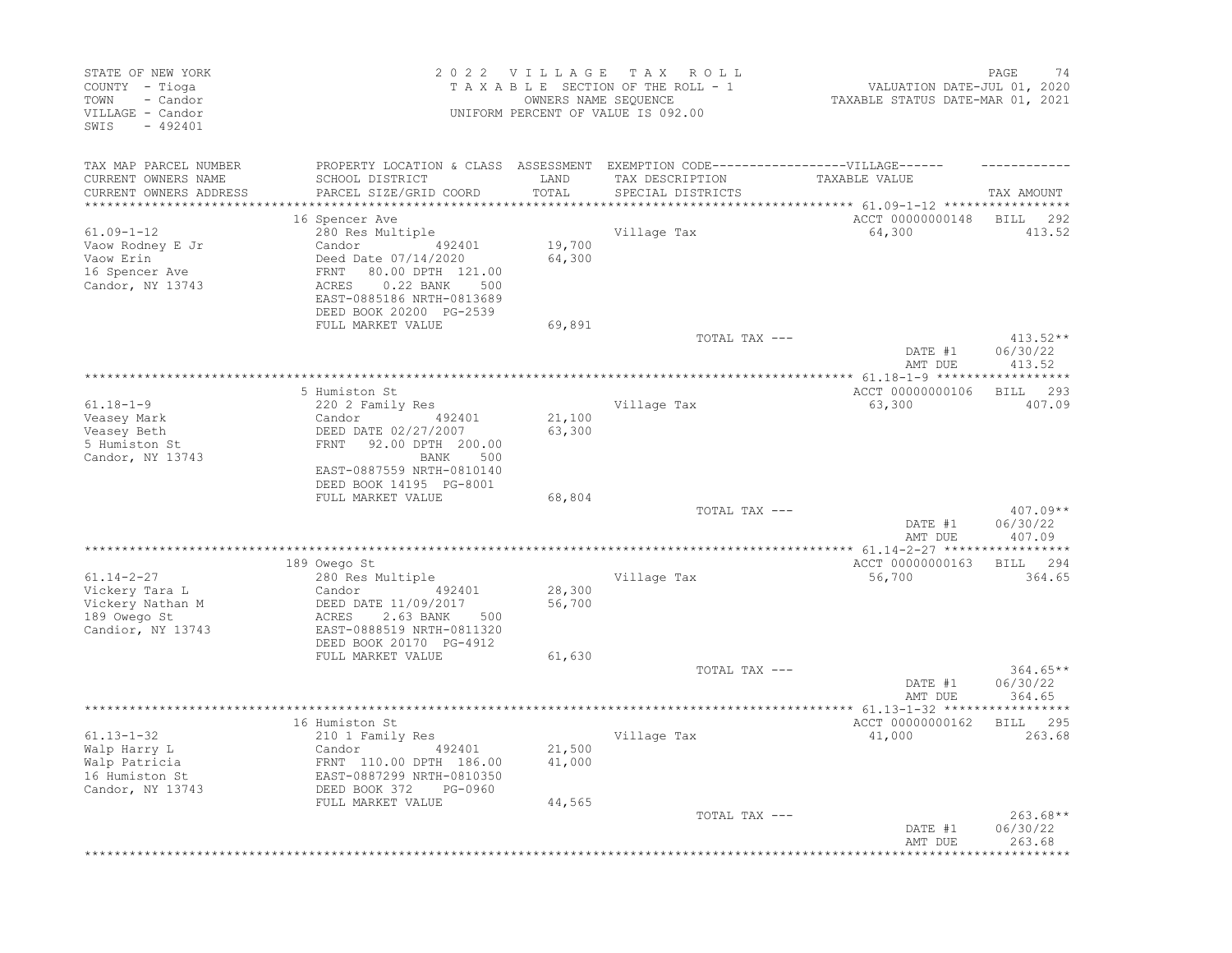| STATE OF NEW YORK<br>COUNTY - Tioga<br>- Candor<br>TOWN<br>VILLAGE - Candor<br>$-492401$<br>SWIS |                                                                                                                                                       | 2022 VILLAGE<br>OWNERS NAME SEQUENCE | TAX ROLL<br>TAXABLE SECTION OF THE ROLL - 1<br>UNIFORM PERCENT OF VALUE IS 092.00                   | VALUATION DATE-JUL 01, 2020<br>TAXABLE STATUS DATE-MAR 01, 2021                    | 74<br>PAGE                       |
|--------------------------------------------------------------------------------------------------|-------------------------------------------------------------------------------------------------------------------------------------------------------|--------------------------------------|-----------------------------------------------------------------------------------------------------|------------------------------------------------------------------------------------|----------------------------------|
| TAX MAP PARCEL NUMBER<br>CURRENT OWNERS NAME                                                     | SCHOOL DISTRICT                                                                                                                                       | LAND                                 | PROPERTY LOCATION & CLASS ASSESSMENT EXEMPTION CODE----------------VILLAGE------<br>TAX DESCRIPTION | TAXABLE VALUE                                                                      |                                  |
| CURRENT OWNERS ADDRESS<br>********************                                                   | PARCEL SIZE/GRID COORD                                                                                                                                | TOTAL<br>*************               | SPECIAL DISTRICTS                                                                                   |                                                                                    | TAX AMOUNT                       |
|                                                                                                  | 16 Spencer Ave                                                                                                                                        |                                      |                                                                                                     | ***************************    61.09-1-12    *****************<br>ACCT 00000000148 | <b>BILL</b><br>292               |
| $61.09 - 1 - 12$<br>Vaow Rodney E Jr<br>Vaow Erin<br>16 Spencer Ave<br>Candor, NY 13743          | 280 Res Multiple<br>Candor<br>492401<br>Deed Date 07/14/2020<br>80.00 DPTH 121.00<br>FRNT<br>ACRES<br>$0.22$ BANK<br>500<br>EAST-0885186 NRTH-0813689 | 19,700<br>64,300                     | Village Tax                                                                                         | 64,300                                                                             | 413.52                           |
|                                                                                                  | DEED BOOK 20200 PG-2539                                                                                                                               |                                      |                                                                                                     |                                                                                    |                                  |
|                                                                                                  | FULL MARKET VALUE                                                                                                                                     | 69,891                               | TOTAL TAX ---                                                                                       | DATE #1                                                                            | 413.52**<br>06/30/22             |
|                                                                                                  |                                                                                                                                                       |                                      |                                                                                                     | AMT DUE                                                                            | 413.52                           |
|                                                                                                  |                                                                                                                                                       |                                      |                                                                                                     |                                                                                    | ***********                      |
| $61.18 - 1 - 9$                                                                                  | 5 Humiston St                                                                                                                                         |                                      |                                                                                                     | ACCT 00000000106                                                                   | 293<br><b>BILL</b><br>407.09     |
| Veasey Mark                                                                                      | 220 2 Family Res<br>Candor<br>492401                                                                                                                  | 21,100                               | Village Tax                                                                                         | 63,300                                                                             |                                  |
| Veasey Beth<br>5 Humiston St<br>Candor, NY 13743                                                 | DEED DATE 02/27/2007<br>FRNT<br>92.00 DPTH 200.00<br>BANK<br>500<br>EAST-0887559 NRTH-0810140<br>DEED BOOK 14195 PG-8001                              | 63,300                               |                                                                                                     |                                                                                    |                                  |
|                                                                                                  | FULL MARKET VALUE                                                                                                                                     | 68,804                               |                                                                                                     |                                                                                    |                                  |
|                                                                                                  |                                                                                                                                                       |                                      | TOTAL TAX ---                                                                                       | DATE #1<br>AMT DUE                                                                 | 407.09**<br>06/30/22<br>407.09   |
|                                                                                                  | 189 Owego St                                                                                                                                          |                                      |                                                                                                     | ACCT 00000000163                                                                   | 294<br>BILL                      |
| $61.14 - 2 - 27$                                                                                 | 280 Res Multiple                                                                                                                                      |                                      | Village Tax                                                                                         | 56,700                                                                             | 364.65                           |
| Vickery Tara L<br>Vickery Nathan M<br>189 Owego St<br>Candior, NY 13743                          | Candor<br>492401<br>DEED DATE 11/09/2017<br>ACRES<br>2.63 BANK<br>500<br>EAST-0888519 NRTH-0811320<br>DEED BOOK 20170 PG-4912                         | 28,300<br>56,700                     |                                                                                                     |                                                                                    |                                  |
|                                                                                                  | FULL MARKET VALUE                                                                                                                                     | 61,630                               |                                                                                                     |                                                                                    |                                  |
|                                                                                                  |                                                                                                                                                       |                                      | TOTAL TAX ---                                                                                       | DATE #1<br>AMT DUE                                                                 | $364.65**$<br>06/30/22<br>364.65 |
|                                                                                                  |                                                                                                                                                       |                                      |                                                                                                     |                                                                                    |                                  |
| $61.13 - 1 - 32$                                                                                 | 16 Humiston St<br>210 1 Family Res                                                                                                                    |                                      | Village Tax                                                                                         | ACCT 00000000162<br>41,000                                                         | BILL 295<br>263.68               |
| Walp Harry L<br>Walp Patricia<br>16 Humiston St<br>Candor, NY 13743                              | Candor<br>492401<br>FRNT 110.00 DPTH 186.00<br>EAST-0887299 NRTH-0810350<br>DEED BOOK 372<br>PG-0960                                                  | 21,500<br>41,000                     |                                                                                                     |                                                                                    |                                  |
|                                                                                                  | FULL MARKET VALUE                                                                                                                                     | 44,565                               | TOTAL TAX ---                                                                                       | DATE #1                                                                            | $263.68**$<br>06/30/22           |
|                                                                                                  |                                                                                                                                                       |                                      |                                                                                                     | AMT DUE                                                                            | 263.68                           |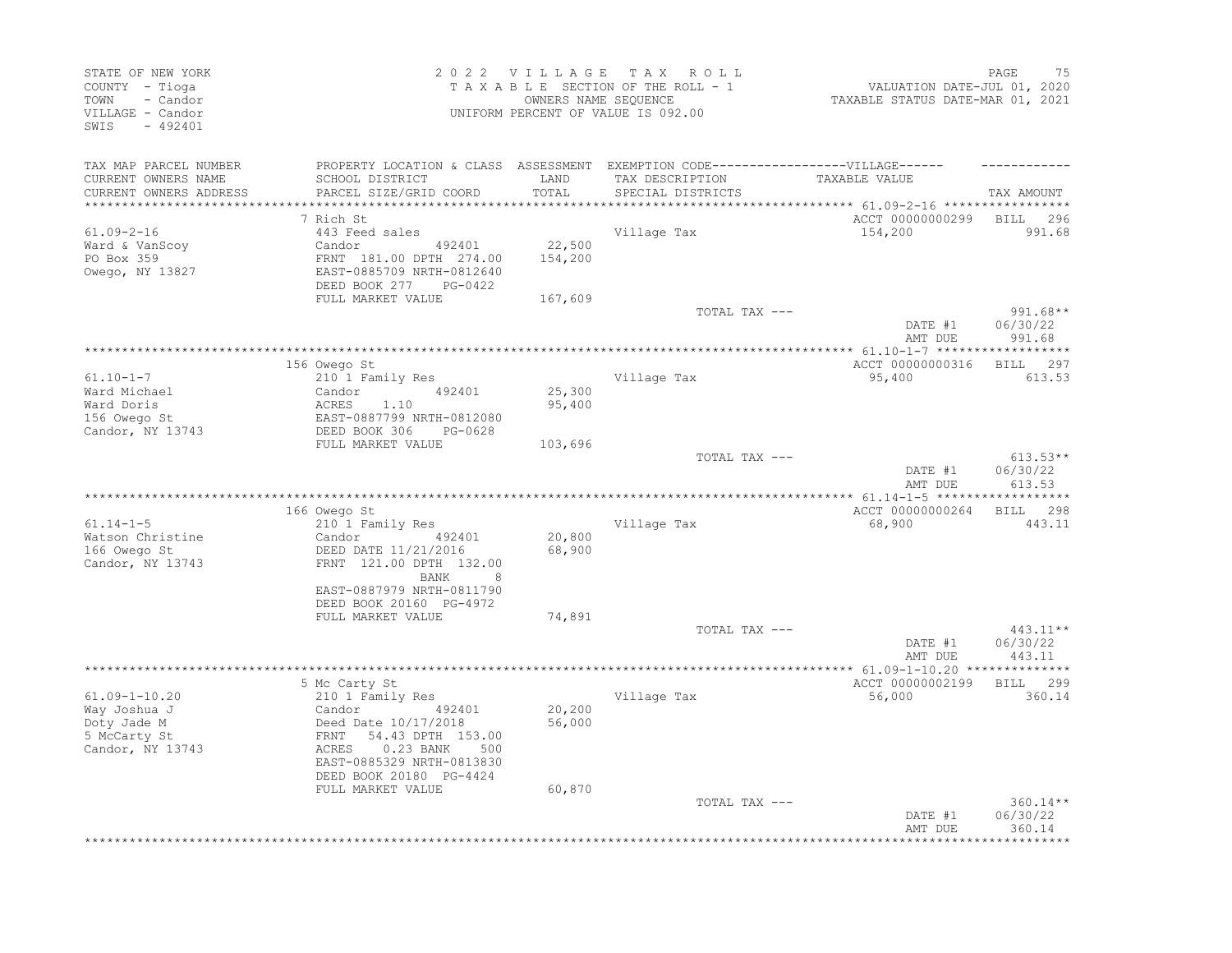| STATE OF NEW YORK<br>COUNTY - Tioga<br>TOWN<br>- Candor<br>VILLAGE - Candor<br>SWIS<br>$-492401$ |                                                                                                                                                                                                 | 2022 VILLAGE                 | T A X<br>R O L L<br>TAXABLE SECTION OF THE ROLL - 1<br>OWNERS NAME SEQUENCE<br>UNIFORM PERCENT OF VALUE IS 092.00         | VALUATION DATE-JUL 01, 2020<br>TAXABLE STATUS DATE-MAR 01, 2021 | 75<br>PAGE                       |
|--------------------------------------------------------------------------------------------------|-------------------------------------------------------------------------------------------------------------------------------------------------------------------------------------------------|------------------------------|---------------------------------------------------------------------------------------------------------------------------|-----------------------------------------------------------------|----------------------------------|
| TAX MAP PARCEL NUMBER<br>CURRENT OWNERS NAME<br>CURRENT OWNERS ADDRESS                           | SCHOOL DISTRICT<br>PARCEL SIZE/GRID COORD                                                                                                                                                       | LAND<br>TOTAL<br>*********** | PROPERTY LOCATION & CLASS ASSESSMENT EXEMPTION CODE-----------------VILLAGE------<br>TAX DESCRIPTION<br>SPECIAL DISTRICTS | TAXABLE VALUE<br>********** 61.09-2-16 ******************       | TAX AMOUNT                       |
|                                                                                                  | 7 Rich St                                                                                                                                                                                       |                              |                                                                                                                           | ACCT 00000000299                                                | <b>BILL</b><br>296               |
| $61.09 - 2 - 16$<br>Ward & VanScoy<br>PO Box 359<br>Owego, NY 13827                              | 443 Feed sales<br>Candor<br>492401<br>FRNT 181.00 DPTH 274.00<br>EAST-0885709 NRTH-0812640<br>DEED BOOK 277<br>PG-0422                                                                          | 22,500<br>154,200            | Village Tax                                                                                                               | 154,200                                                         | 991.68                           |
|                                                                                                  | FULL MARKET VALUE                                                                                                                                                                               | 167,609                      | TOTAL TAX ---                                                                                                             | DATE #1<br>AMT DUE                                              | $991.68**$<br>06/30/22<br>991.68 |
|                                                                                                  |                                                                                                                                                                                                 |                              |                                                                                                                           |                                                                 |                                  |
| $61.10 - 1 - 7$<br>Ward Michael<br>Ward Doris<br>156 Owego St<br>Candor, NY 13743                | 156 Owego St<br>210 1 Family Res<br>492401<br>Candor<br>1.10<br>ACRES<br>EAST-0887799 NRTH-0812080<br>DEED BOOK 306<br>PG-0628                                                                  | 25,300<br>95,400             | Village Tax                                                                                                               | ACCT 00000000316<br>95,400                                      | 297<br>BILL<br>613.53            |
|                                                                                                  | FULL MARKET VALUE                                                                                                                                                                               | 103,696                      |                                                                                                                           |                                                                 |                                  |
|                                                                                                  |                                                                                                                                                                                                 |                              | TOTAL TAX ---                                                                                                             | DATE #1<br>AMT DUE                                              | $613.53**$<br>06/30/22<br>613.53 |
|                                                                                                  |                                                                                                                                                                                                 |                              |                                                                                                                           |                                                                 | ***********                      |
| $61.14 - 1 - 5$<br>Watson Christine<br>166 Owego St<br>Candor, NY 13743                          | 166 Owego St<br>210 1 Family Res<br>492401<br>Candor<br>DEED DATE 11/21/2016<br>FRNT 121.00 DPTH 132.00<br><b>BANK</b><br>8<br>EAST-0887979 NRTH-0811790<br>DEED BOOK 20160 PG-4972             | 20,800<br>68,900             | Village Tax                                                                                                               | ACCT 00000000264<br>68,900                                      | <b>BILL</b><br>298<br>443.11     |
|                                                                                                  | FULL MARKET VALUE                                                                                                                                                                               | 74,891                       |                                                                                                                           |                                                                 |                                  |
|                                                                                                  |                                                                                                                                                                                                 |                              | TOTAL TAX ---                                                                                                             | DATE #1<br>AMT DUE                                              | 443.11**<br>06/30/22<br>443.11   |
|                                                                                                  |                                                                                                                                                                                                 |                              |                                                                                                                           | **** 61.09-1-10.20 ***************                              |                                  |
| $61.09 - 1 - 10.20$<br>Way Joshua J<br>Doty Jade M<br>5 McCarty St<br>Candor, NY 13743           | 5 Mc Carty St<br>210 1 Family Res<br>Candor<br>492401<br>Deed Date 10/17/2018<br>54.43 DPTH 153.00<br>FRNT<br>0.23 BANK<br>ACRES<br>500<br>EAST-0885329 NRTH-0813830<br>DEED BOOK 20180 PG-4424 | 20,200<br>56,000             | Village Tax                                                                                                               | ACCT 00000002199<br>56,000                                      | 299<br><b>BILL</b><br>360.14     |
|                                                                                                  | FULL MARKET VALUE                                                                                                                                                                               | 60,870                       | TOTAL TAX ---                                                                                                             | DATE #1<br>AMT DUE                                              | $360.14**$<br>06/30/22<br>360.14 |
|                                                                                                  |                                                                                                                                                                                                 |                              |                                                                                                                           |                                                                 |                                  |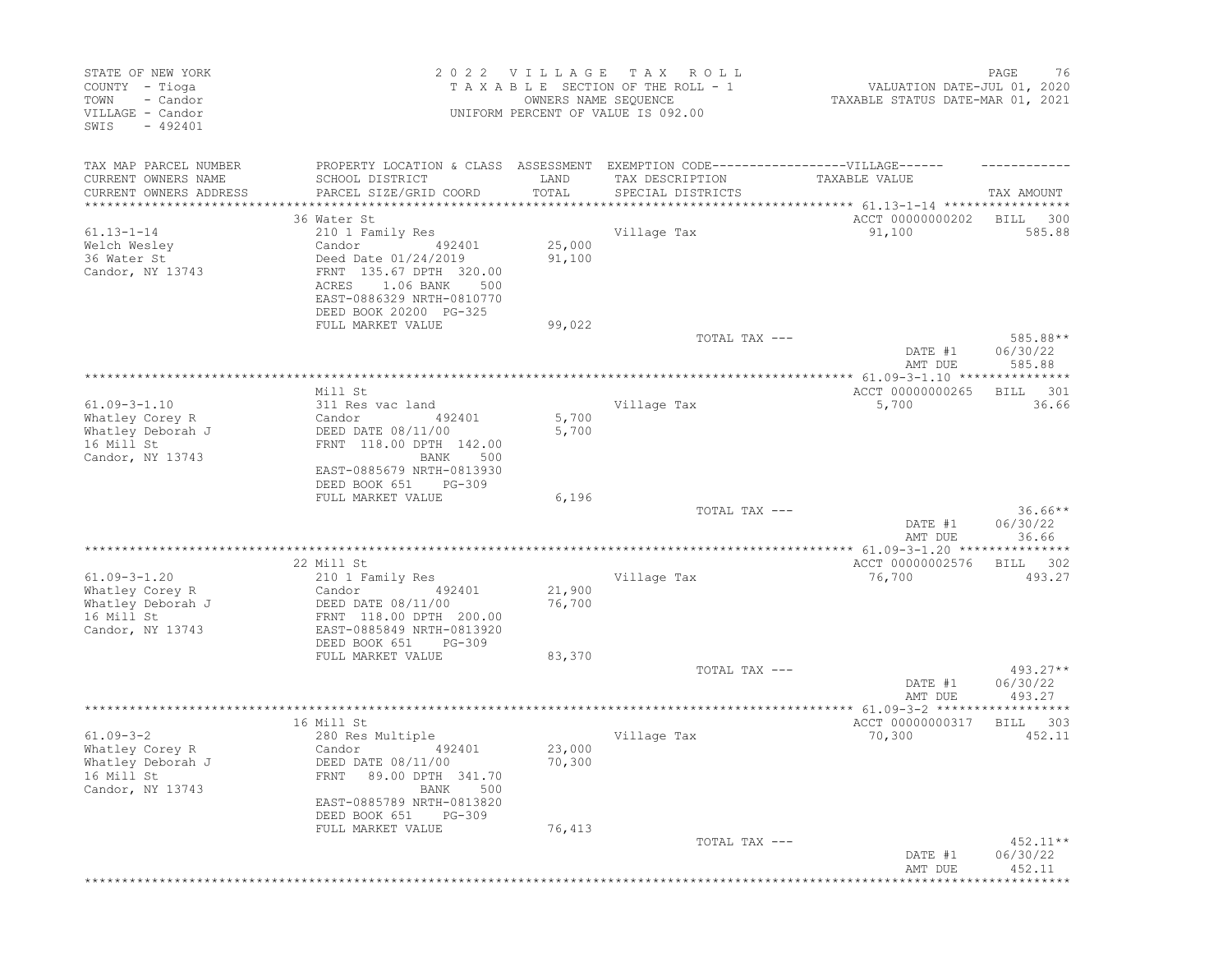| STATE OF NEW YORK<br>COUNTY - Tioga<br>- Candor<br>TOWN<br>VILLAGE - Candor<br>SWIS<br>$-492401$ | 2022 VILLAGE<br>T A X<br>R O L L<br>TAXABLE SECTION OF THE ROLL - 1<br>OWNERS NAME SEQUENCE<br>UNIFORM PERCENT OF VALUE IS 092.00                                            |                  |                                      | PAGE<br>76<br>VALUATION DATE-JUL 01, 2020<br>TAXABLE STATUS DATE-MAR 01, 2021 |                                  |  |
|--------------------------------------------------------------------------------------------------|------------------------------------------------------------------------------------------------------------------------------------------------------------------------------|------------------|--------------------------------------|-------------------------------------------------------------------------------|----------------------------------|--|
| TAX MAP PARCEL NUMBER<br>CURRENT OWNERS NAME<br>CURRENT OWNERS ADDRESS                           | PROPERTY LOCATION & CLASS ASSESSMENT EXEMPTION CODE-----------------VILLAGE------<br>SCHOOL DISTRICT<br>PARCEL SIZE/GRID COORD                                               | LAND<br>TOTAL    | TAX DESCRIPTION<br>SPECIAL DISTRICTS | TAXABLE VALUE                                                                 | TAX AMOUNT                       |  |
| *****************                                                                                |                                                                                                                                                                              |                  |                                      |                                                                               |                                  |  |
|                                                                                                  | 36 Water St                                                                                                                                                                  |                  |                                      | ACCT 00000000202                                                              | BILL<br>300                      |  |
| $61.13 - 1 - 14$                                                                                 | 210 1 Family Res                                                                                                                                                             |                  | Village Tax                          | 91,100                                                                        | 585.88                           |  |
| Welch Wesley<br>36 Water St<br>Candor, NY 13743                                                  | Candor<br>492401<br>Deed Date 01/24/2019<br>FRNT 135.67 DPTH 320.00<br>1.06 BANK<br>ACRES<br>500<br>EAST-0886329 NRTH-0810770<br>DEED BOOK 20200 PG-325                      | 25,000<br>91,100 |                                      |                                                                               |                                  |  |
|                                                                                                  | FULL MARKET VALUE                                                                                                                                                            | 99,022           | TOTAL TAX ---                        |                                                                               | 585.88**                         |  |
|                                                                                                  |                                                                                                                                                                              |                  |                                      | DATE #1<br>AMT DUE                                                            | 06/30/22<br>585.88               |  |
|                                                                                                  |                                                                                                                                                                              |                  |                                      |                                                                               | ******                           |  |
|                                                                                                  | Mill St                                                                                                                                                                      |                  |                                      | ACCT 00000000265                                                              | 301<br>BILL                      |  |
| $61.09 - 3 - 1.10$<br>Whatley Corey R                                                            | 311 Res vac land<br>Candor<br>492401                                                                                                                                         | 5,700            | Village Tax                          | 5,700                                                                         | 36.66                            |  |
| Whatley Deborah J<br>16 Mill St<br>Candor, NY 13743                                              | DEED DATE 08/11/00<br>FRNT 118.00 DPTH 142.00<br>BANK<br>500<br>EAST-0885679 NRTH-0813930                                                                                    | 5,700            |                                      |                                                                               |                                  |  |
|                                                                                                  | DEED BOOK 651<br>PG-309<br>FULL MARKET VALUE                                                                                                                                 | 6,196            |                                      |                                                                               |                                  |  |
|                                                                                                  |                                                                                                                                                                              |                  | TOTAL TAX ---                        | DATE #1<br>AMT DUE                                                            | $36.66**$<br>06/30/22<br>36.66   |  |
|                                                                                                  |                                                                                                                                                                              |                  |                                      |                                                                               |                                  |  |
|                                                                                                  | 22 Mill St                                                                                                                                                                   |                  |                                      | ACCT 00000002576                                                              | 302<br>BILL                      |  |
| $61.09 - 3 - 1.20$                                                                               | 210 1 Family Res                                                                                                                                                             |                  | Village Tax                          | 76,700                                                                        | 493.27                           |  |
| Whatley Corey R<br>Whatley Deborah J<br>16 Mill St<br>Candor, NY 13743                           | Candor<br>492401<br>DEED DATE 08/11/00<br>FRNT 118.00 DPTH 200.00<br>EAST-0885849 NRTH-0813920<br>DEED BOOK 651<br>$PG-309$                                                  | 21,900<br>76,700 |                                      |                                                                               |                                  |  |
|                                                                                                  | FULL MARKET VALUE                                                                                                                                                            | 83,370           |                                      |                                                                               |                                  |  |
|                                                                                                  |                                                                                                                                                                              |                  | TOTAL TAX ---                        | DATE #1<br>AMT DUE                                                            | $493.27**$<br>06/30/22<br>493.27 |  |
|                                                                                                  |                                                                                                                                                                              |                  |                                      | ****************** 61.09-3-2 *******************                              |                                  |  |
| $61.09 - 3 - 2$<br>Whatley Corey R<br>Whatley Deborah J<br>16 Mill St<br>Candor, NY 13743        | 16 Mill St<br>280 Res Multiple<br>Candor<br>492401<br>DEED DATE 08/11/00<br>89.00 DPTH 341.70<br>FRNT<br>BANK<br>500<br>EAST-0885789 NRTH-0813820<br>DEED BOOK 651<br>PG-309 | 23,000<br>70,300 | Village Tax                          | ACCT 00000000317<br>70,300                                                    | <b>BILL</b><br>- 303<br>452.11   |  |
|                                                                                                  | FULL MARKET VALUE                                                                                                                                                            | 76,413           |                                      |                                                                               |                                  |  |
|                                                                                                  |                                                                                                                                                                              |                  | TOTAL TAX ---                        | DATE #1<br>AMT DUE                                                            | $452.11**$<br>06/30/22<br>452.11 |  |
|                                                                                                  |                                                                                                                                                                              |                  |                                      | *********************************                                             |                                  |  |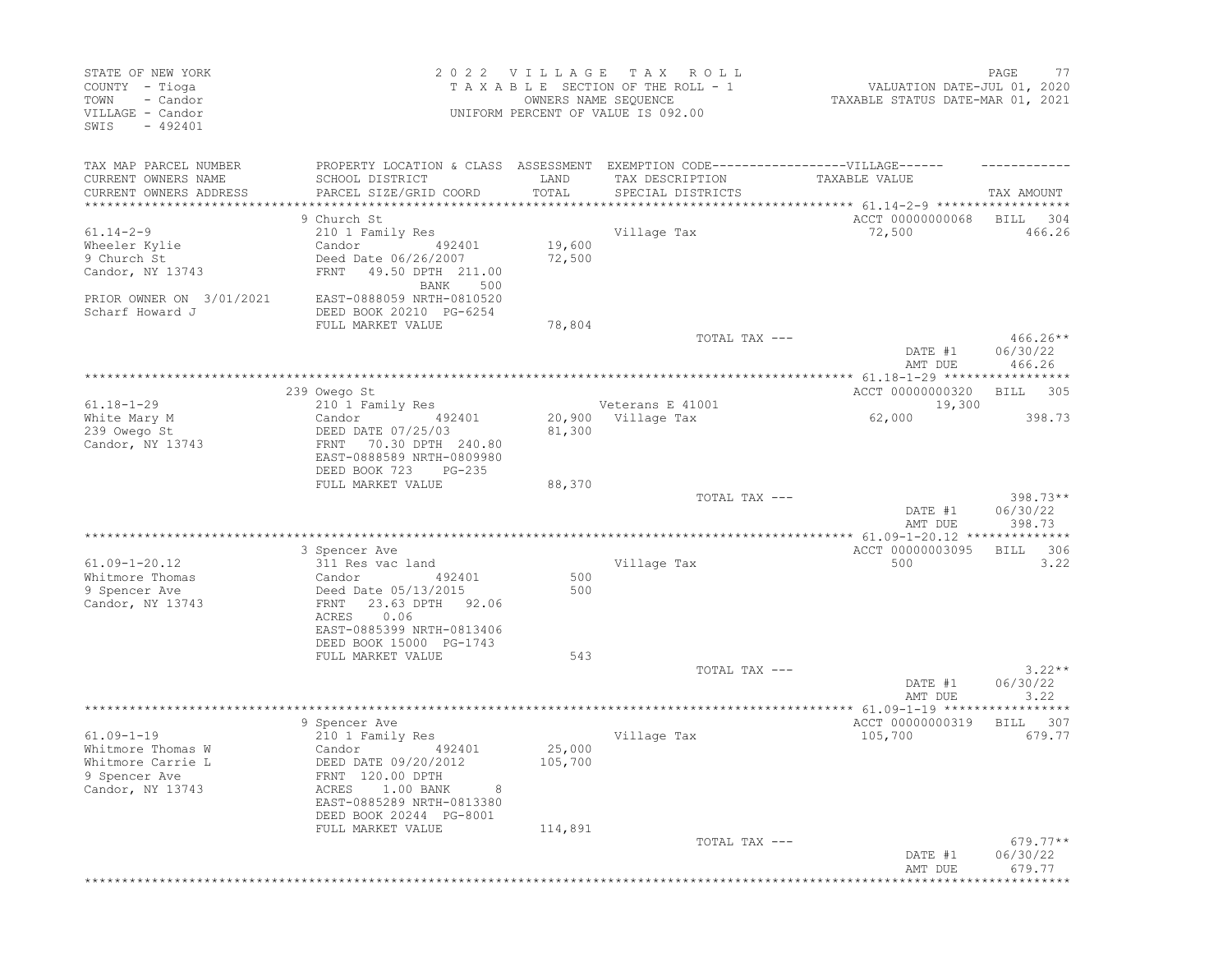| STATE OF NEW YORK<br>COUNTY - Tioga<br>- Candor<br>TOWN<br>VILLAGE - Candor<br>SWIS<br>$-492401$ |                                                                                                                                                           | 2022 VILLAGE                  | T A X<br>R O L L<br>TAXABLE SECTION OF THE ROLL - 1<br>OWNERS NAME SEQUENCE<br>UNIFORM PERCENT OF VALUE IS 092.00 | VALUATION DATE-JUL 01, 2020<br>TAXABLE STATUS DATE-MAR 01, 2021    | PAGE<br>77                       |
|--------------------------------------------------------------------------------------------------|-----------------------------------------------------------------------------------------------------------------------------------------------------------|-------------------------------|-------------------------------------------------------------------------------------------------------------------|--------------------------------------------------------------------|----------------------------------|
| TAX MAP PARCEL NUMBER<br>CURRENT OWNERS NAME<br>CURRENT OWNERS ADDRESS                           | PROPERTY LOCATION & CLASS ASSESSMENT EXEMPTION CODE-----------------VILLAGE------<br>SCHOOL DISTRICT<br>PARCEL SIZE/GRID COORD                            | LAND<br>TOTAL                 | TAX DESCRIPTION<br>SPECIAL DISTRICTS                                                                              | TAXABLE VALUE                                                      | TAX AMOUNT                       |
|                                                                                                  |                                                                                                                                                           | * * * * * * * * * * * * * * * |                                                                                                                   | ************************************* 61.14-2-9 ****************** |                                  |
|                                                                                                  | 9 Church St                                                                                                                                               |                               |                                                                                                                   | ACCT 00000000068                                                   | BILL<br>304                      |
| $61.14 - 2 - 9$                                                                                  | 210 1 Family Res                                                                                                                                          |                               | Village Tax                                                                                                       | 72,500                                                             | 466.26                           |
| Wheeler Kylie<br>9 Church St<br>Candor, NY 13743                                                 | Candor<br>492401<br>Deed Date 06/26/2007<br>49.50 DPTH 211.00<br>FRNT                                                                                     | 19,600<br>72,500              |                                                                                                                   |                                                                    |                                  |
| PRIOR OWNER ON 3/01/2021<br>Scharf Howard J                                                      | BANK<br>500<br>EAST-0888059 NRTH-0810520<br>DEED BOOK 20210 PG-6254                                                                                       |                               |                                                                                                                   |                                                                    |                                  |
|                                                                                                  | FULL MARKET VALUE                                                                                                                                         | 78,804                        |                                                                                                                   |                                                                    |                                  |
|                                                                                                  |                                                                                                                                                           |                               | TOTAL TAX ---                                                                                                     | DATE #1<br>AMT DUE                                                 | $466.26**$<br>06/30/22<br>466.26 |
|                                                                                                  |                                                                                                                                                           |                               |                                                                                                                   |                                                                    |                                  |
|                                                                                                  | 239 Owego St                                                                                                                                              |                               |                                                                                                                   | ACCT 00000000320                                                   | BILL<br>- 305                    |
| $61.18 - 1 - 29$<br>White Mary M                                                                 | 210 1 Family Res                                                                                                                                          |                               | Veterans E 41001<br>20,900 Village Tax                                                                            | 19,300                                                             | 398.73                           |
| 239 Owego St<br>Candor, NY 13743                                                                 | Candor<br>492401<br>DEED DATE 07/25/03<br>70.30 DPTH 240.80<br>FRNT<br>EAST-0888589 NRTH-0809980<br>DEED BOOK 723<br>$PG-235$                             | 81,300                        |                                                                                                                   | 62,000                                                             |                                  |
|                                                                                                  | FULL MARKET VALUE                                                                                                                                         | 88,370                        |                                                                                                                   |                                                                    |                                  |
|                                                                                                  |                                                                                                                                                           |                               | TOTAL TAX ---                                                                                                     | DATE #1<br>AMT DUE                                                 | $398.73**$<br>06/30/22<br>398.73 |
|                                                                                                  | *******************                                                                                                                                       |                               | ***********************                                                                                           | ************ 61.09-1-20.12 ***************                         |                                  |
| $61.09 - 1 - 20.12$<br>Whitmore Thomas<br>9 Spencer Ave<br>Candor, NY 13743                      | 3 Spencer Ave<br>311 Res vac land<br>492401<br>Candor<br>Deed Date 05/13/2015<br>23.63 DPTH<br>FRNT<br>92.06                                              | 500<br>500                    | Village Tax                                                                                                       | ACCT 00000003095<br>500                                            | 306<br>BILL<br>3.22              |
|                                                                                                  | ACRES<br>0.06<br>EAST-0885399 NRTH-0813406<br>DEED BOOK 15000 PG-1743<br>FULL MARKET VALUE                                                                | 543                           |                                                                                                                   |                                                                    |                                  |
|                                                                                                  |                                                                                                                                                           |                               | TOTAL TAX ---                                                                                                     | DATE #1<br>AMT DUE                                                 | $3.22**$<br>06/30/22<br>3.22     |
|                                                                                                  |                                                                                                                                                           |                               |                                                                                                                   | ****************** 61.09-1-19 **********                           |                                  |
| $61.09 - 1 - 19$<br>Whitmore Thomas W<br>Whitmore Carrie L<br>9 Spencer Ave<br>Candor, NY 13743  | 9 Spencer Ave<br>210 1 Family Res<br>Candor<br>492401<br>DEED DATE 09/20/2012<br>FRNT 120.00 DPTH<br>1.00 BANK<br>ACRES<br>8<br>EAST-0885289 NRTH-0813380 | 25,000<br>105,700             | Village Tax                                                                                                       | ACCT 00000000319<br>105,700                                        | 307<br><b>BILL</b><br>679.77     |
|                                                                                                  | DEED BOOK 20244 PG-8001                                                                                                                                   |                               |                                                                                                                   |                                                                    |                                  |
|                                                                                                  | FULL MARKET VALUE                                                                                                                                         | 114,891                       | TOTAL TAX ---                                                                                                     | DATE #1<br>AMT DUE                                                 | $679.77**$<br>06/30/22<br>679.77 |
|                                                                                                  |                                                                                                                                                           |                               |                                                                                                                   | ********************************                                   |                                  |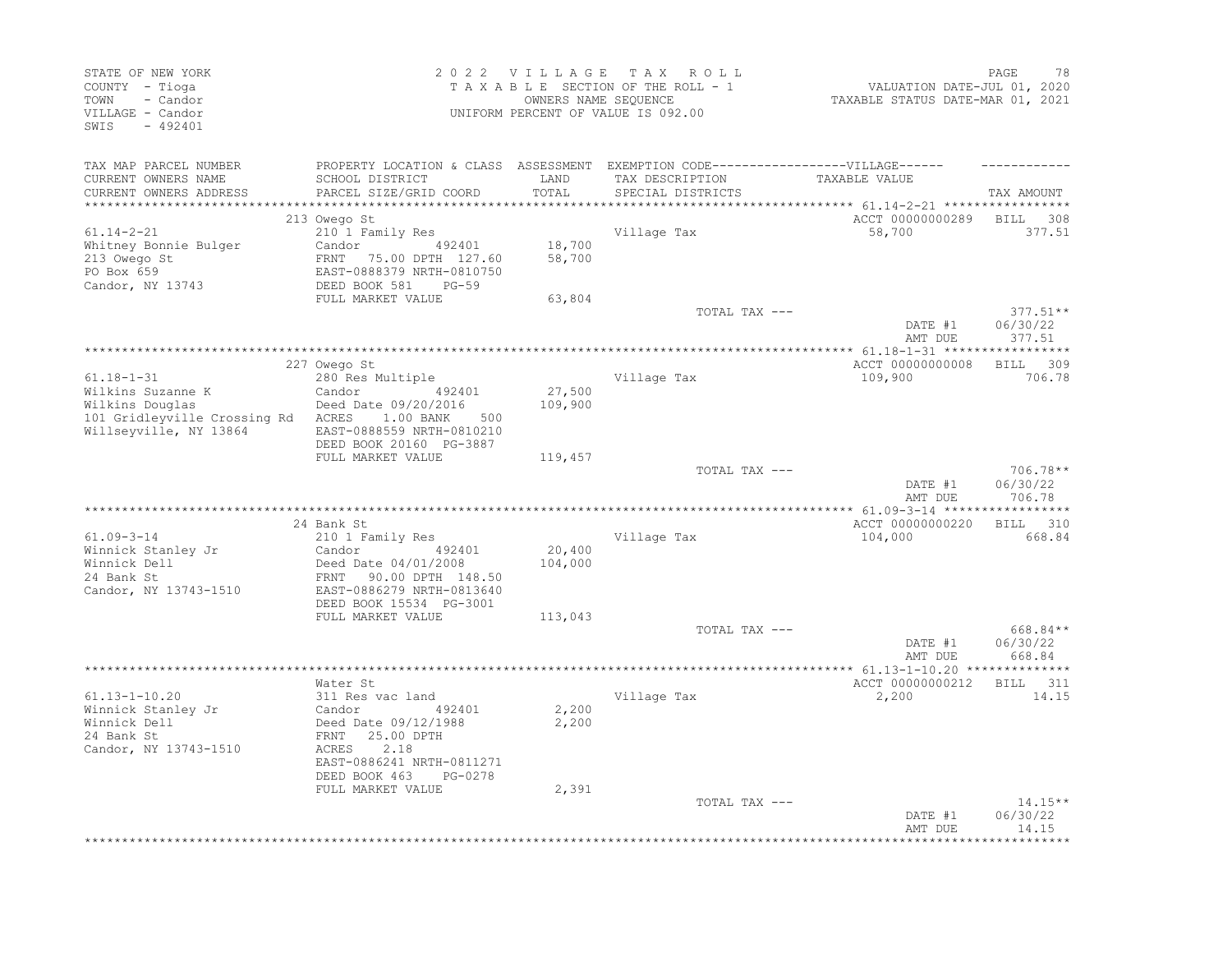| STATE OF NEW YORK<br>COUNTY - Tioga<br>TOWN<br>- Candor<br>VILLAGE - Candor<br>SWIS<br>$-492401$                         |                                                                                                                                                                          | 2022 VILLAGE TAX<br>OWNERS NAME SEQUENCE | ROLL<br>TAXABLE SECTION OF THE ROLL - 1<br>UNIFORM PERCENT OF VALUE IS 092.00                                             | VALUATION DATE-JUL 01, 2020<br>TAXABLE STATUS DATE-MAR 01, 2021 | 78<br>PAGE                       |
|--------------------------------------------------------------------------------------------------------------------------|--------------------------------------------------------------------------------------------------------------------------------------------------------------------------|------------------------------------------|---------------------------------------------------------------------------------------------------------------------------|-----------------------------------------------------------------|----------------------------------|
| TAX MAP PARCEL NUMBER<br>CURRENT OWNERS NAME<br>CURRENT OWNERS ADDRESS<br>***********************                        | SCHOOL DISTRICT<br>PARCEL SIZE/GRID COORD                                                                                                                                | LAND<br>TOTAL                            | PROPERTY LOCATION & CLASS ASSESSMENT EXEMPTION CODE-----------------VILLAGE------<br>TAX DESCRIPTION<br>SPECIAL DISTRICTS | TAXABLE VALUE                                                   | TAX AMOUNT                       |
| $61.14 - 2 - 21$<br>Whitney Bonnie Bulger<br>213 Owego St<br>PO Box 659<br>Candor, NY 13743                              | 213 Owego St<br>210 1 Family Res<br>492401<br>Candor<br>75.00 DPTH 127.60<br>FRNT<br>EAST-0888379 NRTH-0810750<br>DEED BOOK 581<br>$PG-59$                               | 18,700<br>58,700                         | Village Tax                                                                                                               | ACCT 00000000289<br>58,700                                      | <b>BILL</b><br>308<br>377.51     |
|                                                                                                                          | FULL MARKET VALUE                                                                                                                                                        | 63,804                                   | TOTAL TAX ---                                                                                                             | DATE #1<br>AMT DUE                                              | $377.51**$<br>06/30/22<br>377.51 |
| $61.18 - 1 - 31$<br>Wilkins Suzanne K<br>Wilkins Douglas<br>101 Gridleyville Crossing Rd ACRES<br>Willseyville, NY 13864 | 227 Owego St<br>280 Res Multiple<br>Candor 492401<br>Deed Date 09/20/2016<br>1.00 BANK<br>500<br>EAST-0888559 NRTH-0810210<br>DEED BOOK 20160 PG-3887                    | 27,500<br>109,900                        | Village Tax                                                                                                               | ACCT 00000000008<br>109,900                                     | BILL<br>309<br>706.78            |
|                                                                                                                          | FULL MARKET VALUE                                                                                                                                                        | 119,457                                  | TOTAL TAX ---                                                                                                             | DATE #1<br>AMT DUE                                              | 706.78**<br>06/30/22<br>706.78   |
| $61.09 - 3 - 14$<br>Winnick Stanley Jr<br>Winnick Dell<br>24 Bank St<br>Candor, NY 13743-1510                            | 24 Bank St<br>210 1 Family Res<br>Candor<br>492401<br>Deed Date 04/01/2008<br>FRNT 90.00 DPTH 148.50<br>EAST-0886279 NRTH-0813640<br>DEED BOOK 15534 PG-3001             | 20,400<br>104,000                        | Village Tax                                                                                                               | ACCT 00000000220<br>104,000                                     | BILL 310<br>668.84               |
|                                                                                                                          | FULL MARKET VALUE                                                                                                                                                        | 113,043                                  | TOTAL TAX ---                                                                                                             | DATE #1<br>AMT DUE                                              | 668.84**<br>06/30/22<br>668.84   |
|                                                                                                                          |                                                                                                                                                                          |                                          | ************************                                                                                                  | ***** 61.13-1-10.20 ***************                             |                                  |
| $61.13 - 1 - 10.20$<br>Winnick Stanley Jr<br>Winnick Dell<br>24 Bank St<br>Candor, NY 13743-1510                         | Water St<br>311 Res vac land<br>Candor<br>492401<br>Deed Date 09/12/1988<br>FRNT<br>25.00 DPTH<br>2.18<br>ACRES<br>EAST-0886241 NRTH-0811271<br>DEED BOOK 463<br>PG-0278 | 2,200<br>2,200                           | Village Tax                                                                                                               | ACCT 00000000212<br>2,200                                       | BILL 311<br>14.15                |
|                                                                                                                          | FULL MARKET VALUE                                                                                                                                                        | 2,391                                    | TOTAL TAX ---                                                                                                             | DATE #1<br>AMT DUE                                              | $14.15**$<br>06/30/22<br>14.15   |
|                                                                                                                          |                                                                                                                                                                          |                                          |                                                                                                                           |                                                                 |                                  |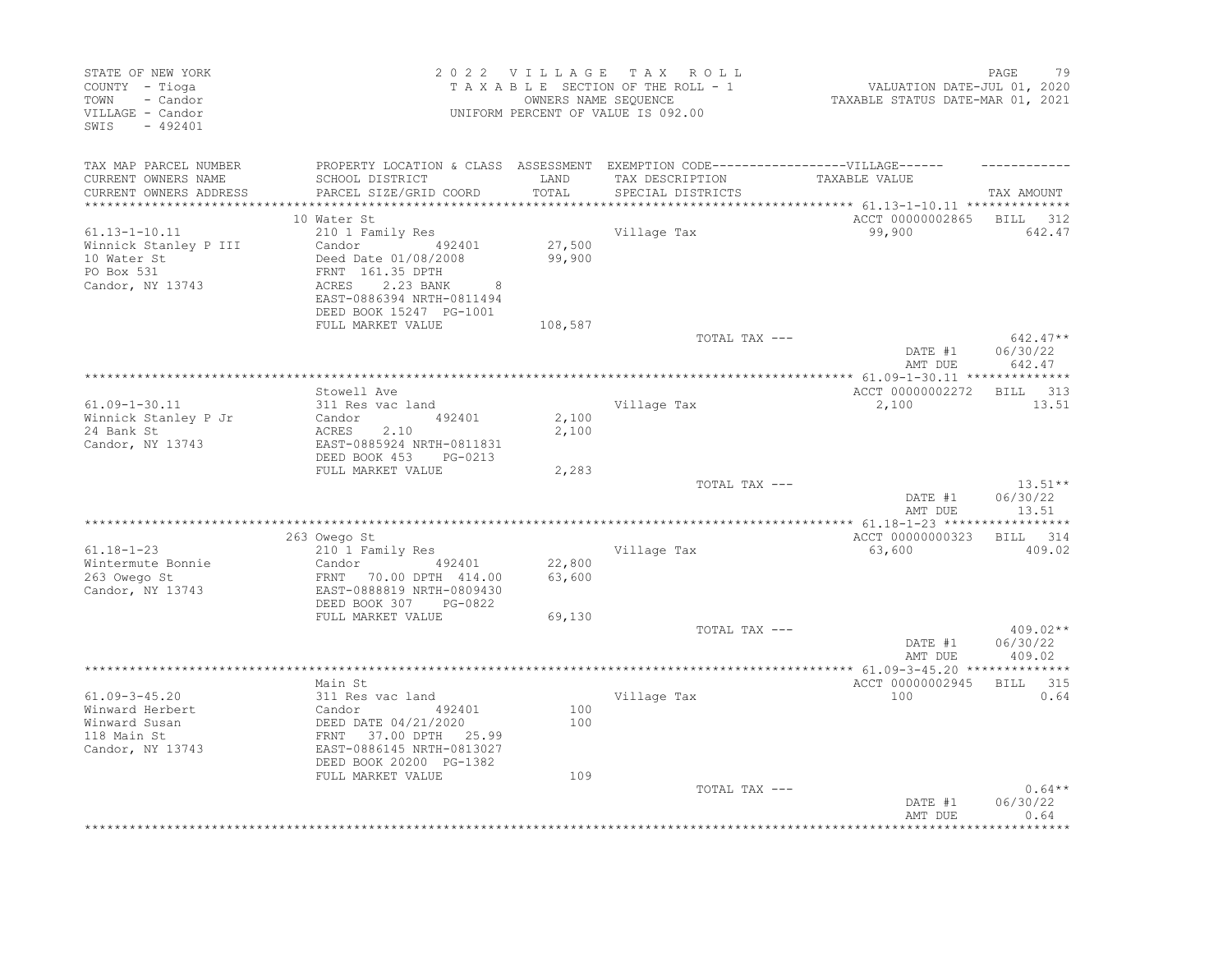| STATE OF NEW YORK<br>COUNTY - Tioga<br>- Candor<br>TOWN<br>VILLAGE - Candor<br>SWIS - 492401  |                                                                                                                                                                            |                            | 2022 VILLAGE TAX ROLL<br>TAXABLE SECTION OF THE ROLL - 1<br>OWNERS NAME SEQUENCE<br>UNIFORM PERCENT OF VALUE IS 092.00    | VALUATION DATE-JUL 01, 2020<br>TAXABLE STATUS DATE-MAR 01, 2021        | PAGE<br>79                              |
|-----------------------------------------------------------------------------------------------|----------------------------------------------------------------------------------------------------------------------------------------------------------------------------|----------------------------|---------------------------------------------------------------------------------------------------------------------------|------------------------------------------------------------------------|-----------------------------------------|
| TAX MAP PARCEL NUMBER<br>CURRENT OWNERS NAME<br>CURRENT OWNERS ADDRESS                        | SCHOOL DISTRICT<br>PARCEL SIZE/GRID COORD                                                                                                                                  | LAND<br>TOTAL              | PROPERTY LOCATION & CLASS ASSESSMENT EXEMPTION CODE-----------------VILLAGE------<br>TAX DESCRIPTION<br>SPECIAL DISTRICTS | TAXABLE VALUE                                                          | TAX AMOUNT                              |
|                                                                                               | 10 Water St                                                                                                                                                                |                            |                                                                                                                           | *********** 61.13-1-10.11 ***************<br>ACCT 00000002865 BILL 312 |                                         |
| $61.13 - 1 - 10.11$<br>Winnick Stanley P III<br>10 Water St<br>PO Box 531<br>Candor, NY 13743 | 210 1 Family Res<br>Candor 492401<br>Deed Date 01/08/2008<br>FRNT 161.35 DPTH<br>ACRES 2.23 BANK<br>2.23 BANK<br>8<br>EAST-0886394 NRTH-0811494<br>DEED BOOK 15247 PG-1001 | 27,500<br>99,900           | Village Tax                                                                                                               | 99,900                                                                 | 642.47                                  |
|                                                                                               | FULL MARKET VALUE                                                                                                                                                          | 108,587                    | TOTAL TAX ---                                                                                                             | DATE #1<br>AMT DUE                                                     | $642.47**$<br>06/30/22<br>642.47        |
|                                                                                               | Stowell Ave                                                                                                                                                                |                            |                                                                                                                           | ACCT 00000002272 BILL 313                                              |                                         |
| $61.09 - 1 - 30.11$<br>Winnick Stanley P Jr<br>24 Bank St<br>Candor, NY 13743                 | 311 Res vac land<br>Candor 492401<br>ACRES 2.10<br>EAST-0885924 NRTH-0811831<br>DEED BOOK 453 PG-0213                                                                      | 2,100<br>2,100             | Village Tax                                                                                                               | 2,100                                                                  | 13.51                                   |
|                                                                                               | FULL MARKET VALUE                                                                                                                                                          | 2,283                      | TOTAL TAX ---                                                                                                             | DATE #1<br>AMT DUE                                                     | $13.51**$<br>06/30/22<br>13.51          |
|                                                                                               | 263 Owego St                                                                                                                                                               |                            |                                                                                                                           | ACCT 00000000323 BILL 314                                              |                                         |
| $61.18 - 1 - 23$<br>Wintermute Bonnie<br>263 Owego St<br>Candor, NY 13743                     | 210 1 Family Res<br>Candor 492401<br>FRNT 70.00 DPTH 414.00<br>EAST-0888819 NRTH-0809430<br>DEED BOOK 307 PG-0822<br>FULL MARKET VALUE                                     | 22,800<br>63,600<br>69,130 | Village Tax                                                                                                               | 63,600                                                                 | 409.02                                  |
|                                                                                               |                                                                                                                                                                            |                            | TOTAL TAX ---                                                                                                             | DATE #1<br>AMT DUE                                                     | $409.02**$<br>06/30/22<br>409.02        |
|                                                                                               |                                                                                                                                                                            |                            |                                                                                                                           |                                                                        |                                         |
| $61.09 - 3 - 45.20$<br>Winward Herbert<br>Winward Susan<br>118 Main St<br>Candor, NY 13743    | Main St<br>311 Res vac land<br>Candor 492401<br>DEED DATE 04/21/2020<br>FRNT 37.00 DPTH 25.99<br>EAST-0886145 NRTH-0813027<br>DEED BOOK 20200 PG-1382                      | 100<br>100                 | Village Tax                                                                                                               | ACCT 00000002945 BILL 315<br>100                                       | 0.64                                    |
|                                                                                               | FULL MARKET VALUE                                                                                                                                                          | 109                        | TOTAL TAX ---                                                                                                             | DATE #1<br>AMT DUE                                                     | $0.64**$<br>06/30/22<br>0.64<br>******* |
|                                                                                               |                                                                                                                                                                            |                            |                                                                                                                           |                                                                        |                                         |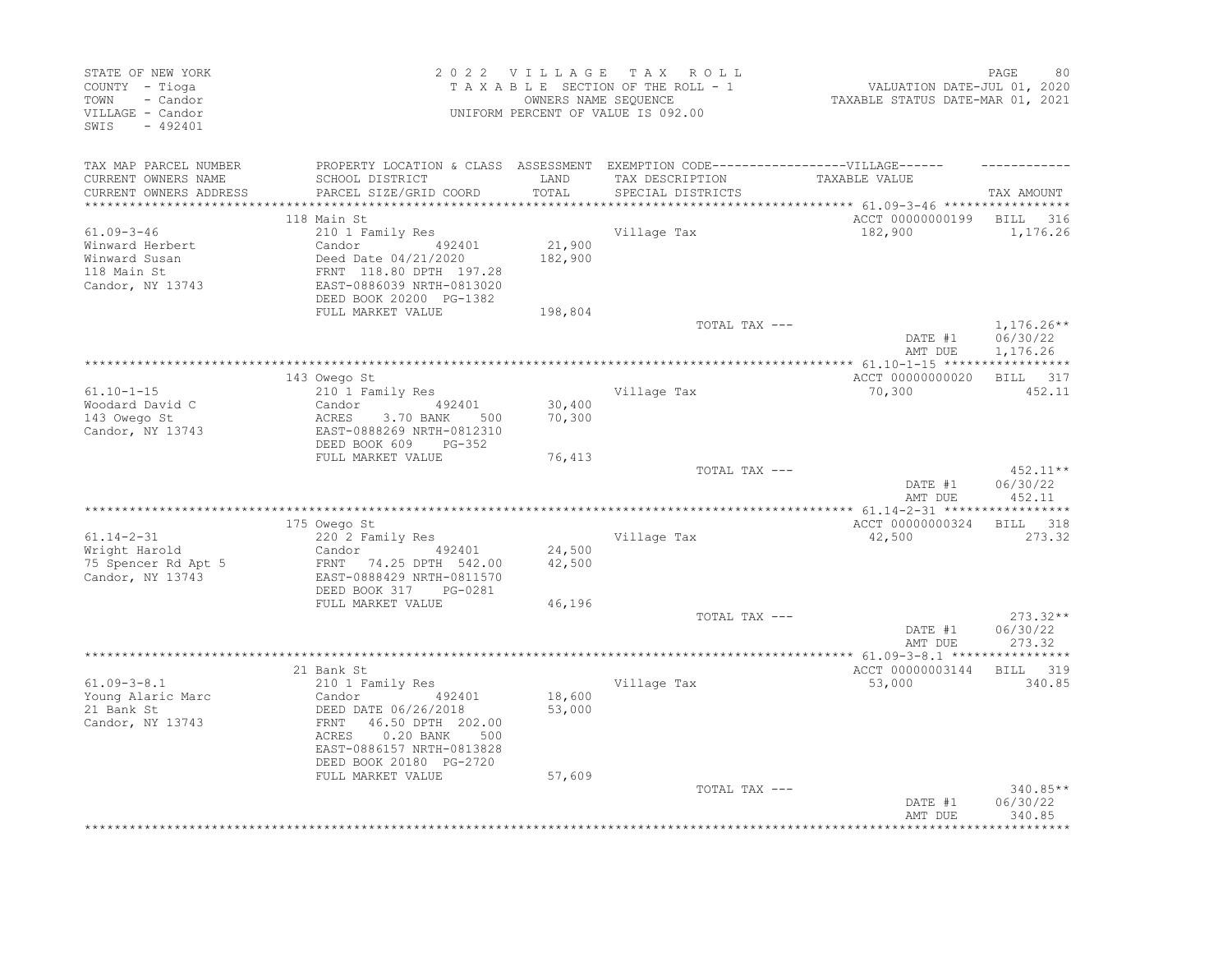| STATE OF NEW YORK<br>COUNTY - Tioga<br>TOWN<br>- Candor<br>VILLAGE - Candor<br>SWIS<br>$-492401$ |                                                                                                                                                                                                |                   | 2022 VILLAGE TAX ROLL<br>TAXABLE SECTION OF THE ROLL - 1<br>OWNERS NAME SEQUENCE<br>UNIFORM PERCENT OF VALUE IS 092.00 | VALUATION DATE-JUL 01, 2020<br>TAXABLE STATUS DATE-MAR 01, 2021 | PAGE<br>80                           |
|--------------------------------------------------------------------------------------------------|------------------------------------------------------------------------------------------------------------------------------------------------------------------------------------------------|-------------------|------------------------------------------------------------------------------------------------------------------------|-----------------------------------------------------------------|--------------------------------------|
| TAX MAP PARCEL NUMBER<br>CURRENT OWNERS NAME<br>CURRENT OWNERS ADDRESS                           | PROPERTY LOCATION & CLASS ASSESSMENT EXEMPTION CODE-----------------VILLAGE------<br>SCHOOL DISTRICT<br>PARCEL SIZE/GRID COORD                                                                 | LAND<br>TOTAL     | TAX DESCRIPTION<br>SPECIAL DISTRICTS                                                                                   | TAXABLE VALUE                                                   | TAX AMOUNT                           |
| ***********************                                                                          |                                                                                                                                                                                                |                   |                                                                                                                        |                                                                 |                                      |
|                                                                                                  | 118 Main St                                                                                                                                                                                    |                   |                                                                                                                        | ACCT 00000000199                                                | 316<br>BILL                          |
| $61.09 - 3 - 46$<br>Winward Herbert<br>Winward Susan<br>118 Main St<br>Candor, NY 13743          | 210 1 Family Res<br>Candor<br>492401<br>Deed Date 04/21/2020<br>FRNT 118.80 DPTH 197.28<br>EAST-0886039 NRTH-0813020                                                                           | 21,900<br>182,900 | Village Tax                                                                                                            | 182,900                                                         | 1,176.26                             |
|                                                                                                  | DEED BOOK 20200 PG-1382<br>FULL MARKET VALUE                                                                                                                                                   | 198,804           |                                                                                                                        |                                                                 |                                      |
|                                                                                                  |                                                                                                                                                                                                |                   | TOTAL TAX ---                                                                                                          | DATE #1<br>AMT DUE                                              | $1,176.26**$<br>06/30/22<br>1,176.26 |
|                                                                                                  |                                                                                                                                                                                                |                   |                                                                                                                        |                                                                 |                                      |
| $61.10 - 1 - 15$<br>Woodard David C<br>143 Owego St<br>Candor, NY 13743                          | 143 Owego St<br>210 1 Family Res<br>492401<br>Candor<br>ACRES<br>3.70 BANK<br>500<br>EAST-0888269 NRTH-0812310<br>DEED BOOK 609<br>PG-352                                                      | 30,400<br>70,300  | Village Tax                                                                                                            | ACCT 00000000020<br>70,300                                      | BILL 317<br>452.11                   |
|                                                                                                  | FULL MARKET VALUE                                                                                                                                                                              | 76,413            | TOTAL TAX ---                                                                                                          | DATE #1<br>AMT DUE                                              | $452.11**$<br>06/30/22<br>452.11     |
|                                                                                                  |                                                                                                                                                                                                |                   |                                                                                                                        |                                                                 |                                      |
|                                                                                                  | 175 Owego St                                                                                                                                                                                   |                   |                                                                                                                        | ACCT 00000000324                                                | BILL<br>318                          |
| $61.14 - 2 - 31$<br>Wright Harold<br>75 Spencer Rd Apt 5<br>Candor, NY 13743                     | 220 2 Family Res<br>Candor<br>492401<br>FRNT 74.25 DPTH 542.00<br>EAST-0888429 NRTH-0811570<br>DEED BOOK 317<br>PG-0281                                                                        | 24,500<br>42,500  | Village Tax                                                                                                            | 42,500                                                          | 273.32                               |
|                                                                                                  | FULL MARKET VALUE                                                                                                                                                                              | 46,196            | TOTAL TAX ---                                                                                                          |                                                                 | $273.32**$                           |
|                                                                                                  |                                                                                                                                                                                                |                   |                                                                                                                        | DATE #1<br>AMT DUE                                              | 06/30/22<br>273.32                   |
|                                                                                                  |                                                                                                                                                                                                |                   |                                                                                                                        |                                                                 |                                      |
| $61.09 - 3 - 8.1$<br>Young Alaric Marc<br>21 Bank St<br>Candor, NY 13743                         | 21 Bank St<br>210 1 Family Res<br>492401<br>Candor<br>DEED DATE 06/26/2018<br>FRNT<br>46.50 DPTH 202.00<br>ACRES<br>$0.20$ BANK<br>500<br>EAST-0886157 NRTH-0813828<br>DEED BOOK 20180 PG-2720 | 18,600<br>53,000  | Village Tax                                                                                                            | ACCT 00000003144<br>53,000                                      | BILL 319<br>340.85                   |
|                                                                                                  | FULL MARKET VALUE                                                                                                                                                                              | 57,609            | TOTAL TAX ---                                                                                                          | DATE #1<br>AMT DUE                                              | 340.85**<br>06/30/22<br>340.85       |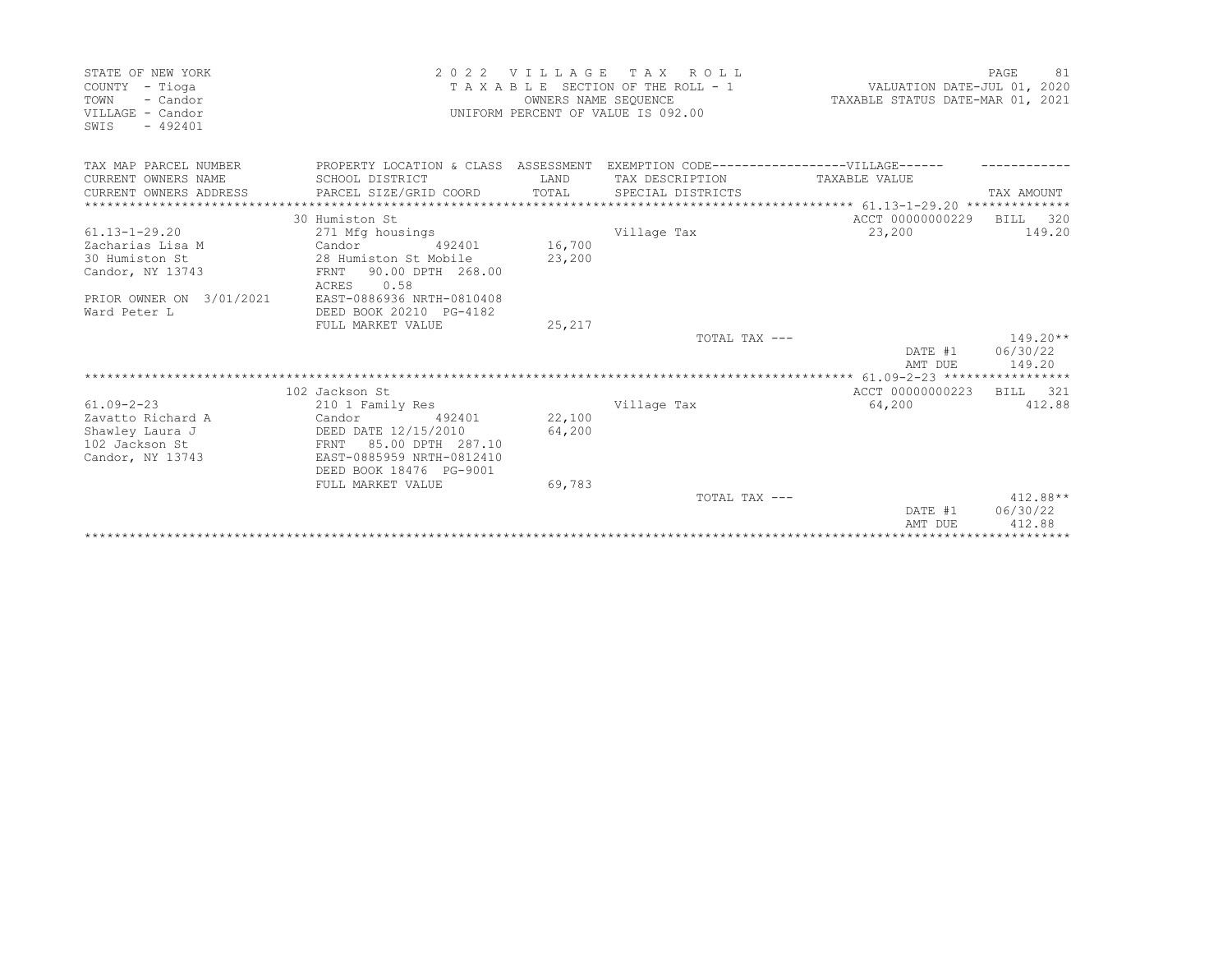| STATE OF NEW YORK<br>COUNTY<br>- Tioga<br>TOWN<br>- Candor<br>VILLAGE - Candor<br>SWIS<br>$-492401$ | 2 0 2 2<br>VILLAGE<br>T A X<br>R O L L<br>TAXABLE SECTION OF THE ROLL - 1<br>OWNERS NAME SEQUENCE<br>UNIFORM PERCENT OF VALUE IS 092.00 |        |                                               | VALUATION DATE-JUL 01, 2020<br>TAXABLE STATUS DATE-MAR 01, 2021 | PAGE<br>81         |
|-----------------------------------------------------------------------------------------------------|-----------------------------------------------------------------------------------------------------------------------------------------|--------|-----------------------------------------------|-----------------------------------------------------------------|--------------------|
| TAX MAP PARCEL NUMBER                                                                               | PROPERTY LOCATION & CLASS ASSESSMENT                                                                                                    |        | EXEMPTION CODE------------------VILLAGE------ |                                                                 |                    |
| CURRENT OWNERS NAME                                                                                 | SCHOOL DISTRICT                                                                                                                         | LAND   | TAX DESCRIPTION                               | TAXABLE VALUE                                                   |                    |
| CURRENT OWNERS ADDRESS                                                                              | PARCEL SIZE/GRID COORD                                                                                                                  | TOTAL  | SPECIAL DISTRICTS                             | ****************** 61.13-1-29.20 **************                 | TAX AMOUNT         |
|                                                                                                     | 30 Humiston St                                                                                                                          |        |                                               | ACCT 00000000229                                                | BILL<br>320        |
| $61.13 - 1 - 29.20$                                                                                 | 271 Mfg housings                                                                                                                        |        | Village Tax                                   | 23,200                                                          | 149.20             |
| Zacharias Lisa M                                                                                    | Candor<br>492401                                                                                                                        | 16,700 |                                               |                                                                 |                    |
| 30 Humiston St                                                                                      | 28 Humiston St Mobile                                                                                                                   | 23,200 |                                               |                                                                 |                    |
| Candor, NY 13743                                                                                    | 90.00 DPTH 268.00<br>FRNT<br>ACRES<br>0.58                                                                                              |        |                                               |                                                                 |                    |
| PRIOR OWNER ON 3/01/2021                                                                            | EAST-0886936 NRTH-0810408                                                                                                               |        |                                               |                                                                 |                    |
| Ward Peter L                                                                                        | DEED BOOK 20210 PG-4182                                                                                                                 |        |                                               |                                                                 |                    |
|                                                                                                     | FULL MARKET VALUE                                                                                                                       | 25,217 |                                               |                                                                 |                    |
|                                                                                                     |                                                                                                                                         |        | TOTAL TAX ---                                 |                                                                 | $149.20**$         |
|                                                                                                     |                                                                                                                                         |        |                                               | DATE #1<br>AMT DUE                                              | 06/30/22<br>149.20 |
|                                                                                                     |                                                                                                                                         |        |                                               |                                                                 |                    |
|                                                                                                     | 102 Jackson St                                                                                                                          |        |                                               | ACCT 00000000223                                                | BTLL<br>321        |
| $61.09 - 2 - 23$                                                                                    | 210 1 Family Res                                                                                                                        |        | Village Tax                                   | 64,200                                                          | 412.88             |
| Zavatto Richard A                                                                                   | Candor<br>492401                                                                                                                        | 22,100 |                                               |                                                                 |                    |
| Shawley Laura J                                                                                     | DEED DATE 12/15/2010                                                                                                                    | 64,200 |                                               |                                                                 |                    |
| 102 Jackson St                                                                                      | 85.00 DPTH 287.10<br>FRNT                                                                                                               |        |                                               |                                                                 |                    |
| Candor, NY 13743                                                                                    | EAST-0885959 NRTH-0812410<br>DEED BOOK 18476 PG-9001                                                                                    |        |                                               |                                                                 |                    |
|                                                                                                     | FULL MARKET VALUE                                                                                                                       | 69,783 |                                               |                                                                 |                    |
|                                                                                                     |                                                                                                                                         |        | TOTAL TAX ---                                 |                                                                 | $412.88**$         |
|                                                                                                     |                                                                                                                                         |        |                                               | DATE #1                                                         | 06/30/22           |
|                                                                                                     |                                                                                                                                         |        |                                               | AMT DUE                                                         | 412.88             |
|                                                                                                     |                                                                                                                                         |        |                                               |                                                                 |                    |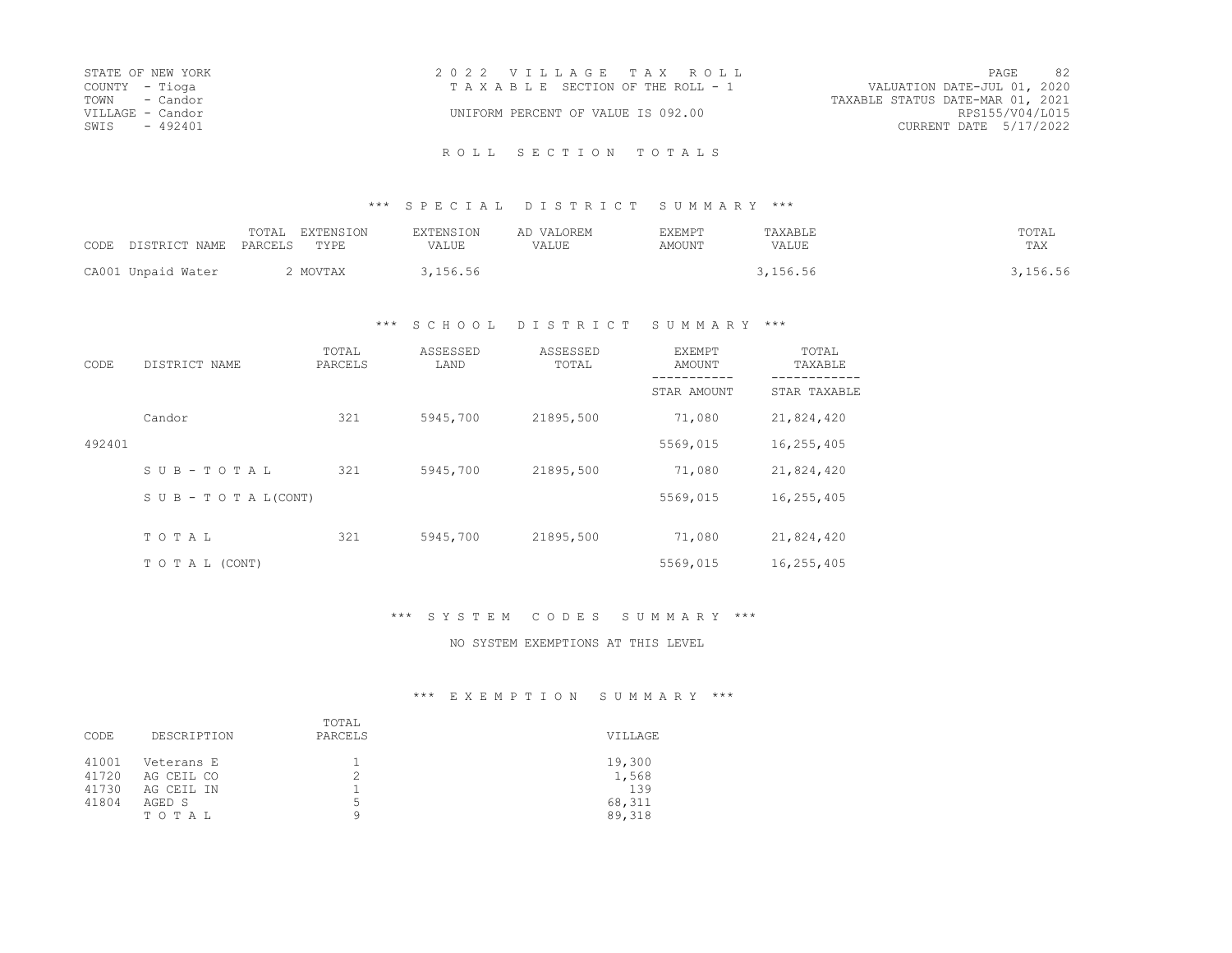| STATE OF NEW YORK | 2022 VILLAGE TAX ROLL<br>PAGE                                  | 82              |
|-------------------|----------------------------------------------------------------|-----------------|
| COUNTY - Tioga    | VALUATION DATE-JUL 01, 2020<br>TAXABLE SECTION OF THE ROLL - 1 |                 |
| TOWN - Candor     | TAXABLE STATUS DATE-MAR 01, 2021                               |                 |
| VILLAGE - Candor  | UNIFORM PERCENT OF VALUE IS 092.00                             | RPS155/V04/L015 |
| SWIS<br>$-492401$ | CURRENT DATE 5/17/2022                                         |                 |

### \*\*\* S P E C I A L D I S T R I C T S U M M A R Y \*\*\*

| CODE DISTRICT NAME | <b>EXTENSION</b><br>TOTAL<br>PARCELS<br><b>TYPE</b> | <b>EXTENSION</b><br>VALUE | AD VALOREM<br>VALUE | EXEMPT<br>AMOUNT | TAXABLE<br>VALUE | TOTAL<br>TAX |
|--------------------|-----------------------------------------------------|---------------------------|---------------------|------------------|------------------|--------------|
| CA001 Unpaid Water | MOVTAX                                              | 3,156.56                  |                     |                  | 3,156.56         | , 156.56     |

## \*\*\* S C H O O L D I S T R I C T S U M M A R Y \*\*\*

| CODE   | DISTRICT NAME                    | TOTAL<br>PARCELS | ASSESSED<br>LAND | ASSESSED<br>TOTAL | <b>EXEMPT</b><br>AMOUNT | TOTAL<br>TAXABLE |
|--------|----------------------------------|------------------|------------------|-------------------|-------------------------|------------------|
|        |                                  |                  |                  |                   | STAR AMOUNT             | STAR TAXABLE     |
|        | Candor                           | 321              | 5945,700         | 21895,500         | 71,080                  | 21,824,420       |
| 492401 |                                  |                  |                  |                   | 5569,015                | 16,255,405       |
|        | SUB-TOTAL                        | 321              | 5945,700         | 21895,500         | 71,080                  | 21,824,420       |
|        | $S \cup B - T \cup T A L (CONT)$ |                  |                  |                   | 5569,015                | 16,255,405       |
|        | TOTAL                            | 321              | 5945,700         | 21895,500         | 71,080                  | 21,824,420       |
|        |                                  |                  |                  |                   |                         |                  |
|        | TO TAL (CONT)                    |                  |                  |                   | 5569,015                | 16,255,405       |

## \*\*\* S Y S T E M C O D E S S U M M A R Y \*\*\*

### NO SYSTEM EXEMPTIONS AT THIS LEVEL

# \*\*\* E X E M P T I O N S U M M A R Y \*\*\*

| CODE                             | DESCRIPTION                                               | TOTAL<br>PARCELS | VILLAGE                                    |
|----------------------------------|-----------------------------------------------------------|------------------|--------------------------------------------|
| 41001<br>41720<br>41730<br>41804 | Veterans E<br>AG CEIL CO<br>AG CEIL IN<br>AGED S<br>TOTAL | 5<br>Q           | 19,300<br>1,568<br>139<br>68,311<br>89,318 |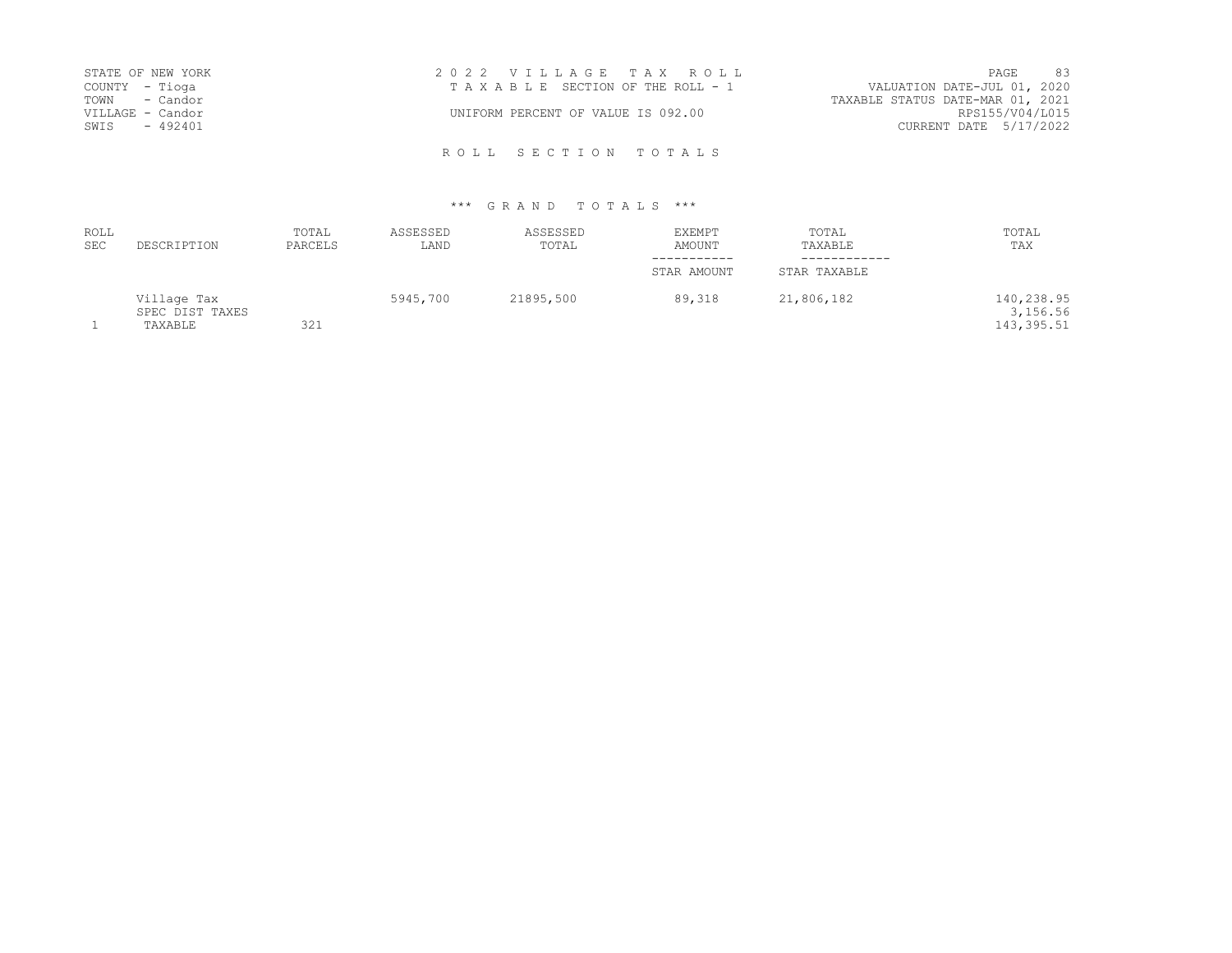|                  | STATE OF NEW YORK | 2022 VILLAGE TAX ROLL              |                                  | PAGE            | 83 |
|------------------|-------------------|------------------------------------|----------------------------------|-----------------|----|
| COUNTY - Tioga   |                   | TAXABLE SECTION OF THE ROLL - 1    | VALUATION DATE-JUL 01, 2020      |                 |    |
| TOWN - Candor    |                   |                                    | TAXABLE STATUS DATE-MAR 01, 2021 |                 |    |
| VILLAGE - Candor |                   | UNIFORM PERCENT OF VALUE IS 092.00 |                                  | RPS155/V04/L015 |    |
| SWIS - 492401    |                   |                                    | CURRENT DATE 5/17/2022           |                 |    |
|                  |                   |                                    |                                  |                 |    |

| <b>ROLL</b><br><b>SEC</b> | DESCRIPTION                               | TOTAL<br>PARCELS | ASSESSED<br>LAND | ASSESSED<br>TOTAL | <b>EXEMPT</b><br>AMOUNT | TOTAL<br>TAXABLE | TOTAL<br>TAX                          |
|---------------------------|-------------------------------------------|------------------|------------------|-------------------|-------------------------|------------------|---------------------------------------|
|                           |                                           |                  |                  |                   |                         |                  |                                       |
|                           |                                           |                  |                  |                   | STAR AMOUNT             | STAR TAXABLE     |                                       |
|                           | Village Tax<br>SPEC DIST TAXES<br>TAXABLE | 321              | 5945,700         | 21895,500         | 89,318                  | 21,806,182       | 140,238.95<br>3,156.56<br>143, 395.51 |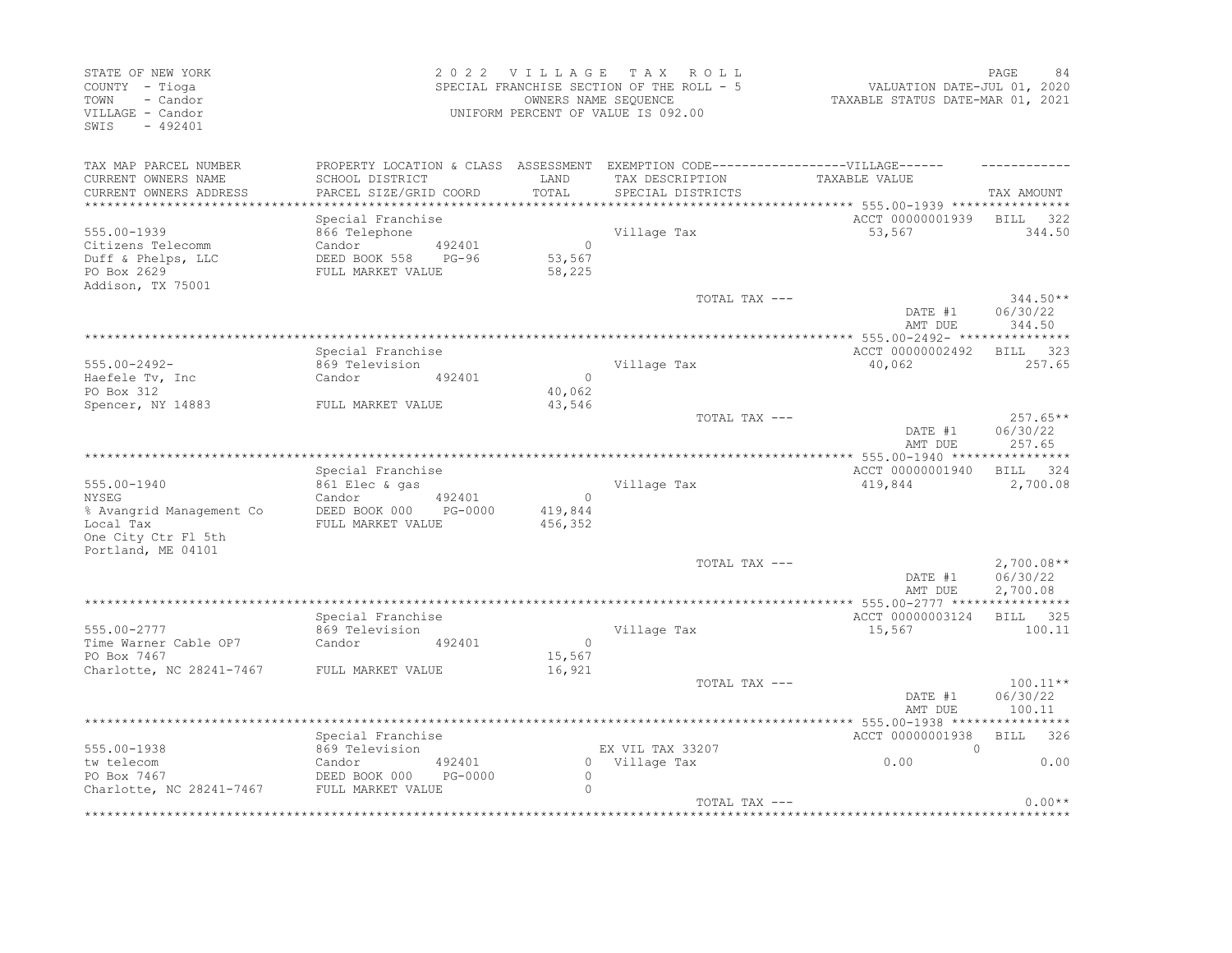| STATE OF NEW YORK<br>COUNTY - Tioga<br>- Candor<br>TOWN<br>VILLAGE - Candor<br>$-492401$<br>SWIS |                                                                                                      |                   | 2022 VILLAGE<br>SPECIAL FRANCHISE SECTION OF THE ROLL - 5<br>OWNERS NAME SEQUENCE<br>UNIFORM PERCENT OF VALUE IS 092.00 | T A X            | R O L L           | VALUATION DATE-JUL 01, 2020<br>TAXABLE STATUS DATE-MAR 01, 2021 | PAGE<br>84             |
|--------------------------------------------------------------------------------------------------|------------------------------------------------------------------------------------------------------|-------------------|-------------------------------------------------------------------------------------------------------------------------|------------------|-------------------|-----------------------------------------------------------------|------------------------|
| TAX MAP PARCEL NUMBER<br>CURRENT OWNERS NAME                                                     | PROPERTY LOCATION & CLASS ASSESSMENT EXEMPTION CODE-----------------VILLAGE------<br>SCHOOL DISTRICT |                   | LAND                                                                                                                    |                  | TAX DESCRIPTION   | TAXABLE VALUE                                                   |                        |
| CURRENT OWNERS ADDRESS                                                                           | PARCEL SIZE/GRID COORD                                                                               |                   | TOTAL                                                                                                                   |                  | SPECIAL DISTRICTS |                                                                 | TAX AMOUNT             |
| ***********************                                                                          | ***************************                                                                          |                   |                                                                                                                         |                  |                   |                                                                 |                        |
| 555.00-1939                                                                                      | Special Franchise<br>866 Telephone                                                                   |                   |                                                                                                                         | Village Tax      |                   | ACCT 00000001939<br>53,567                                      | BILL 322<br>344.50     |
| Citizens Telecomm                                                                                | Candor                                                                                               | 492401            | $\bigcap$                                                                                                               |                  |                   |                                                                 |                        |
| Duff & Phelps, LLC                                                                               | DEED BOOK 558                                                                                        | PG-96             | 53,567                                                                                                                  |                  |                   |                                                                 |                        |
| PO Box 2629                                                                                      | FULL MARKET VALUE                                                                                    |                   | 58,225                                                                                                                  |                  |                   |                                                                 |                        |
| Addison, TX 75001                                                                                |                                                                                                      |                   |                                                                                                                         |                  |                   |                                                                 |                        |
|                                                                                                  |                                                                                                      |                   |                                                                                                                         |                  | TOTAL TAX ---     | DATE #1                                                         | $344.50**$<br>06/30/22 |
|                                                                                                  |                                                                                                      |                   |                                                                                                                         |                  |                   | AMT DUE                                                         | 344.50                 |
|                                                                                                  |                                                                                                      |                   |                                                                                                                         |                  |                   |                                                                 |                        |
|                                                                                                  | Special Franchise                                                                                    |                   |                                                                                                                         |                  |                   | ACCT 00000002492                                                | <b>BILL</b><br>323     |
| $555.00 - 2492 -$                                                                                | 869 Television                                                                                       |                   |                                                                                                                         | Village Tax      |                   | 40,062                                                          | 257.65                 |
| Haefele Tv, Inc<br>PO Box 312                                                                    | Candor                                                                                               | 492401            | $\Omega$<br>40,062                                                                                                      |                  |                   |                                                                 |                        |
| Spencer, NY 14883                                                                                | FULL MARKET VALUE                                                                                    |                   | 43,546                                                                                                                  |                  |                   |                                                                 |                        |
|                                                                                                  |                                                                                                      |                   |                                                                                                                         |                  | TOTAL TAX ---     |                                                                 | $257.65**$             |
|                                                                                                  |                                                                                                      |                   |                                                                                                                         |                  |                   | DATE #1<br>AMT DUE                                              | 06/30/22<br>257.65     |
|                                                                                                  |                                                                                                      |                   |                                                                                                                         |                  |                   |                                                                 |                        |
|                                                                                                  | Special Franchise                                                                                    |                   |                                                                                                                         |                  |                   | ACCT 00000001940                                                | BILL 324               |
| 555.00-1940<br><b>NYSEG</b>                                                                      | 861 Elec & gas<br>Candor                                                                             | 492401            | $\bigcirc$                                                                                                              | Village Tax      |                   | 419,844                                                         | 2,700.08               |
| % Avangrid Management Co                                                                         | DEED BOOK 000 PG-0000                                                                                |                   | 419,844                                                                                                                 |                  |                   |                                                                 |                        |
| Local Tax                                                                                        | FULL MARKET VALUE                                                                                    |                   | 456,352                                                                                                                 |                  |                   |                                                                 |                        |
| One City Ctr Fl 5th                                                                              |                                                                                                      |                   |                                                                                                                         |                  |                   |                                                                 |                        |
| Portland, ME 04101                                                                               |                                                                                                      |                   |                                                                                                                         |                  |                   |                                                                 |                        |
|                                                                                                  |                                                                                                      |                   |                                                                                                                         |                  | TOTAL TAX ---     |                                                                 | $2,700.08**$           |
|                                                                                                  |                                                                                                      |                   |                                                                                                                         |                  |                   | DATE #1<br>AMT DUE                                              | 06/30/22<br>2,700.08   |
|                                                                                                  |                                                                                                      |                   |                                                                                                                         |                  |                   | **** 555.00-2777 *****                                          | **********             |
|                                                                                                  | Special Franchise                                                                                    |                   |                                                                                                                         |                  |                   | ACCT 00000003124                                                | BILL 325               |
| 555.00-2777                                                                                      | 869 Television                                                                                       |                   |                                                                                                                         | Village Tax      |                   | 15,567                                                          | 100.11                 |
| Time Warner Cable OP7                                                                            | Candor                                                                                               | 492401            | $\Omega$                                                                                                                |                  |                   |                                                                 |                        |
| PO Box 7467                                                                                      |                                                                                                      |                   | 15,567                                                                                                                  |                  |                   |                                                                 |                        |
| Charlotte, NC 28241-7467 FULL MARKET VALUE                                                       |                                                                                                      |                   | 16,921                                                                                                                  |                  | TOTAL TAX ---     |                                                                 | $100.11**$             |
|                                                                                                  |                                                                                                      |                   |                                                                                                                         |                  |                   | DATE #1                                                         | 06/30/22               |
|                                                                                                  |                                                                                                      |                   |                                                                                                                         |                  |                   | AMT DUE                                                         | 100.11                 |
|                                                                                                  |                                                                                                      |                   |                                                                                                                         |                  |                   |                                                                 |                        |
|                                                                                                  | Special Franchise                                                                                    |                   |                                                                                                                         |                  |                   | ACCT 00000001938                                                | <b>BILL</b><br>326     |
| 555.00-1938                                                                                      | 869 Television                                                                                       |                   |                                                                                                                         | EX VIL TAX 33207 |                   | $\Omega$                                                        |                        |
| tw telecom<br>PO Box 7467                                                                        | Candor<br>DEED BOOK 000                                                                              | 492401<br>PG-0000 | $\circ$                                                                                                                 | 0 Village Tax    |                   | 0.00                                                            | 0.00                   |
| Charlotte, NC 28241-7467                                                                         | FULL MARKET VALUE                                                                                    |                   | $\bigcap$                                                                                                               |                  |                   |                                                                 |                        |
|                                                                                                  |                                                                                                      |                   |                                                                                                                         |                  | TOTAL TAX ---     |                                                                 | $0.00**$               |
|                                                                                                  |                                                                                                      |                   |                                                                                                                         |                  |                   |                                                                 |                        |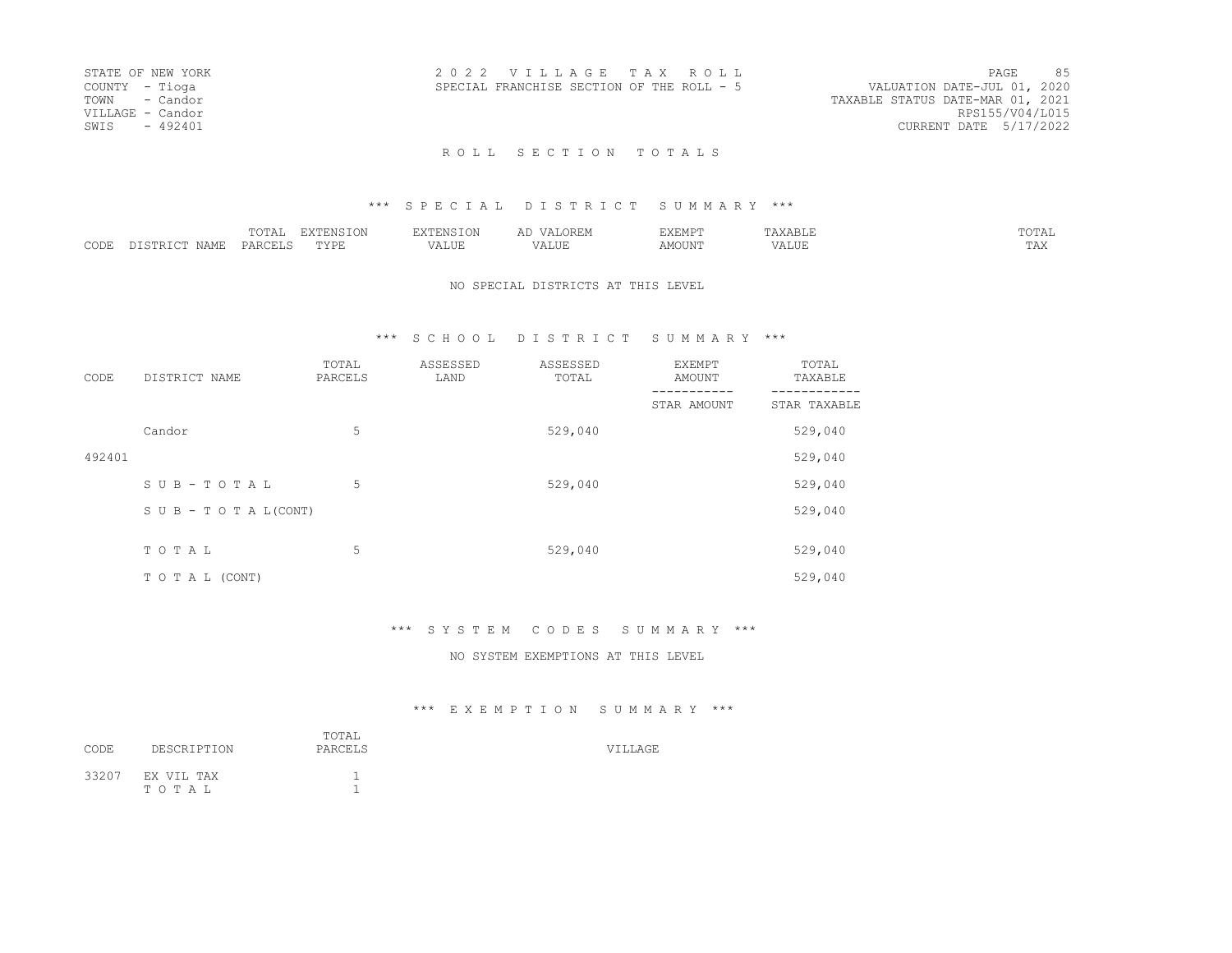| STATE OF NEW YORK | 2022 VILLAGE TAX ROLL                     | PAGE                        | 85 |
|-------------------|-------------------------------------------|-----------------------------|----|
| COUNTY - Tioga    | SPECIAL FRANCHISE SECTION OF THE ROLL - 5 | VALUATION DATE-JUL 01, 2020 |    |
| TOWN - Candor     | TAXABLE STATUS DATE-MAR 01, 2021          |                             |    |
| VILLAGE - Candor  |                                           | RPS155/V04/L015             |    |
| SWIS - 492401     |                                           | CURRENT DATE 5/17/2022      |    |
|                   |                                           |                             |    |

## ROLL SECTION TOTALS

#### \*\*\* S P E C I A L D I S T R I C T S U M M A R Y \*\*\*

|                  |   | $T \cap T$<br>-7777 | ----<br>.     | $ -$              |                 | VEMPT<br>--- |     | $T$ $\cap$ $T$ $T$ $T$<br>. |
|------------------|---|---------------------|---------------|-------------------|-----------------|--------------|-----|-----------------------------|
| $\cap$ DE:<br>ーー | ╌ | $  -$<br>レムト        | <br>$\lambda$ | $- - - -$<br>ALUI | $- + +$<br>ALUI | MOUNT        | --- | $- - -$<br>----             |

#### NO SPECIAL DISTRICTS AT THIS LEVEL

### \*\*\* S C H O O L D I S T R I C T S U M M A R Y \*\*\*

| CODE   | DISTRICT NAME                    | TOTAL<br>PARCELS | ASSESSED<br>LAND | ASSESSED<br>TOTAL | EXEMPT<br>AMOUNT | TOTAL<br>TAXABLE |
|--------|----------------------------------|------------------|------------------|-------------------|------------------|------------------|
|        |                                  |                  |                  |                   | STAR AMOUNT      | STAR TAXABLE     |
|        | Candor                           | 5                |                  | 529,040           |                  | 529,040          |
| 492401 |                                  |                  |                  |                   |                  | 529,040          |
|        | SUB-TOTAL                        | 5                |                  | 529,040           |                  | 529,040          |
|        | $S \cup B - T \cup T A L (CONT)$ |                  |                  |                   |                  | 529,040          |
|        |                                  |                  |                  |                   |                  |                  |
|        | TOTAL                            | 5                |                  | 529,040           |                  | 529,040          |
|        | T O T A L (CONT)                 |                  |                  |                   |                  | 529,040          |

### \*\*\* S Y S T E M C O D E S S U M M A R Y \*\*\*

#### NO SYSTEM EXEMPTIONS AT THIS LEVEL

## \*\*\* E X E M P T I O N S U M M A R Y \*\*\*

| CODE | DESCRIPTION               | TOTAL<br>PARCELS | <b>VILLAGE</b> |
|------|---------------------------|------------------|----------------|
|      | 33207 EX VIL TAX<br>TOTAL |                  |                |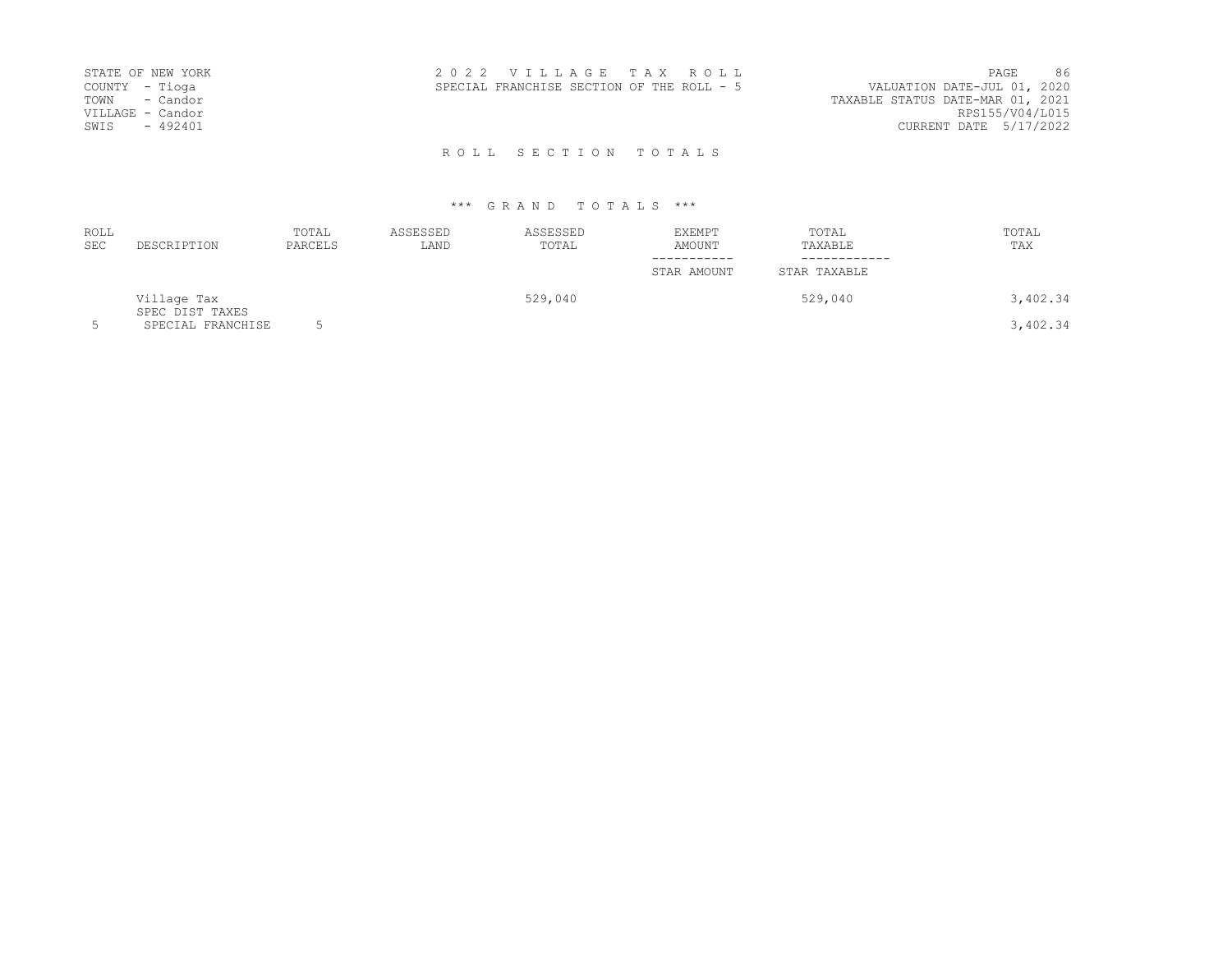| STATE OF NEW YORK<br>COUNTY - Tioga<br>TOWN - Candor<br>VILLAGE - Candor<br>$-492401$<br>SWIS | 2022 VILLAGE TAX ROLL<br>SPECIAL FRANCHISE SECTION OF THE ROLL - 5 | 86<br>PAGE<br>VALUATION DATE-JUL 01, 2020<br>TAXABLE STATUS DATE-MAR 01, 2021<br>RPS155/V04/L015<br>CURRENT DATE 5/17/2022 |
|-----------------------------------------------------------------------------------------------|--------------------------------------------------------------------|----------------------------------------------------------------------------------------------------------------------------|
|                                                                                               | ROLL SECTION TOTALS                                                |                                                                                                                            |

| <b>ROLL</b><br><b>SEC</b> | DESCRIPTION                    | TOTAL<br>PARCELS | ASSESSED<br>LAND | ASSESSED<br>TOTAL | EXEMPT<br>AMOUNT<br>----------- | TOTAL<br>TAXABLE<br>----------- | TOTAL<br>TAX |
|---------------------------|--------------------------------|------------------|------------------|-------------------|---------------------------------|---------------------------------|--------------|
|                           |                                |                  |                  |                   | STAR AMOUNT                     | STAR TAXABLE                    |              |
|                           | Village Tax<br>SPEC DIST TAXES |                  |                  | 529,040           |                                 | 529,040                         | 3,402.34     |
| 5                         | SPECIAL FRANCHISE              |                  |                  |                   |                                 |                                 | 3,402.34     |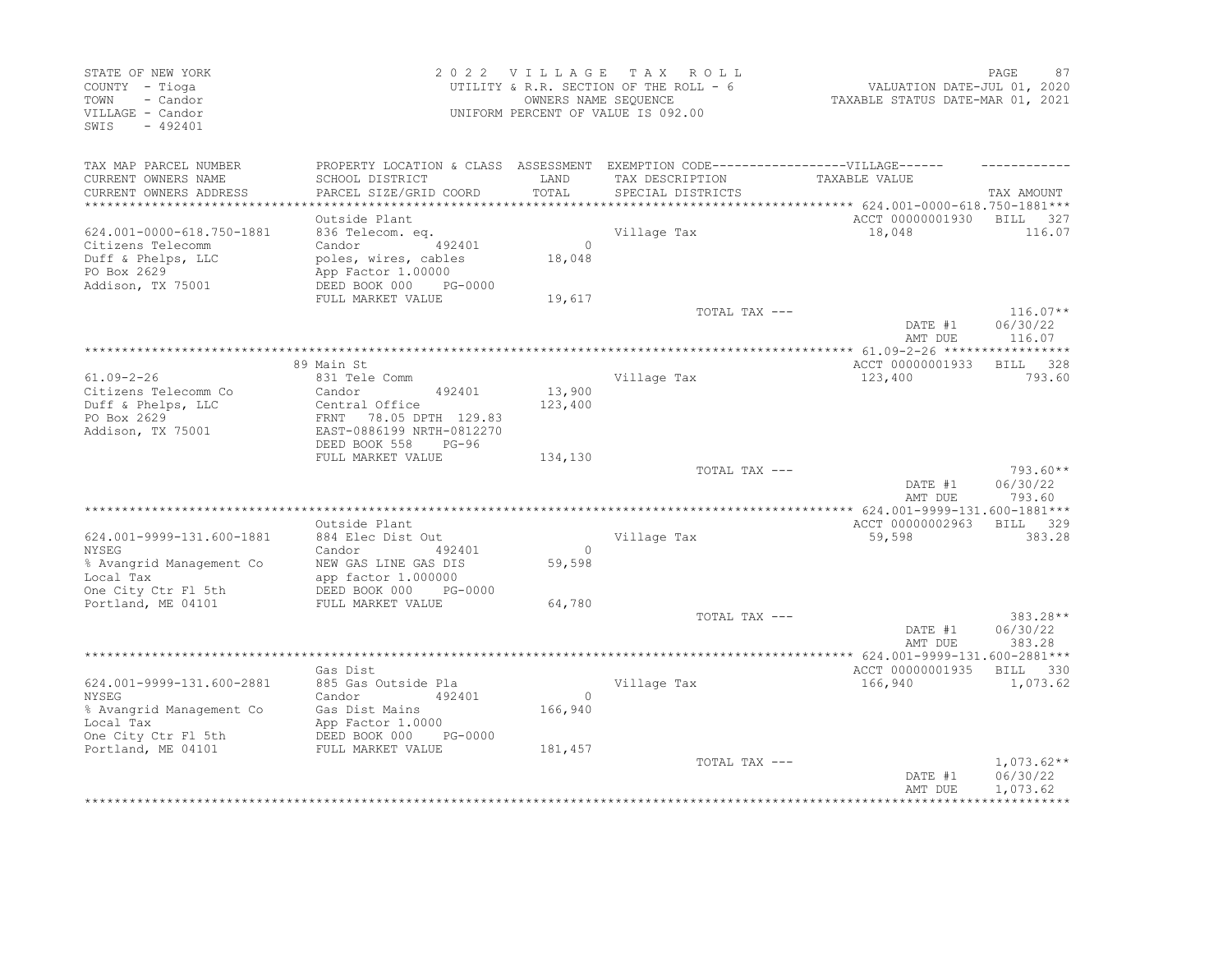| STATE OF NEW YORK<br>COUNTY - Tioga<br>- Candor<br>TOWN<br>VILLAGE - Candor<br>SWTS<br>$-492401$   |                                                                                                                                        |                   | 2022 VILLAGE TAX ROLL<br>UTILITY & R.R. SECTION OF THE ROLL - 6<br>OWNERS NAME SEQUENCE<br>UNIFORM PERCENT OF VALUE IS 092.00 | VALUATION DATE-JUL 01, 2020<br>TAXABLE STATUS DATE-MAR 01, 2021 | PAGE<br>87                           |
|----------------------------------------------------------------------------------------------------|----------------------------------------------------------------------------------------------------------------------------------------|-------------------|-------------------------------------------------------------------------------------------------------------------------------|-----------------------------------------------------------------|--------------------------------------|
| TAX MAP PARCEL NUMBER<br>CURRENT OWNERS NAME<br>CURRENT OWNERS ADDRESS                             | PROPERTY LOCATION & CLASS ASSESSMENT EXEMPTION CODE-----------------VILLAGE------<br>SCHOOL DISTRICT<br>PARCEL SIZE/GRID COORD         | LAND<br>TOTAL     | TAX DESCRIPTION<br>SPECIAL DISTRICTS                                                                                          | TAXABLE VALUE                                                   | TAX AMOUNT                           |
|                                                                                                    | Outside Plant                                                                                                                          |                   |                                                                                                                               | ACCT 00000001930 BILL 327                                       |                                      |
| 624.001-0000-618.750-1881<br>Citizens Telecomm                                                     | 836 Telecom. eq.<br>Candor<br>492401                                                                                                   | $\overline{0}$    | Village Tax                                                                                                                   | 18,048                                                          | 116.07                               |
| Duff & Phelps, LLC<br>PO Box 2629                                                                  | poles, wires, cables<br>App Factor 1.00000                                                                                             | 18,048            |                                                                                                                               |                                                                 |                                      |
| Addison, TX 75001                                                                                  | DEED BOOK 000<br>PG-0000<br>FULL MARKET VALUE                                                                                          | 19,617            |                                                                                                                               |                                                                 |                                      |
|                                                                                                    |                                                                                                                                        |                   | TOTAL TAX ---                                                                                                                 | DATE #1<br>AMT DUE                                              | $116.07**$<br>06/30/22<br>116.07     |
|                                                                                                    |                                                                                                                                        |                   |                                                                                                                               |                                                                 |                                      |
|                                                                                                    | 89 Main St                                                                                                                             |                   |                                                                                                                               | ACCT 00000001933                                                | BILL 328                             |
| $61.09 - 2 - 26$<br>Citizens Telecomm Co<br>Duff & Phelps, LLC<br>PO Box 2629<br>Addison, TX 75001 | 831 Tele Comm<br>492401<br>Candor<br>Central Office<br>FRNT 78.05 DPTH 129.83<br>EAST-0886199 NRTH-0812270<br>DEED BOOK 558<br>$PG-96$ | 13,900<br>123,400 | Village Tax                                                                                                                   | 123,400                                                         | 793.60                               |
|                                                                                                    | FULL MARKET VALUE                                                                                                                      | 134,130           |                                                                                                                               |                                                                 |                                      |
|                                                                                                    |                                                                                                                                        |                   | TOTAL TAX ---                                                                                                                 | DATE #1<br>AMT DUE                                              | $793.60**$<br>06/30/22<br>793.60     |
|                                                                                                    |                                                                                                                                        |                   |                                                                                                                               |                                                                 |                                      |
| 624.001-9999-131.600-1881<br><b>NYSEG</b>                                                          | Outside Plant<br>884 Elec Dist Out<br>Candor<br>492401                                                                                 | $\Omega$          | Village Tax                                                                                                                   | ACCT 00000002963<br>59,598                                      | BILL 329<br>383.28                   |
| % Avangrid Management Co<br>Local Tax<br>One City Ctr Fl 5th                                       | NEW GAS LINE GAS DIS<br>app factor 1.000000<br>DEED BOOK 000<br>PG-0000                                                                | 59,598            |                                                                                                                               |                                                                 |                                      |
| Portland, ME 04101                                                                                 | FULL MARKET VALUE                                                                                                                      | 64,780            |                                                                                                                               |                                                                 |                                      |
|                                                                                                    |                                                                                                                                        |                   | TOTAL TAX ---                                                                                                                 | DATE #1<br>AMT DUE                                              | 383.28**<br>06/30/22<br>383.28       |
|                                                                                                    |                                                                                                                                        |                   |                                                                                                                               |                                                                 |                                      |
| 624.001-9999-131.600-2881<br><b>NYSEG</b>                                                          | Gas Dist<br>885 Gas Outside Pla<br>Candor<br>492401                                                                                    | $\overline{0}$    | Village Tax                                                                                                                   | ACCT 00000001935 BILL 330<br>166,940                            | 1,073.62                             |
| % Avangrid Management Co<br>Local Tax<br>One City Ctr Fl 5th                                       | Gas Dist Muller<br>App Factor 1.0000<br>- DOOK 000 J<br>DEED BOOK 000<br>PG-0000                                                       | 166,940           |                                                                                                                               |                                                                 |                                      |
| Portland, ME 04101                                                                                 | FULL MARKET VALUE                                                                                                                      | 181,457           |                                                                                                                               |                                                                 |                                      |
|                                                                                                    |                                                                                                                                        |                   | TOTAL TAX ---                                                                                                                 | DATE #1<br>AMT DUE                                              | $1,073.62**$<br>06/30/22<br>1,073.62 |
|                                                                                                    |                                                                                                                                        |                   |                                                                                                                               |                                                                 |                                      |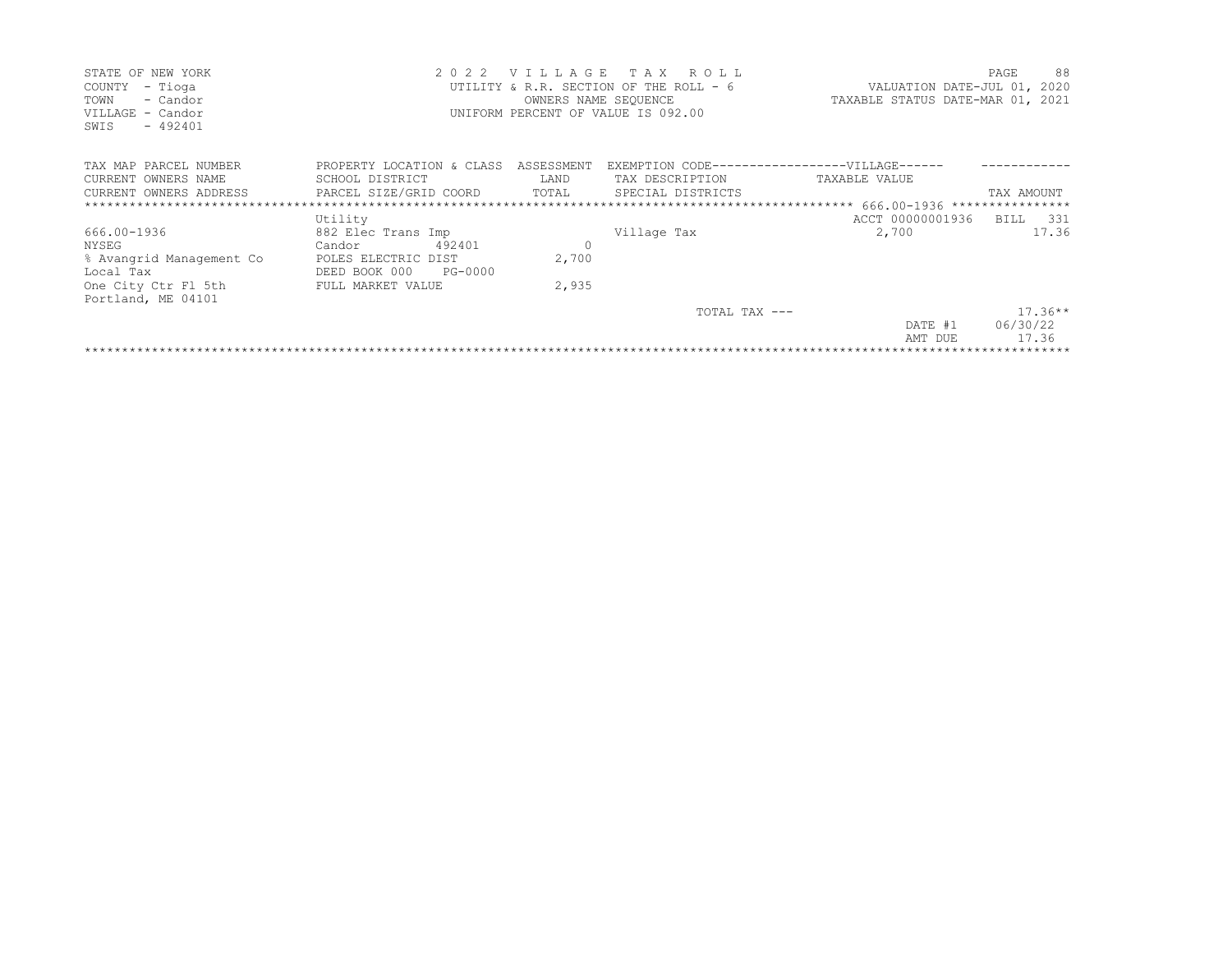| STATE OF NEW YORK<br>- Tioga<br>COUNTY<br>TOWN<br>- Candor<br>VILLAGE - Candor<br>$-492401$<br>SWIS                             | 2 0 2 2                                                                                                        | <b>VILLAGE</b><br>OWNERS NAME SEQUENCE | TAX ROLL<br>UTILITY & R.R. SECTION OF THE ROLL - 6<br>UNIFORM PERCENT OF VALUE IS 092.00 | VALUATION DATE-JUL 01, 2020<br>TAXABLE STATUS DATE-MAR 01, 2021 | 88<br>PAGE                     |
|---------------------------------------------------------------------------------------------------------------------------------|----------------------------------------------------------------------------------------------------------------|----------------------------------------|------------------------------------------------------------------------------------------|-----------------------------------------------------------------|--------------------------------|
| TAX MAP PARCEL NUMBER<br>CURRENT OWNERS NAME<br>CURRENT OWNERS ADDRESS PARCEL SIZE/GRID COORD<br>****************************** | PROPERTY LOCATION & CLASS ASSESSMENT<br>SCHOOL DISTRICT                                                        | LAND<br>TOTAL                          | EXEMPTION CODE------------------VILLAGE------<br>TAX DESCRIPTION<br>SPECIAL DISTRICTS    | TAXABLE VALUE                                                   | TAX AMOUNT                     |
|                                                                                                                                 | Utility                                                                                                        |                                        |                                                                                          | ACCT 00000001936 BILL 331                                       |                                |
| 666.00-1936<br>NYSEG<br>% Avangrid Management Co<br>Local Tax<br>One City Ctr Fl 5th<br>Portland, ME 04101                      | 882 Elec Trans Imp<br>492401<br>Candor<br>POLES ELECTRIC DIST<br>DEED BOOK 000<br>PG-0000<br>FULL MARKET VALUE | $\circ$<br>2,700<br>2,935              | Village Tax                                                                              | 2,700                                                           | 17.36                          |
|                                                                                                                                 |                                                                                                                |                                        | TOTAL TAX ---                                                                            | DATE #1<br>AMT DUE                                              | $17.36**$<br>06/30/22<br>17.36 |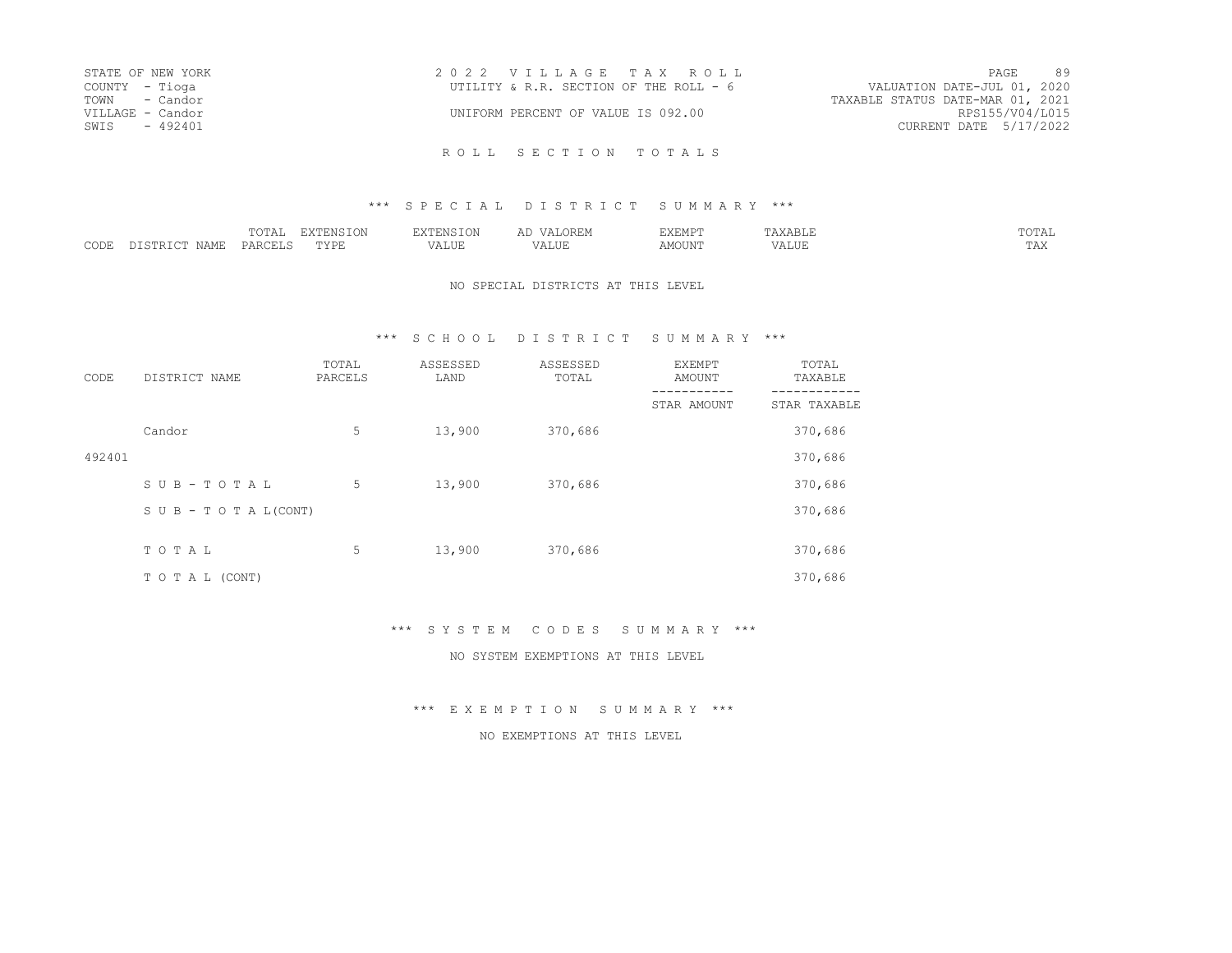| STATE OF NEW YORK | 2022 VILLAGE TAX ROLL                  | PAGE                             | 89              |
|-------------------|----------------------------------------|----------------------------------|-----------------|
| COUNTY - Tioga    | UTILITY & R.R. SECTION OF THE ROLL - 6 | VALUATION DATE-JUL 01, 2020      |                 |
| TOWN - Candor     |                                        | TAXABLE STATUS DATE-MAR 01, 2021 |                 |
| VILLAGE - Candor  | UNIFORM PERCENT OF VALUE IS 092.00     |                                  | RPS155/V04/L015 |
| SWIS - 492401     |                                        | CURRENT DATE 5/17/2022           |                 |
|                   |                                        |                                  |                 |

ROLL SECTION TOTALS

#### \*\*\* S P E C I A L D I S T R I C T S U M M A R Y \*\*\*

|               |      | ----<br>$\overline{\phantom{a}}$<br>----- | ----<br>TAN<br>.  | - 111                  |           | .FMP"<br>-------                |                           | ----           |
|---------------|------|-------------------------------------------|-------------------|------------------------|-----------|---------------------------------|---------------------------|----------------|
| CDDE<br>-JULL | í∆MF | DAD                                       | -----<br>◡<br>--- | $- - - - - -$<br>'ALUE | $- - - -$ | MOTIN <sup>r</sup><br>1 U U L V | <b>***</b> * ***<br>7ALUE | $- - -$<br>--- |

#### NO SPECIAL DISTRICTS AT THIS LEVEL

### \*\*\* S C H O O L D I S T R I C T S U M M A R Y \*\*\*

| CODE   | DISTRICT NAME      | TOTAL<br>PARCELS | ASSESSED<br>LAND | ASSESSED<br>TOTAL | EXEMPT<br>AMOUNT | TOTAL<br>TAXABLE |
|--------|--------------------|------------------|------------------|-------------------|------------------|------------------|
|        |                    |                  |                  |                   | STAR AMOUNT      | STAR TAXABLE     |
|        | Candor             | 5                | 13,900           | 370,686           |                  | 370,686          |
| 492401 |                    |                  |                  |                   |                  | 370,686          |
|        | SUB-TOTAL          | 5                | 13,900           | 370,686           |                  | 370,686          |
|        | SUB - TO TAL(CONT) |                  |                  |                   |                  | 370,686          |
|        | TOTAL              | 5                | 13,900           | 370,686           |                  | 370,686          |
|        |                    |                  |                  |                   |                  |                  |
|        | TO TAL (CONT)      |                  |                  |                   |                  | 370,686          |

\*\*\* S Y S T E M C O D E S S U M M A R Y \*\*\*

NO SYSTEM EXEMPTIONS AT THIS LEVEL

\*\*\* E X E M P T I O N S U M M A R Y \*\*\*

#### NO EXEMPTIONS AT THIS LEVEL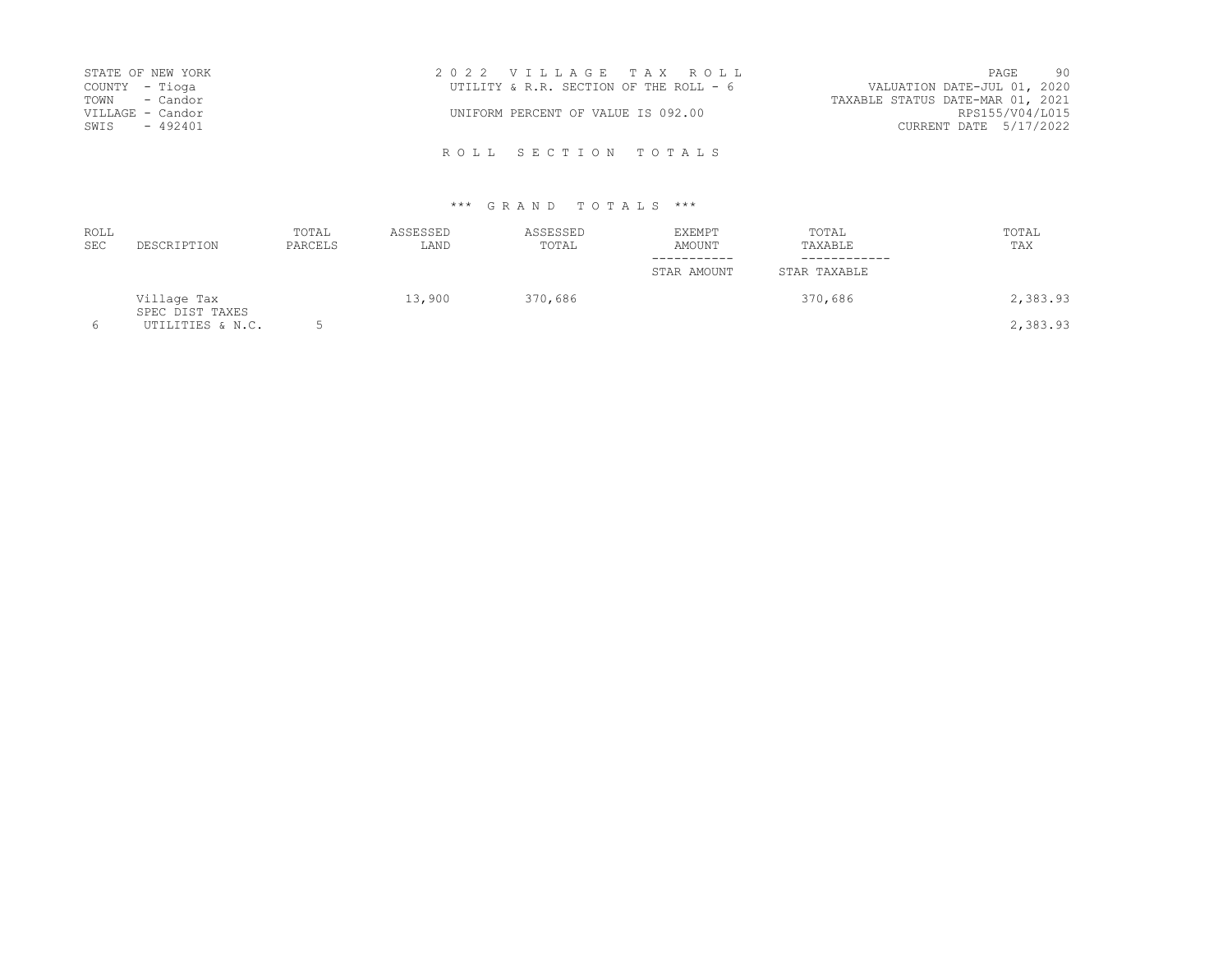| STATE OF NEW YORK | 2022 VILLAGE TAX ROLL                  |                                  |                        | PAGE | 90 |
|-------------------|----------------------------------------|----------------------------------|------------------------|------|----|
| COUNTY - Tioga    | UTILITY & R.R. SECTION OF THE ROLL - 6 | VALUATION DATE-JUL 01, 2020      |                        |      |    |
| TOWN - Candor     |                                        | TAXABLE STATUS DATE-MAR 01, 2021 |                        |      |    |
| VILLAGE - Candor  | UNIFORM PERCENT OF VALUE IS 092.00     |                                  | RPS155/V04/L015        |      |    |
| SWIS - 492401     |                                        |                                  | CURRENT DATE 5/17/2022 |      |    |
|                   |                                        |                                  |                        |      |    |

| <b>ROLL</b><br><b>SEC</b> | DESCRIPTION                    | TOTAL<br>PARCELS | ASSESSED<br>LAND | ASSESSED<br>TOTAL | EXEMPT<br>AMOUNT | TOTAL<br>TAXABLE | TOTAL<br>TAX |
|---------------------------|--------------------------------|------------------|------------------|-------------------|------------------|------------------|--------------|
|                           |                                |                  |                  |                   | STAR AMOUNT      | STAR TAXABLE     |              |
|                           | Village Tax<br>SPEC DIST TAXES |                  | 13,900           | 370,686           |                  | 370,686          | 2,383.93     |
| 6                         | UTILITIES & N.C.               |                  |                  |                   |                  |                  | 2,383.93     |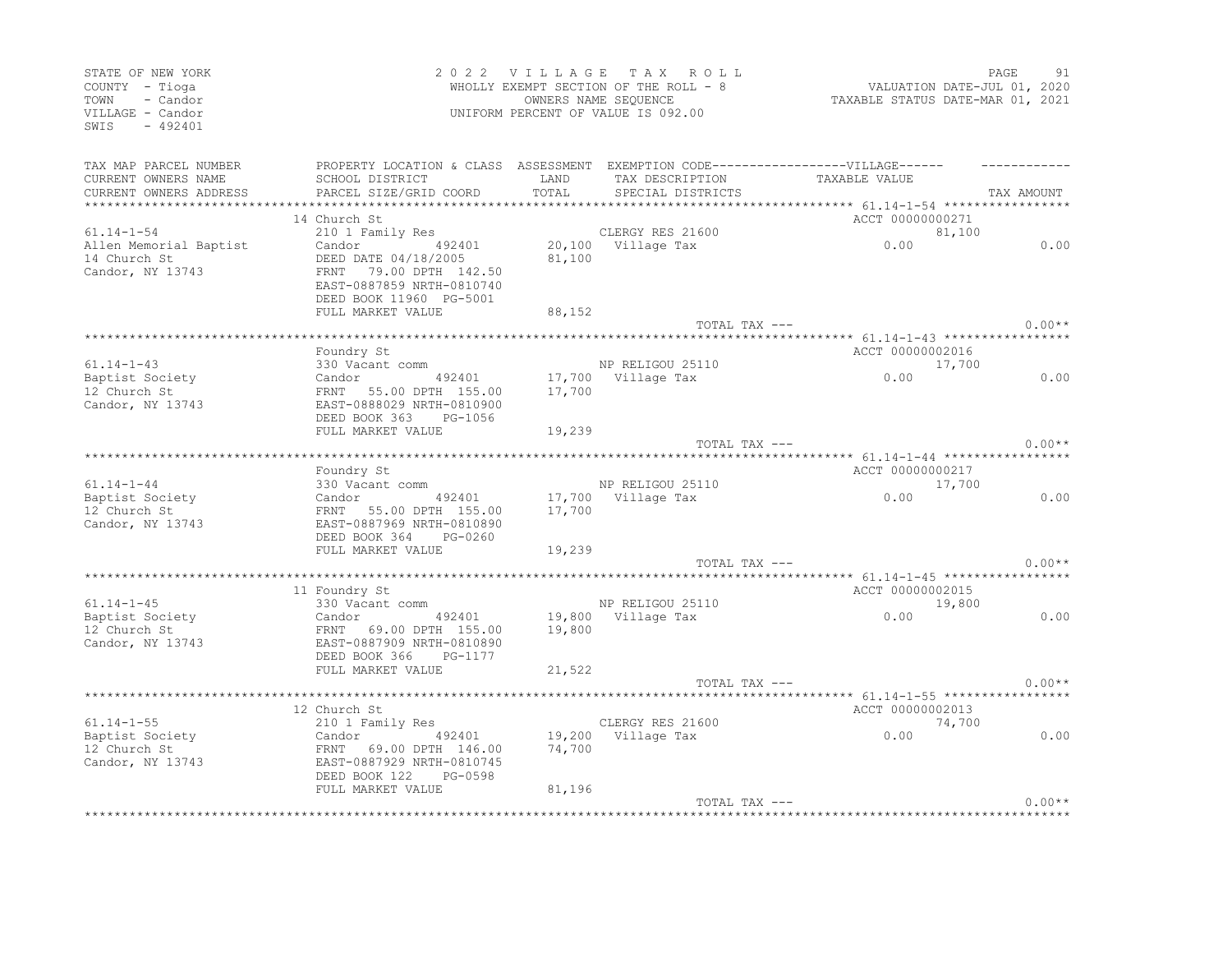| STATE OF NEW YORK<br>COUNTY - Tioga<br>- Candor<br>TOWN<br>VILLAGE - Candor<br>SWIS<br>$-492401$ |                                                                                         |        | 2022 VILLAGE TAX ROLL<br>WHOLLY EXEMPT SECTION OF THE ROLL - 8<br>UWNERS NAME SEQUENCE<br>UNIFORM PERCENT OF VALUE IS 092.00 | VALUATION DATE-JUL 01, 2020<br>TAXABLE STATUS DATE-MAR 01, 2021 | PAGE       | 91       |
|--------------------------------------------------------------------------------------------------|-----------------------------------------------------------------------------------------|--------|------------------------------------------------------------------------------------------------------------------------------|-----------------------------------------------------------------|------------|----------|
| TAX MAP PARCEL NUMBER                                                                            | PROPERTY LOCATION & CLASS ASSESSMENT EXEMPTION CODE-----------------VILLAGE------       |        |                                                                                                                              |                                                                 |            |          |
| CURRENT OWNERS NAME                                                                              | SCHOOL DISTRICT                                                                         | LAND   | TAX DESCRIPTION                                                                                                              | TAXABLE VALUE                                                   |            |          |
| CURRENT OWNERS ADDRESS                                                                           | PARCEL SIZE/GRID COORD                                                                  | TOTAL  | SPECIAL DISTRICTS                                                                                                            |                                                                 | TAX AMOUNT |          |
|                                                                                                  | 14 Church St                                                                            |        |                                                                                                                              | ACCT 00000000271                                                |            |          |
| $61.14 - 1 - 54$                                                                                 | 210 1 Family Res                                                                        |        | CLERGY RES 21600                                                                                                             |                                                                 | 81,100     |          |
| Allen Memorial Baptist                                                                           | 492401<br>Candor                                                                        |        | 20,100 Village Tax                                                                                                           | 0.00                                                            |            | 0.00     |
| 14 Church St<br>Candor, NY 13743                                                                 | DEED DATE 04/18/2005                                                                    | 81,100 |                                                                                                                              |                                                                 |            |          |
|                                                                                                  | FRNT 79.00 DPTH 142.50                                                                  |        |                                                                                                                              |                                                                 |            |          |
|                                                                                                  | EAST-0887859 NRTH-0810740                                                               |        |                                                                                                                              |                                                                 |            |          |
|                                                                                                  | DEED BOOK 11960 PG-5001<br>FULL MARKET VALUE                                            |        |                                                                                                                              |                                                                 |            |          |
|                                                                                                  |                                                                                         | 88,152 | TOTAL TAX ---                                                                                                                |                                                                 |            | $0.00**$ |
|                                                                                                  |                                                                                         |        |                                                                                                                              |                                                                 |            |          |
|                                                                                                  | Foundry St                                                                              |        |                                                                                                                              | ACCT 00000002016                                                |            |          |
| $61.14 - 1 - 43$                                                                                 | 330 Vacant comm                                                                         |        | NP RELIGOU 25110                                                                                                             |                                                                 | 17,700     |          |
| Baptist Society                                                                                  |                                                                                         |        | 17,700 Village Tax                                                                                                           | 0.00                                                            |            | 0.00     |
| 12 Church St                                                                                     | Candor - 192401<br>FRNT 55.00 DPTH 155.00<br>EAST-0888029_NRTH-0810900                  | 17,700 |                                                                                                                              |                                                                 |            |          |
| Candor, NY 13743                                                                                 |                                                                                         |        |                                                                                                                              |                                                                 |            |          |
|                                                                                                  | DEED BOOK 363 PG-1056<br>FULL MARKET VALUE                                              |        |                                                                                                                              |                                                                 |            |          |
|                                                                                                  |                                                                                         | 19,239 | TOTAL TAX ---                                                                                                                |                                                                 |            | $0.00**$ |
|                                                                                                  |                                                                                         |        |                                                                                                                              | *********** 61.14-1-44 ******************                       |            |          |
|                                                                                                  | Foundry St                                                                              |        |                                                                                                                              | ACCT 00000000217                                                |            |          |
| $61.14 - 1 - 44$                                                                                 |                                                                                         |        | NP RELIGOU 25110                                                                                                             | 0.00                                                            | 17,700     |          |
| Baptist Society<br>12 Church St                                                                  |                                                                                         |        | 17,700 Village Tax                                                                                                           |                                                                 |            | 0.00     |
| 12 Church St                                                                                     | 330 Vacant comm<br>Candor 492401<br>FRNT 55.00 DPTH 155.00<br>EAST-0887969 NRTH-0810890 | 17,700 |                                                                                                                              |                                                                 |            |          |
| Candor, NY 13743                                                                                 |                                                                                         |        |                                                                                                                              |                                                                 |            |          |
|                                                                                                  | DEED BOOK 364 PG-0260<br>FULL MARKET VALUE                                              | 19,239 |                                                                                                                              |                                                                 |            |          |
|                                                                                                  |                                                                                         |        | TOTAL TAX ---                                                                                                                |                                                                 |            | $0.00**$ |
|                                                                                                  |                                                                                         |        |                                                                                                                              |                                                                 |            |          |
|                                                                                                  | 11 Foundry St                                                                           |        |                                                                                                                              | ACCT 00000002015                                                |            |          |
| $61.14 - 1 - 45$                                                                                 | 330 Vacant comm                                                                         |        | NP RELIGOU 25110                                                                                                             | 0.00                                                            | 19,800     |          |
| 61.14-1-40<br>Baptist Society                                                                    | 492401 19,800 Village Tax<br>Candor 492401<br>FRNT 69.00 DPTH 155.00                    |        |                                                                                                                              |                                                                 |            | 0.00     |
| 12 Church St                                                                                     |                                                                                         | 19,800 |                                                                                                                              |                                                                 |            |          |
| Candor, NY 13743                                                                                 | EAST-0887909 NRTH-0810890<br>DEED BOOK 366 PG-1177                                      |        |                                                                                                                              |                                                                 |            |          |
|                                                                                                  | FULL MARKET VALUE                                                                       | 21,522 |                                                                                                                              |                                                                 |            |          |
|                                                                                                  |                                                                                         |        | TOTAL TAX ---                                                                                                                |                                                                 |            | $0.00**$ |
|                                                                                                  |                                                                                         |        |                                                                                                                              |                                                                 |            |          |
|                                                                                                  | 12 Church St                                                                            |        |                                                                                                                              | ACCT 00000002013                                                |            |          |
| $61.14 - 1 - 55$                                                                                 | 210 1 Family Res                                                                        |        | CLERGY RES 21600                                                                                                             |                                                                 | 74,700     |          |
| Baptist Society                                                                                  | Candor<br>492401                                                                        |        | 19,200 Village Tax                                                                                                           | 0.00                                                            |            | 0.00     |
| 12 Church St                                                                                     | FRNT 69.00 DPTH 146.00                                                                  | 74,700 |                                                                                                                              |                                                                 |            |          |
| Candor, NY 13743                                                                                 | EAST-0887929 NRTH-0810745                                                               |        |                                                                                                                              |                                                                 |            |          |
|                                                                                                  | EAST-0887522<br>DEED BOOK 122<br>-- MARKET V<br>PG-0598<br>FULL MARKET VALUE            | 81,196 |                                                                                                                              |                                                                 |            |          |
|                                                                                                  |                                                                                         |        | TOTAL TAX ---                                                                                                                |                                                                 |            | $0.00**$ |
|                                                                                                  |                                                                                         |        |                                                                                                                              |                                                                 |            |          |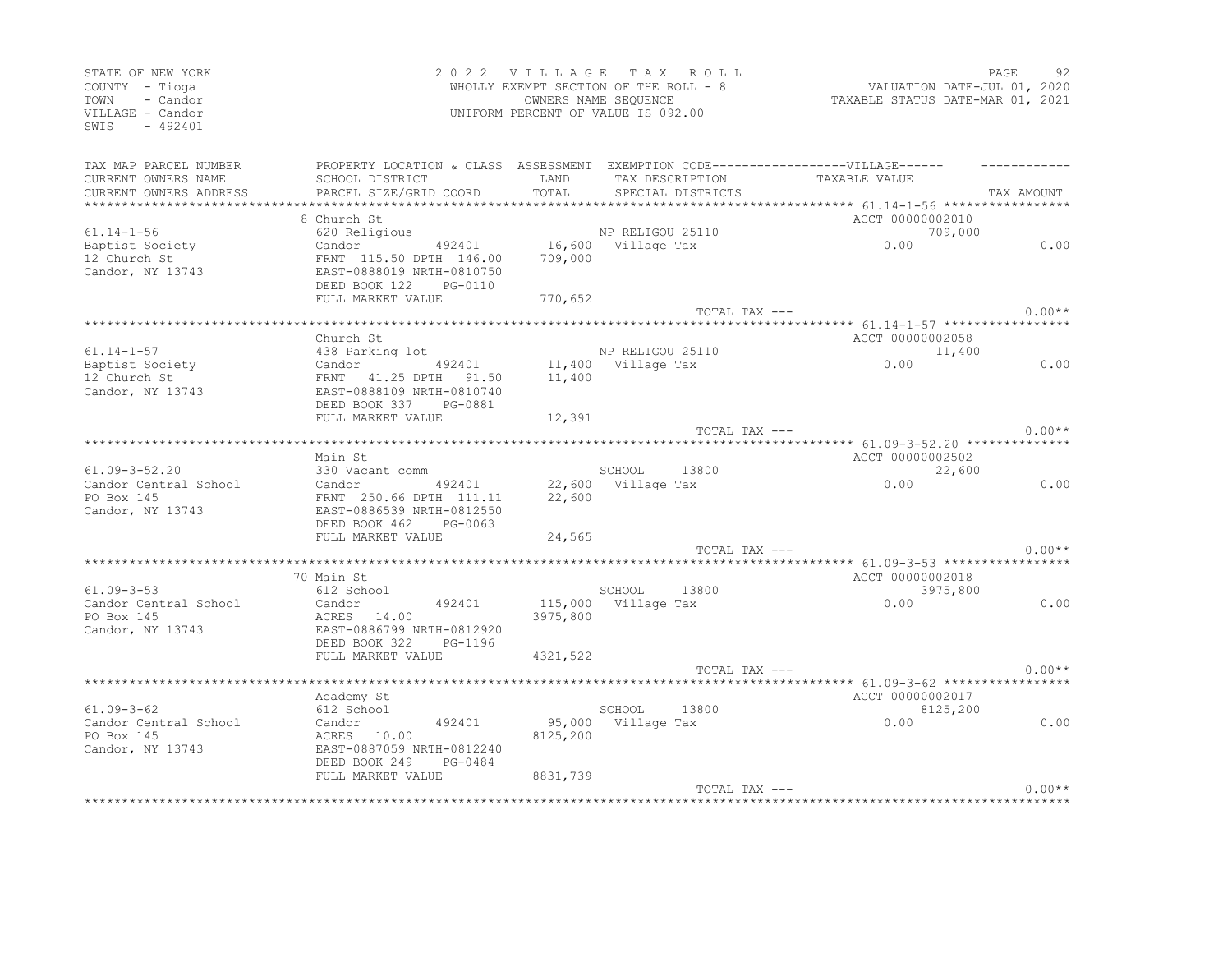| STATE OF NEW YORK<br>COUNTY - Tioga<br>- Candor<br>TOWN<br>VILLAGE - Candor<br>SWIS<br>$-492401$ |                                                                                                      | 2022 VILLAGE TAX ROLL<br>WHOLLY EXEMPT SECTION OF THE ROLL - 8<br>UNIFORM PERCENT OF VALUE IS 092.00 | OWNERS NAME SEQUENCE         |                    | VALUATION DATE-JUL 01, 2020<br>TAXABLE STATUS DATE-MAR 01, 2021 | PAGE     | 92         |
|--------------------------------------------------------------------------------------------------|------------------------------------------------------------------------------------------------------|------------------------------------------------------------------------------------------------------|------------------------------|--------------------|-----------------------------------------------------------------|----------|------------|
| TAX MAP PARCEL NUMBER<br>CURRENT OWNERS NAME                                                     | PROPERTY LOCATION & CLASS ASSESSMENT EXEMPTION CODE-----------------VILLAGE------<br>SCHOOL DISTRICT | LAND                                                                                                 |                              | TAX DESCRIPTION    | TAXABLE VALUE                                                   |          |            |
| CURRENT OWNERS ADDRESS                                                                           | PARCEL SIZE/GRID COORD                                                                               | TOTAL                                                                                                | SPECIAL DISTRICTS            |                    |                                                                 |          | TAX AMOUNT |
|                                                                                                  |                                                                                                      |                                                                                                      |                              |                    |                                                                 |          |            |
|                                                                                                  | 8 Church St                                                                                          |                                                                                                      |                              |                    | ACCT 00000002010                                                |          |            |
| $61.14 - 1 - 56$                                                                                 | 620 Religious                                                                                        |                                                                                                      | NP RELIGOU 25110             |                    | 0.00                                                            | 709,000  |            |
| Baptist Society                                                                                  | Candor 492401                                                                                        |                                                                                                      |                              | 16,600 Village Tax |                                                                 |          | 0.00       |
| 12 Church St<br>Candor, NY 13743                                                                 | FRNT 115.50 DPTH 146.00<br>EAST-0888019 NRTH-0810750<br>DEED BOOK 122<br>PG-0110                     | 709,000                                                                                              |                              |                    |                                                                 |          |            |
|                                                                                                  | FULL MARKET VALUE                                                                                    | 770,652                                                                                              |                              |                    |                                                                 |          |            |
|                                                                                                  |                                                                                                      |                                                                                                      |                              |                    | TOTAL TAX ---                                                   |          | $0.00**$   |
|                                                                                                  | Church St                                                                                            |                                                                                                      |                              |                    | ACCT 00000002058                                                |          |            |
| $61.14 - 1 - 57$                                                                                 | 438 Parking lot                                                                                      |                                                                                                      | NP RELIGOU 25110             |                    |                                                                 | 11,400   |            |
| Baptist Society                                                                                  | 492401<br>Candor                                                                                     |                                                                                                      | 11,400 Village Tax           |                    | 0.00                                                            |          | 0.00       |
| 12 Church St<br>Candor, NY 13743                                                                 | FRNT 41.25 DPTH 91.50<br>EAST-0888109 NRTH-0810740<br>DEED BOOK 337<br>PG-0881                       | 11,400                                                                                               |                              |                    |                                                                 |          |            |
|                                                                                                  | FULL MARKET VALUE                                                                                    | 12,391                                                                                               |                              |                    |                                                                 |          |            |
|                                                                                                  |                                                                                                      |                                                                                                      |                              |                    | TOTAL TAX ---                                                   |          | $0.00**$   |
|                                                                                                  |                                                                                                      |                                                                                                      |                              |                    |                                                                 |          |            |
| $61.09 - 3 - 52.20$                                                                              | Main St<br>330 Vacant comm                                                                           |                                                                                                      | SCHOOL 13800                 |                    | ACCT 00000002502                                                | 22,600   |            |
| Candor Central School                                                                            | Candor 492401                                                                                        |                                                                                                      | 22,600 Village Tax           |                    | 0.00                                                            |          | 0.00       |
| PO Box 145                                                                                       | FRNT 250.66 DPTH 111.11                                                                              | 22,600                                                                                               |                              |                    |                                                                 |          |            |
| Candor, NY 13743                                                                                 | EAST-0886539 NRTH-0812550                                                                            |                                                                                                      |                              |                    |                                                                 |          |            |
|                                                                                                  | DEED BOOK 462<br>PG-0063                                                                             |                                                                                                      |                              |                    |                                                                 |          |            |
|                                                                                                  | FULL MARKET VALUE                                                                                    | 24,565                                                                                               |                              |                    |                                                                 |          |            |
|                                                                                                  |                                                                                                      |                                                                                                      |                              | TOTAL TAX ---      |                                                                 |          | $0.00**$   |
|                                                                                                  |                                                                                                      |                                                                                                      |                              |                    |                                                                 |          |            |
| $61.09 - 3 - 53$                                                                                 | 70 Main St<br>612 School                                                                             |                                                                                                      | SCHOOL                       | 13800              | ACCT 00000002018                                                | 3975,800 |            |
| Candor Central School                                                                            | 492401<br>Candor                                                                                     |                                                                                                      | 115,000 Village Tax          |                    | 0.00                                                            |          | 0.00       |
| PO Box 145                                                                                       | ACRES 14.00                                                                                          | 3975,800                                                                                             |                              |                    |                                                                 |          |            |
| Candor, NY 13743                                                                                 | EAST-0886799 NRTH-0812920                                                                            |                                                                                                      |                              |                    |                                                                 |          |            |
|                                                                                                  | DEED BOOK 322<br>PG-1196                                                                             |                                                                                                      |                              |                    |                                                                 |          |            |
|                                                                                                  | FULL MARKET VALUE                                                                                    | 4321,522                                                                                             |                              |                    |                                                                 |          |            |
|                                                                                                  |                                                                                                      |                                                                                                      |                              | TOTAL TAX ---      |                                                                 |          | $0.00**$   |
|                                                                                                  |                                                                                                      |                                                                                                      |                              |                    |                                                                 |          |            |
|                                                                                                  | Academy St                                                                                           |                                                                                                      |                              |                    | ACCT 00000002017                                                |          |            |
| $61.09 - 3 - 62$<br>Candor Central School                                                        | 612 School<br>492401<br>Candor                                                                       |                                                                                                      | SCHOOL<br>95,000 Village Tax | 13800              | 0.00                                                            | 8125,200 | 0.00       |
| PO Box 145                                                                                       | ACRES 10.00                                                                                          | 8125,200                                                                                             |                              |                    |                                                                 |          |            |
| Candor, NY 13743                                                                                 | EAST-0887059 NRTH-0812240                                                                            |                                                                                                      |                              |                    |                                                                 |          |            |
|                                                                                                  | DEED BOOK 249<br>PG-0484                                                                             |                                                                                                      |                              |                    |                                                                 |          |            |
|                                                                                                  | FULL MARKET VALUE                                                                                    | 8831,739                                                                                             |                              |                    |                                                                 |          |            |
|                                                                                                  |                                                                                                      |                                                                                                      |                              | TOTAL TAX ---      |                                                                 |          | $0.00**$   |
|                                                                                                  |                                                                                                      |                                                                                                      |                              |                    |                                                                 |          |            |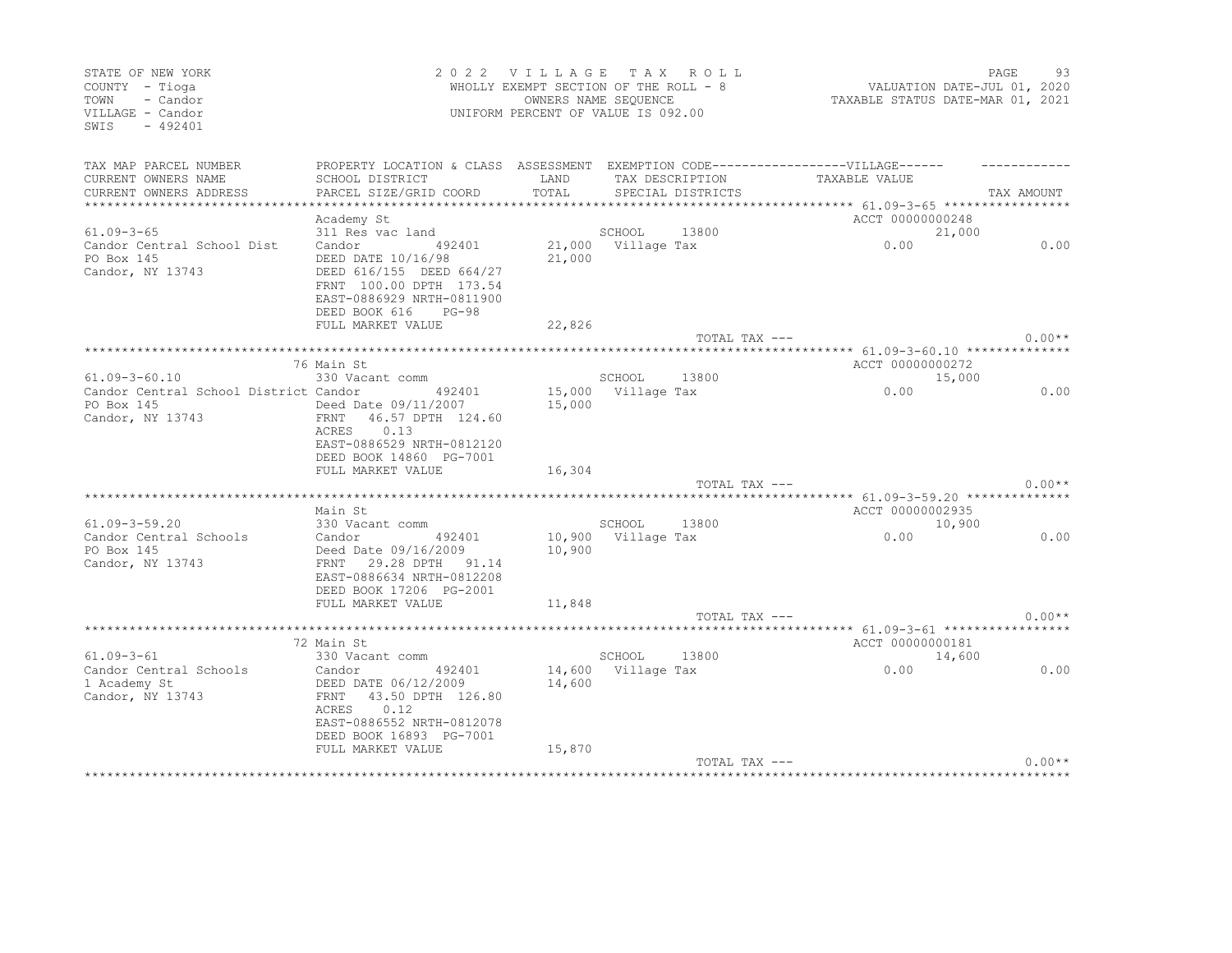| STATE OF NEW YORK<br>COUNTY - Tioga<br>- Candor<br>TOWN<br>VILLAGE - Candor<br>$-492401$<br>SWIS |                                                                                                                                                        | 2022 VILLAGE  | T A X<br>R O L L<br>WHOLLY EXEMPT SECTION OF THE ROLL - 8<br>OWNERS NAME SEQUENCE<br>UNIFORM PERCENT OF VALUE IS 092.00 | VALUATION DATE-JUL 01, 2020<br>TAXABLE STATUS DATE-MAR 01, 2021 | PAGE       | 93       |
|--------------------------------------------------------------------------------------------------|--------------------------------------------------------------------------------------------------------------------------------------------------------|---------------|-------------------------------------------------------------------------------------------------------------------------|-----------------------------------------------------------------|------------|----------|
| TAX MAP PARCEL NUMBER                                                                            | PROPERTY LOCATION & CLASS ASSESSMENT EXEMPTION CODE-----------------VILLAGE------                                                                      |               |                                                                                                                         |                                                                 |            |          |
| CURRENT OWNERS NAME<br>CURRENT OWNERS ADDRESS                                                    | SCHOOL DISTRICT<br>PARCEL SIZE/GRID COORD                                                                                                              | LAND<br>TOTAL | TAX DESCRIPTION<br>SPECIAL DISTRICTS                                                                                    | TAXABLE VALUE                                                   | TAX AMOUNT |          |
|                                                                                                  |                                                                                                                                                        |               |                                                                                                                         |                                                                 |            |          |
|                                                                                                  | Academy St                                                                                                                                             |               |                                                                                                                         | ACCT 00000000248                                                |            |          |
| $61.09 - 3 - 65$                                                                                 | 311 Res vac land                                                                                                                                       |               | SCHOOL<br>13800                                                                                                         |                                                                 | 21,000     |          |
| Candor Central School Dist<br>PO Box 145<br>Candor, NY 13743                                     | Candor<br>492401<br>DEED DATE 10/16/98<br>DEED 616/155 DEED 664/27<br>FRNT 100.00 DPTH 173.54<br>EAST-0886929 NRTH-0811900<br>DEED BOOK 616<br>$PG-98$ | 21,000        | 21,000 Village Tax                                                                                                      | 0.00                                                            |            | 0.00     |
|                                                                                                  | FULL MARKET VALUE                                                                                                                                      | 22,826        |                                                                                                                         |                                                                 |            |          |
|                                                                                                  |                                                                                                                                                        |               | TOTAL TAX ---                                                                                                           |                                                                 |            | $0.00**$ |
|                                                                                                  |                                                                                                                                                        |               |                                                                                                                         |                                                                 |            |          |
| $61.09 - 3 - 60.10$                                                                              | 76 Main St<br>330 Vacant comm                                                                                                                          |               | SCHOOL<br>13800                                                                                                         | ACCT 00000000272                                                | 15,000     |          |
| Candor Central School District Candor                                                            | 492401                                                                                                                                                 |               | 15,000 Village Tax                                                                                                      | 0.00                                                            |            | 0.00     |
| PO Box 145<br>Candor, NY 13743                                                                   | Deed Date 09/11/2007<br>FRNT<br>46.57 DPTH 124.60<br>0.13<br>ACRES<br>EAST-0886529 NRTH-0812120<br>DEED BOOK 14860 PG-7001                             | 15,000        |                                                                                                                         |                                                                 |            |          |
|                                                                                                  | FULL MARKET VALUE                                                                                                                                      | 16,304        |                                                                                                                         |                                                                 |            |          |
|                                                                                                  |                                                                                                                                                        |               | TOTAL TAX ---                                                                                                           |                                                                 |            | $0.00**$ |
| $61.09 - 3 - 59.20$                                                                              | Main St<br>330 Vacant comm                                                                                                                             |               | SCHOOL<br>13800                                                                                                         | ACCT 00000002935                                                | 10,900     |          |
| Candor Central Schools                                                                           | Candor<br>492401                                                                                                                                       |               | 10,900 Village Tax                                                                                                      | 0.00                                                            |            | 0.00     |
| PO Box 145<br>Candor, NY 13743                                                                   | Deed Date 09/16/2009<br>29.28 DPTH 91.14<br>FRNT<br>EAST-0886634 NRTH-0812208<br>DEED BOOK 17206 PG-2001                                               | 10,900        |                                                                                                                         |                                                                 |            |          |
|                                                                                                  | FULL MARKET VALUE                                                                                                                                      | 11,848        |                                                                                                                         |                                                                 |            |          |
|                                                                                                  |                                                                                                                                                        |               | TOTAL TAX ---                                                                                                           |                                                                 |            | $0.00**$ |
|                                                                                                  | 72 Main St                                                                                                                                             |               |                                                                                                                         | ACCT 00000000181                                                |            |          |
| $61.09 - 3 - 61$                                                                                 | 330 Vacant comm                                                                                                                                        |               | SCHOOL<br>13800                                                                                                         |                                                                 | 14,600     |          |
| Candor Central Schools<br>1 Academy St<br>Candor, NY 13743                                       | 492401<br>Candor<br>DEED DATE 06/12/2009<br>43.50 DPTH 126.80<br>FRNT<br>0.12<br>ACRES<br>EAST-0886552 NRTH-0812078<br>DEED BOOK 16893 PG-7001         | 14,600        | 14,600 Village Tax                                                                                                      | 0.00                                                            |            | 0.00     |
|                                                                                                  | FULL MARKET VALUE                                                                                                                                      | 15,870        | TOTAL TAX ---                                                                                                           |                                                                 |            | $0.00**$ |
|                                                                                                  |                                                                                                                                                        |               |                                                                                                                         |                                                                 |            |          |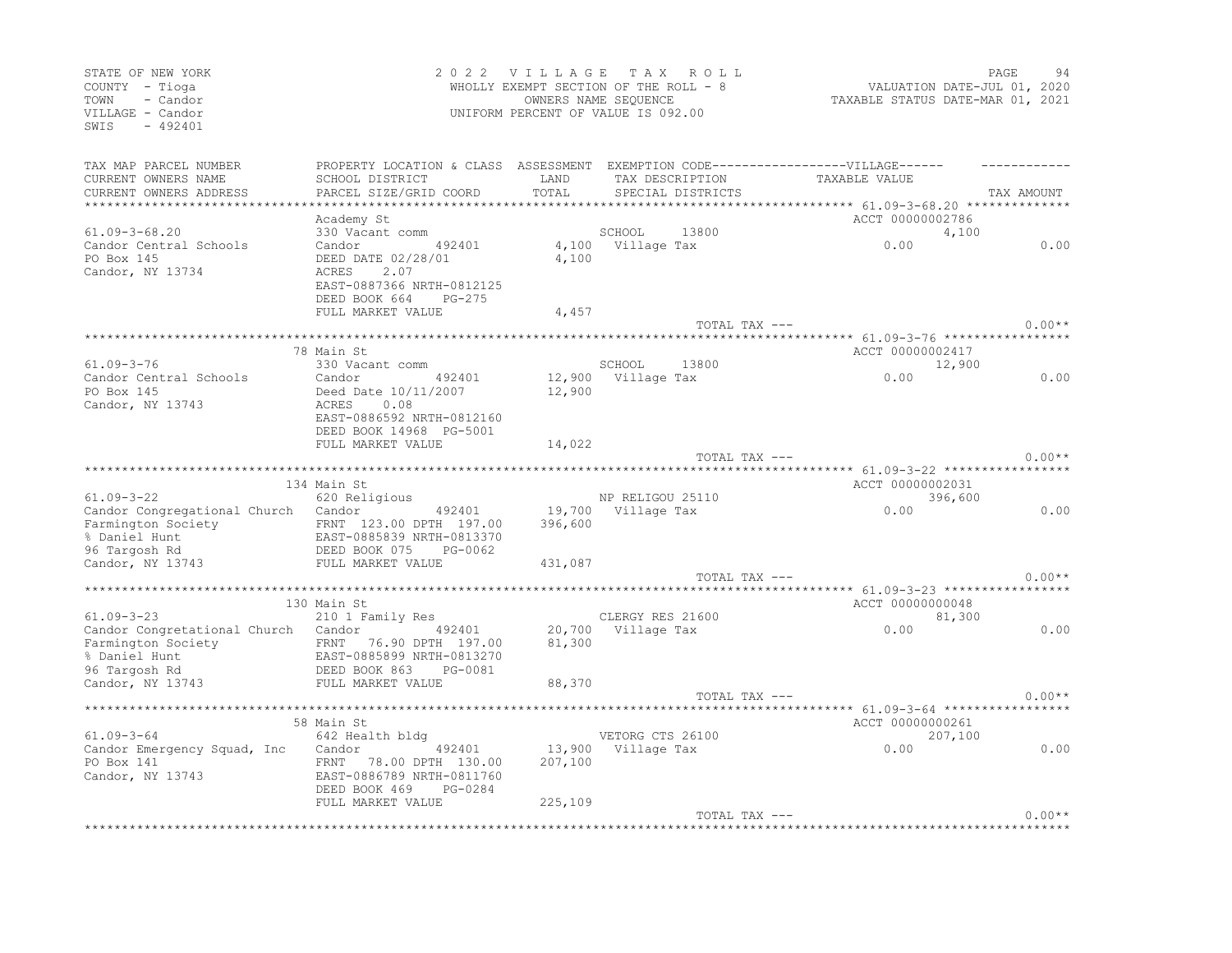| STATE OF NEW YORK<br>COUNTY - Tioga<br>TOWN<br>- Candor<br>VILLAGE - Candor<br>SWIS<br>$-492401$ |                                                                                  | 2022 VILLAGE TAX ROLL<br>WHOLLY EXEMPT SECTION OF THE ROLL - 8<br>UNIFORM PERCENT OF VALUE IS 092.00 | OWNERS NAME SEQUENCE                   |                   | VALUATION DATE-JUL 01, 2020<br>TAXABLE STATUS DATE-MAR 01, 2021 | PAGE       | 94       |
|--------------------------------------------------------------------------------------------------|----------------------------------------------------------------------------------|------------------------------------------------------------------------------------------------------|----------------------------------------|-------------------|-----------------------------------------------------------------|------------|----------|
| TAX MAP PARCEL NUMBER                                                                            | PROPERTY LOCATION & CLASS ASSESSMENT EXEMPTION CODE----------------VILLAGE------ |                                                                                                      |                                        |                   |                                                                 |            |          |
| CURRENT OWNERS NAME                                                                              | SCHOOL DISTRICT                                                                  | LAND                                                                                                 |                                        | TAX DESCRIPTION   | TAXABLE VALUE                                                   |            |          |
| CURRENT OWNERS ADDRESS                                                                           | PARCEL SIZE/GRID COORD                                                           | TOTAL                                                                                                |                                        | SPECIAL DISTRICTS |                                                                 | TAX AMOUNT |          |
| ************************                                                                         |                                                                                  |                                                                                                      |                                        |                   |                                                                 |            |          |
|                                                                                                  | Academy St                                                                       |                                                                                                      |                                        |                   | ACCT 00000002786                                                |            |          |
| $61.09 - 3 - 68.20$                                                                              | 330 Vacant comm                                                                  |                                                                                                      | SCHOOL                                 | 13800             |                                                                 | 4,100      |          |
| Candor Central Schools<br>PO Box 145                                                             | Candor<br>492401<br>DEED DATE 02/28/01                                           | 4,100                                                                                                | 4,100 Village Tax                      |                   | 0.00                                                            |            | 0.00     |
| Candor, NY 13734                                                                                 | ACRES<br>2.07                                                                    |                                                                                                      |                                        |                   |                                                                 |            |          |
|                                                                                                  | EAST-0887366 NRTH-0812125                                                        |                                                                                                      |                                        |                   |                                                                 |            |          |
|                                                                                                  | DEED BOOK 664 PG-275                                                             |                                                                                                      |                                        |                   |                                                                 |            |          |
|                                                                                                  | FULL MARKET VALUE                                                                | 4,457                                                                                                |                                        |                   |                                                                 |            |          |
|                                                                                                  |                                                                                  |                                                                                                      |                                        | TOTAL TAX ---     |                                                                 |            | $0.00**$ |
|                                                                                                  |                                                                                  |                                                                                                      |                                        |                   |                                                                 |            |          |
|                                                                                                  | 78 Main St                                                                       |                                                                                                      |                                        |                   | ACCT 00000002417                                                |            |          |
| $61.09 - 3 - 76$                                                                                 | 330 Vacant comm                                                                  |                                                                                                      | SCHOOL                                 | 13800             |                                                                 | 12,900     |          |
| Candor Central Schools                                                                           | Candor<br>492401                                                                 |                                                                                                      | 12,900 Village Tax                     |                   | 0.00                                                            |            | 0.00     |
| PO Box 145                                                                                       | Deed Date 10/11/2007                                                             | 12,900                                                                                               |                                        |                   |                                                                 |            |          |
| Candor, NY 13743                                                                                 | ACRES<br>0.08                                                                    |                                                                                                      |                                        |                   |                                                                 |            |          |
|                                                                                                  | EAST-0886592 NRTH-0812160                                                        |                                                                                                      |                                        |                   |                                                                 |            |          |
|                                                                                                  | DEED BOOK 14968 PG-5001                                                          | 14,022                                                                                               |                                        |                   |                                                                 |            |          |
|                                                                                                  | FULL MARKET VALUE                                                                |                                                                                                      |                                        | TOTAL TAX ---     |                                                                 |            | $0.00**$ |
|                                                                                                  |                                                                                  |                                                                                                      |                                        |                   |                                                                 |            |          |
|                                                                                                  | 134 Main St                                                                      |                                                                                                      |                                        |                   | ACCT 00000002031                                                |            |          |
| $61.09 - 3 - 22$                                                                                 | 620 Religious                                                                    |                                                                                                      | NP RELIGOU 25110                       |                   |                                                                 | 396,600    |          |
| Candor Congregational Church Candor                                                              | 492401                                                                           |                                                                                                      | 19,700 Village Tax                     |                   | 0.00                                                            |            | 0.00     |
| Farmington Society                                                                               | FRNT 123.00 DPTH 197.00                                                          | 396,600                                                                                              |                                        |                   |                                                                 |            |          |
| % Daniel Hunt                                                                                    | EAST-0885839 NRTH-0813370                                                        |                                                                                                      |                                        |                   |                                                                 |            |          |
| 96 Targosh Rd                                                                                    | DEED BOOK 075<br>PG-0062                                                         |                                                                                                      |                                        |                   |                                                                 |            |          |
| Candor, NY 13743                                                                                 | FULL MARKET VALUE                                                                | 431,087                                                                                              |                                        |                   |                                                                 |            |          |
|                                                                                                  |                                                                                  |                                                                                                      |                                        | TOTAL TAX ---     |                                                                 |            | $0.00**$ |
|                                                                                                  |                                                                                  |                                                                                                      |                                        |                   |                                                                 |            |          |
|                                                                                                  | 130 Main St                                                                      |                                                                                                      |                                        |                   | ACCT 00000000048                                                |            |          |
| $61.09 - 3 - 23$                                                                                 | 210 1 Family Res                                                                 |                                                                                                      | CLERGY RES 21600<br>20,700 Village Tax |                   | 0.00                                                            | 81,300     | 0.00     |
| Candor Congretational Church Candor 492401<br>Farmington Society                                 | FRNT 76.90 DPTH 197.00                                                           | 81,300                                                                                               |                                        |                   |                                                                 |            |          |
| % Daniel Hunt                                                                                    | EAST-0885899 NRTH-0813270                                                        |                                                                                                      |                                        |                   |                                                                 |            |          |
| 96 Targosh Rd                                                                                    | DEED BOOK 863<br>PG-0081                                                         |                                                                                                      |                                        |                   |                                                                 |            |          |
| Candor, NY 13743                                                                                 | FULL MARKET VALUE                                                                | 88,370                                                                                               |                                        |                   |                                                                 |            |          |
|                                                                                                  |                                                                                  |                                                                                                      |                                        | TOTAL TAX ---     |                                                                 |            | $0.00**$ |
|                                                                                                  |                                                                                  |                                                                                                      |                                        |                   |                                                                 |            |          |
|                                                                                                  | 58 Main St                                                                       |                                                                                                      |                                        |                   | ACCT 00000000261                                                |            |          |
| $61.09 - 3 - 64$                                                                                 | 642 Health bldg                                                                  |                                                                                                      | VETORG CTS 26100                       |                   |                                                                 | 207,100    |          |
| Candor Emergency Squad, Inc                                                                      | 492401<br>Candor                                                                 |                                                                                                      | 13,900 Village Tax                     |                   | 0.00                                                            |            | 0.00     |
| PO Box 141                                                                                       | FRNT 78.00 DPTH 130.00                                                           | 207,100                                                                                              |                                        |                   |                                                                 |            |          |
| Candor, NY 13743                                                                                 | EAST-0886789 NRTH-0811760                                                        |                                                                                                      |                                        |                   |                                                                 |            |          |
|                                                                                                  | DEED BOOK 469<br>PG-0284                                                         |                                                                                                      |                                        |                   |                                                                 |            |          |
|                                                                                                  | FULL MARKET VALUE                                                                | 225,109                                                                                              |                                        |                   |                                                                 |            |          |
|                                                                                                  |                                                                                  |                                                                                                      |                                        | TOTAL TAX ---     |                                                                 |            | $0.00**$ |
|                                                                                                  |                                                                                  |                                                                                                      |                                        |                   |                                                                 |            |          |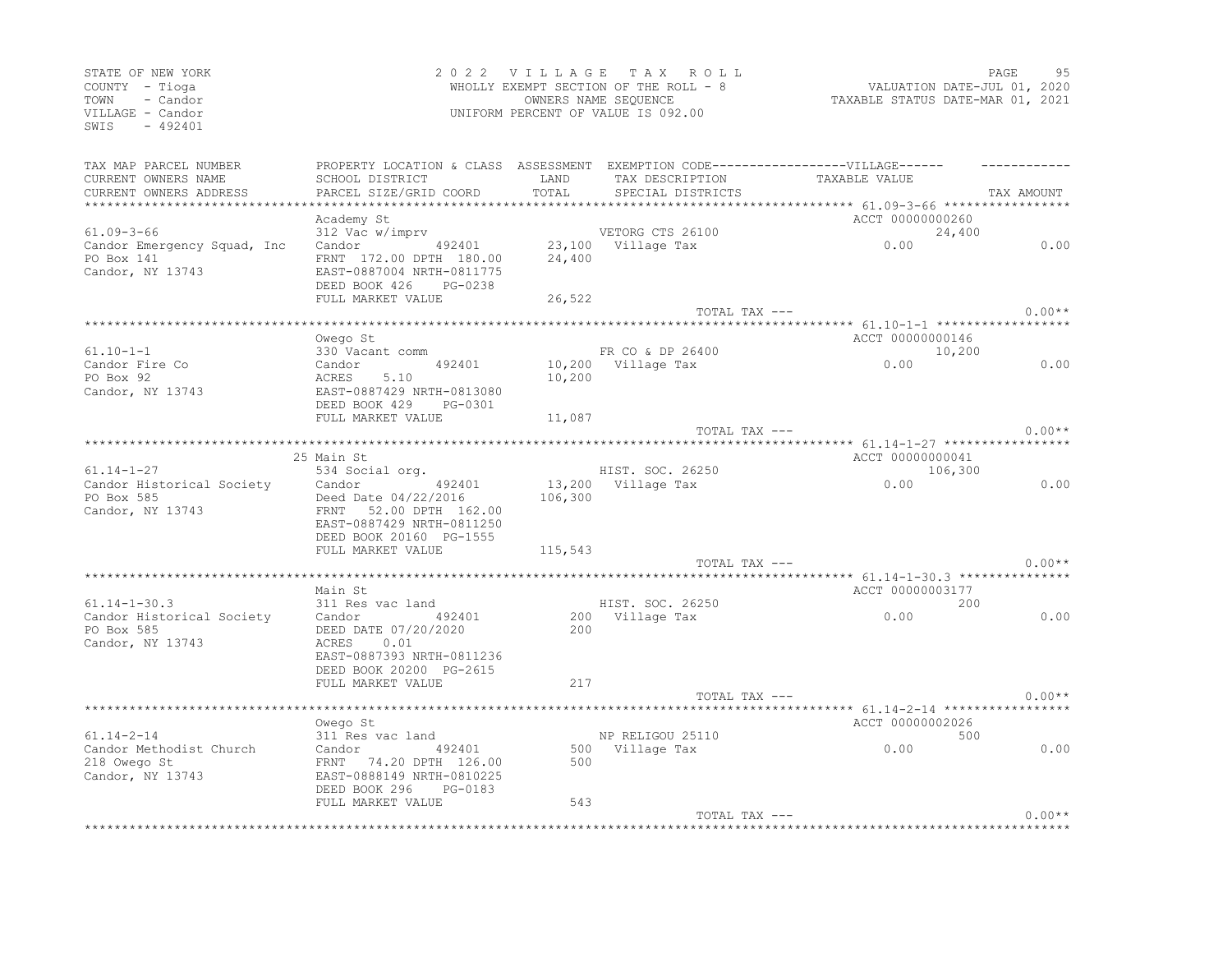| STATE OF NEW YORK<br>COUNTY - Tioga<br>- Candor<br>TOWN<br>VILLAGE - Candor<br>$-492401$<br>SWIS            |                                                                                                           |         | 2022 VILLAGE TAX ROLL<br>WHOLLY EXEMPT SECTION OF THE ROLL - 8<br>OWNERS NAME SEQUENCE<br>UNIFORM PERCENT OF VALUE IS 092.00 | VALUATION DATE-JUL 01, 2020<br>TAXABLE STATUS DATE-MAR 01, 2021      | PAGE       | 95       |
|-------------------------------------------------------------------------------------------------------------|-----------------------------------------------------------------------------------------------------------|---------|------------------------------------------------------------------------------------------------------------------------------|----------------------------------------------------------------------|------------|----------|
| TAX MAP PARCEL NUMBER<br>CURRENT OWNERS NAME                                                                | PROPERTY LOCATION & CLASS ASSESSMENT EXEMPTION CODE-----------------VILLAGE------<br>SCHOOL DISTRICT LAND |         | TAX DESCRIPTION                                                                                                              | TAXABLE VALUE                                                        |            |          |
| CURRENT OWNERS ADDRESS                                                                                      | PARCEL SIZE/GRID COORD                                                                                    | TOTAL   | SPECIAL DISTRICTS                                                                                                            |                                                                      | TAX AMOUNT |          |
|                                                                                                             | Academy St                                                                                                |         |                                                                                                                              | ACCT 00000000260                                                     |            |          |
|                                                                                                             |                                                                                                           |         |                                                                                                                              |                                                                      |            |          |
| 61.09-3-66 312 Vac w/imprv VETORG CTS 26100<br>Candor Emergency Squad, Inc Candor 492401 23,100 Village Tax |                                                                                                           |         |                                                                                                                              | 24,400                                                               |            | 0.00     |
| PO Box 141                                                                                                  | FRNT 172.00 DPTH 180.00 24,400                                                                            |         |                                                                                                                              |                                                                      |            |          |
| Candor, NY 13743                                                                                            | EAST-0887004 NRTH-0811775                                                                                 |         |                                                                                                                              |                                                                      |            |          |
|                                                                                                             | DEED BOOK 426<br>PG-0238                                                                                  |         |                                                                                                                              |                                                                      |            |          |
|                                                                                                             | FULL MARKET VALUE                                                                                         | 26,522  |                                                                                                                              |                                                                      |            |          |
|                                                                                                             |                                                                                                           |         | TOTAL TAX ---                                                                                                                |                                                                      |            | $0.00**$ |
|                                                                                                             |                                                                                                           |         |                                                                                                                              |                                                                      |            |          |
| $61.10 - 1 - 1$                                                                                             | Owego St<br>330 Vacant comm                                                                               |         |                                                                                                                              | ACCT 00000000146                                                     |            |          |
| Candor Fire Co                                                                                              |                                                                                                           |         |                                                                                                                              | $10,200$<br>$10,200$<br>$11,200$<br>$10,200$<br>$10,200$<br>$10,200$ |            | 0.00     |
| PO Box 92                                                                                                   |                                                                                                           | 10,200  |                                                                                                                              |                                                                      |            |          |
| Candor, NY 13743                                                                                            | 330 Vacant comm<br>Candor 492401<br>ACRES 5.10<br>EAST-0887429 NRTH-0813080                               |         |                                                                                                                              |                                                                      |            |          |
|                                                                                                             | DEED BOOK 429 PG-0301                                                                                     |         |                                                                                                                              |                                                                      |            |          |
|                                                                                                             | FULL MARKET VALUE                                                                                         | 11,087  |                                                                                                                              |                                                                      |            |          |
|                                                                                                             |                                                                                                           |         | TOTAL TAX ---                                                                                                                |                                                                      |            | $0.00**$ |
|                                                                                                             |                                                                                                           |         |                                                                                                                              |                                                                      |            |          |
| $61.14 - 1 - 27$                                                                                            | 25 Main St                                                                                                |         |                                                                                                                              | ACCT 00000000041                                                     |            |          |
|                                                                                                             |                                                                                                           |         | HIST. SOC. 26250<br>13,200 Village Tax                                                                                       | 106,300                                                              |            | 0.00     |
| 61.14-1-27<br>Candor Historical Society Candor<br>Deed Date 04/22/2016                                      | Candor 492401                                                                                             | 106,300 |                                                                                                                              |                                                                      |            |          |
| PO Box 585<br>Candor, NY 13743                                                                              | FRNT 52.00 DPTH 162.00                                                                                    |         |                                                                                                                              |                                                                      |            |          |
|                                                                                                             | EAST-0887429 NRTH-0811250                                                                                 |         |                                                                                                                              |                                                                      |            |          |
|                                                                                                             | DEED BOOK 20160 PG-1555                                                                                   |         |                                                                                                                              |                                                                      |            |          |
|                                                                                                             | FULL MARKET VALUE                                                                                         | 115,543 |                                                                                                                              |                                                                      |            |          |
|                                                                                                             |                                                                                                           |         | TOTAL TAX ---                                                                                                                |                                                                      |            | $0.00**$ |
|                                                                                                             |                                                                                                           |         |                                                                                                                              |                                                                      |            |          |
|                                                                                                             | Main St                                                                                                   |         |                                                                                                                              | ACCT 00000003177                                                     |            |          |
| $61.14 - 1 - 30.3$                                                                                          | 311 Res vac land                                                                                          |         | HIST. SOC. 26250                                                                                                             | 0.00                                                                 | 200        |          |
| Candor Historical Society<br>PO Box 585<br>PO Box 585                                                       | Candor 492401                                                                                             |         | 200 Village Tax                                                                                                              |                                                                      |            | 0.00     |
| Candor, NY 13743                                                                                            | DEED DATE 07/20/2020<br>0.01<br>ACRES                                                                     | 200     |                                                                                                                              |                                                                      |            |          |
|                                                                                                             | EAST-0887393 NRTH-0811236                                                                                 |         |                                                                                                                              |                                                                      |            |          |
|                                                                                                             | DEED BOOK 20200 PG-2615                                                                                   |         |                                                                                                                              |                                                                      |            |          |
|                                                                                                             | FULL MARKET VALUE                                                                                         | 217     |                                                                                                                              |                                                                      |            |          |
|                                                                                                             |                                                                                                           |         | TOTAL TAX ---                                                                                                                |                                                                      |            | $0.00**$ |
|                                                                                                             |                                                                                                           |         |                                                                                                                              |                                                                      |            |          |
|                                                                                                             | Owego St                                                                                                  |         |                                                                                                                              | ACCT 00000002026                                                     |            |          |
| $61.14 - 2 - 14$                                                                                            | 311 Res vac land                                                                                          |         | NP RELIGOU 25110                                                                                                             |                                                                      | 500        |          |
| Candor Methodist Church                                                                                     | $\frac{1}{2}$ Candor 492401                                                                               |         | 500 Village Tax                                                                                                              | 0.00                                                                 |            | 0.00     |
| 218 Owego St                                                                                                | FRNT 74.20 DPTH 126.00                                                                                    | 500     |                                                                                                                              |                                                                      |            |          |
| Candor, NY 13743                                                                                            | EAST-0888149 NRTH-0810225                                                                                 |         |                                                                                                                              |                                                                      |            |          |
|                                                                                                             | DEED BOOK 296 PG-0183<br>FULL MARKET VALUE                                                                | 543     |                                                                                                                              |                                                                      |            |          |
|                                                                                                             |                                                                                                           |         | TOTAL TAX ---                                                                                                                |                                                                      |            | $0.00**$ |
|                                                                                                             |                                                                                                           |         |                                                                                                                              |                                                                      |            |          |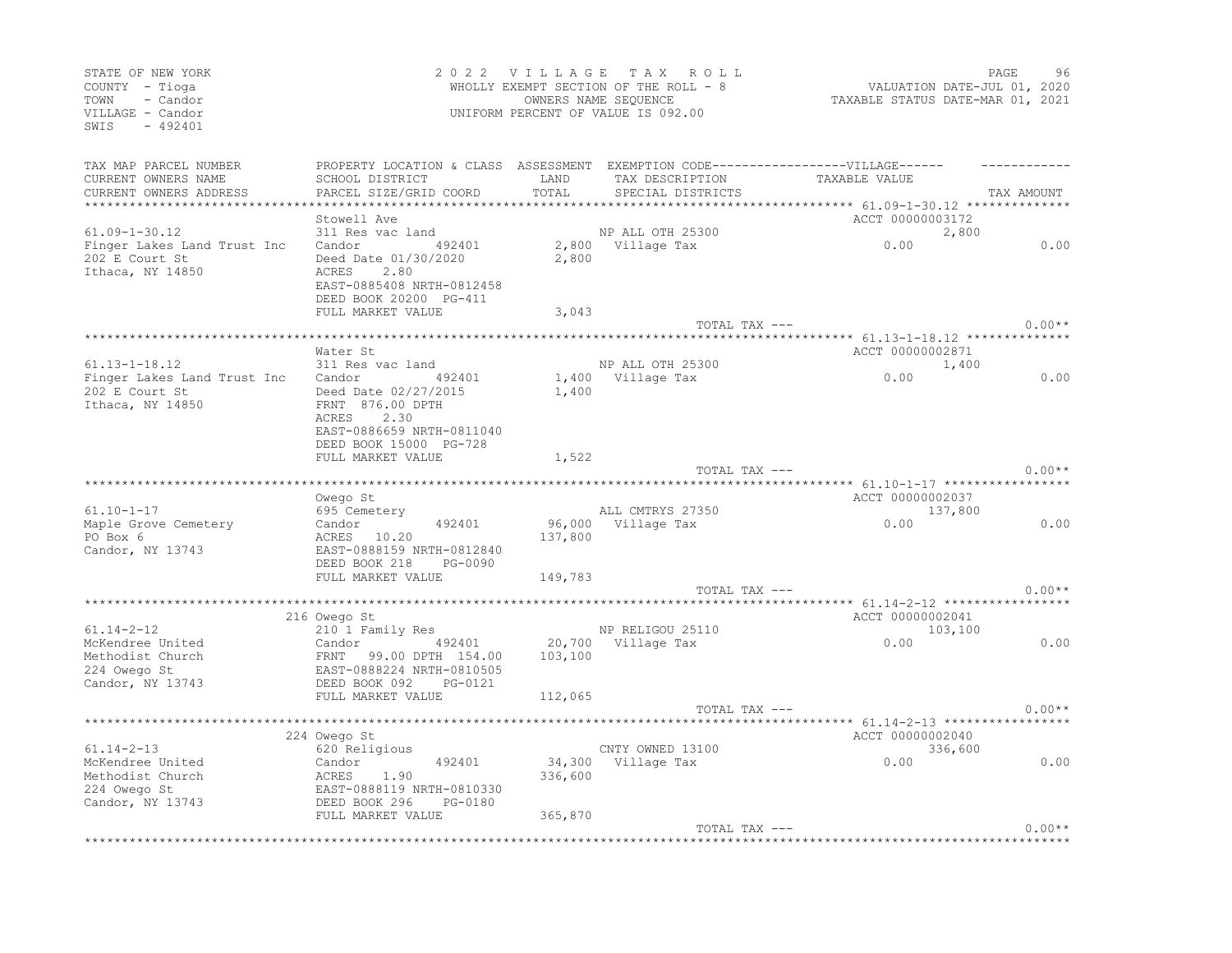| STATE OF NEW YORK<br>COUNTY - Tioga<br>- Candor<br>TOWN<br>VILLAGE - Candor<br>SWIS<br>$-492401$ |                                                                                                                                   |         | 2022 VILLAGE TAX ROLL<br>WHOLLY EXEMPT SECTION OF THE ROLL - 8<br>OWNERS NAME SEQUENCE<br>UNIFORM PERCENT OF VALUE IS 092.00 | VALUATION DATE-JUL 01, 2020<br>TAXABLE STATUS DATE-MAR 01, 2021 | PAGE       | 96       |
|--------------------------------------------------------------------------------------------------|-----------------------------------------------------------------------------------------------------------------------------------|---------|------------------------------------------------------------------------------------------------------------------------------|-----------------------------------------------------------------|------------|----------|
| TAX MAP PARCEL NUMBER<br>CURRENT OWNERS NAME                                                     | PROPERTY LOCATION & CLASS ASSESSMENT EXEMPTION CODE-----------------VILLAGE------<br>SCHOOL DISTRICT                              | LAND    | TAX DESCRIPTION                                                                                                              | TAXABLE VALUE                                                   |            |          |
| CURRENT OWNERS ADDRESS                                                                           | PARCEL SIZE/GRID COORD                                                                                                            | TOTAL   | SPECIAL DISTRICTS                                                                                                            |                                                                 | TAX AMOUNT |          |
|                                                                                                  | Stowell Ave                                                                                                                       |         |                                                                                                                              | ACCT 00000003172                                                |            |          |
| $61.09 - 1 - 30.12$                                                                              | 311 Res vac land                                                                                                                  |         | NP ALL OTH 25300                                                                                                             |                                                                 | 2,800      |          |
| Finger Lakes Land Trust Inc<br>202 E Court St<br>Ithaca, NY 14850                                | Candor<br>492401<br>Deed Date 01/30/2020<br>ACRES 2.80<br>EAST-0885408 NRTH-0812458<br>DEED BOOK 20200 PG-411                     | 2,800   | 2,800 Village Tax                                                                                                            | 0.00                                                            |            | 0.00     |
|                                                                                                  | FULL MARKET VALUE                                                                                                                 | 3,043   |                                                                                                                              |                                                                 |            |          |
|                                                                                                  |                                                                                                                                   |         |                                                                                                                              | TOTAL TAX ---                                                   |            | $0.00**$ |
|                                                                                                  | Water St                                                                                                                          |         |                                                                                                                              | ACCT 00000002871                                                |            |          |
| $61.13 - 1 - 18.12$                                                                              | 311 Res vac land                                                                                                                  |         | NP ALL OTH 25300                                                                                                             |                                                                 | 1,400      |          |
| Finger Lakes Land Trust Inc<br>202 E Court St<br>Ithaca, NY 14850                                | Candor 492401<br>Deed Date 02/27/2015<br>FRNT 876.00 DPTH<br>ACRES<br>2.30<br>EAST-0886659 NRTH-0811040<br>DEED BOOK 15000 PG-728 | 1,400   | 1,400 Village Tax                                                                                                            | 0.00                                                            |            | 0.00     |
|                                                                                                  | FULL MARKET VALUE                                                                                                                 | 1,522   |                                                                                                                              |                                                                 |            |          |
|                                                                                                  |                                                                                                                                   |         | TOTAL TAX ---                                                                                                                |                                                                 |            | $0.00**$ |
|                                                                                                  |                                                                                                                                   |         |                                                                                                                              | ****** 61.10-1-17 ************<br>ACCT 00000002037              |            |          |
| $61.10 - 1 - 17$                                                                                 | Owego St<br>695 Cemetery                                                                                                          |         | ALL CMTRYS 27350                                                                                                             |                                                                 | 137,800    |          |
| Maple Grove Cemetery<br>PO Box 6<br>Candor, NY 13743                                             | 492401<br>Candor<br>ACRES 10.20<br>EAST-0888159 NRTH-0812840<br>DEED BOOK 218<br>PG-0090                                          | 137,800 | 96,000 Village Tax                                                                                                           | 0.00                                                            |            | 0.00     |
|                                                                                                  | FULL MARKET VALUE                                                                                                                 | 149,783 |                                                                                                                              |                                                                 |            |          |
|                                                                                                  |                                                                                                                                   |         | TOTAL TAX ---                                                                                                                |                                                                 |            | $0.00**$ |
|                                                                                                  |                                                                                                                                   |         |                                                                                                                              |                                                                 |            |          |
| $61.14 - 2 - 12$                                                                                 | 216 Owego St<br>210 1 Family Res                                                                                                  |         | NP RELIGOU 25110                                                                                                             | ACCT 00000002041<br>103,100                                     |            |          |
| McKendree United                                                                                 | Candor 492401                                                                                                                     |         | 20,700 Village Tax                                                                                                           | 0.00                                                            |            | 0.00     |
| Methodist Church                                                                                 | FRNT 99.00 DPTH 154.00                                                                                                            | 103,100 |                                                                                                                              |                                                                 |            |          |
| 224 Owego St                                                                                     | EAST-0888224 NRTH-0810505                                                                                                         |         |                                                                                                                              |                                                                 |            |          |
| Candor, NY 13743                                                                                 | DEED BOOK 092<br>PG-0121                                                                                                          |         |                                                                                                                              |                                                                 |            |          |
|                                                                                                  | FULL MARKET VALUE                                                                                                                 | 112,065 |                                                                                                                              |                                                                 |            |          |
|                                                                                                  |                                                                                                                                   |         | TOTAL TAX ---                                                                                                                |                                                                 |            | $0.00**$ |
|                                                                                                  | 224 Owego St                                                                                                                      |         |                                                                                                                              | ACCT 00000002040                                                |            |          |
| $61.14 - 2 - 13$                                                                                 | 620 Religious                                                                                                                     |         | CNTY OWNED 13100                                                                                                             |                                                                 | 336,600    |          |
| McKendree United                                                                                 | 492401<br>Candor                                                                                                                  |         | 34,300 Village Tax                                                                                                           | 0.00                                                            |            | 0.00     |
| Methodist Church                                                                                 | ACRES<br>1.90                                                                                                                     | 336,600 |                                                                                                                              |                                                                 |            |          |
| 224 Owego St                                                                                     | EAST-0888119 NRTH-0810330                                                                                                         |         |                                                                                                                              |                                                                 |            |          |
| Candor, NY 13743                                                                                 | DEED BOOK 296 PG-0180                                                                                                             |         |                                                                                                                              |                                                                 |            |          |
|                                                                                                  | FULL MARKET VALUE                                                                                                                 | 365,870 | TOTAL TAX ---                                                                                                                |                                                                 |            | $0.00**$ |
|                                                                                                  |                                                                                                                                   |         |                                                                                                                              | ***********************************                             |            |          |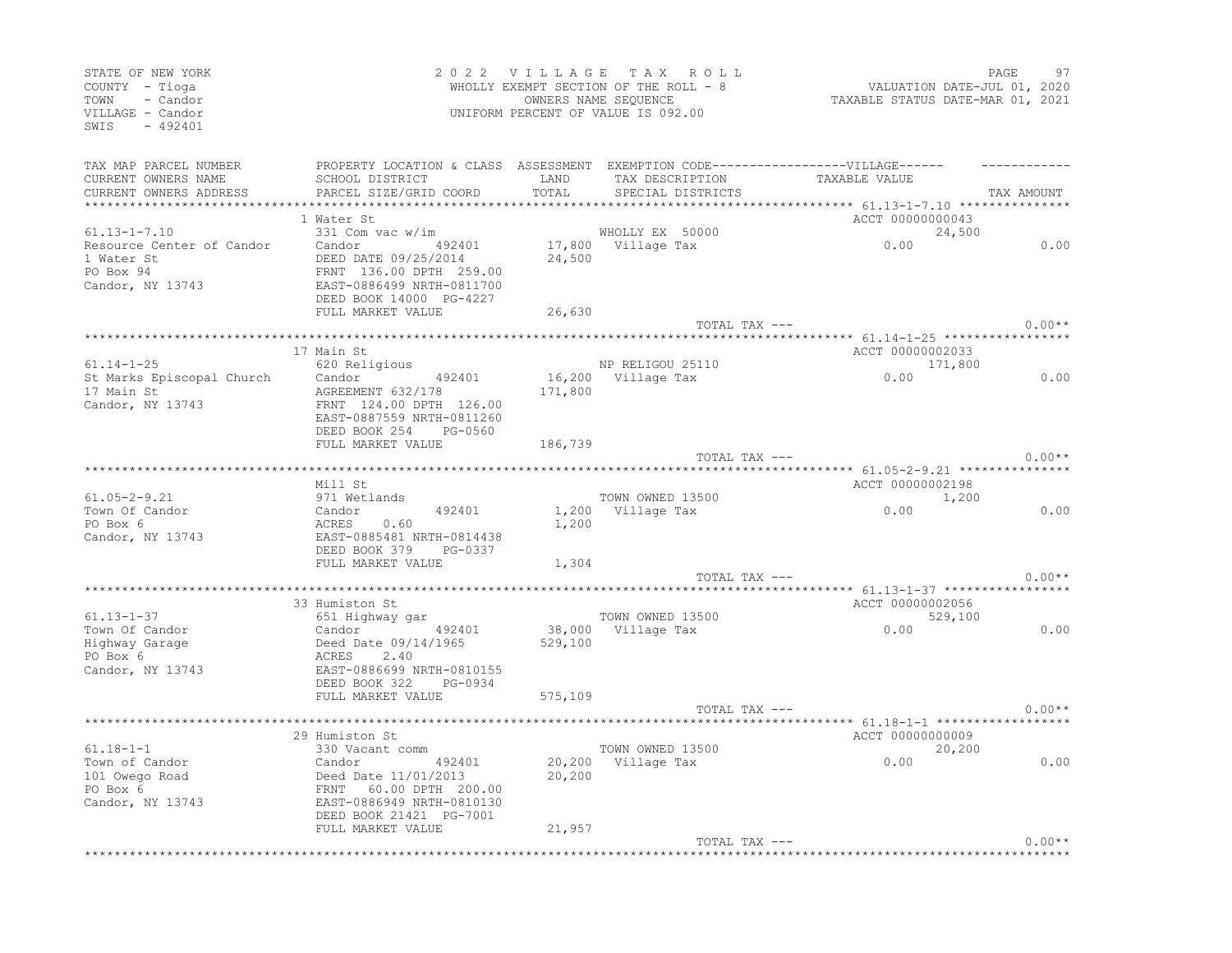| STATE OF NEW YORK<br>COUNTY - Tioga<br>TOWN - Candor<br>VILLAGE - Candor<br>SWIS - 492401 |                                                                                                                                                                                                                                                                |         | 2022 VILLAGE TAX ROLL<br>WHOLLY EXEMPT SECTION OF THE ROLL - 8<br>OWNERS NAME SEQUENCE<br>UNIFORM PERCENT OF VALUE IS 092.00 | 97 PAGE<br>1, VALUATION DATE-JUL 01<br>2021, TAXABLE STATUS DATE-MAR 01 |            |
|-------------------------------------------------------------------------------------------|----------------------------------------------------------------------------------------------------------------------------------------------------------------------------------------------------------------------------------------------------------------|---------|------------------------------------------------------------------------------------------------------------------------------|-------------------------------------------------------------------------|------------|
| CURRENT OWNERS NAME<br>CURRENT OWNERS ADDRESS                                             | TAX MAP PARCEL NUMBER THE PROPERTY LOCATION & CLASS ASSESSMENT EXEMPTION CODE-----------------VILLAGE------<br>SCHOOL DISTRICT LAND<br>PARCEL SIZE/GRID COORD                                                                                                  | TOTAL   | TAX DESCRIPTION TAXABLE VALUE<br>SPECIAL DISTRICTS                                                                           |                                                                         | TAX AMOUNT |
|                                                                                           |                                                                                                                                                                                                                                                                |         |                                                                                                                              | ************ 61.13-1-7.10 ***************                               |            |
|                                                                                           | 1 Water St                                                                                                                                                                                                                                                     |         |                                                                                                                              | ACCT 00000000043                                                        |            |
| $61.13 - 1 - 7.10$                                                                        | 331 Com vac w/im                                                                                                                                                                                                                                               |         | 0.00 million na suudu<br>17,800 Village Tax 0.00<br>24,500 1111                                                              | 24,500                                                                  |            |
|                                                                                           | Resource Center of Candor Candor (192401 17,800<br>1 Water St (1985) DEED DATE 09/25/2014 24,500                                                                                                                                                               |         |                                                                                                                              |                                                                         | 0.00       |
|                                                                                           |                                                                                                                                                                                                                                                                |         |                                                                                                                              |                                                                         |            |
| 1 Water St<br>PO Box 94<br>Candor, NY 13743                                               | 116.00 DV 2014<br>ERNT 136.00 DPTH 259.00<br>EAST-0886499 NRTH-0811700<br>DEED BOOK 14000 PG-4227                                                                                                                                                              |         |                                                                                                                              |                                                                         |            |
|                                                                                           |                                                                                                                                                                                                                                                                |         |                                                                                                                              |                                                                         |            |
|                                                                                           | FULL MARKET VALUE                                                                                                                                                                                                                                              | 26,630  |                                                                                                                              |                                                                         |            |
|                                                                                           |                                                                                                                                                                                                                                                                |         | TOTAL TAX ---                                                                                                                |                                                                         | $0.00**$   |
|                                                                                           |                                                                                                                                                                                                                                                                |         |                                                                                                                              |                                                                         |            |
|                                                                                           | 17 Main St                                                                                                                                                                                                                                                     |         |                                                                                                                              | ACCT 00000002033                                                        |            |
|                                                                                           |                                                                                                                                                                                                                                                                |         |                                                                                                                              |                                                                         |            |
|                                                                                           |                                                                                                                                                                                                                                                                |         |                                                                                                                              | NP RELIGOU 25110 171,800<br>16,200 Village Tax 0.00                     | 0.00       |
|                                                                                           |                                                                                                                                                                                                                                                                | 171,800 |                                                                                                                              |                                                                         |            |
|                                                                                           | 31.11-1-25<br>St Marks Episcopal Church<br>17 Main St<br>Candor AGREEMENT 632/178<br>Candor, NY 13743<br>FRNT 124.00 DPTH 126.00<br>EAST-0887559 NRTH-0011066                                                                                                  |         |                                                                                                                              |                                                                         |            |
|                                                                                           |                                                                                                                                                                                                                                                                |         |                                                                                                                              |                                                                         |            |
|                                                                                           | DEED BOOK 254 PG-0560                                                                                                                                                                                                                                          |         |                                                                                                                              |                                                                         |            |
|                                                                                           | FULL MARKET VALUE                                                                                                                                                                                                                                              | 186,739 |                                                                                                                              |                                                                         |            |
|                                                                                           |                                                                                                                                                                                                                                                                |         |                                                                                                                              | TOTAL TAX ---                                                           | $0.00**$   |
|                                                                                           |                                                                                                                                                                                                                                                                |         |                                                                                                                              |                                                                         |            |
| $61.05 - 2 - 9.21$                                                                        | Mill St<br>-------<br>971 Wetlands                                                                                                                                                                                                                             |         | TOWN OWNED 13500                                                                                                             | ACCT 00000002198                                                        |            |
| Town Of Candor                                                                            |                                                                                                                                                                                                                                                                |         |                                                                                                                              | $0.00$ $1,200$                                                          | 0.00       |
| PO Box 6                                                                                  |                                                                                                                                                                                                                                                                |         |                                                                                                                              |                                                                         |            |
| Candor, NY 13743                                                                          | Candor 492401 1,200 Village Tax<br>ACRES 0.60 1,200 Village Tax                                                                                                                                                                                                |         |                                                                                                                              |                                                                         |            |
|                                                                                           | DEED BOOK 379 PG-0337                                                                                                                                                                                                                                          |         |                                                                                                                              |                                                                         |            |
|                                                                                           | FULL MARKET VALUE                                                                                                                                                                                                                                              | 1,304   |                                                                                                                              |                                                                         |            |
|                                                                                           |                                                                                                                                                                                                                                                                |         | TOTAL TAX ---                                                                                                                |                                                                         | $0.00**$   |
|                                                                                           |                                                                                                                                                                                                                                                                |         |                                                                                                                              |                                                                         |            |
|                                                                                           | 33 Humiston St                                                                                                                                                                                                                                                 |         |                                                                                                                              | ACCT 00000002056                                                        |            |
|                                                                                           |                                                                                                                                                                                                                                                                |         | TOWN OWNED 13500                                                                                                             | 529,100                                                                 |            |
|                                                                                           |                                                                                                                                                                                                                                                                |         | 38,000 Village Tax                                                                                                           |                                                                         | 0.00       |
|                                                                                           |                                                                                                                                                                                                                                                                |         |                                                                                                                              |                                                                         |            |
|                                                                                           | 33 Humiston St<br>Town Of Candor<br>Highway Garage<br>Highway Garage<br>PO Box 6<br>Candor, NY 13743<br>Candor, NY 13743<br>PO BOX 6<br>Candor, NY 13743<br>PO BOX 6<br>Candor, NY 13743<br>PO BOX 6<br>PO BOX 6<br>PO BOX 6<br>PO BOX 6<br>PO BOX 6<br>PO BOX |         |                                                                                                                              |                                                                         |            |
|                                                                                           |                                                                                                                                                                                                                                                                |         |                                                                                                                              |                                                                         |            |
|                                                                                           |                                                                                                                                                                                                                                                                |         |                                                                                                                              |                                                                         |            |
|                                                                                           | FULL MARKET VALUE                                                                                                                                                                                                                                              | 575,109 |                                                                                                                              |                                                                         |            |
|                                                                                           |                                                                                                                                                                                                                                                                |         | TOTAL TAX ---                                                                                                                |                                                                         | $0.00**$   |
|                                                                                           | 29 Humiston St                                                                                                                                                                                                                                                 |         |                                                                                                                              | ACCT 00000000009                                                        |            |
| $61.18 - 1 - 1$                                                                           | 330 Vacant comm                                                                                                                                                                                                                                                |         |                                                                                                                              |                                                                         |            |
|                                                                                           |                                                                                                                                                                                                                                                                |         |                                                                                                                              | TOWN OWNED 13500 20,200<br>20,200 Village Tax 0.00                      | 0.00       |
|                                                                                           |                                                                                                                                                                                                                                                                | 20,200  |                                                                                                                              |                                                                         |            |
|                                                                                           |                                                                                                                                                                                                                                                                |         |                                                                                                                              |                                                                         |            |
|                                                                                           |                                                                                                                                                                                                                                                                |         |                                                                                                                              |                                                                         |            |
|                                                                                           |                                                                                                                                                                                                                                                                |         |                                                                                                                              |                                                                         |            |
|                                                                                           | FULL MARKET VALUE                                                                                                                                                                                                                                              | 21,957  |                                                                                                                              |                                                                         |            |
|                                                                                           |                                                                                                                                                                                                                                                                |         |                                                                                                                              | TOTAL TAX ---                                                           | $0.00**$   |
|                                                                                           |                                                                                                                                                                                                                                                                |         |                                                                                                                              |                                                                         |            |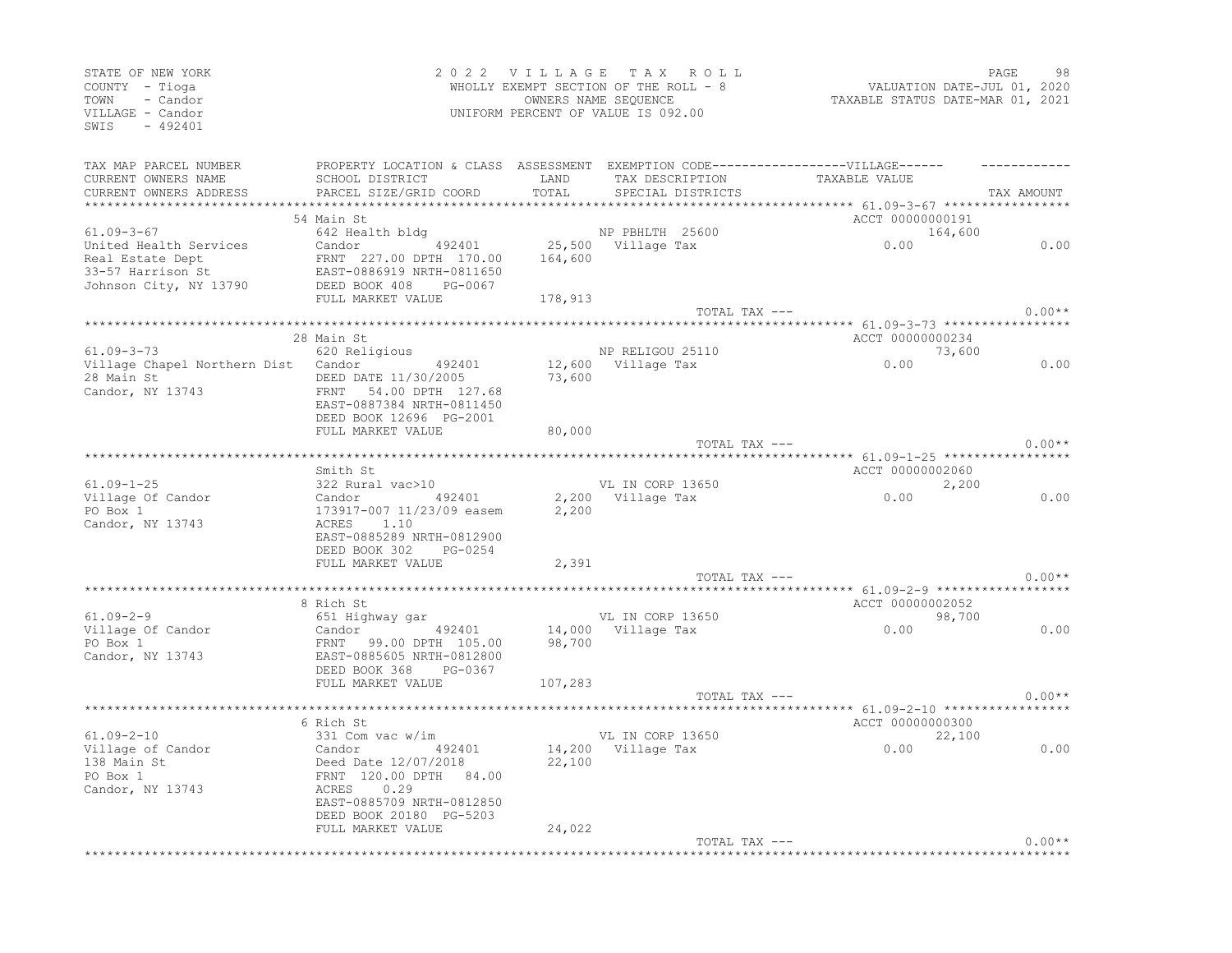| STATE OF NEW YORK<br>COUNTY - Tioga<br>TOWN - Candor<br>VILLAGE - Candor<br>SWIS - 492401 |                                                                                      |         | 2022 VILLAGE TAX ROLL<br>WHOLLY EXEMPT SECTION OF THE ROLL - 8<br>OWNERS NAME SEQUENCE<br>UNIFORM PERCENT OF VALUE IS 092.00 | 98 FAGE<br>2020 VALUATION DATE-JUL<br>2021, TAXABLE STATUS DATE-MAR | PAGE<br>98 |
|-------------------------------------------------------------------------------------------|--------------------------------------------------------------------------------------|---------|------------------------------------------------------------------------------------------------------------------------------|---------------------------------------------------------------------|------------|
| TAX MAP PARCEL NUMBER                                                                     | PROPERTY LOCATION & CLASS ASSESSMENT EXEMPTION CODE-----------------VILLAGE------    |         |                                                                                                                              |                                                                     |            |
| CURRENT OWNERS NAME                                                                       | SCHOOL DISTRICT                                                                      | LAND    | TAX DESCRIPTION                                                                                                              | TAXABLE VALUE                                                       |            |
| CURRENT OWNERS ADDRESS                                                                    | PARCEL SIZE/GRID COORD                                                               | TOTAL   | SPECIAL DISTRICTS                                                                                                            |                                                                     | TAX AMOUNT |
|                                                                                           |                                                                                      |         |                                                                                                                              | *********** 61.09-3-67 ******************                           |            |
| $61.09 - 3 - 67$                                                                          | 54 Main St<br>642 Health bldg                                                        |         | NP PBHLTH 25600                                                                                                              | ACCT 00000000191                                                    |            |
| United Health Services                                                                    | Candor 492401                                                                        |         | 25,500 Village Tax                                                                                                           | 164,600                                                             | 0.00       |
|                                                                                           |                                                                                      |         |                                                                                                                              |                                                                     |            |
| Real Estate Dept<br>33-57 Harrison St                                                     | Candor 492401 25,500<br>FRNT 227.00 DPTH 170.00 164,600<br>EAST-0886919 NRTH-0811650 |         |                                                                                                                              |                                                                     |            |
| Johnson City, NY 13790                                                                    | DEED BOOK 408 PG-0067                                                                |         |                                                                                                                              |                                                                     |            |
|                                                                                           | FULL MARKET VALUE                                                                    | 178,913 |                                                                                                                              |                                                                     |            |
|                                                                                           |                                                                                      |         | TOTAL TAX ---                                                                                                                |                                                                     | $0.00**$   |
|                                                                                           |                                                                                      |         |                                                                                                                              | *************** 61.09-3-73 *****************                        |            |
| $61.09 - 3 - 73$                                                                          | 28 Main St<br>620 Religious                                                          |         | NP RELIGOU 25110                                                                                                             | ACCT 00000000234                                                    |            |
| Village Chapel Northern Dist Candor 492401                                                |                                                                                      |         |                                                                                                                              | $0.00$ 73,600                                                       | 0.00       |
| 28 Main St 28 Main St                                                                     | DEED DATE 11/30/2005                                                                 |         | 12,600 Village Tax<br>73,600                                                                                                 |                                                                     |            |
| Candor, NY 13743                                                                          | FRNT 54.00 DPTH 127.68                                                               |         |                                                                                                                              |                                                                     |            |
|                                                                                           | EAST-0887384 NRTH-0811450                                                            |         |                                                                                                                              |                                                                     |            |
|                                                                                           | DEED BOOK 12696 PG-2001                                                              |         |                                                                                                                              |                                                                     |            |
|                                                                                           | FULL MARKET VALUE                                                                    | 80,000  |                                                                                                                              |                                                                     | $0.00**$   |
|                                                                                           |                                                                                      |         | TOTAL TAX ---                                                                                                                |                                                                     |            |
|                                                                                           |                                                                                      |         |                                                                                                                              | ACCT 00000002060                                                    |            |
| $61.09 - 1 - 25$                                                                          |                                                                                      |         | VL IN CORP 13650                                                                                                             | 2,200                                                               |            |
| Village Of Candor                                                                         |                                                                                      |         |                                                                                                                              | 0.00                                                                | 0.00       |
| PO Box 1                                                                                  |                                                                                      |         |                                                                                                                              |                                                                     |            |
| Candor, NY 13743                                                                          |                                                                                      |         |                                                                                                                              |                                                                     |            |
|                                                                                           | EAST-0885289 NRTH-0812900                                                            |         |                                                                                                                              |                                                                     |            |
|                                                                                           | DEED BOOK 302 PG-0254<br>FULL MARKET VALUE                                           | 2,391   |                                                                                                                              |                                                                     |            |
|                                                                                           |                                                                                      |         | TOTAL TAX ---                                                                                                                |                                                                     | $0.00**$   |
|                                                                                           |                                                                                      |         |                                                                                                                              |                                                                     |            |
|                                                                                           | 8 Rich St                                                                            |         |                                                                                                                              | ACCT 00000002052                                                    |            |
| $61.09 - 2 - 9$                                                                           | 651 Highway gar                                                                      |         | VL IN CORP 13650                                                                                                             | $0.00$ 98,700                                                       |            |
| Village Of Candor                                                                         |                                                                                      |         | 14,000 Village Tax                                                                                                           |                                                                     | 0.00       |
| PO Box 1                                                                                  | Candor <sup>77</sup> 492401<br>FRNT 99.00 DPTH 105.00<br>EAST-0885605 NRTH-0812800   | 98,700  |                                                                                                                              |                                                                     |            |
| Candor, NY 13743                                                                          | DEED BOOK 368 PG-0367                                                                |         |                                                                                                                              |                                                                     |            |
|                                                                                           | FULL MARKET VALUE                                                                    | 107,283 |                                                                                                                              |                                                                     |            |
|                                                                                           |                                                                                      |         | TOTAL TAX ---                                                                                                                |                                                                     | $0.00**$   |
|                                                                                           |                                                                                      |         |                                                                                                                              |                                                                     |            |
|                                                                                           | 6 Rich St                                                                            |         |                                                                                                                              | ACCT 00000000300                                                    |            |
| $61.09 - 2 - 10$                                                                          | 331 Com vac w/im                                                                     |         | VL IN CORP 13650                                                                                                             | 22,100<br>0.00                                                      |            |
| Village of Candor                                                                         | Candor 492401<br>Deed Date 12/07/2018<br>FRNT 120.00 DPTH 84.00<br>ACRES 0.29        |         | 14,200 Village Tax                                                                                                           |                                                                     | 0.00       |
| 138 Main St<br>PO Box 1                                                                   |                                                                                      | 22,100  |                                                                                                                              |                                                                     |            |
| Candor, NY 13743                                                                          |                                                                                      |         |                                                                                                                              |                                                                     |            |
|                                                                                           | EAST-0885709 NRTH-0812850                                                            |         |                                                                                                                              |                                                                     |            |
|                                                                                           | DEED BOOK 20180 PG-5203                                                              |         |                                                                                                                              |                                                                     |            |
|                                                                                           | FULL MARKET VALUE                                                                    | 24,022  |                                                                                                                              |                                                                     |            |
|                                                                                           |                                                                                      |         |                                                                                                                              | TOTAL TAX ---                                                       | $0.00**$   |
|                                                                                           |                                                                                      |         |                                                                                                                              |                                                                     |            |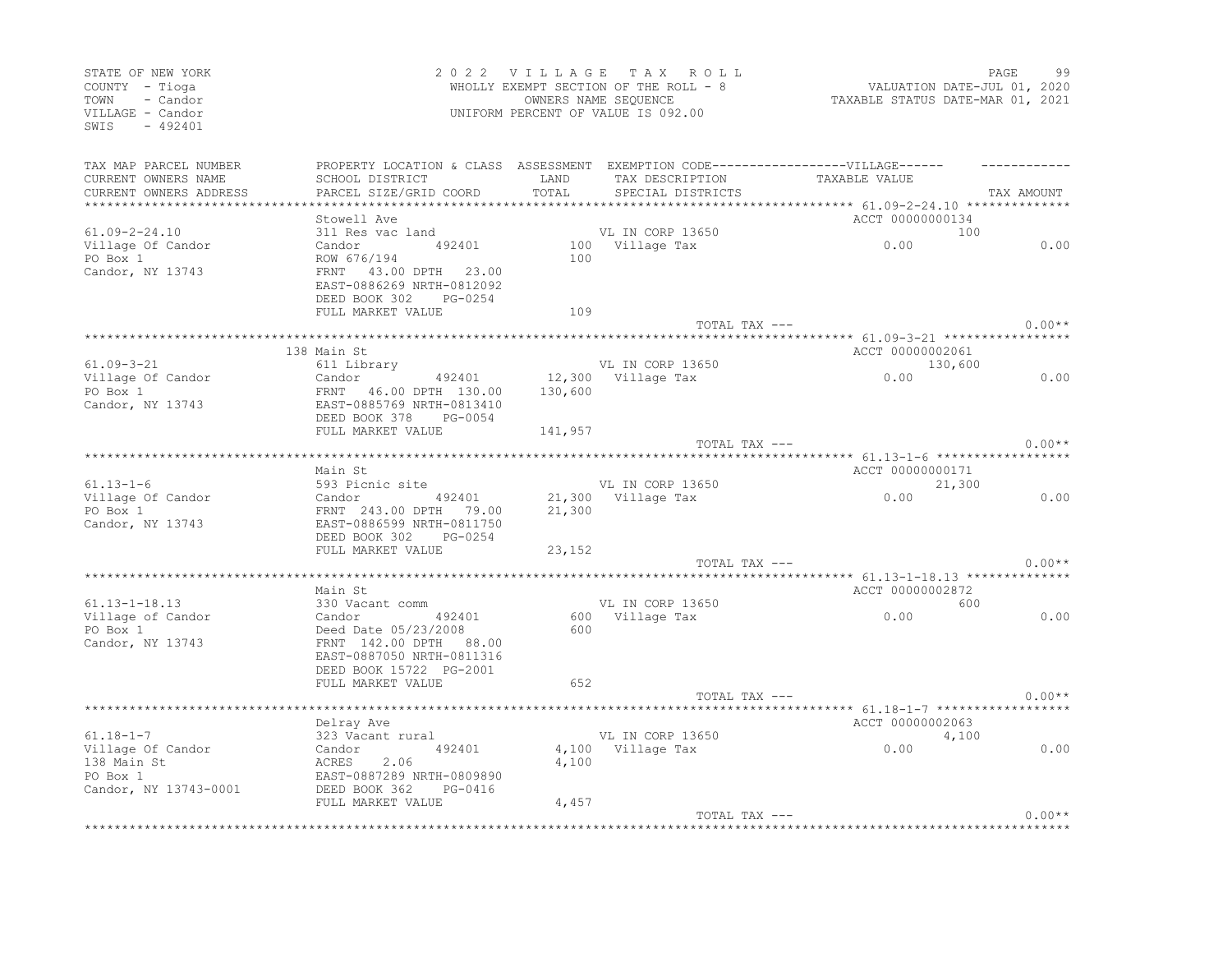| STATE OF NEW YORK<br>COUNTY - Tioga<br>TOWN<br>- Candor<br>VILLAGE - Candor<br>$-492401$<br>SWIS |                                                                                                                                |               | 2022 VILLAGE TAX ROLL<br>WHOLLY EXEMPT SECTION OF THE ROLL - 8<br>OWNERS NAME SEQUENCE<br>UNIFORM PERCENT OF VALUE IS 092.00 | VALUATION DATE-JUL 01, 2020<br>TAXABLE STATUS DATE-MAR 01, 2021 | PAGE<br>99 |
|--------------------------------------------------------------------------------------------------|--------------------------------------------------------------------------------------------------------------------------------|---------------|------------------------------------------------------------------------------------------------------------------------------|-----------------------------------------------------------------|------------|
| TAX MAP PARCEL NUMBER<br>CURRENT OWNERS NAME<br>CURRENT OWNERS ADDRESS                           | PROPERTY LOCATION & CLASS ASSESSMENT EXEMPTION CODE-----------------VILLAGE------<br>SCHOOL DISTRICT<br>PARCEL SIZE/GRID COORD | LAND<br>TOTAL | TAX DESCRIPTION<br>SPECIAL DISTRICTS                                                                                         | TAXABLE VALUE                                                   | TAX AMOUNT |
| ***********************                                                                          |                                                                                                                                |               |                                                                                                                              |                                                                 |            |
|                                                                                                  | Stowell Ave                                                                                                                    |               |                                                                                                                              | ACCT 00000000134                                                |            |
| $61.09 - 2 - 24.10$                                                                              | 311 Res vac land                                                                                                               |               | VL IN CORP 13650                                                                                                             | 100                                                             |            |
| Village Of Candor                                                                                | 492401<br>Candor                                                                                                               |               | 100 Village Tax                                                                                                              | 0.00                                                            | 0.00       |
| PO Box 1<br>Candor, NY 13743                                                                     | ROW 676/194<br>FRNT 43.00 DPTH 23.00<br>EAST-0886269 NRTH-0812092<br>DEED BOOK 302 PG-0254                                     | 100           |                                                                                                                              |                                                                 |            |
|                                                                                                  | FULL MARKET VALUE                                                                                                              | 109           |                                                                                                                              |                                                                 |            |
|                                                                                                  |                                                                                                                                |               | TOTAL TAX ---                                                                                                                |                                                                 | $0.00**$   |
|                                                                                                  | 138 Main St                                                                                                                    |               |                                                                                                                              | ACCT 00000002061                                                |            |
| $61.09 - 3 - 21$                                                                                 | 611 Library                                                                                                                    |               | VL IN CORP 13650                                                                                                             | 130,600                                                         |            |
| Village Of Candor                                                                                | Candor<br>492401                                                                                                               |               | 12,300 Village Tax                                                                                                           | 0.00                                                            | 0.00       |
| PO Box 1                                                                                         | FRNT 46.00 DPTH 130.00                                                                                                         | 130,600       |                                                                                                                              |                                                                 |            |
| Candor, NY 13743                                                                                 | EAST-0885769 NRTH-0813410                                                                                                      |               |                                                                                                                              |                                                                 |            |
|                                                                                                  | DEED BOOK 378<br>PG-0054                                                                                                       |               |                                                                                                                              |                                                                 |            |
|                                                                                                  | FULL MARKET VALUE                                                                                                              | 141,957       |                                                                                                                              |                                                                 | $0.00**$   |
|                                                                                                  |                                                                                                                                |               | TOTAL TAX ---                                                                                                                |                                                                 |            |
|                                                                                                  | Main St                                                                                                                        |               |                                                                                                                              | ACCT 00000000171                                                |            |
| $61.13 - 1 - 6$                                                                                  | 593 Picnic site                                                                                                                |               | VL IN CORP 13650                                                                                                             | 21,300                                                          |            |
| Village Of Candor                                                                                | Candor 492401                                                                                                                  |               | 21,300 Village Tax                                                                                                           | 0.00                                                            | 0.00       |
| PO Box 1                                                                                         | FRNT 243.00 DPTH 79.00                                                                                                         | 21,300        |                                                                                                                              |                                                                 |            |
| Candor, NY 13743                                                                                 | EAST-0886599 NRTH-0811750                                                                                                      |               |                                                                                                                              |                                                                 |            |
|                                                                                                  | DEED BOOK 302<br>PG-0254                                                                                                       |               |                                                                                                                              |                                                                 |            |
|                                                                                                  | FULL MARKET VALUE                                                                                                              | 23,152        |                                                                                                                              |                                                                 |            |
|                                                                                                  | *********************                                                                                                          |               | TOTAL TAX ---                                                                                                                | **** 61.13-1-18.13 ********                                     | $0.00**$   |
|                                                                                                  | Main St                                                                                                                        |               |                                                                                                                              | ACCT 00000002872                                                |            |
| $61.13 - 1 - 18.13$                                                                              | 330 Vacant comm                                                                                                                |               | VL IN CORP 13650                                                                                                             | 600                                                             |            |
| Village of Candor                                                                                | Candor<br>492401                                                                                                               |               | 600 Village Tax                                                                                                              | 0.00                                                            | 0.00       |
| PO Box 1                                                                                         | Deed Date 05/23/2008                                                                                                           | 600           |                                                                                                                              |                                                                 |            |
| Candor, NY 13743                                                                                 | FRNT 142.00 DPTH 88.00                                                                                                         |               |                                                                                                                              |                                                                 |            |
|                                                                                                  | EAST-0887050 NRTH-0811316                                                                                                      |               |                                                                                                                              |                                                                 |            |
|                                                                                                  | DEED BOOK 15722 PG-2001                                                                                                        |               |                                                                                                                              |                                                                 |            |
|                                                                                                  | FULL MARKET VALUE                                                                                                              | 652           |                                                                                                                              |                                                                 |            |
|                                                                                                  |                                                                                                                                |               | TOTAL TAX ---                                                                                                                |                                                                 | $0.00**$   |
|                                                                                                  | Delray Ave                                                                                                                     |               |                                                                                                                              | *********** 61.18-1-7 *******************<br>ACCT 00000002063   |            |
| $61.18 - 1 - 7$                                                                                  | 323 Vacant rural                                                                                                               |               | VL IN CORP 13650                                                                                                             | 4,100                                                           |            |
| Village Of Candor                                                                                | Candor<br>492401                                                                                                               |               | 4,100 Village Tax                                                                                                            | 0.00                                                            | 0.00       |
| 138 Main St                                                                                      | ACRES<br>2.06                                                                                                                  | 4,100         |                                                                                                                              |                                                                 |            |
| PO Box 1                                                                                         | EAST-0887289 NRTH-0809890                                                                                                      |               |                                                                                                                              |                                                                 |            |
| Candor, NY 13743-0001                                                                            | DEED BOOK 362<br>PG-0416                                                                                                       |               |                                                                                                                              |                                                                 |            |
|                                                                                                  | FULL MARKET VALUE                                                                                                              | 4,457         |                                                                                                                              |                                                                 |            |
|                                                                                                  |                                                                                                                                |               | TOTAL TAX ---                                                                                                                |                                                                 | $0.00**$   |
|                                                                                                  |                                                                                                                                |               |                                                                                                                              |                                                                 |            |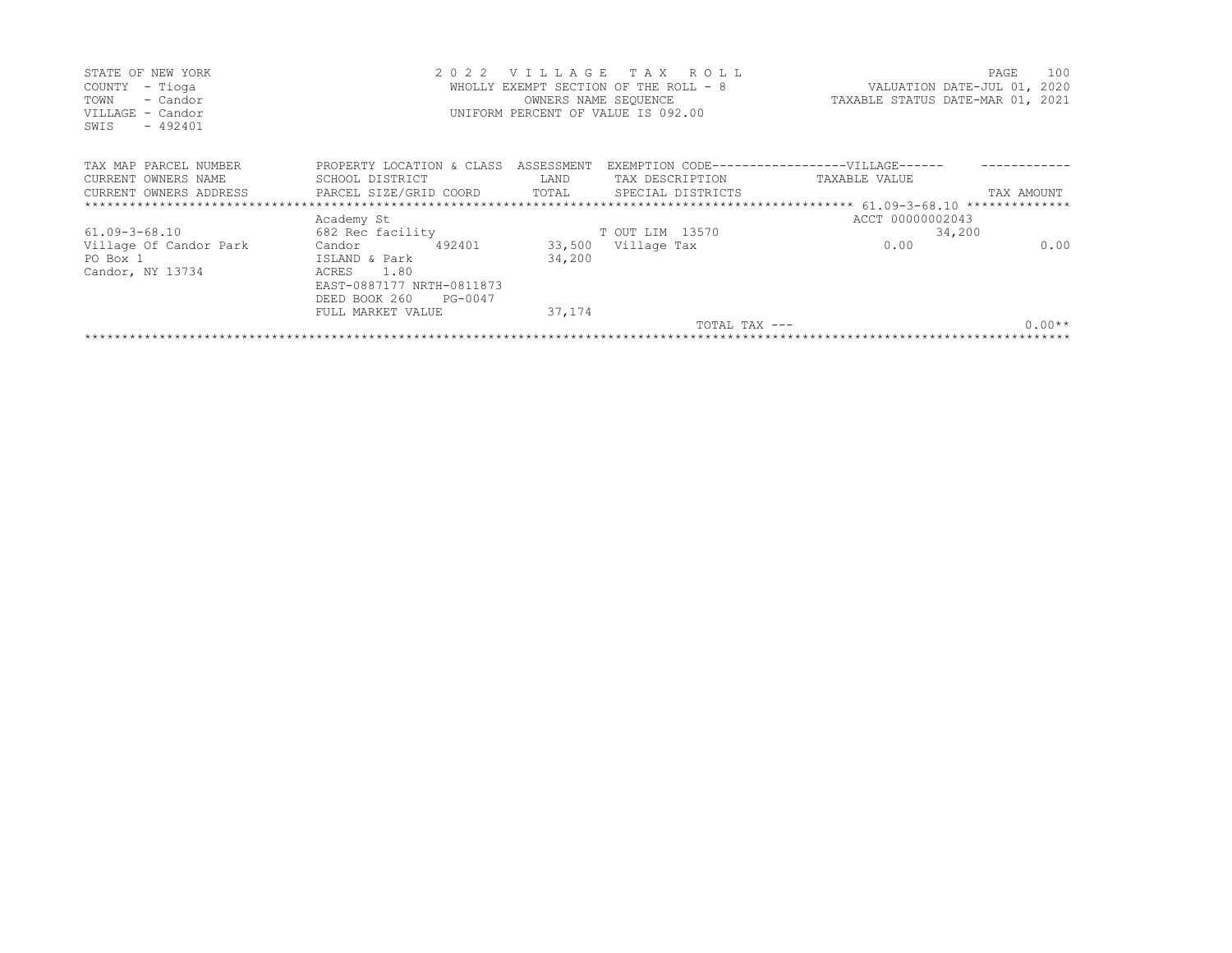| STATE OF NEW YORK<br>- Tioga<br>COUNTY<br>TOWN<br>- Candor<br>VILLAGE - Candor<br>$-492401$<br>SWIS |                                      | 2022    | VILLAGE<br>WHOLLY EXEMPT SECTION OF THE ROLL - 8<br>OWNERS NAME SEQUENCE<br>UNIFORM PERCENT OF VALUE IS 092.00 |                 | TAX ROLL          | TAXABLE STATUS DATE-MAR 01, 2021                      | PAGE<br>VALUATION DATE-JUL 01, 2020 | 100      |
|-----------------------------------------------------------------------------------------------------|--------------------------------------|---------|----------------------------------------------------------------------------------------------------------------|-----------------|-------------------|-------------------------------------------------------|-------------------------------------|----------|
| TAX MAP PARCEL NUMBER                                                                               | PROPERTY LOCATION & CLASS ASSESSMENT |         |                                                                                                                |                 |                   | EXEMPTION CODE------------------VILLAGE------         |                                     |          |
| CURRENT OWNERS NAME                                                                                 | SCHOOL DISTRICT                      |         | LAND                                                                                                           | TAX DESCRIPTION |                   | TAXABLE VALUE                                         |                                     |          |
| CURRENT OWNERS ADDRESS                                                                              | PARCEL SIZE/GRID COORD               |         | TOTAL                                                                                                          |                 | SPECIAL DISTRICTS |                                                       | TAX AMOUNT                          |          |
|                                                                                                     |                                      |         |                                                                                                                |                 |                   | ************************ 61.09-3-68.10 ************** |                                     |          |
|                                                                                                     | Academy St                           |         |                                                                                                                |                 |                   | ACCT 00000002043                                      |                                     |          |
| $61.09 - 3 - 68.10$                                                                                 | 682 Rec facility                     |         |                                                                                                                | T OUT LIM 13570 |                   |                                                       | 34,200                              |          |
| Village Of Candor Park                                                                              | Candor                               | 492401  | 33,500                                                                                                         | Village Tax     |                   | 0.00                                                  |                                     | 0.00     |
| PO Box 1                                                                                            | ISLAND & Park                        |         | 34,200                                                                                                         |                 |                   |                                                       |                                     |          |
| Candor, NY 13734                                                                                    | ACRES<br>1.80                        |         |                                                                                                                |                 |                   |                                                       |                                     |          |
|                                                                                                     | EAST-0887177 NRTH-0811873            |         |                                                                                                                |                 |                   |                                                       |                                     |          |
|                                                                                                     | DEED BOOK 260                        | PG-0047 |                                                                                                                |                 |                   |                                                       |                                     |          |
|                                                                                                     | FULL MARKET VALUE                    |         | 37,174                                                                                                         |                 |                   |                                                       |                                     |          |
|                                                                                                     |                                      |         |                                                                                                                |                 | TOTAL TAX ---     |                                                       |                                     | $0.00**$ |
|                                                                                                     |                                      |         |                                                                                                                |                 |                   |                                                       |                                     |          |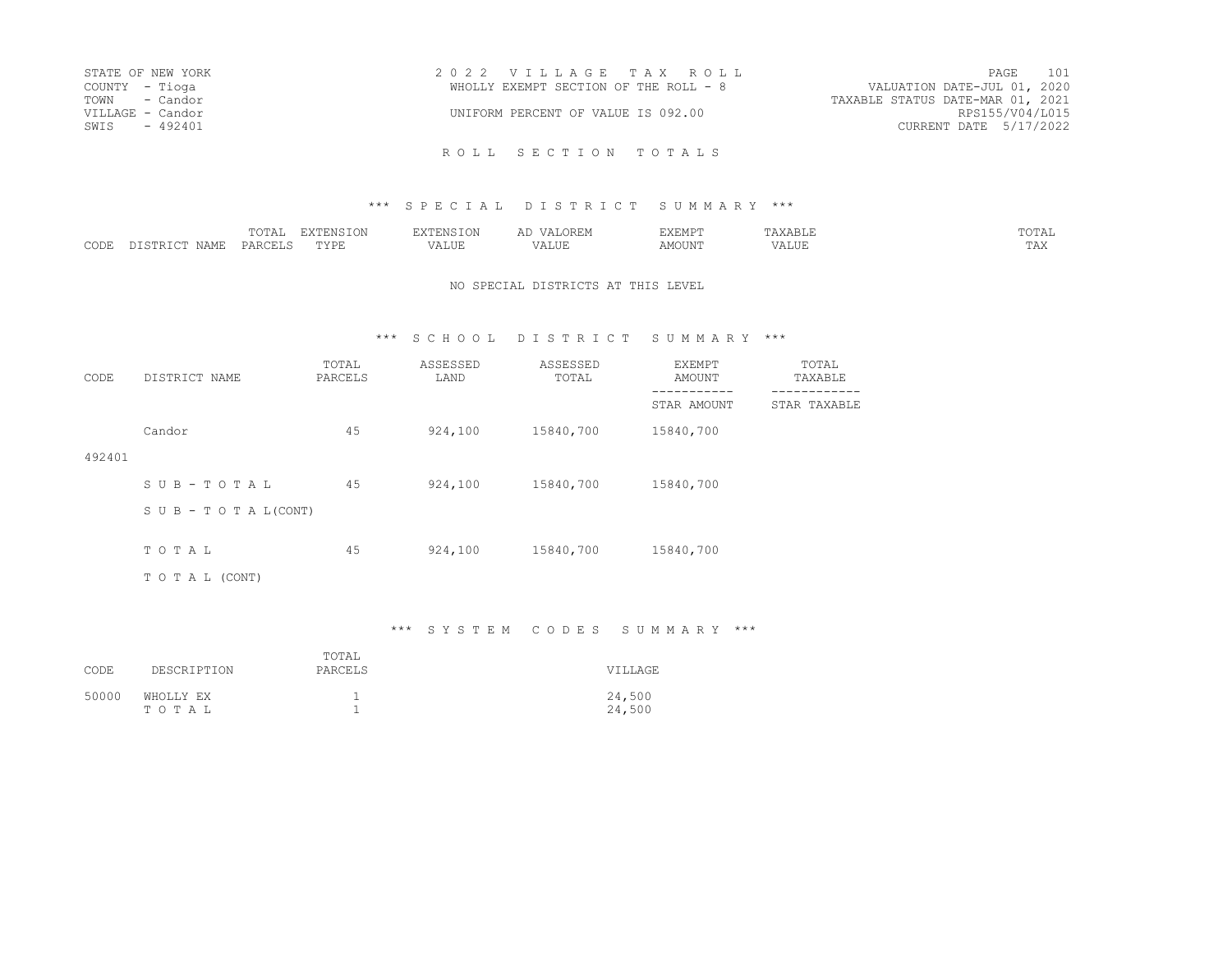| STATE OF NEW YORK | 2022 VILLAGE TAX ROLL                 | 101<br>PAGE                      |
|-------------------|---------------------------------------|----------------------------------|
| COUNTY - Tioga    | WHOLLY EXEMPT SECTION OF THE ROLL - 8 | VALUATION DATE-JUL 01, 2020      |
| TOWN - Candor     |                                       | TAXABLE STATUS DATE-MAR 01, 2021 |
| VILLAGE - Candor  | UNIFORM PERCENT OF VALUE IS 092.00    | RPS155/V04/L015                  |
| SWIS<br>$-492401$ |                                       | CURRENT DATE 5/17/2022           |
|                   |                                       |                                  |

### \*\*\* S P E C I A L D I S T R I C T S U M M A R Y \*\*\*

|                        | $m \wedge m \wedge$<br>$\cdot$ $\cdot$ $\cdot$<br>10111 | $m \times r$<br>T ATA | $0.003329$ T $0.37$<br>$-L \cup L$ | $\overline{a}$<br>◡▴◟◡ | EXEMPT |                         | $m \wedge m \wedge r$<br>.UTAL |
|------------------------|---------------------------------------------------------|-----------------------|------------------------------------|------------------------|--------|-------------------------|--------------------------------|
| CODE<br>NAMF<br>. ופחי | PAP(                                                    | "YPR.<br>.            | $- - - - -$<br>. ALUP              | - ---<br>۰Δ.<br>ALUF   | MOUN'. | . <del>.</del><br>/ALUE | $\pi \pi \pi$<br>T W           |

#### NO SPECIAL DISTRICTS AT THIS LEVEL

## \*\*\* S C H O O L D I S T R I C T S U M M A R Y \*\*\*

| CODE   | DISTRICT NAME                    | TOTAL<br>PARCELS | ASSESSED<br>LAND | ASSESSED<br>TOTAL | EXEMPT<br><b>AMOUNT</b> | TOTAL<br>TAXABLE |
|--------|----------------------------------|------------------|------------------|-------------------|-------------------------|------------------|
|        |                                  |                  |                  |                   | STAR AMOUNT             | STAR TAXABLE     |
|        | Candor                           | 45               | 924,100          | 15840,700         | 15840,700               |                  |
| 492401 |                                  |                  |                  |                   |                         |                  |
|        | SUB-TOTAL                        | 45               | 924,100          | 15840,700         | 15840,700               |                  |
|        | $S \cup B - T \cup T A L (CONT)$ |                  |                  |                   |                         |                  |
|        | TOTAL                            | 45               | 924,100          | 15840,700         | 15840,700               |                  |
|        | TO TAL (CONT)                    |                  |                  |                   |                         |                  |

## \*\*\* S Y S T E M C O D E S S U M M A R Y \*\*\*

| CODE  | DESCRIPTION        | TOTAL<br>PARCELS | <b>VILLAGE</b>   |
|-------|--------------------|------------------|------------------|
| 50000 | WHOLLY EX<br>TOTAL |                  | 24,500<br>24,500 |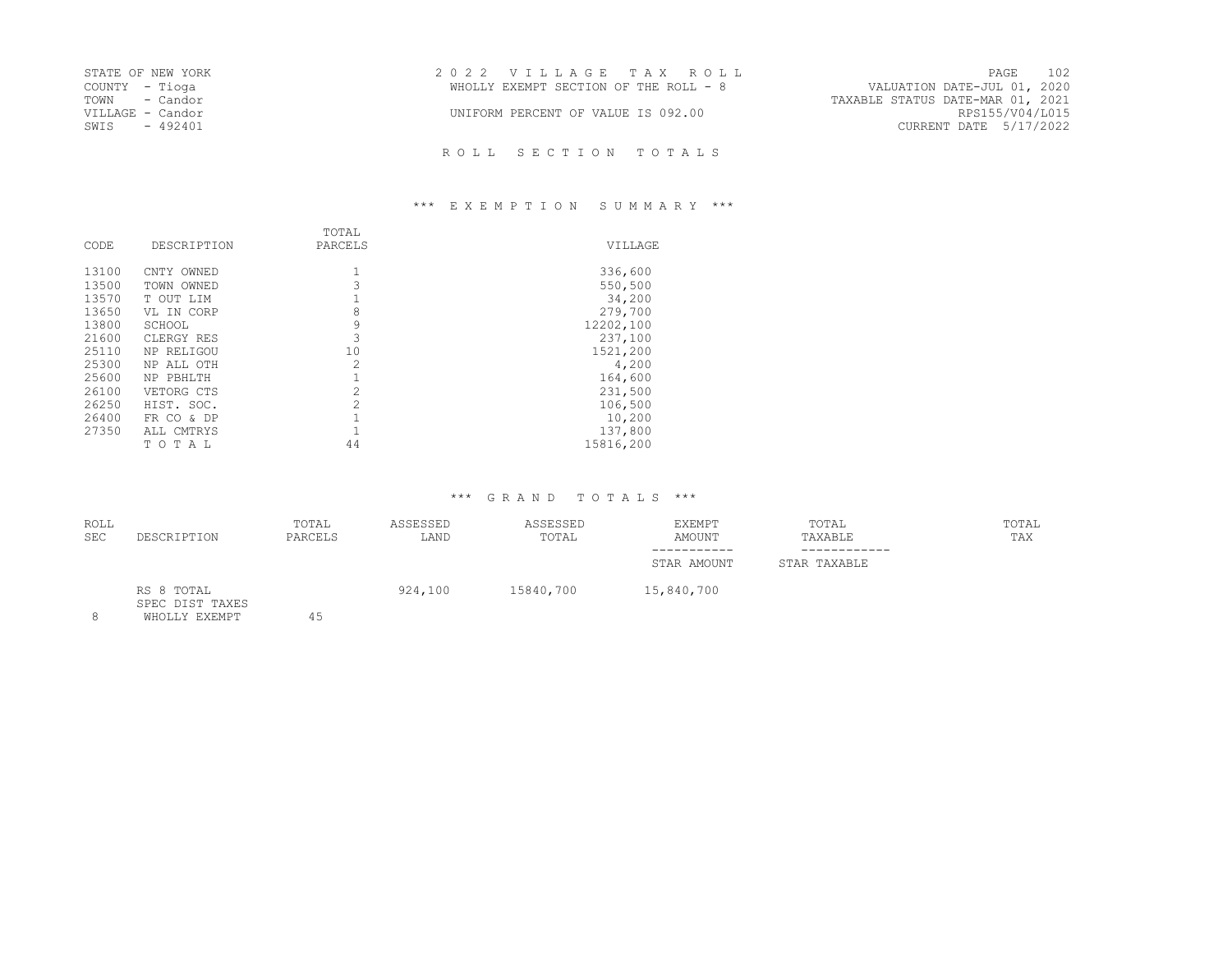| STATE OF NEW YORK | 2022 VILLAGE TAX ROLL                                                | PAGE                   | 102 |
|-------------------|----------------------------------------------------------------------|------------------------|-----|
| COUNTY – Tioga    | VALUATION DATE-JUL 01, 2020<br>WHOLLY EXEMPT SECTION OF THE ROLL - 8 |                        |     |
| TOWN - Candor     | TAXABLE STATUS DATE-MAR 01, 2021                                     |                        |     |
| VILLAGE - Candor  | UNIFORM PERCENT OF VALUE IS 092.00                                   | RPS155/V04/L015        |     |
| SWIS<br>- 492401  |                                                                      | CURRENT DATE 5/17/2022 |     |

# \*\*\* E X E M P T I O N S U M M A R Y \*\*\*

| CODE  | DESCRIPTION    | TOTAL<br>PARCELS | <b>VTLLAGE</b> |
|-------|----------------|------------------|----------------|
| 13100 | CNTY OWNED     |                  | 336,600        |
| 13500 | TOWN OWNED     | 3                | 550,500        |
| 13570 | T OUT LIM      |                  | 34,200         |
| 13650 | VL IN CORP     | 8                | 279,700        |
| 13800 | SCHOOL         | 9                | 12202,100      |
| 21600 | CLERGY RES     | 3                | 237,100        |
| 25110 | NP RELIGOU     | 10               | 1521,200       |
| 25300 | NP ALL OTH     | $\mathcal{D}$    | 4,200          |
| 25600 | NP PBHLTH      |                  | 164,600        |
| 26100 | VETORG CTS     | $\overline{c}$   | 231,500        |
| 26250 | HIST. SOC.     | $\mathcal{D}$    | 106,500        |
| 26400 | FR CO<br>& DP  |                  | 10,200         |
| 27350 | ALL CMTRYS     |                  | 137,800        |
|       | T O<br>T<br>AL | 44               | 15816,200      |

| <b>ROLL</b><br><b>SEC</b> | DESCRIPTION                                    | TOTAL<br>PARCELS | ASSESSED<br>LAND | ASSESSED<br>TOTAL | EXEMPT<br>AMOUNT | TOTAL<br>TAXABLE | TOTAL<br>TAX |
|---------------------------|------------------------------------------------|------------------|------------------|-------------------|------------------|------------------|--------------|
|                           |                                                |                  |                  |                   | STAR AMOUNT      | STAR TAXABLE     |              |
| 8                         | RS 8 TOTAL<br>SPEC DIST TAXES<br>WHOLLY EXEMPT | 45               | 924,100          | 15840,700         | 15,840,700       |                  |              |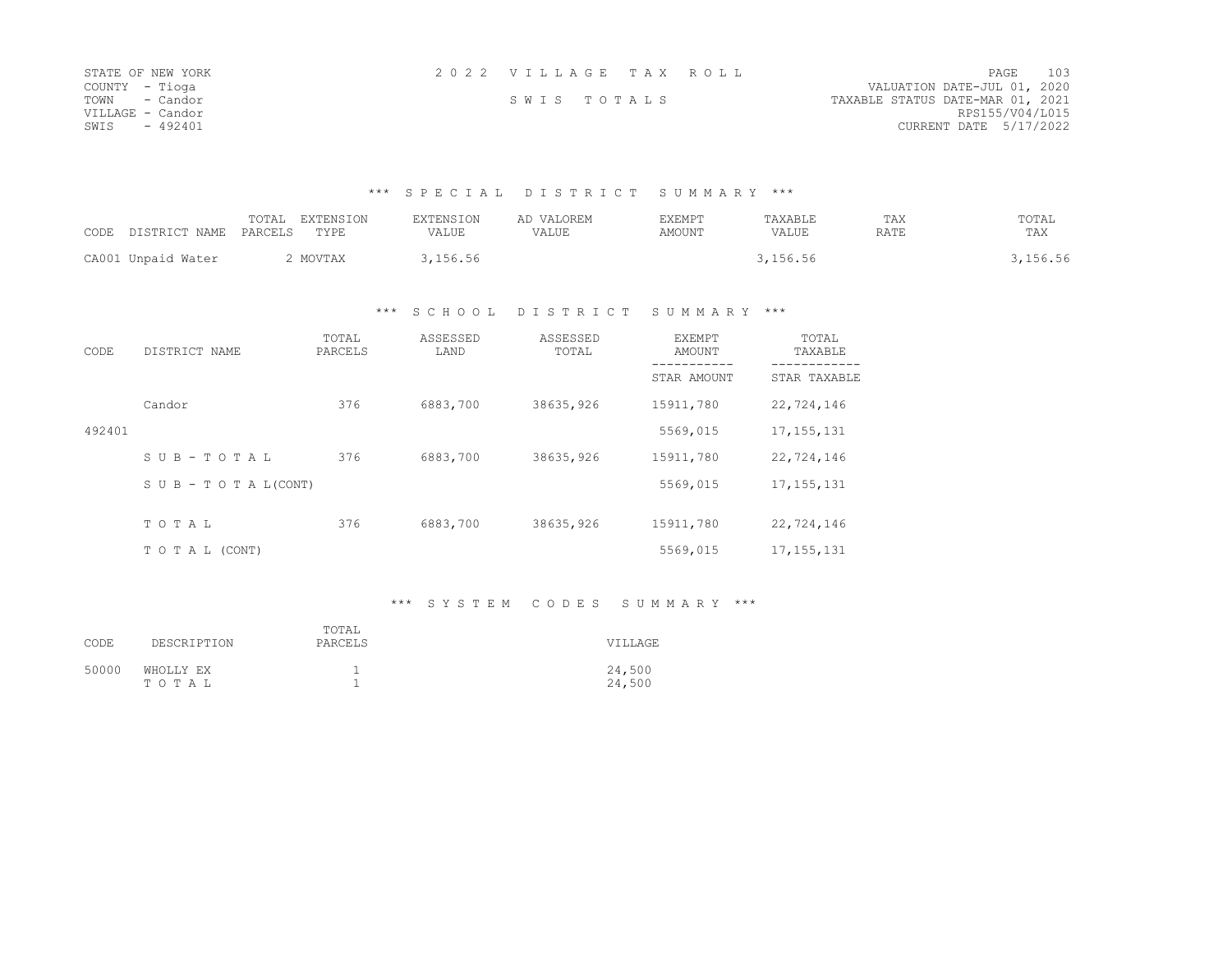| STATE OF NEW YORK | 2022 VILLAGE TAX ROLL |             |  |                                  | PAGE | 103 |
|-------------------|-----------------------|-------------|--|----------------------------------|------|-----|
| COUNTY - Tioga    |                       |             |  | VALUATION DATE-JUL 01, 2020      |      |     |
| TOWN - Candor     |                       | SWIS TOTALS |  | TAXABLE STATUS DATE-MAR 01, 2021 |      |     |
| VILLAGE - Candor  |                       |             |  | RPS155/V04/L015                  |      |     |
| SWIS<br>$-492401$ |                       |             |  | CURRENT DATE 5/17/2022           |      |     |

## \*\*\* S P E C I A L D I S T R I C T S U M M A R Y \*\*\*

|                    | <b>EXTENSION</b><br>TOTAI | <b>EXTENSION</b> | AD VALOREM | EXEMPT | TAXABLE  | TAX  | TOTAL    |
|--------------------|---------------------------|------------------|------------|--------|----------|------|----------|
| CODE DISTRICT NAME | PARCELS<br><b>TYPR</b>    | VALUE            | VALUE      | AMOUNT | VALUE    | RATE | TAX      |
| CA001 Unpaid Water | MOVTAX                    | ,156.56          |            |        | 3,156.56 |      | , 156.56 |

## \*\*\* S C H O O L D I S T R I C T S U M M A R Y \*\*\*

| CODE   | DISTRICT NAME                    | TOTAL<br>PARCELS | ASSESSED<br>LAND | ASSESSED<br>TOTAL | EXEMPT<br>AMOUNT | TOTAL<br>TAXABLE |
|--------|----------------------------------|------------------|------------------|-------------------|------------------|------------------|
|        |                                  |                  |                  |                   | STAR AMOUNT      | STAR TAXABLE     |
|        | Candor                           | 376              | 6883,700         | 38635,926         | 15911,780        | 22,724,146       |
| 492401 |                                  |                  |                  |                   | 5569,015         | 17, 155, 131     |
|        | SUB-TOTAL                        | 376              | 6883,700         | 38635,926         | 15911,780        | 22,724,146       |
|        | $S \cup B - T \cup T A L (CONT)$ |                  |                  |                   | 5569,015         | 17, 155, 131     |
|        | TOTAL                            | 376              | 6883,700         | 38635,926         | 15911,780        | 22,724,146       |
|        |                                  |                  |                  |                   |                  |                  |
|        | TO TAL (CONT)                    |                  |                  |                   | 5569,015         | 17, 155, 131     |

# \*\*\* S Y S T E M C O D E S S U M M A R Y \*\*\*

| CODE  | DESCRIPTION        | TOTAL<br>PARCELS | <b>VTLLAGE</b>   |
|-------|--------------------|------------------|------------------|
| 50000 | WHOLLY EX<br>TOTAL |                  | 24,500<br>24,500 |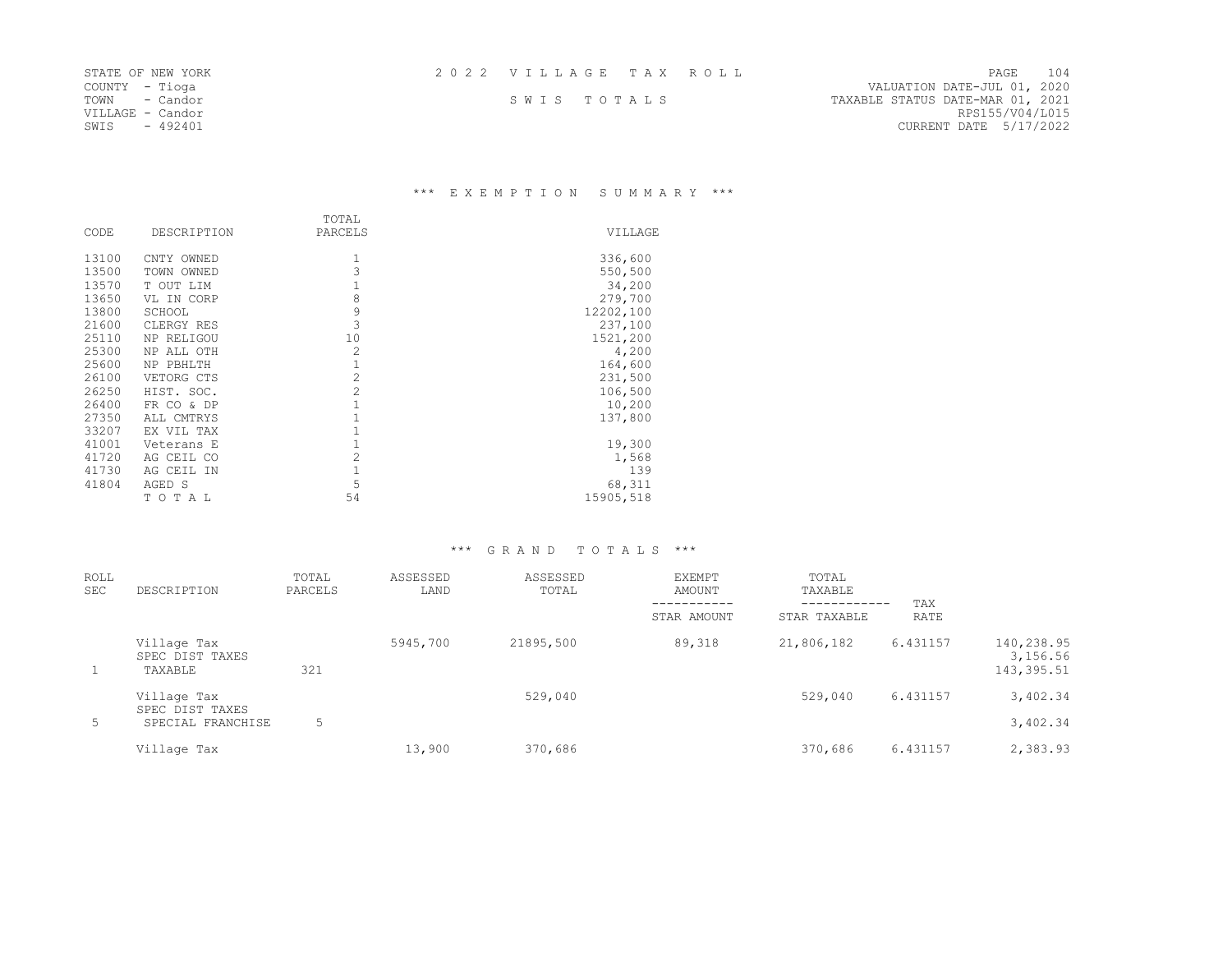|  |  |  |  |  |  |  |  |  |  |  |  |  | 2022 VILLAGE TAX ROLL |  |  |  |  |  |  |
|--|--|--|--|--|--|--|--|--|--|--|--|--|-----------------------|--|--|--|--|--|--|
|--|--|--|--|--|--|--|--|--|--|--|--|--|-----------------------|--|--|--|--|--|--|

STATE OF NEW YORK 2 0 2 2 V I L L A G E T A X R O L L PAGE 104 COUNTION DATE-JUL 01, 2020<br>
SWIS TOTALS TANABLE STATUS DATE-MAR 01, 2021 TOWN - Candor S W I S T O T A L S TAXABLE STATUS DATE-MAR 01, 2021 VILLAGE - Candor RPS155/V04/L015 CURRENT DATE 5/17/2022

### \*\*\* E X E M P T I O N S U M M A R Y \*\*\*

|       |             | TOTAL          |           |
|-------|-------------|----------------|-----------|
| CODE  | DESCRIPTION | PARCELS        | VILLAGE   |
| 13100 | CNTY OWNED  | 1              | 336,600   |
| 13500 | TOWN OWNED  | 3              | 550,500   |
| 13570 | T OUT LIM   | 1              | 34,200    |
| 13650 | VL IN CORP  | 8              | 279,700   |
| 13800 | SCHOOL      | 9              | 12202,100 |
| 21600 | CLERGY RES  | 3              | 237,100   |
| 25110 | NP RELIGOU  | 10             | 1521,200  |
| 25300 | NP ALL OTH  | $\overline{2}$ | 4,200     |
| 25600 | NP PBHLTH   | 1              | 164,600   |
| 26100 | VETORG CTS  | $\overline{c}$ | 231,500   |
| 26250 | HIST. SOC.  | $\overline{2}$ | 106,500   |
| 26400 | FR CO & DP  | 1              | 10,200    |
| 27350 | ALL CMTRYS  |                | 137,800   |
| 33207 | EX VIL TAX  |                |           |
| 41001 | Veterans E  | 1              | 19,300    |
| 41720 | AG CEIL CO  | $\overline{c}$ | 1,568     |
| 41730 | AG CEIL IN  | 1              | 139       |
| 41804 | AGED S      | 5              | 68,311    |
|       | TOTAL       | 54             | 15905,518 |

| <b>ROLL</b><br><b>SEC</b> | DESCRIPTION                               | TOTAL<br>PARCELS | ASSESSED<br>LAND | ASSESSED<br>TOTAL | <b>EXEMPT</b><br>AMOUNT<br>STAR AMOUNT | TOTAL<br>TAXABLE<br>------------<br>STAR TAXABLE | TAX<br>RATE |                                       |
|---------------------------|-------------------------------------------|------------------|------------------|-------------------|----------------------------------------|--------------------------------------------------|-------------|---------------------------------------|
| $\mathbf{1}$              | Village Tax<br>SPEC DIST TAXES<br>TAXABLE | 321              | 5945,700         | 21895,500         | 89,318                                 | 21,806,182                                       | 6.431157    | 140,238.95<br>3,156.56<br>143, 395.51 |
|                           | Village Tax<br>SPEC DIST TAXES            |                  |                  | 529,040           |                                        | 529,040                                          | 6.431157    | 3,402.34                              |
| 5                         | SPECIAL FRANCHISE                         | 5                |                  |                   |                                        |                                                  |             | 3,402.34                              |
|                           | Village Tax                               |                  | 13,900           | 370,686           |                                        | 370,686                                          | 6.431157    | 2,383.93                              |